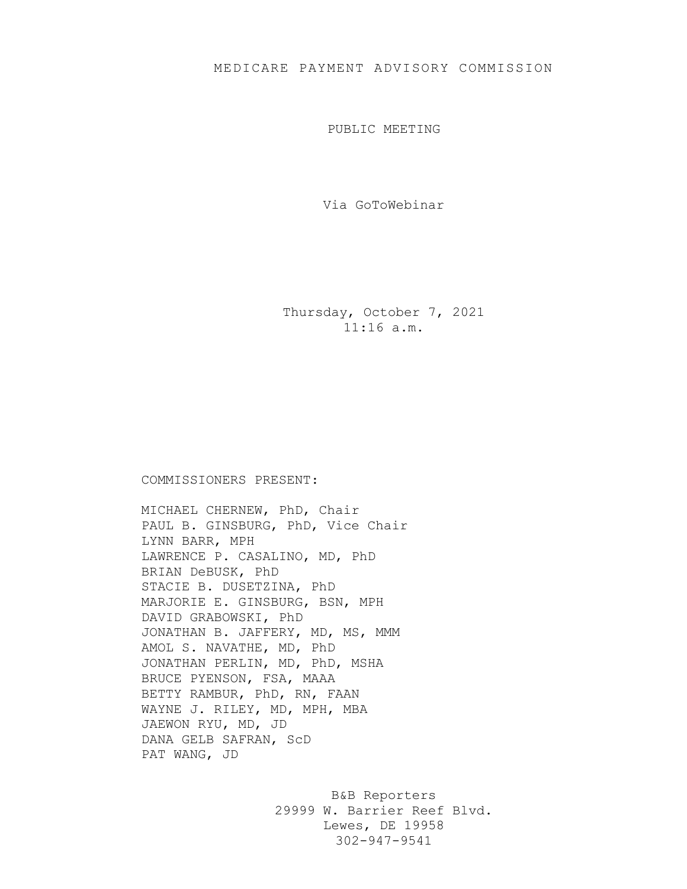PUBLIC MEETING

Via GoToWebinar

Thursday, October 7, 2021 11:16 a.m.

## COMMISSIONERS PRESENT:

MICHAEL CHERNEW, PhD, Chair PAUL B. GINSBURG, PhD, Vice Chair LYNN BARR, MPH LAWRENCE P. CASALINO, MD, PhD BRIAN DeBUSK, PhD STACIE B. DUSETZINA, PhD MARJORIE E. GINSBURG, BSN, MPH DAVID GRABOWSKI, PhD JONATHAN B. JAFFERY, MD, MS, MMM AMOL S. NAVATHE, MD, PhD JONATHAN PERLIN, MD, PhD, MSHA BRUCE PYENSON, FSA, MAAA BETTY RAMBUR, PhD, RN, FAAN WAYNE J. RILEY, MD, MPH, MBA JAEWON RYU, MD, JD DANA GELB SAFRAN, ScD PAT WANG, JD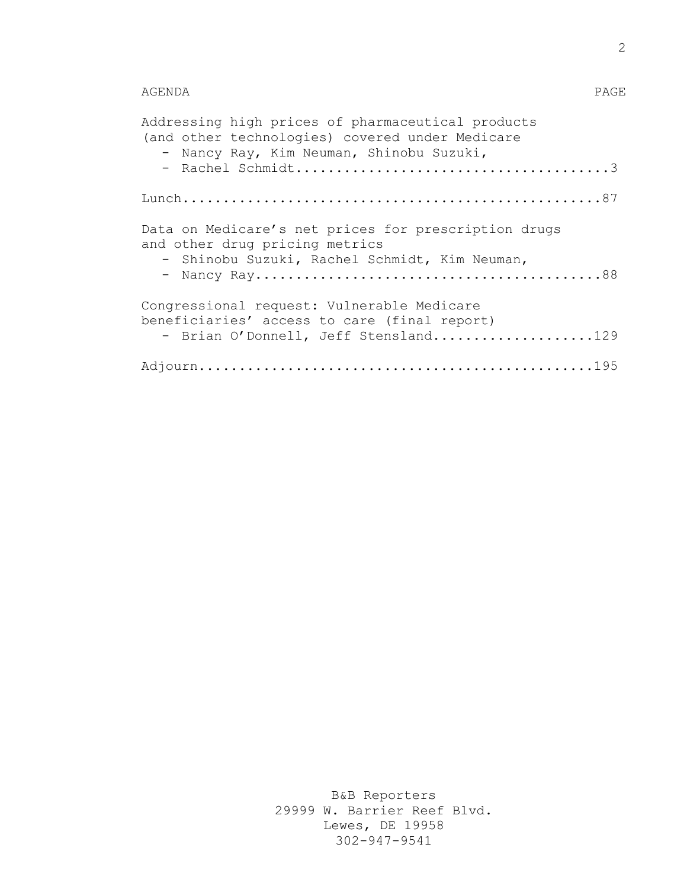## AGENDA PAGE

| Addressing high prices of pharmaceutical products<br>(and other technologies) covered under Medicare<br>- Nancy Ray, Kim Neuman, Shinobu Suzuki, |
|--------------------------------------------------------------------------------------------------------------------------------------------------|
|                                                                                                                                                  |
|                                                                                                                                                  |
| Data on Medicare's net prices for prescription drugs<br>and other drug pricing metrics<br>- Shinobu Suzuki, Rachel Schmidt, Kim Neuman,          |
| Congressional request: Vulnerable Medicare<br>beneficiaries' access to care (final report)<br>- Brian O'Donnell, Jeff Stensland129               |
|                                                                                                                                                  |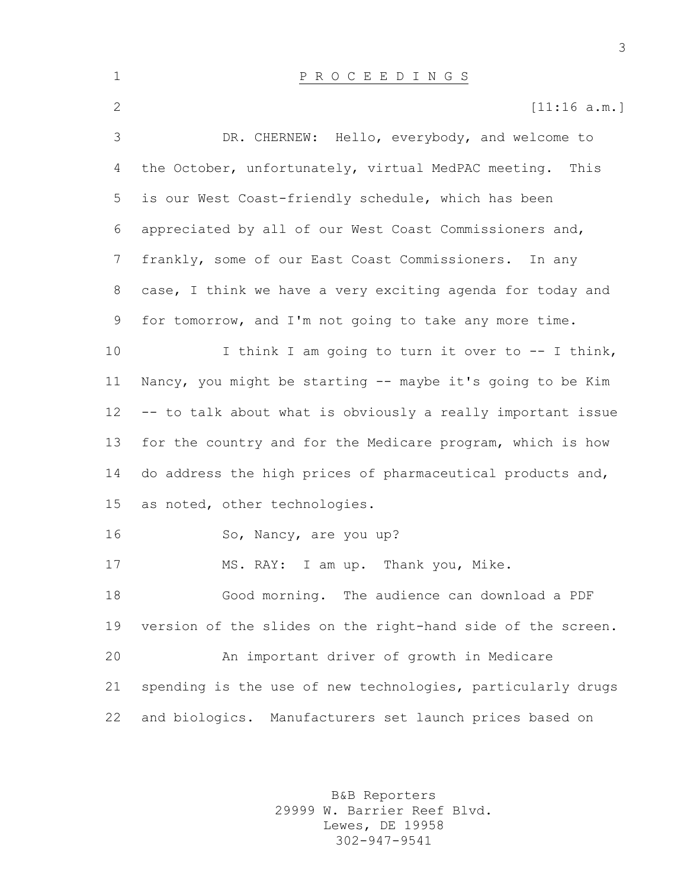| $\mathbf 1$    | P R O C E E D I N G S                                       |
|----------------|-------------------------------------------------------------|
| $\overline{2}$ | [11:16 a.m.]                                                |
| 3              | DR. CHERNEW: Hello, everybody, and welcome to               |
| 4              | the October, unfortunately, virtual MedPAC meeting. This    |
| 5              | is our West Coast-friendly schedule, which has been         |
| 6              | appreciated by all of our West Coast Commissioners and,     |
| 7              | frankly, some of our East Coast Commissioners. In any       |
| 8              | case, I think we have a very exciting agenda for today and  |
| 9              | for tomorrow, and I'm not going to take any more time.      |
| 10             | I think I am going to turn it over to -- I think,           |
| 11             | Nancy, you might be starting -- maybe it's going to be Kim  |
| 12             | -- to talk about what is obviously a really important issue |
| 13             | for the country and for the Medicare program, which is how  |
| 14             | do address the high prices of pharmaceutical products and,  |
| 15             | as noted, other technologies.                               |
| 16             | So, Nancy, are you up?                                      |
| 17             | I am up. Thank you, Mike.<br>MS. RAY:                       |
| 18             | Good morning. The audience can download a PDF               |
| 19             | version of the slides on the right-hand side of the screen. |
| 20             | An important driver of growth in Medicare                   |
| 21             | spending is the use of new technologies, particularly drugs |
| 22             | and biologics. Manufacturers set launch prices based on     |
|                |                                                             |

B&B Reporters 29999 W. Barrier Reef Blvd. Lewes, DE 19958 302-947-9541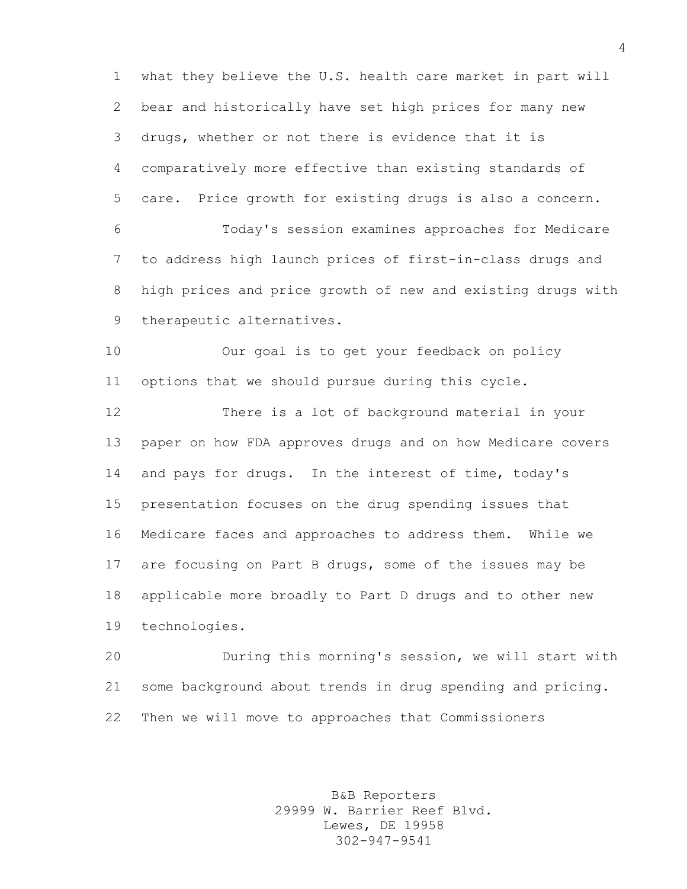what they believe the U.S. health care market in part will bear and historically have set high prices for many new drugs, whether or not there is evidence that it is comparatively more effective than existing standards of care. Price growth for existing drugs is also a concern. Today's session examines approaches for Medicare to address high launch prices of first-in-class drugs and high prices and price growth of new and existing drugs with therapeutic alternatives.

 Our goal is to get your feedback on policy options that we should pursue during this cycle.

 There is a lot of background material in your paper on how FDA approves drugs and on how Medicare covers and pays for drugs. In the interest of time, today's presentation focuses on the drug spending issues that Medicare faces and approaches to address them. While we are focusing on Part B drugs, some of the issues may be applicable more broadly to Part D drugs and to other new technologies.

 During this morning's session, we will start with some background about trends in drug spending and pricing. Then we will move to approaches that Commissioners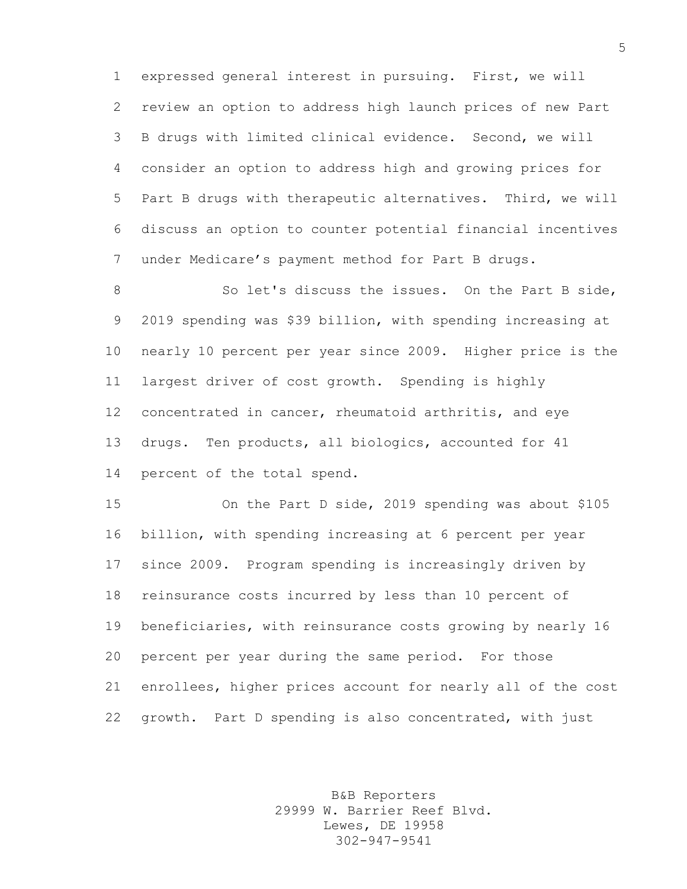expressed general interest in pursuing. First, we will review an option to address high launch prices of new Part B drugs with limited clinical evidence. Second, we will consider an option to address high and growing prices for Part B drugs with therapeutic alternatives. Third, we will discuss an option to counter potential financial incentives under Medicare's payment method for Part B drugs.

8 So let's discuss the issues. On the Part B side, 2019 spending was \$39 billion, with spending increasing at nearly 10 percent per year since 2009. Higher price is the largest driver of cost growth. Spending is highly concentrated in cancer, rheumatoid arthritis, and eye drugs. Ten products, all biologics, accounted for 41 percent of the total spend.

 On the Part D side, 2019 spending was about \$105 billion, with spending increasing at 6 percent per year since 2009. Program spending is increasingly driven by reinsurance costs incurred by less than 10 percent of beneficiaries, with reinsurance costs growing by nearly 16 percent per year during the same period. For those enrollees, higher prices account for nearly all of the cost growth. Part D spending is also concentrated, with just

> B&B Reporters 29999 W. Barrier Reef Blvd. Lewes, DE 19958 302-947-9541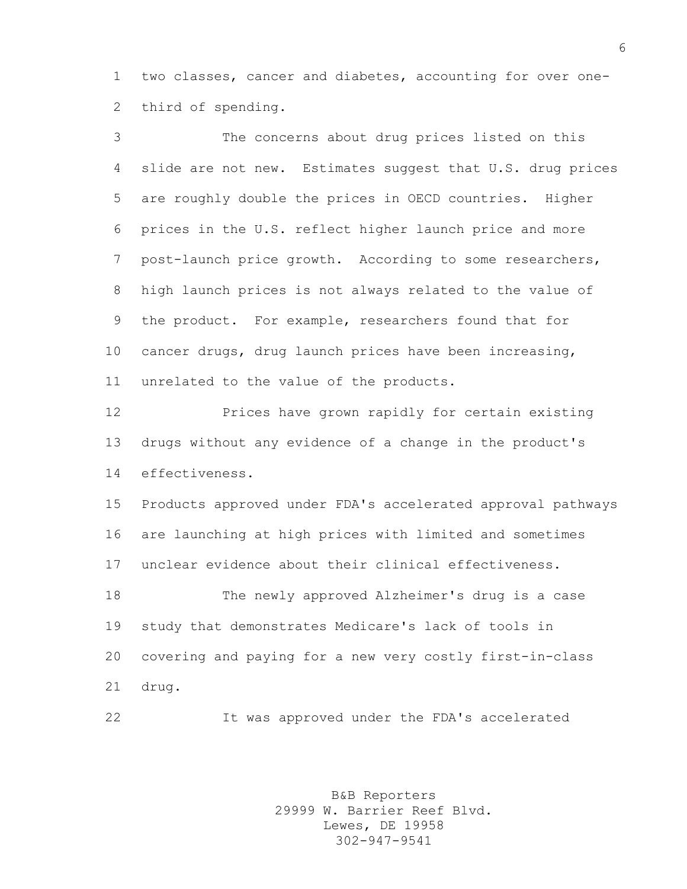two classes, cancer and diabetes, accounting for over one-third of spending.

 The concerns about drug prices listed on this slide are not new. Estimates suggest that U.S. drug prices are roughly double the prices in OECD countries. Higher prices in the U.S. reflect higher launch price and more post-launch price growth. According to some researchers, high launch prices is not always related to the value of the product. For example, researchers found that for cancer drugs, drug launch prices have been increasing, unrelated to the value of the products.

 Prices have grown rapidly for certain existing drugs without any evidence of a change in the product's effectiveness.

 Products approved under FDA's accelerated approval pathways are launching at high prices with limited and sometimes unclear evidence about their clinical effectiveness.

 The newly approved Alzheimer's drug is a case study that demonstrates Medicare's lack of tools in covering and paying for a new very costly first-in-class drug.

It was approved under the FDA's accelerated

B&B Reporters 29999 W. Barrier Reef Blvd. Lewes, DE 19958 302-947-9541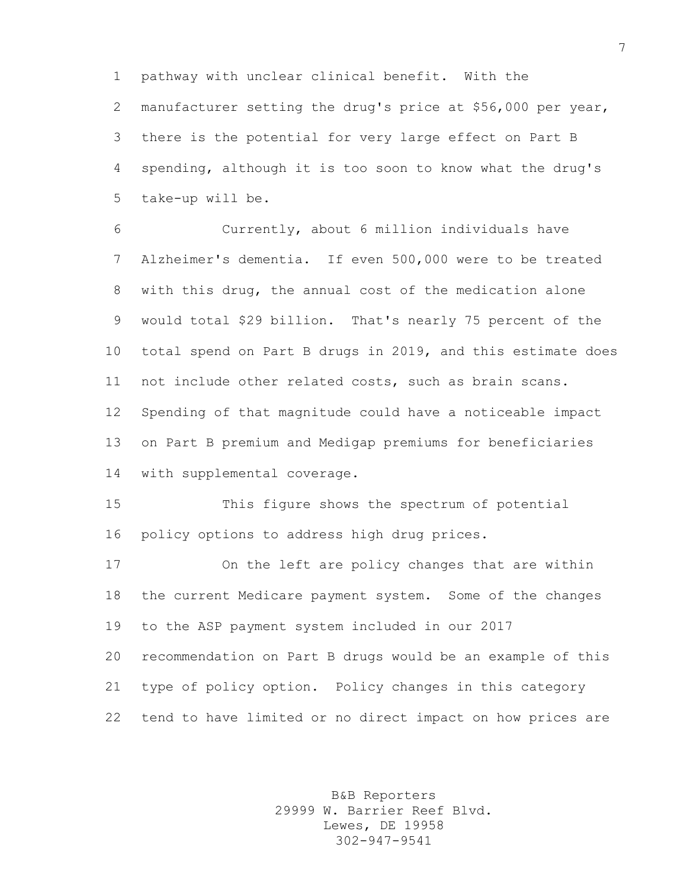pathway with unclear clinical benefit. With the manufacturer setting the drug's price at \$56,000 per year, there is the potential for very large effect on Part B spending, although it is too soon to know what the drug's take-up will be.

 Currently, about 6 million individuals have Alzheimer's dementia. If even 500,000 were to be treated with this drug, the annual cost of the medication alone would total \$29 billion. That's nearly 75 percent of the total spend on Part B drugs in 2019, and this estimate does not include other related costs, such as brain scans. Spending of that magnitude could have a noticeable impact on Part B premium and Medigap premiums for beneficiaries with supplemental coverage.

 This figure shows the spectrum of potential policy options to address high drug prices.

 On the left are policy changes that are within the current Medicare payment system. Some of the changes to the ASP payment system included in our 2017 recommendation on Part B drugs would be an example of this type of policy option. Policy changes in this category tend to have limited or no direct impact on how prices are

> B&B Reporters 29999 W. Barrier Reef Blvd. Lewes, DE 19958 302-947-9541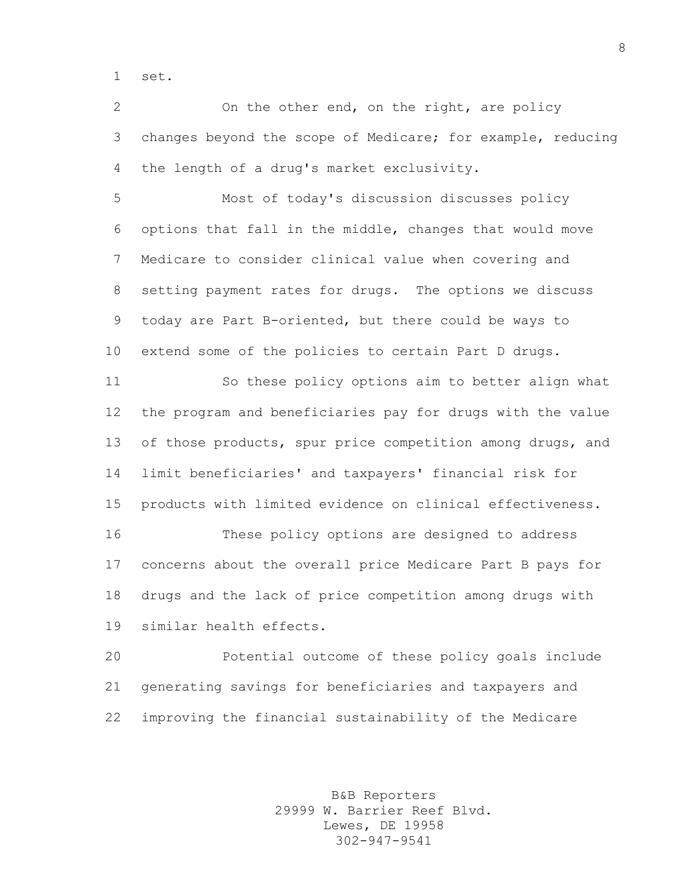set.

2 On the other end, on the right, are policy changes beyond the scope of Medicare; for example, reducing the length of a drug's market exclusivity.

 Most of today's discussion discusses policy options that fall in the middle, changes that would move Medicare to consider clinical value when covering and setting payment rates for drugs. The options we discuss today are Part B-oriented, but there could be ways to extend some of the policies to certain Part D drugs.

 So these policy options aim to better align what the program and beneficiaries pay for drugs with the value 13 of those products, spur price competition among drugs, and limit beneficiaries' and taxpayers' financial risk for products with limited evidence on clinical effectiveness.

 These policy options are designed to address concerns about the overall price Medicare Part B pays for drugs and the lack of price competition among drugs with similar health effects.

 Potential outcome of these policy goals include generating savings for beneficiaries and taxpayers and improving the financial sustainability of the Medicare

> B&B Reporters 29999 W. Barrier Reef Blvd. Lewes, DE 19958 302-947-9541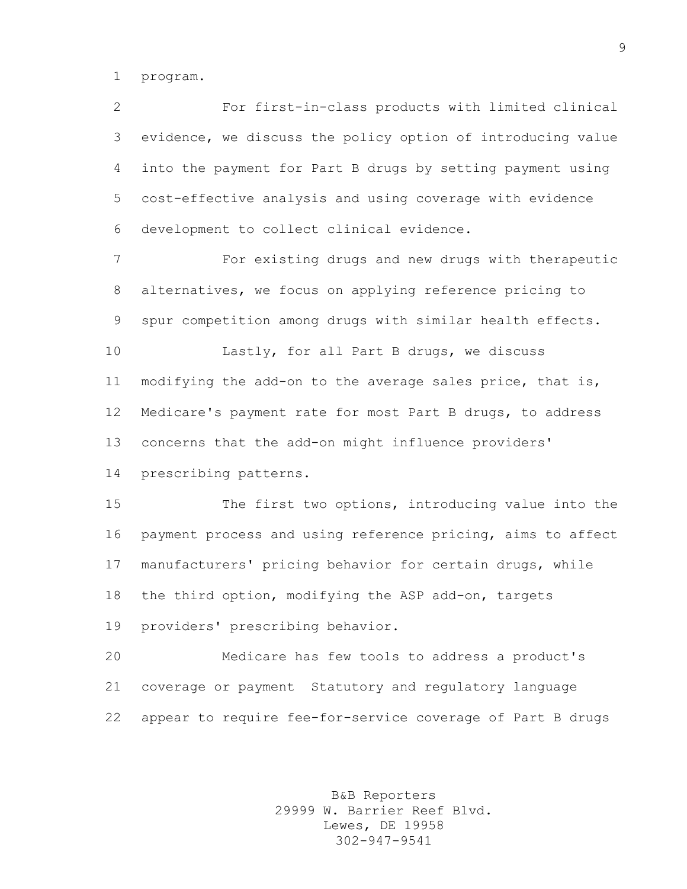program.

 For first-in-class products with limited clinical evidence, we discuss the policy option of introducing value into the payment for Part B drugs by setting payment using cost-effective analysis and using coverage with evidence development to collect clinical evidence.

 For existing drugs and new drugs with therapeutic alternatives, we focus on applying reference pricing to spur competition among drugs with similar health effects.

10 Lastly, for all Part B drugs, we discuss modifying the add-on to the average sales price, that is, Medicare's payment rate for most Part B drugs, to address concerns that the add-on might influence providers' prescribing patterns.

 The first two options, introducing value into the payment process and using reference pricing, aims to affect manufacturers' pricing behavior for certain drugs, while the third option, modifying the ASP add-on, targets providers' prescribing behavior.

 Medicare has few tools to address a product's coverage or payment Statutory and regulatory language appear to require fee-for-service coverage of Part B drugs

> B&B Reporters 29999 W. Barrier Reef Blvd. Lewes, DE 19958 302-947-9541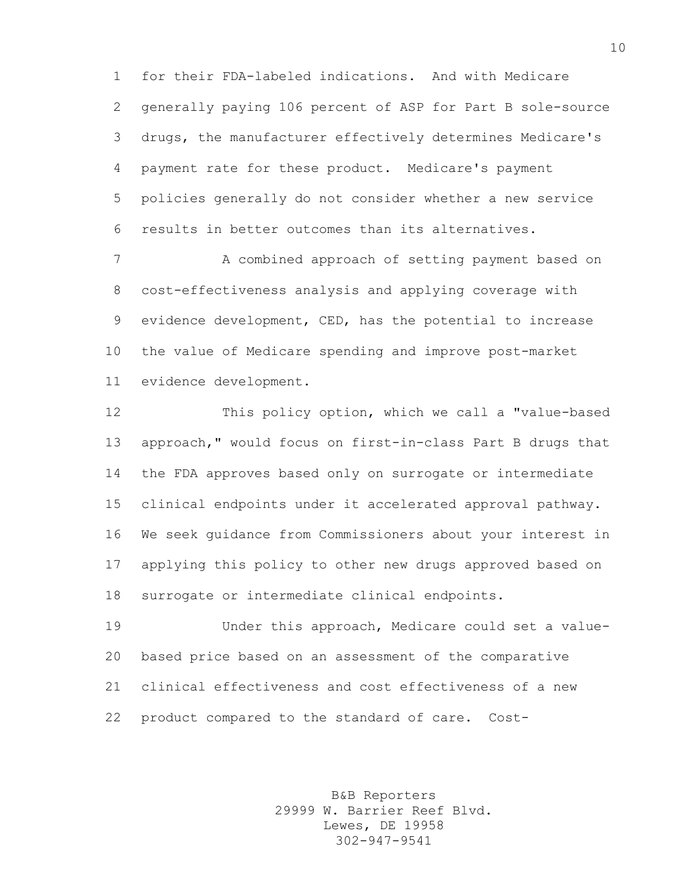for their FDA-labeled indications. And with Medicare generally paying 106 percent of ASP for Part B sole-source drugs, the manufacturer effectively determines Medicare's payment rate for these product. Medicare's payment policies generally do not consider whether a new service results in better outcomes than its alternatives.

7 A combined approach of setting payment based on cost-effectiveness analysis and applying coverage with evidence development, CED, has the potential to increase the value of Medicare spending and improve post-market evidence development.

 This policy option, which we call a "value-based approach," would focus on first-in-class Part B drugs that the FDA approves based only on surrogate or intermediate clinical endpoints under it accelerated approval pathway. We seek guidance from Commissioners about your interest in applying this policy to other new drugs approved based on surrogate or intermediate clinical endpoints.

 Under this approach, Medicare could set a value- based price based on an assessment of the comparative clinical effectiveness and cost effectiveness of a new product compared to the standard of care. Cost-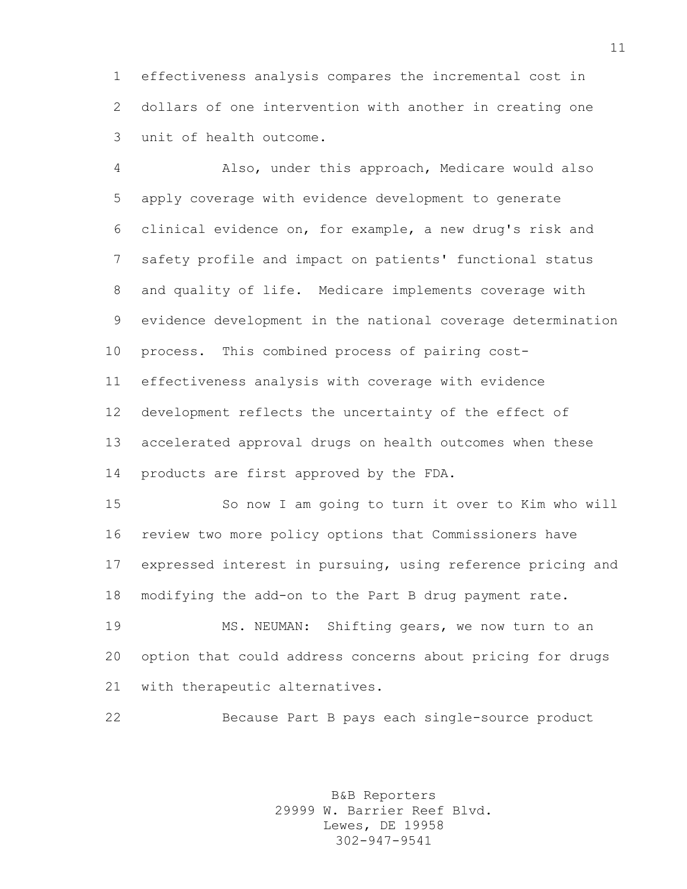effectiveness analysis compares the incremental cost in dollars of one intervention with another in creating one unit of health outcome.

 Also, under this approach, Medicare would also apply coverage with evidence development to generate clinical evidence on, for example, a new drug's risk and safety profile and impact on patients' functional status and quality of life. Medicare implements coverage with evidence development in the national coverage determination process. This combined process of pairing cost- effectiveness analysis with coverage with evidence development reflects the uncertainty of the effect of accelerated approval drugs on health outcomes when these products are first approved by the FDA.

 So now I am going to turn it over to Kim who will review two more policy options that Commissioners have expressed interest in pursuing, using reference pricing and modifying the add-on to the Part B drug payment rate.

 MS. NEUMAN: Shifting gears, we now turn to an option that could address concerns about pricing for drugs with therapeutic alternatives.

Because Part B pays each single-source product

B&B Reporters 29999 W. Barrier Reef Blvd. Lewes, DE 19958 302-947-9541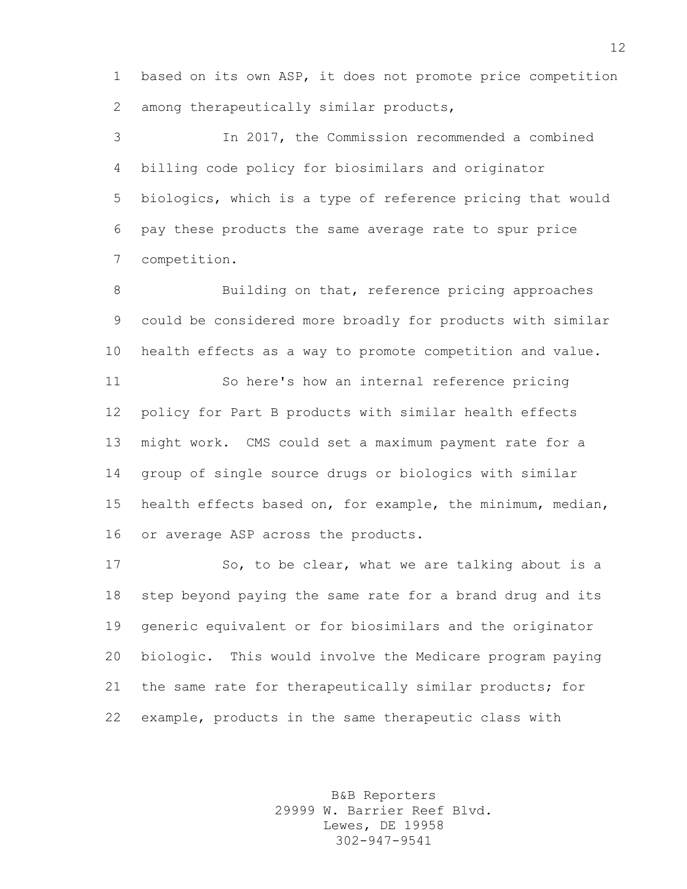based on its own ASP, it does not promote price competition among therapeutically similar products,

 In 2017, the Commission recommended a combined billing code policy for biosimilars and originator biologics, which is a type of reference pricing that would pay these products the same average rate to spur price competition.

8 Building on that, reference pricing approaches could be considered more broadly for products with similar health effects as a way to promote competition and value. So here's how an internal reference pricing policy for Part B products with similar health effects might work. CMS could set a maximum payment rate for a group of single source drugs or biologics with similar health effects based on, for example, the minimum, median, or average ASP across the products.

17 So, to be clear, what we are talking about is a step beyond paying the same rate for a brand drug and its generic equivalent or for biosimilars and the originator biologic. This would involve the Medicare program paying the same rate for therapeutically similar products; for example, products in the same therapeutic class with

> B&B Reporters 29999 W. Barrier Reef Blvd. Lewes, DE 19958 302-947-9541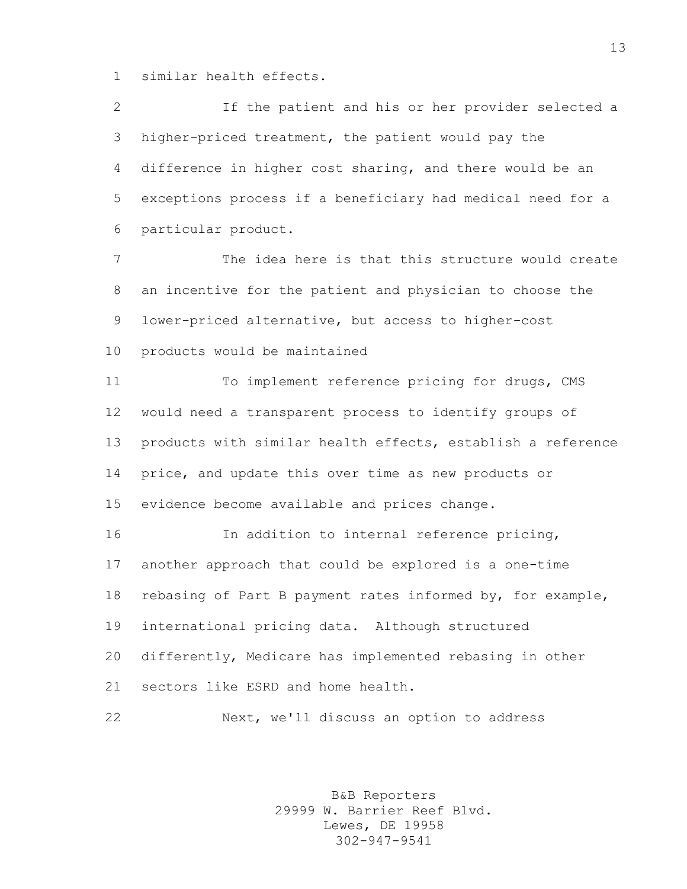similar health effects.

 If the patient and his or her provider selected a higher-priced treatment, the patient would pay the difference in higher cost sharing, and there would be an exceptions process if a beneficiary had medical need for a particular product.

 The idea here is that this structure would create an incentive for the patient and physician to choose the lower-priced alternative, but access to higher-cost

products would be maintained

 To implement reference pricing for drugs, CMS would need a transparent process to identify groups of products with similar health effects, establish a reference price, and update this over time as new products or evidence become available and prices change.

 In addition to internal reference pricing, another approach that could be explored is a one-time rebasing of Part B payment rates informed by, for example, international pricing data. Although structured differently, Medicare has implemented rebasing in other sectors like ESRD and home health.

Next, we'll discuss an option to address

B&B Reporters 29999 W. Barrier Reef Blvd. Lewes, DE 19958 302-947-9541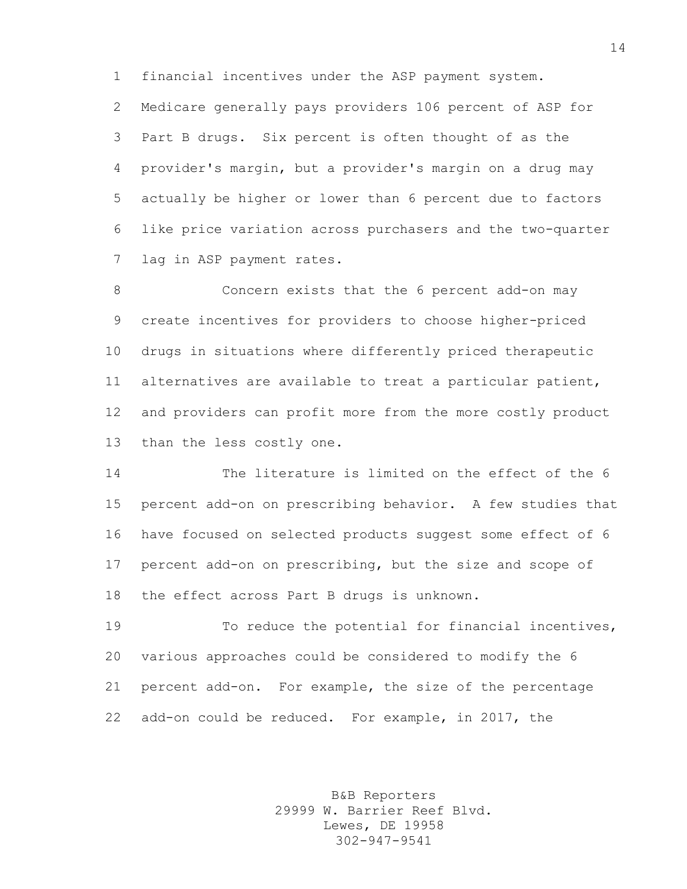financial incentives under the ASP payment system.

 Medicare generally pays providers 106 percent of ASP for Part B drugs. Six percent is often thought of as the provider's margin, but a provider's margin on a drug may actually be higher or lower than 6 percent due to factors like price variation across purchasers and the two-quarter lag in ASP payment rates.

 Concern exists that the 6 percent add-on may create incentives for providers to choose higher-priced drugs in situations where differently priced therapeutic alternatives are available to treat a particular patient, and providers can profit more from the more costly product than the less costly one.

 The literature is limited on the effect of the 6 percent add-on on prescribing behavior. A few studies that have focused on selected products suggest some effect of 6 percent add-on on prescribing, but the size and scope of the effect across Part B drugs is unknown.

 To reduce the potential for financial incentives, various approaches could be considered to modify the 6 percent add-on. For example, the size of the percentage add-on could be reduced. For example, in 2017, the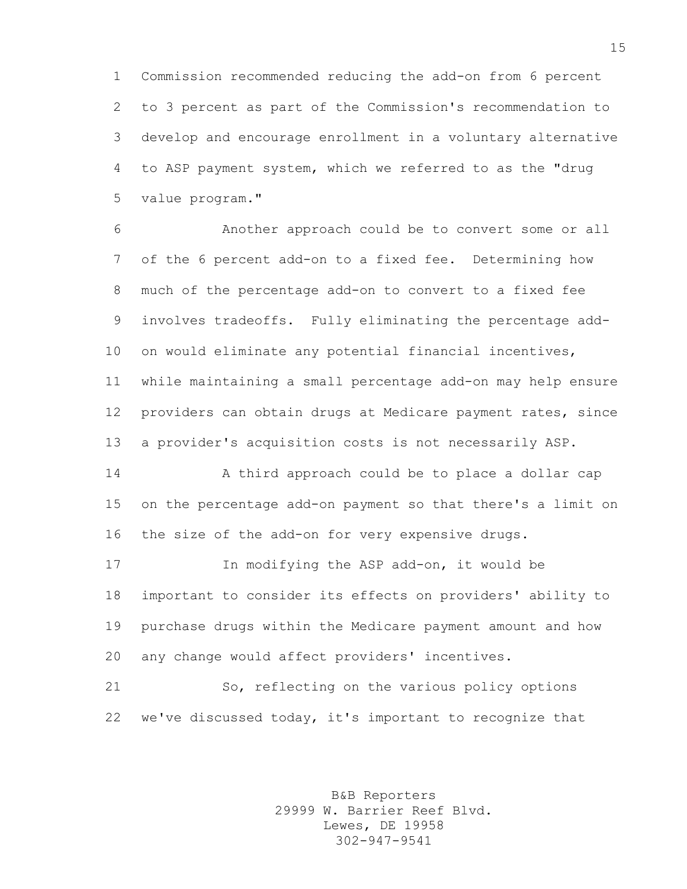Commission recommended reducing the add-on from 6 percent to 3 percent as part of the Commission's recommendation to develop and encourage enrollment in a voluntary alternative to ASP payment system, which we referred to as the "drug value program."

 Another approach could be to convert some or all of the 6 percent add-on to a fixed fee. Determining how much of the percentage add-on to convert to a fixed fee involves tradeoffs. Fully eliminating the percentage add- on would eliminate any potential financial incentives, while maintaining a small percentage add-on may help ensure providers can obtain drugs at Medicare payment rates, since a provider's acquisition costs is not necessarily ASP.

 A third approach could be to place a dollar cap on the percentage add-on payment so that there's a limit on the size of the add-on for very expensive drugs.

 In modifying the ASP add-on, it would be important to consider its effects on providers' ability to purchase drugs within the Medicare payment amount and how any change would affect providers' incentives.

 So, reflecting on the various policy options we've discussed today, it's important to recognize that

> B&B Reporters 29999 W. Barrier Reef Blvd. Lewes, DE 19958 302-947-9541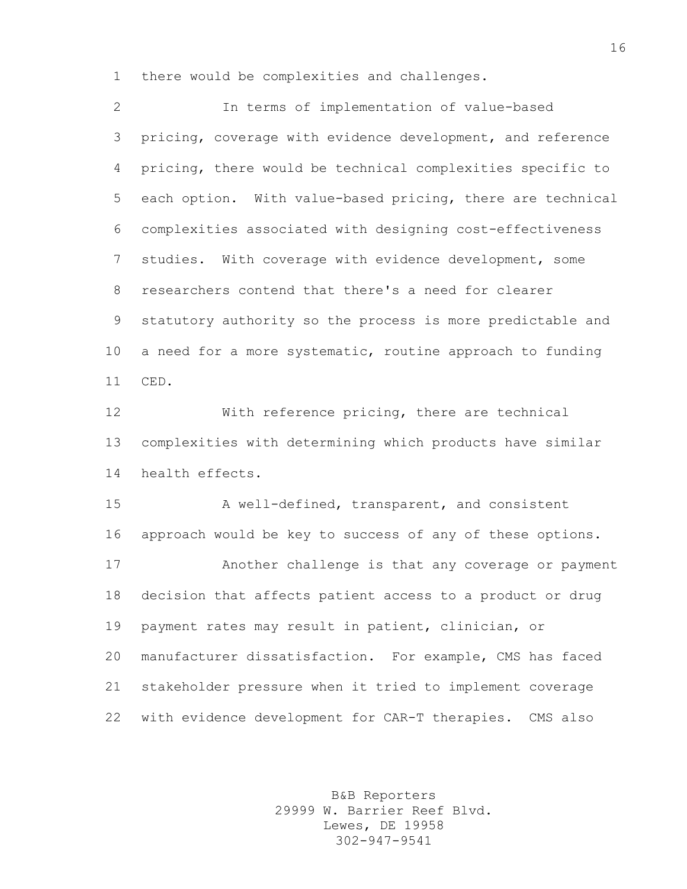there would be complexities and challenges.

 In terms of implementation of value-based pricing, coverage with evidence development, and reference pricing, there would be technical complexities specific to each option. With value-based pricing, there are technical complexities associated with designing cost-effectiveness studies. With coverage with evidence development, some researchers contend that there's a need for clearer statutory authority so the process is more predictable and a need for a more systematic, routine approach to funding CED.

 With reference pricing, there are technical complexities with determining which products have similar health effects.

 A well-defined, transparent, and consistent approach would be key to success of any of these options. Another challenge is that any coverage or payment decision that affects patient access to a product or drug payment rates may result in patient, clinician, or manufacturer dissatisfaction. For example, CMS has faced stakeholder pressure when it tried to implement coverage with evidence development for CAR-T therapies. CMS also

> B&B Reporters 29999 W. Barrier Reef Blvd. Lewes, DE 19958 302-947-9541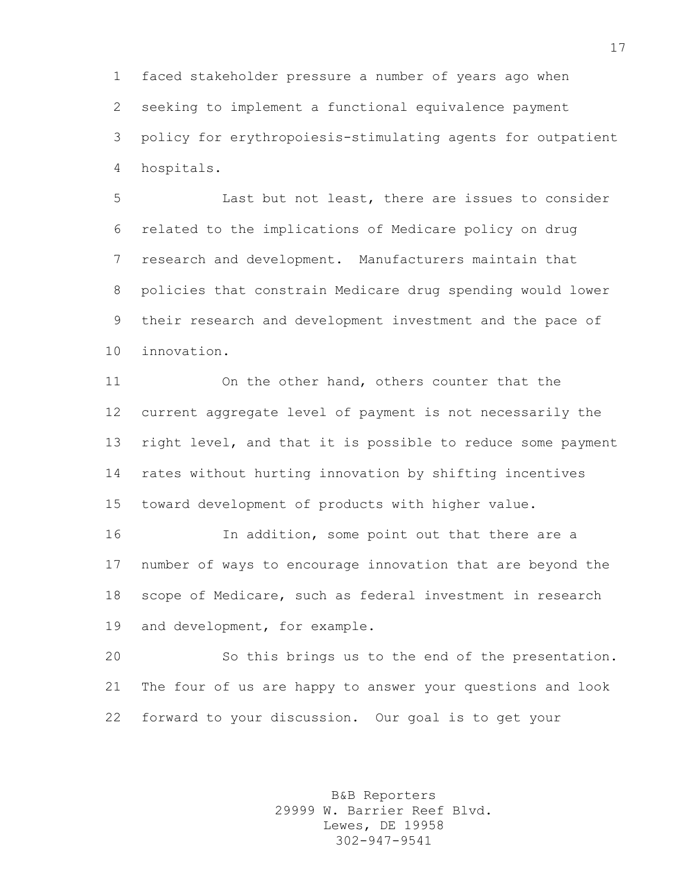faced stakeholder pressure a number of years ago when seeking to implement a functional equivalence payment policy for erythropoiesis-stimulating agents for outpatient hospitals.

 Last but not least, there are issues to consider related to the implications of Medicare policy on drug research and development. Manufacturers maintain that policies that constrain Medicare drug spending would lower their research and development investment and the pace of innovation.

 On the other hand, others counter that the current aggregate level of payment is not necessarily the 13 right level, and that it is possible to reduce some payment rates without hurting innovation by shifting incentives toward development of products with higher value.

 In addition, some point out that there are a number of ways to encourage innovation that are beyond the scope of Medicare, such as federal investment in research and development, for example.

 So this brings us to the end of the presentation. The four of us are happy to answer your questions and look forward to your discussion. Our goal is to get your

> B&B Reporters 29999 W. Barrier Reef Blvd. Lewes, DE 19958 302-947-9541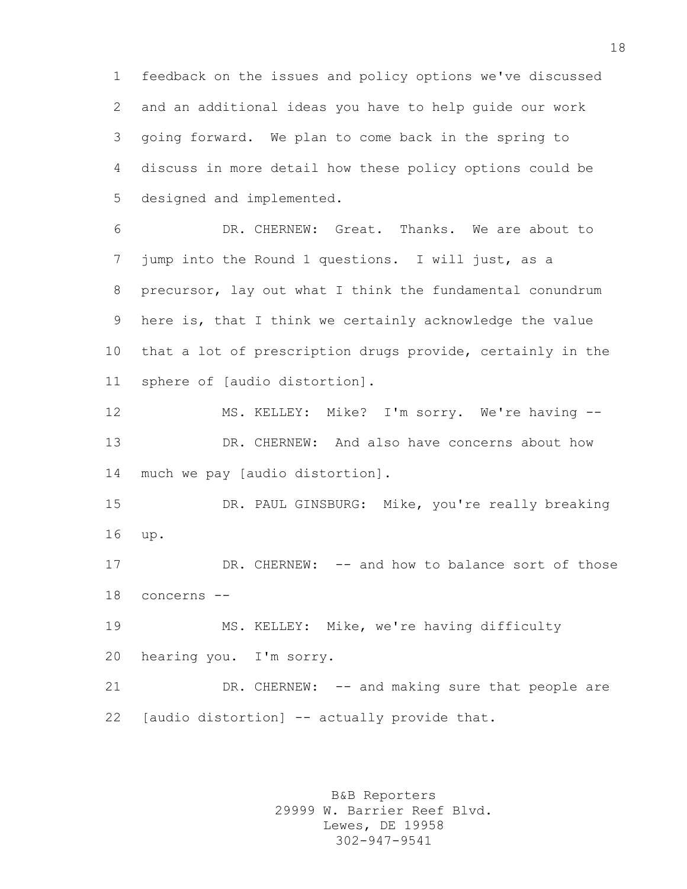feedback on the issues and policy options we've discussed and an additional ideas you have to help guide our work going forward. We plan to come back in the spring to discuss in more detail how these policy options could be designed and implemented.

 DR. CHERNEW: Great. Thanks. We are about to jump into the Round 1 questions. I will just, as a precursor, lay out what I think the fundamental conundrum here is, that I think we certainly acknowledge the value that a lot of prescription drugs provide, certainly in the sphere of [audio distortion].

 MS. KELLEY: Mike? I'm sorry. We're having -- DR. CHERNEW: And also have concerns about how much we pay [audio distortion].

 DR. PAUL GINSBURG: Mike, you're really breaking up.

17 DR. CHERNEW: -- and how to balance sort of those concerns --

 MS. KELLEY: Mike, we're having difficulty hearing you. I'm sorry.

21 DR. CHERNEW: -- and making sure that people are [audio distortion] -- actually provide that.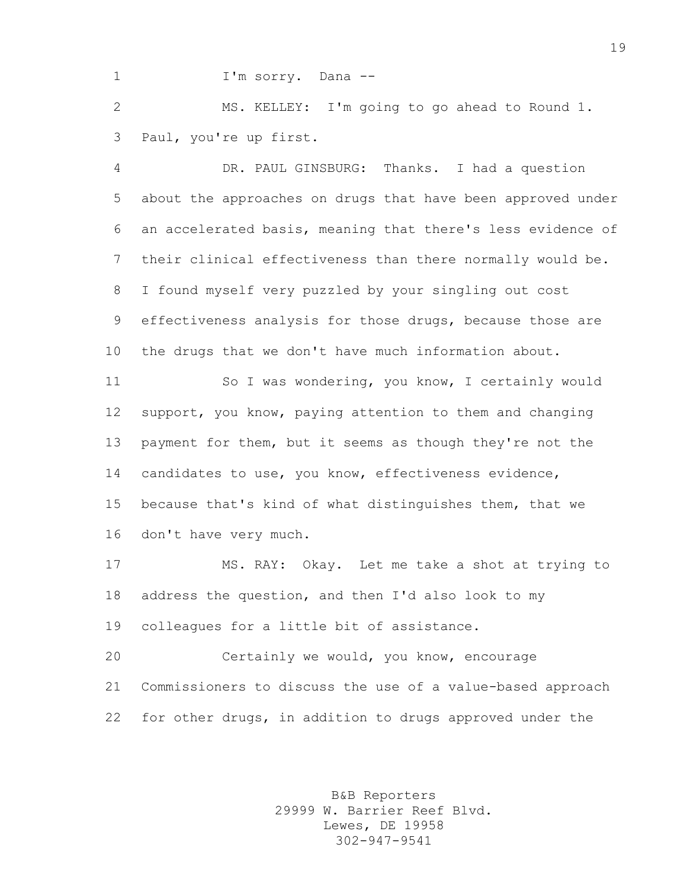1 I'm sorry. Dana --

 MS. KELLEY: I'm going to go ahead to Round 1. Paul, you're up first.

 DR. PAUL GINSBURG: Thanks. I had a question about the approaches on drugs that have been approved under an accelerated basis, meaning that there's less evidence of their clinical effectiveness than there normally would be. I found myself very puzzled by your singling out cost effectiveness analysis for those drugs, because those are the drugs that we don't have much information about.

 So I was wondering, you know, I certainly would support, you know, paying attention to them and changing payment for them, but it seems as though they're not the candidates to use, you know, effectiveness evidence, because that's kind of what distinguishes them, that we don't have very much.

 MS. RAY: Okay. Let me take a shot at trying to address the question, and then I'd also look to my colleagues for a little bit of assistance.

 Certainly we would, you know, encourage Commissioners to discuss the use of a value-based approach for other drugs, in addition to drugs approved under the

> B&B Reporters 29999 W. Barrier Reef Blvd. Lewes, DE 19958 302-947-9541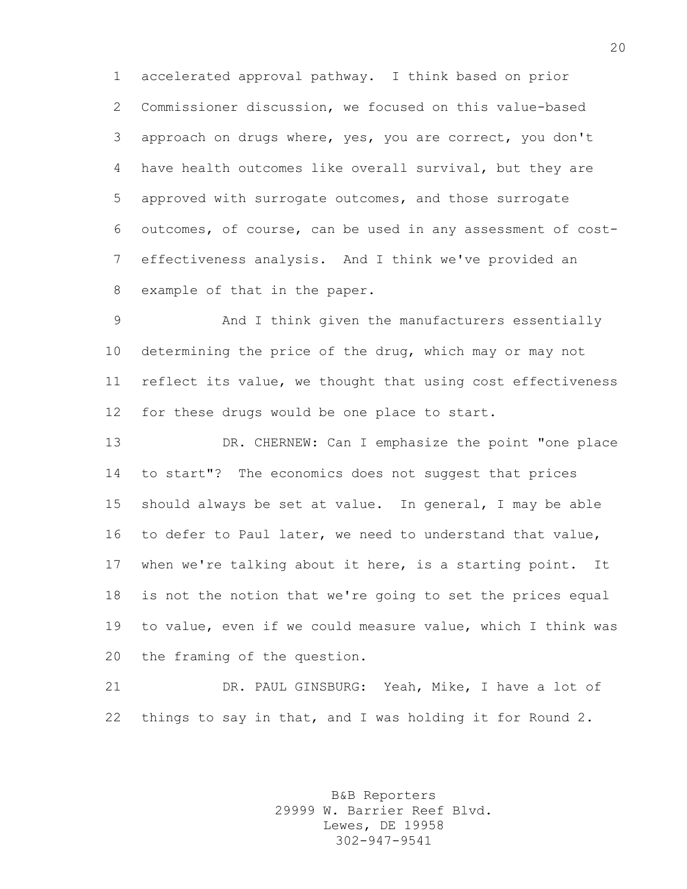accelerated approval pathway. I think based on prior Commissioner discussion, we focused on this value-based approach on drugs where, yes, you are correct, you don't have health outcomes like overall survival, but they are approved with surrogate outcomes, and those surrogate outcomes, of course, can be used in any assessment of cost- effectiveness analysis. And I think we've provided an example of that in the paper.

 And I think given the manufacturers essentially determining the price of the drug, which may or may not reflect its value, we thought that using cost effectiveness for these drugs would be one place to start.

 DR. CHERNEW: Can I emphasize the point "one place to start"? The economics does not suggest that prices should always be set at value. In general, I may be able to defer to Paul later, we need to understand that value, when we're talking about it here, is a starting point. It is not the notion that we're going to set the prices equal to value, even if we could measure value, which I think was the framing of the question.

 DR. PAUL GINSBURG: Yeah, Mike, I have a lot of things to say in that, and I was holding it for Round 2.

> B&B Reporters 29999 W. Barrier Reef Blvd. Lewes, DE 19958 302-947-9541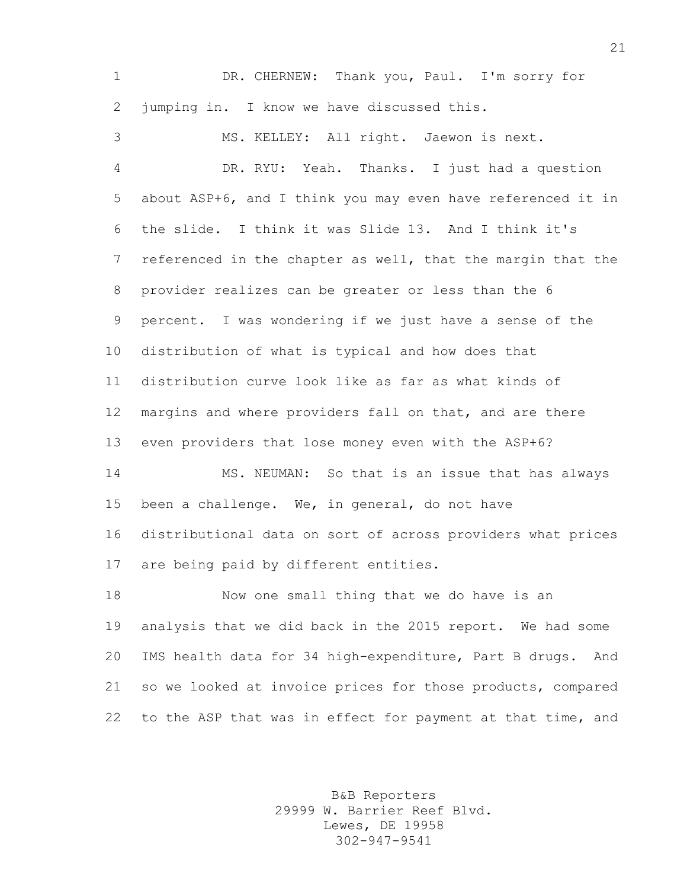DR. CHERNEW: Thank you, Paul. I'm sorry for jumping in. I know we have discussed this.

 MS. KELLEY: All right. Jaewon is next. DR. RYU: Yeah. Thanks. I just had a question about ASP+6, and I think you may even have referenced it in the slide. I think it was Slide 13. And I think it's referenced in the chapter as well, that the margin that the provider realizes can be greater or less than the 6 percent. I was wondering if we just have a sense of the distribution of what is typical and how does that distribution curve look like as far as what kinds of margins and where providers fall on that, and are there even providers that lose money even with the ASP+6? MS. NEUMAN: So that is an issue that has always been a challenge. We, in general, do not have distributional data on sort of across providers what prices are being paid by different entities. Now one small thing that we do have is an analysis that we did back in the 2015 report. We had some

 IMS health data for 34 high-expenditure, Part B drugs. And so we looked at invoice prices for those products, compared 22 to the ASP that was in effect for payment at that time, and

> B&B Reporters 29999 W. Barrier Reef Blvd. Lewes, DE 19958 302-947-9541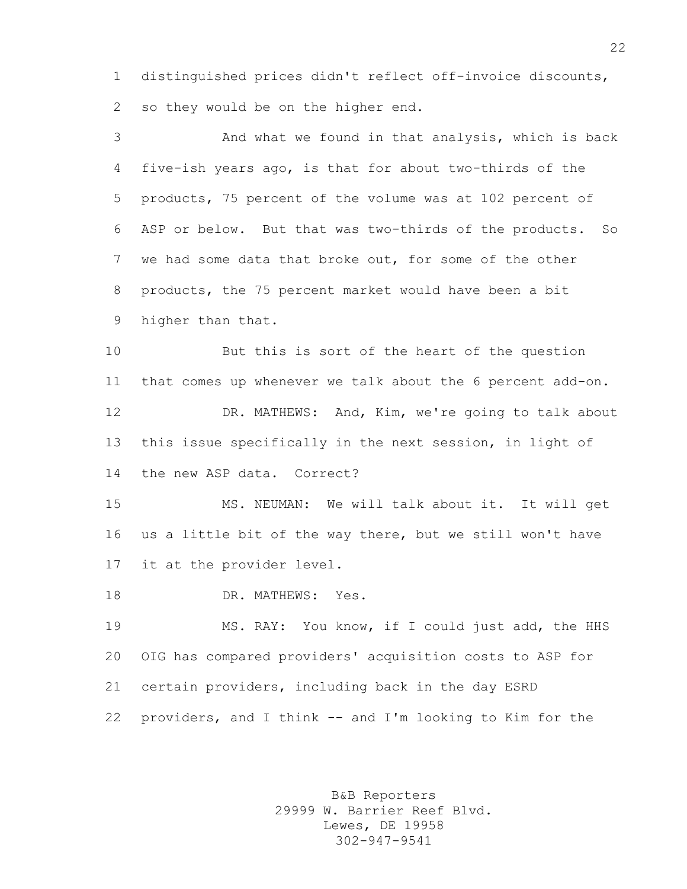distinguished prices didn't reflect off-invoice discounts, so they would be on the higher end.

 And what we found in that analysis, which is back five-ish years ago, is that for about two-thirds of the products, 75 percent of the volume was at 102 percent of ASP or below. But that was two-thirds of the products. So we had some data that broke out, for some of the other products, the 75 percent market would have been a bit higher than that. But this is sort of the heart of the question that comes up whenever we talk about the 6 percent add-on. 12 DR. MATHEWS: And, Kim, we're going to talk about this issue specifically in the next session, in light of the new ASP data. Correct? MS. NEUMAN: We will talk about it. It will get us a little bit of the way there, but we still won't have it at the provider level. 18 DR. MATHEWS: Yes. MS. RAY: You know, if I could just add, the HHS

 OIG has compared providers' acquisition costs to ASP for certain providers, including back in the day ESRD providers, and I think -- and I'm looking to Kim for the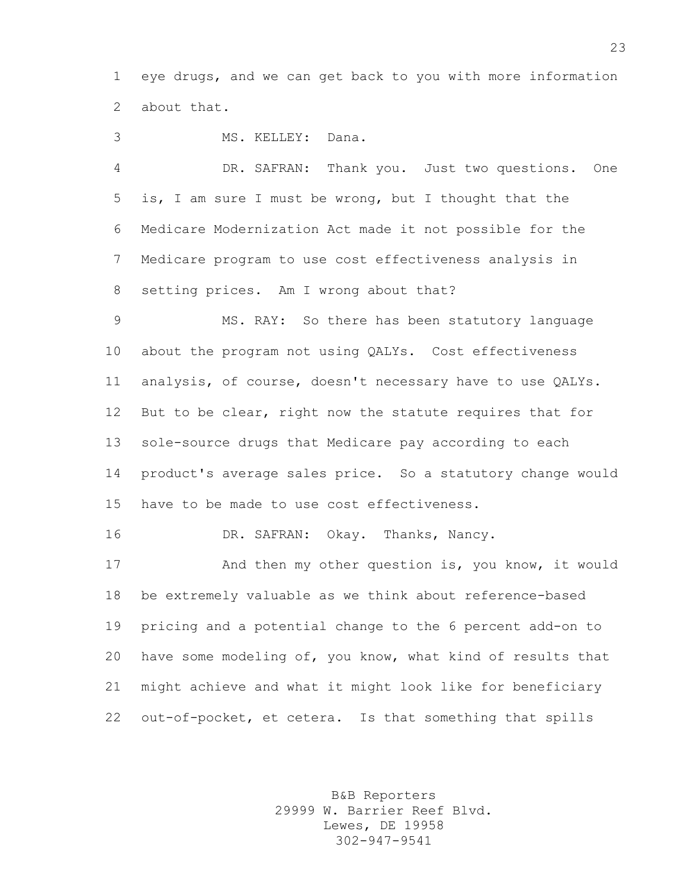eye drugs, and we can get back to you with more information about that.

MS. KELLEY: Dana.

 DR. SAFRAN: Thank you. Just two questions. One is, I am sure I must be wrong, but I thought that the Medicare Modernization Act made it not possible for the Medicare program to use cost effectiveness analysis in setting prices. Am I wrong about that?

 MS. RAY: So there has been statutory language about the program not using QALYs. Cost effectiveness analysis, of course, doesn't necessary have to use QALYs. But to be clear, right now the statute requires that for sole-source drugs that Medicare pay according to each product's average sales price. So a statutory change would have to be made to use cost effectiveness.

DR. SAFRAN: Okay. Thanks, Nancy.

 And then my other question is, you know, it would be extremely valuable as we think about reference-based pricing and a potential change to the 6 percent add-on to have some modeling of, you know, what kind of results that might achieve and what it might look like for beneficiary out-of-pocket, et cetera. Is that something that spills

> B&B Reporters 29999 W. Barrier Reef Blvd. Lewes, DE 19958 302-947-9541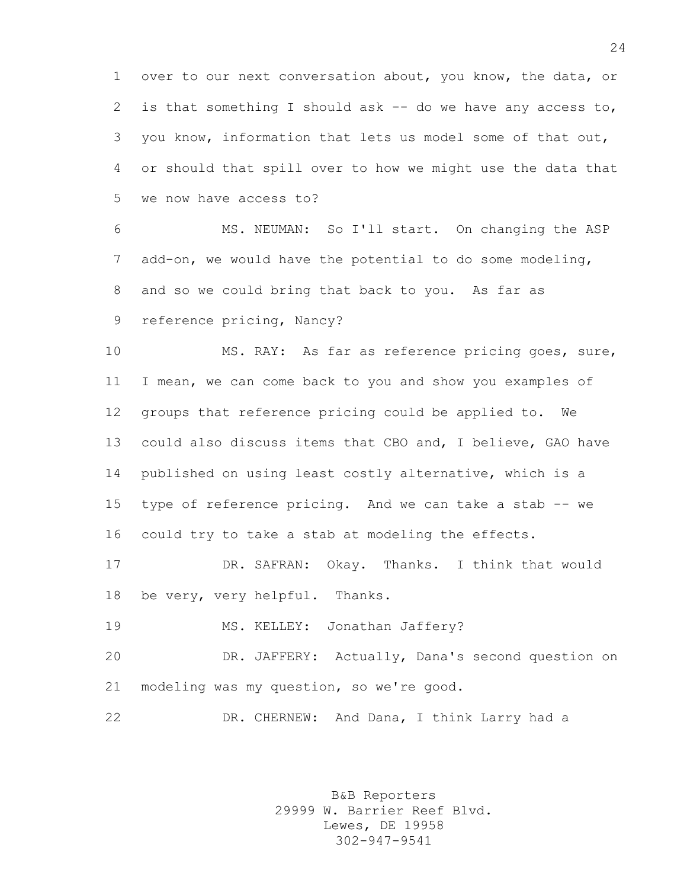over to our next conversation about, you know, the data, or 2 is that something I should ask -- do we have any access to, you know, information that lets us model some of that out, or should that spill over to how we might use the data that we now have access to?

 MS. NEUMAN: So I'll start. On changing the ASP add-on, we would have the potential to do some modeling, and so we could bring that back to you. As far as reference pricing, Nancy?

 MS. RAY: As far as reference pricing goes, sure, I mean, we can come back to you and show you examples of groups that reference pricing could be applied to. We could also discuss items that CBO and, I believe, GAO have published on using least costly alternative, which is a type of reference pricing. And we can take a stab -- we could try to take a stab at modeling the effects.

 DR. SAFRAN: Okay. Thanks. I think that would be very, very helpful. Thanks.

MS. KELLEY: Jonathan Jaffery?

 DR. JAFFERY: Actually, Dana's second question on modeling was my question, so we're good.

DR. CHERNEW: And Dana, I think Larry had a

B&B Reporters 29999 W. Barrier Reef Blvd. Lewes, DE 19958 302-947-9541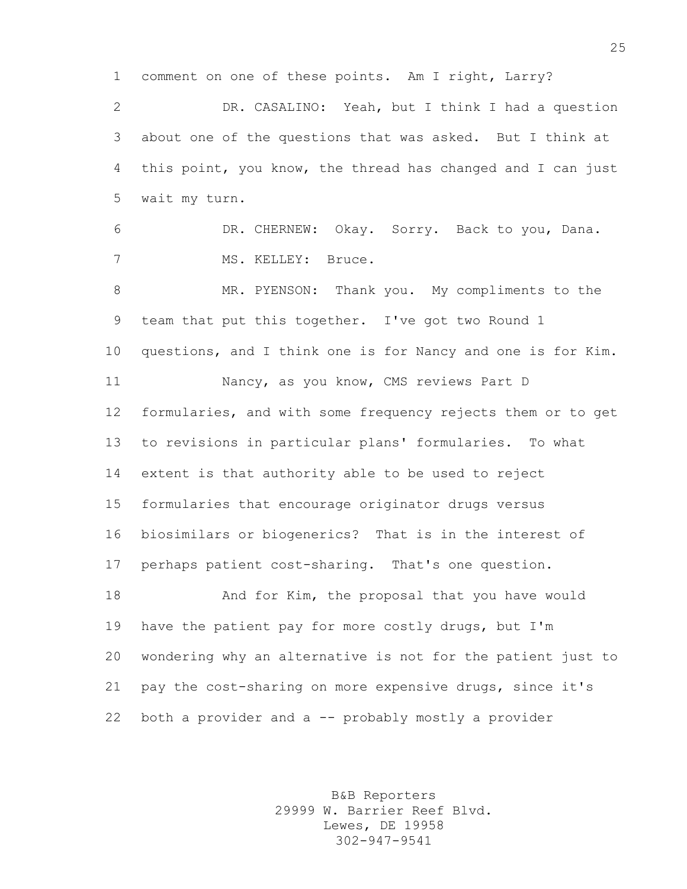comment on one of these points. Am I right, Larry?

 DR. CASALINO: Yeah, but I think I had a question about one of the questions that was asked. But I think at this point, you know, the thread has changed and I can just wait my turn.

 DR. CHERNEW: Okay. Sorry. Back to you, Dana. 7 MS. KELLEY: Bruce.

 MR. PYENSON: Thank you. My compliments to the team that put this together. I've got two Round 1 questions, and I think one is for Nancy and one is for Kim. Nancy, as you know, CMS reviews Part D formularies, and with some frequency rejects them or to get to revisions in particular plans' formularies. To what extent is that authority able to be used to reject formularies that encourage originator drugs versus biosimilars or biogenerics? That is in the interest of perhaps patient cost-sharing. That's one question. And for Kim, the proposal that you have would have the patient pay for more costly drugs, but I'm wondering why an alternative is not for the patient just to pay the cost-sharing on more expensive drugs, since it's both a provider and a -- probably mostly a provider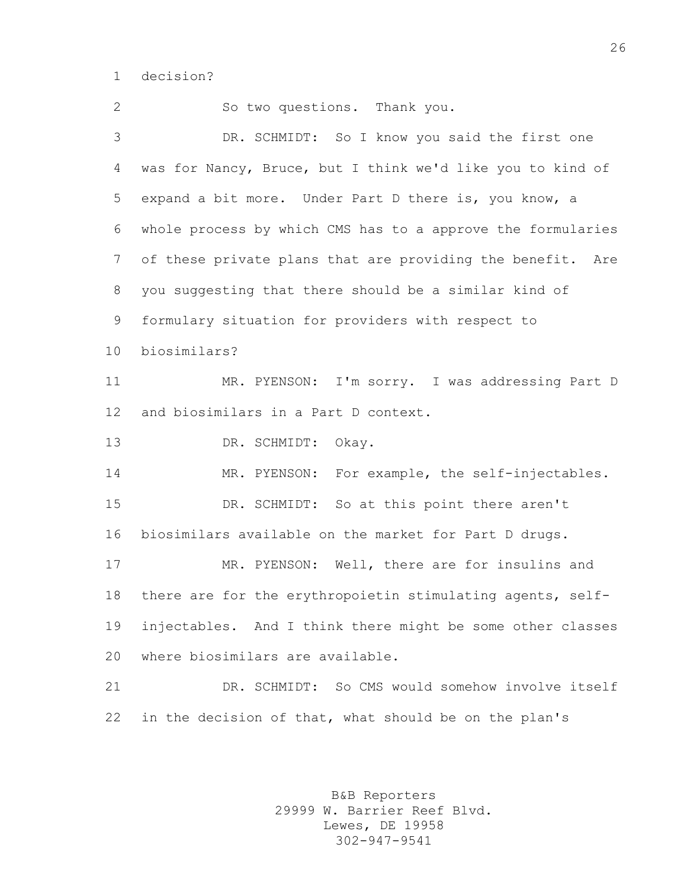decision?

 So two questions. Thank you. DR. SCHMIDT: So I know you said the first one was for Nancy, Bruce, but I think we'd like you to kind of expand a bit more. Under Part D there is, you know, a whole process by which CMS has to a approve the formularies of these private plans that are providing the benefit. Are you suggesting that there should be a similar kind of formulary situation for providers with respect to biosimilars? MR. PYENSON: I'm sorry. I was addressing Part D and biosimilars in a Part D context. DR. SCHMIDT: Okay. 14 MR. PYENSON: For example, the self-injectables. DR. SCHMIDT: So at this point there aren't biosimilars available on the market for Part D drugs. MR. PYENSON: Well, there are for insulins and there are for the erythropoietin stimulating agents, self- injectables. And I think there might be some other classes where biosimilars are available. DR. SCHMIDT: So CMS would somehow involve itself in the decision of that, what should be on the plan's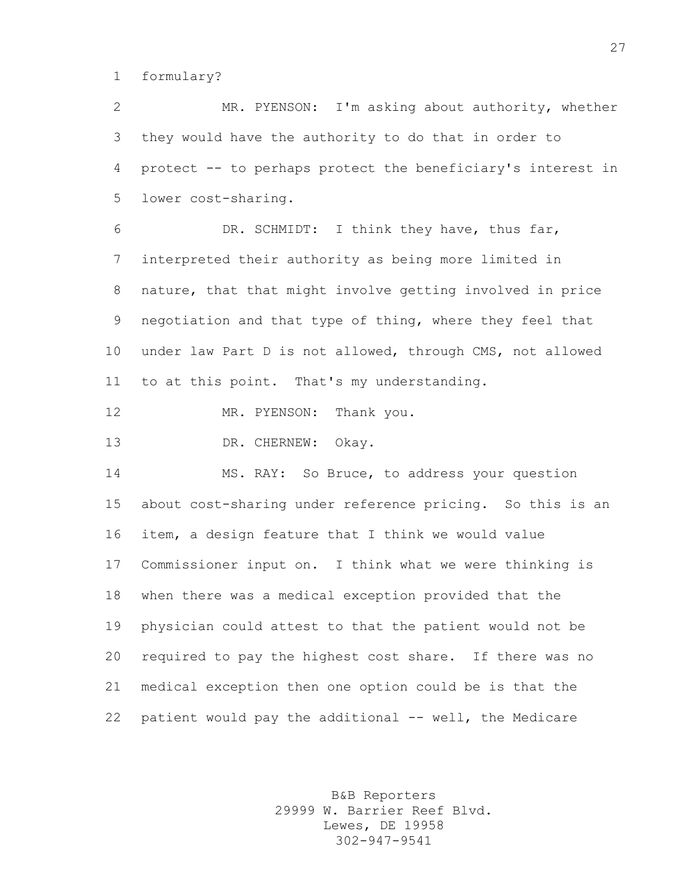formulary?

 MR. PYENSON: I'm asking about authority, whether they would have the authority to do that in order to protect -- to perhaps protect the beneficiary's interest in lower cost-sharing.

 DR. SCHMIDT: I think they have, thus far, interpreted their authority as being more limited in nature, that that might involve getting involved in price negotiation and that type of thing, where they feel that under law Part D is not allowed, through CMS, not allowed to at this point. That's my understanding.

12 MR. PYENSON: Thank you.

DR. CHERNEW: Okay.

 MS. RAY: So Bruce, to address your question about cost-sharing under reference pricing. So this is an item, a design feature that I think we would value Commissioner input on. I think what we were thinking is when there was a medical exception provided that the physician could attest to that the patient would not be required to pay the highest cost share. If there was no medical exception then one option could be is that the patient would pay the additional -- well, the Medicare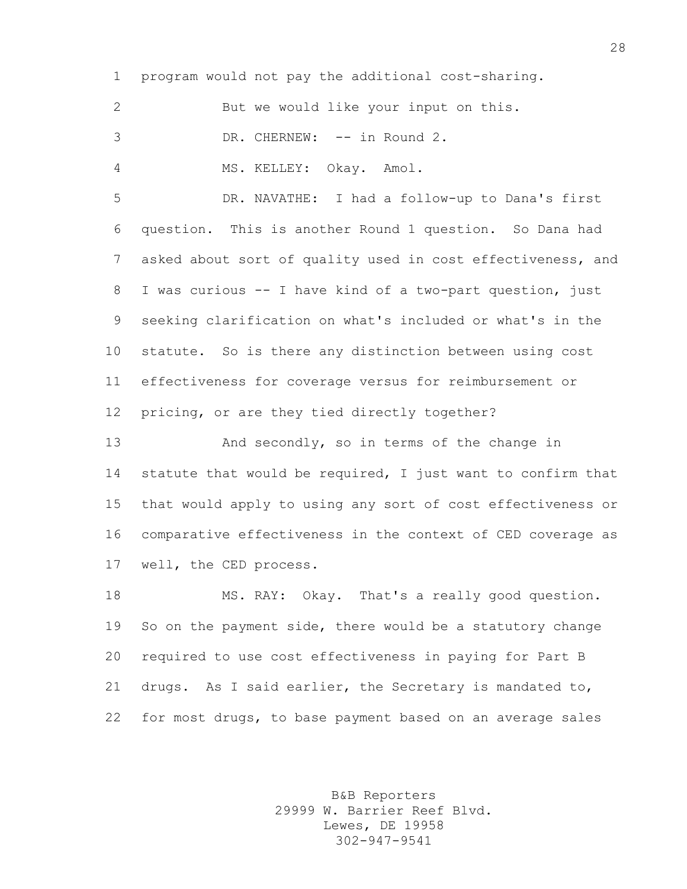program would not pay the additional cost-sharing.

But we would like your input on this.

3 DR. CHERNEW: -- in Round 2.

MS. KELLEY: Okay. Amol.

 DR. NAVATHE: I had a follow-up to Dana's first question. This is another Round 1 question. So Dana had asked about sort of quality used in cost effectiveness, and I was curious -- I have kind of a two-part question, just seeking clarification on what's included or what's in the statute. So is there any distinction between using cost effectiveness for coverage versus for reimbursement or pricing, or are they tied directly together?

 And secondly, so in terms of the change in 14 statute that would be required, I just want to confirm that that would apply to using any sort of cost effectiveness or comparative effectiveness in the context of CED coverage as well, the CED process.

 MS. RAY: Okay. That's a really good question. 19 So on the payment side, there would be a statutory change required to use cost effectiveness in paying for Part B drugs. As I said earlier, the Secretary is mandated to, for most drugs, to base payment based on an average sales

> B&B Reporters 29999 W. Barrier Reef Blvd. Lewes, DE 19958 302-947-9541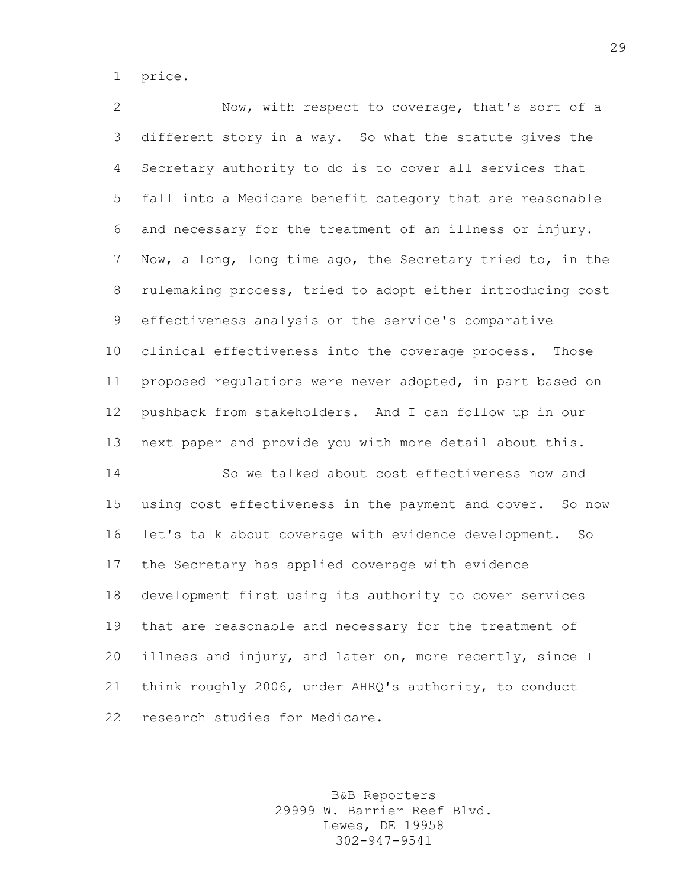price.

 Now, with respect to coverage, that's sort of a different story in a way. So what the statute gives the Secretary authority to do is to cover all services that fall into a Medicare benefit category that are reasonable and necessary for the treatment of an illness or injury. Now, a long, long time ago, the Secretary tried to, in the rulemaking process, tried to adopt either introducing cost effectiveness analysis or the service's comparative clinical effectiveness into the coverage process. Those proposed regulations were never adopted, in part based on pushback from stakeholders. And I can follow up in our next paper and provide you with more detail about this. So we talked about cost effectiveness now and using cost effectiveness in the payment and cover. So now let's talk about coverage with evidence development. So the Secretary has applied coverage with evidence development first using its authority to cover services that are reasonable and necessary for the treatment of illness and injury, and later on, more recently, since I

 think roughly 2006, under AHRQ's authority, to conduct research studies for Medicare.

> B&B Reporters 29999 W. Barrier Reef Blvd. Lewes, DE 19958 302-947-9541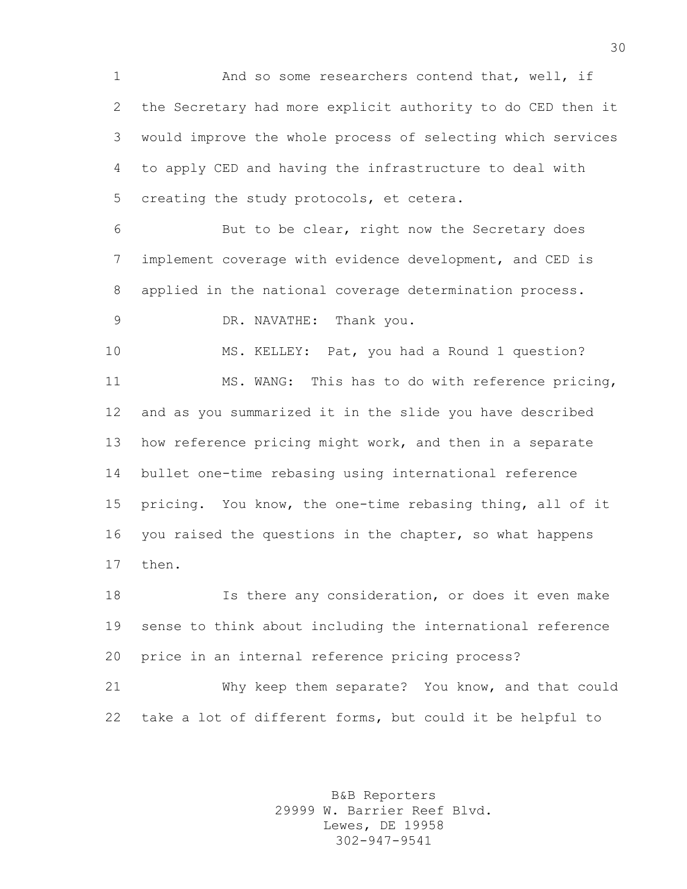And so some researchers contend that, well, if the Secretary had more explicit authority to do CED then it would improve the whole process of selecting which services to apply CED and having the infrastructure to deal with creating the study protocols, et cetera.

 But to be clear, right now the Secretary does implement coverage with evidence development, and CED is applied in the national coverage determination process. DR. NAVATHE: Thank you.

MS. KELLEY: Pat, you had a Round 1 question?

 MS. WANG: This has to do with reference pricing, and as you summarized it in the slide you have described how reference pricing might work, and then in a separate bullet one-time rebasing using international reference pricing. You know, the one-time rebasing thing, all of it you raised the questions in the chapter, so what happens then.

 Is there any consideration, or does it even make sense to think about including the international reference price in an internal reference pricing process?

 Why keep them separate? You know, and that could take a lot of different forms, but could it be helpful to

> B&B Reporters 29999 W. Barrier Reef Blvd. Lewes, DE 19958 302-947-9541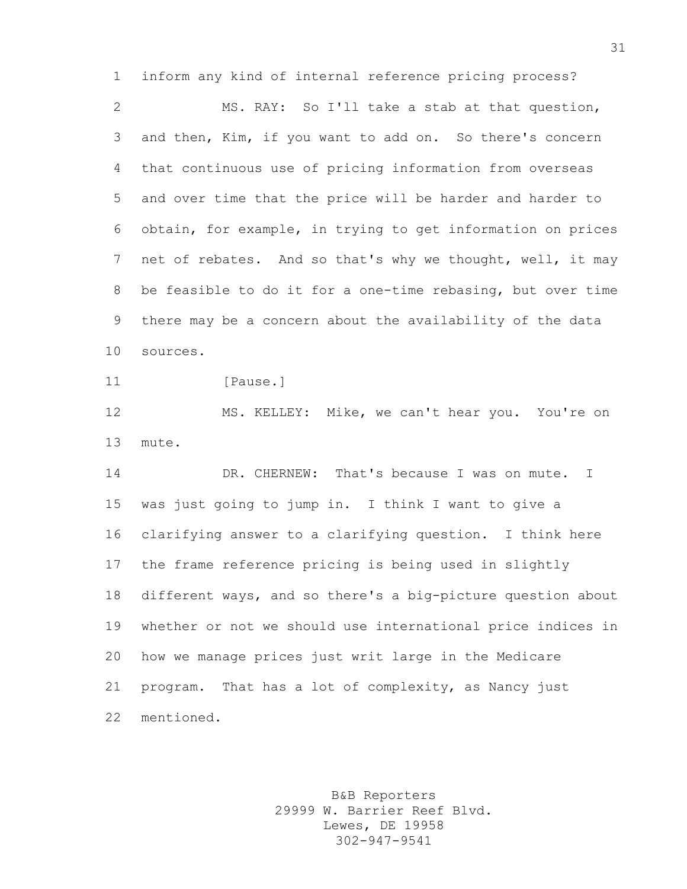inform any kind of internal reference pricing process?

 MS. RAY: So I'll take a stab at that question, and then, Kim, if you want to add on. So there's concern that continuous use of pricing information from overseas and over time that the price will be harder and harder to obtain, for example, in trying to get information on prices net of rebates. And so that's why we thought, well, it may be feasible to do it for a one-time rebasing, but over time there may be a concern about the availability of the data sources.

11 [Pause.]

 MS. KELLEY: Mike, we can't hear you. You're on mute.

14 DR. CHERNEW: That's because I was on mute. I was just going to jump in. I think I want to give a clarifying answer to a clarifying question. I think here the frame reference pricing is being used in slightly different ways, and so there's a big-picture question about whether or not we should use international price indices in how we manage prices just writ large in the Medicare program. That has a lot of complexity, as Nancy just mentioned.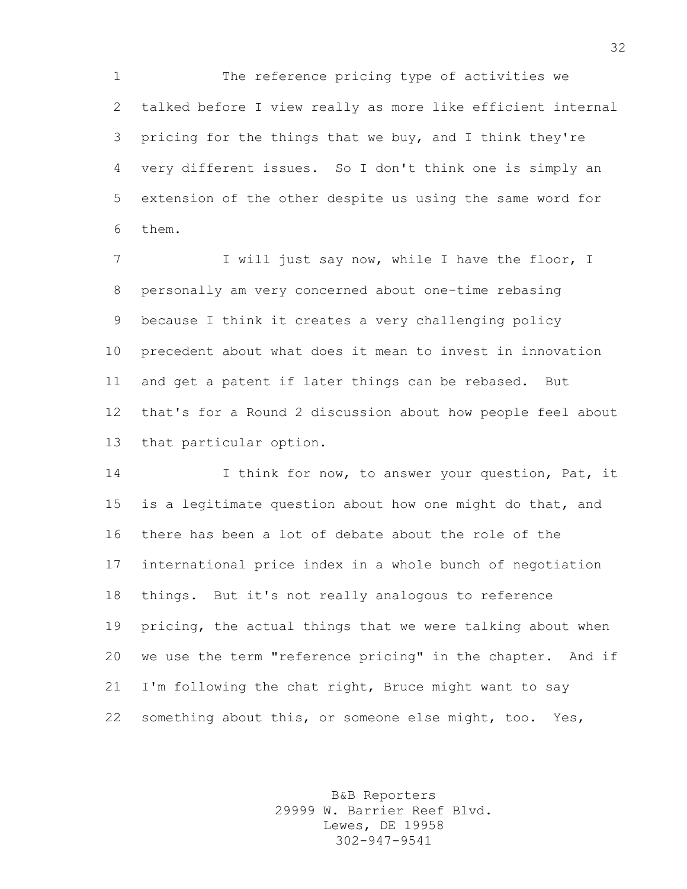The reference pricing type of activities we talked before I view really as more like efficient internal pricing for the things that we buy, and I think they're very different issues. So I don't think one is simply an extension of the other despite us using the same word for them.

7 I will just say now, while I have the floor, I personally am very concerned about one-time rebasing because I think it creates a very challenging policy precedent about what does it mean to invest in innovation and get a patent if later things can be rebased. But that's for a Round 2 discussion about how people feel about that particular option.

14 I think for now, to answer your question, Pat, it is a legitimate question about how one might do that, and there has been a lot of debate about the role of the international price index in a whole bunch of negotiation things. But it's not really analogous to reference pricing, the actual things that we were talking about when we use the term "reference pricing" in the chapter. And if I'm following the chat right, Bruce might want to say something about this, or someone else might, too. Yes,

> B&B Reporters 29999 W. Barrier Reef Blvd. Lewes, DE 19958 302-947-9541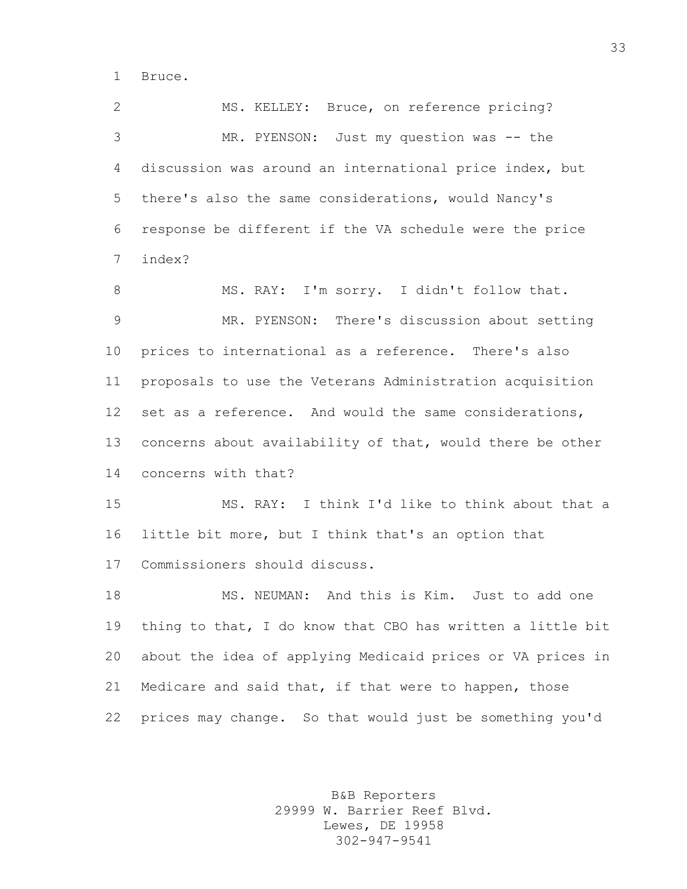Bruce.

 MS. KELLEY: Bruce, on reference pricing? MR. PYENSON: Just my question was -- the discussion was around an international price index, but there's also the same considerations, would Nancy's response be different if the VA schedule were the price index?

8 MS. RAY: I'm sorry. I didn't follow that. MR. PYENSON: There's discussion about setting prices to international as a reference. There's also proposals to use the Veterans Administration acquisition set as a reference. And would the same considerations, concerns about availability of that, would there be other concerns with that?

 MS. RAY: I think I'd like to think about that a little bit more, but I think that's an option that Commissioners should discuss.

 MS. NEUMAN: And this is Kim. Just to add one thing to that, I do know that CBO has written a little bit about the idea of applying Medicaid prices or VA prices in Medicare and said that, if that were to happen, those prices may change. So that would just be something you'd

> B&B Reporters 29999 W. Barrier Reef Blvd. Lewes, DE 19958 302-947-9541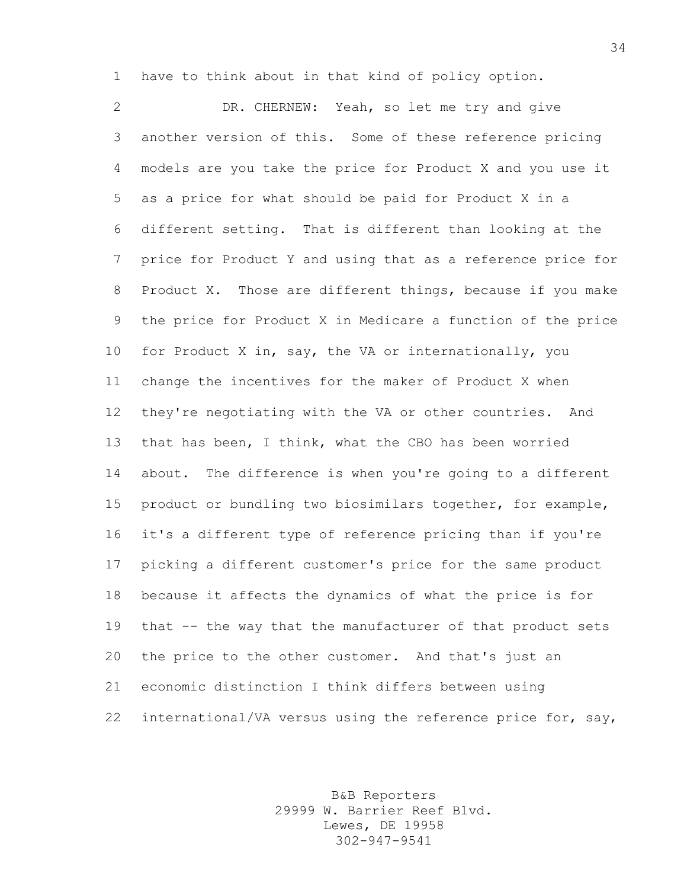have to think about in that kind of policy option.

 DR. CHERNEW: Yeah, so let me try and give another version of this. Some of these reference pricing models are you take the price for Product X and you use it as a price for what should be paid for Product X in a different setting. That is different than looking at the price for Product Y and using that as a reference price for Product X. Those are different things, because if you make the price for Product X in Medicare a function of the price for Product X in, say, the VA or internationally, you change the incentives for the maker of Product X when they're negotiating with the VA or other countries. And that has been, I think, what the CBO has been worried about. The difference is when you're going to a different product or bundling two biosimilars together, for example, it's a different type of reference pricing than if you're picking a different customer's price for the same product because it affects the dynamics of what the price is for that -- the way that the manufacturer of that product sets the price to the other customer. And that's just an economic distinction I think differs between using international/VA versus using the reference price for, say,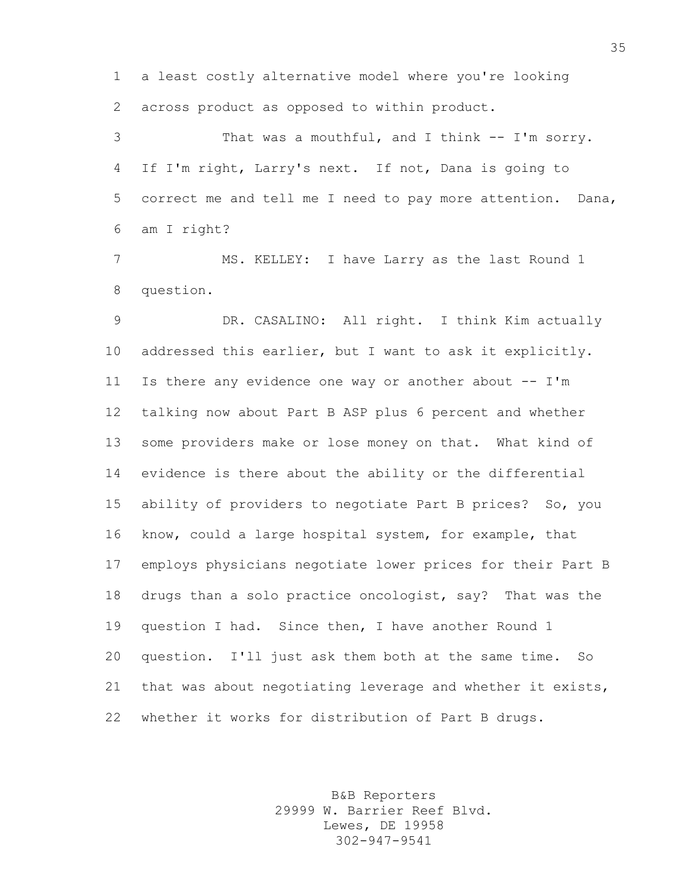a least costly alternative model where you're looking across product as opposed to within product.

 That was a mouthful, and I think -- I'm sorry. If I'm right, Larry's next. If not, Dana is going to correct me and tell me I need to pay more attention. Dana, am I right?

 MS. KELLEY: I have Larry as the last Round 1 question.

 DR. CASALINO: All right. I think Kim actually addressed this earlier, but I want to ask it explicitly. Is there any evidence one way or another about -- I'm talking now about Part B ASP plus 6 percent and whether some providers make or lose money on that. What kind of evidence is there about the ability or the differential ability of providers to negotiate Part B prices? So, you know, could a large hospital system, for example, that employs physicians negotiate lower prices for their Part B drugs than a solo practice oncologist, say? That was the question I had. Since then, I have another Round 1 question. I'll just ask them both at the same time. So that was about negotiating leverage and whether it exists, whether it works for distribution of Part B drugs.

> B&B Reporters 29999 W. Barrier Reef Blvd. Lewes, DE 19958 302-947-9541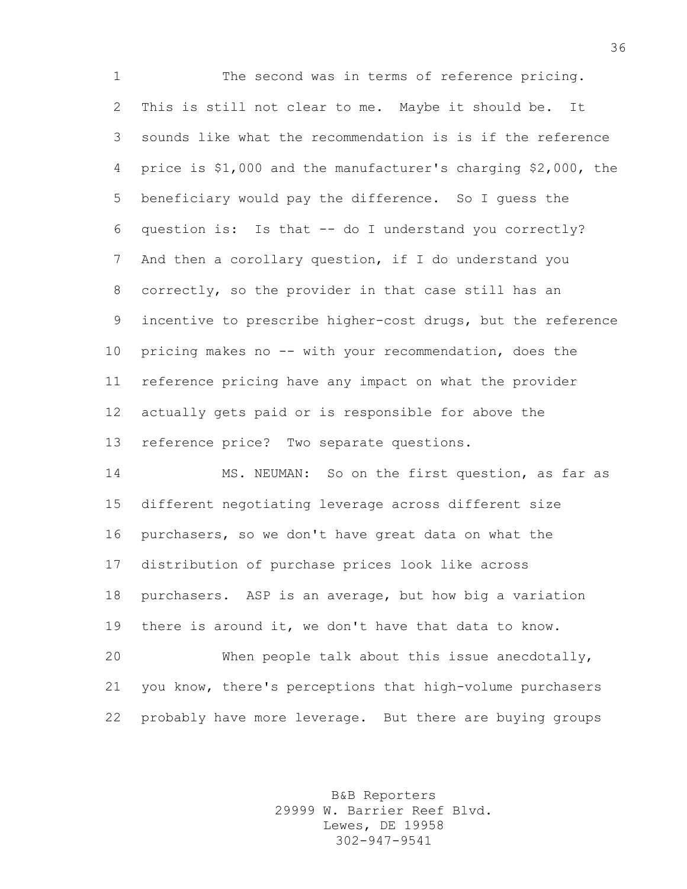The second was in terms of reference pricing. This is still not clear to me. Maybe it should be. It sounds like what the recommendation is is if the reference price is \$1,000 and the manufacturer's charging \$2,000, the beneficiary would pay the difference. So I guess the question is: Is that -- do I understand you correctly? 7 And then a corollary question, if I do understand you correctly, so the provider in that case still has an incentive to prescribe higher-cost drugs, but the reference pricing makes no -- with your recommendation, does the reference pricing have any impact on what the provider actually gets paid or is responsible for above the reference price? Two separate questions. MS. NEUMAN: So on the first question, as far as different negotiating leverage across different size purchasers, so we don't have great data on what the distribution of purchase prices look like across purchasers. ASP is an average, but how big a variation there is around it, we don't have that data to know. When people talk about this issue anecdotally, you know, there's perceptions that high-volume purchasers

probably have more leverage. But there are buying groups

B&B Reporters 29999 W. Barrier Reef Blvd. Lewes, DE 19958 302-947-9541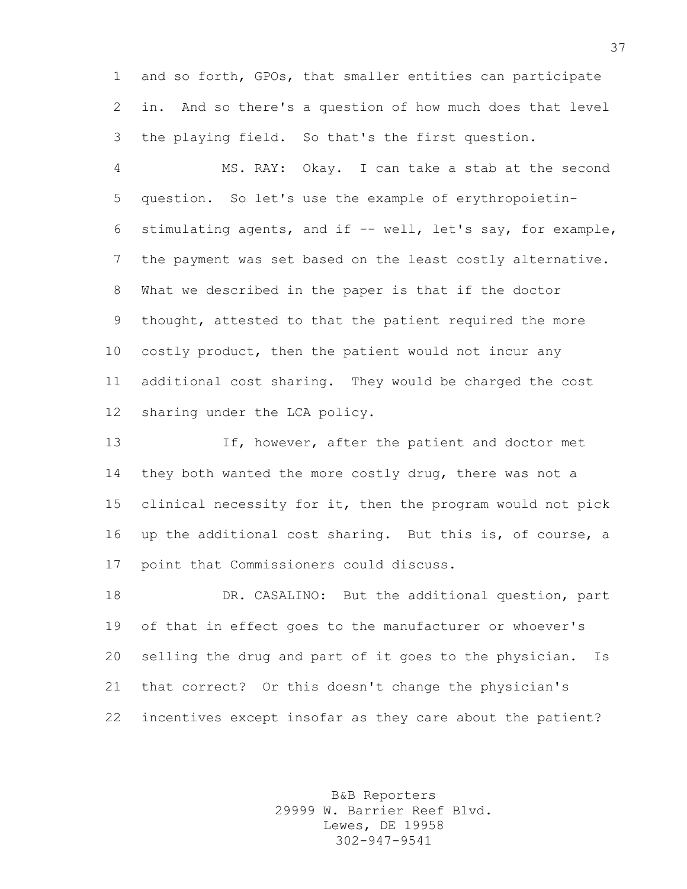and so forth, GPOs, that smaller entities can participate in. And so there's a question of how much does that level the playing field. So that's the first question.

 MS. RAY: Okay. I can take a stab at the second question. So let's use the example of erythropoietin- stimulating agents, and if -- well, let's say, for example, the payment was set based on the least costly alternative. What we described in the paper is that if the doctor thought, attested to that the patient required the more costly product, then the patient would not incur any additional cost sharing. They would be charged the cost sharing under the LCA policy.

 If, however, after the patient and doctor met 14 they both wanted the more costly drug, there was not a clinical necessity for it, then the program would not pick up the additional cost sharing. But this is, of course, a point that Commissioners could discuss.

 DR. CASALINO: But the additional question, part of that in effect goes to the manufacturer or whoever's selling the drug and part of it goes to the physician. Is that correct? Or this doesn't change the physician's incentives except insofar as they care about the patient?

> B&B Reporters 29999 W. Barrier Reef Blvd. Lewes, DE 19958 302-947-9541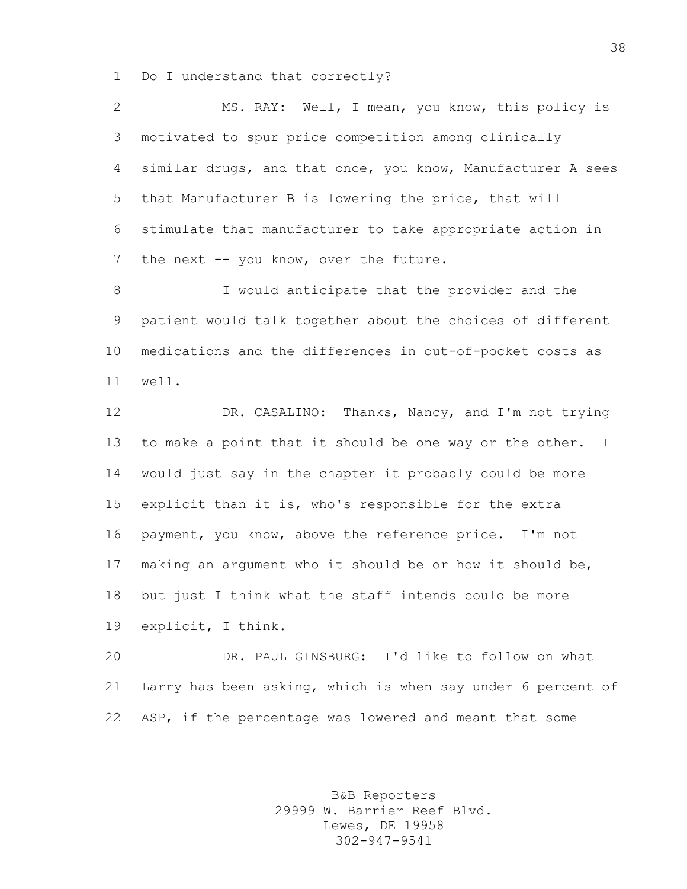Do I understand that correctly?

 MS. RAY: Well, I mean, you know, this policy is motivated to spur price competition among clinically similar drugs, and that once, you know, Manufacturer A sees that Manufacturer B is lowering the price, that will stimulate that manufacturer to take appropriate action in 7 the next -- you know, over the future.

 I would anticipate that the provider and the patient would talk together about the choices of different medications and the differences in out-of-pocket costs as well.

 DR. CASALINO: Thanks, Nancy, and I'm not trying to make a point that it should be one way or the other. I would just say in the chapter it probably could be more explicit than it is, who's responsible for the extra payment, you know, above the reference price. I'm not making an argument who it should be or how it should be, but just I think what the staff intends could be more explicit, I think.

 DR. PAUL GINSBURG: I'd like to follow on what Larry has been asking, which is when say under 6 percent of ASP, if the percentage was lowered and meant that some

> B&B Reporters 29999 W. Barrier Reef Blvd. Lewes, DE 19958 302-947-9541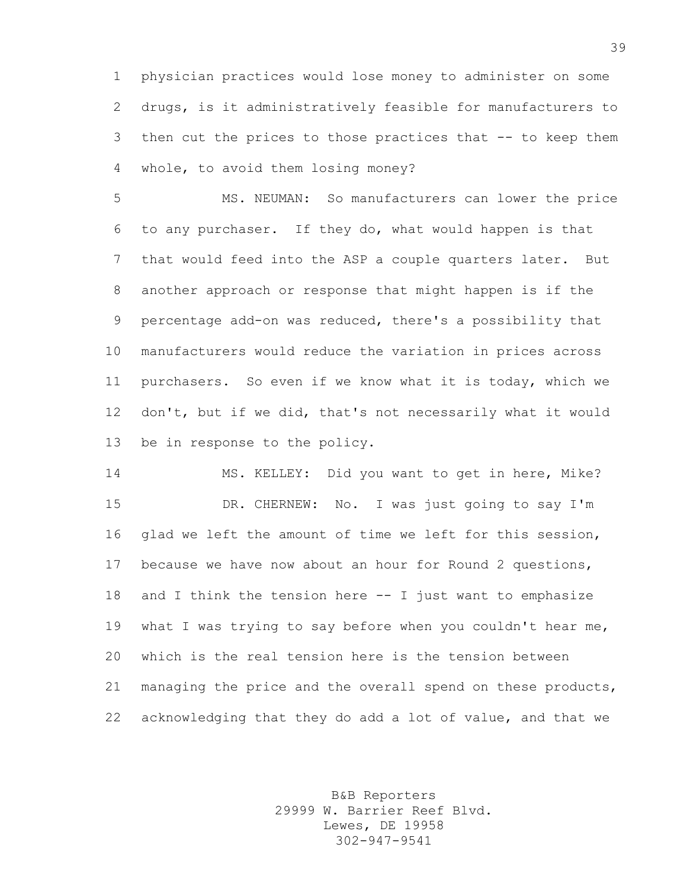physician practices would lose money to administer on some drugs, is it administratively feasible for manufacturers to then cut the prices to those practices that -- to keep them whole, to avoid them losing money?

 MS. NEUMAN: So manufacturers can lower the price to any purchaser. If they do, what would happen is that that would feed into the ASP a couple quarters later. But another approach or response that might happen is if the percentage add-on was reduced, there's a possibility that manufacturers would reduce the variation in prices across purchasers. So even if we know what it is today, which we don't, but if we did, that's not necessarily what it would be in response to the policy.

 MS. KELLEY: Did you want to get in here, Mike? DR. CHERNEW: No. I was just going to say I'm glad we left the amount of time we left for this session, because we have now about an hour for Round 2 questions, and I think the tension here -- I just want to emphasize 19 what I was trying to say before when you couldn't hear me, which is the real tension here is the tension between managing the price and the overall spend on these products, acknowledging that they do add a lot of value, and that we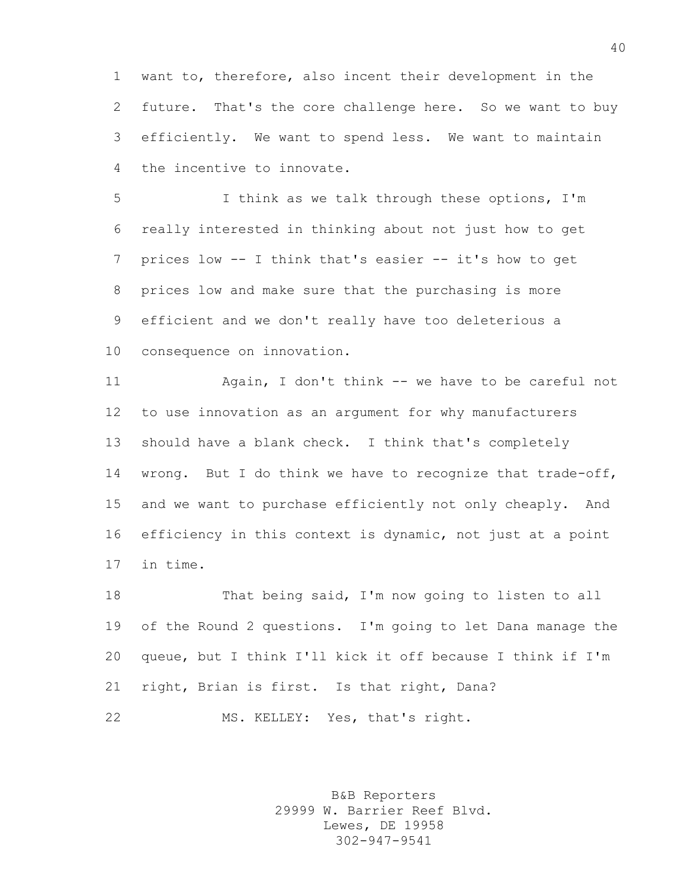want to, therefore, also incent their development in the future. That's the core challenge here. So we want to buy efficiently. We want to spend less. We want to maintain the incentive to innovate.

 I think as we talk through these options, I'm really interested in thinking about not just how to get prices low -- I think that's easier -- it's how to get prices low and make sure that the purchasing is more efficient and we don't really have too deleterious a consequence on innovation.

 Again, I don't think -- we have to be careful not to use innovation as an argument for why manufacturers should have a blank check. I think that's completely wrong. But I do think we have to recognize that trade-off, and we want to purchase efficiently not only cheaply. And efficiency in this context is dynamic, not just at a point in time.

 That being said, I'm now going to listen to all of the Round 2 questions. I'm going to let Dana manage the queue, but I think I'll kick it off because I think if I'm right, Brian is first. Is that right, Dana? MS. KELLEY: Yes, that's right.

> B&B Reporters 29999 W. Barrier Reef Blvd. Lewes, DE 19958 302-947-9541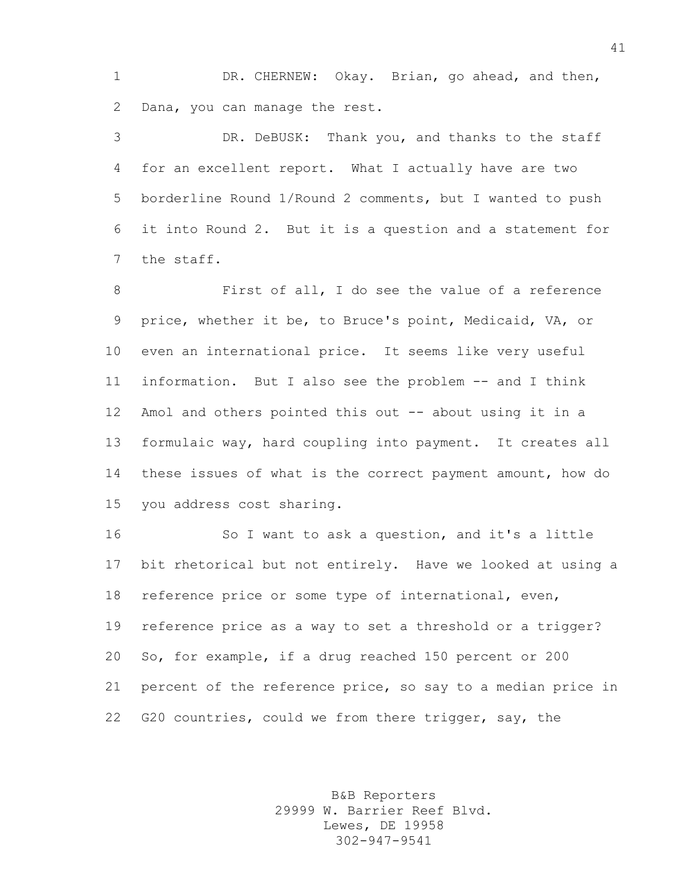DR. CHERNEW: Okay. Brian, go ahead, and then, Dana, you can manage the rest.

 DR. DeBUSK: Thank you, and thanks to the staff for an excellent report. What I actually have are two borderline Round 1/Round 2 comments, but I wanted to push it into Round 2. But it is a question and a statement for the staff.

 First of all, I do see the value of a reference price, whether it be, to Bruce's point, Medicaid, VA, or even an international price. It seems like very useful information. But I also see the problem -- and I think Amol and others pointed this out -- about using it in a formulaic way, hard coupling into payment. It creates all these issues of what is the correct payment amount, how do you address cost sharing.

 So I want to ask a question, and it's a little bit rhetorical but not entirely. Have we looked at using a reference price or some type of international, even, reference price as a way to set a threshold or a trigger? So, for example, if a drug reached 150 percent or 200 percent of the reference price, so say to a median price in G20 countries, could we from there trigger, say, the

> B&B Reporters 29999 W. Barrier Reef Blvd. Lewes, DE 19958 302-947-9541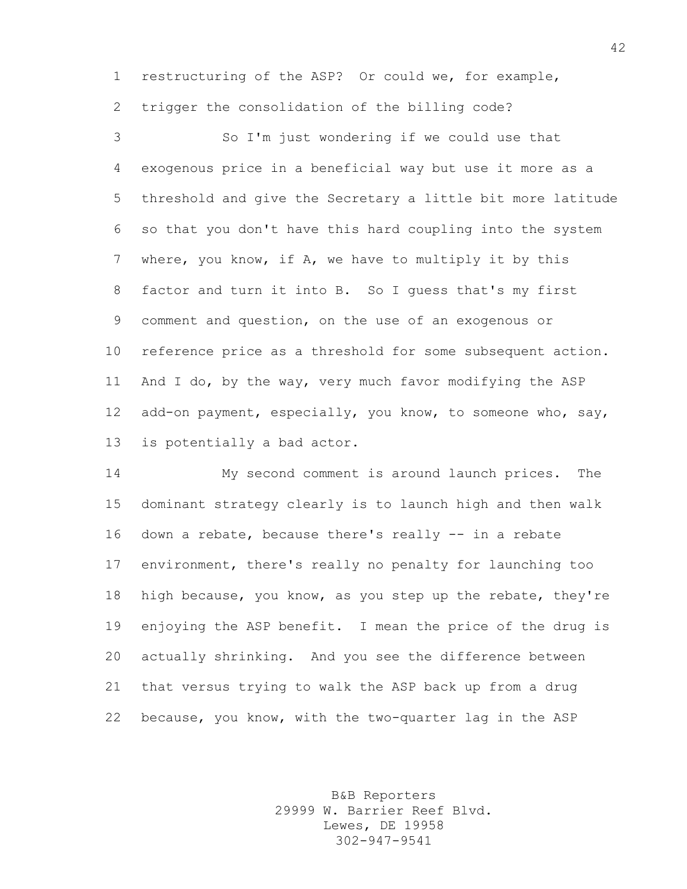restructuring of the ASP? Or could we, for example, trigger the consolidation of the billing code?

 So I'm just wondering if we could use that exogenous price in a beneficial way but use it more as a threshold and give the Secretary a little bit more latitude so that you don't have this hard coupling into the system where, you know, if A, we have to multiply it by this factor and turn it into B. So I guess that's my first comment and question, on the use of an exogenous or reference price as a threshold for some subsequent action. And I do, by the way, very much favor modifying the ASP add-on payment, especially, you know, to someone who, say, is potentially a bad actor.

 My second comment is around launch prices. The dominant strategy clearly is to launch high and then walk down a rebate, because there's really -- in a rebate environment, there's really no penalty for launching too high because, you know, as you step up the rebate, they're enjoying the ASP benefit. I mean the price of the drug is actually shrinking. And you see the difference between that versus trying to walk the ASP back up from a drug because, you know, with the two-quarter lag in the ASP

> B&B Reporters 29999 W. Barrier Reef Blvd. Lewes, DE 19958 302-947-9541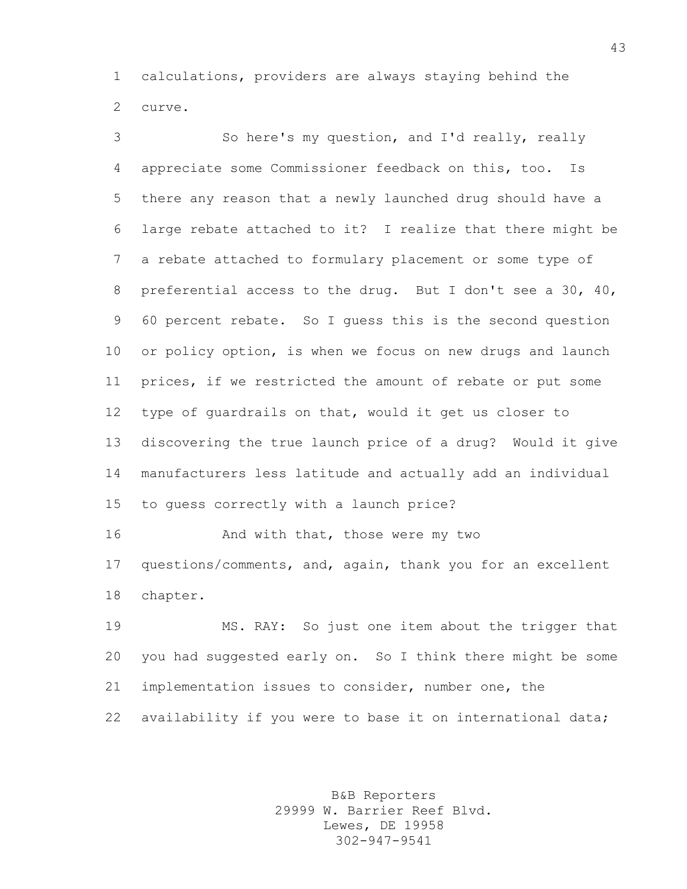calculations, providers are always staying behind the curve.

 So here's my question, and I'd really, really appreciate some Commissioner feedback on this, too. Is there any reason that a newly launched drug should have a large rebate attached to it? I realize that there might be a rebate attached to formulary placement or some type of preferential access to the drug. But I don't see a 30, 40, 60 percent rebate. So I guess this is the second question or policy option, is when we focus on new drugs and launch prices, if we restricted the amount of rebate or put some type of guardrails on that, would it get us closer to discovering the true launch price of a drug? Would it give manufacturers less latitude and actually add an individual to guess correctly with a launch price?

16 And with that, those were my two questions/comments, and, again, thank you for an excellent chapter.

 MS. RAY: So just one item about the trigger that you had suggested early on. So I think there might be some implementation issues to consider, number one, the availability if you were to base it on international data;

> B&B Reporters 29999 W. Barrier Reef Blvd. Lewes, DE 19958 302-947-9541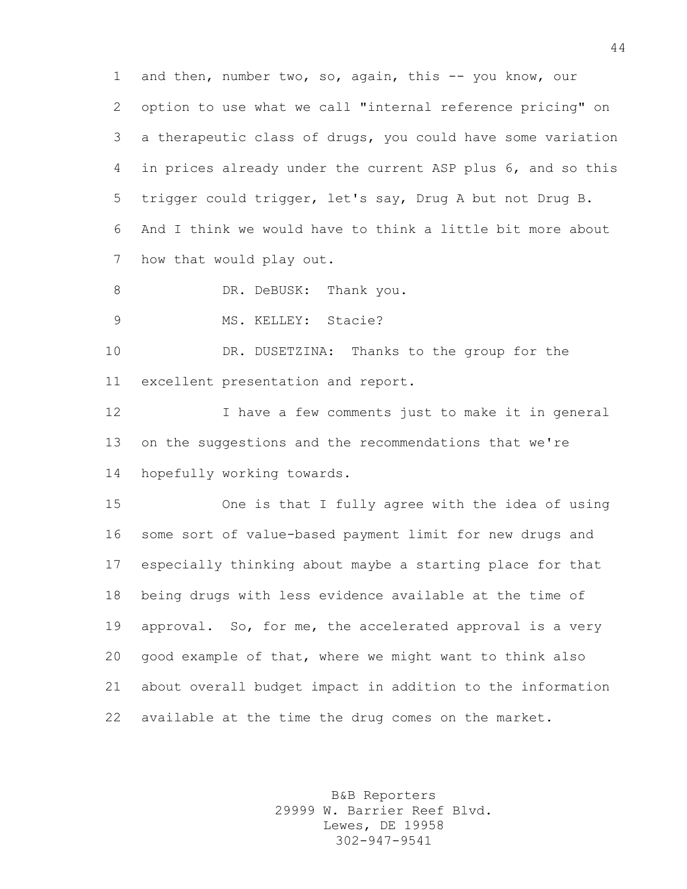1 and then, number two, so, again, this -- you know, our option to use what we call "internal reference pricing" on a therapeutic class of drugs, you could have some variation in prices already under the current ASP plus 6, and so this trigger could trigger, let's say, Drug A but not Drug B. And I think we would have to think a little bit more about how that would play out.

8 DR. DeBUSK: Thank you.

MS. KELLEY: Stacie?

 DR. DUSETZINA: Thanks to the group for the excellent presentation and report.

 I have a few comments just to make it in general 13 on the suggestions and the recommendations that we're hopefully working towards.

 One is that I fully agree with the idea of using some sort of value-based payment limit for new drugs and especially thinking about maybe a starting place for that being drugs with less evidence available at the time of approval. So, for me, the accelerated approval is a very good example of that, where we might want to think also about overall budget impact in addition to the information available at the time the drug comes on the market.

> B&B Reporters 29999 W. Barrier Reef Blvd. Lewes, DE 19958 302-947-9541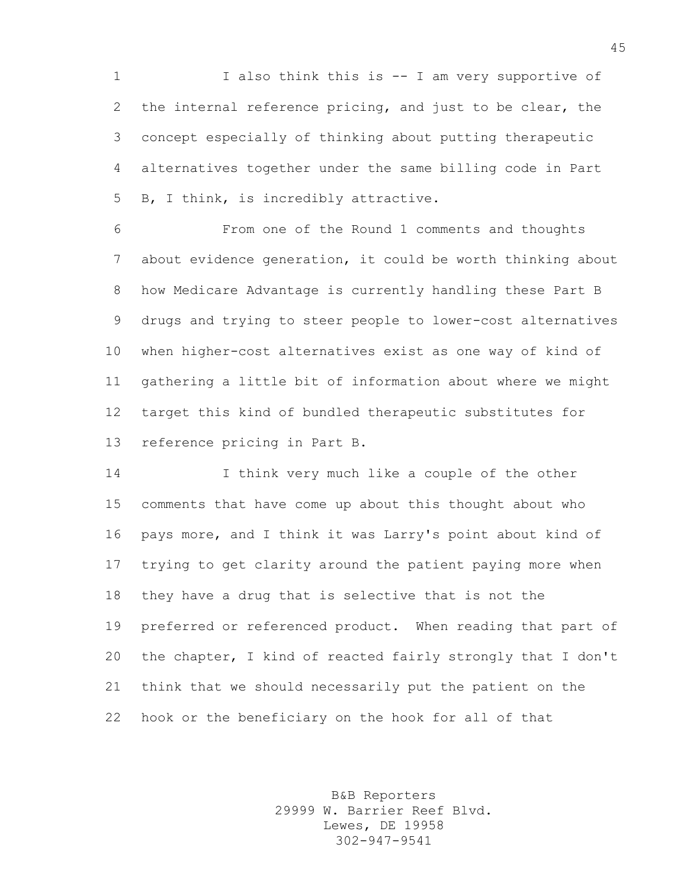1 I also think this is -- I am very supportive of the internal reference pricing, and just to be clear, the concept especially of thinking about putting therapeutic alternatives together under the same billing code in Part B, I think, is incredibly attractive.

 From one of the Round 1 comments and thoughts about evidence generation, it could be worth thinking about how Medicare Advantage is currently handling these Part B drugs and trying to steer people to lower-cost alternatives when higher-cost alternatives exist as one way of kind of gathering a little bit of information about where we might target this kind of bundled therapeutic substitutes for reference pricing in Part B.

 I think very much like a couple of the other comments that have come up about this thought about who pays more, and I think it was Larry's point about kind of trying to get clarity around the patient paying more when they have a drug that is selective that is not the preferred or referenced product. When reading that part of the chapter, I kind of reacted fairly strongly that I don't think that we should necessarily put the patient on the hook or the beneficiary on the hook for all of that

> B&B Reporters 29999 W. Barrier Reef Blvd. Lewes, DE 19958 302-947-9541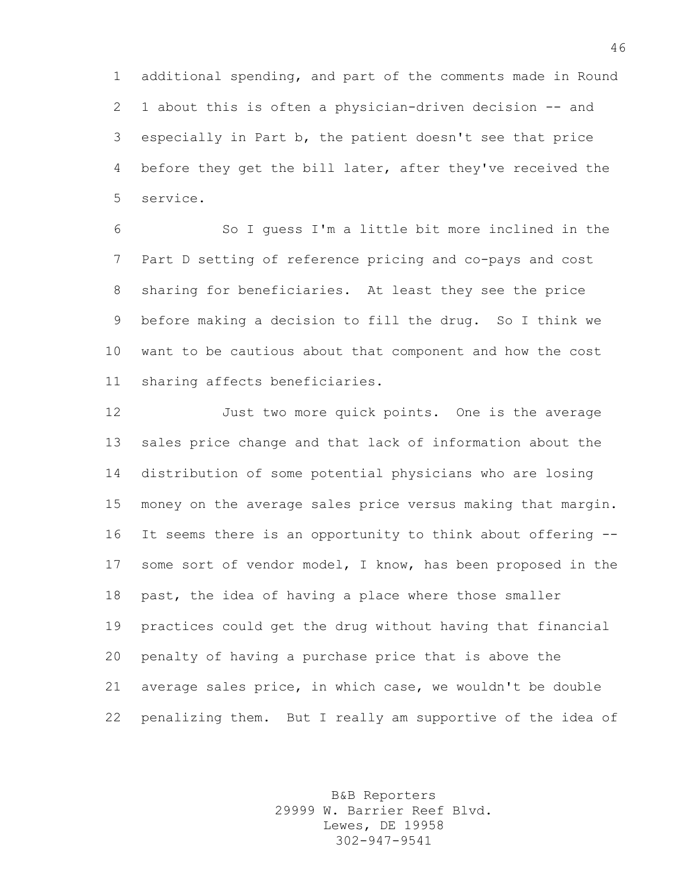additional spending, and part of the comments made in Round 1 about this is often a physician-driven decision -- and especially in Part b, the patient doesn't see that price before they get the bill later, after they've received the service.

 So I guess I'm a little bit more inclined in the Part D setting of reference pricing and co-pays and cost sharing for beneficiaries. At least they see the price before making a decision to fill the drug. So I think we want to be cautious about that component and how the cost sharing affects beneficiaries.

 Just two more quick points. One is the average sales price change and that lack of information about the distribution of some potential physicians who are losing money on the average sales price versus making that margin. It seems there is an opportunity to think about offering -- some sort of vendor model, I know, has been proposed in the past, the idea of having a place where those smaller practices could get the drug without having that financial penalty of having a purchase price that is above the average sales price, in which case, we wouldn't be double penalizing them. But I really am supportive of the idea of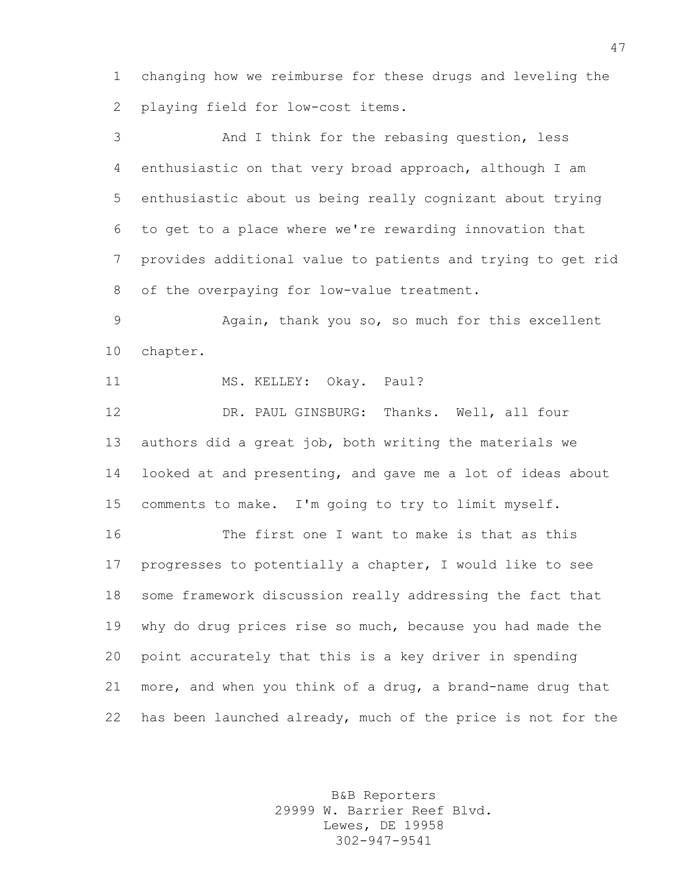changing how we reimburse for these drugs and leveling the playing field for low-cost items.

 And I think for the rebasing question, less enthusiastic on that very broad approach, although I am enthusiastic about us being really cognizant about trying to get to a place where we're rewarding innovation that provides additional value to patients and trying to get rid of the overpaying for low-value treatment.

 Again, thank you so, so much for this excellent chapter.

MS. KELLEY: Okay. Paul?

 DR. PAUL GINSBURG: Thanks. Well, all four authors did a great job, both writing the materials we looked at and presenting, and gave me a lot of ideas about comments to make. I'm going to try to limit myself.

 The first one I want to make is that as this progresses to potentially a chapter, I would like to see some framework discussion really addressing the fact that why do drug prices rise so much, because you had made the point accurately that this is a key driver in spending more, and when you think of a drug, a brand-name drug that has been launched already, much of the price is not for the

> B&B Reporters 29999 W. Barrier Reef Blvd. Lewes, DE 19958 302-947-9541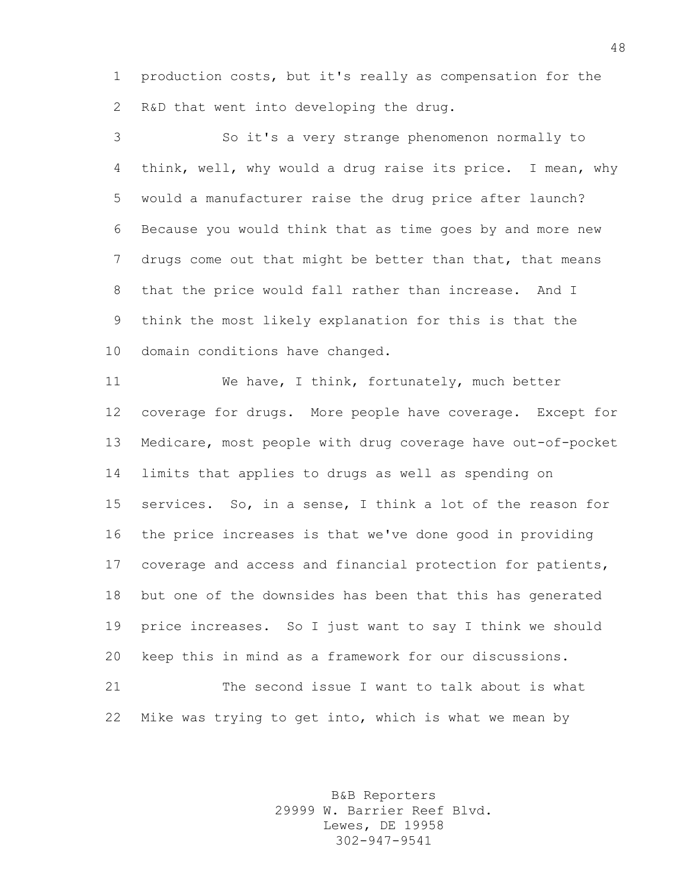production costs, but it's really as compensation for the R&D that went into developing the drug.

 So it's a very strange phenomenon normally to think, well, why would a drug raise its price. I mean, why would a manufacturer raise the drug price after launch? Because you would think that as time goes by and more new 7 drugs come out that might be better than that, that means that the price would fall rather than increase. And I think the most likely explanation for this is that the domain conditions have changed.

 We have, I think, fortunately, much better coverage for drugs. More people have coverage. Except for Medicare, most people with drug coverage have out-of-pocket limits that applies to drugs as well as spending on services. So, in a sense, I think a lot of the reason for the price increases is that we've done good in providing coverage and access and financial protection for patients, but one of the downsides has been that this has generated price increases. So I just want to say I think we should keep this in mind as a framework for our discussions. The second issue I want to talk about is what

Mike was trying to get into, which is what we mean by

B&B Reporters 29999 W. Barrier Reef Blvd. Lewes, DE 19958 302-947-9541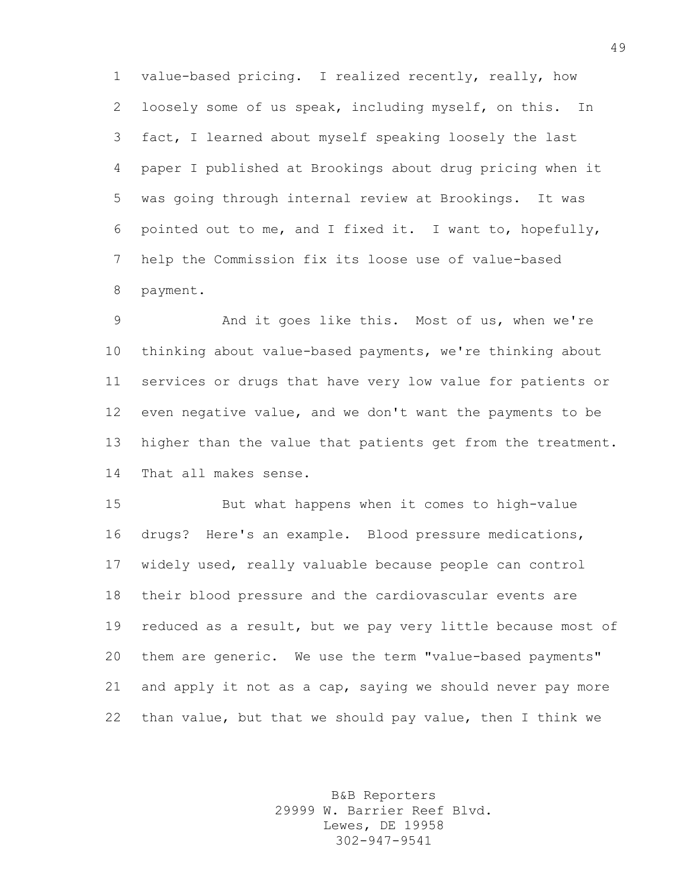value-based pricing. I realized recently, really, how loosely some of us speak, including myself, on this. In fact, I learned about myself speaking loosely the last paper I published at Brookings about drug pricing when it was going through internal review at Brookings. It was pointed out to me, and I fixed it. I want to, hopefully, help the Commission fix its loose use of value-based payment.

 And it goes like this. Most of us, when we're thinking about value-based payments, we're thinking about services or drugs that have very low value for patients or even negative value, and we don't want the payments to be higher than the value that patients get from the treatment. That all makes sense.

 But what happens when it comes to high-value drugs? Here's an example. Blood pressure medications, widely used, really valuable because people can control their blood pressure and the cardiovascular events are reduced as a result, but we pay very little because most of them are generic. We use the term "value-based payments" and apply it not as a cap, saying we should never pay more than value, but that we should pay value, then I think we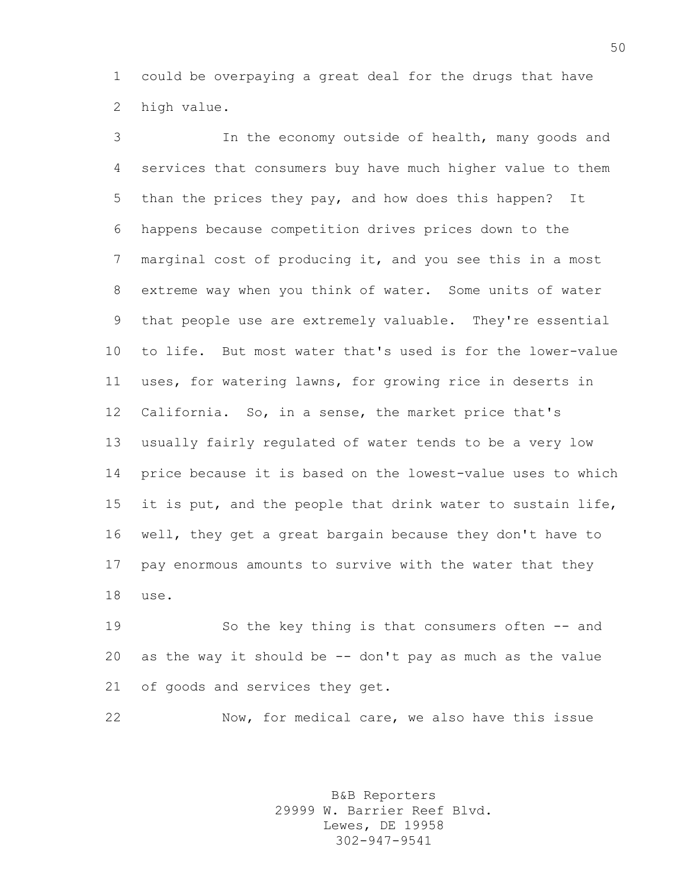could be overpaying a great deal for the drugs that have high value.

 In the economy outside of health, many goods and services that consumers buy have much higher value to them than the prices they pay, and how does this happen? It happens because competition drives prices down to the marginal cost of producing it, and you see this in a most extreme way when you think of water. Some units of water that people use are extremely valuable. They're essential to life. But most water that's used is for the lower-value uses, for watering lawns, for growing rice in deserts in California. So, in a sense, the market price that's usually fairly regulated of water tends to be a very low price because it is based on the lowest-value uses to which it is put, and the people that drink water to sustain life, well, they get a great bargain because they don't have to pay enormous amounts to survive with the water that they use.

 So the key thing is that consumers often -- and as the way it should be -- don't pay as much as the value of goods and services they get.

Now, for medical care, we also have this issue

B&B Reporters 29999 W. Barrier Reef Blvd. Lewes, DE 19958 302-947-9541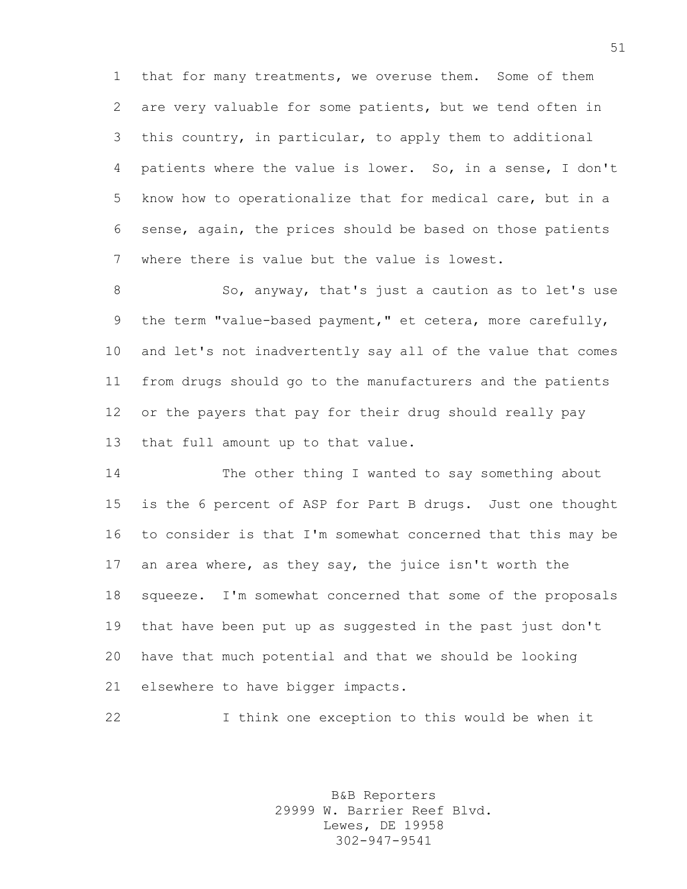that for many treatments, we overuse them. Some of them are very valuable for some patients, but we tend often in this country, in particular, to apply them to additional patients where the value is lower. So, in a sense, I don't know how to operationalize that for medical care, but in a sense, again, the prices should be based on those patients where there is value but the value is lowest.

8 So, anyway, that's just a caution as to let's use the term "value-based payment," et cetera, more carefully, and let's not inadvertently say all of the value that comes from drugs should go to the manufacturers and the patients or the payers that pay for their drug should really pay that full amount up to that value.

 The other thing I wanted to say something about is the 6 percent of ASP for Part B drugs. Just one thought to consider is that I'm somewhat concerned that this may be an area where, as they say, the juice isn't worth the squeeze. I'm somewhat concerned that some of the proposals that have been put up as suggested in the past just don't have that much potential and that we should be looking elsewhere to have bigger impacts.

I think one exception to this would be when it

B&B Reporters 29999 W. Barrier Reef Blvd. Lewes, DE 19958 302-947-9541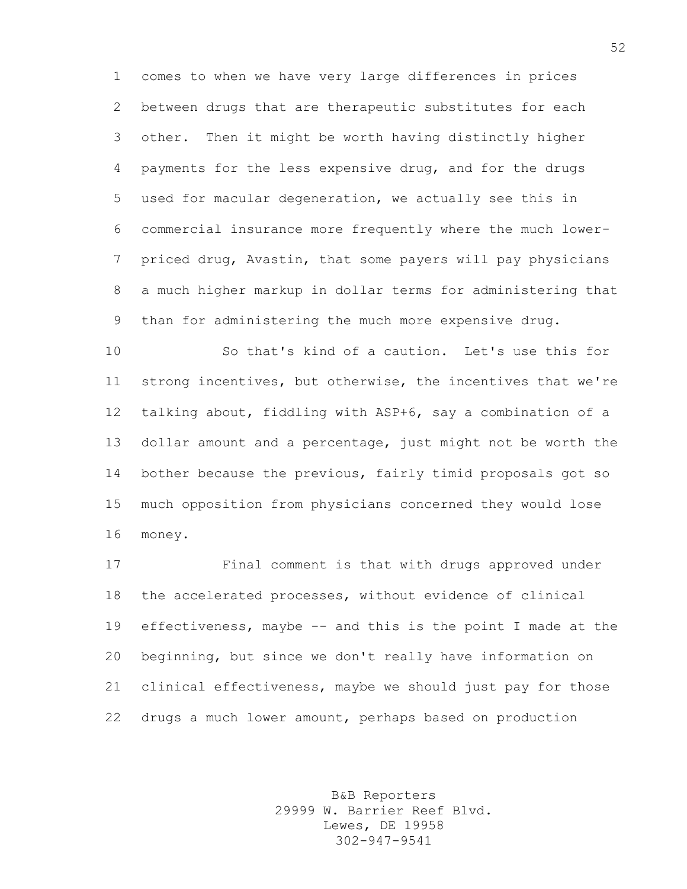comes to when we have very large differences in prices between drugs that are therapeutic substitutes for each other. Then it might be worth having distinctly higher payments for the less expensive drug, and for the drugs used for macular degeneration, we actually see this in commercial insurance more frequently where the much lower- priced drug, Avastin, that some payers will pay physicians a much higher markup in dollar terms for administering that than for administering the much more expensive drug.

 So that's kind of a caution. Let's use this for strong incentives, but otherwise, the incentives that we're talking about, fiddling with ASP+6, say a combination of a dollar amount and a percentage, just might not be worth the bother because the previous, fairly timid proposals got so much opposition from physicians concerned they would lose money.

 Final comment is that with drugs approved under the accelerated processes, without evidence of clinical effectiveness, maybe -- and this is the point I made at the beginning, but since we don't really have information on clinical effectiveness, maybe we should just pay for those drugs a much lower amount, perhaps based on production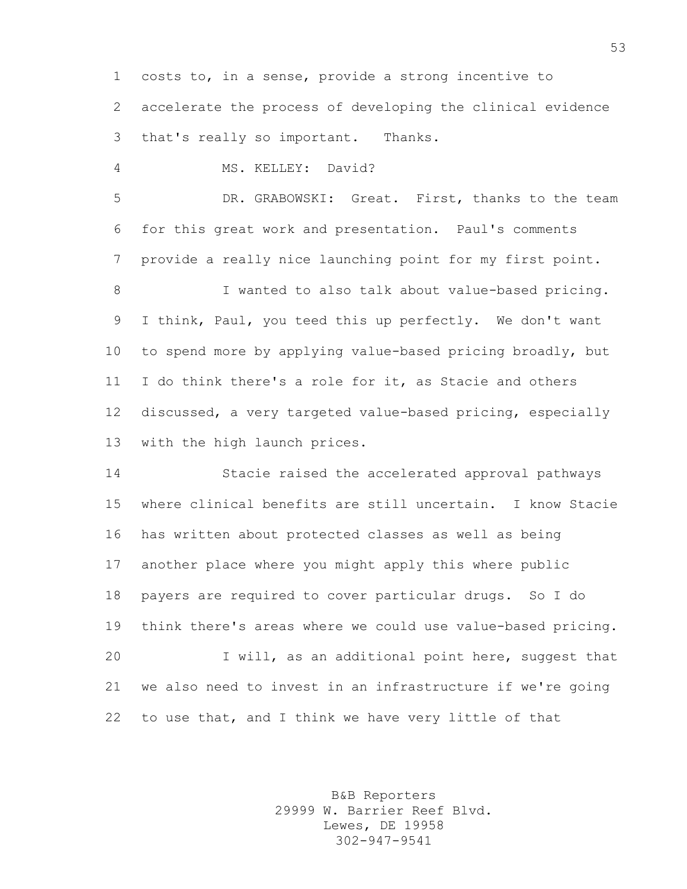costs to, in a sense, provide a strong incentive to accelerate the process of developing the clinical evidence that's really so important. Thanks.

 MS. KELLEY: David? DR. GRABOWSKI: Great. First, thanks to the team for this great work and presentation. Paul's comments provide a really nice launching point for my first point. 8 I wanted to also talk about value-based pricing. I think, Paul, you teed this up perfectly. We don't want to spend more by applying value-based pricing broadly, but I do think there's a role for it, as Stacie and others discussed, a very targeted value-based pricing, especially

with the high launch prices.

 Stacie raised the accelerated approval pathways where clinical benefits are still uncertain. I know Stacie has written about protected classes as well as being another place where you might apply this where public payers are required to cover particular drugs. So I do think there's areas where we could use value-based pricing. I will, as an additional point here, suggest that we also need to invest in an infrastructure if we're going to use that, and I think we have very little of that

> B&B Reporters 29999 W. Barrier Reef Blvd. Lewes, DE 19958 302-947-9541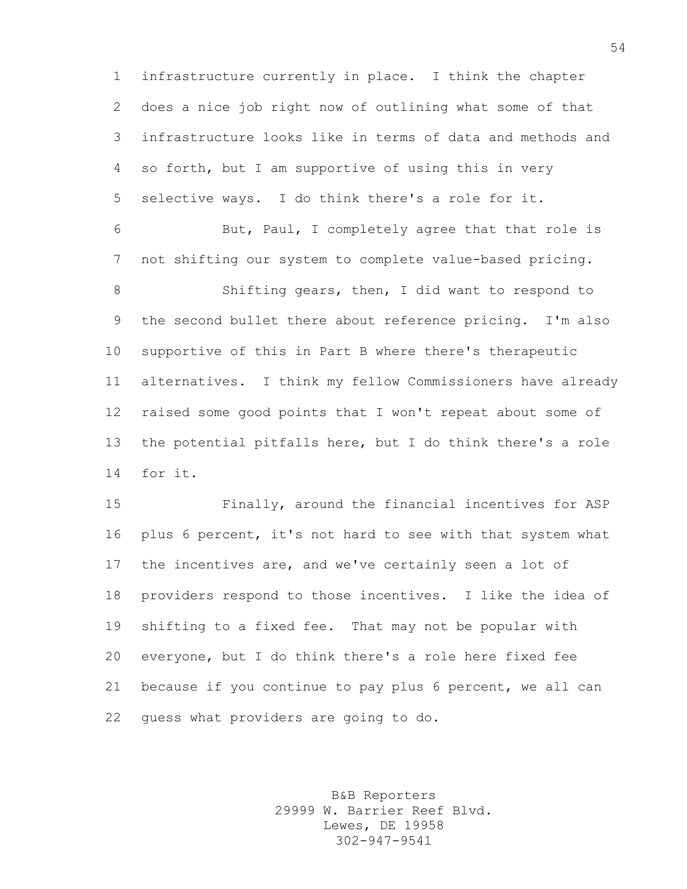infrastructure currently in place. I think the chapter does a nice job right now of outlining what some of that infrastructure looks like in terms of data and methods and so forth, but I am supportive of using this in very selective ways. I do think there's a role for it.

 But, Paul, I completely agree that that role is not shifting our system to complete value-based pricing.

8 Shifting gears, then, I did want to respond to the second bullet there about reference pricing. I'm also supportive of this in Part B where there's therapeutic alternatives. I think my fellow Commissioners have already raised some good points that I won't repeat about some of the potential pitfalls here, but I do think there's a role for it.

 Finally, around the financial incentives for ASP plus 6 percent, it's not hard to see with that system what the incentives are, and we've certainly seen a lot of providers respond to those incentives. I like the idea of shifting to a fixed fee. That may not be popular with everyone, but I do think there's a role here fixed fee because if you continue to pay plus 6 percent, we all can guess what providers are going to do.

> B&B Reporters 29999 W. Barrier Reef Blvd. Lewes, DE 19958 302-947-9541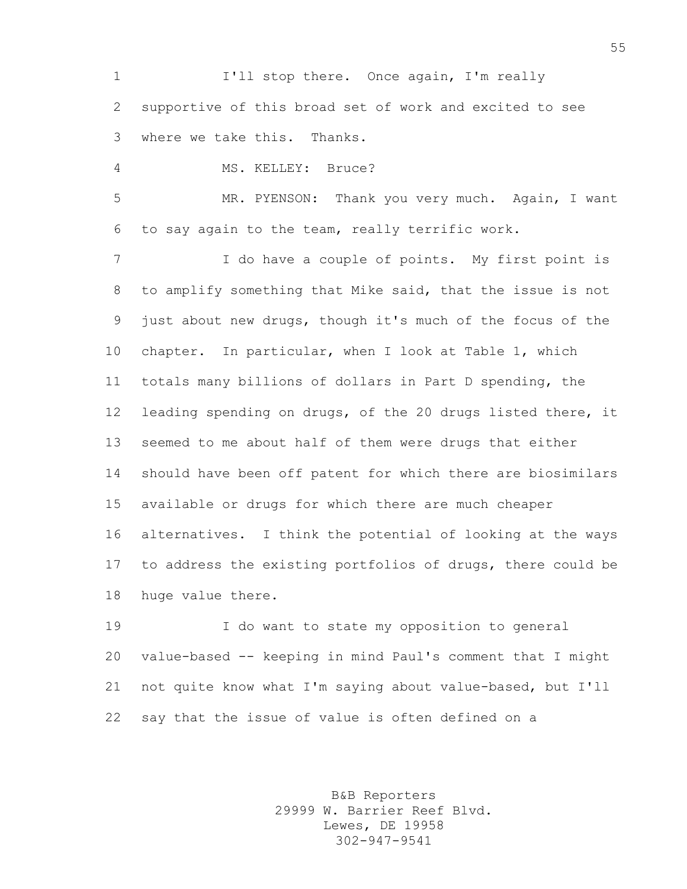I'll stop there. Once again, I'm really supportive of this broad set of work and excited to see where we take this. Thanks.

MS. KELLEY: Bruce?

 MR. PYENSON: Thank you very much. Again, I want to say again to the team, really terrific work.

7 I do have a couple of points. My first point is to amplify something that Mike said, that the issue is not just about new drugs, though it's much of the focus of the chapter. In particular, when I look at Table 1, which totals many billions of dollars in Part D spending, the leading spending on drugs, of the 20 drugs listed there, it seemed to me about half of them were drugs that either should have been off patent for which there are biosimilars available or drugs for which there are much cheaper alternatives. I think the potential of looking at the ways to address the existing portfolios of drugs, there could be huge value there.

 I do want to state my opposition to general value-based -- keeping in mind Paul's comment that I might not quite know what I'm saying about value-based, but I'll say that the issue of value is often defined on a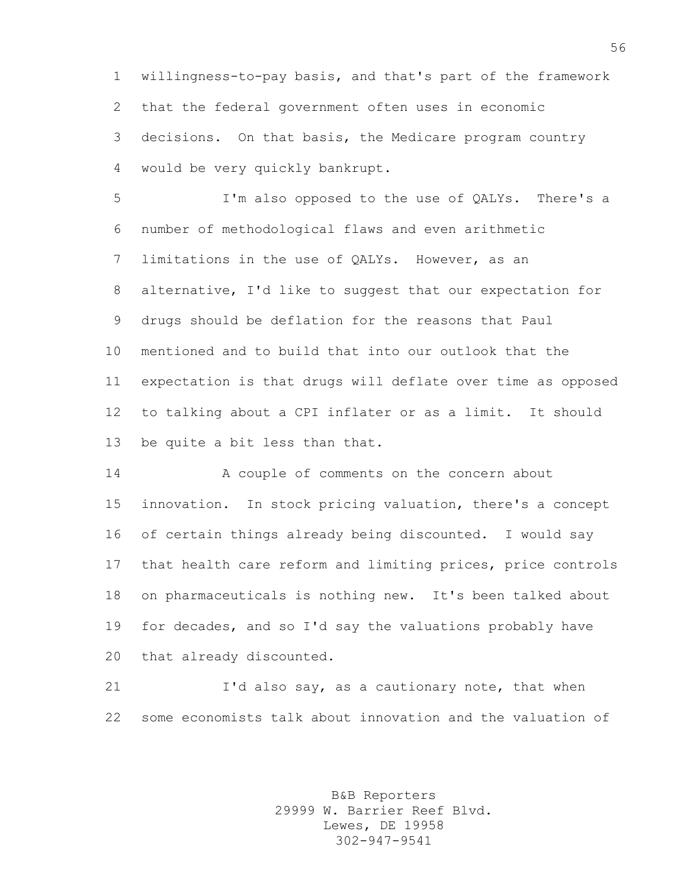willingness-to-pay basis, and that's part of the framework that the federal government often uses in economic decisions. On that basis, the Medicare program country would be very quickly bankrupt.

 I'm also opposed to the use of QALYs. There's a number of methodological flaws and even arithmetic limitations in the use of QALYs. However, as an alternative, I'd like to suggest that our expectation for drugs should be deflation for the reasons that Paul mentioned and to build that into our outlook that the expectation is that drugs will deflate over time as opposed to talking about a CPI inflater or as a limit. It should be quite a bit less than that.

 A couple of comments on the concern about innovation. In stock pricing valuation, there's a concept of certain things already being discounted. I would say that health care reform and limiting prices, price controls on pharmaceuticals is nothing new. It's been talked about for decades, and so I'd say the valuations probably have that already discounted.

 I'd also say, as a cautionary note, that when some economists talk about innovation and the valuation of

> B&B Reporters 29999 W. Barrier Reef Blvd. Lewes, DE 19958 302-947-9541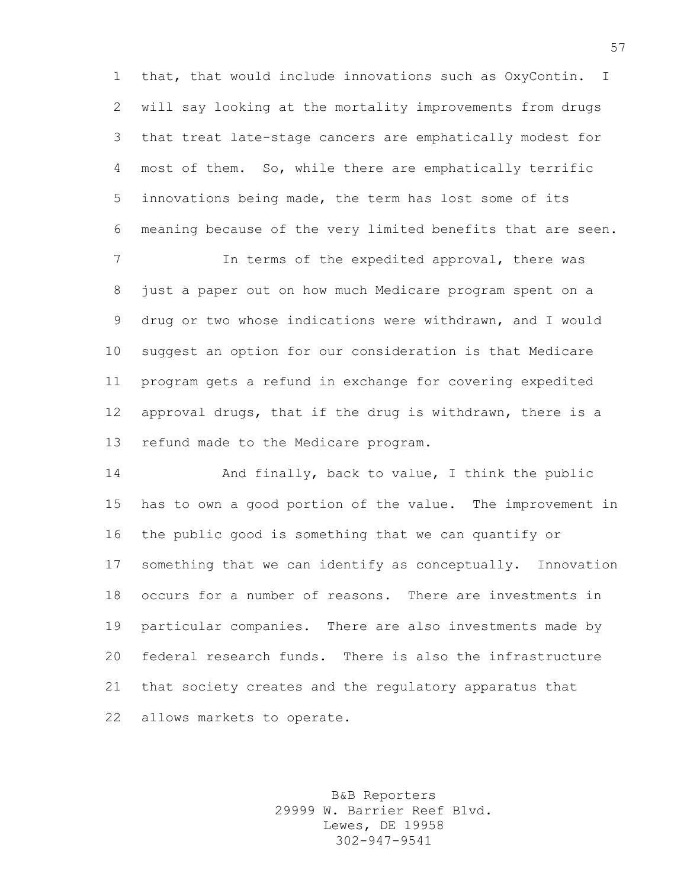that, that would include innovations such as OxyContin. I will say looking at the mortality improvements from drugs that treat late-stage cancers are emphatically modest for most of them. So, while there are emphatically terrific innovations being made, the term has lost some of its meaning because of the very limited benefits that are seen.

 In terms of the expedited approval, there was just a paper out on how much Medicare program spent on a drug or two whose indications were withdrawn, and I would suggest an option for our consideration is that Medicare program gets a refund in exchange for covering expedited approval drugs, that if the drug is withdrawn, there is a refund made to the Medicare program.

 And finally, back to value, I think the public has to own a good portion of the value. The improvement in the public good is something that we can quantify or something that we can identify as conceptually. Innovation occurs for a number of reasons. There are investments in particular companies. There are also investments made by federal research funds. There is also the infrastructure that society creates and the regulatory apparatus that allows markets to operate.

> B&B Reporters 29999 W. Barrier Reef Blvd. Lewes, DE 19958 302-947-9541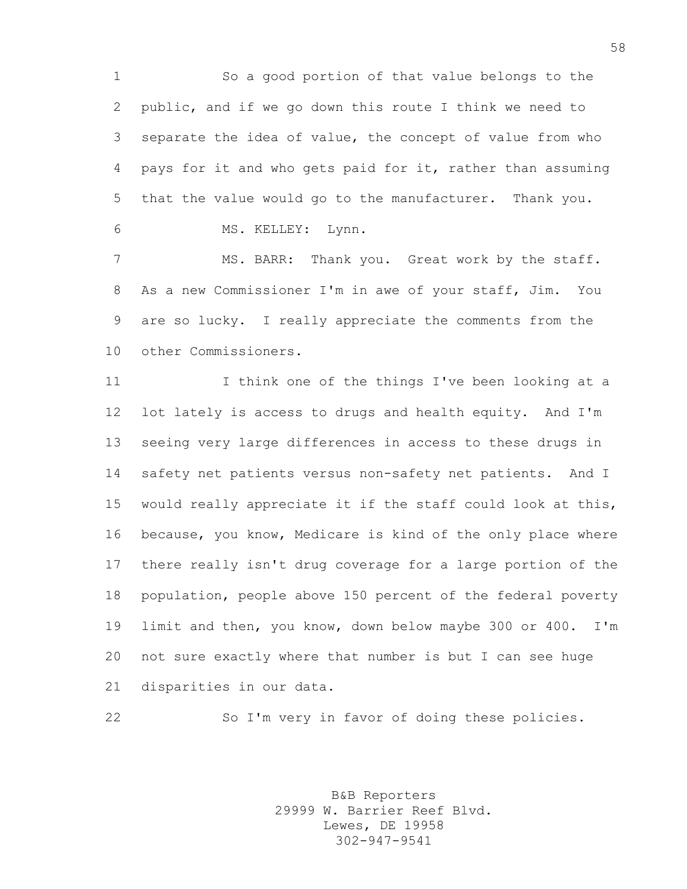So a good portion of that value belongs to the public, and if we go down this route I think we need to separate the idea of value, the concept of value from who pays for it and who gets paid for it, rather than assuming that the value would go to the manufacturer. Thank you. MS. KELLEY: Lynn.

7 MS. BARR: Thank you. Great work by the staff. As a new Commissioner I'm in awe of your staff, Jim. You are so lucky. I really appreciate the comments from the other Commissioners.

 I think one of the things I've been looking at a lot lately is access to drugs and health equity. And I'm seeing very large differences in access to these drugs in safety net patients versus non-safety net patients. And I would really appreciate it if the staff could look at this, because, you know, Medicare is kind of the only place where there really isn't drug coverage for a large portion of the population, people above 150 percent of the federal poverty limit and then, you know, down below maybe 300 or 400. I'm not sure exactly where that number is but I can see huge disparities in our data.

So I'm very in favor of doing these policies.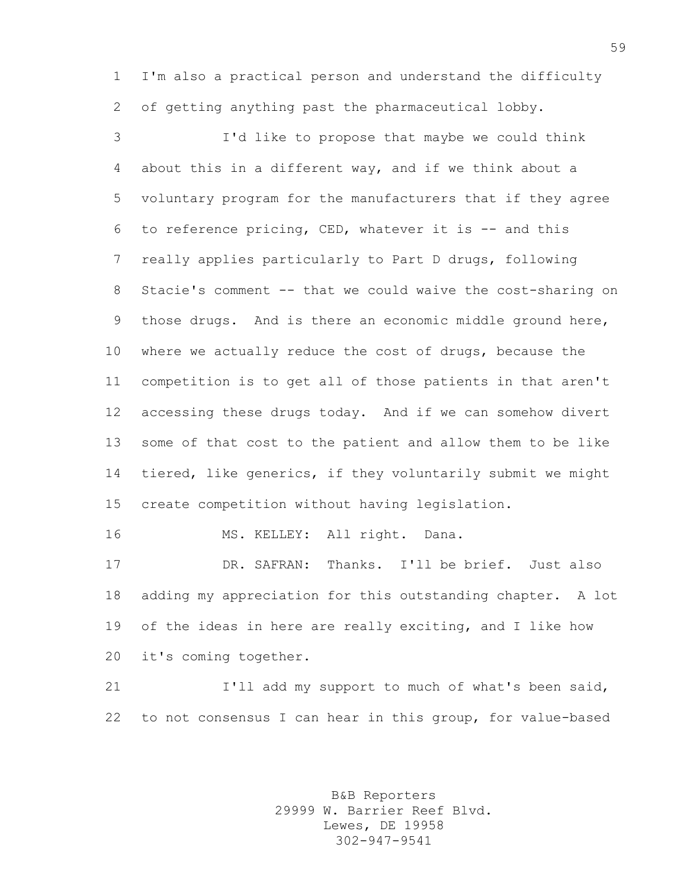I'm also a practical person and understand the difficulty of getting anything past the pharmaceutical lobby.

 I'd like to propose that maybe we could think about this in a different way, and if we think about a voluntary program for the manufacturers that if they agree to reference pricing, CED, whatever it is -- and this really applies particularly to Part D drugs, following Stacie's comment -- that we could waive the cost-sharing on those drugs. And is there an economic middle ground here, where we actually reduce the cost of drugs, because the competition is to get all of those patients in that aren't accessing these drugs today. And if we can somehow divert some of that cost to the patient and allow them to be like tiered, like generics, if they voluntarily submit we might create competition without having legislation.

16 MS. KELLEY: All right. Dana.

 DR. SAFRAN: Thanks. I'll be brief. Just also adding my appreciation for this outstanding chapter. A lot of the ideas in here are really exciting, and I like how it's coming together.

21 I'll add my support to much of what's been said, to not consensus I can hear in this group, for value-based

> B&B Reporters 29999 W. Barrier Reef Blvd. Lewes, DE 19958 302-947-9541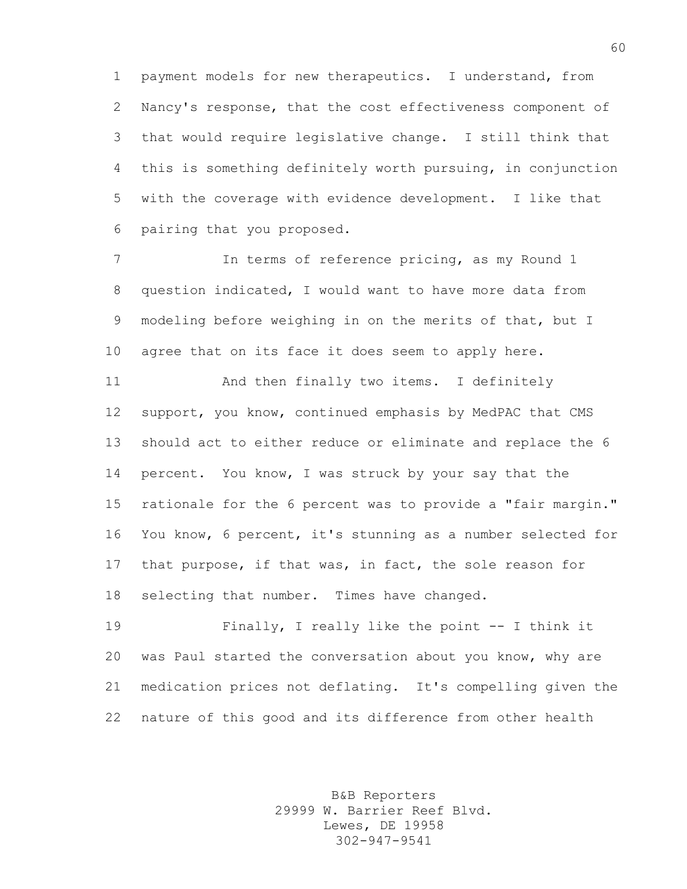payment models for new therapeutics. I understand, from Nancy's response, that the cost effectiveness component of that would require legislative change. I still think that this is something definitely worth pursuing, in conjunction with the coverage with evidence development. I like that pairing that you proposed.

 In terms of reference pricing, as my Round 1 question indicated, I would want to have more data from modeling before weighing in on the merits of that, but I agree that on its face it does seem to apply here.

 And then finally two items. I definitely support, you know, continued emphasis by MedPAC that CMS should act to either reduce or eliminate and replace the 6 14 percent. You know, I was struck by your say that the rationale for the 6 percent was to provide a "fair margin." You know, 6 percent, it's stunning as a number selected for that purpose, if that was, in fact, the sole reason for selecting that number. Times have changed.

 Finally, I really like the point -- I think it was Paul started the conversation about you know, why are medication prices not deflating. It's compelling given the nature of this good and its difference from other health

> B&B Reporters 29999 W. Barrier Reef Blvd. Lewes, DE 19958 302-947-9541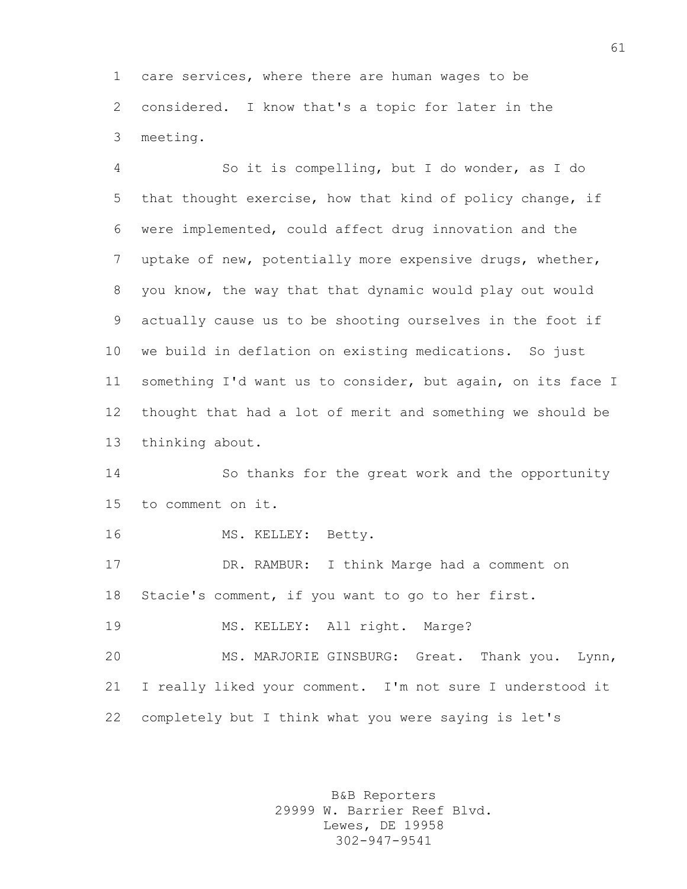care services, where there are human wages to be considered. I know that's a topic for later in the meeting.

 So it is compelling, but I do wonder, as I do that thought exercise, how that kind of policy change, if were implemented, could affect drug innovation and the uptake of new, potentially more expensive drugs, whether, you know, the way that that dynamic would play out would actually cause us to be shooting ourselves in the foot if we build in deflation on existing medications. So just something I'd want us to consider, but again, on its face I thought that had a lot of merit and something we should be thinking about.

 So thanks for the great work and the opportunity to comment on it.

MS. KELLEY: Betty.

 DR. RAMBUR: I think Marge had a comment on Stacie's comment, if you want to go to her first.

MS. KELLEY: All right. Marge?

 MS. MARJORIE GINSBURG: Great. Thank you. Lynn, I really liked your comment. I'm not sure I understood it completely but I think what you were saying is let's

> B&B Reporters 29999 W. Barrier Reef Blvd. Lewes, DE 19958 302-947-9541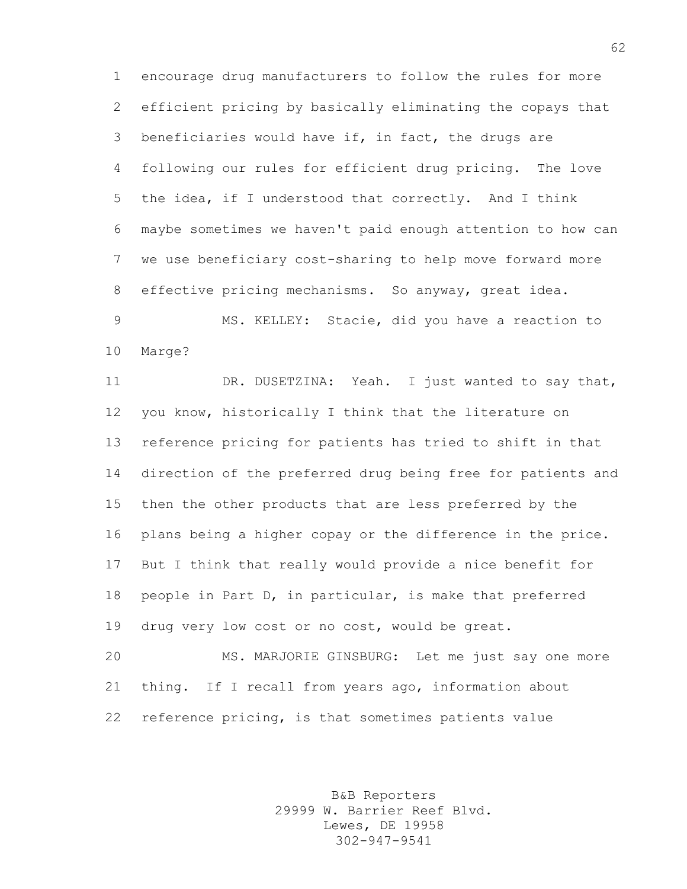encourage drug manufacturers to follow the rules for more efficient pricing by basically eliminating the copays that beneficiaries would have if, in fact, the drugs are following our rules for efficient drug pricing. The love the idea, if I understood that correctly. And I think maybe sometimes we haven't paid enough attention to how can we use beneficiary cost-sharing to help move forward more effective pricing mechanisms. So anyway, great idea.

 MS. KELLEY: Stacie, did you have a reaction to Marge?

 DR. DUSETZINA: Yeah. I just wanted to say that, you know, historically I think that the literature on reference pricing for patients has tried to shift in that direction of the preferred drug being free for patients and then the other products that are less preferred by the plans being a higher copay or the difference in the price. But I think that really would provide a nice benefit for people in Part D, in particular, is make that preferred drug very low cost or no cost, would be great.

 MS. MARJORIE GINSBURG: Let me just say one more thing. If I recall from years ago, information about reference pricing, is that sometimes patients value

> B&B Reporters 29999 W. Barrier Reef Blvd. Lewes, DE 19958 302-947-9541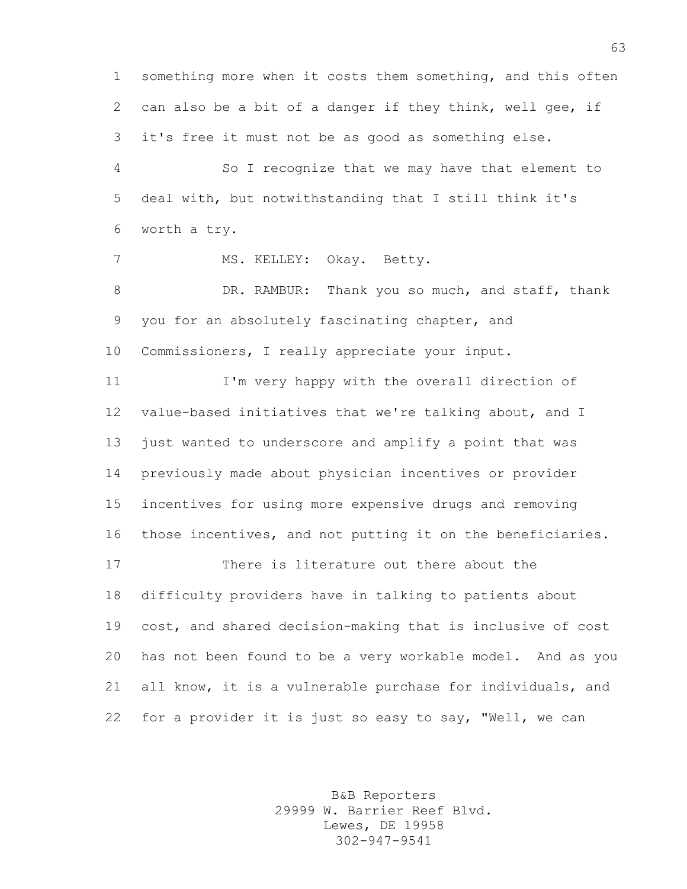something more when it costs them something, and this often can also be a bit of a danger if they think, well gee, if it's free it must not be as good as something else. So I recognize that we may have that element to deal with, but notwithstanding that I still think it's worth a try. MS. KELLEY: Okay. Betty. 8 DR. RAMBUR: Thank you so much, and staff, thank you for an absolutely fascinating chapter, and Commissioners, I really appreciate your input. I'm very happy with the overall direction of value-based initiatives that we're talking about, and I just wanted to underscore and amplify a point that was previously made about physician incentives or provider incentives for using more expensive drugs and removing those incentives, and not putting it on the beneficiaries. There is literature out there about the difficulty providers have in talking to patients about cost, and shared decision-making that is inclusive of cost

 has not been found to be a very workable model. And as you all know, it is a vulnerable purchase for individuals, and for a provider it is just so easy to say, "Well, we can

> B&B Reporters 29999 W. Barrier Reef Blvd. Lewes, DE 19958 302-947-9541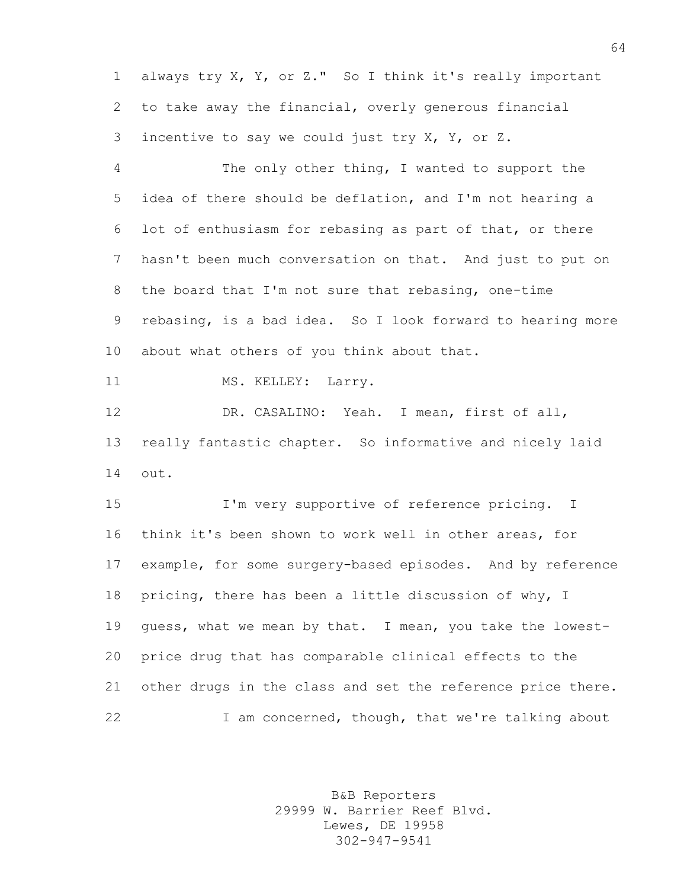always try X, Y, or Z." So I think it's really important to take away the financial, overly generous financial incentive to say we could just try X, Y, or Z.

 The only other thing, I wanted to support the idea of there should be deflation, and I'm not hearing a lot of enthusiasm for rebasing as part of that, or there hasn't been much conversation on that. And just to put on the board that I'm not sure that rebasing, one-time rebasing, is a bad idea. So I look forward to hearing more about what others of you think about that.

11 MS. KELLEY: Larry.

 DR. CASALINO: Yeah. I mean, first of all, really fantastic chapter. So informative and nicely laid out.

 I'm very supportive of reference pricing. I think it's been shown to work well in other areas, for example, for some surgery-based episodes. And by reference pricing, there has been a little discussion of why, I guess, what we mean by that. I mean, you take the lowest- price drug that has comparable clinical effects to the other drugs in the class and set the reference price there. 22 I am concerned, though, that we're talking about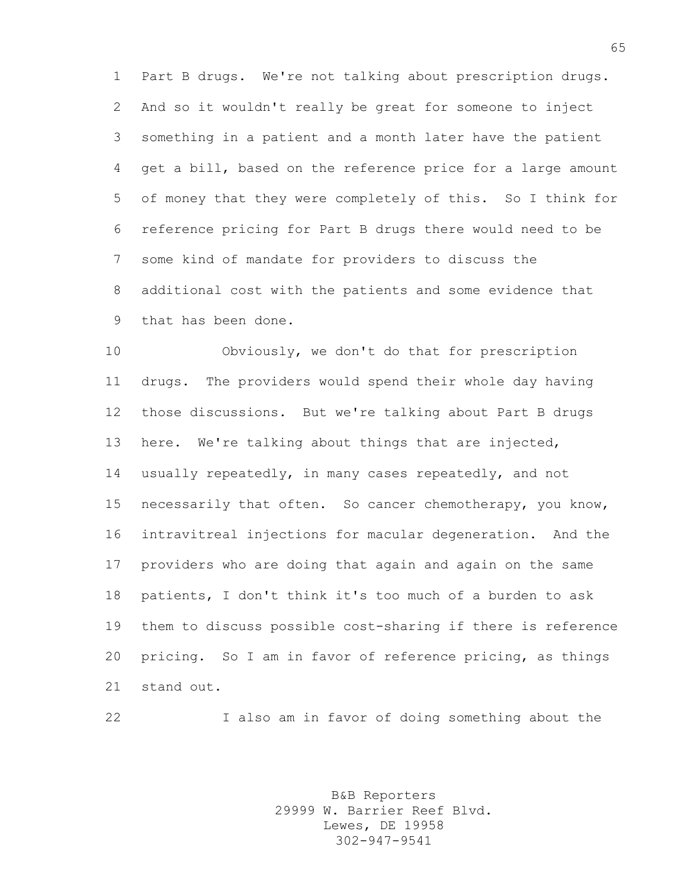Part B drugs. We're not talking about prescription drugs. And so it wouldn't really be great for someone to inject something in a patient and a month later have the patient get a bill, based on the reference price for a large amount of money that they were completely of this. So I think for reference pricing for Part B drugs there would need to be some kind of mandate for providers to discuss the additional cost with the patients and some evidence that that has been done.

 Obviously, we don't do that for prescription drugs. The providers would spend their whole day having those discussions. But we're talking about Part B drugs here. We're talking about things that are injected, usually repeatedly, in many cases repeatedly, and not necessarily that often. So cancer chemotherapy, you know, intravitreal injections for macular degeneration. And the providers who are doing that again and again on the same patients, I don't think it's too much of a burden to ask them to discuss possible cost-sharing if there is reference pricing. So I am in favor of reference pricing, as things stand out.

I also am in favor of doing something about the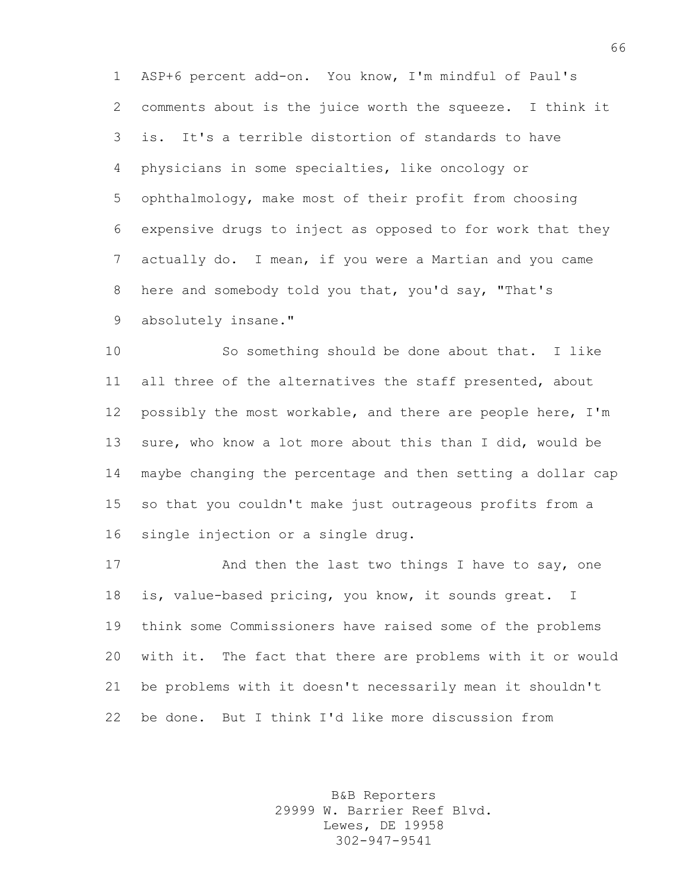ASP+6 percent add-on. You know, I'm mindful of Paul's comments about is the juice worth the squeeze. I think it is. It's a terrible distortion of standards to have physicians in some specialties, like oncology or ophthalmology, make most of their profit from choosing expensive drugs to inject as opposed to for work that they actually do. I mean, if you were a Martian and you came here and somebody told you that, you'd say, "That's absolutely insane."

 So something should be done about that. I like all three of the alternatives the staff presented, about possibly the most workable, and there are people here, I'm sure, who know a lot more about this than I did, would be maybe changing the percentage and then setting a dollar cap so that you couldn't make just outrageous profits from a single injection or a single drug.

17 And then the last two things I have to say, one is, value-based pricing, you know, it sounds great. I think some Commissioners have raised some of the problems with it. The fact that there are problems with it or would be problems with it doesn't necessarily mean it shouldn't be done. But I think I'd like more discussion from

> B&B Reporters 29999 W. Barrier Reef Blvd. Lewes, DE 19958 302-947-9541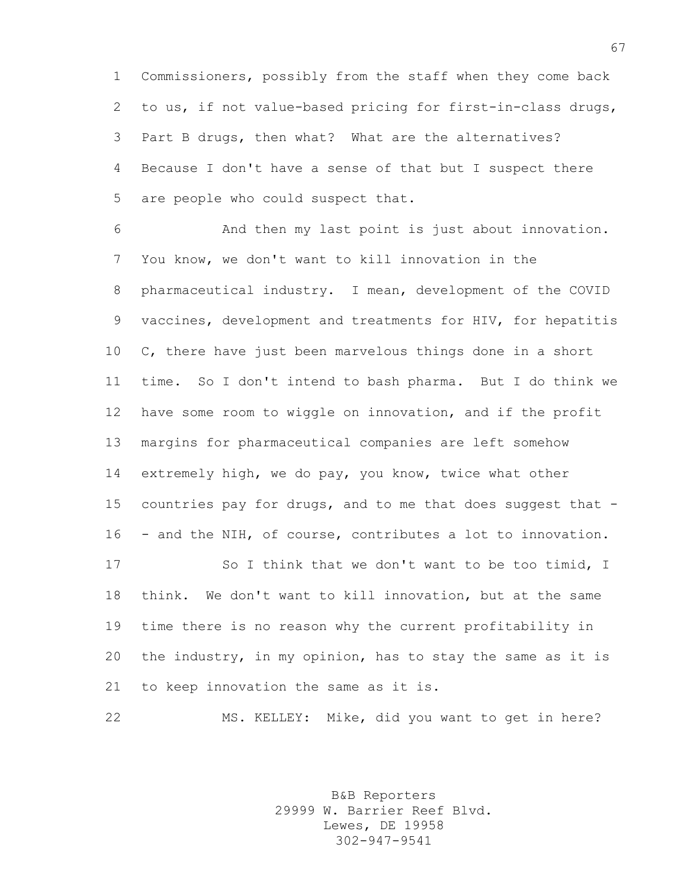Commissioners, possibly from the staff when they come back to us, if not value-based pricing for first-in-class drugs, Part B drugs, then what? What are the alternatives? Because I don't have a sense of that but I suspect there are people who could suspect that.

 And then my last point is just about innovation. You know, we don't want to kill innovation in the pharmaceutical industry. I mean, development of the COVID vaccines, development and treatments for HIV, for hepatitis C, there have just been marvelous things done in a short time. So I don't intend to bash pharma. But I do think we have some room to wiggle on innovation, and if the profit margins for pharmaceutical companies are left somehow extremely high, we do pay, you know, twice what other countries pay for drugs, and to me that does suggest that - - and the NIH, of course, contributes a lot to innovation. 17 So I think that we don't want to be too timid, I think. We don't want to kill innovation, but at the same time there is no reason why the current profitability in the industry, in my opinion, has to stay the same as it is

to keep innovation the same as it is.

MS. KELLEY: Mike, did you want to get in here?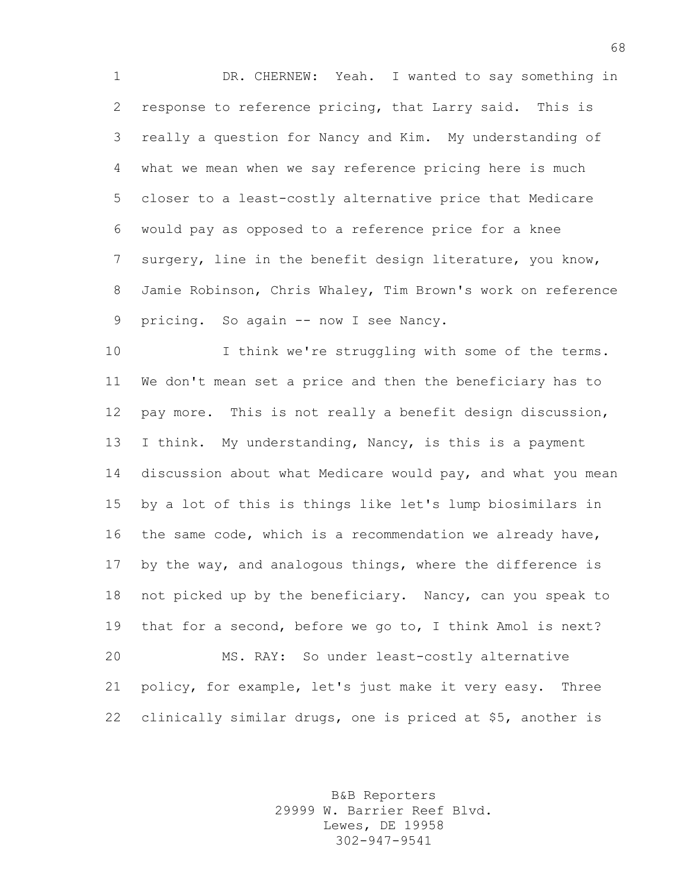DR. CHERNEW: Yeah. I wanted to say something in response to reference pricing, that Larry said. This is really a question for Nancy and Kim. My understanding of what we mean when we say reference pricing here is much closer to a least-costly alternative price that Medicare would pay as opposed to a reference price for a knee surgery, line in the benefit design literature, you know, Jamie Robinson, Chris Whaley, Tim Brown's work on reference pricing. So again -- now I see Nancy.

10 I think we're struggling with some of the terms. We don't mean set a price and then the beneficiary has to pay more. This is not really a benefit design discussion, I think. My understanding, Nancy, is this is a payment discussion about what Medicare would pay, and what you mean by a lot of this is things like let's lump biosimilars in the same code, which is a recommendation we already have, by the way, and analogous things, where the difference is not picked up by the beneficiary. Nancy, can you speak to that for a second, before we go to, I think Amol is next? MS. RAY: So under least-costly alternative policy, for example, let's just make it very easy. Three

clinically similar drugs, one is priced at \$5, another is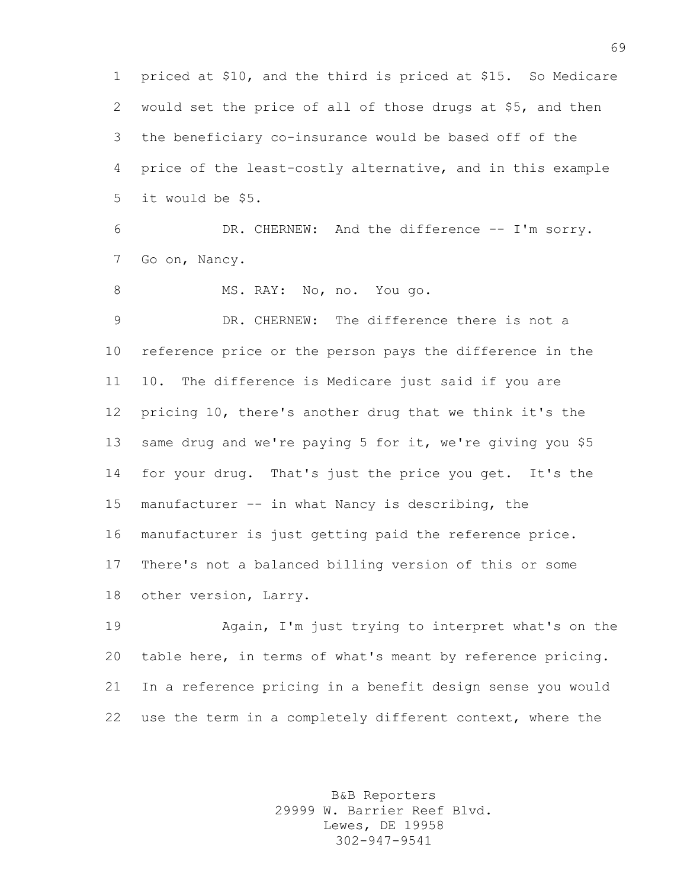priced at \$10, and the third is priced at \$15. So Medicare would set the price of all of those drugs at \$5, and then the beneficiary co-insurance would be based off of the price of the least-costly alternative, and in this example it would be \$5.

 DR. CHERNEW: And the difference -- I'm sorry. Go on, Nancy.

8 MS. RAY: No, no. You go.

 DR. CHERNEW: The difference there is not a reference price or the person pays the difference in the 10. The difference is Medicare just said if you are pricing 10, there's another drug that we think it's the same drug and we're paying 5 for it, we're giving you \$5 for your drug. That's just the price you get. It's the manufacturer -- in what Nancy is describing, the manufacturer is just getting paid the reference price. There's not a balanced billing version of this or some other version, Larry.

 Again, I'm just trying to interpret what's on the table here, in terms of what's meant by reference pricing. In a reference pricing in a benefit design sense you would use the term in a completely different context, where the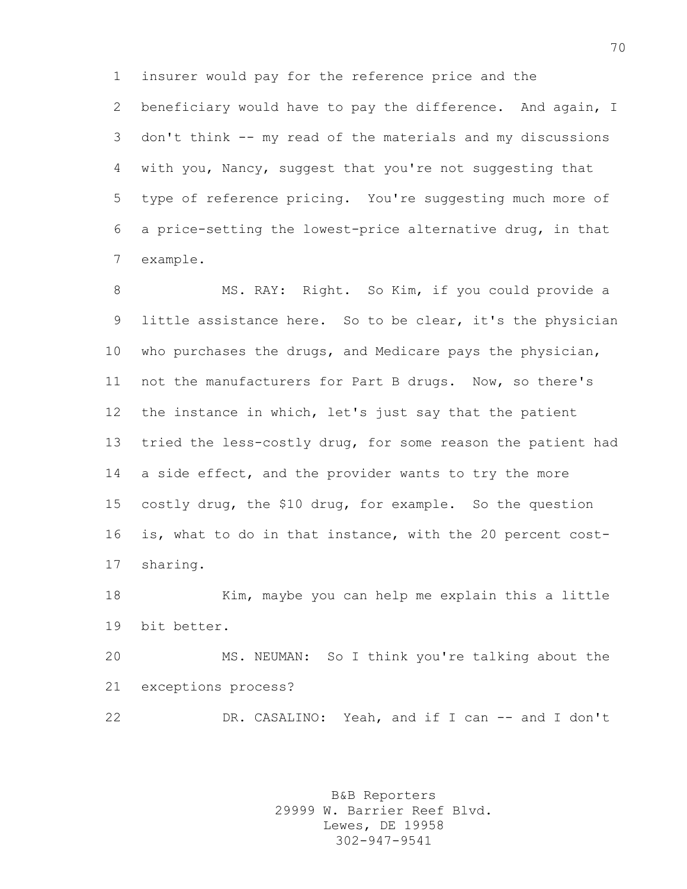insurer would pay for the reference price and the beneficiary would have to pay the difference. And again, I don't think -- my read of the materials and my discussions with you, Nancy, suggest that you're not suggesting that type of reference pricing. You're suggesting much more of a price-setting the lowest-price alternative drug, in that example.

8 MS. RAY: Right. So Kim, if you could provide a little assistance here. So to be clear, it's the physician who purchases the drugs, and Medicare pays the physician, not the manufacturers for Part B drugs. Now, so there's the instance in which, let's just say that the patient tried the less-costly drug, for some reason the patient had a side effect, and the provider wants to try the more costly drug, the \$10 drug, for example. So the question is, what to do in that instance, with the 20 percent cost-sharing.

 Kim, maybe you can help me explain this a little bit better.

 MS. NEUMAN: So I think you're talking about the exceptions process?

DR. CASALINO: Yeah, and if I can -- and I don't

B&B Reporters 29999 W. Barrier Reef Blvd. Lewes, DE 19958 302-947-9541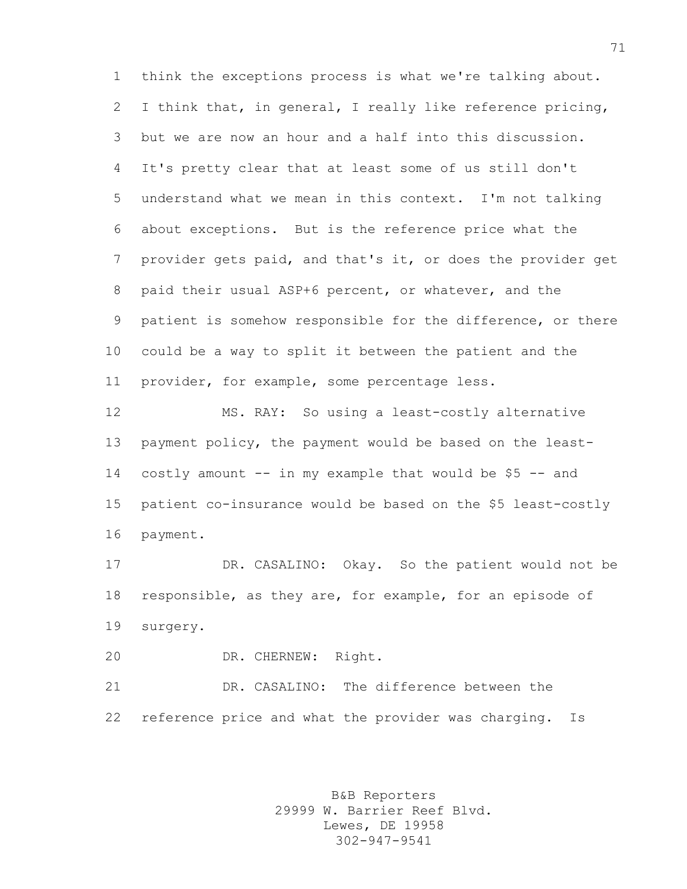think the exceptions process is what we're talking about. I think that, in general, I really like reference pricing, but we are now an hour and a half into this discussion. It's pretty clear that at least some of us still don't understand what we mean in this context. I'm not talking about exceptions. But is the reference price what the provider gets paid, and that's it, or does the provider get paid their usual ASP+6 percent, or whatever, and the patient is somehow responsible for the difference, or there could be a way to split it between the patient and the provider, for example, some percentage less.

 MS. RAY: So using a least-costly alternative payment policy, the payment would be based on the least- costly amount -- in my example that would be \$5 -- and patient co-insurance would be based on the \$5 least-costly payment.

 DR. CASALINO: Okay. So the patient would not be responsible, as they are, for example, for an episode of surgery.

DR. CHERNEW: Right.

 DR. CASALINO: The difference between the reference price and what the provider was charging. Is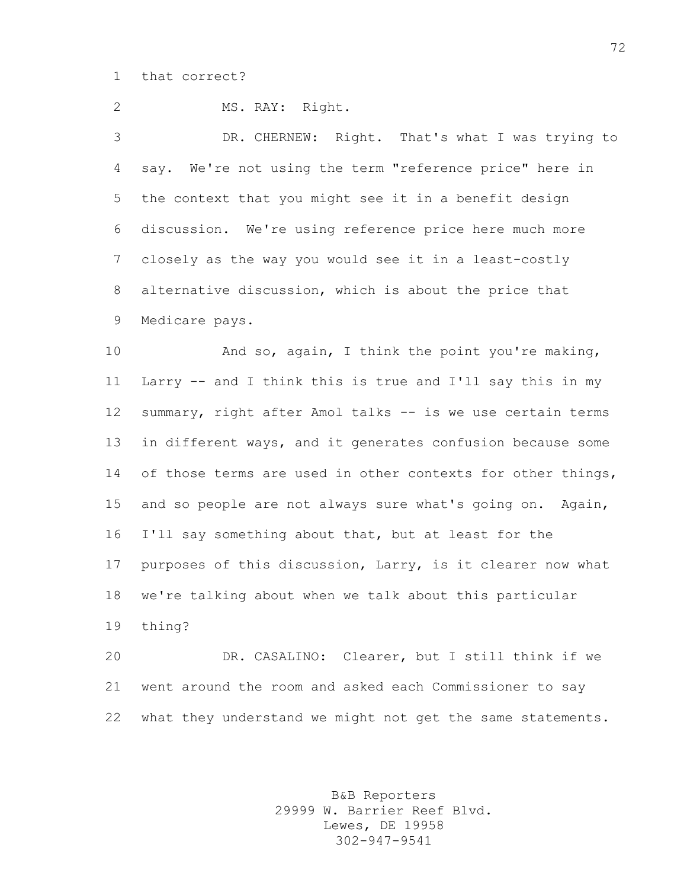that correct?

 MS. RAY: Right. DR. CHERNEW: Right. That's what I was trying to say. We're not using the term "reference price" here in the context that you might see it in a benefit design discussion. We're using reference price here much more closely as the way you would see it in a least-costly alternative discussion, which is about the price that Medicare pays.

 And so, again, I think the point you're making, Larry -- and I think this is true and I'll say this in my summary, right after Amol talks -- is we use certain terms in different ways, and it generates confusion because some 14 of those terms are used in other contexts for other things, and so people are not always sure what's going on. Again, I'll say something about that, but at least for the purposes of this discussion, Larry, is it clearer now what we're talking about when we talk about this particular thing?

 DR. CASALINO: Clearer, but I still think if we went around the room and asked each Commissioner to say what they understand we might not get the same statements.

> B&B Reporters 29999 W. Barrier Reef Blvd. Lewes, DE 19958 302-947-9541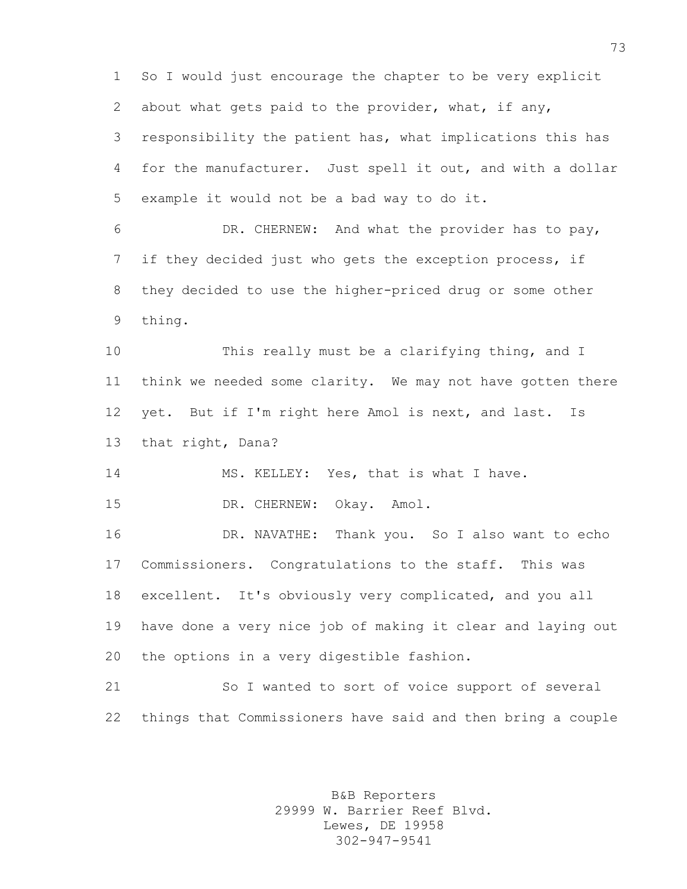So I would just encourage the chapter to be very explicit about what gets paid to the provider, what, if any, responsibility the patient has, what implications this has for the manufacturer. Just spell it out, and with a dollar example it would not be a bad way to do it. DR. CHERNEW: And what the provider has to pay, if they decided just who gets the exception process, if they decided to use the higher-priced drug or some other thing. This really must be a clarifying thing, and I think we needed some clarity. We may not have gotten there yet. But if I'm right here Amol is next, and last. Is that right, Dana? MS. KELLEY: Yes, that is what I have. DR. CHERNEW: Okay. Amol. DR. NAVATHE: Thank you. So I also want to echo Commissioners. Congratulations to the staff. This was excellent. It's obviously very complicated, and you all have done a very nice job of making it clear and laying out the options in a very digestible fashion. So I wanted to sort of voice support of several things that Commissioners have said and then bring a couple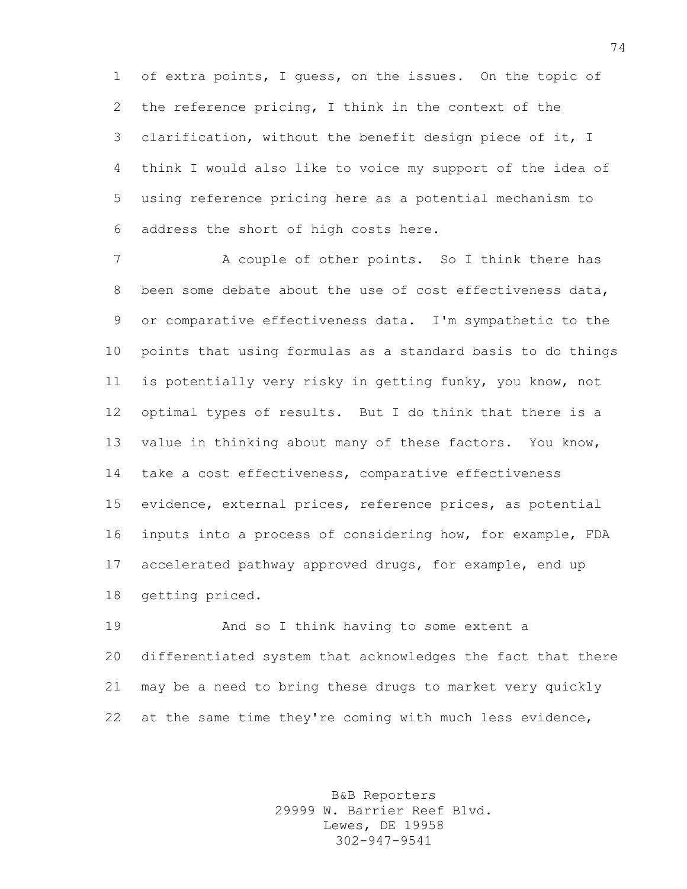of extra points, I guess, on the issues. On the topic of the reference pricing, I think in the context of the clarification, without the benefit design piece of it, I think I would also like to voice my support of the idea of using reference pricing here as a potential mechanism to address the short of high costs here.

7 A couple of other points. So I think there has been some debate about the use of cost effectiveness data, or comparative effectiveness data. I'm sympathetic to the points that using formulas as a standard basis to do things is potentially very risky in getting funky, you know, not optimal types of results. But I do think that there is a value in thinking about many of these factors. You know, take a cost effectiveness, comparative effectiveness evidence, external prices, reference prices, as potential inputs into a process of considering how, for example, FDA accelerated pathway approved drugs, for example, end up getting priced.

 And so I think having to some extent a differentiated system that acknowledges the fact that there may be a need to bring these drugs to market very quickly at the same time they're coming with much less evidence,

> B&B Reporters 29999 W. Barrier Reef Blvd. Lewes, DE 19958 302-947-9541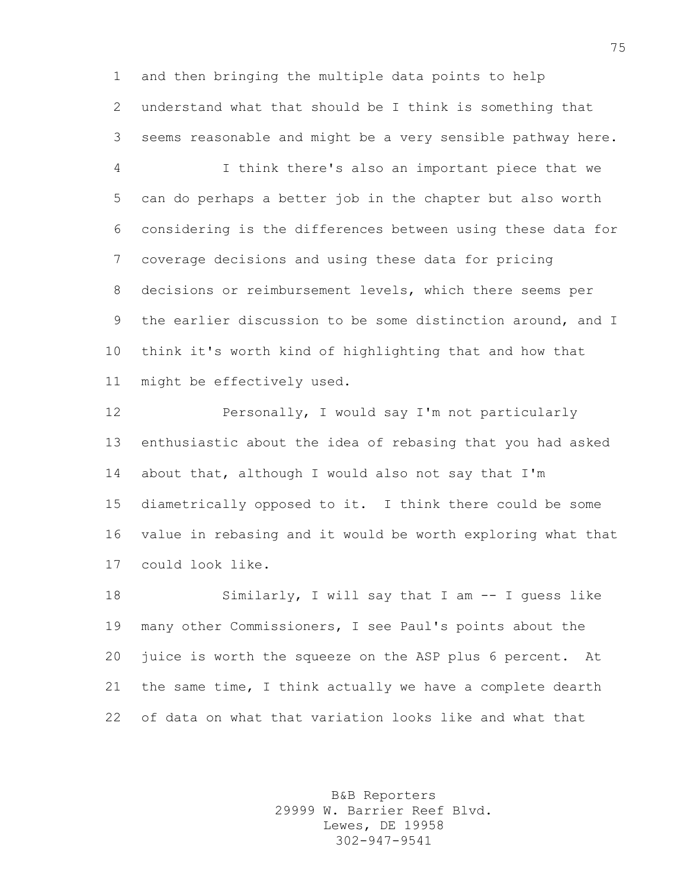and then bringing the multiple data points to help understand what that should be I think is something that seems reasonable and might be a very sensible pathway here.

 I think there's also an important piece that we can do perhaps a better job in the chapter but also worth considering is the differences between using these data for coverage decisions and using these data for pricing decisions or reimbursement levels, which there seems per the earlier discussion to be some distinction around, and I think it's worth kind of highlighting that and how that might be effectively used.

 Personally, I would say I'm not particularly enthusiastic about the idea of rebasing that you had asked about that, although I would also not say that I'm diametrically opposed to it. I think there could be some value in rebasing and it would be worth exploring what that could look like.

 Similarly, I will say that I am -- I guess like many other Commissioners, I see Paul's points about the juice is worth the squeeze on the ASP plus 6 percent. At the same time, I think actually we have a complete dearth of data on what that variation looks like and what that

> B&B Reporters 29999 W. Barrier Reef Blvd. Lewes, DE 19958 302-947-9541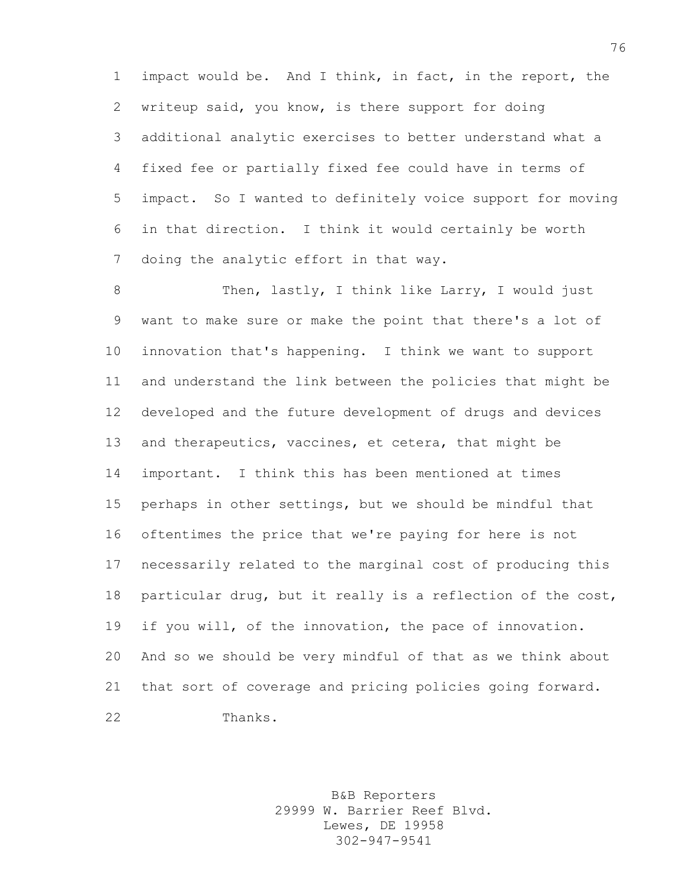impact would be. And I think, in fact, in the report, the writeup said, you know, is there support for doing additional analytic exercises to better understand what a fixed fee or partially fixed fee could have in terms of impact. So I wanted to definitely voice support for moving in that direction. I think it would certainly be worth doing the analytic effort in that way.

8 Then, lastly, I think like Larry, I would just want to make sure or make the point that there's a lot of innovation that's happening. I think we want to support and understand the link between the policies that might be developed and the future development of drugs and devices and therapeutics, vaccines, et cetera, that might be important. I think this has been mentioned at times perhaps in other settings, but we should be mindful that oftentimes the price that we're paying for here is not necessarily related to the marginal cost of producing this particular drug, but it really is a reflection of the cost, if you will, of the innovation, the pace of innovation. And so we should be very mindful of that as we think about that sort of coverage and pricing policies going forward. Thanks.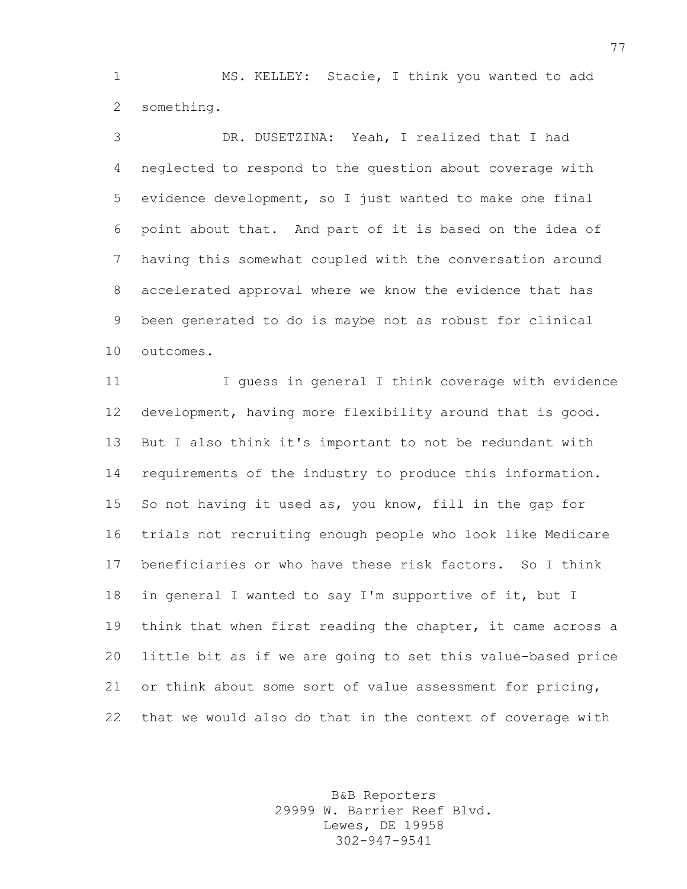MS. KELLEY: Stacie, I think you wanted to add something.

 DR. DUSETZINA: Yeah, I realized that I had neglected to respond to the question about coverage with evidence development, so I just wanted to make one final point about that. And part of it is based on the idea of having this somewhat coupled with the conversation around accelerated approval where we know the evidence that has been generated to do is maybe not as robust for clinical outcomes.

 I guess in general I think coverage with evidence development, having more flexibility around that is good. But I also think it's important to not be redundant with requirements of the industry to produce this information. So not having it used as, you know, fill in the gap for trials not recruiting enough people who look like Medicare beneficiaries or who have these risk factors. So I think in general I wanted to say I'm supportive of it, but I think that when first reading the chapter, it came across a little bit as if we are going to set this value-based price or think about some sort of value assessment for pricing, that we would also do that in the context of coverage with

> B&B Reporters 29999 W. Barrier Reef Blvd. Lewes, DE 19958 302-947-9541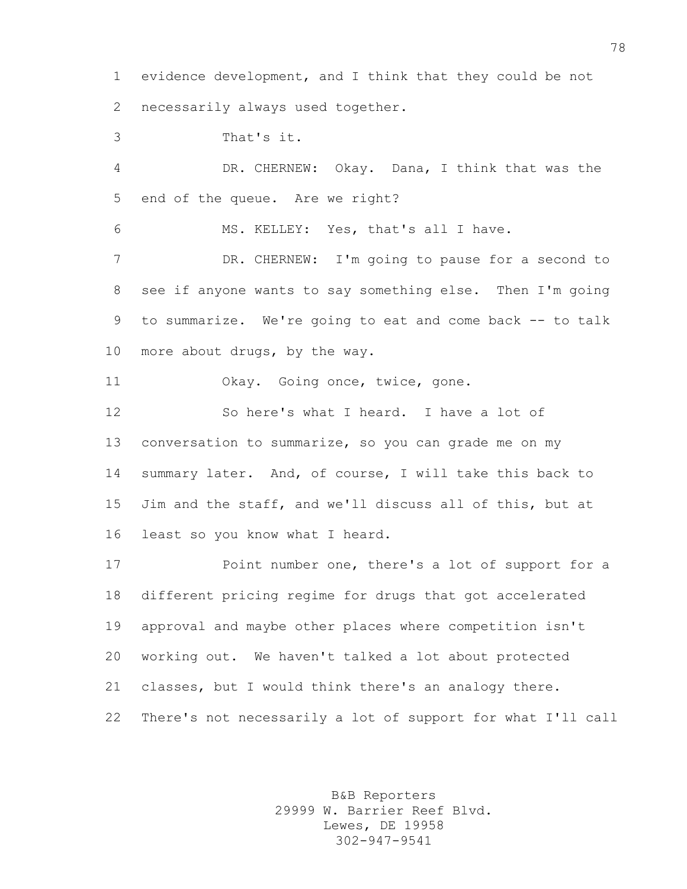evidence development, and I think that they could be not necessarily always used together.

That's it.

 DR. CHERNEW: Okay. Dana, I think that was the end of the queue. Are we right?

MS. KELLEY: Yes, that's all I have.

 DR. CHERNEW: I'm going to pause for a second to see if anyone wants to say something else. Then I'm going to summarize. We're going to eat and come back -- to talk more about drugs, by the way.

11 Okay. Going once, twice, gone.

12 So here's what I heard. I have a lot of conversation to summarize, so you can grade me on my summary later. And, of course, I will take this back to Jim and the staff, and we'll discuss all of this, but at least so you know what I heard.

 Point number one, there's a lot of support for a different pricing regime for drugs that got accelerated approval and maybe other places where competition isn't working out. We haven't talked a lot about protected classes, but I would think there's an analogy there. There's not necessarily a lot of support for what I'll call

> B&B Reporters 29999 W. Barrier Reef Blvd. Lewes, DE 19958 302-947-9541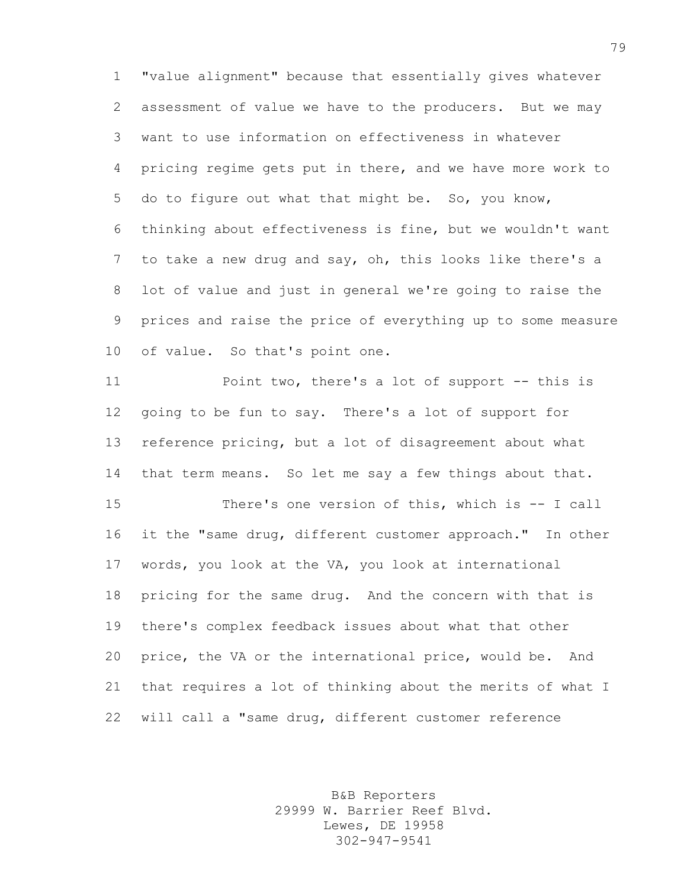"value alignment" because that essentially gives whatever assessment of value we have to the producers. But we may want to use information on effectiveness in whatever pricing regime gets put in there, and we have more work to do to figure out what that might be. So, you know, thinking about effectiveness is fine, but we wouldn't want to take a new drug and say, oh, this looks like there's a lot of value and just in general we're going to raise the prices and raise the price of everything up to some measure of value. So that's point one.

 Point two, there's a lot of support -- this is going to be fun to say. There's a lot of support for reference pricing, but a lot of disagreement about what that term means. So let me say a few things about that.

 There's one version of this, which is -- I call it the "same drug, different customer approach." In other words, you look at the VA, you look at international pricing for the same drug. And the concern with that is there's complex feedback issues about what that other price, the VA or the international price, would be. And that requires a lot of thinking about the merits of what I will call a "same drug, different customer reference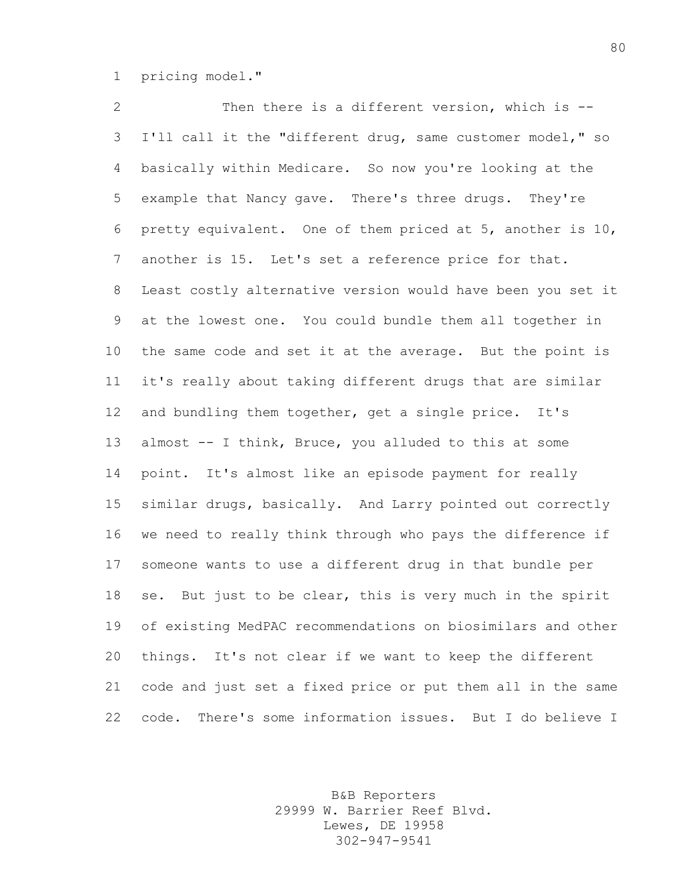pricing model."

 Then there is a different version, which is -- I'll call it the "different drug, same customer model," so basically within Medicare. So now you're looking at the example that Nancy gave. There's three drugs. They're pretty equivalent. One of them priced at 5, another is 10, another is 15. Let's set a reference price for that. Least costly alternative version would have been you set it at the lowest one. You could bundle them all together in the same code and set it at the average. But the point is it's really about taking different drugs that are similar and bundling them together, get a single price. It's almost -- I think, Bruce, you alluded to this at some point. It's almost like an episode payment for really similar drugs, basically. And Larry pointed out correctly we need to really think through who pays the difference if someone wants to use a different drug in that bundle per se. But just to be clear, this is very much in the spirit of existing MedPAC recommendations on biosimilars and other things. It's not clear if we want to keep the different code and just set a fixed price or put them all in the same code. There's some information issues. But I do believe I

> B&B Reporters 29999 W. Barrier Reef Blvd. Lewes, DE 19958 302-947-9541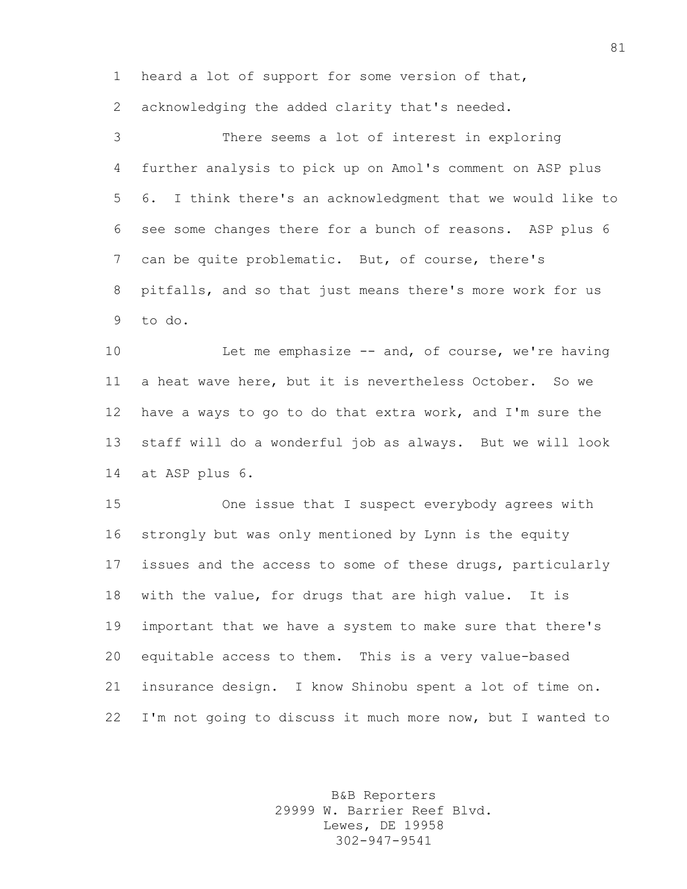heard a lot of support for some version of that,

acknowledging the added clarity that's needed.

 There seems a lot of interest in exploring further analysis to pick up on Amol's comment on ASP plus 6. I think there's an acknowledgment that we would like to see some changes there for a bunch of reasons. ASP plus 6 can be quite problematic. But, of course, there's pitfalls, and so that just means there's more work for us to do.

 Let me emphasize -- and, of course, we're having a heat wave here, but it is nevertheless October. So we have a ways to go to do that extra work, and I'm sure the staff will do a wonderful job as always. But we will look at ASP plus 6.

 One issue that I suspect everybody agrees with strongly but was only mentioned by Lynn is the equity issues and the access to some of these drugs, particularly with the value, for drugs that are high value. It is important that we have a system to make sure that there's equitable access to them. This is a very value-based insurance design. I know Shinobu spent a lot of time on. I'm not going to discuss it much more now, but I wanted to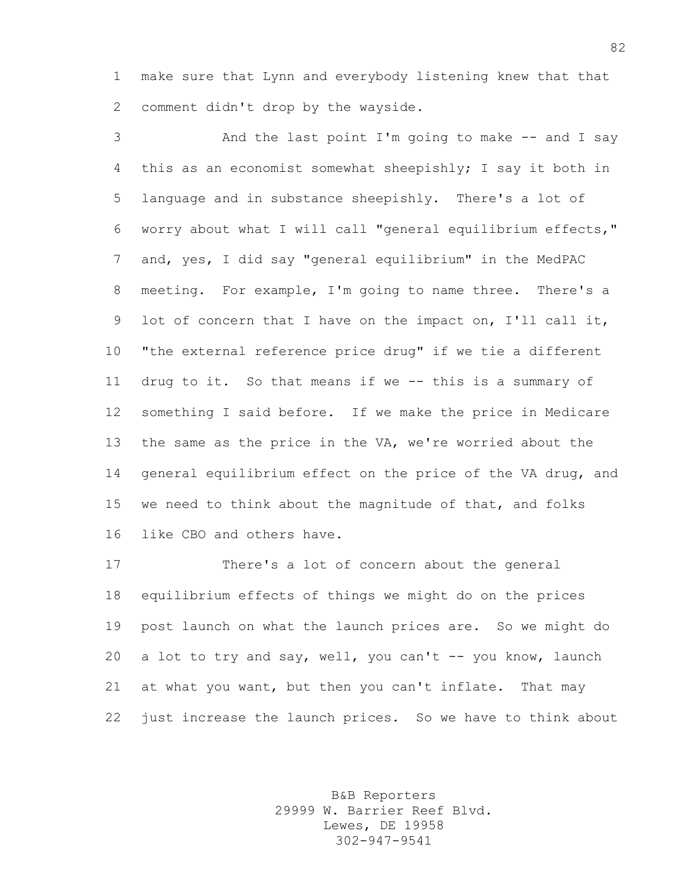make sure that Lynn and everybody listening knew that that comment didn't drop by the wayside.

 And the last point I'm going to make -- and I say this as an economist somewhat sheepishly; I say it both in language and in substance sheepishly. There's a lot of worry about what I will call "general equilibrium effects," and, yes, I did say "general equilibrium" in the MedPAC meeting. For example, I'm going to name three. There's a lot of concern that I have on the impact on, I'll call it, "the external reference price drug" if we tie a different drug to it. So that means if we -- this is a summary of something I said before. If we make the price in Medicare the same as the price in the VA, we're worried about the general equilibrium effect on the price of the VA drug, and we need to think about the magnitude of that, and folks like CBO and others have.

 There's a lot of concern about the general equilibrium effects of things we might do on the prices post launch on what the launch prices are. So we might do a lot to try and say, well, you can't -- you know, launch at what you want, but then you can't inflate. That may just increase the launch prices. So we have to think about

> B&B Reporters 29999 W. Barrier Reef Blvd. Lewes, DE 19958 302-947-9541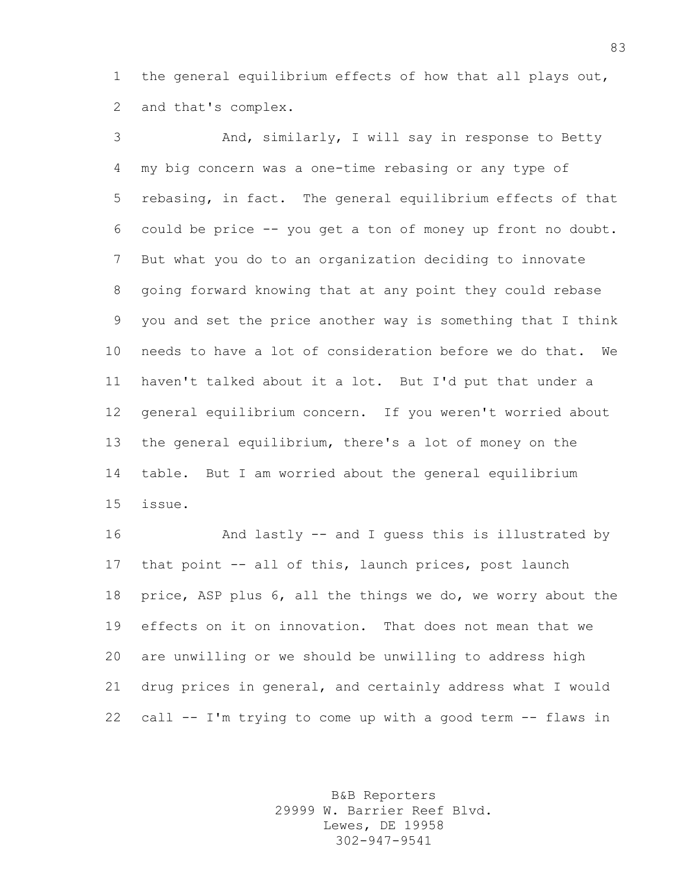the general equilibrium effects of how that all plays out, and that's complex.

 And, similarly, I will say in response to Betty my big concern was a one-time rebasing or any type of rebasing, in fact. The general equilibrium effects of that could be price -- you get a ton of money up front no doubt. But what you do to an organization deciding to innovate going forward knowing that at any point they could rebase you and set the price another way is something that I think needs to have a lot of consideration before we do that. We haven't talked about it a lot. But I'd put that under a general equilibrium concern. If you weren't worried about the general equilibrium, there's a lot of money on the table. But I am worried about the general equilibrium issue.

 And lastly -- and I guess this is illustrated by that point -- all of this, launch prices, post launch price, ASP plus 6, all the things we do, we worry about the effects on it on innovation. That does not mean that we are unwilling or we should be unwilling to address high drug prices in general, and certainly address what I would call -- I'm trying to come up with a good term -- flaws in

> B&B Reporters 29999 W. Barrier Reef Blvd. Lewes, DE 19958 302-947-9541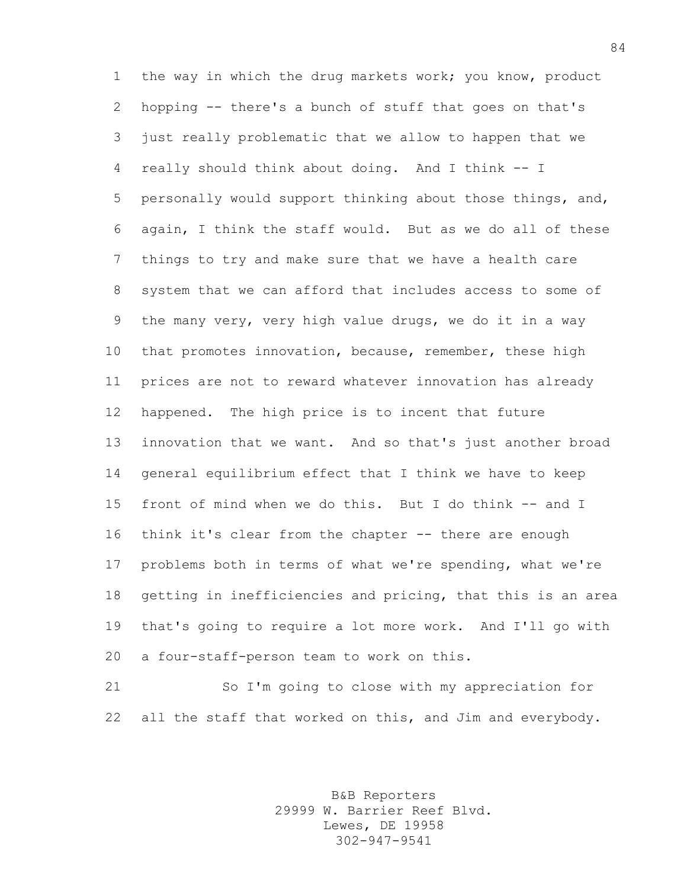the way in which the drug markets work; you know, product hopping -- there's a bunch of stuff that goes on that's just really problematic that we allow to happen that we really should think about doing. And I think -- I personally would support thinking about those things, and, again, I think the staff would. But as we do all of these things to try and make sure that we have a health care system that we can afford that includes access to some of the many very, very high value drugs, we do it in a way that promotes innovation, because, remember, these high prices are not to reward whatever innovation has already happened. The high price is to incent that future innovation that we want. And so that's just another broad general equilibrium effect that I think we have to keep front of mind when we do this. But I do think -- and I think it's clear from the chapter -- there are enough problems both in terms of what we're spending, what we're getting in inefficiencies and pricing, that this is an area that's going to require a lot more work. And I'll go with a four-staff-person team to work on this.

 So I'm going to close with my appreciation for all the staff that worked on this, and Jim and everybody.

> B&B Reporters 29999 W. Barrier Reef Blvd. Lewes, DE 19958 302-947-9541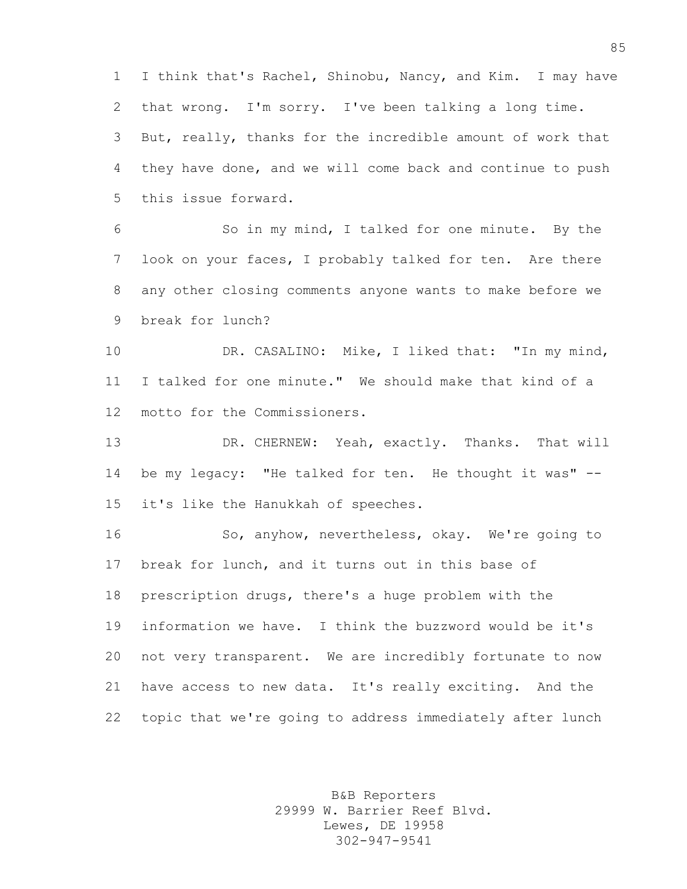I think that's Rachel, Shinobu, Nancy, and Kim. I may have that wrong. I'm sorry. I've been talking a long time. But, really, thanks for the incredible amount of work that they have done, and we will come back and continue to push this issue forward.

 So in my mind, I talked for one minute. By the look on your faces, I probably talked for ten. Are there any other closing comments anyone wants to make before we break for lunch?

 DR. CASALINO: Mike, I liked that: "In my mind, I talked for one minute." We should make that kind of a motto for the Commissioners.

 DR. CHERNEW: Yeah, exactly. Thanks. That will be my legacy: "He talked for ten. He thought it was" -- it's like the Hanukkah of speeches.

 So, anyhow, nevertheless, okay. We're going to break for lunch, and it turns out in this base of prescription drugs, there's a huge problem with the information we have. I think the buzzword would be it's not very transparent. We are incredibly fortunate to now have access to new data. It's really exciting. And the topic that we're going to address immediately after lunch

> B&B Reporters 29999 W. Barrier Reef Blvd. Lewes, DE 19958 302-947-9541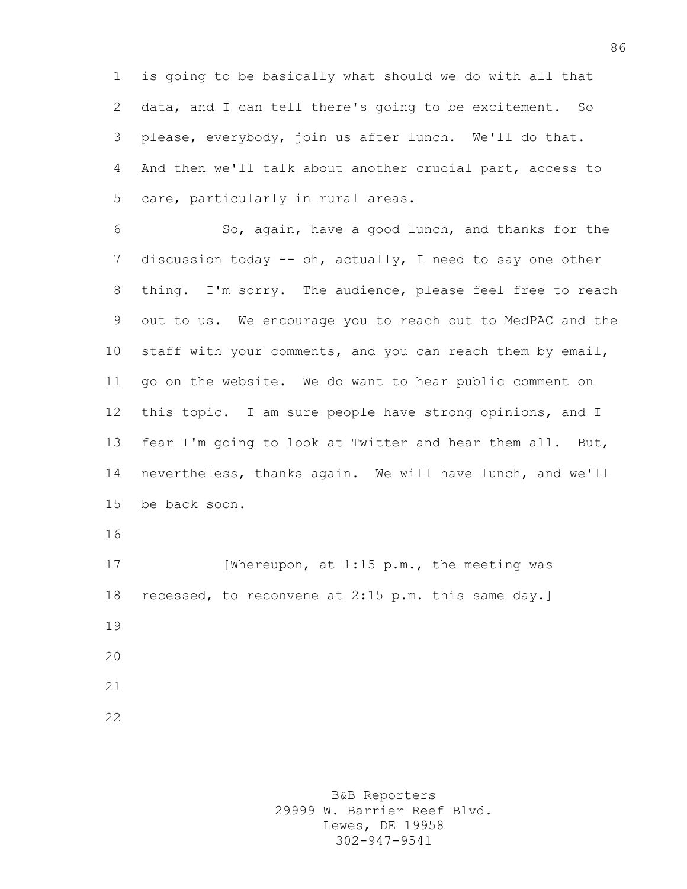is going to be basically what should we do with all that data, and I can tell there's going to be excitement. So please, everybody, join us after lunch. We'll do that. And then we'll talk about another crucial part, access to care, particularly in rural areas.

 So, again, have a good lunch, and thanks for the discussion today -- oh, actually, I need to say one other thing. I'm sorry. The audience, please feel free to reach out to us. We encourage you to reach out to MedPAC and the staff with your comments, and you can reach them by email, go on the website. We do want to hear public comment on this topic. I am sure people have strong opinions, and I fear I'm going to look at Twitter and hear them all. But, nevertheless, thanks again. We will have lunch, and we'll be back soon.

17 [Whereupon, at 1:15 p.m., the meeting was recessed, to reconvene at 2:15 p.m. this same day.]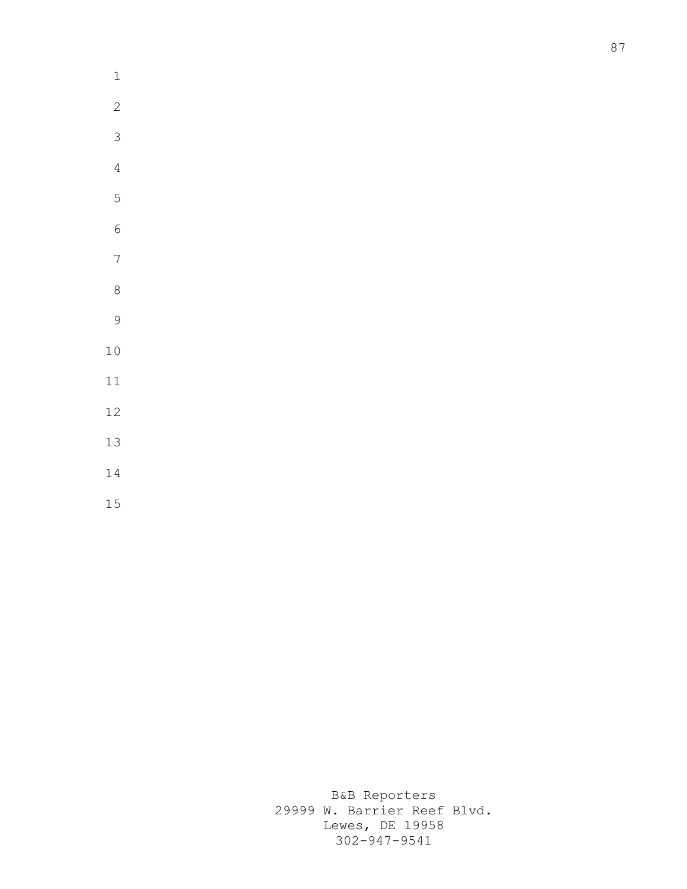- 
- 
- 
- 
- 
- 
- 
- 
- 
- 
- 
- 
- 
- 
- 
-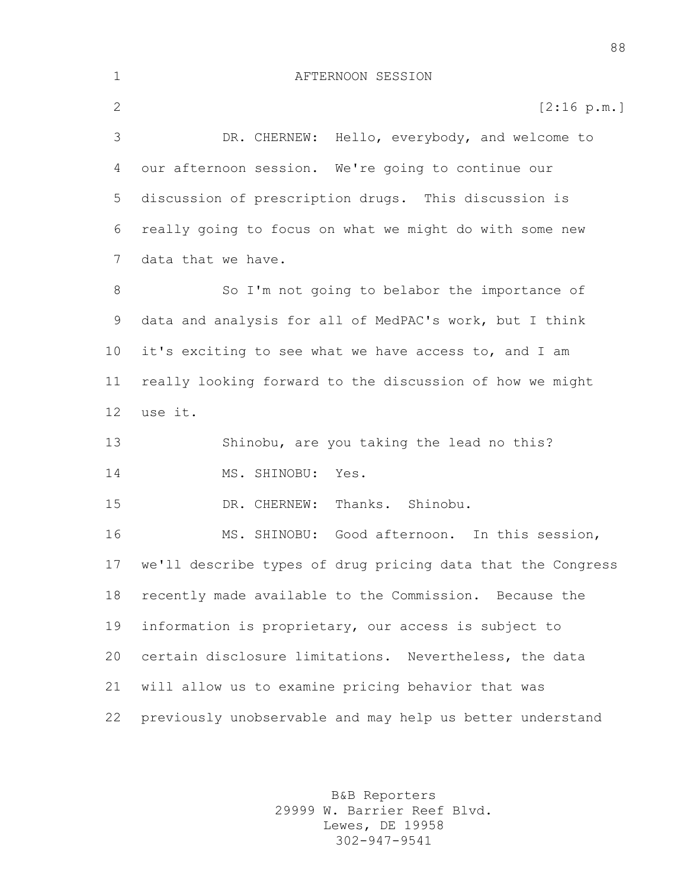| $\mathbf 1$     | AFTERNOON SESSION                                           |
|-----------------|-------------------------------------------------------------|
| 2               | [2:16 p.m.]                                                 |
| 3               | DR. CHERNEW: Hello, everybody, and welcome to               |
| 4               | our afternoon session. We're going to continue our          |
| 5               | discussion of prescription drugs. This discussion is        |
| 6               | really going to focus on what we might do with some new     |
| $7\phantom{.0}$ | data that we have.                                          |
| 8               | So I'm not going to belabor the importance of               |
| 9               | data and analysis for all of MedPAC's work, but I think     |
| 10              | it's exciting to see what we have access to, and I am       |
| 11              | really looking forward to the discussion of how we might    |
| 12              | use it.                                                     |
| 13              | Shinobu, are you taking the lead no this?                   |
| 14              | MS. SHINOBU:<br>Yes.                                        |
| 15              | Thanks. Shinobu.<br>DR. CHERNEW:                            |
| 16              | MS. SHINOBU: Good afternoon. In this session,               |
| 17              | we'll describe types of drug pricing data that the Congress |
| 18              | recently made available to the Commission. Because the      |
| 19              | information is proprietary, our access is subject to        |
| 20              | certain disclosure limitations. Nevertheless, the data      |
| 21              | will allow us to examine pricing behavior that was          |
| 22              | previously unobservable and may help us better understand   |

B&B Reporters 29999 W. Barrier Reef Blvd. Lewes, DE 19958 302-947-9541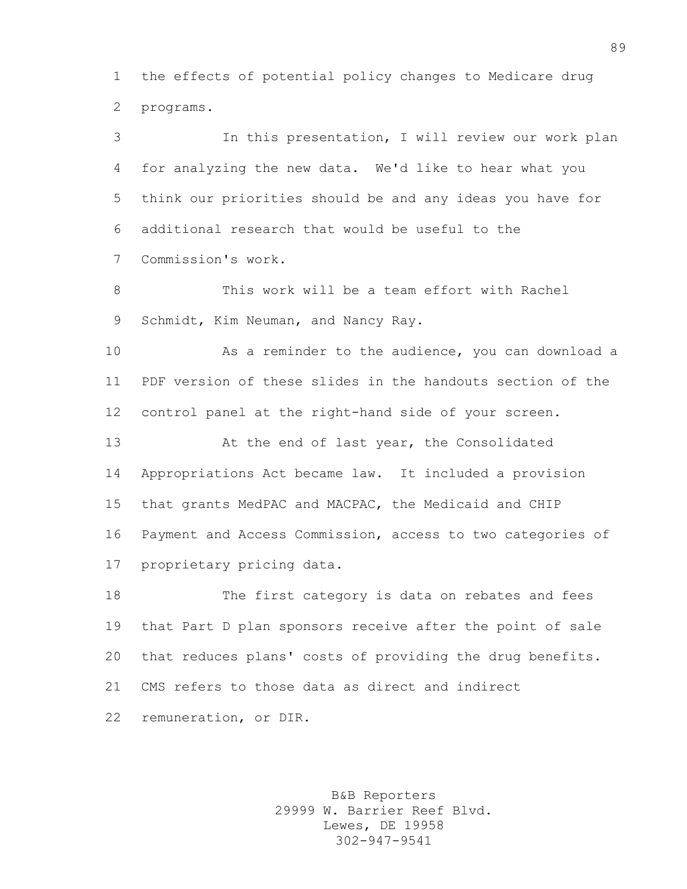the effects of potential policy changes to Medicare drug programs.

 In this presentation, I will review our work plan for analyzing the new data. We'd like to hear what you think our priorities should be and any ideas you have for additional research that would be useful to the Commission's work.

 This work will be a team effort with Rachel 9 Schmidt, Kim Neuman, and Nancy Ray.

 As a reminder to the audience, you can download a PDF version of these slides in the handouts section of the control panel at the right-hand side of your screen.

13 At the end of last year, the Consolidated Appropriations Act became law. It included a provision that grants MedPAC and MACPAC, the Medicaid and CHIP Payment and Access Commission, access to two categories of proprietary pricing data.

 The first category is data on rebates and fees that Part D plan sponsors receive after the point of sale that reduces plans' costs of providing the drug benefits. CMS refers to those data as direct and indirect remuneration, or DIR.

> B&B Reporters 29999 W. Barrier Reef Blvd. Lewes, DE 19958 302-947-9541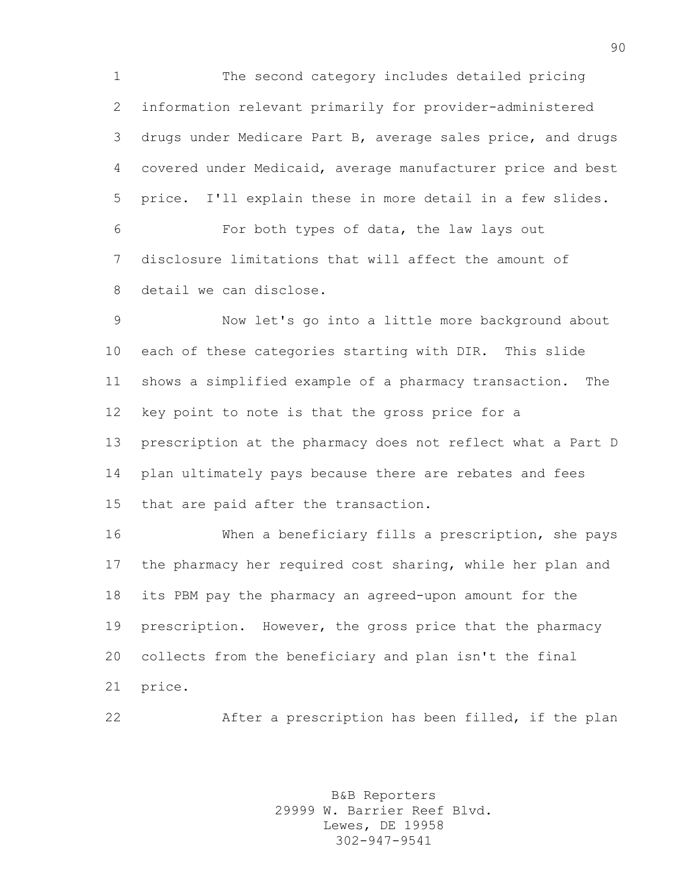The second category includes detailed pricing information relevant primarily for provider-administered drugs under Medicare Part B, average sales price, and drugs covered under Medicaid, average manufacturer price and best price. I'll explain these in more detail in a few slides. For both types of data, the law lays out disclosure limitations that will affect the amount of detail we can disclose.

 Now let's go into a little more background about each of these categories starting with DIR. This slide shows a simplified example of a pharmacy transaction. The key point to note is that the gross price for a prescription at the pharmacy does not reflect what a Part D plan ultimately pays because there are rebates and fees that are paid after the transaction.

 When a beneficiary fills a prescription, she pays the pharmacy her required cost sharing, while her plan and its PBM pay the pharmacy an agreed-upon amount for the prescription. However, the gross price that the pharmacy collects from the beneficiary and plan isn't the final price.

After a prescription has been filled, if the plan

B&B Reporters 29999 W. Barrier Reef Blvd. Lewes, DE 19958 302-947-9541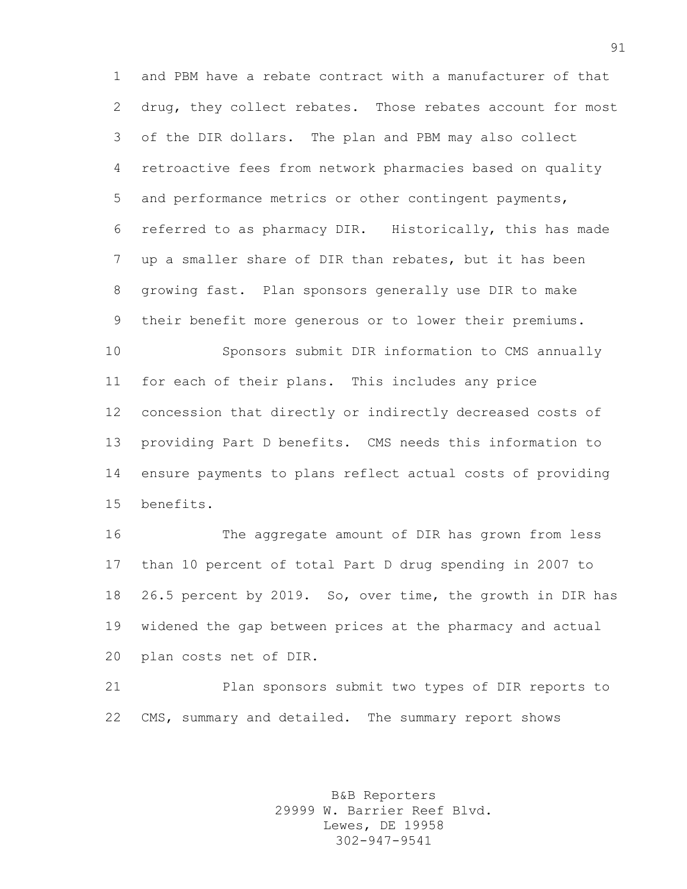and PBM have a rebate contract with a manufacturer of that drug, they collect rebates. Those rebates account for most of the DIR dollars. The plan and PBM may also collect retroactive fees from network pharmacies based on quality and performance metrics or other contingent payments, referred to as pharmacy DIR. Historically, this has made up a smaller share of DIR than rebates, but it has been growing fast. Plan sponsors generally use DIR to make their benefit more generous or to lower their premiums.

 Sponsors submit DIR information to CMS annually for each of their plans. This includes any price concession that directly or indirectly decreased costs of providing Part D benefits. CMS needs this information to ensure payments to plans reflect actual costs of providing benefits.

 The aggregate amount of DIR has grown from less than 10 percent of total Part D drug spending in 2007 to 26.5 percent by 2019. So, over time, the growth in DIR has widened the gap between prices at the pharmacy and actual plan costs net of DIR.

 Plan sponsors submit two types of DIR reports to CMS, summary and detailed. The summary report shows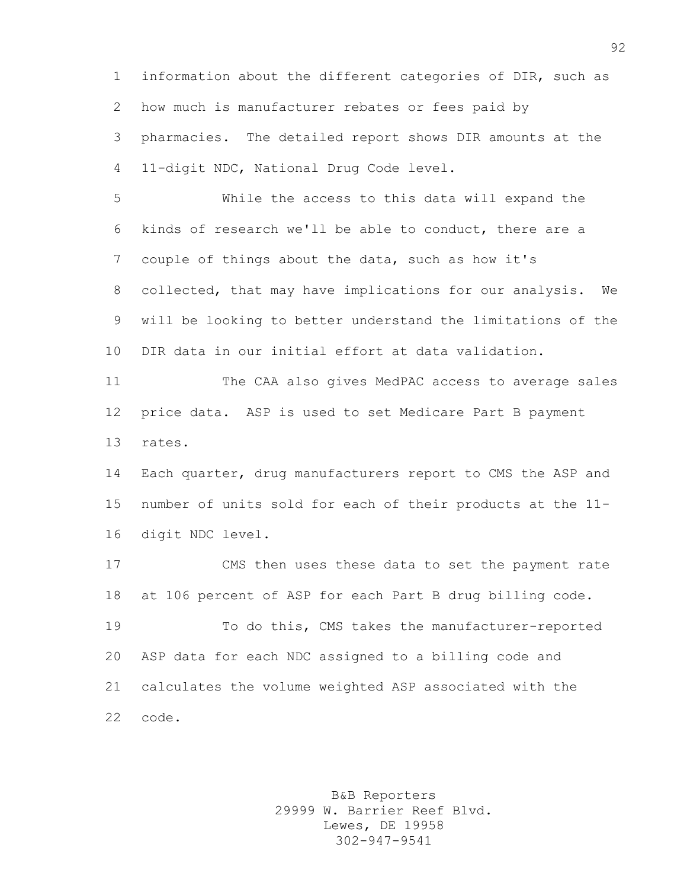information about the different categories of DIR, such as how much is manufacturer rebates or fees paid by pharmacies. The detailed report shows DIR amounts at the 11-digit NDC, National Drug Code level.

 While the access to this data will expand the kinds of research we'll be able to conduct, there are a couple of things about the data, such as how it's collected, that may have implications for our analysis. We will be looking to better understand the limitations of the DIR data in our initial effort at data validation.

 The CAA also gives MedPAC access to average sales price data. ASP is used to set Medicare Part B payment rates.

 Each quarter, drug manufacturers report to CMS the ASP and number of units sold for each of their products at the 11- digit NDC level.

 CMS then uses these data to set the payment rate at 106 percent of ASP for each Part B drug billing code.

 To do this, CMS takes the manufacturer-reported ASP data for each NDC assigned to a billing code and calculates the volume weighted ASP associated with the code.

> B&B Reporters 29999 W. Barrier Reef Blvd. Lewes, DE 19958 302-947-9541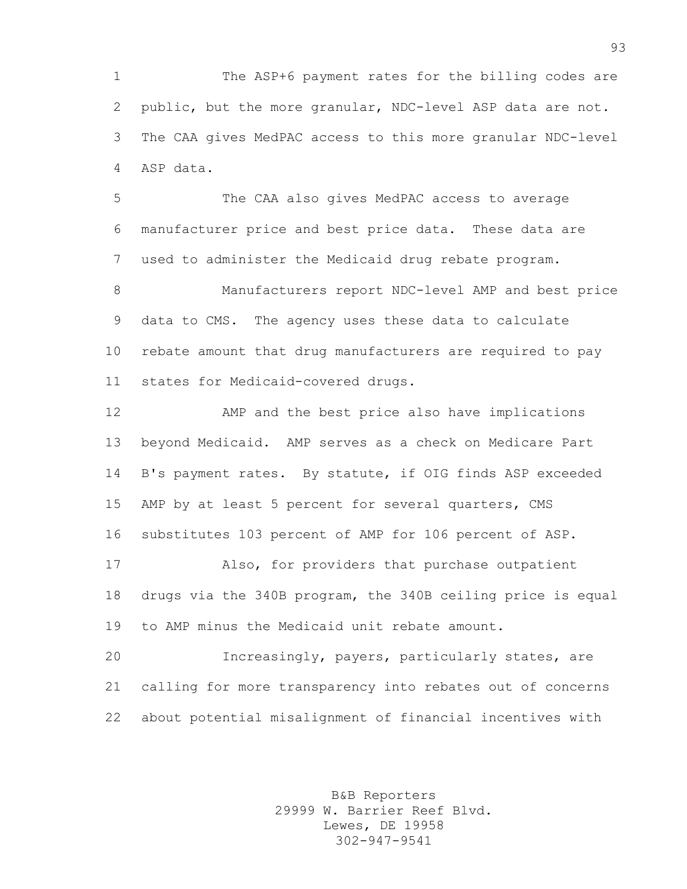The ASP+6 payment rates for the billing codes are public, but the more granular, NDC-level ASP data are not. The CAA gives MedPAC access to this more granular NDC-level ASP data.

 The CAA also gives MedPAC access to average manufacturer price and best price data. These data are used to administer the Medicaid drug rebate program.

 Manufacturers report NDC-level AMP and best price data to CMS. The agency uses these data to calculate rebate amount that drug manufacturers are required to pay states for Medicaid-covered drugs.

 AMP and the best price also have implications beyond Medicaid. AMP serves as a check on Medicare Part B's payment rates. By statute, if OIG finds ASP exceeded AMP by at least 5 percent for several quarters, CMS substitutes 103 percent of AMP for 106 percent of ASP. Also, for providers that purchase outpatient drugs via the 340B program, the 340B ceiling price is equal to AMP minus the Medicaid unit rebate amount.

 Increasingly, payers, particularly states, are calling for more transparency into rebates out of concerns about potential misalignment of financial incentives with

> B&B Reporters 29999 W. Barrier Reef Blvd. Lewes, DE 19958 302-947-9541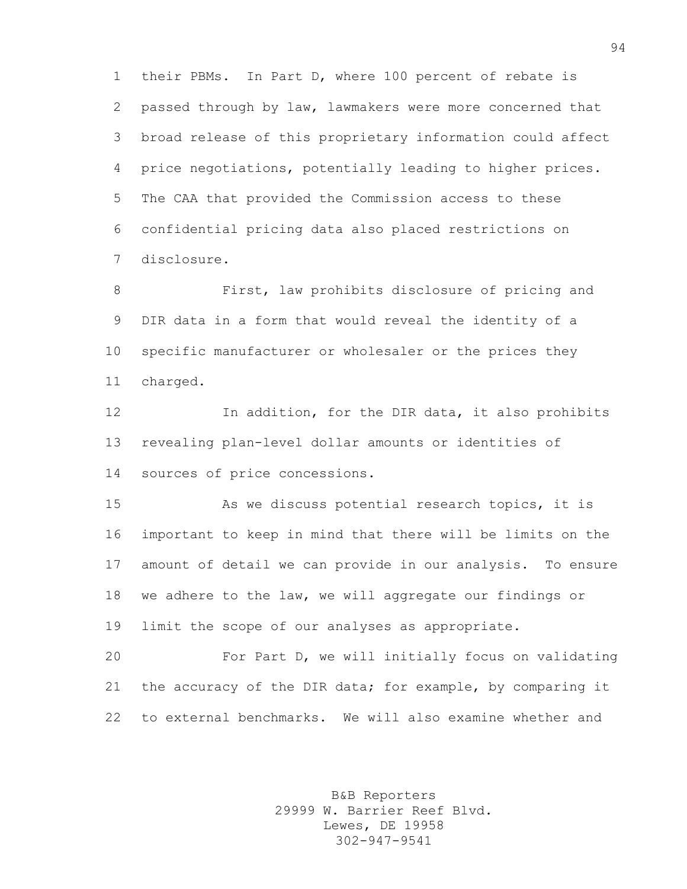their PBMs. In Part D, where 100 percent of rebate is passed through by law, lawmakers were more concerned that broad release of this proprietary information could affect price negotiations, potentially leading to higher prices. The CAA that provided the Commission access to these confidential pricing data also placed restrictions on disclosure.

 First, law prohibits disclosure of pricing and DIR data in a form that would reveal the identity of a specific manufacturer or wholesaler or the prices they charged.

12 In addition, for the DIR data, it also prohibits revealing plan-level dollar amounts or identities of sources of price concessions.

 As we discuss potential research topics, it is important to keep in mind that there will be limits on the amount of detail we can provide in our analysis. To ensure we adhere to the law, we will aggregate our findings or limit the scope of our analyses as appropriate.

 For Part D, we will initially focus on validating the accuracy of the DIR data; for example, by comparing it to external benchmarks. We will also examine whether and

> B&B Reporters 29999 W. Barrier Reef Blvd. Lewes, DE 19958 302-947-9541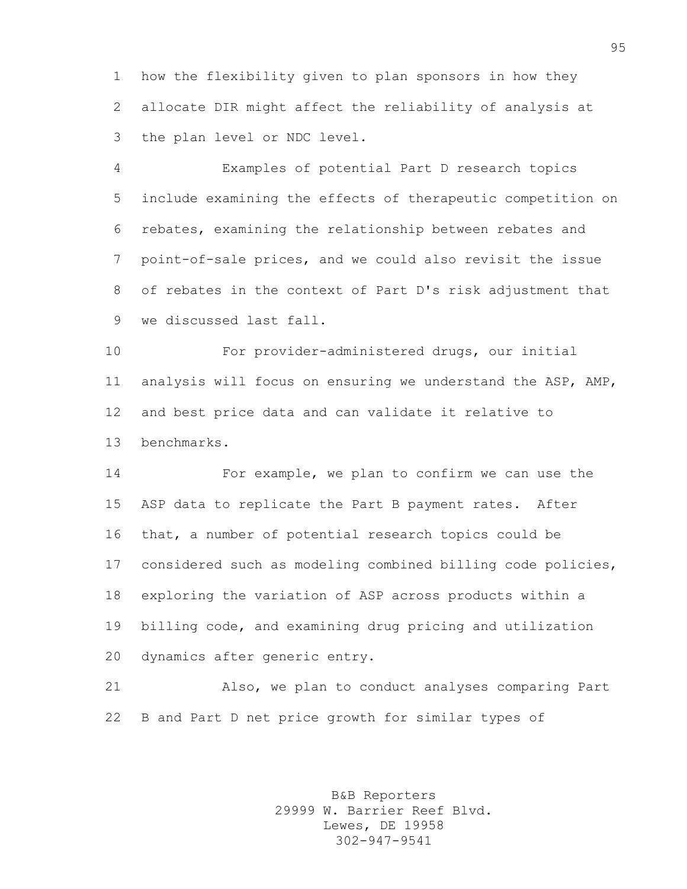how the flexibility given to plan sponsors in how they allocate DIR might affect the reliability of analysis at the plan level or NDC level.

 Examples of potential Part D research topics include examining the effects of therapeutic competition on rebates, examining the relationship between rebates and point-of-sale prices, and we could also revisit the issue of rebates in the context of Part D's risk adjustment that we discussed last fall.

 For provider-administered drugs, our initial analysis will focus on ensuring we understand the ASP, AMP, and best price data and can validate it relative to benchmarks.

 For example, we plan to confirm we can use the ASP data to replicate the Part B payment rates. After that, a number of potential research topics could be considered such as modeling combined billing code policies, exploring the variation of ASP across products within a billing code, and examining drug pricing and utilization dynamics after generic entry.

 Also, we plan to conduct analyses comparing Part B and Part D net price growth for similar types of

> B&B Reporters 29999 W. Barrier Reef Blvd. Lewes, DE 19958 302-947-9541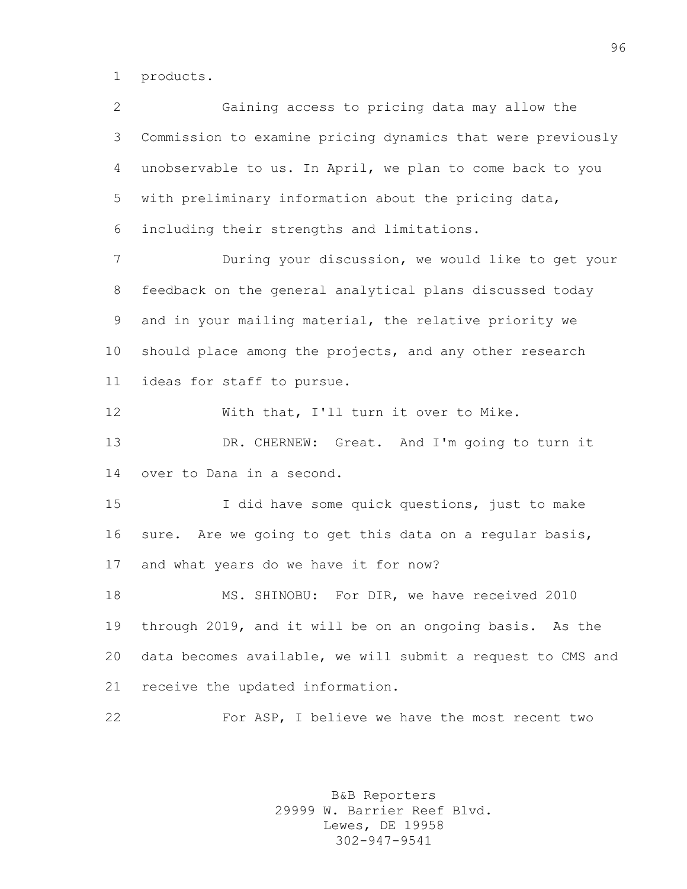products.

 Gaining access to pricing data may allow the Commission to examine pricing dynamics that were previously unobservable to us. In April, we plan to come back to you with preliminary information about the pricing data, including their strengths and limitations. During your discussion, we would like to get your feedback on the general analytical plans discussed today and in your mailing material, the relative priority we should place among the projects, and any other research ideas for staff to pursue. With that, I'll turn it over to Mike. DR. CHERNEW: Great. And I'm going to turn it over to Dana in a second. I did have some quick questions, just to make sure. Are we going to get this data on a regular basis, and what years do we have it for now? MS. SHINOBU: For DIR, we have received 2010 through 2019, and it will be on an ongoing basis. As the data becomes available, we will submit a request to CMS and receive the updated information. For ASP, I believe we have the most recent two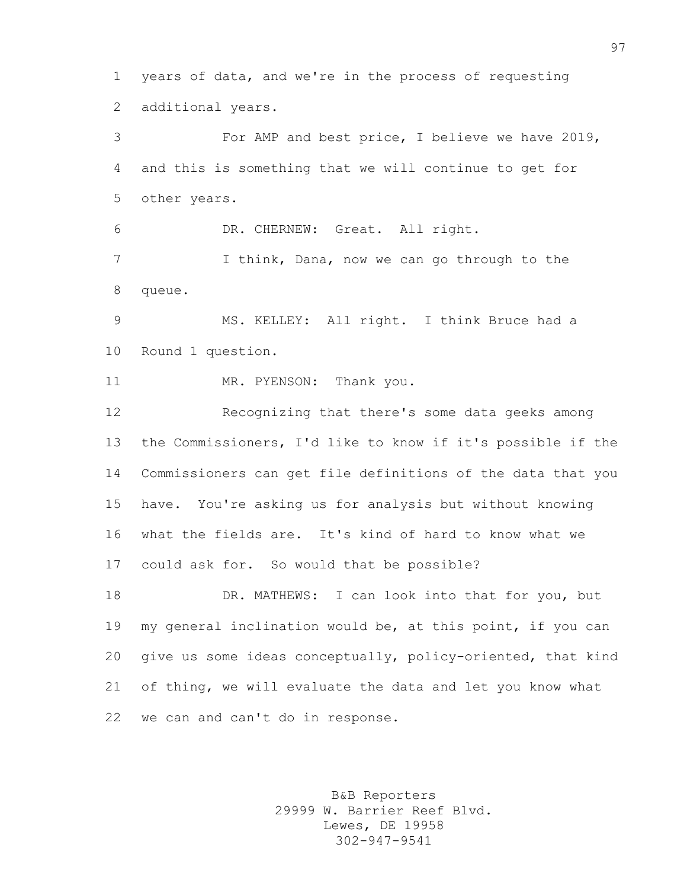years of data, and we're in the process of requesting additional years.

 For AMP and best price, I believe we have 2019, and this is something that we will continue to get for other years.

DR. CHERNEW: Great. All right.

7 I think, Dana, now we can go through to the queue.

 MS. KELLEY: All right. I think Bruce had a Round 1 question.

11 MR. PYENSON: Thank you.

 Recognizing that there's some data geeks among the Commissioners, I'd like to know if it's possible if the Commissioners can get file definitions of the data that you have. You're asking us for analysis but without knowing what the fields are. It's kind of hard to know what we could ask for. So would that be possible?

 DR. MATHEWS: I can look into that for you, but my general inclination would be, at this point, if you can give us some ideas conceptually, policy-oriented, that kind of thing, we will evaluate the data and let you know what we can and can't do in response.

> B&B Reporters 29999 W. Barrier Reef Blvd. Lewes, DE 19958 302-947-9541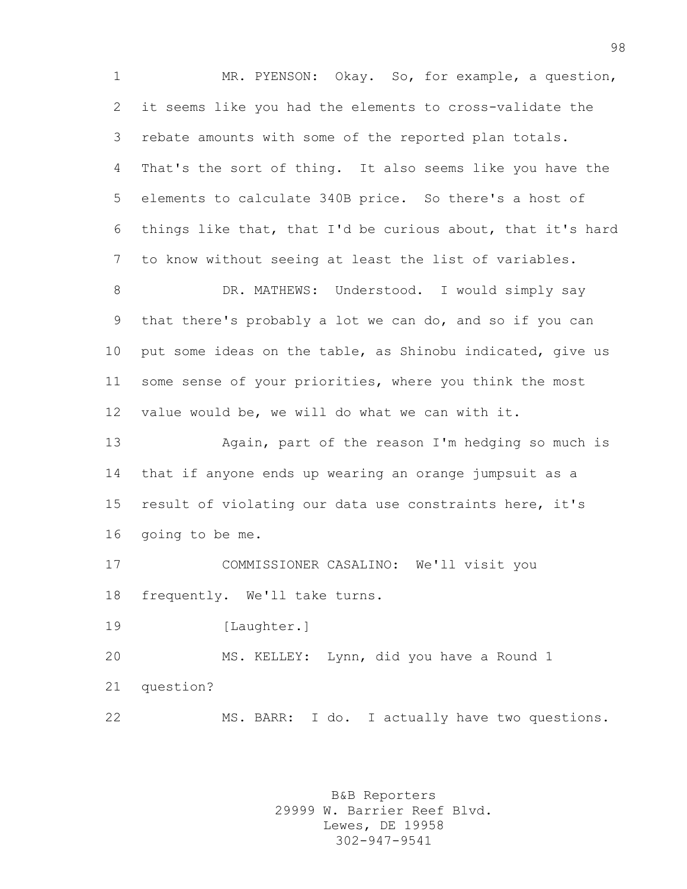MR. PYENSON: Okay. So, for example, a question, it seems like you had the elements to cross-validate the rebate amounts with some of the reported plan totals. That's the sort of thing. It also seems like you have the elements to calculate 340B price. So there's a host of things like that, that I'd be curious about, that it's hard to know without seeing at least the list of variables. 8 DR. MATHEWS: Understood. I would simply say that there's probably a lot we can do, and so if you can put some ideas on the table, as Shinobu indicated, give us some sense of your priorities, where you think the most value would be, we will do what we can with it. Again, part of the reason I'm hedging so much is that if anyone ends up wearing an orange jumpsuit as a result of violating our data use constraints here, it's going to be me. COMMISSIONER CASALINO: We'll visit you frequently. We'll take turns. 19 [Laughter.] MS. KELLEY: Lynn, did you have a Round 1 question? MS. BARR: I do. I actually have two questions.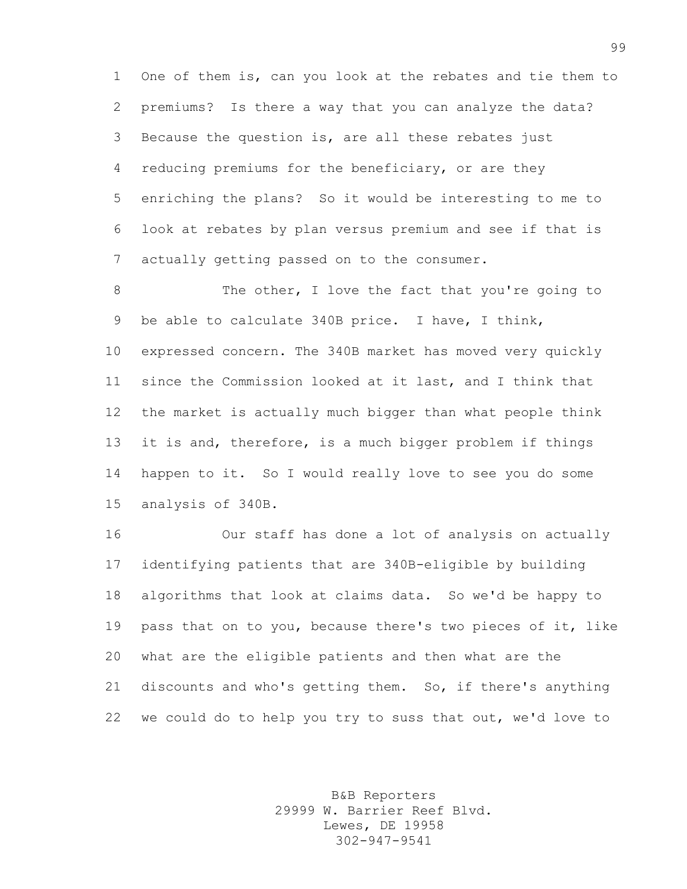One of them is, can you look at the rebates and tie them to premiums? Is there a way that you can analyze the data? Because the question is, are all these rebates just reducing premiums for the beneficiary, or are they enriching the plans? So it would be interesting to me to look at rebates by plan versus premium and see if that is actually getting passed on to the consumer.

8 The other, I love the fact that you're going to be able to calculate 340B price. I have, I think, expressed concern. The 340B market has moved very quickly since the Commission looked at it last, and I think that the market is actually much bigger than what people think it is and, therefore, is a much bigger problem if things happen to it. So I would really love to see you do some analysis of 340B.

 Our staff has done a lot of analysis on actually identifying patients that are 340B-eligible by building algorithms that look at claims data. So we'd be happy to pass that on to you, because there's two pieces of it, like what are the eligible patients and then what are the discounts and who's getting them. So, if there's anything we could do to help you try to suss that out, we'd love to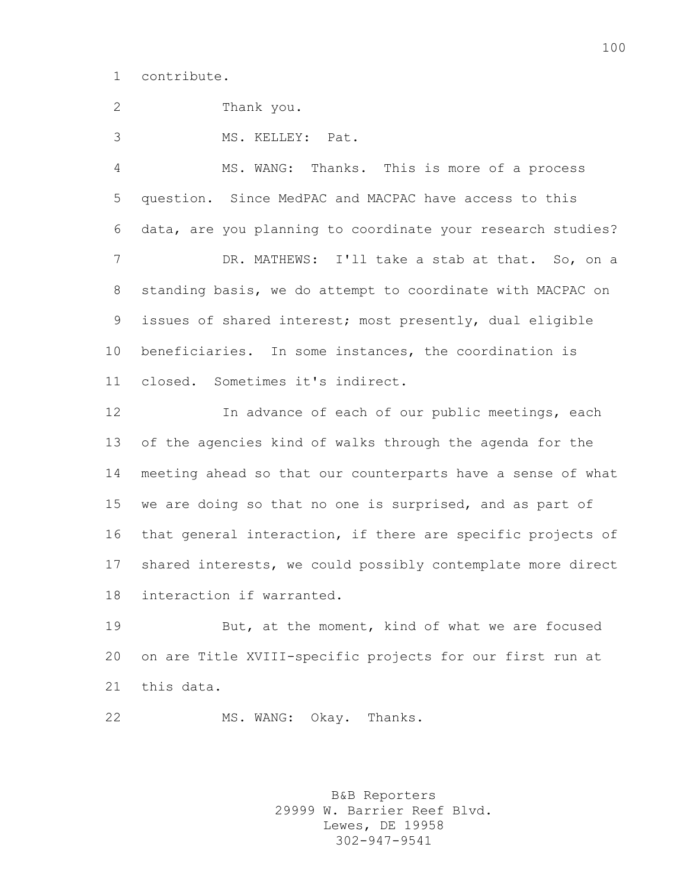contribute.

Thank you.

MS. KELLEY: Pat.

 MS. WANG: Thanks. This is more of a process question. Since MedPAC and MACPAC have access to this data, are you planning to coordinate your research studies? 7 DR. MATHEWS: I'll take a stab at that. So, on a standing basis, we do attempt to coordinate with MACPAC on issues of shared interest; most presently, dual eligible beneficiaries. In some instances, the coordination is closed. Sometimes it's indirect.

 In advance of each of our public meetings, each of the agencies kind of walks through the agenda for the meeting ahead so that our counterparts have a sense of what we are doing so that no one is surprised, and as part of that general interaction, if there are specific projects of shared interests, we could possibly contemplate more direct interaction if warranted.

 But, at the moment, kind of what we are focused on are Title XVIII-specific projects for our first run at this data.

22 MS. WANG: Okay. Thanks.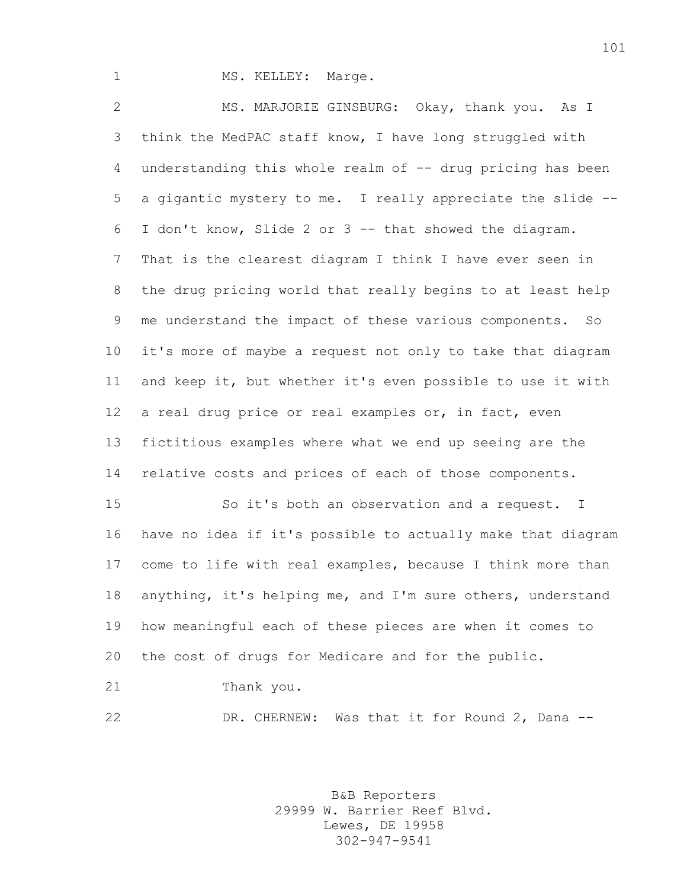1 MS. KELLEY: Marge.

 MS. MARJORIE GINSBURG: Okay, thank you. As I think the MedPAC staff know, I have long struggled with understanding this whole realm of -- drug pricing has been a gigantic mystery to me. I really appreciate the slide -- I don't know, Slide 2 or 3 -- that showed the diagram. That is the clearest diagram I think I have ever seen in the drug pricing world that really begins to at least help me understand the impact of these various components. So it's more of maybe a request not only to take that diagram and keep it, but whether it's even possible to use it with a real drug price or real examples or, in fact, even fictitious examples where what we end up seeing are the relative costs and prices of each of those components.

 So it's both an observation and a request. I have no idea if it's possible to actually make that diagram come to life with real examples, because I think more than anything, it's helping me, and I'm sure others, understand how meaningful each of these pieces are when it comes to the cost of drugs for Medicare and for the public.

Thank you.

DR. CHERNEW: Was that it for Round 2, Dana --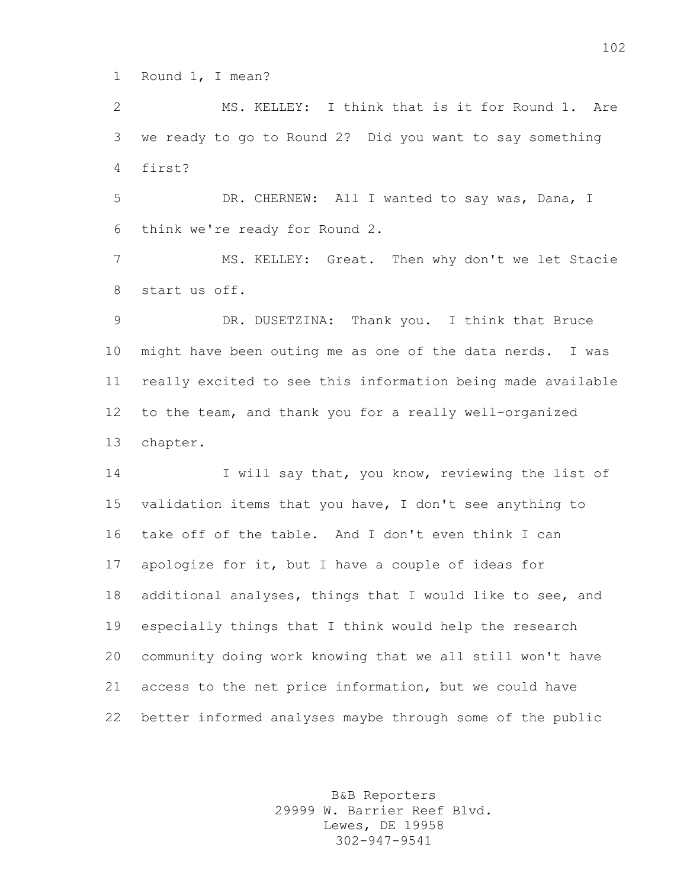Round 1, I mean?

 MS. KELLEY: I think that is it for Round 1. Are we ready to go to Round 2? Did you want to say something first?

 DR. CHERNEW: All I wanted to say was, Dana, I think we're ready for Round 2.

 MS. KELLEY: Great. Then why don't we let Stacie start us off.

 DR. DUSETZINA: Thank you. I think that Bruce might have been outing me as one of the data nerds. I was really excited to see this information being made available to the team, and thank you for a really well-organized chapter.

14 I will say that, you know, reviewing the list of validation items that you have, I don't see anything to take off of the table. And I don't even think I can apologize for it, but I have a couple of ideas for additional analyses, things that I would like to see, and especially things that I think would help the research community doing work knowing that we all still won't have access to the net price information, but we could have better informed analyses maybe through some of the public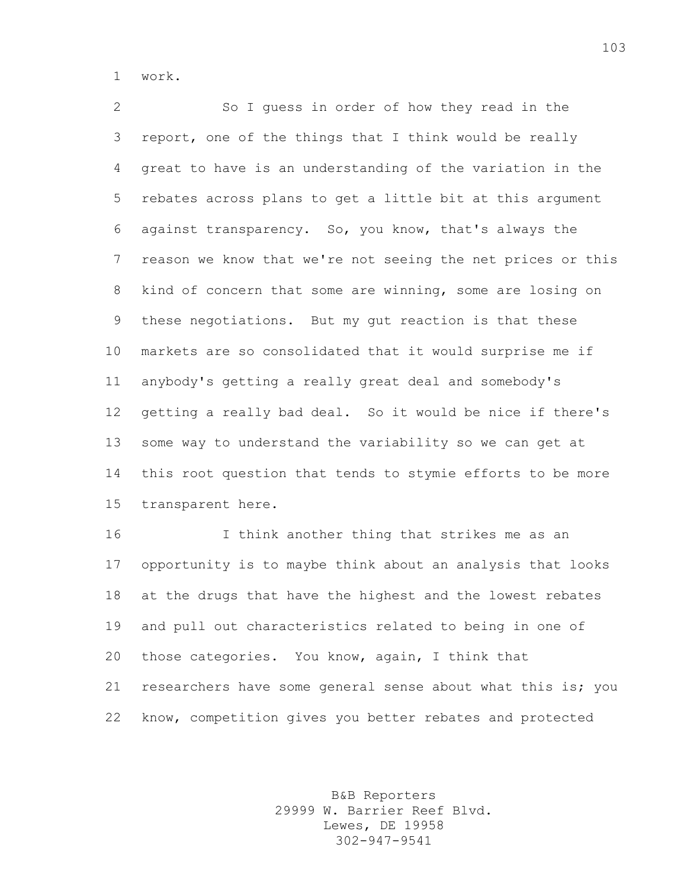work.

 So I guess in order of how they read in the report, one of the things that I think would be really great to have is an understanding of the variation in the rebates across plans to get a little bit at this argument against transparency. So, you know, that's always the reason we know that we're not seeing the net prices or this kind of concern that some are winning, some are losing on these negotiations. But my gut reaction is that these markets are so consolidated that it would surprise me if anybody's getting a really great deal and somebody's getting a really bad deal. So it would be nice if there's some way to understand the variability so we can get at this root question that tends to stymie efforts to be more transparent here.

 I think another thing that strikes me as an opportunity is to maybe think about an analysis that looks at the drugs that have the highest and the lowest rebates and pull out characteristics related to being in one of those categories. You know, again, I think that researchers have some general sense about what this is; you know, competition gives you better rebates and protected

> B&B Reporters 29999 W. Barrier Reef Blvd. Lewes, DE 19958 302-947-9541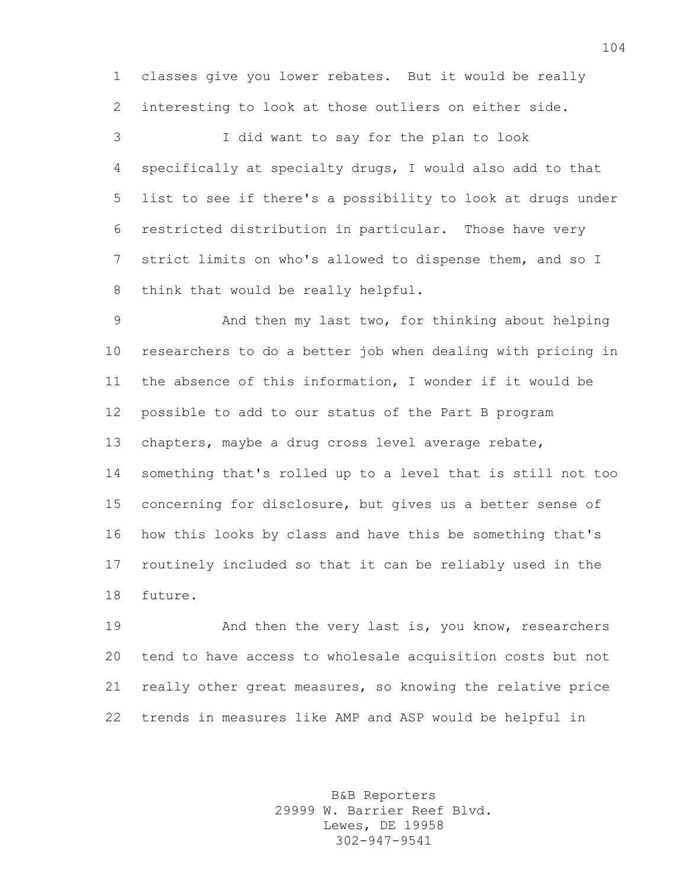classes give you lower rebates. But it would be really interesting to look at those outliers on either side.

 I did want to say for the plan to look specifically at specialty drugs, I would also add to that list to see if there's a possibility to look at drugs under restricted distribution in particular. Those have very strict limits on who's allowed to dispense them, and so I think that would be really helpful.

 And then my last two, for thinking about helping researchers to do a better job when dealing with pricing in the absence of this information, I wonder if it would be possible to add to our status of the Part B program chapters, maybe a drug cross level average rebate, something that's rolled up to a level that is still not too concerning for disclosure, but gives us a better sense of how this looks by class and have this be something that's routinely included so that it can be reliably used in the future.

19 And then the very last is, you know, researchers tend to have access to wholesale acquisition costs but not really other great measures, so knowing the relative price trends in measures like AMP and ASP would be helpful in

> B&B Reporters 29999 W. Barrier Reef Blvd. Lewes, DE 19958 302-947-9541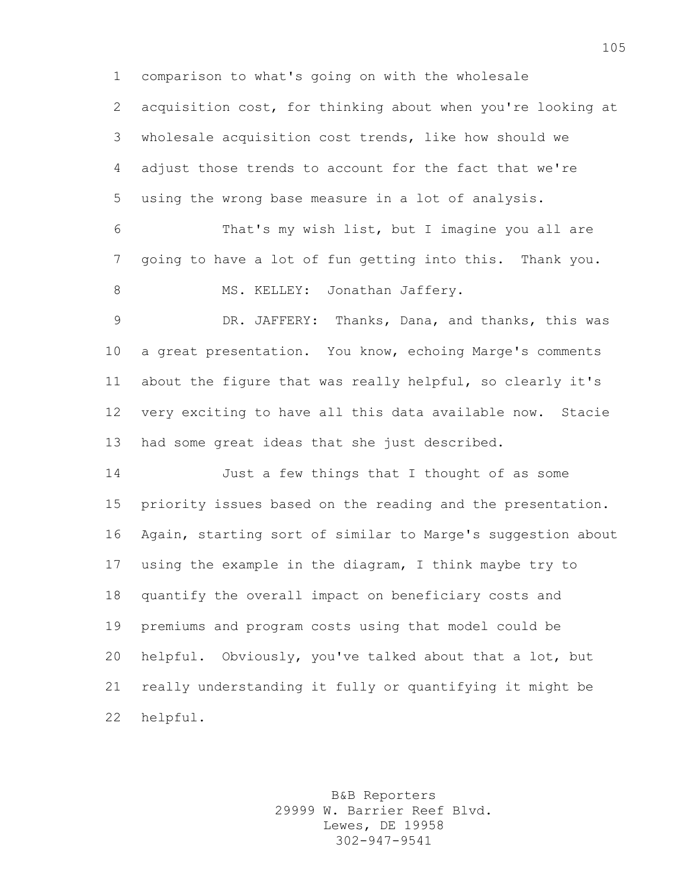comparison to what's going on with the wholesale

 acquisition cost, for thinking about when you're looking at wholesale acquisition cost trends, like how should we adjust those trends to account for the fact that we're using the wrong base measure in a lot of analysis.

 That's my wish list, but I imagine you all are going to have a lot of fun getting into this. Thank you.

8 MS. KELLEY: Jonathan Jaffery.

 DR. JAFFERY: Thanks, Dana, and thanks, this was a great presentation. You know, echoing Marge's comments about the figure that was really helpful, so clearly it's very exciting to have all this data available now. Stacie had some great ideas that she just described.

 Just a few things that I thought of as some priority issues based on the reading and the presentation. Again, starting sort of similar to Marge's suggestion about using the example in the diagram, I think maybe try to quantify the overall impact on beneficiary costs and premiums and program costs using that model could be helpful. Obviously, you've talked about that a lot, but really understanding it fully or quantifying it might be helpful.

> B&B Reporters 29999 W. Barrier Reef Blvd. Lewes, DE 19958 302-947-9541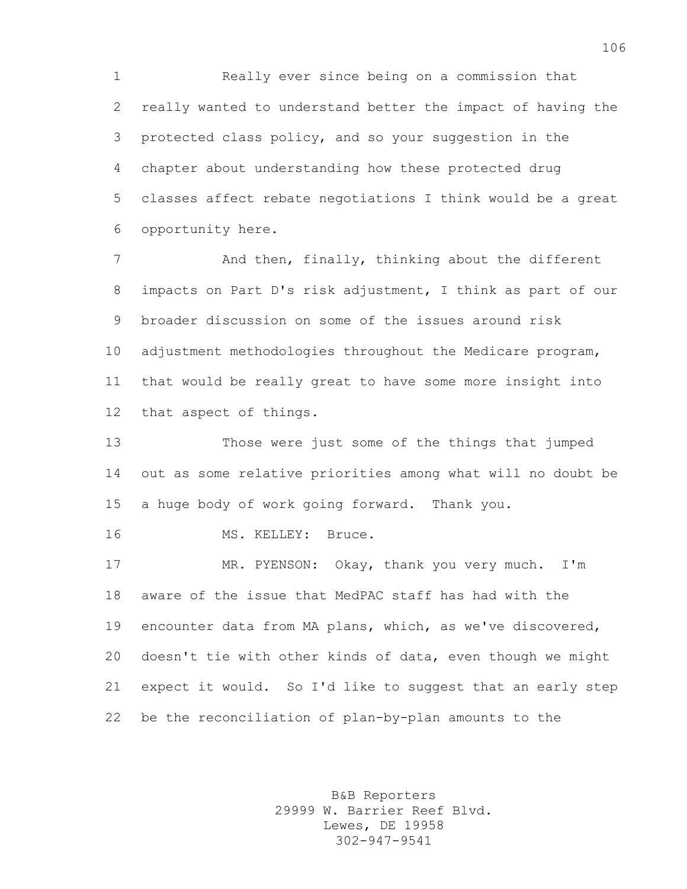Really ever since being on a commission that really wanted to understand better the impact of having the protected class policy, and so your suggestion in the chapter about understanding how these protected drug classes affect rebate negotiations I think would be a great opportunity here.

7 And then, finally, thinking about the different impacts on Part D's risk adjustment, I think as part of our broader discussion on some of the issues around risk adjustment methodologies throughout the Medicare program, that would be really great to have some more insight into that aspect of things.

 Those were just some of the things that jumped out as some relative priorities among what will no doubt be a huge body of work going forward. Thank you.

16 MS. KELLEY: Bruce.

 MR. PYENSON: Okay, thank you very much. I'm aware of the issue that MedPAC staff has had with the encounter data from MA plans, which, as we've discovered, doesn't tie with other kinds of data, even though we might expect it would. So I'd like to suggest that an early step be the reconciliation of plan-by-plan amounts to the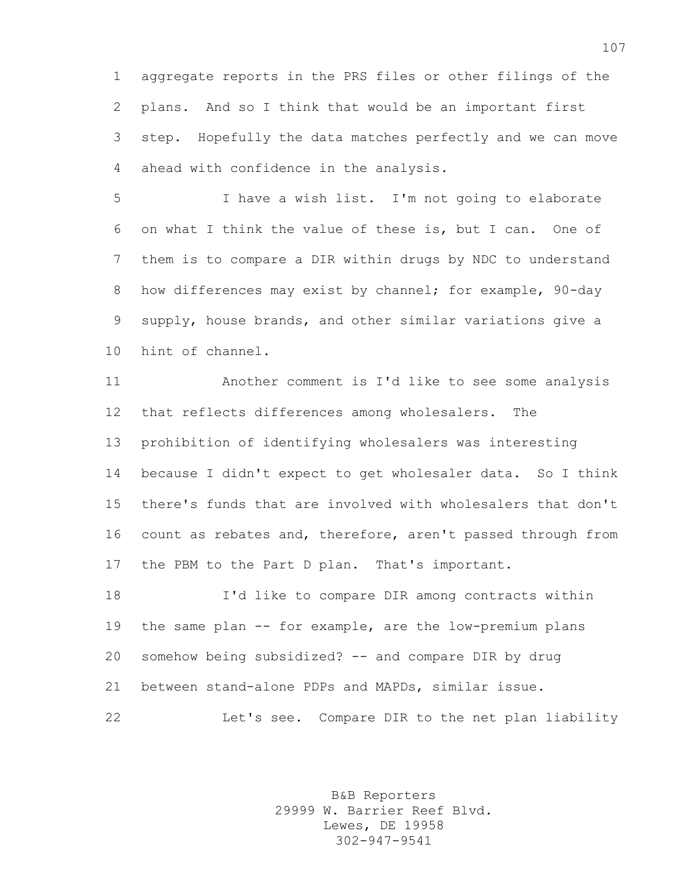aggregate reports in the PRS files or other filings of the plans. And so I think that would be an important first step. Hopefully the data matches perfectly and we can move ahead with confidence in the analysis.

 I have a wish list. I'm not going to elaborate on what I think the value of these is, but I can. One of them is to compare a DIR within drugs by NDC to understand how differences may exist by channel; for example, 90-day supply, house brands, and other similar variations give a hint of channel.

 Another comment is I'd like to see some analysis that reflects differences among wholesalers. The prohibition of identifying wholesalers was interesting because I didn't expect to get wholesaler data. So I think there's funds that are involved with wholesalers that don't count as rebates and, therefore, aren't passed through from the PBM to the Part D plan. That's important.

 I'd like to compare DIR among contracts within the same plan -- for example, are the low-premium plans somehow being subsidized? -- and compare DIR by drug between stand-alone PDPs and MAPDs, similar issue. Let's see. Compare DIR to the net plan liability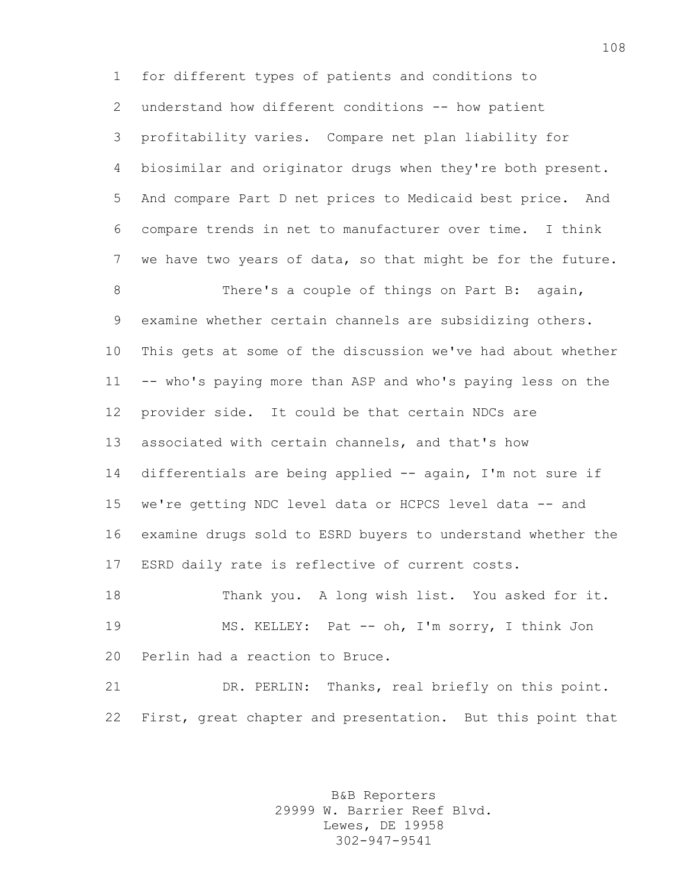for different types of patients and conditions to understand how different conditions -- how patient profitability varies. Compare net plan liability for biosimilar and originator drugs when they're both present. And compare Part D net prices to Medicaid best price. And compare trends in net to manufacturer over time. I think we have two years of data, so that might be for the future.

8 There's a couple of things on Part B: again, examine whether certain channels are subsidizing others. This gets at some of the discussion we've had about whether -- who's paying more than ASP and who's paying less on the provider side. It could be that certain NDCs are associated with certain channels, and that's how 14 differentials are being applied -- again, I'm not sure if we're getting NDC level data or HCPCS level data -- and examine drugs sold to ESRD buyers to understand whether the ESRD daily rate is reflective of current costs.

 Thank you. A long wish list. You asked for it. MS. KELLEY: Pat -- oh, I'm sorry, I think Jon Perlin had a reaction to Bruce.

 DR. PERLIN: Thanks, real briefly on this point. First, great chapter and presentation. But this point that

> B&B Reporters 29999 W. Barrier Reef Blvd. Lewes, DE 19958 302-947-9541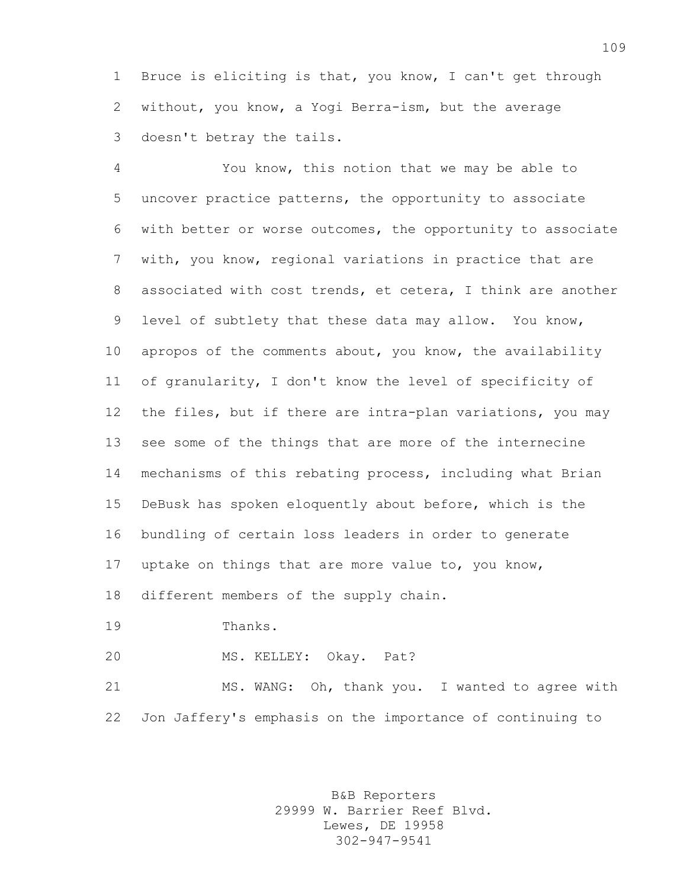Bruce is eliciting is that, you know, I can't get through without, you know, a Yogi Berra-ism, but the average doesn't betray the tails.

 You know, this notion that we may be able to uncover practice patterns, the opportunity to associate with better or worse outcomes, the opportunity to associate with, you know, regional variations in practice that are associated with cost trends, et cetera, I think are another level of subtlety that these data may allow. You know, apropos of the comments about, you know, the availability of granularity, I don't know the level of specificity of the files, but if there are intra-plan variations, you may see some of the things that are more of the internecine mechanisms of this rebating process, including what Brian DeBusk has spoken eloquently about before, which is the bundling of certain loss leaders in order to generate uptake on things that are more value to, you know, different members of the supply chain.

Thanks.

MS. KELLEY: Okay. Pat?

 MS. WANG: Oh, thank you. I wanted to agree with Jon Jaffery's emphasis on the importance of continuing to

> B&B Reporters 29999 W. Barrier Reef Blvd. Lewes, DE 19958 302-947-9541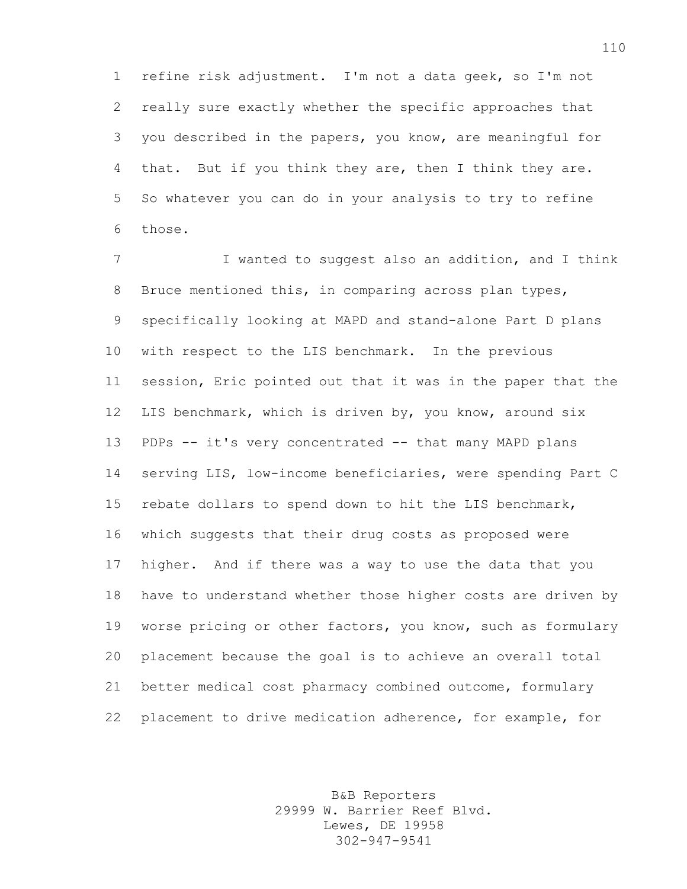refine risk adjustment. I'm not a data geek, so I'm not really sure exactly whether the specific approaches that you described in the papers, you know, are meaningful for that. But if you think they are, then I think they are. So whatever you can do in your analysis to try to refine those.

7 I wanted to suggest also an addition, and I think Bruce mentioned this, in comparing across plan types, specifically looking at MAPD and stand-alone Part D plans with respect to the LIS benchmark. In the previous session, Eric pointed out that it was in the paper that the LIS benchmark, which is driven by, you know, around six PDPs -- it's very concentrated -- that many MAPD plans serving LIS, low-income beneficiaries, were spending Part C rebate dollars to spend down to hit the LIS benchmark, which suggests that their drug costs as proposed were higher. And if there was a way to use the data that you have to understand whether those higher costs are driven by worse pricing or other factors, you know, such as formulary placement because the goal is to achieve an overall total better medical cost pharmacy combined outcome, formulary placement to drive medication adherence, for example, for

> B&B Reporters 29999 W. Barrier Reef Blvd. Lewes, DE 19958 302-947-9541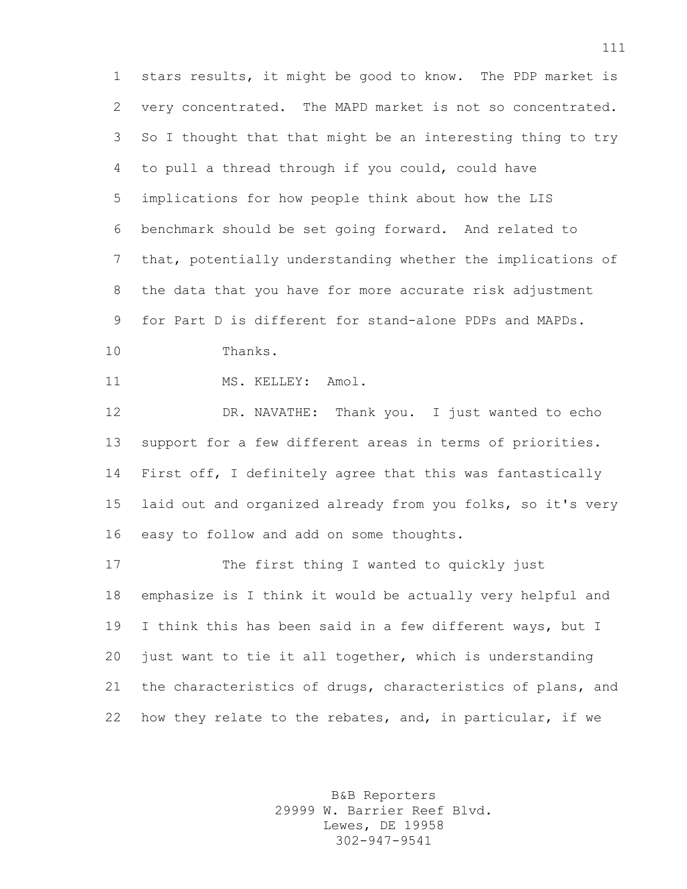stars results, it might be good to know. The PDP market is very concentrated. The MAPD market is not so concentrated. So I thought that that might be an interesting thing to try to pull a thread through if you could, could have implications for how people think about how the LIS benchmark should be set going forward. And related to that, potentially understanding whether the implications of the data that you have for more accurate risk adjustment for Part D is different for stand-alone PDPs and MAPDs. Thanks.

11 MS. KELLEY: Amol.

 DR. NAVATHE: Thank you. I just wanted to echo support for a few different areas in terms of priorities. First off, I definitely agree that this was fantastically laid out and organized already from you folks, so it's very easy to follow and add on some thoughts.

 The first thing I wanted to quickly just emphasize is I think it would be actually very helpful and I think this has been said in a few different ways, but I just want to tie it all together, which is understanding the characteristics of drugs, characteristics of plans, and how they relate to the rebates, and, in particular, if we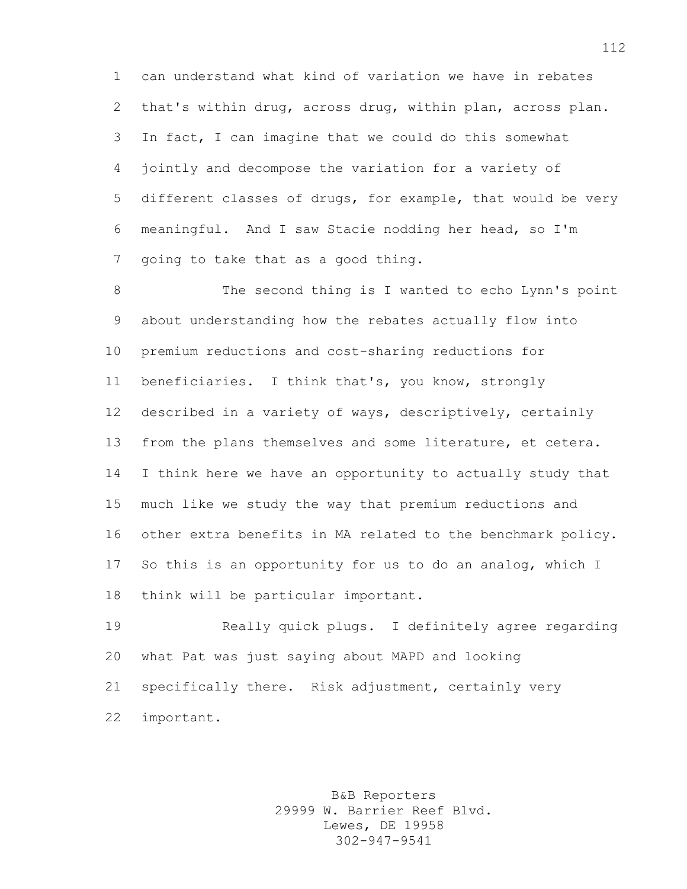can understand what kind of variation we have in rebates that's within drug, across drug, within plan, across plan. In fact, I can imagine that we could do this somewhat jointly and decompose the variation for a variety of different classes of drugs, for example, that would be very meaningful. And I saw Stacie nodding her head, so I'm going to take that as a good thing.

8 The second thing is I wanted to echo Lynn's point about understanding how the rebates actually flow into premium reductions and cost-sharing reductions for beneficiaries. I think that's, you know, strongly described in a variety of ways, descriptively, certainly from the plans themselves and some literature, et cetera. I think here we have an opportunity to actually study that much like we study the way that premium reductions and other extra benefits in MA related to the benchmark policy. So this is an opportunity for us to do an analog, which I think will be particular important.

 Really quick plugs. I definitely agree regarding what Pat was just saying about MAPD and looking specifically there. Risk adjustment, certainly very important.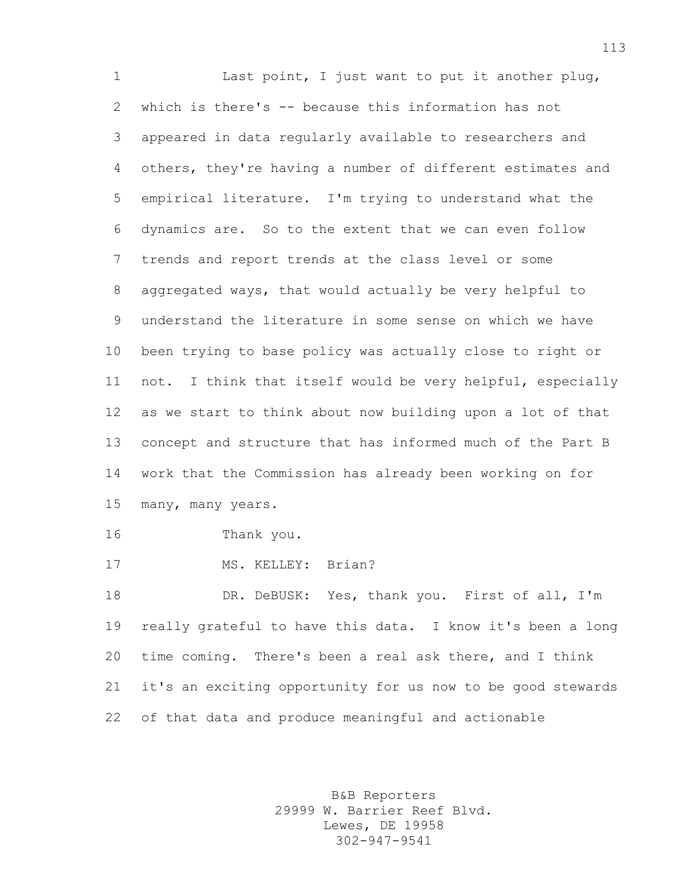1 Last point, I just want to put it another plug, which is there's -- because this information has not appeared in data regularly available to researchers and others, they're having a number of different estimates and empirical literature. I'm trying to understand what the dynamics are. So to the extent that we can even follow trends and report trends at the class level or some aggregated ways, that would actually be very helpful to understand the literature in some sense on which we have been trying to base policy was actually close to right or not. I think that itself would be very helpful, especially as we start to think about now building upon a lot of that concept and structure that has informed much of the Part B work that the Commission has already been working on for many, many years. Thank you. 17 MS. KELLEY: Brian? DR. DeBUSK: Yes, thank you. First of all, I'm really grateful to have this data. I know it's been a long time coming. There's been a real ask there, and I think it's an exciting opportunity for us now to be good stewards of that data and produce meaningful and actionable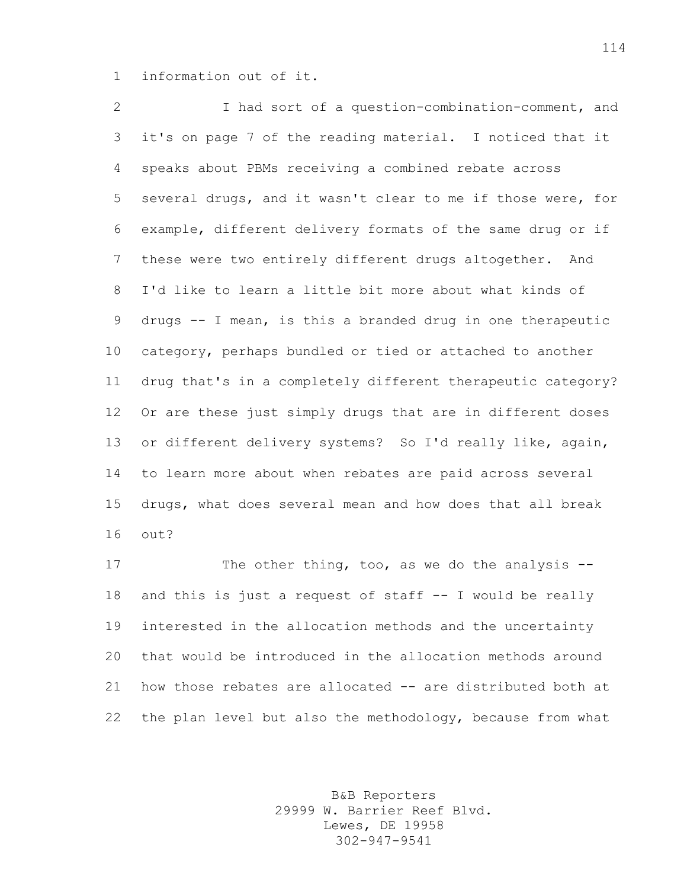information out of it.

 I had sort of a question-combination-comment, and it's on page 7 of the reading material. I noticed that it speaks about PBMs receiving a combined rebate across several drugs, and it wasn't clear to me if those were, for example, different delivery formats of the same drug or if these were two entirely different drugs altogether. And I'd like to learn a little bit more about what kinds of drugs -- I mean, is this a branded drug in one therapeutic category, perhaps bundled or tied or attached to another drug that's in a completely different therapeutic category? Or are these just simply drugs that are in different doses or different delivery systems? So I'd really like, again, to learn more about when rebates are paid across several drugs, what does several mean and how does that all break out?

17 The other thing, too, as we do the analysis -- and this is just a request of staff -- I would be really interested in the allocation methods and the uncertainty that would be introduced in the allocation methods around how those rebates are allocated -- are distributed both at the plan level but also the methodology, because from what

> B&B Reporters 29999 W. Barrier Reef Blvd. Lewes, DE 19958 302-947-9541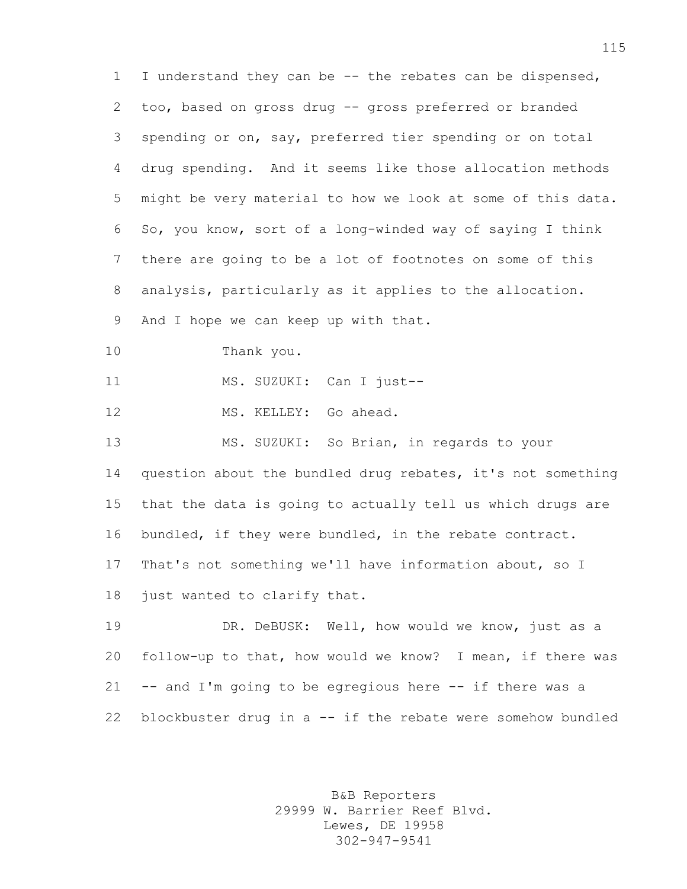I understand they can be -- the rebates can be dispensed, too, based on gross drug -- gross preferred or branded spending or on, say, preferred tier spending or on total drug spending. And it seems like those allocation methods might be very material to how we look at some of this data. So, you know, sort of a long-winded way of saying I think there are going to be a lot of footnotes on some of this analysis, particularly as it applies to the allocation. And I hope we can keep up with that. Thank you. MS. SUZUKI: Can I just-- MS. KELLEY: Go ahead. MS. SUZUKI: So Brian, in regards to your question about the bundled drug rebates, it's not something that the data is going to actually tell us which drugs are bundled, if they were bundled, in the rebate contract. That's not something we'll have information about, so I 18 just wanted to clarify that. 19 DR. DeBUSK: Well, how would we know, just as a follow-up to that, how would we know? I mean, if there was -- and I'm going to be egregious here -- if there was a blockbuster drug in a -- if the rebate were somehow bundled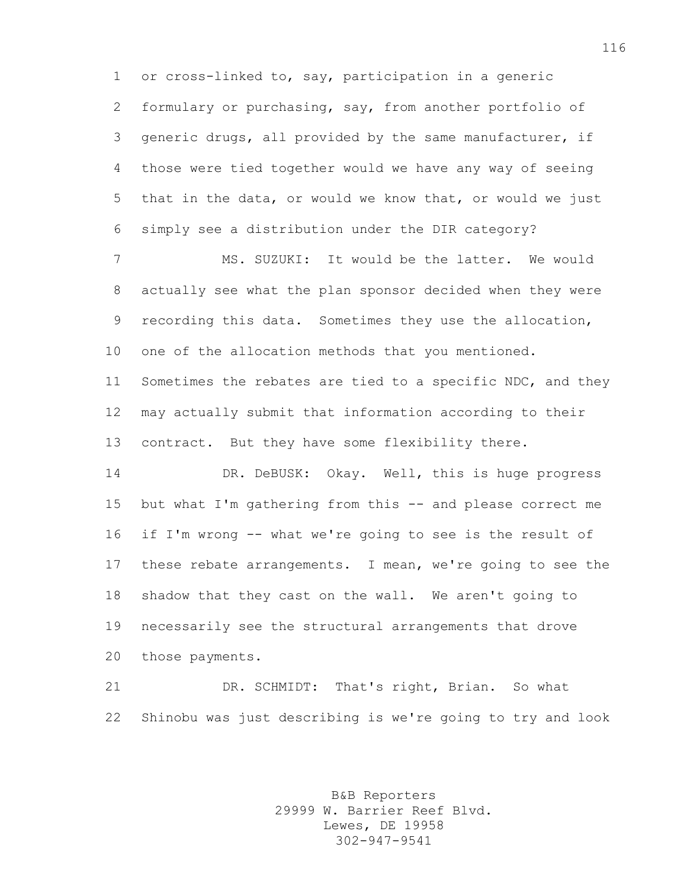or cross-linked to, say, participation in a generic formulary or purchasing, say, from another portfolio of generic drugs, all provided by the same manufacturer, if those were tied together would we have any way of seeing that in the data, or would we know that, or would we just simply see a distribution under the DIR category?

 MS. SUZUKI: It would be the latter. We would actually see what the plan sponsor decided when they were recording this data. Sometimes they use the allocation, one of the allocation methods that you mentioned. 11 Sometimes the rebates are tied to a specific NDC, and they may actually submit that information according to their contract. But they have some flexibility there.

 DR. DeBUSK: Okay. Well, this is huge progress but what I'm gathering from this -- and please correct me if I'm wrong -- what we're going to see is the result of these rebate arrangements. I mean, we're going to see the shadow that they cast on the wall. We aren't going to necessarily see the structural arrangements that drove those payments.

 DR. SCHMIDT: That's right, Brian. So what Shinobu was just describing is we're going to try and look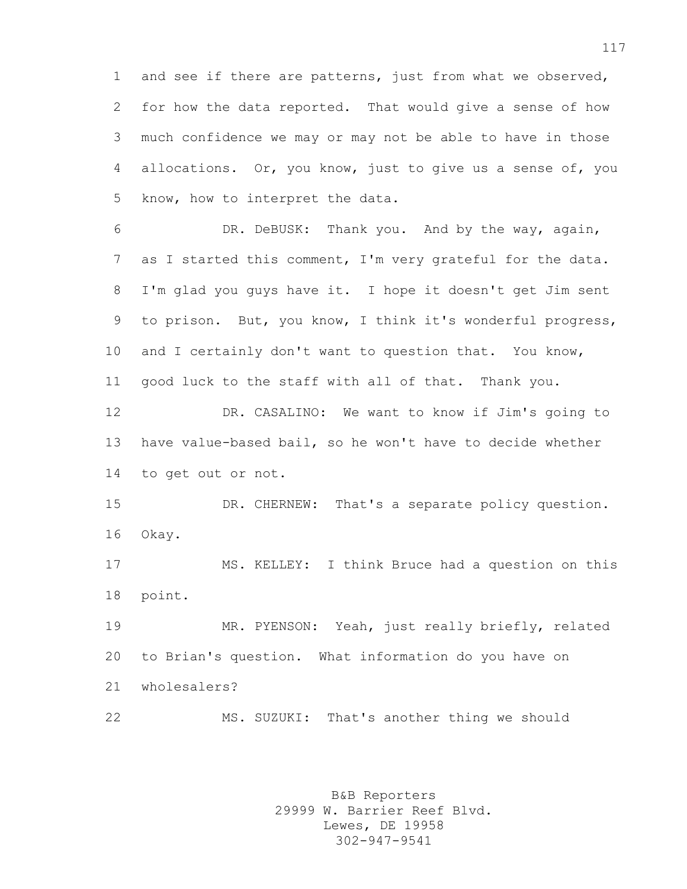and see if there are patterns, just from what we observed, for how the data reported. That would give a sense of how much confidence we may or may not be able to have in those allocations. Or, you know, just to give us a sense of, you know, how to interpret the data.

 DR. DeBUSK: Thank you. And by the way, again, 7 as I started this comment, I'm very grateful for the data. I'm glad you guys have it. I hope it doesn't get Jim sent to prison. But, you know, I think it's wonderful progress, 10 and I certainly don't want to question that. You know, good luck to the staff with all of that. Thank you.

 DR. CASALINO: We want to know if Jim's going to have value-based bail, so he won't have to decide whether to get out or not.

 DR. CHERNEW: That's a separate policy question. Okay.

 MS. KELLEY: I think Bruce had a question on this point.

 MR. PYENSON: Yeah, just really briefly, related to Brian's question. What information do you have on wholesalers?

MS. SUZUKI: That's another thing we should

B&B Reporters 29999 W. Barrier Reef Blvd. Lewes, DE 19958 302-947-9541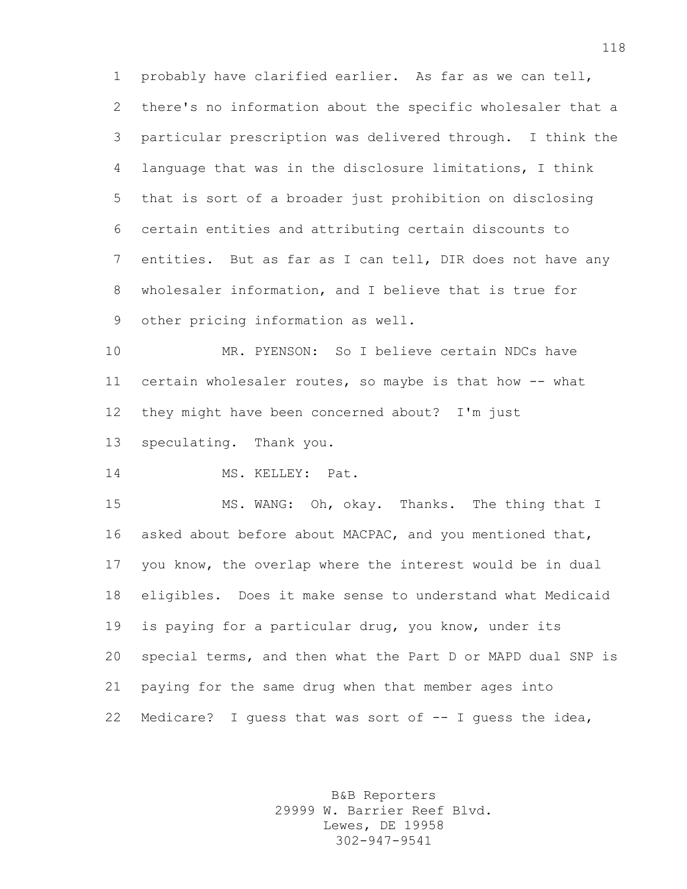probably have clarified earlier. As far as we can tell, there's no information about the specific wholesaler that a particular prescription was delivered through. I think the language that was in the disclosure limitations, I think that is sort of a broader just prohibition on disclosing certain entities and attributing certain discounts to entities. But as far as I can tell, DIR does not have any wholesaler information, and I believe that is true for other pricing information as well.

 MR. PYENSON: So I believe certain NDCs have certain wholesaler routes, so maybe is that how -- what they might have been concerned about? I'm just

speculating. Thank you.

14 MS. KELLEY: Pat.

 MS. WANG: Oh, okay. Thanks. The thing that I asked about before about MACPAC, and you mentioned that, you know, the overlap where the interest would be in dual eligibles. Does it make sense to understand what Medicaid is paying for a particular drug, you know, under its special terms, and then what the Part D or MAPD dual SNP is paying for the same drug when that member ages into Medicare? I guess that was sort of -- I guess the idea,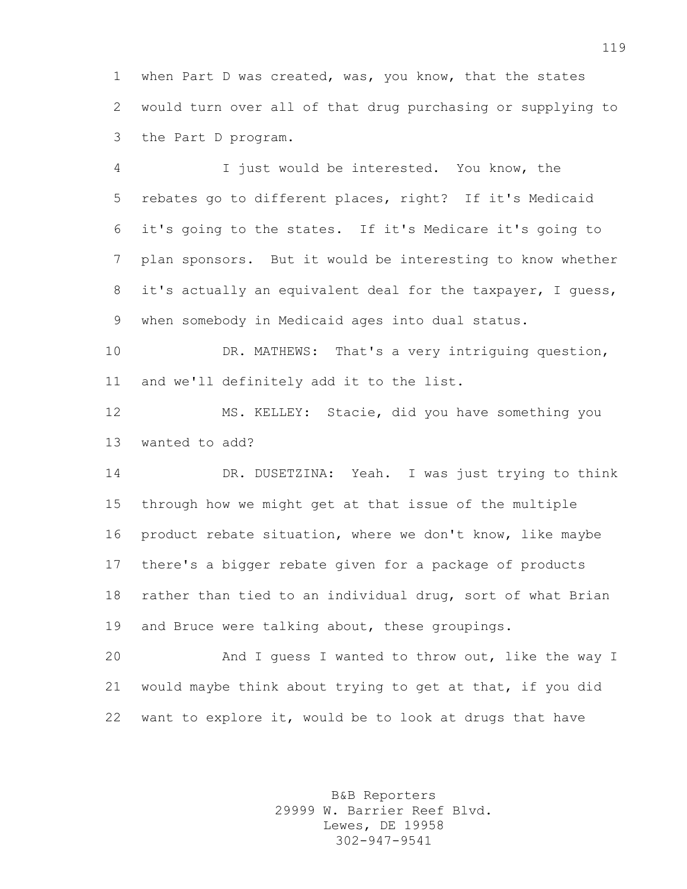when Part D was created, was, you know, that the states would turn over all of that drug purchasing or supplying to the Part D program.

 I just would be interested. You know, the rebates go to different places, right? If it's Medicaid it's going to the states. If it's Medicare it's going to plan sponsors. But it would be interesting to know whether it's actually an equivalent deal for the taxpayer, I guess, when somebody in Medicaid ages into dual status.

 DR. MATHEWS: That's a very intriguing question, and we'll definitely add it to the list.

 MS. KELLEY: Stacie, did you have something you wanted to add?

 DR. DUSETZINA: Yeah. I was just trying to think through how we might get at that issue of the multiple product rebate situation, where we don't know, like maybe there's a bigger rebate given for a package of products rather than tied to an individual drug, sort of what Brian and Bruce were talking about, these groupings.

 And I guess I wanted to throw out, like the way I would maybe think about trying to get at that, if you did want to explore it, would be to look at drugs that have

> B&B Reporters 29999 W. Barrier Reef Blvd. Lewes, DE 19958 302-947-9541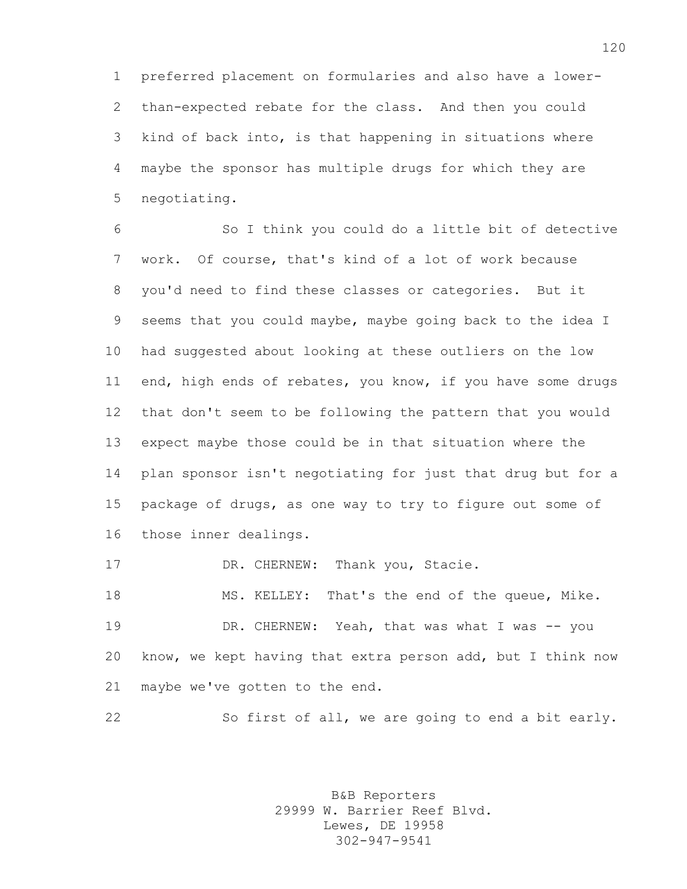preferred placement on formularies and also have a lower- than-expected rebate for the class. And then you could kind of back into, is that happening in situations where maybe the sponsor has multiple drugs for which they are negotiating.

 So I think you could do a little bit of detective work. Of course, that's kind of a lot of work because you'd need to find these classes or categories. But it seems that you could maybe, maybe going back to the idea I had suggested about looking at these outliers on the low end, high ends of rebates, you know, if you have some drugs that don't seem to be following the pattern that you would expect maybe those could be in that situation where the plan sponsor isn't negotiating for just that drug but for a package of drugs, as one way to try to figure out some of those inner dealings.

17 DR. CHERNEW: Thank you, Stacie.

 MS. KELLEY: That's the end of the queue, Mike. 19 DR. CHERNEW: Yeah, that was what I was -- you know, we kept having that extra person add, but I think now maybe we've gotten to the end.

So first of all, we are going to end a bit early.

B&B Reporters 29999 W. Barrier Reef Blvd. Lewes, DE 19958 302-947-9541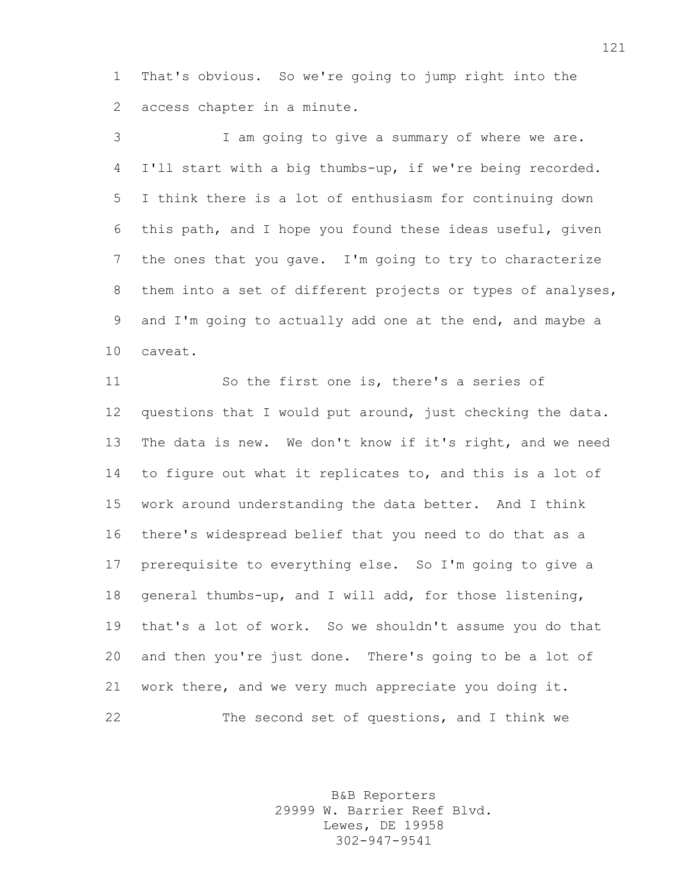That's obvious. So we're going to jump right into the access chapter in a minute.

 I am going to give a summary of where we are. I'll start with a big thumbs-up, if we're being recorded. I think there is a lot of enthusiasm for continuing down this path, and I hope you found these ideas useful, given the ones that you gave. I'm going to try to characterize them into a set of different projects or types of analyses, and I'm going to actually add one at the end, and maybe a caveat.

 So the first one is, there's a series of questions that I would put around, just checking the data. The data is new. We don't know if it's right, and we need to figure out what it replicates to, and this is a lot of work around understanding the data better. And I think there's widespread belief that you need to do that as a prerequisite to everything else. So I'm going to give a general thumbs-up, and I will add, for those listening, that's a lot of work. So we shouldn't assume you do that and then you're just done. There's going to be a lot of work there, and we very much appreciate you doing it. The second set of questions, and I think we

> B&B Reporters 29999 W. Barrier Reef Blvd. Lewes, DE 19958 302-947-9541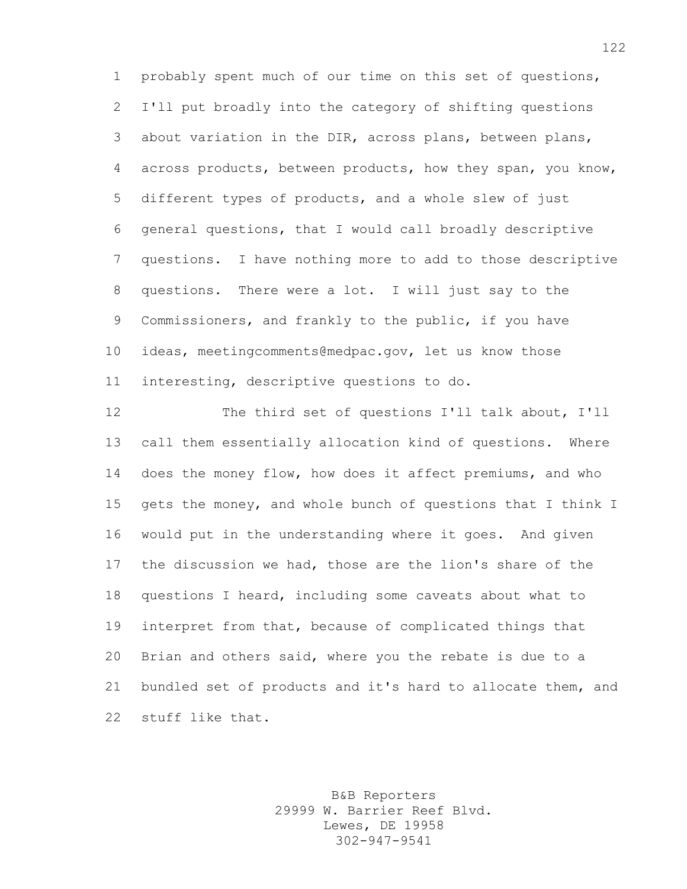probably spent much of our time on this set of questions, I'll put broadly into the category of shifting questions about variation in the DIR, across plans, between plans, across products, between products, how they span, you know, different types of products, and a whole slew of just general questions, that I would call broadly descriptive questions. I have nothing more to add to those descriptive questions. There were a lot. I will just say to the Commissioners, and frankly to the public, if you have ideas, meetingcomments@medpac.gov, let us know those interesting, descriptive questions to do.

 The third set of questions I'll talk about, I'll call them essentially allocation kind of questions. Where does the money flow, how does it affect premiums, and who gets the money, and whole bunch of questions that I think I would put in the understanding where it goes. And given the discussion we had, those are the lion's share of the questions I heard, including some caveats about what to interpret from that, because of complicated things that Brian and others said, where you the rebate is due to a bundled set of products and it's hard to allocate them, and stuff like that.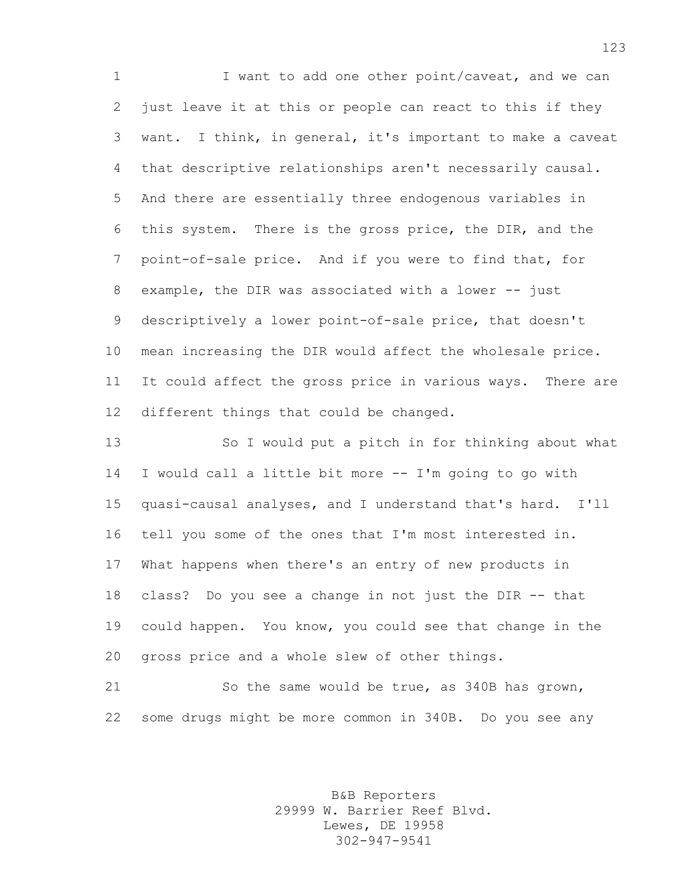1 I want to add one other point/caveat, and we can just leave it at this or people can react to this if they want. I think, in general, it's important to make a caveat that descriptive relationships aren't necessarily causal. And there are essentially three endogenous variables in this system. There is the gross price, the DIR, and the point-of-sale price. And if you were to find that, for example, the DIR was associated with a lower -- just descriptively a lower point-of-sale price, that doesn't mean increasing the DIR would affect the wholesale price. It could affect the gross price in various ways. There are different things that could be changed.

 So I would put a pitch in for thinking about what I would call a little bit more -- I'm going to go with quasi-causal analyses, and I understand that's hard. I'll tell you some of the ones that I'm most interested in. What happens when there's an entry of new products in class? Do you see a change in not just the DIR -- that could happen. You know, you could see that change in the gross price and a whole slew of other things.

 So the same would be true, as 340B has grown, some drugs might be more common in 340B. Do you see any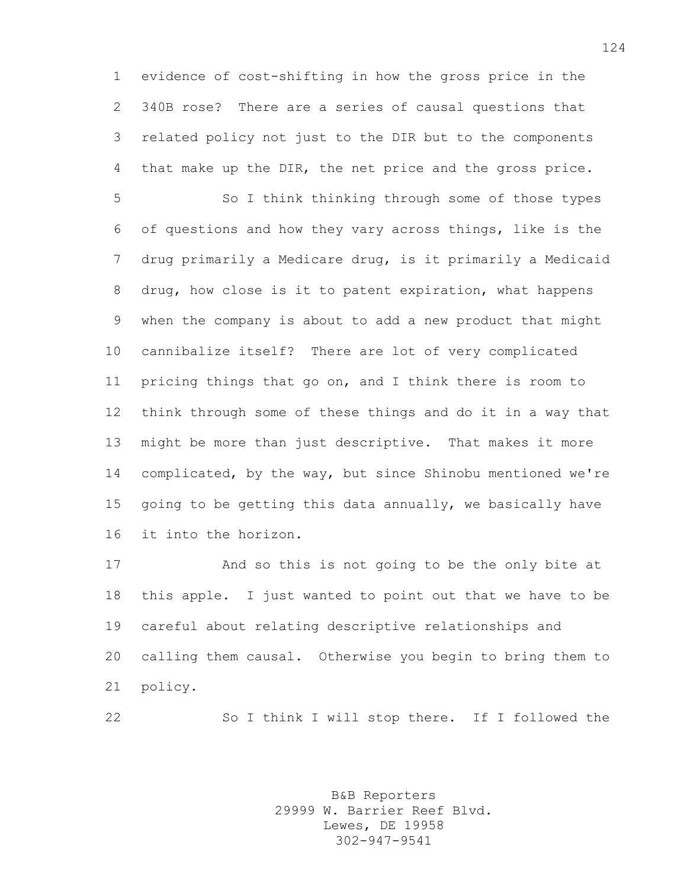evidence of cost-shifting in how the gross price in the 340B rose? There are a series of causal questions that related policy not just to the DIR but to the components that make up the DIR, the net price and the gross price.

 So I think thinking through some of those types of questions and how they vary across things, like is the drug primarily a Medicare drug, is it primarily a Medicaid drug, how close is it to patent expiration, what happens when the company is about to add a new product that might cannibalize itself? There are lot of very complicated pricing things that go on, and I think there is room to think through some of these things and do it in a way that might be more than just descriptive. That makes it more complicated, by the way, but since Shinobu mentioned we're going to be getting this data annually, we basically have it into the horizon.

 And so this is not going to be the only bite at this apple. I just wanted to point out that we have to be careful about relating descriptive relationships and calling them causal. Otherwise you begin to bring them to policy.

So I think I will stop there. If I followed the

B&B Reporters 29999 W. Barrier Reef Blvd. Lewes, DE 19958 302-947-9541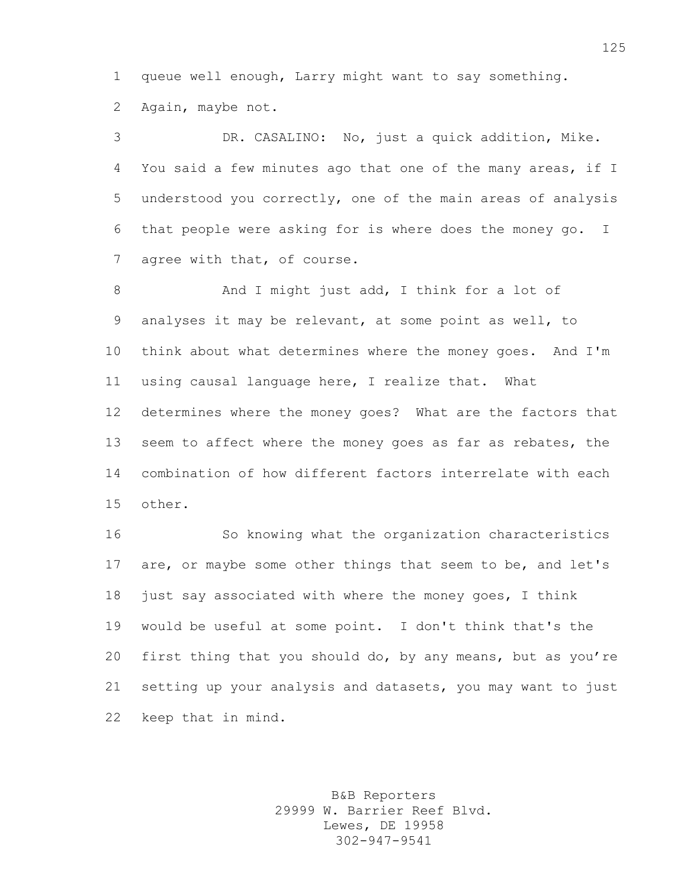queue well enough, Larry might want to say something.

Again, maybe not.

 DR. CASALINO: No, just a quick addition, Mike. You said a few minutes ago that one of the many areas, if I understood you correctly, one of the main areas of analysis that people were asking for is where does the money go. I agree with that, of course.

8 And I might just add, I think for a lot of analyses it may be relevant, at some point as well, to think about what determines where the money goes. And I'm using causal language here, I realize that. What determines where the money goes? What are the factors that 13 seem to affect where the money goes as far as rebates, the combination of how different factors interrelate with each other.

 So knowing what the organization characteristics are, or maybe some other things that seem to be, and let's just say associated with where the money goes, I think would be useful at some point. I don't think that's the first thing that you should do, by any means, but as you're setting up your analysis and datasets, you may want to just keep that in mind.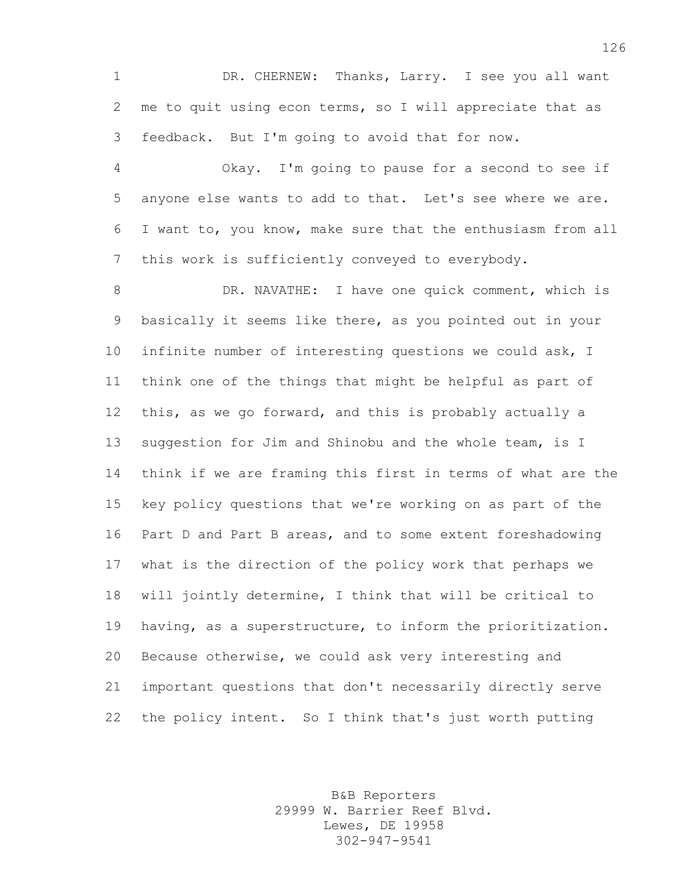1 DR. CHERNEW: Thanks, Larry. I see you all want me to quit using econ terms, so I will appreciate that as feedback. But I'm going to avoid that for now.

 Okay. I'm going to pause for a second to see if anyone else wants to add to that. Let's see where we are. I want to, you know, make sure that the enthusiasm from all this work is sufficiently conveyed to everybody.

8 DR. NAVATHE: I have one quick comment, which is basically it seems like there, as you pointed out in your infinite number of interesting questions we could ask, I think one of the things that might be helpful as part of this, as we go forward, and this is probably actually a suggestion for Jim and Shinobu and the whole team, is I think if we are framing this first in terms of what are the key policy questions that we're working on as part of the Part D and Part B areas, and to some extent foreshadowing what is the direction of the policy work that perhaps we will jointly determine, I think that will be critical to having, as a superstructure, to inform the prioritization. Because otherwise, we could ask very interesting and important questions that don't necessarily directly serve the policy intent. So I think that's just worth putting

> B&B Reporters 29999 W. Barrier Reef Blvd. Lewes, DE 19958 302-947-9541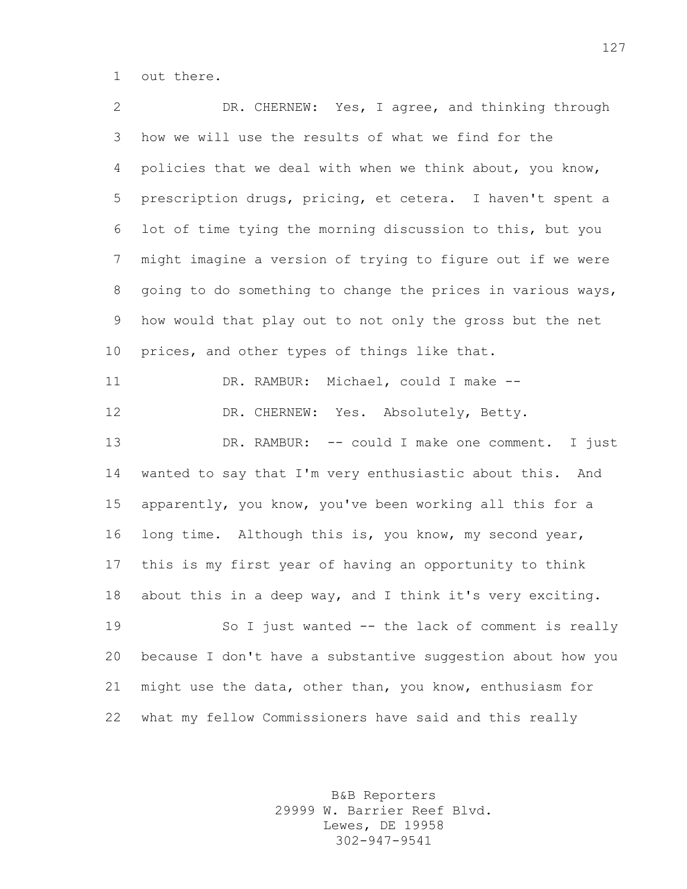out there.

 DR. CHERNEW: Yes, I agree, and thinking through how we will use the results of what we find for the policies that we deal with when we think about, you know, prescription drugs, pricing, et cetera. I haven't spent a lot of time tying the morning discussion to this, but you might imagine a version of trying to figure out if we were going to do something to change the prices in various ways, how would that play out to not only the gross but the net prices, and other types of things like that. DR. RAMBUR: Michael, could I make -- DR. CHERNEW: Yes. Absolutely, Betty. DR. RAMBUR: -- could I make one comment. I just wanted to say that I'm very enthusiastic about this. And apparently, you know, you've been working all this for a long time. Although this is, you know, my second year, this is my first year of having an opportunity to think about this in a deep way, and I think it's very exciting. So I just wanted -- the lack of comment is really because I don't have a substantive suggestion about how you might use the data, other than, you know, enthusiasm for what my fellow Commissioners have said and this really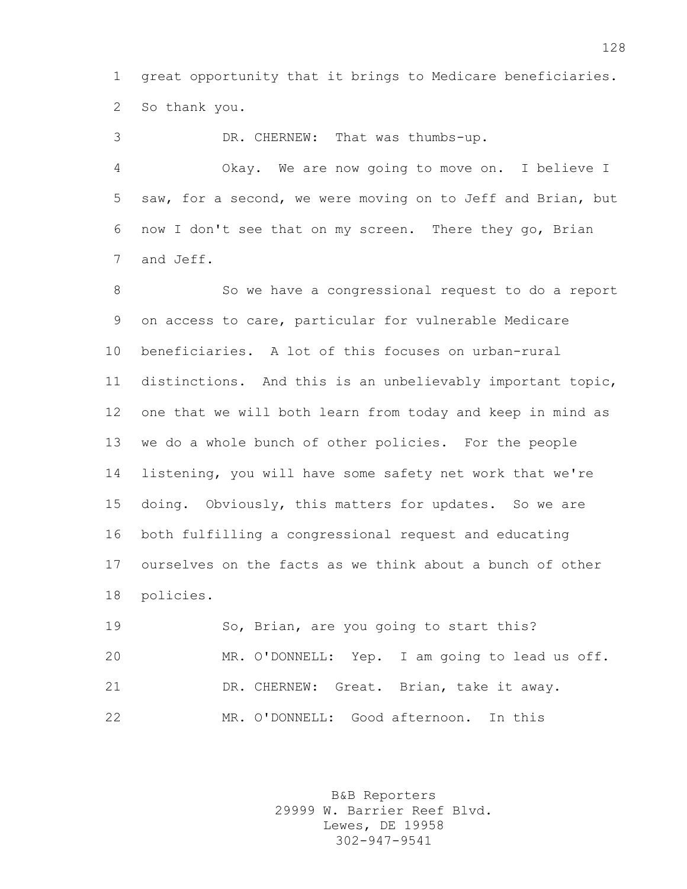great opportunity that it brings to Medicare beneficiaries. So thank you.

 DR. CHERNEW: That was thumbs-up. Okay. We are now going to move on. I believe I saw, for a second, we were moving on to Jeff and Brian, but now I don't see that on my screen. There they go, Brian and Jeff.

8 So we have a congressional request to do a report on access to care, particular for vulnerable Medicare beneficiaries. A lot of this focuses on urban-rural distinctions. And this is an unbelievably important topic, one that we will both learn from today and keep in mind as we do a whole bunch of other policies. For the people listening, you will have some safety net work that we're doing. Obviously, this matters for updates. So we are both fulfilling a congressional request and educating ourselves on the facts as we think about a bunch of other policies.

 So, Brian, are you going to start this? MR. O'DONNELL: Yep. I am going to lead us off. DR. CHERNEW: Great. Brian, take it away. MR. O'DONNELL: Good afternoon. In this

> B&B Reporters 29999 W. Barrier Reef Blvd. Lewes, DE 19958 302-947-9541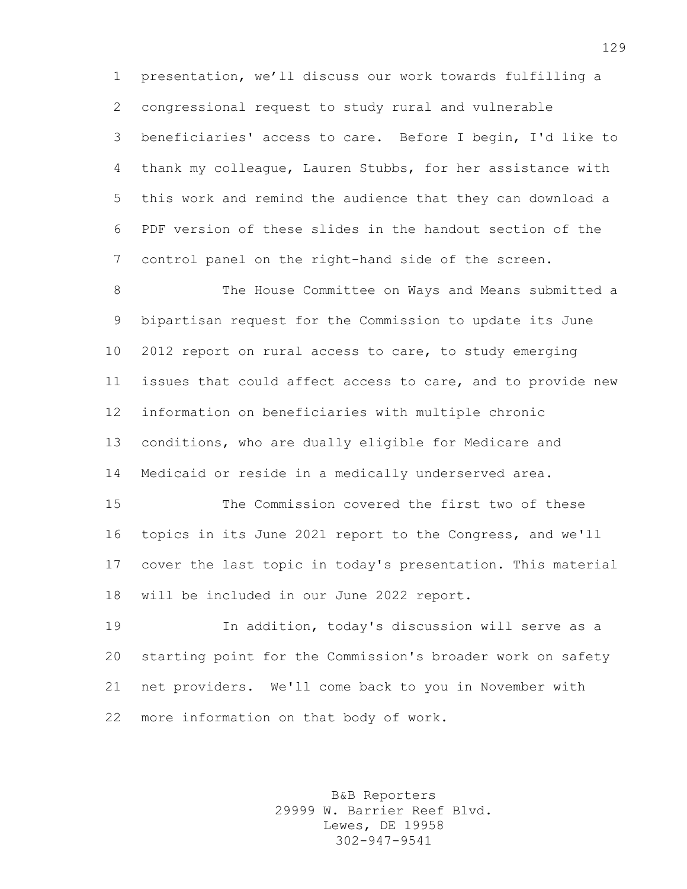presentation, we'll discuss our work towards fulfilling a congressional request to study rural and vulnerable beneficiaries' access to care. Before I begin, I'd like to thank my colleague, Lauren Stubbs, for her assistance with this work and remind the audience that they can download a PDF version of these slides in the handout section of the control panel on the right-hand side of the screen.

 The House Committee on Ways and Means submitted a bipartisan request for the Commission to update its June 2012 report on rural access to care, to study emerging issues that could affect access to care, and to provide new information on beneficiaries with multiple chronic conditions, who are dually eligible for Medicare and Medicaid or reside in a medically underserved area.

 The Commission covered the first two of these topics in its June 2021 report to the Congress, and we'll cover the last topic in today's presentation. This material will be included in our June 2022 report.

 In addition, today's discussion will serve as a starting point for the Commission's broader work on safety net providers. We'll come back to you in November with more information on that body of work.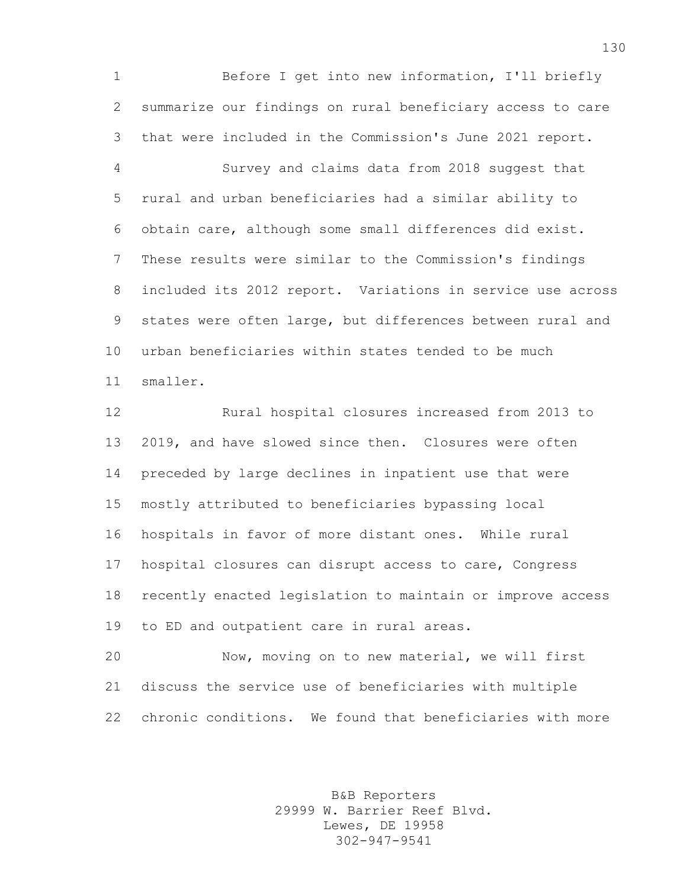Before I get into new information, I'll briefly summarize our findings on rural beneficiary access to care that were included in the Commission's June 2021 report. Survey and claims data from 2018 suggest that rural and urban beneficiaries had a similar ability to obtain care, although some small differences did exist. These results were similar to the Commission's findings included its 2012 report. Variations in service use across states were often large, but differences between rural and urban beneficiaries within states tended to be much smaller.

 Rural hospital closures increased from 2013 to 2019, and have slowed since then. Closures were often preceded by large declines in inpatient use that were mostly attributed to beneficiaries bypassing local hospitals in favor of more distant ones. While rural hospital closures can disrupt access to care, Congress recently enacted legislation to maintain or improve access to ED and outpatient care in rural areas.

 Now, moving on to new material, we will first discuss the service use of beneficiaries with multiple chronic conditions. We found that beneficiaries with more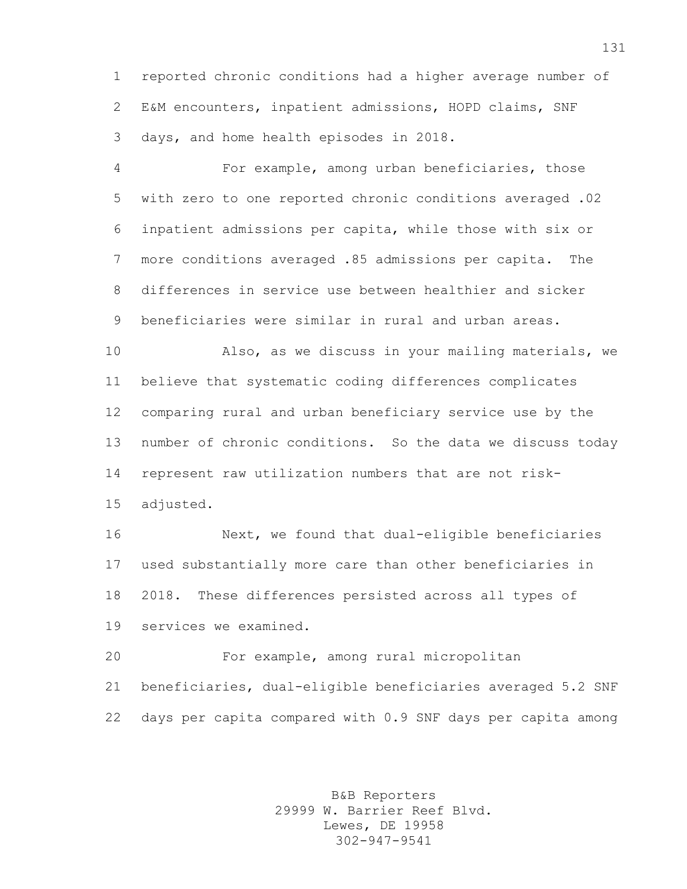reported chronic conditions had a higher average number of E&M encounters, inpatient admissions, HOPD claims, SNF days, and home health episodes in 2018.

 For example, among urban beneficiaries, those with zero to one reported chronic conditions averaged .02 inpatient admissions per capita, while those with six or more conditions averaged .85 admissions per capita. The differences in service use between healthier and sicker beneficiaries were similar in rural and urban areas.

 Also, as we discuss in your mailing materials, we believe that systematic coding differences complicates comparing rural and urban beneficiary service use by the number of chronic conditions. So the data we discuss today represent raw utilization numbers that are not risk-adjusted.

 Next, we found that dual-eligible beneficiaries used substantially more care than other beneficiaries in 2018. These differences persisted across all types of services we examined.

 For example, among rural micropolitan beneficiaries, dual-eligible beneficiaries averaged 5.2 SNF days per capita compared with 0.9 SNF days per capita among

> B&B Reporters 29999 W. Barrier Reef Blvd. Lewes, DE 19958 302-947-9541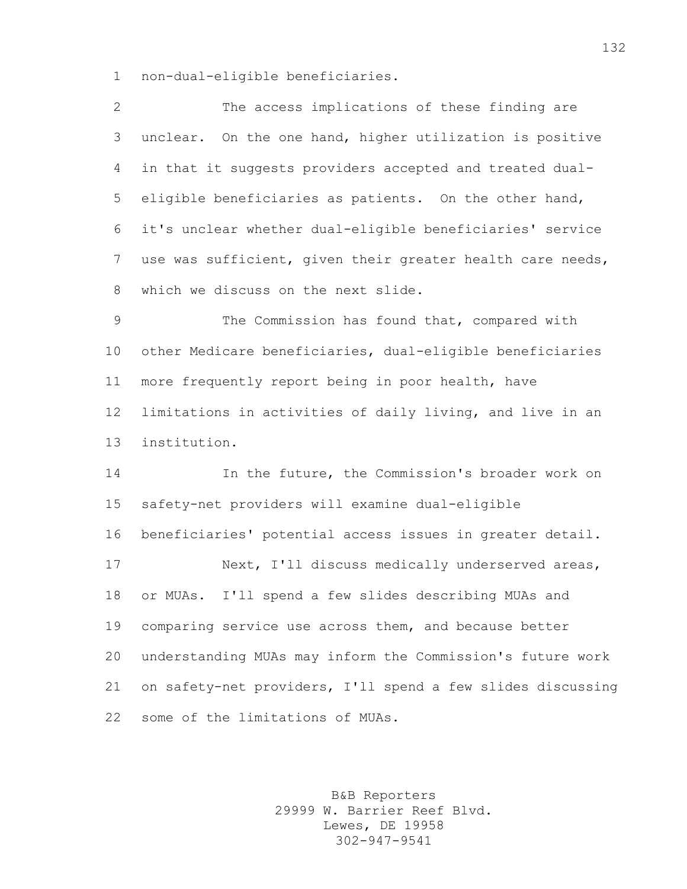non-dual-eligible beneficiaries.

| $\mathbf{2}$ | The access implications of these finding are                |
|--------------|-------------------------------------------------------------|
| 3            | unclear. On the one hand, higher utilization is positive    |
| 4            | in that it suggests providers accepted and treated dual-    |
| 5            | eligible beneficiaries as patients. On the other hand,      |
| 6            | it's unclear whether dual-eligible beneficiaries' service   |
| 7            | use was sufficient, given their greater health care needs,  |
| 8            | which we discuss on the next slide.                         |
| 9            | The Commission has found that, compared with                |
| 10           | other Medicare beneficiaries, dual-eligible beneficiaries   |
| 11           | more frequently report being in poor health, have           |
| 12           | limitations in activities of daily living, and live in an   |
| 13           | institution.                                                |
| 14           | In the future, the Commission's broader work on             |
| 15           | safety-net providers will examine dual-eligible             |
| 16           | beneficiaries' potential access issues in greater detail.   |
| 17           | Next, I'll discuss medically underserved areas,             |
| 18           | I'll spend a few slides describing MUAs and<br>or MUAs.     |
| 19           | comparing service use across them, and because better       |
| 20           | understanding MUAs may inform the Commission's future work  |
| 21           | on safety-net providers, I'll spend a few slides discussing |
| 22           | some of the limitations of MUAs.                            |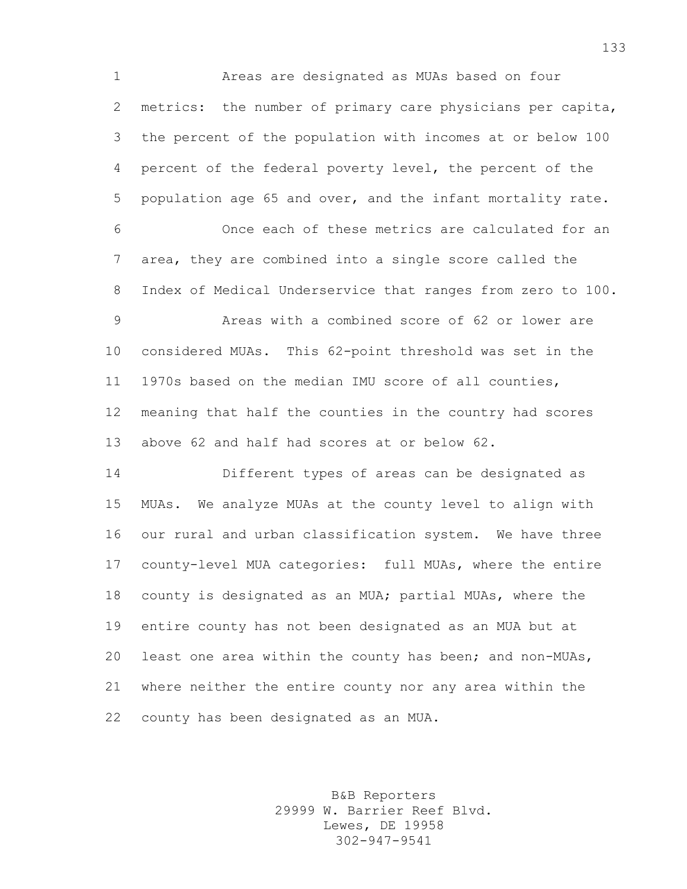Areas are designated as MUAs based on four metrics: the number of primary care physicians per capita, the percent of the population with incomes at or below 100 percent of the federal poverty level, the percent of the population age 65 and over, and the infant mortality rate. Once each of these metrics are calculated for an area, they are combined into a single score called the Index of Medical Underservice that ranges from zero to 100. Areas with a combined score of 62 or lower are considered MUAs. This 62-point threshold was set in the 1970s based on the median IMU score of all counties, meaning that half the counties in the country had scores above 62 and half had scores at or below 62. Different types of areas can be designated as MUAs. We analyze MUAs at the county level to align with our rural and urban classification system. We have three county-level MUA categories: full MUAs, where the entire county is designated as an MUA; partial MUAs, where the entire county has not been designated as an MUA but at least one area within the county has been; and non-MUAs,

county has been designated as an MUA.

B&B Reporters 29999 W. Barrier Reef Blvd. Lewes, DE 19958 302-947-9541

where neither the entire county nor any area within the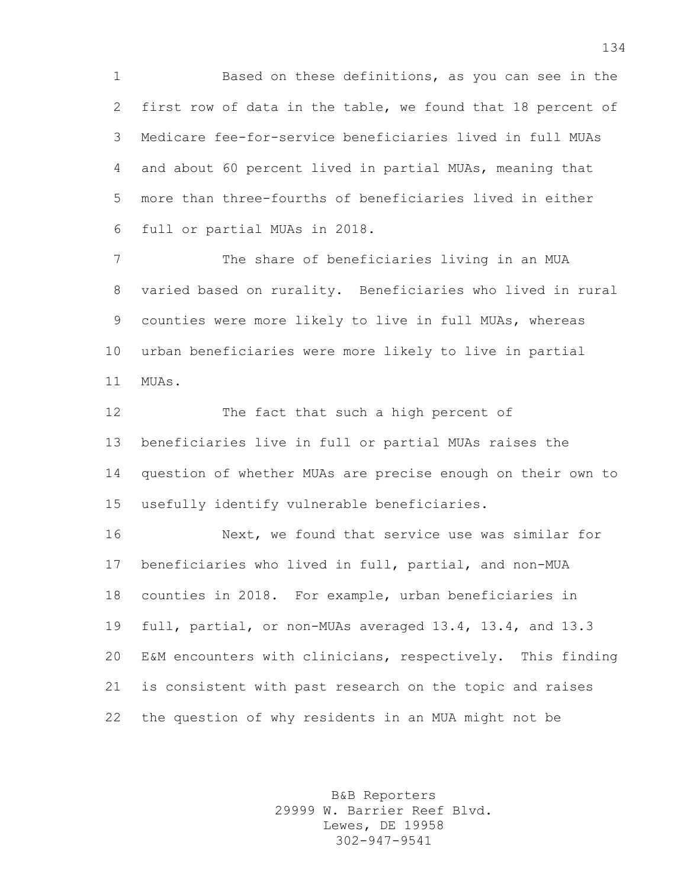Based on these definitions, as you can see in the first row of data in the table, we found that 18 percent of Medicare fee-for-service beneficiaries lived in full MUAs and about 60 percent lived in partial MUAs, meaning that more than three-fourths of beneficiaries lived in either full or partial MUAs in 2018.

7 The share of beneficiaries living in an MUA varied based on rurality. Beneficiaries who lived in rural counties were more likely to live in full MUAs, whereas urban beneficiaries were more likely to live in partial MUAs.

 The fact that such a high percent of beneficiaries live in full or partial MUAs raises the question of whether MUAs are precise enough on their own to usefully identify vulnerable beneficiaries.

 Next, we found that service use was similar for beneficiaries who lived in full, partial, and non-MUA counties in 2018. For example, urban beneficiaries in full, partial, or non-MUAs averaged 13.4, 13.4, and 13.3 E&M encounters with clinicians, respectively. This finding is consistent with past research on the topic and raises the question of why residents in an MUA might not be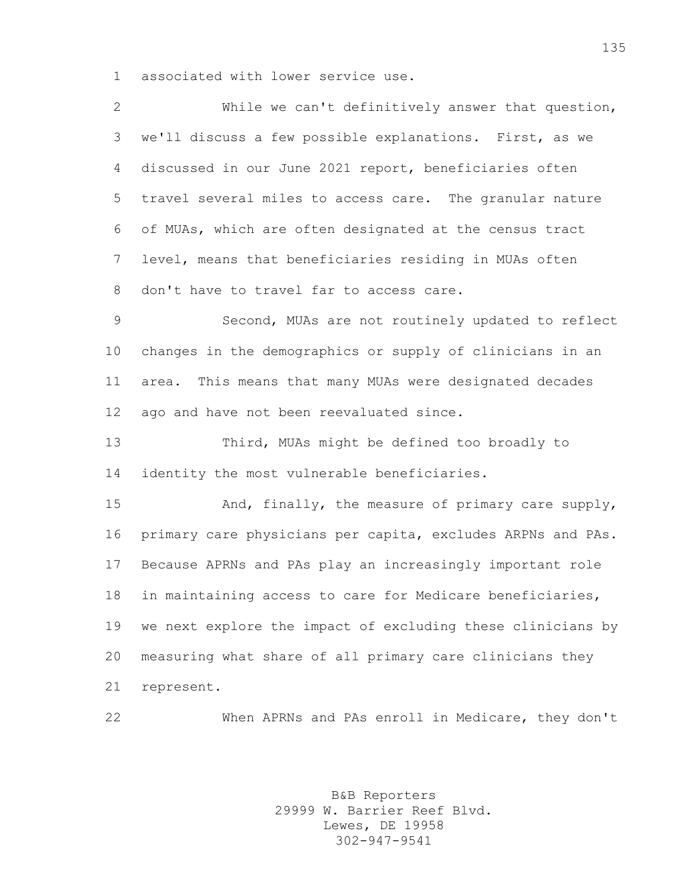associated with lower service use.

| $\overline{2}$ | While we can't definitively answer that question,           |
|----------------|-------------------------------------------------------------|
| 3              | we'll discuss a few possible explanations. First, as we     |
| $\overline{4}$ | discussed in our June 2021 report, beneficiaries often      |
| 5              | travel several miles to access care. The granular nature    |
| 6              | of MUAs, which are often designated at the census tract     |
| $7\phantom{.}$ | level, means that beneficiaries residing in MUAs often      |
| 8              | don't have to travel far to access care.                    |
| $\mathsf 9$    | Second, MUAs are not routinely updated to reflect           |
| 10             | changes in the demographics or supply of clinicians in an   |
| 11             | This means that many MUAs were designated decades<br>area.  |
| 12             | ago and have not been reevaluated since.                    |
| 13             | Third, MUAs might be defined too broadly to                 |
| 14             | identity the most vulnerable beneficiaries.                 |
| 15             | And, finally, the measure of primary care supply,           |
| 16             | primary care physicians per capita, excludes ARPNs and PAs. |
| 17             | Because APRNs and PAs play an increasingly important role   |
| 18             | in maintaining access to care for Medicare beneficiaries,   |
| 19             | we next explore the impact of excluding these clinicians by |
| 20             | measuring what share of all primary care clinicians they    |
| 21             | represent.                                                  |
| 22             | When APRNs and PAs enroll in Medicare, they don't           |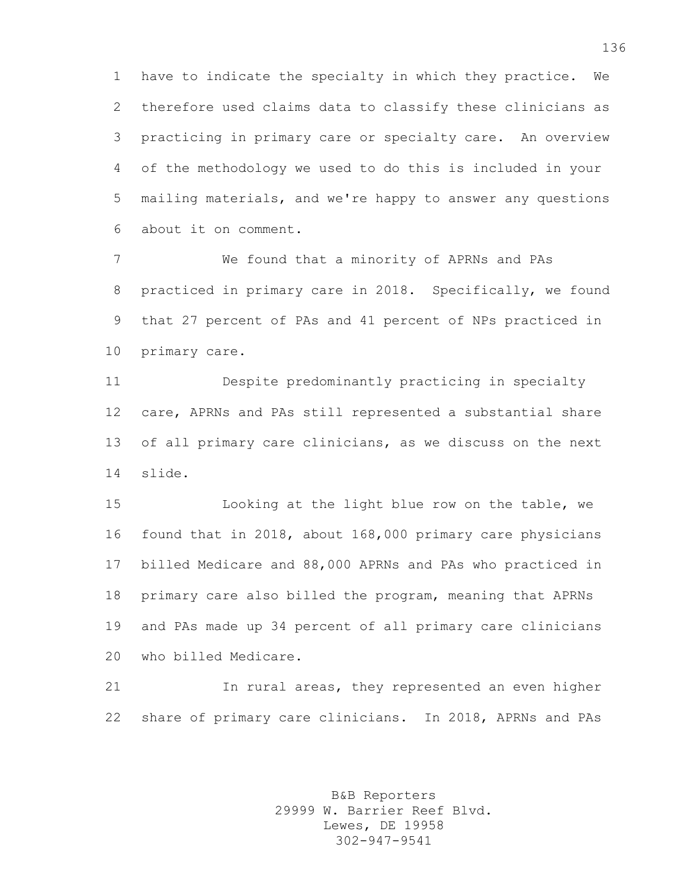have to indicate the specialty in which they practice. We therefore used claims data to classify these clinicians as practicing in primary care or specialty care. An overview of the methodology we used to do this is included in your mailing materials, and we're happy to answer any questions about it on comment.

 We found that a minority of APRNs and PAs practiced in primary care in 2018. Specifically, we found that 27 percent of PAs and 41 percent of NPs practiced in primary care.

 Despite predominantly practicing in specialty care, APRNs and PAs still represented a substantial share of all primary care clinicians, as we discuss on the next slide.

 Looking at the light blue row on the table, we found that in 2018, about 168,000 primary care physicians billed Medicare and 88,000 APRNs and PAs who practiced in primary care also billed the program, meaning that APRNs and PAs made up 34 percent of all primary care clinicians who billed Medicare.

 In rural areas, they represented an even higher share of primary care clinicians. In 2018, APRNs and PAs

> B&B Reporters 29999 W. Barrier Reef Blvd. Lewes, DE 19958 302-947-9541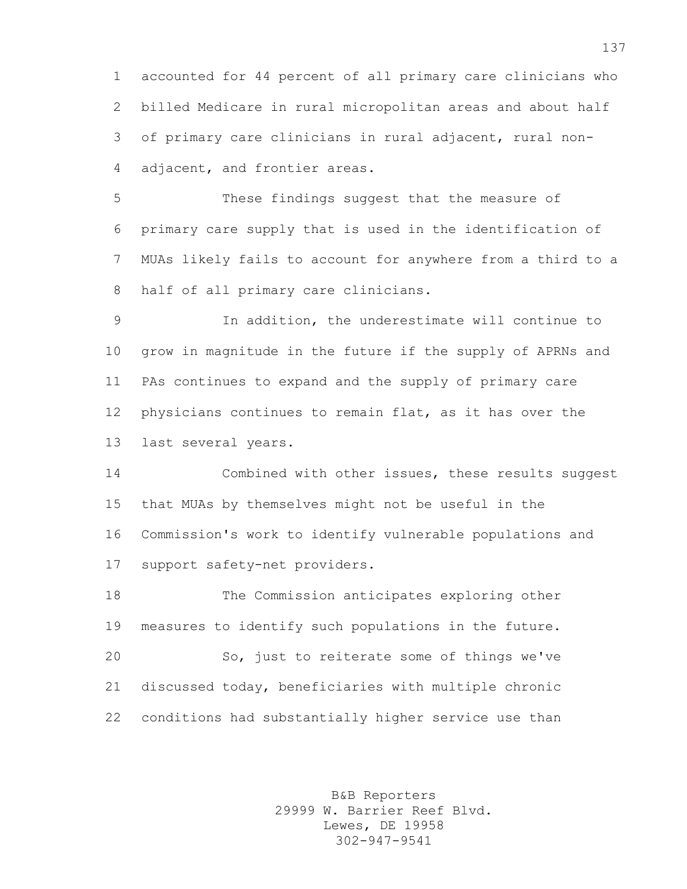accounted for 44 percent of all primary care clinicians who billed Medicare in rural micropolitan areas and about half of primary care clinicians in rural adjacent, rural non-adjacent, and frontier areas.

 These findings suggest that the measure of primary care supply that is used in the identification of MUAs likely fails to account for anywhere from a third to a half of all primary care clinicians.

 In addition, the underestimate will continue to grow in magnitude in the future if the supply of APRNs and PAs continues to expand and the supply of primary care physicians continues to remain flat, as it has over the last several years.

 Combined with other issues, these results suggest that MUAs by themselves might not be useful in the Commission's work to identify vulnerable populations and support safety-net providers.

 The Commission anticipates exploring other measures to identify such populations in the future. So, just to reiterate some of things we've discussed today, beneficiaries with multiple chronic conditions had substantially higher service use than

> B&B Reporters 29999 W. Barrier Reef Blvd. Lewes, DE 19958 302-947-9541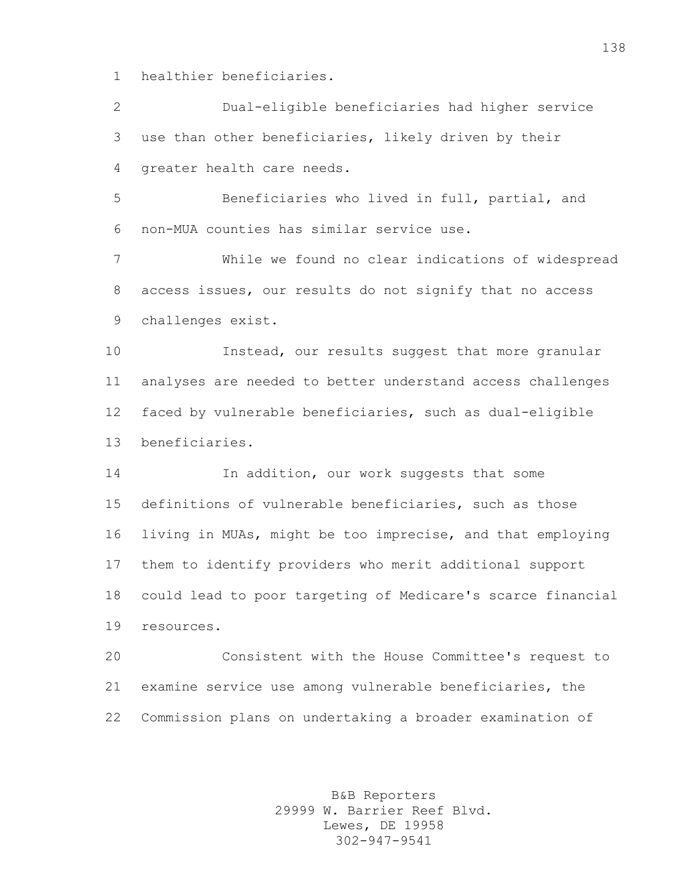healthier beneficiaries.

 Dual-eligible beneficiaries had higher service use than other beneficiaries, likely driven by their greater health care needs.

 Beneficiaries who lived in full, partial, and non-MUA counties has similar service use.

 While we found no clear indications of widespread access issues, our results do not signify that no access challenges exist.

 Instead, our results suggest that more granular analyses are needed to better understand access challenges faced by vulnerable beneficiaries, such as dual-eligible beneficiaries.

14 In addition, our work suggests that some definitions of vulnerable beneficiaries, such as those living in MUAs, might be too imprecise, and that employing them to identify providers who merit additional support could lead to poor targeting of Medicare's scarce financial resources.

 Consistent with the House Committee's request to examine service use among vulnerable beneficiaries, the Commission plans on undertaking a broader examination of

> B&B Reporters 29999 W. Barrier Reef Blvd. Lewes, DE 19958 302-947-9541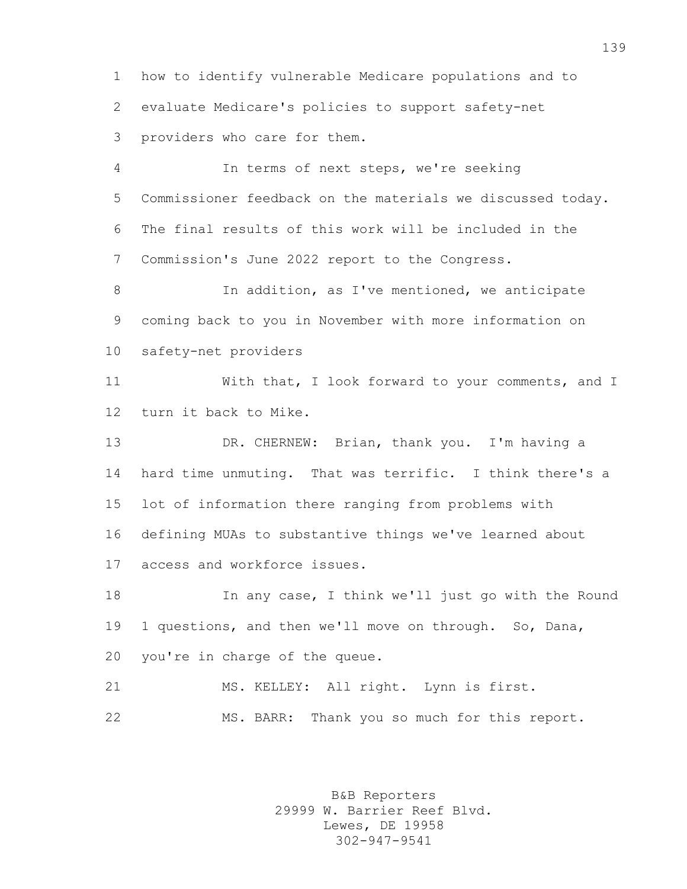how to identify vulnerable Medicare populations and to evaluate Medicare's policies to support safety-net providers who care for them.

 In terms of next steps, we're seeking Commissioner feedback on the materials we discussed today. The final results of this work will be included in the Commission's June 2022 report to the Congress.

8 11 In addition, as I've mentioned, we anticipate coming back to you in November with more information on safety-net providers

 With that, I look forward to your comments, and I turn it back to Mike.

 DR. CHERNEW: Brian, thank you. I'm having a hard time unmuting. That was terrific. I think there's a lot of information there ranging from problems with defining MUAs to substantive things we've learned about access and workforce issues.

 In any case, I think we'll just go with the Round 1 questions, and then we'll move on through. So, Dana, you're in charge of the queue.

 MS. KELLEY: All right. Lynn is first. MS. BARR: Thank you so much for this report.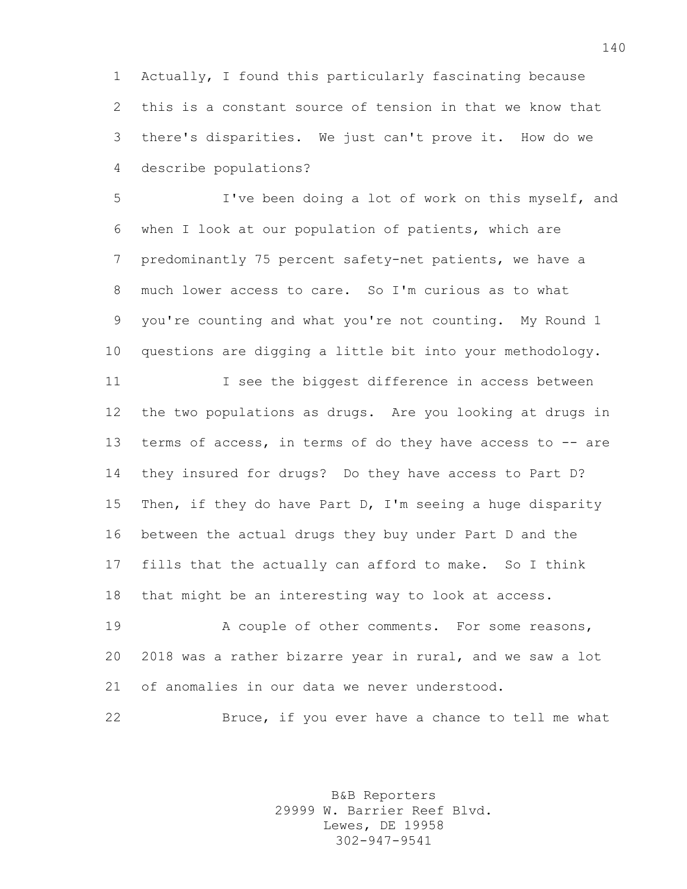Actually, I found this particularly fascinating because this is a constant source of tension in that we know that there's disparities. We just can't prove it. How do we describe populations?

 I've been doing a lot of work on this myself, and when I look at our population of patients, which are predominantly 75 percent safety-net patients, we have a much lower access to care. So I'm curious as to what you're counting and what you're not counting. My Round 1 questions are digging a little bit into your methodology.

 I see the biggest difference in access between the two populations as drugs. Are you looking at drugs in 13 terms of access, in terms of do they have access to -- are they insured for drugs? Do they have access to Part D? Then, if they do have Part D, I'm seeing a huge disparity between the actual drugs they buy under Part D and the fills that the actually can afford to make. So I think that might be an interesting way to look at access.

19 A couple of other comments. For some reasons, 2018 was a rather bizarre year in rural, and we saw a lot of anomalies in our data we never understood.

Bruce, if you ever have a chance to tell me what

B&B Reporters 29999 W. Barrier Reef Blvd. Lewes, DE 19958 302-947-9541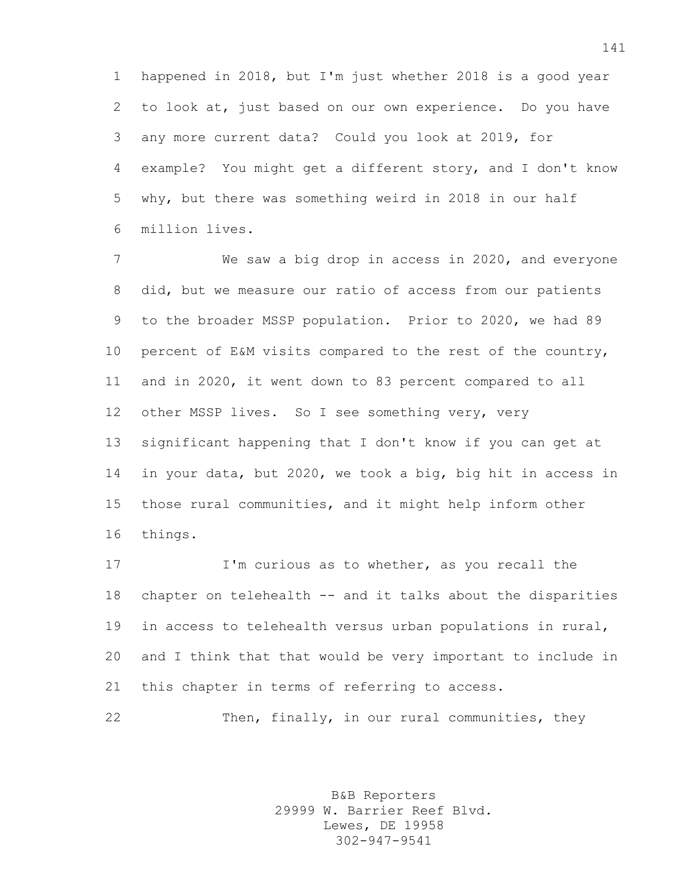happened in 2018, but I'm just whether 2018 is a good year to look at, just based on our own experience. Do you have any more current data? Could you look at 2019, for example? You might get a different story, and I don't know why, but there was something weird in 2018 in our half million lives.

 We saw a big drop in access in 2020, and everyone did, but we measure our ratio of access from our patients to the broader MSSP population. Prior to 2020, we had 89 percent of E&M visits compared to the rest of the country, and in 2020, it went down to 83 percent compared to all other MSSP lives. So I see something very, very significant happening that I don't know if you can get at in your data, but 2020, we took a big, big hit in access in those rural communities, and it might help inform other things.

 I'm curious as to whether, as you recall the chapter on telehealth -- and it talks about the disparities in access to telehealth versus urban populations in rural, and I think that that would be very important to include in this chapter in terms of referring to access.

Then, finally, in our rural communities, they

B&B Reporters 29999 W. Barrier Reef Blvd. Lewes, DE 19958 302-947-9541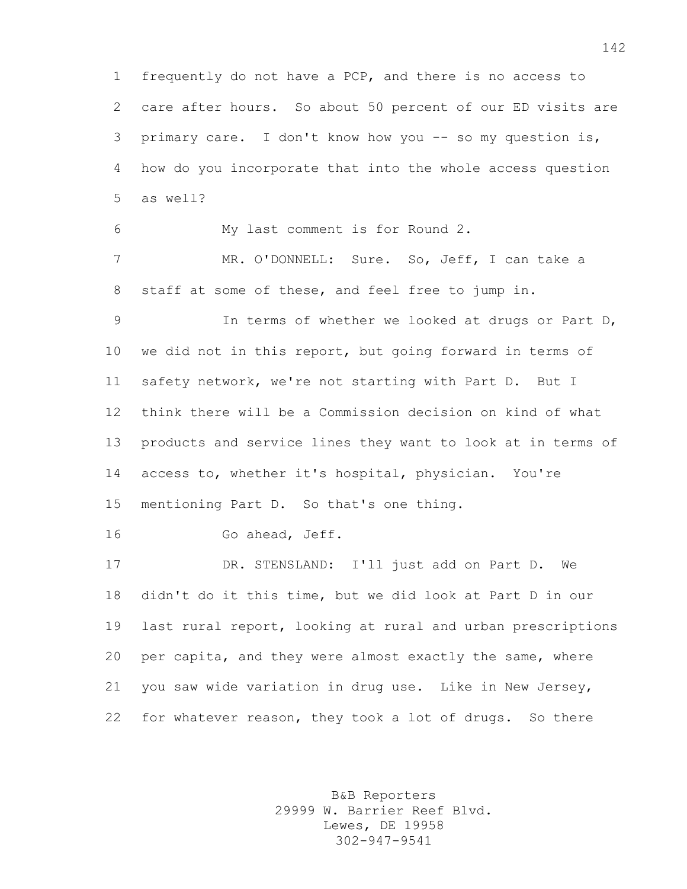frequently do not have a PCP, and there is no access to care after hours. So about 50 percent of our ED visits are primary care. I don't know how you -- so my question is, how do you incorporate that into the whole access question as well?

My last comment is for Round 2.

7 MR. O'DONNELL: Sure. So, Jeff, I can take a staff at some of these, and feel free to jump in.

 In terms of whether we looked at drugs or Part D, we did not in this report, but going forward in terms of safety network, we're not starting with Part D. But I think there will be a Commission decision on kind of what products and service lines they want to look at in terms of access to, whether it's hospital, physician. You're mentioning Part D. So that's one thing.

Go ahead, Jeff.

 DR. STENSLAND: I'll just add on Part D. We didn't do it this time, but we did look at Part D in our last rural report, looking at rural and urban prescriptions per capita, and they were almost exactly the same, where you saw wide variation in drug use. Like in New Jersey, for whatever reason, they took a lot of drugs. So there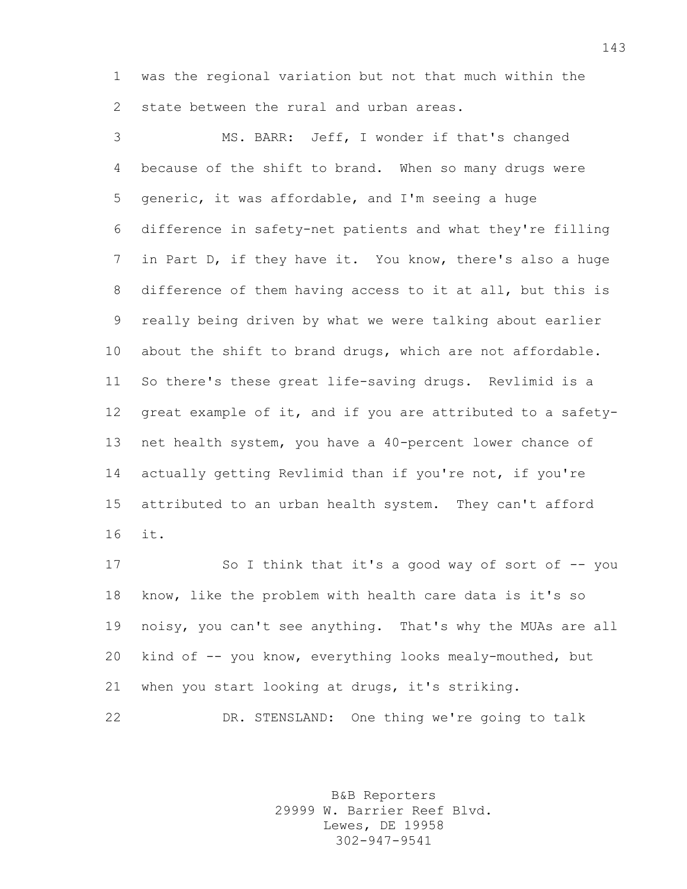was the regional variation but not that much within the state between the rural and urban areas.

 MS. BARR: Jeff, I wonder if that's changed because of the shift to brand. When so many drugs were generic, it was affordable, and I'm seeing a huge difference in safety-net patients and what they're filling in Part D, if they have it. You know, there's also a huge difference of them having access to it at all, but this is really being driven by what we were talking about earlier about the shift to brand drugs, which are not affordable. So there's these great life-saving drugs. Revlimid is a great example of it, and if you are attributed to a safety- net health system, you have a 40-percent lower chance of actually getting Revlimid than if you're not, if you're attributed to an urban health system. They can't afford it.

17 So I think that it's a good way of sort of -- you know, like the problem with health care data is it's so noisy, you can't see anything. That's why the MUAs are all kind of -- you know, everything looks mealy-mouthed, but when you start looking at drugs, it's striking. DR. STENSLAND: One thing we're going to talk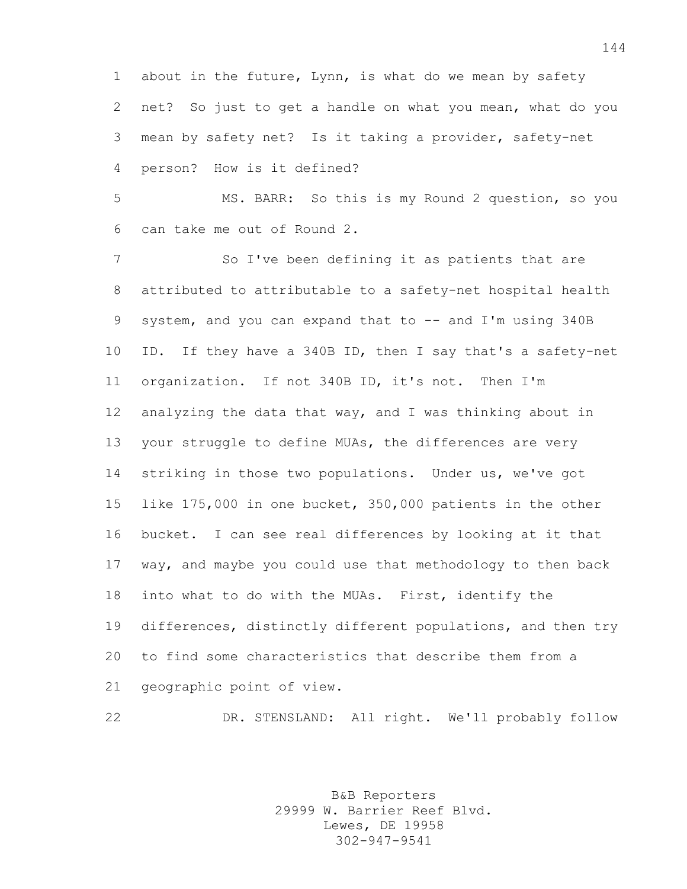about in the future, Lynn, is what do we mean by safety net? So just to get a handle on what you mean, what do you mean by safety net? Is it taking a provider, safety-net person? How is it defined?

 MS. BARR: So this is my Round 2 question, so you can take me out of Round 2.

7 So I've been defining it as patients that are attributed to attributable to a safety-net hospital health 9 system, and you can expand that to -- and I'm using 340B ID. If they have a 340B ID, then I say that's a safety-net organization. If not 340B ID, it's not. Then I'm analyzing the data that way, and I was thinking about in your struggle to define MUAs, the differences are very striking in those two populations. Under us, we've got like 175,000 in one bucket, 350,000 patients in the other bucket. I can see real differences by looking at it that way, and maybe you could use that methodology to then back into what to do with the MUAs. First, identify the differences, distinctly different populations, and then try to find some characteristics that describe them from a geographic point of view.

DR. STENSLAND: All right. We'll probably follow

B&B Reporters 29999 W. Barrier Reef Blvd. Lewes, DE 19958 302-947-9541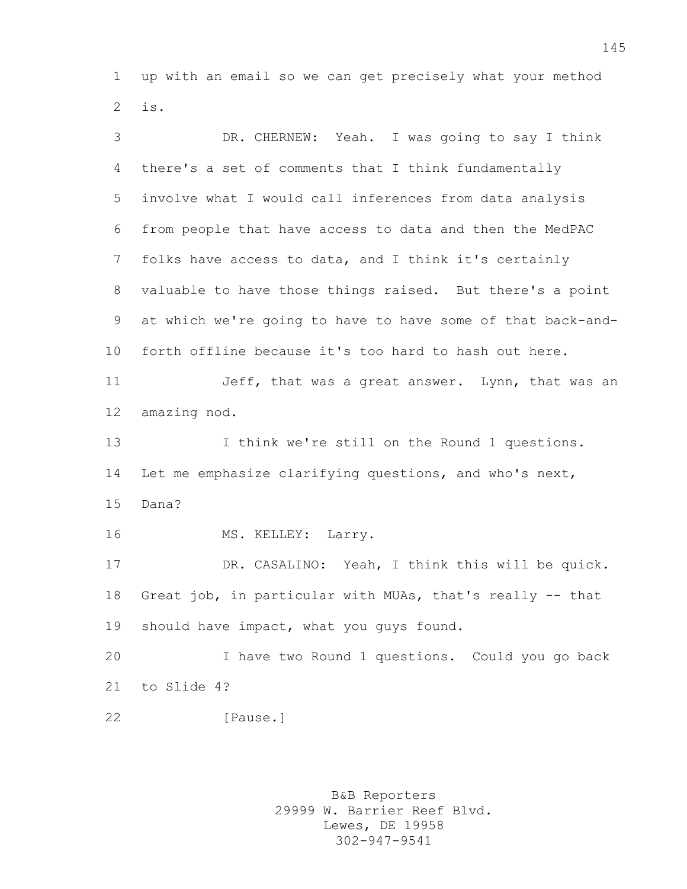up with an email so we can get precisely what your method is.

 DR. CHERNEW: Yeah. I was going to say I think there's a set of comments that I think fundamentally involve what I would call inferences from data analysis from people that have access to data and then the MedPAC folks have access to data, and I think it's certainly valuable to have those things raised. But there's a point at which we're going to have to have some of that back-and- forth offline because it's too hard to hash out here. Jeff, that was a great answer. Lynn, that was an amazing nod. I think we're still on the Round 1 questions. Let me emphasize clarifying questions, and who's next, Dana? 16 MS. KELLEY: Larry. DR. CASALINO: Yeah, I think this will be quick. Great job, in particular with MUAs, that's really -- that should have impact, what you guys found. I have two Round 1 questions. Could you go back to Slide 4?

22 [Pause.]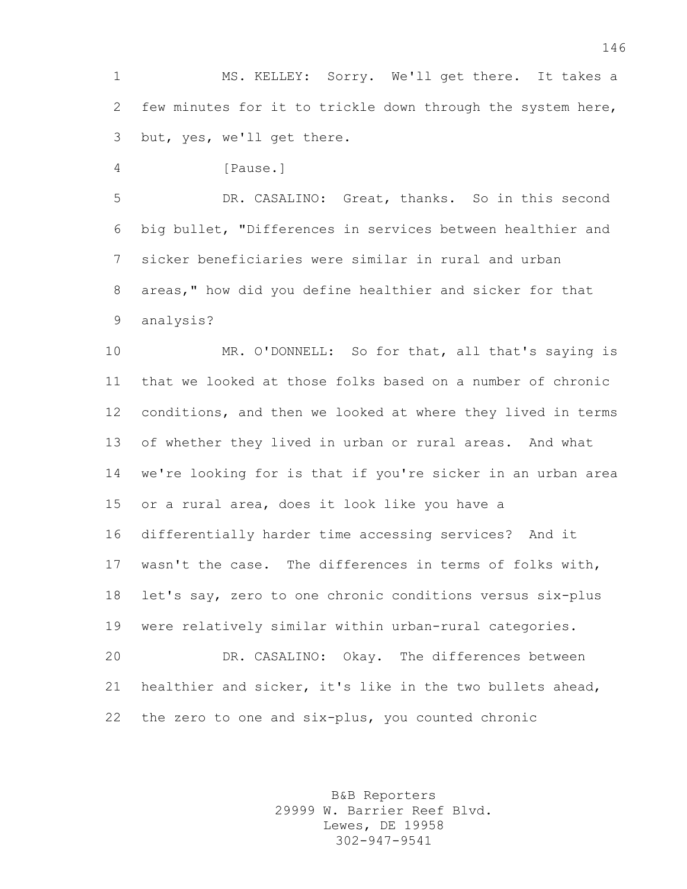MS. KELLEY: Sorry. We'll get there. It takes a few minutes for it to trickle down through the system here, but, yes, we'll get there.

[Pause.]

 DR. CASALINO: Great, thanks. So in this second big bullet, "Differences in services between healthier and sicker beneficiaries were similar in rural and urban areas," how did you define healthier and sicker for that analysis?

 MR. O'DONNELL: So for that, all that's saying is that we looked at those folks based on a number of chronic conditions, and then we looked at where they lived in terms of whether they lived in urban or rural areas. And what we're looking for is that if you're sicker in an urban area or a rural area, does it look like you have a differentially harder time accessing services? And it wasn't the case. The differences in terms of folks with, let's say, zero to one chronic conditions versus six-plus were relatively similar within urban-rural categories. DR. CASALINO: Okay. The differences between healthier and sicker, it's like in the two bullets ahead,

the zero to one and six-plus, you counted chronic

B&B Reporters 29999 W. Barrier Reef Blvd. Lewes, DE 19958 302-947-9541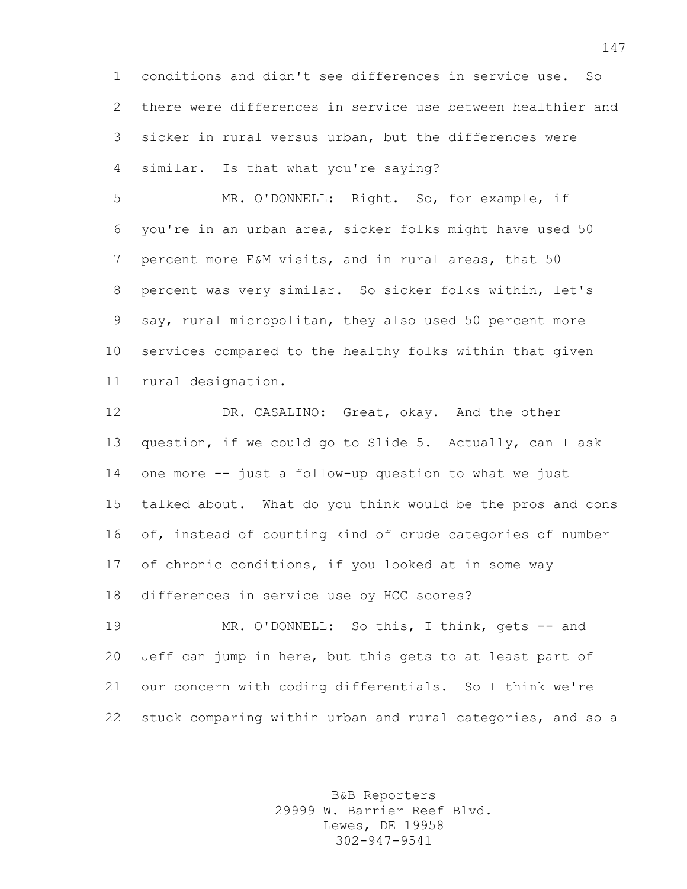conditions and didn't see differences in service use. So there were differences in service use between healthier and sicker in rural versus urban, but the differences were similar. Is that what you're saying?

 MR. O'DONNELL: Right. So, for example, if you're in an urban area, sicker folks might have used 50 percent more E&M visits, and in rural areas, that 50 percent was very similar. So sicker folks within, let's say, rural micropolitan, they also used 50 percent more services compared to the healthy folks within that given rural designation.

 DR. CASALINO: Great, okay. And the other question, if we could go to Slide 5. Actually, can I ask one more -- just a follow-up question to what we just talked about. What do you think would be the pros and cons of, instead of counting kind of crude categories of number of chronic conditions, if you looked at in some way differences in service use by HCC scores?

 MR. O'DONNELL: So this, I think, gets -- and Jeff can jump in here, but this gets to at least part of our concern with coding differentials. So I think we're stuck comparing within urban and rural categories, and so a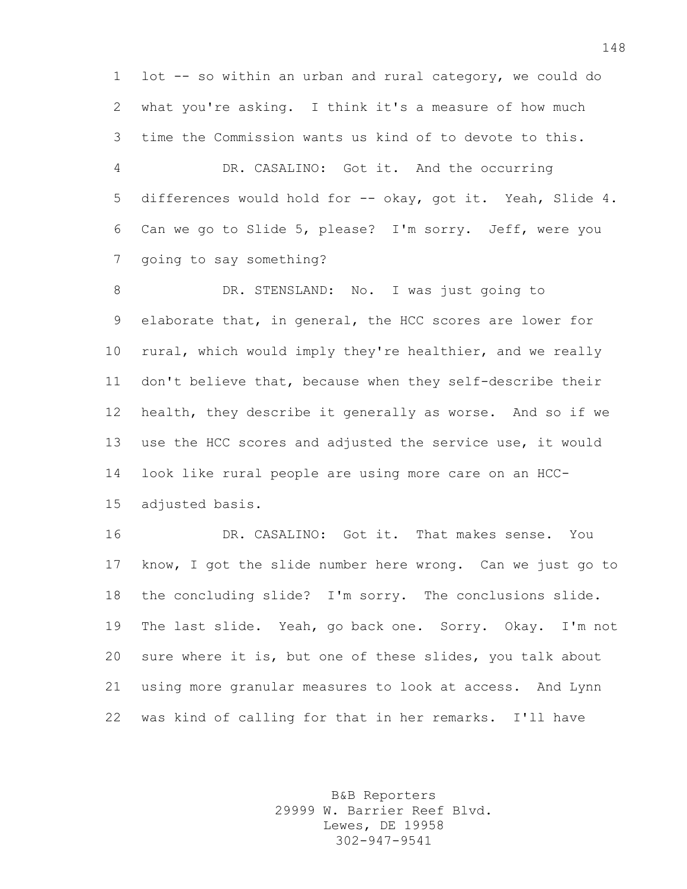lot -- so within an urban and rural category, we could do what you're asking. I think it's a measure of how much time the Commission wants us kind of to devote to this. DR. CASALINO: Got it. And the occurring differences would hold for -- okay, got it. Yeah, Slide 4. Can we go to Slide 5, please? I'm sorry. Jeff, were you going to say something?

8 DR. STENSLAND: No. I was just going to elaborate that, in general, the HCC scores are lower for rural, which would imply they're healthier, and we really don't believe that, because when they self-describe their health, they describe it generally as worse. And so if we use the HCC scores and adjusted the service use, it would look like rural people are using more care on an HCC-adjusted basis.

 DR. CASALINO: Got it. That makes sense. You know, I got the slide number here wrong. Can we just go to the concluding slide? I'm sorry. The conclusions slide. The last slide. Yeah, go back one. Sorry. Okay. I'm not sure where it is, but one of these slides, you talk about using more granular measures to look at access. And Lynn was kind of calling for that in her remarks. I'll have

> B&B Reporters 29999 W. Barrier Reef Blvd. Lewes, DE 19958 302-947-9541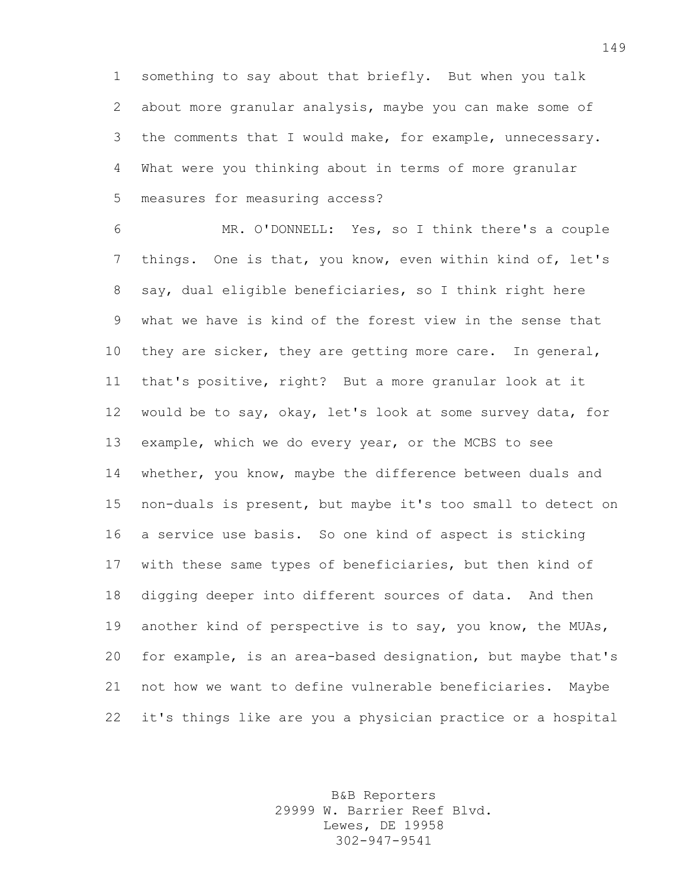something to say about that briefly. But when you talk about more granular analysis, maybe you can make some of the comments that I would make, for example, unnecessary. What were you thinking about in terms of more granular measures for measuring access?

 MR. O'DONNELL: Yes, so I think there's a couple things. One is that, you know, even within kind of, let's say, dual eligible beneficiaries, so I think right here what we have is kind of the forest view in the sense that they are sicker, they are getting more care. In general, that's positive, right? But a more granular look at it would be to say, okay, let's look at some survey data, for example, which we do every year, or the MCBS to see whether, you know, maybe the difference between duals and non-duals is present, but maybe it's too small to detect on a service use basis. So one kind of aspect is sticking with these same types of beneficiaries, but then kind of digging deeper into different sources of data. And then another kind of perspective is to say, you know, the MUAs, for example, is an area-based designation, but maybe that's not how we want to define vulnerable beneficiaries. Maybe it's things like are you a physician practice or a hospital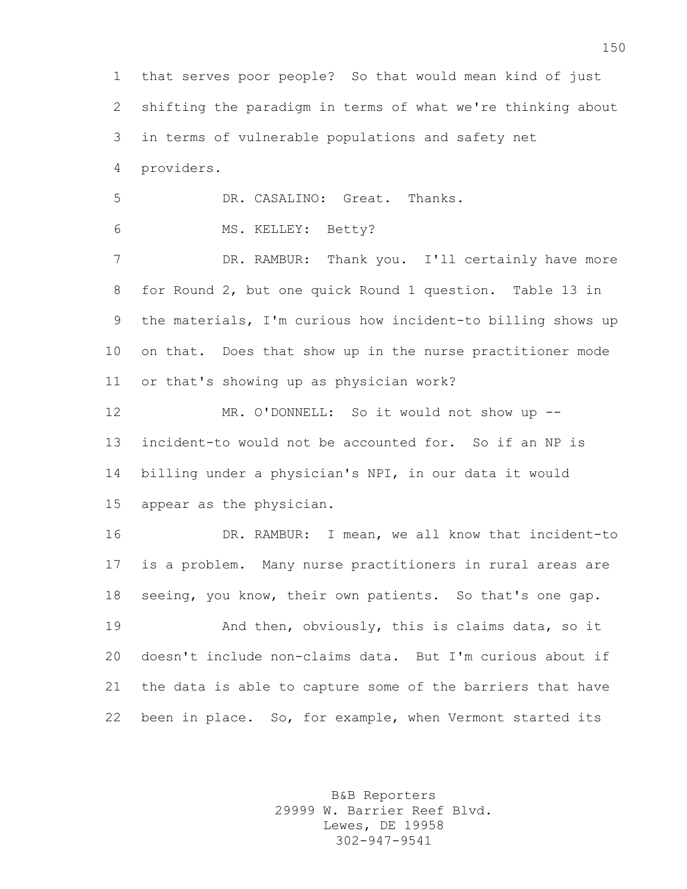that serves poor people? So that would mean kind of just shifting the paradigm in terms of what we're thinking about in terms of vulnerable populations and safety net providers.

DR. CASALINO: Great. Thanks.

MS. KELLEY: Betty?

7 DR. RAMBUR: Thank you. I'll certainly have more for Round 2, but one quick Round 1 question. Table 13 in the materials, I'm curious how incident-to billing shows up on that. Does that show up in the nurse practitioner mode or that's showing up as physician work?

 MR. O'DONNELL: So it would not show up -- incident-to would not be accounted for. So if an NP is billing under a physician's NPI, in our data it would appear as the physician.

 DR. RAMBUR: I mean, we all know that incident-to is a problem. Many nurse practitioners in rural areas are seeing, you know, their own patients. So that's one gap.

 And then, obviously, this is claims data, so it doesn't include non-claims data. But I'm curious about if the data is able to capture some of the barriers that have been in place. So, for example, when Vermont started its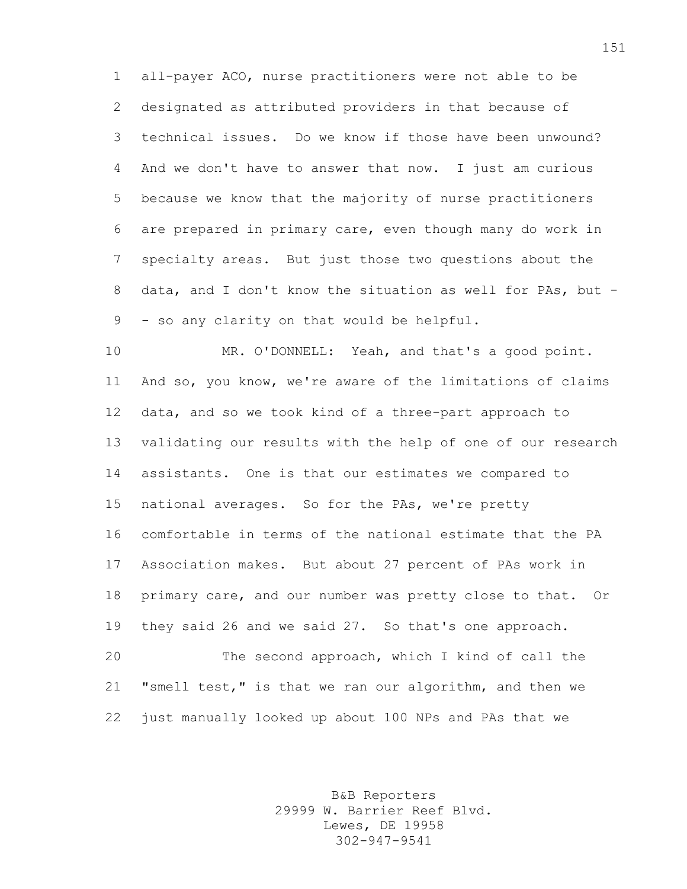all-payer ACO, nurse practitioners were not able to be designated as attributed providers in that because of technical issues. Do we know if those have been unwound? And we don't have to answer that now. I just am curious because we know that the majority of nurse practitioners are prepared in primary care, even though many do work in specialty areas. But just those two questions about the data, and I don't know the situation as well for PAs, but - - so any clarity on that would be helpful.

 MR. O'DONNELL: Yeah, and that's a good point. And so, you know, we're aware of the limitations of claims data, and so we took kind of a three-part approach to validating our results with the help of one of our research assistants. One is that our estimates we compared to national averages. So for the PAs, we're pretty comfortable in terms of the national estimate that the PA Association makes. But about 27 percent of PAs work in primary care, and our number was pretty close to that. Or they said 26 and we said 27. So that's one approach.

 The second approach, which I kind of call the "smell test," is that we ran our algorithm, and then we just manually looked up about 100 NPs and PAs that we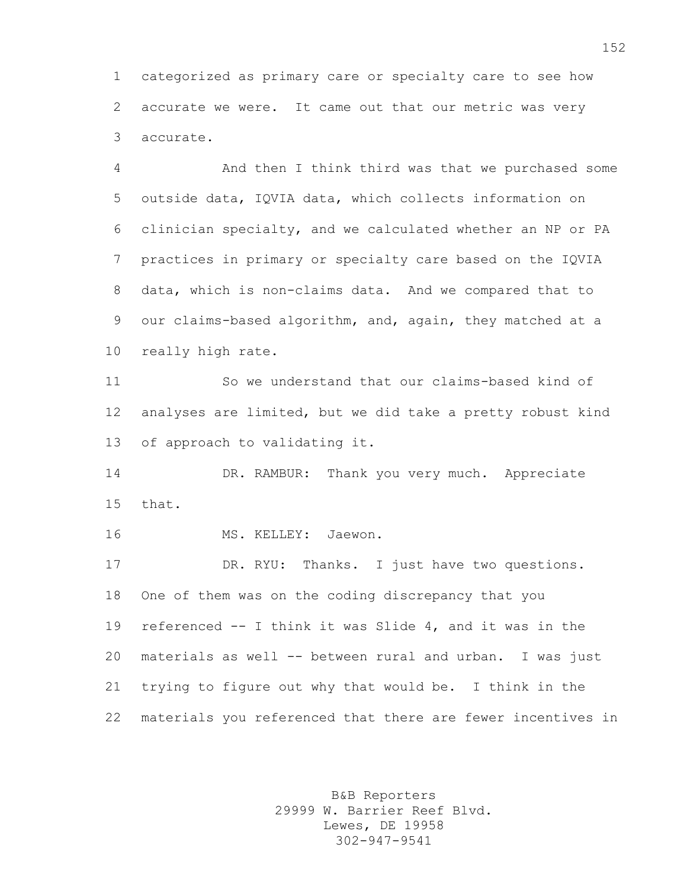categorized as primary care or specialty care to see how accurate we were. It came out that our metric was very accurate.

 And then I think third was that we purchased some outside data, IQVIA data, which collects information on clinician specialty, and we calculated whether an NP or PA practices in primary or specialty care based on the IQVIA data, which is non-claims data. And we compared that to our claims-based algorithm, and, again, they matched at a really high rate.

 So we understand that our claims-based kind of analyses are limited, but we did take a pretty robust kind of approach to validating it.

 DR. RAMBUR: Thank you very much. Appreciate that.

16 MS. KELLEY: Jaewon.

 DR. RYU: Thanks. I just have two questions. One of them was on the coding discrepancy that you referenced -- I think it was Slide 4, and it was in the materials as well -- between rural and urban. I was just trying to figure out why that would be. I think in the materials you referenced that there are fewer incentives in

> B&B Reporters 29999 W. Barrier Reef Blvd. Lewes, DE 19958 302-947-9541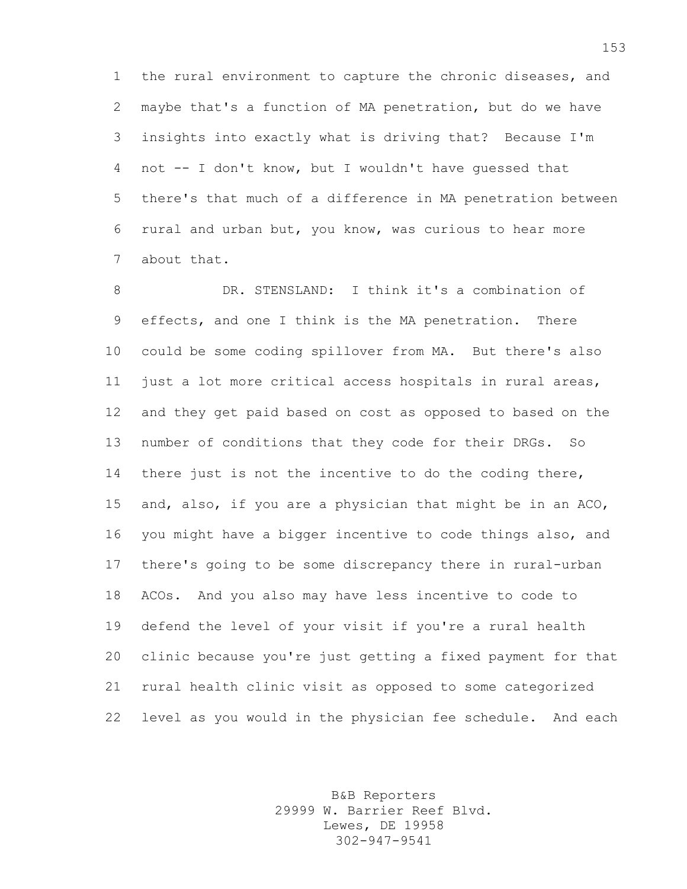the rural environment to capture the chronic diseases, and maybe that's a function of MA penetration, but do we have insights into exactly what is driving that? Because I'm not -- I don't know, but I wouldn't have guessed that there's that much of a difference in MA penetration between rural and urban but, you know, was curious to hear more about that.

 DR. STENSLAND: I think it's a combination of effects, and one I think is the MA penetration. There could be some coding spillover from MA. But there's also just a lot more critical access hospitals in rural areas, and they get paid based on cost as opposed to based on the number of conditions that they code for their DRGs. So there just is not the incentive to do the coding there, and, also, if you are a physician that might be in an ACO, you might have a bigger incentive to code things also, and there's going to be some discrepancy there in rural-urban ACOs. And you also may have less incentive to code to defend the level of your visit if you're a rural health clinic because you're just getting a fixed payment for that rural health clinic visit as opposed to some categorized level as you would in the physician fee schedule. And each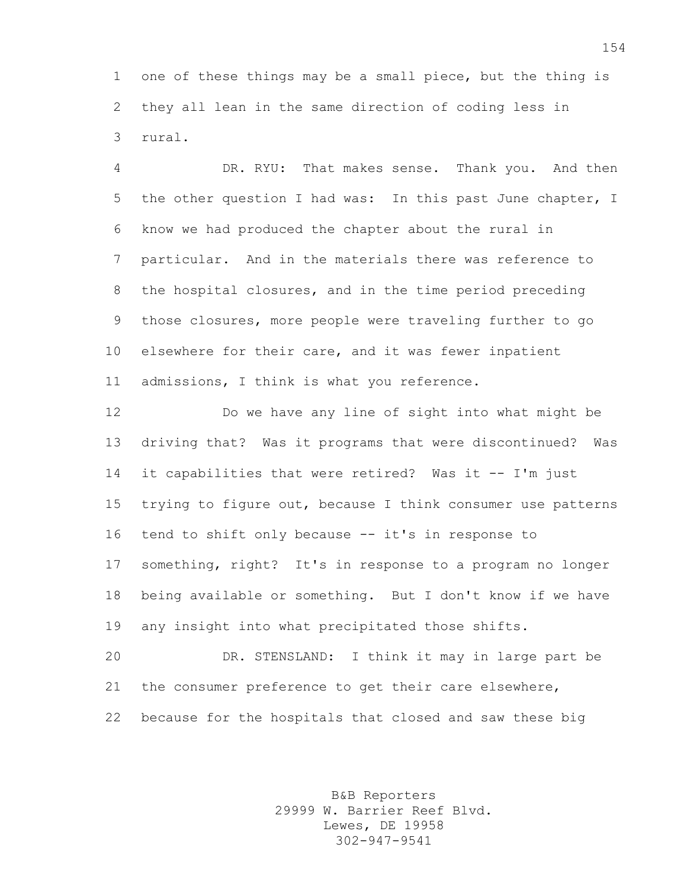one of these things may be a small piece, but the thing is they all lean in the same direction of coding less in rural.

 DR. RYU: That makes sense. Thank you. And then the other question I had was: In this past June chapter, I know we had produced the chapter about the rural in particular. And in the materials there was reference to the hospital closures, and in the time period preceding those closures, more people were traveling further to go elsewhere for their care, and it was fewer inpatient admissions, I think is what you reference.

 Do we have any line of sight into what might be driving that? Was it programs that were discontinued? Was it capabilities that were retired? Was it -- I'm just trying to figure out, because I think consumer use patterns tend to shift only because -- it's in response to something, right? It's in response to a program no longer being available or something. But I don't know if we have any insight into what precipitated those shifts.

 DR. STENSLAND: I think it may in large part be the consumer preference to get their care elsewhere, because for the hospitals that closed and saw these big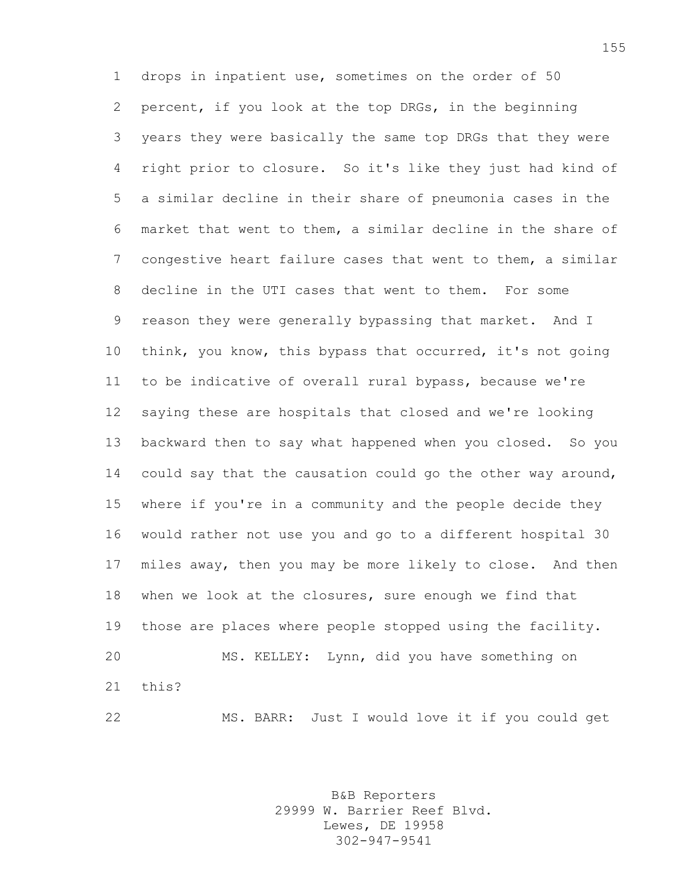drops in inpatient use, sometimes on the order of 50 percent, if you look at the top DRGs, in the beginning years they were basically the same top DRGs that they were right prior to closure. So it's like they just had kind of a similar decline in their share of pneumonia cases in the market that went to them, a similar decline in the share of congestive heart failure cases that went to them, a similar decline in the UTI cases that went to them. For some reason they were generally bypassing that market. And I think, you know, this bypass that occurred, it's not going to be indicative of overall rural bypass, because we're saying these are hospitals that closed and we're looking backward then to say what happened when you closed. So you 14 could say that the causation could go the other way around, where if you're in a community and the people decide they would rather not use you and go to a different hospital 30 miles away, then you may be more likely to close. And then when we look at the closures, sure enough we find that those are places where people stopped using the facility. MS. KELLEY: Lynn, did you have something on this?

MS. BARR: Just I would love it if you could get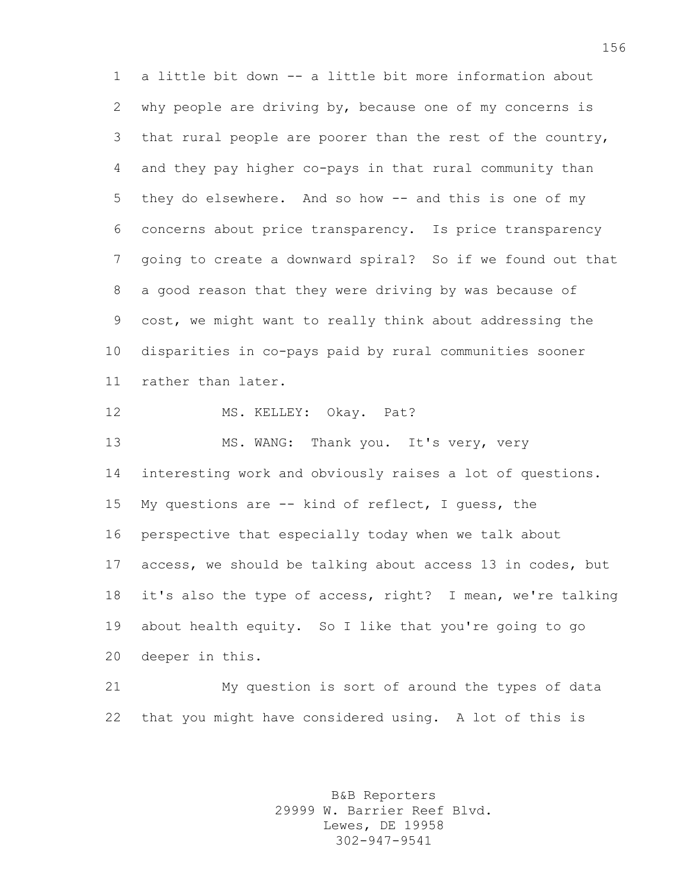a little bit down -- a little bit more information about why people are driving by, because one of my concerns is that rural people are poorer than the rest of the country, and they pay higher co-pays in that rural community than they do elsewhere. And so how -- and this is one of my concerns about price transparency. Is price transparency going to create a downward spiral? So if we found out that a good reason that they were driving by was because of cost, we might want to really think about addressing the disparities in co-pays paid by rural communities sooner rather than later. 12 MS. KELLEY: Okay. Pat? MS. WANG: Thank you. It's very, very interesting work and obviously raises a lot of questions. My questions are -- kind of reflect, I guess, the perspective that especially today when we talk about access, we should be talking about access 13 in codes, but it's also the type of access, right? I mean, we're talking about health equity. So I like that you're going to go deeper in this.

 My question is sort of around the types of data that you might have considered using. A lot of this is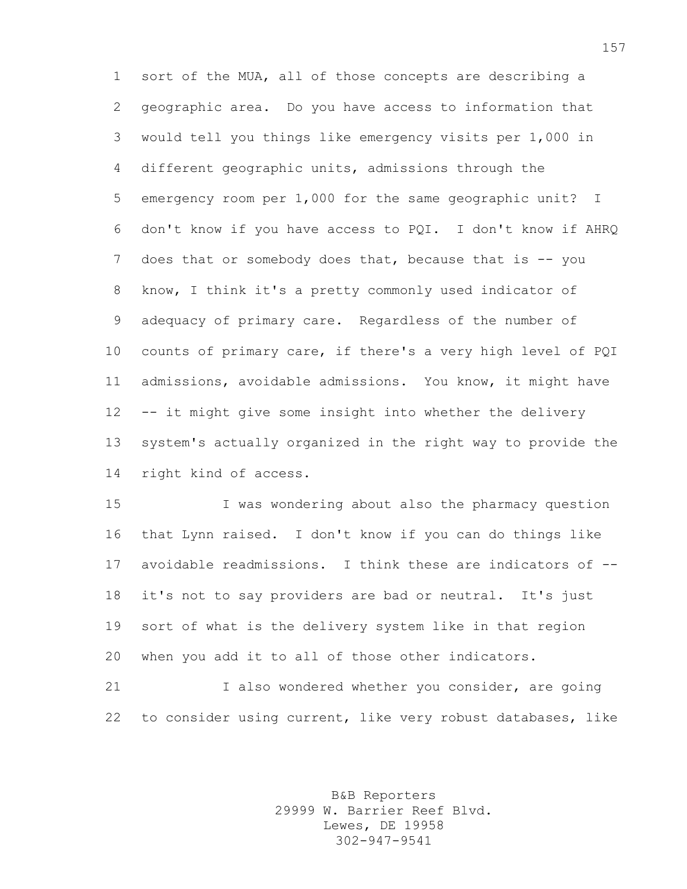sort of the MUA, all of those concepts are describing a geographic area. Do you have access to information that would tell you things like emergency visits per 1,000 in different geographic units, admissions through the emergency room per 1,000 for the same geographic unit? I don't know if you have access to PQI. I don't know if AHRQ 7 does that or somebody does that, because that is -- you know, I think it's a pretty commonly used indicator of adequacy of primary care. Regardless of the number of counts of primary care, if there's a very high level of PQI admissions, avoidable admissions. You know, it might have -- it might give some insight into whether the delivery system's actually organized in the right way to provide the right kind of access.

 I was wondering about also the pharmacy question that Lynn raised. I don't know if you can do things like avoidable readmissions. I think these are indicators of -- it's not to say providers are bad or neutral. It's just sort of what is the delivery system like in that region when you add it to all of those other indicators.

21 I also wondered whether you consider, are going to consider using current, like very robust databases, like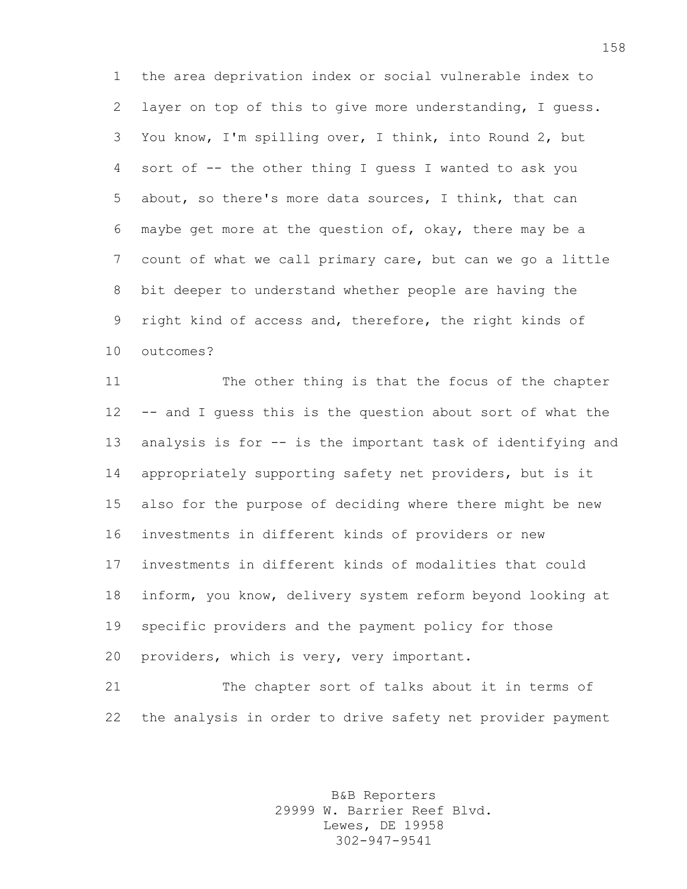the area deprivation index or social vulnerable index to layer on top of this to give more understanding, I guess. You know, I'm spilling over, I think, into Round 2, but sort of -- the other thing I guess I wanted to ask you about, so there's more data sources, I think, that can maybe get more at the question of, okay, there may be a count of what we call primary care, but can we go a little bit deeper to understand whether people are having the right kind of access and, therefore, the right kinds of outcomes?

 The other thing is that the focus of the chapter -- and I guess this is the question about sort of what the analysis is for -- is the important task of identifying and appropriately supporting safety net providers, but is it also for the purpose of deciding where there might be new investments in different kinds of providers or new investments in different kinds of modalities that could inform, you know, delivery system reform beyond looking at specific providers and the payment policy for those providers, which is very, very important.

 The chapter sort of talks about it in terms of the analysis in order to drive safety net provider payment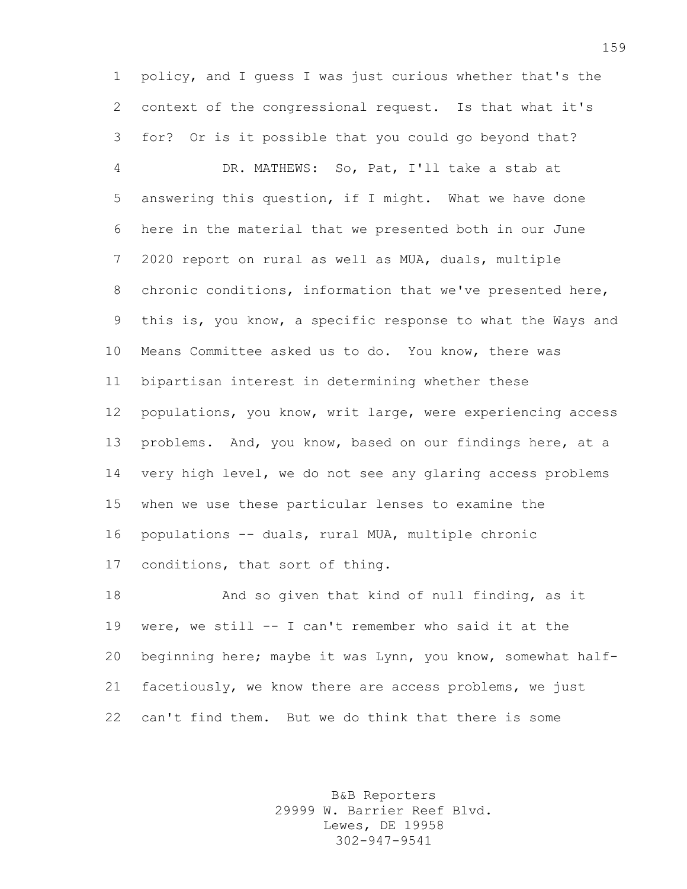policy, and I guess I was just curious whether that's the context of the congressional request. Is that what it's for? Or is it possible that you could go beyond that?

 DR. MATHEWS: So, Pat, I'll take a stab at answering this question, if I might. What we have done here in the material that we presented both in our June 2020 report on rural as well as MUA, duals, multiple chronic conditions, information that we've presented here, this is, you know, a specific response to what the Ways and Means Committee asked us to do. You know, there was bipartisan interest in determining whether these populations, you know, writ large, were experiencing access problems. And, you know, based on our findings here, at a very high level, we do not see any glaring access problems when we use these particular lenses to examine the populations -- duals, rural MUA, multiple chronic conditions, that sort of thing.

 And so given that kind of null finding, as it were, we still -- I can't remember who said it at the beginning here; maybe it was Lynn, you know, somewhat half- facetiously, we know there are access problems, we just can't find them. But we do think that there is some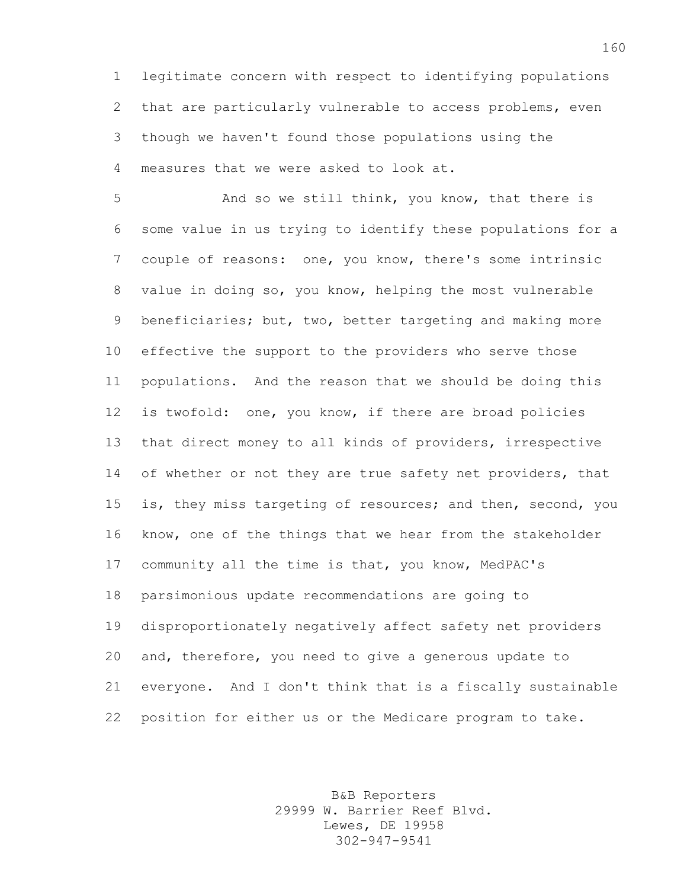legitimate concern with respect to identifying populations that are particularly vulnerable to access problems, even though we haven't found those populations using the measures that we were asked to look at.

 And so we still think, you know, that there is some value in us trying to identify these populations for a couple of reasons: one, you know, there's some intrinsic value in doing so, you know, helping the most vulnerable beneficiaries; but, two, better targeting and making more effective the support to the providers who serve those populations. And the reason that we should be doing this is twofold: one, you know, if there are broad policies that direct money to all kinds of providers, irrespective 14 of whether or not they are true safety net providers, that is, they miss targeting of resources; and then, second, you know, one of the things that we hear from the stakeholder community all the time is that, you know, MedPAC's parsimonious update recommendations are going to disproportionately negatively affect safety net providers and, therefore, you need to give a generous update to everyone. And I don't think that is a fiscally sustainable position for either us or the Medicare program to take.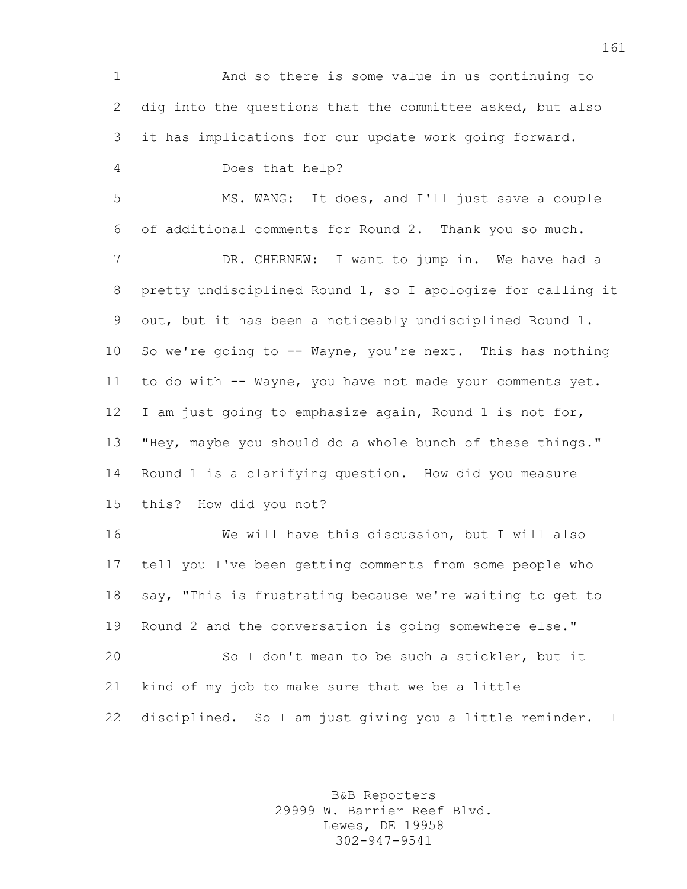And so there is some value in us continuing to dig into the questions that the committee asked, but also it has implications for our update work going forward. Does that help? MS. WANG: It does, and I'll just save a couple of additional comments for Round 2. Thank you so much. DR. CHERNEW: I want to jump in. We have had a pretty undisciplined Round 1, so I apologize for calling it out, but it has been a noticeably undisciplined Round 1. So we're going to -- Wayne, you're next. This has nothing to do with -- Wayne, you have not made your comments yet. I am just going to emphasize again, Round 1 is not for, "Hey, maybe you should do a whole bunch of these things." Round 1 is a clarifying question. How did you measure this? How did you not? We will have this discussion, but I will also tell you I've been getting comments from some people who say, "This is frustrating because we're waiting to get to Round 2 and the conversation is going somewhere else." So I don't mean to be such a stickler, but it kind of my job to make sure that we be a little disciplined. So I am just giving you a little reminder. I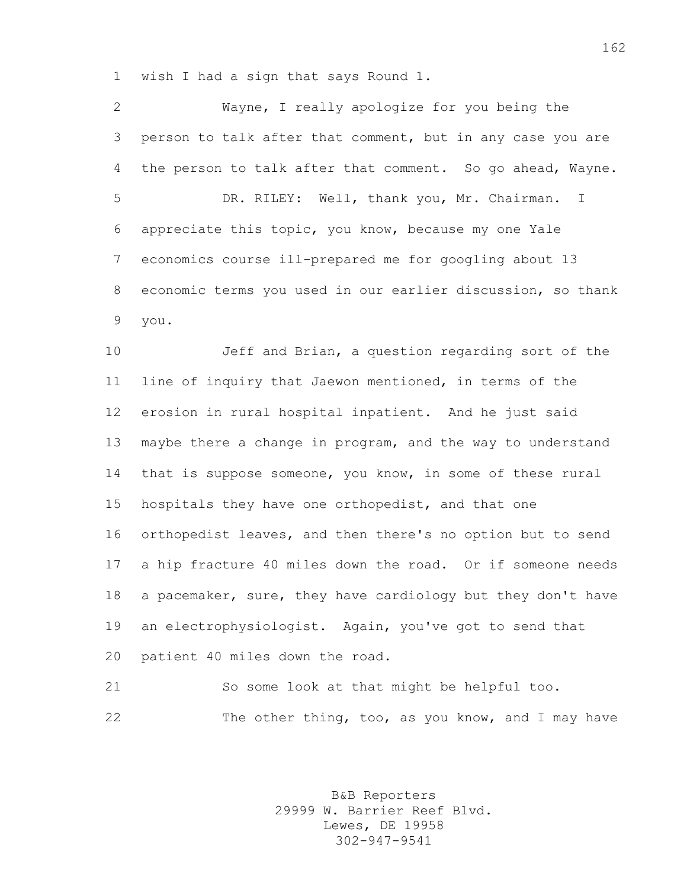wish I had a sign that says Round 1.

 Wayne, I really apologize for you being the person to talk after that comment, but in any case you are the person to talk after that comment. So go ahead, Wayne. DR. RILEY: Well, thank you, Mr. Chairman. I appreciate this topic, you know, because my one Yale economics course ill-prepared me for googling about 13 economic terms you used in our earlier discussion, so thank you. Jeff and Brian, a question regarding sort of the line of inquiry that Jaewon mentioned, in terms of the erosion in rural hospital inpatient. And he just said maybe there a change in program, and the way to understand that is suppose someone, you know, in some of these rural hospitals they have one orthopedist, and that one orthopedist leaves, and then there's no option but to send a hip fracture 40 miles down the road. Or if someone needs 18 a pacemaker, sure, they have cardiology but they don't have an electrophysiologist. Again, you've got to send that patient 40 miles down the road. So some look at that might be helpful too.

22 The other thing, too, as you know, and I may have

B&B Reporters 29999 W. Barrier Reef Blvd. Lewes, DE 19958 302-947-9541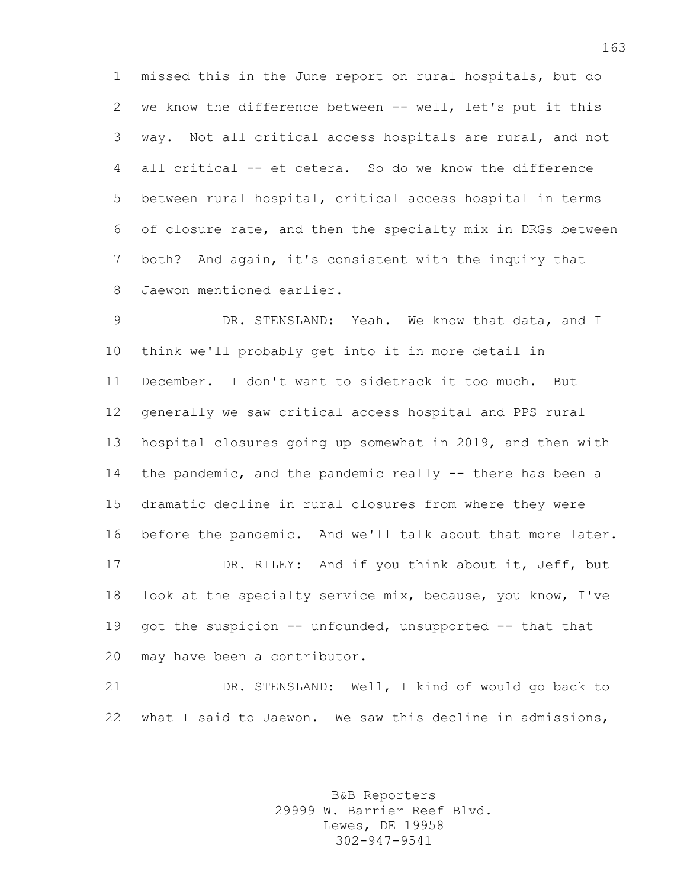missed this in the June report on rural hospitals, but do we know the difference between -- well, let's put it this way. Not all critical access hospitals are rural, and not all critical -- et cetera. So do we know the difference between rural hospital, critical access hospital in terms of closure rate, and then the specialty mix in DRGs between both? And again, it's consistent with the inquiry that Jaewon mentioned earlier.

 DR. STENSLAND: Yeah. We know that data, and I think we'll probably get into it in more detail in December. I don't want to sidetrack it too much. But generally we saw critical access hospital and PPS rural hospital closures going up somewhat in 2019, and then with the pandemic, and the pandemic really -- there has been a dramatic decline in rural closures from where they were before the pandemic. And we'll talk about that more later. DR. RILEY: And if you think about it, Jeff, but look at the specialty service mix, because, you know, I've got the suspicion -- unfounded, unsupported -- that that may have been a contributor.

 DR. STENSLAND: Well, I kind of would go back to what I said to Jaewon. We saw this decline in admissions,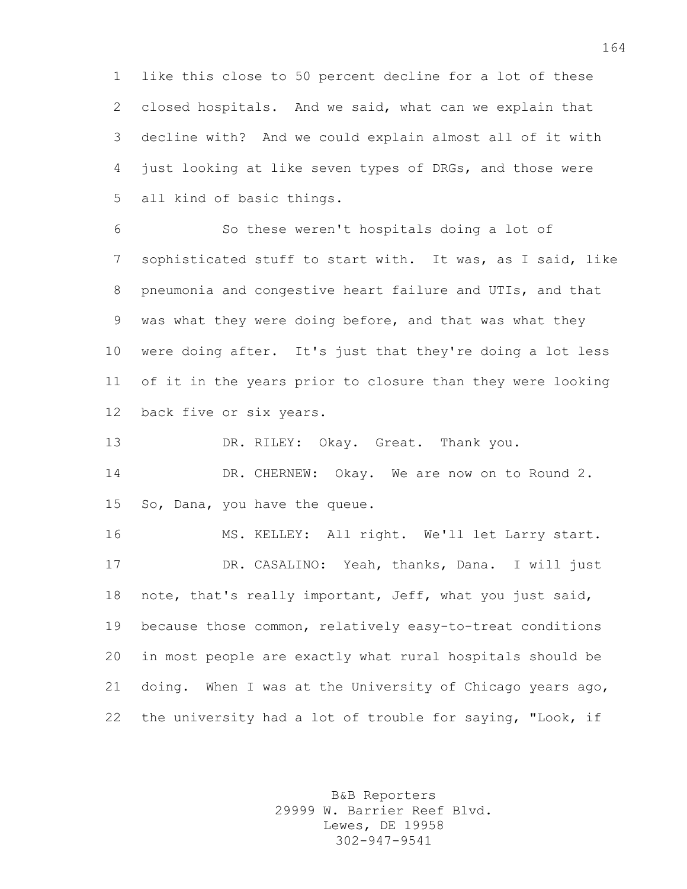like this close to 50 percent decline for a lot of these closed hospitals. And we said, what can we explain that decline with? And we could explain almost all of it with just looking at like seven types of DRGs, and those were all kind of basic things.

 So these weren't hospitals doing a lot of sophisticated stuff to start with. It was, as I said, like pneumonia and congestive heart failure and UTIs, and that was what they were doing before, and that was what they were doing after. It's just that they're doing a lot less of it in the years prior to closure than they were looking back five or six years.

DR. RILEY: Okay. Great. Thank you.

14 DR. CHERNEW: Okay. We are now on to Round 2. So, Dana, you have the queue.

 MS. KELLEY: All right. We'll let Larry start. DR. CASALINO: Yeah, thanks, Dana. I will just note, that's really important, Jeff, what you just said, because those common, relatively easy-to-treat conditions in most people are exactly what rural hospitals should be doing. When I was at the University of Chicago years ago, the university had a lot of trouble for saying, "Look, if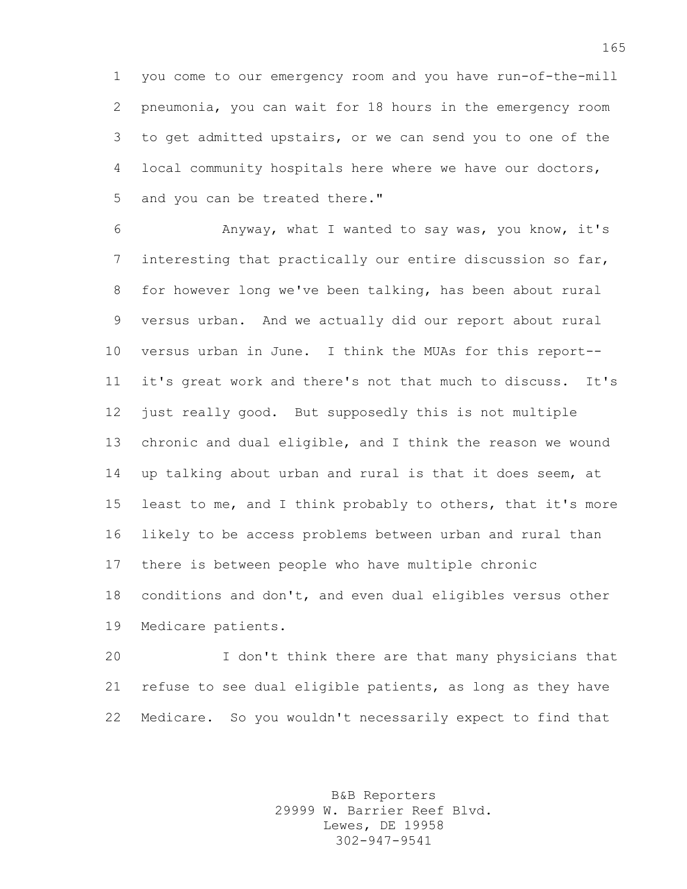you come to our emergency room and you have run-of-the-mill pneumonia, you can wait for 18 hours in the emergency room to get admitted upstairs, or we can send you to one of the local community hospitals here where we have our doctors, and you can be treated there."

 Anyway, what I wanted to say was, you know, it's interesting that practically our entire discussion so far, for however long we've been talking, has been about rural versus urban. And we actually did our report about rural versus urban in June. I think the MUAs for this report-- it's great work and there's not that much to discuss. It's just really good. But supposedly this is not multiple chronic and dual eligible, and I think the reason we wound up talking about urban and rural is that it does seem, at least to me, and I think probably to others, that it's more likely to be access problems between urban and rural than there is between people who have multiple chronic conditions and don't, and even dual eligibles versus other Medicare patients.

 I don't think there are that many physicians that refuse to see dual eligible patients, as long as they have Medicare. So you wouldn't necessarily expect to find that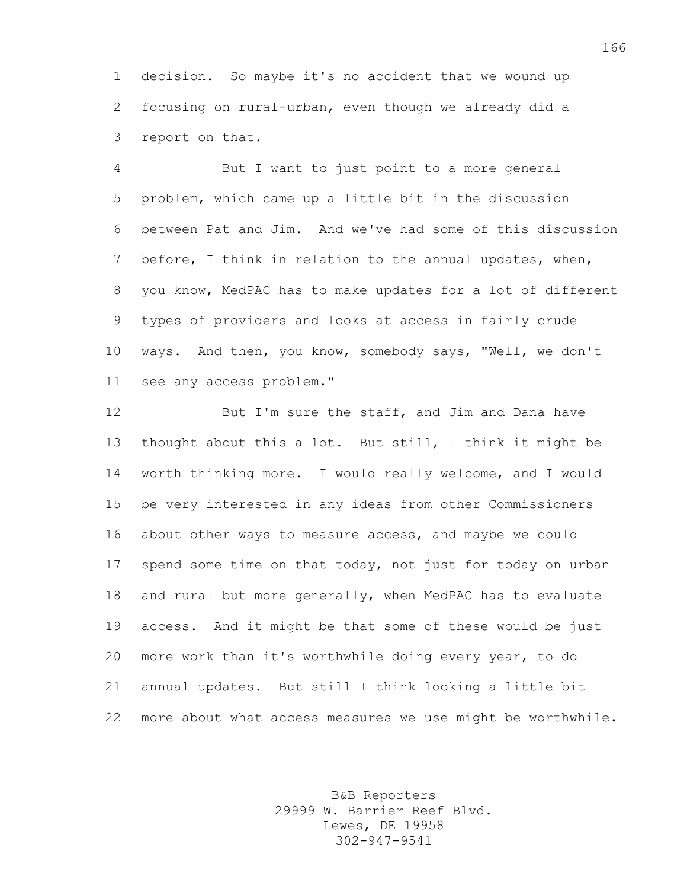decision. So maybe it's no accident that we wound up focusing on rural-urban, even though we already did a report on that.

 But I want to just point to a more general problem, which came up a little bit in the discussion between Pat and Jim. And we've had some of this discussion before, I think in relation to the annual updates, when, you know, MedPAC has to make updates for a lot of different types of providers and looks at access in fairly crude ways. And then, you know, somebody says, "Well, we don't see any access problem."

12 But I'm sure the staff, and Jim and Dana have thought about this a lot. But still, I think it might be worth thinking more. I would really welcome, and I would be very interested in any ideas from other Commissioners about other ways to measure access, and maybe we could spend some time on that today, not just for today on urban and rural but more generally, when MedPAC has to evaluate access. And it might be that some of these would be just more work than it's worthwhile doing every year, to do annual updates. But still I think looking a little bit more about what access measures we use might be worthwhile.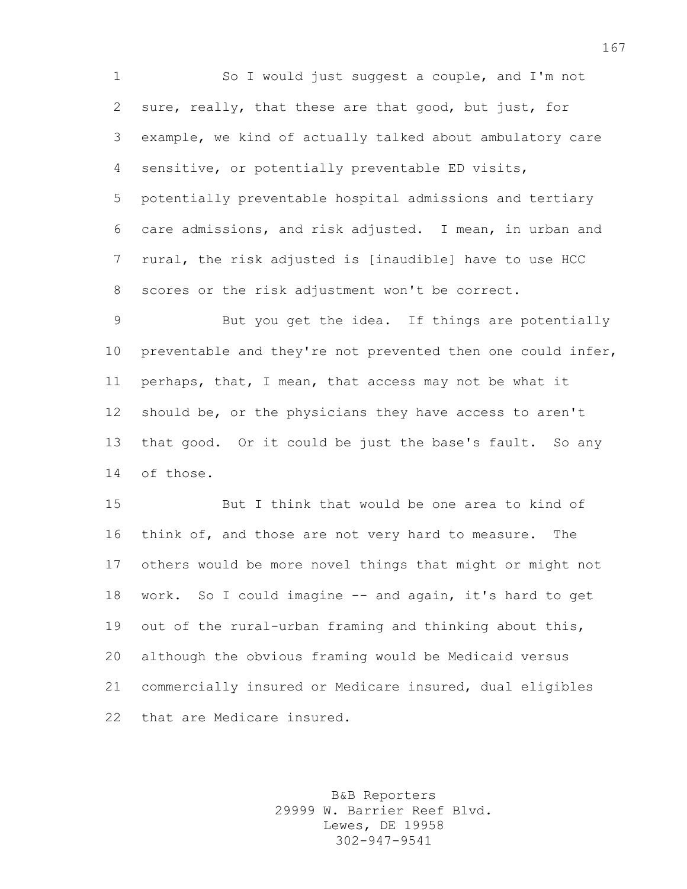So I would just suggest a couple, and I'm not sure, really, that these are that good, but just, for example, we kind of actually talked about ambulatory care sensitive, or potentially preventable ED visits, potentially preventable hospital admissions and tertiary care admissions, and risk adjusted. I mean, in urban and rural, the risk adjusted is [inaudible] have to use HCC scores or the risk adjustment won't be correct.

 But you get the idea. If things are potentially preventable and they're not prevented then one could infer, perhaps, that, I mean, that access may not be what it should be, or the physicians they have access to aren't that good. Or it could be just the base's fault. So any of those.

 But I think that would be one area to kind of think of, and those are not very hard to measure. The others would be more novel things that might or might not work. So I could imagine -- and again, it's hard to get out of the rural-urban framing and thinking about this, although the obvious framing would be Medicaid versus commercially insured or Medicare insured, dual eligibles that are Medicare insured.

> B&B Reporters 29999 W. Barrier Reef Blvd. Lewes, DE 19958 302-947-9541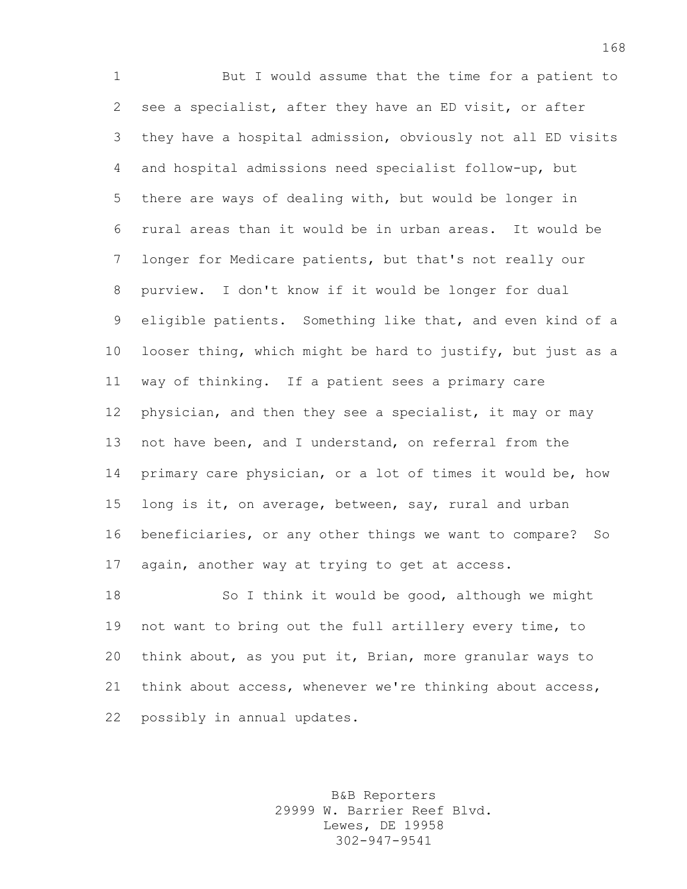But I would assume that the time for a patient to see a specialist, after they have an ED visit, or after they have a hospital admission, obviously not all ED visits and hospital admissions need specialist follow-up, but there are ways of dealing with, but would be longer in rural areas than it would be in urban areas. It would be longer for Medicare patients, but that's not really our purview. I don't know if it would be longer for dual eligible patients. Something like that, and even kind of a looser thing, which might be hard to justify, but just as a way of thinking. If a patient sees a primary care physician, and then they see a specialist, it may or may not have been, and I understand, on referral from the primary care physician, or a lot of times it would be, how long is it, on average, between, say, rural and urban beneficiaries, or any other things we want to compare? So again, another way at trying to get at access.

 So I think it would be good, although we might not want to bring out the full artillery every time, to think about, as you put it, Brian, more granular ways to think about access, whenever we're thinking about access, possibly in annual updates.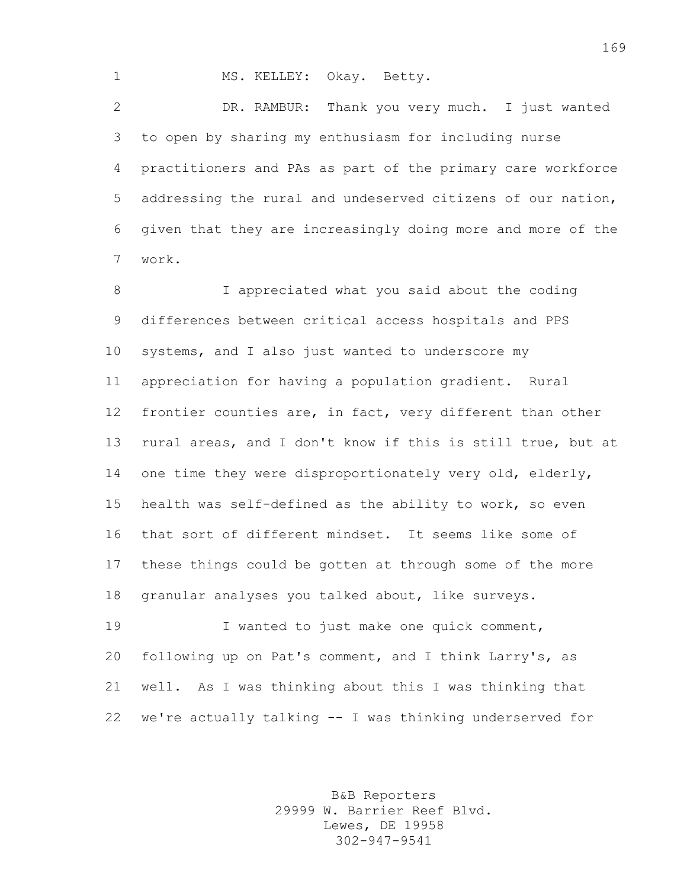1 MS. KELLEY: Okay. Betty.

 DR. RAMBUR: Thank you very much. I just wanted to open by sharing my enthusiasm for including nurse practitioners and PAs as part of the primary care workforce addressing the rural and undeserved citizens of our nation, given that they are increasingly doing more and more of the work.

8 I appreciated what you said about the coding differences between critical access hospitals and PPS systems, and I also just wanted to underscore my appreciation for having a population gradient. Rural frontier counties are, in fact, very different than other rural areas, and I don't know if this is still true, but at one time they were disproportionately very old, elderly, health was self-defined as the ability to work, so even that sort of different mindset. It seems like some of these things could be gotten at through some of the more granular analyses you talked about, like surveys.

 I wanted to just make one quick comment, following up on Pat's comment, and I think Larry's, as well. As I was thinking about this I was thinking that we're actually talking -- I was thinking underserved for

> B&B Reporters 29999 W. Barrier Reef Blvd. Lewes, DE 19958 302-947-9541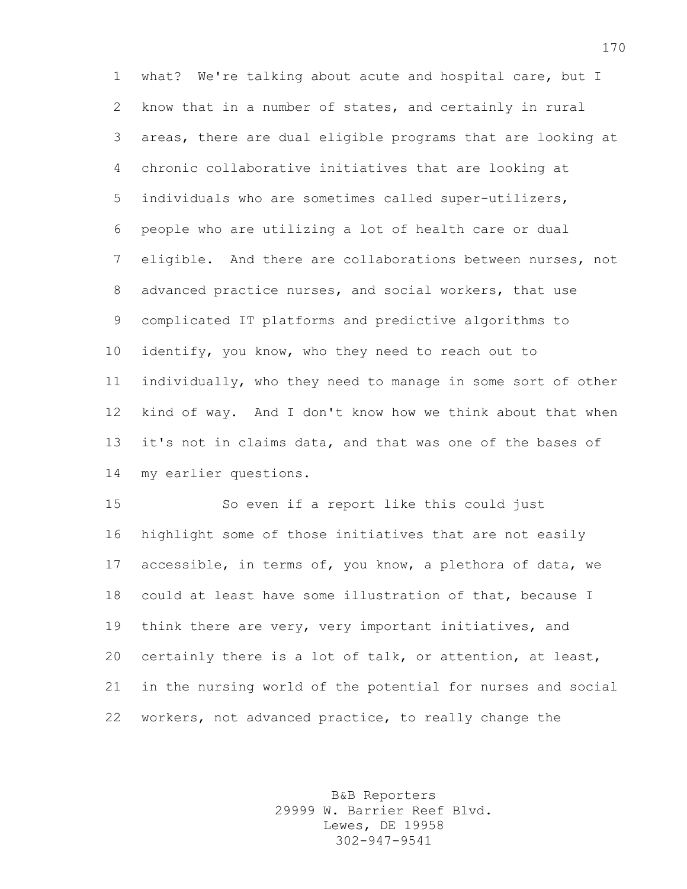what? We're talking about acute and hospital care, but I know that in a number of states, and certainly in rural areas, there are dual eligible programs that are looking at chronic collaborative initiatives that are looking at individuals who are sometimes called super-utilizers, people who are utilizing a lot of health care or dual eligible. And there are collaborations between nurses, not advanced practice nurses, and social workers, that use complicated IT platforms and predictive algorithms to 10 identify, you know, who they need to reach out to individually, who they need to manage in some sort of other kind of way. And I don't know how we think about that when it's not in claims data, and that was one of the bases of my earlier questions.

 So even if a report like this could just highlight some of those initiatives that are not easily accessible, in terms of, you know, a plethora of data, we could at least have some illustration of that, because I think there are very, very important initiatives, and certainly there is a lot of talk, or attention, at least, in the nursing world of the potential for nurses and social workers, not advanced practice, to really change the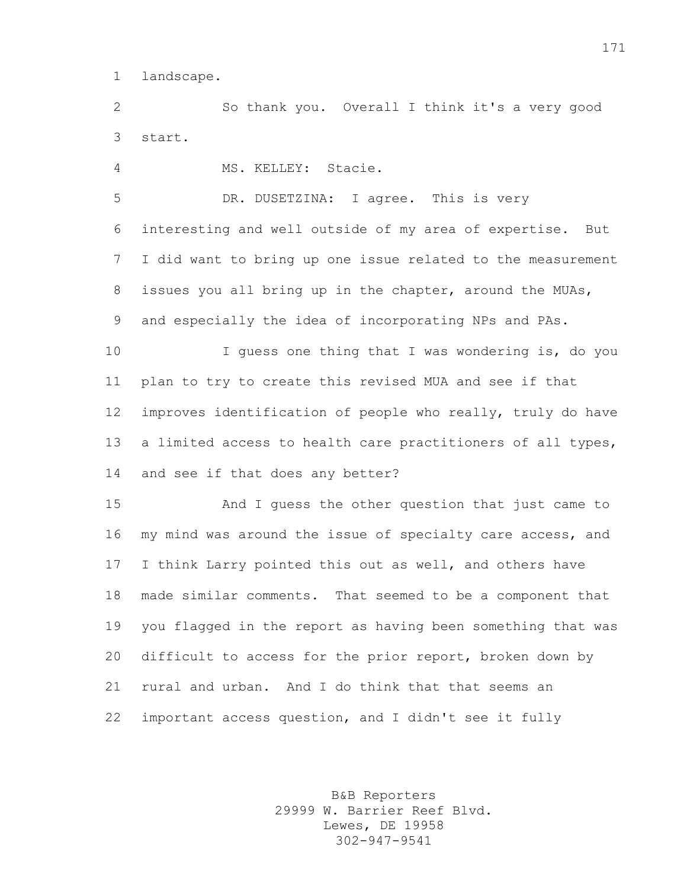landscape.

 So thank you. Overall I think it's a very good start.

MS. KELLEY: Stacie.

 DR. DUSETZINA: I agree. This is very interesting and well outside of my area of expertise. But I did want to bring up one issue related to the measurement issues you all bring up in the chapter, around the MUAs, and especially the idea of incorporating NPs and PAs.

 I guess one thing that I was wondering is, do you plan to try to create this revised MUA and see if that improves identification of people who really, truly do have a limited access to health care practitioners of all types, and see if that does any better?

 And I guess the other question that just came to my mind was around the issue of specialty care access, and I think Larry pointed this out as well, and others have made similar comments. That seemed to be a component that you flagged in the report as having been something that was difficult to access for the prior report, broken down by rural and urban. And I do think that that seems an important access question, and I didn't see it fully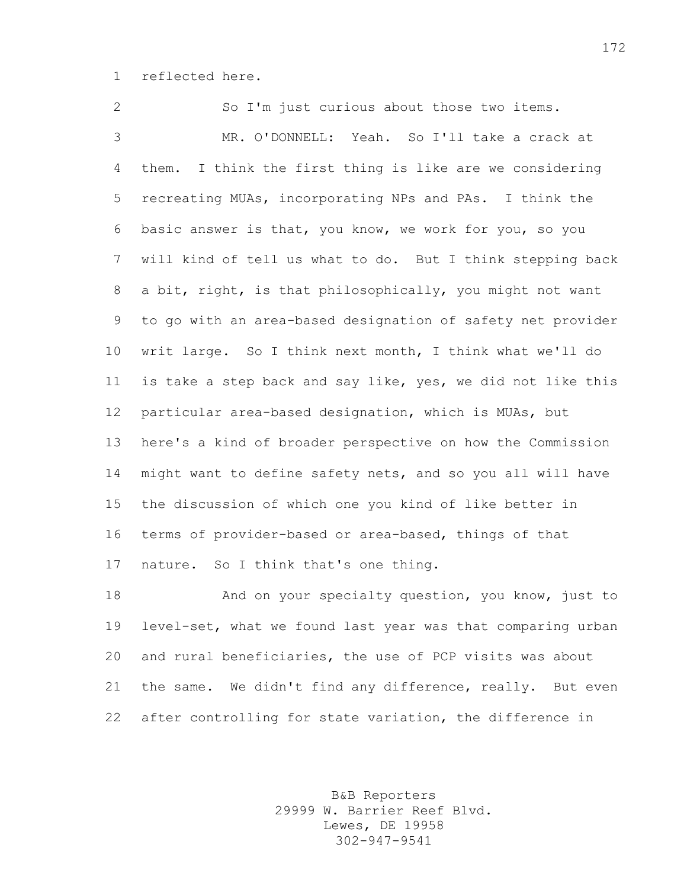reflected here.

 So I'm just curious about those two items. MR. O'DONNELL: Yeah. So I'll take a crack at them. I think the first thing is like are we considering recreating MUAs, incorporating NPs and PAs. I think the basic answer is that, you know, we work for you, so you will kind of tell us what to do. But I think stepping back a bit, right, is that philosophically, you might not want to go with an area-based designation of safety net provider writ large. So I think next month, I think what we'll do is take a step back and say like, yes, we did not like this particular area-based designation, which is MUAs, but here's a kind of broader perspective on how the Commission might want to define safety nets, and so you all will have the discussion of which one you kind of like better in terms of provider-based or area-based, things of that nature. So I think that's one thing. And on your specialty question, you know, just to

 level-set, what we found last year was that comparing urban and rural beneficiaries, the use of PCP visits was about the same. We didn't find any difference, really. But even after controlling for state variation, the difference in

> B&B Reporters 29999 W. Barrier Reef Blvd. Lewes, DE 19958 302-947-9541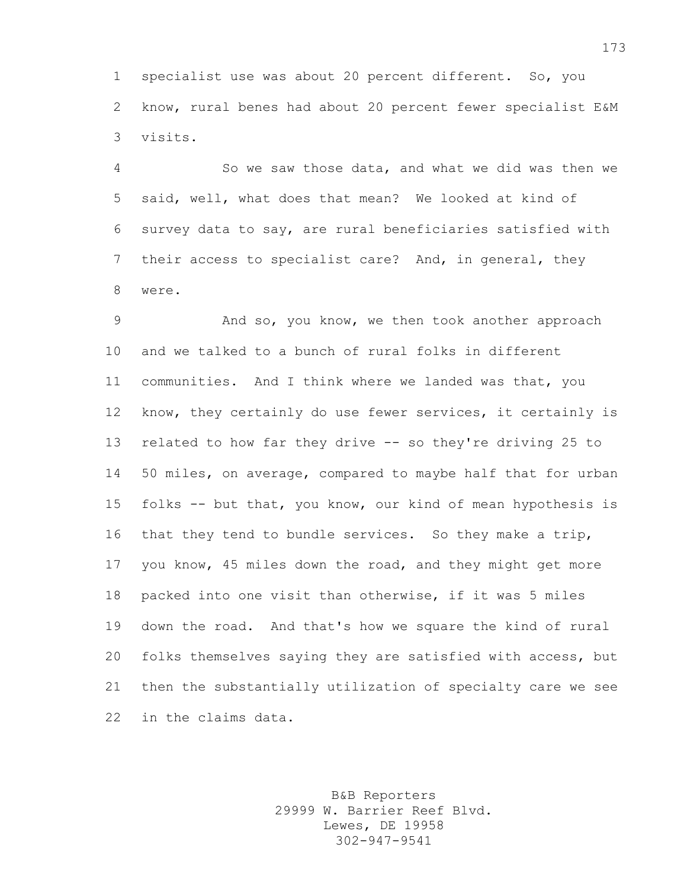specialist use was about 20 percent different. So, you know, rural benes had about 20 percent fewer specialist E&M visits.

 So we saw those data, and what we did was then we said, well, what does that mean? We looked at kind of survey data to say, are rural beneficiaries satisfied with their access to specialist care? And, in general, they were.

 And so, you know, we then took another approach and we talked to a bunch of rural folks in different communities. And I think where we landed was that, you know, they certainly do use fewer services, it certainly is related to how far they drive -- so they're driving 25 to 50 miles, on average, compared to maybe half that for urban folks -- but that, you know, our kind of mean hypothesis is that they tend to bundle services. So they make a trip, you know, 45 miles down the road, and they might get more packed into one visit than otherwise, if it was 5 miles down the road. And that's how we square the kind of rural folks themselves saying they are satisfied with access, but then the substantially utilization of specialty care we see in the claims data.

> B&B Reporters 29999 W. Barrier Reef Blvd. Lewes, DE 19958 302-947-9541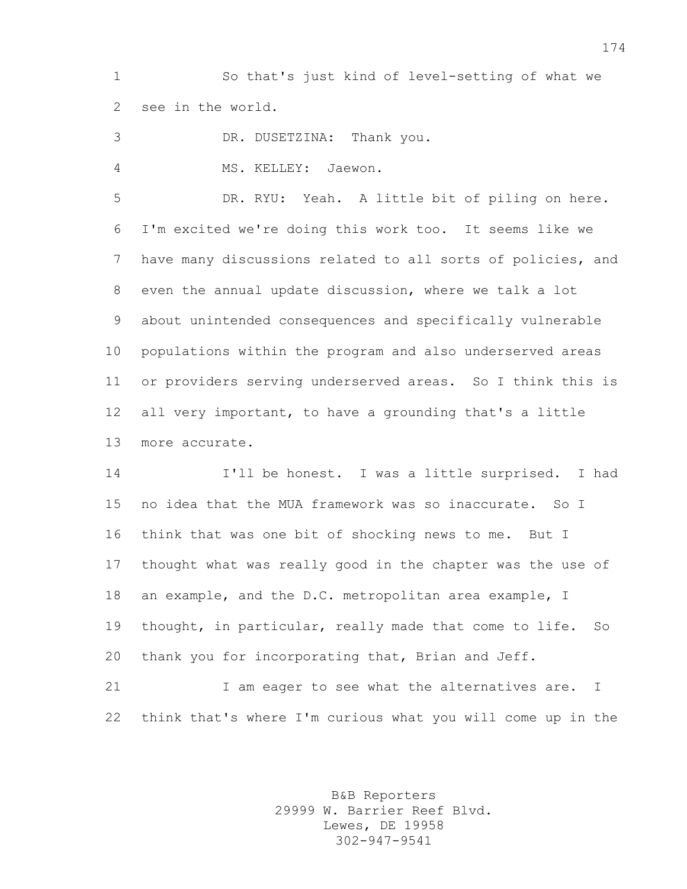So that's just kind of level-setting of what we see in the world.

DR. DUSETZINA: Thank you.

MS. KELLEY: Jaewon.

 DR. RYU: Yeah. A little bit of piling on here. I'm excited we're doing this work too. It seems like we have many discussions related to all sorts of policies, and even the annual update discussion, where we talk a lot about unintended consequences and specifically vulnerable populations within the program and also underserved areas or providers serving underserved areas. So I think this is all very important, to have a grounding that's a little more accurate.

 I'll be honest. I was a little surprised. I had no idea that the MUA framework was so inaccurate. So I think that was one bit of shocking news to me. But I thought what was really good in the chapter was the use of an example, and the D.C. metropolitan area example, I thought, in particular, really made that come to life. So thank you for incorporating that, Brian and Jeff.

21 I am eager to see what the alternatives are. I think that's where I'm curious what you will come up in the

> B&B Reporters 29999 W. Barrier Reef Blvd. Lewes, DE 19958 302-947-9541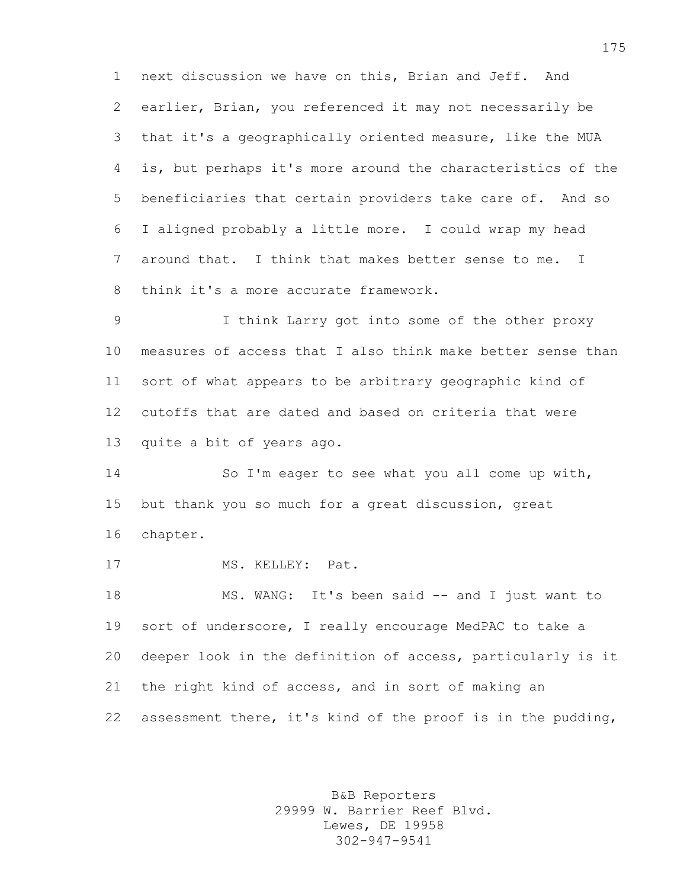next discussion we have on this, Brian and Jeff. And earlier, Brian, you referenced it may not necessarily be that it's a geographically oriented measure, like the MUA is, but perhaps it's more around the characteristics of the beneficiaries that certain providers take care of. And so I aligned probably a little more. I could wrap my head around that. I think that makes better sense to me. I think it's a more accurate framework.

 I think Larry got into some of the other proxy measures of access that I also think make better sense than sort of what appears to be arbitrary geographic kind of cutoffs that are dated and based on criteria that were quite a bit of years ago.

 So I'm eager to see what you all come up with, but thank you so much for a great discussion, great chapter.

17 MS. KELLEY: Pat.

 MS. WANG: It's been said -- and I just want to sort of underscore, I really encourage MedPAC to take a deeper look in the definition of access, particularly is it the right kind of access, and in sort of making an assessment there, it's kind of the proof is in the pudding,

> B&B Reporters 29999 W. Barrier Reef Blvd. Lewes, DE 19958 302-947-9541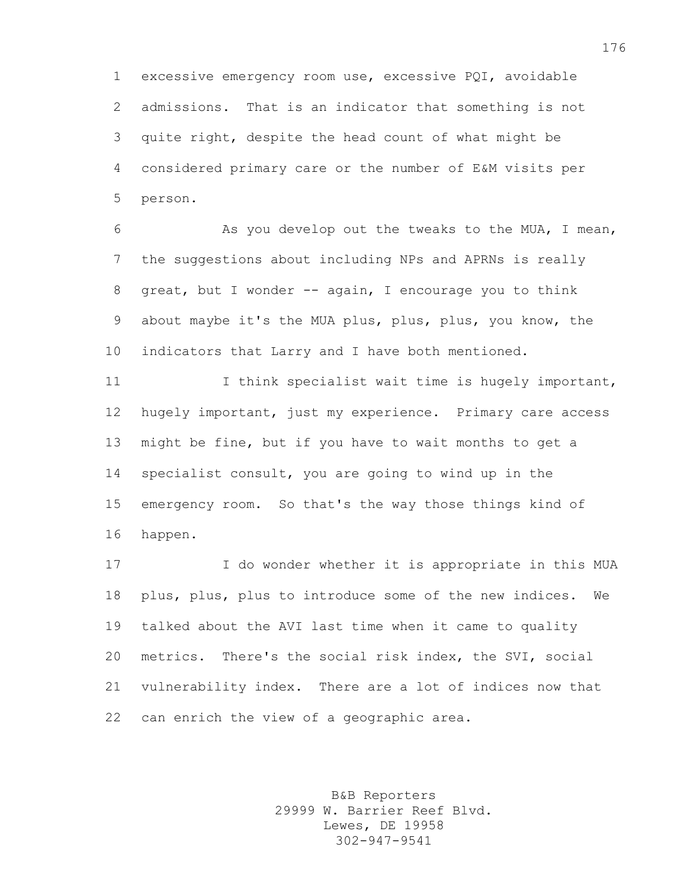excessive emergency room use, excessive PQI, avoidable admissions. That is an indicator that something is not quite right, despite the head count of what might be considered primary care or the number of E&M visits per person.

 As you develop out the tweaks to the MUA, I mean, the suggestions about including NPs and APRNs is really 8 great, but I wonder -- again, I encourage you to think about maybe it's the MUA plus, plus, plus, you know, the indicators that Larry and I have both mentioned.

11 11 I think specialist wait time is hugely important, hugely important, just my experience. Primary care access might be fine, but if you have to wait months to get a specialist consult, you are going to wind up in the emergency room. So that's the way those things kind of happen.

 I do wonder whether it is appropriate in this MUA plus, plus, plus to introduce some of the new indices. We talked about the AVI last time when it came to quality metrics. There's the social risk index, the SVI, social vulnerability index. There are a lot of indices now that can enrich the view of a geographic area.

> B&B Reporters 29999 W. Barrier Reef Blvd. Lewes, DE 19958 302-947-9541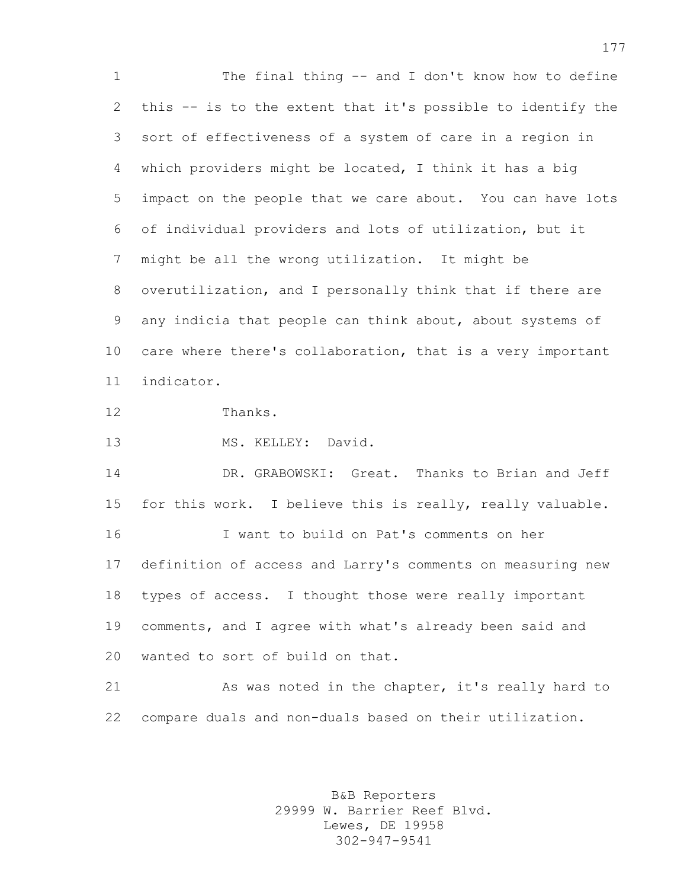1 The final thing -- and I don't know how to define this -- is to the extent that it's possible to identify the sort of effectiveness of a system of care in a region in which providers might be located, I think it has a big impact on the people that we care about. You can have lots of individual providers and lots of utilization, but it might be all the wrong utilization. It might be overutilization, and I personally think that if there are any indicia that people can think about, about systems of care where there's collaboration, that is a very important indicator.

Thanks.

13 MS. KELLEY: David.

 DR. GRABOWSKI: Great. Thanks to Brian and Jeff for this work. I believe this is really, really valuable.

 I want to build on Pat's comments on her definition of access and Larry's comments on measuring new types of access. I thought those were really important comments, and I agree with what's already been said and wanted to sort of build on that.

 As was noted in the chapter, it's really hard to compare duals and non-duals based on their utilization.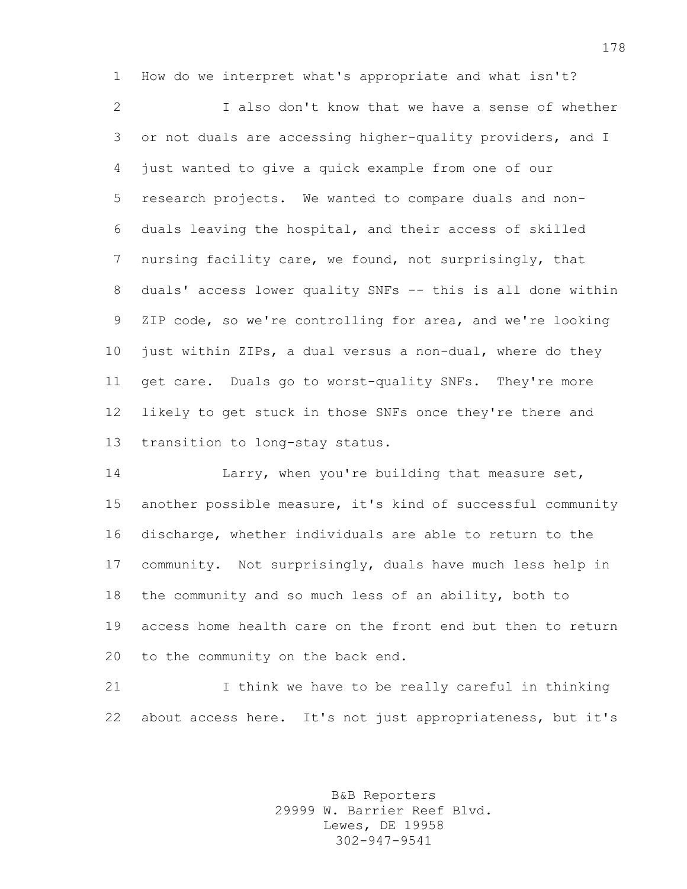How do we interpret what's appropriate and what isn't? I also don't know that we have a sense of whether or not duals are accessing higher-quality providers, and I just wanted to give a quick example from one of our research projects. We wanted to compare duals and non- duals leaving the hospital, and their access of skilled nursing facility care, we found, not surprisingly, that duals' access lower quality SNFs -- this is all done within ZIP code, so we're controlling for area, and we're looking just within ZIPs, a dual versus a non-dual, where do they get care. Duals go to worst-quality SNFs. They're more likely to get stuck in those SNFs once they're there and transition to long-stay status.

 Larry, when you're building that measure set, another possible measure, it's kind of successful community discharge, whether individuals are able to return to the community. Not surprisingly, duals have much less help in the community and so much less of an ability, both to access home health care on the front end but then to return to the community on the back end.

21 I think we have to be really careful in thinking about access here. It's not just appropriateness, but it's

> B&B Reporters 29999 W. Barrier Reef Blvd. Lewes, DE 19958 302-947-9541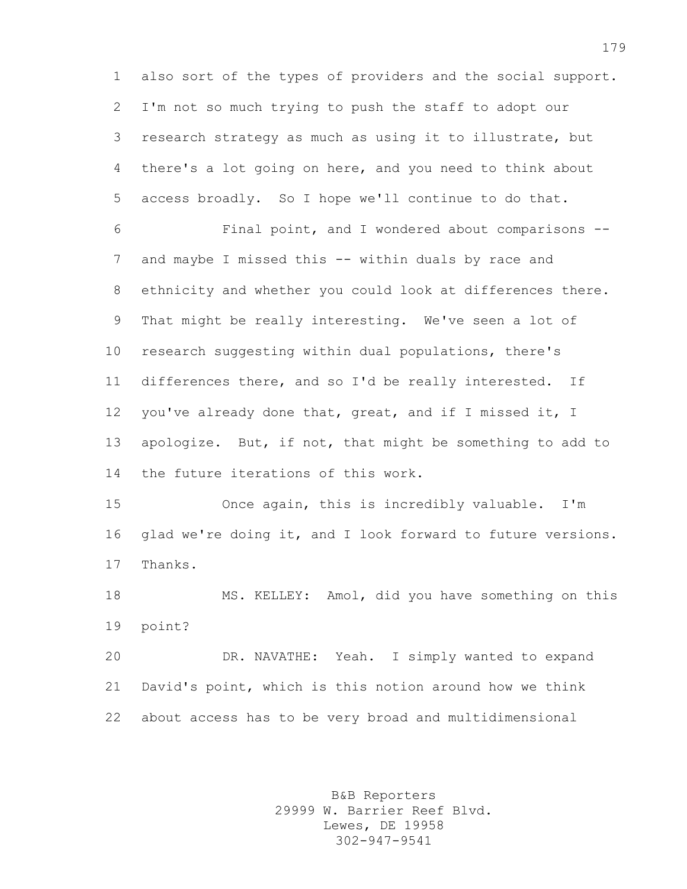also sort of the types of providers and the social support. I'm not so much trying to push the staff to adopt our research strategy as much as using it to illustrate, but there's a lot going on here, and you need to think about access broadly. So I hope we'll continue to do that.

 Final point, and I wondered about comparisons -- 7 and maybe I missed this -- within duals by race and ethnicity and whether you could look at differences there. That might be really interesting. We've seen a lot of research suggesting within dual populations, there's differences there, and so I'd be really interested. If you've already done that, great, and if I missed it, I apologize. But, if not, that might be something to add to the future iterations of this work.

 Once again, this is incredibly valuable. I'm glad we're doing it, and I look forward to future versions. Thanks.

 MS. KELLEY: Amol, did you have something on this point?

 DR. NAVATHE: Yeah. I simply wanted to expand David's point, which is this notion around how we think about access has to be very broad and multidimensional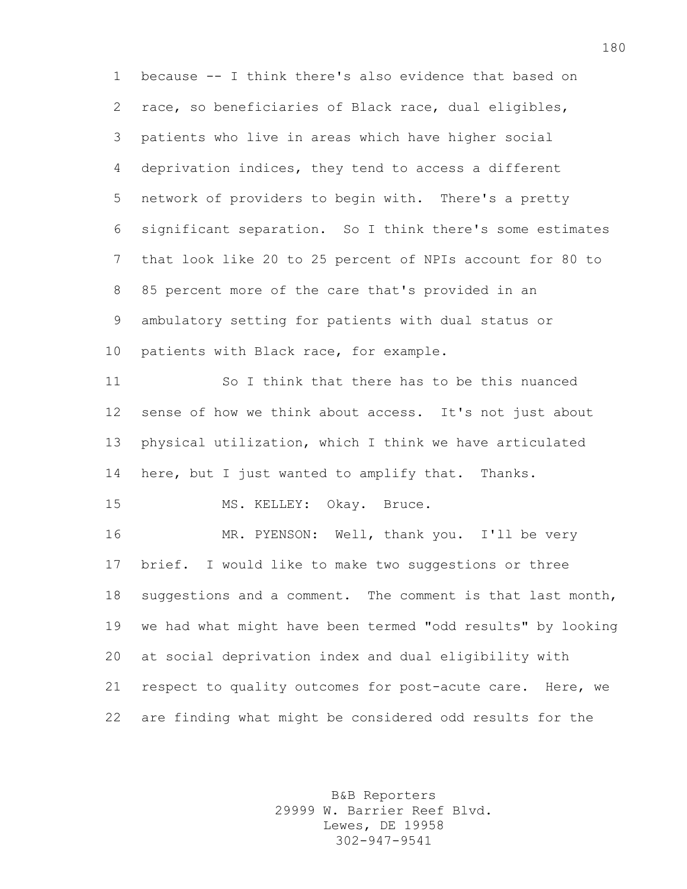because -- I think there's also evidence that based on race, so beneficiaries of Black race, dual eligibles, patients who live in areas which have higher social deprivation indices, they tend to access a different network of providers to begin with. There's a pretty significant separation. So I think there's some estimates that look like 20 to 25 percent of NPIs account for 80 to 85 percent more of the care that's provided in an ambulatory setting for patients with dual status or patients with Black race, for example. So I think that there has to be this nuanced sense of how we think about access. It's not just about physical utilization, which I think we have articulated here, but I just wanted to amplify that. Thanks. 15 MS. KELLEY: Okay. Bruce. MR. PYENSON: Well, thank you. I'll be very brief. I would like to make two suggestions or three suggestions and a comment. The comment is that last month, we had what might have been termed "odd results" by looking at social deprivation index and dual eligibility with respect to quality outcomes for post-acute care. Here, we are finding what might be considered odd results for the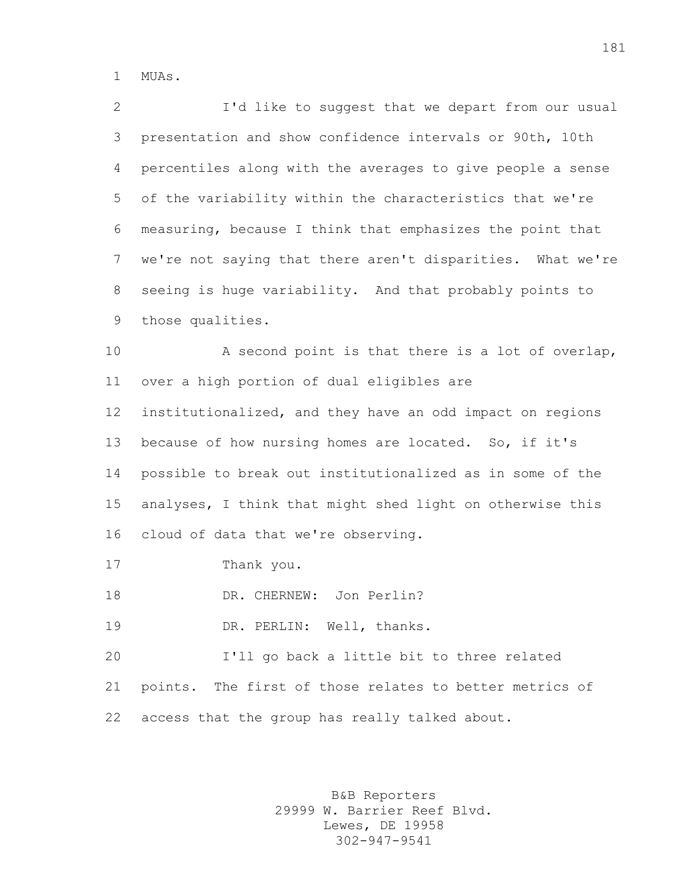MUAs.

 I'd like to suggest that we depart from our usual presentation and show confidence intervals or 90th, 10th percentiles along with the averages to give people a sense of the variability within the characteristics that we're measuring, because I think that emphasizes the point that we're not saying that there aren't disparities. What we're seeing is huge variability. And that probably points to those qualities. A second point is that there is a lot of overlap, over a high portion of dual eligibles are institutionalized, and they have an odd impact on regions because of how nursing homes are located. So, if it's possible to break out institutionalized as in some of the analyses, I think that might shed light on otherwise this cloud of data that we're observing. Thank you. DR. CHERNEW: Jon Perlin? DR. PERLIN: Well, thanks. I'll go back a little bit to three related points. The first of those relates to better metrics of access that the group has really talked about.

> B&B Reporters 29999 W. Barrier Reef Blvd. Lewes, DE 19958 302-947-9541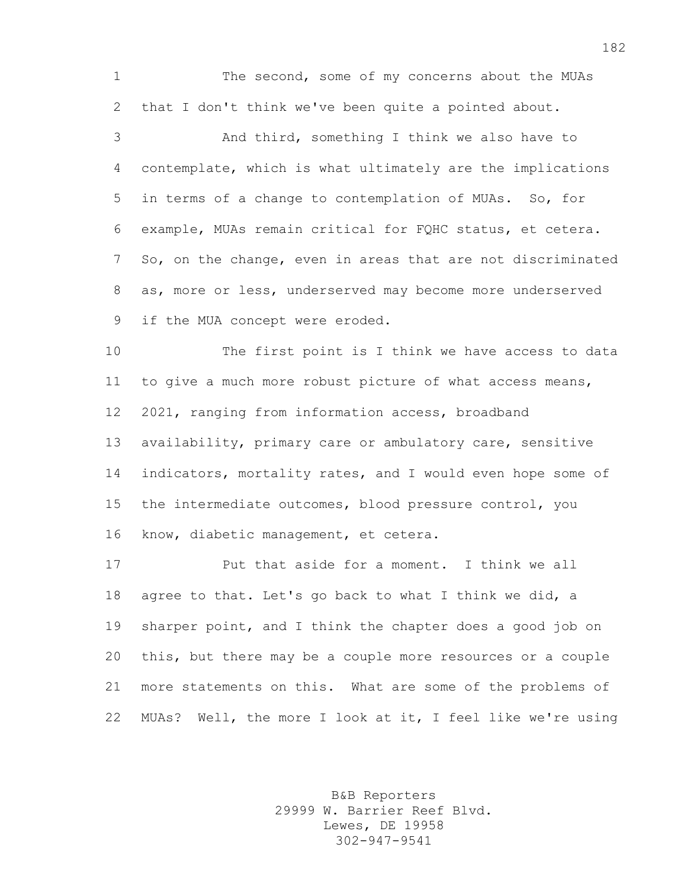The second, some of my concerns about the MUAs that I don't think we've been quite a pointed about.

 And third, something I think we also have to contemplate, which is what ultimately are the implications in terms of a change to contemplation of MUAs. So, for example, MUAs remain critical for FQHC status, et cetera. So, on the change, even in areas that are not discriminated as, more or less, underserved may become more underserved if the MUA concept were eroded.

 The first point is I think we have access to data to give a much more robust picture of what access means, 2021, ranging from information access, broadband availability, primary care or ambulatory care, sensitive indicators, mortality rates, and I would even hope some of the intermediate outcomes, blood pressure control, you know, diabetic management, et cetera.

 Put that aside for a moment. I think we all agree to that. Let's go back to what I think we did, a sharper point, and I think the chapter does a good job on this, but there may be a couple more resources or a couple more statements on this. What are some of the problems of MUAs? Well, the more I look at it, I feel like we're using

> B&B Reporters 29999 W. Barrier Reef Blvd. Lewes, DE 19958 302-947-9541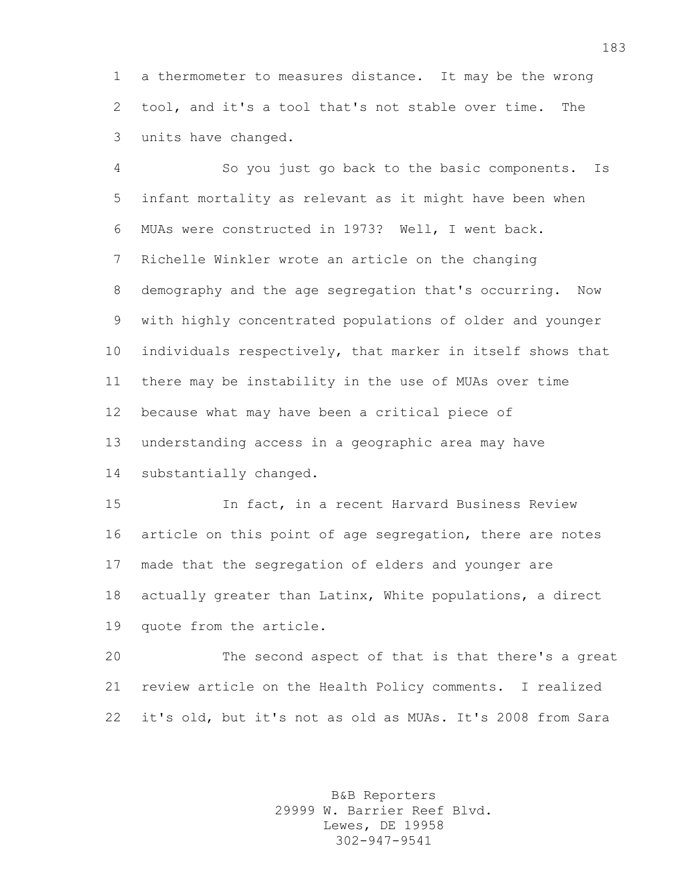a thermometer to measures distance. It may be the wrong tool, and it's a tool that's not stable over time. The units have changed.

 So you just go back to the basic components. Is infant mortality as relevant as it might have been when MUAs were constructed in 1973? Well, I went back. Richelle Winkler wrote an article on the changing demography and the age segregation that's occurring. Now with highly concentrated populations of older and younger individuals respectively, that marker in itself shows that there may be instability in the use of MUAs over time because what may have been a critical piece of understanding access in a geographic area may have substantially changed.

 In fact, in a recent Harvard Business Review article on this point of age segregation, there are notes made that the segregation of elders and younger are actually greater than Latinx, White populations, a direct quote from the article.

 The second aspect of that is that there's a great review article on the Health Policy comments. I realized it's old, but it's not as old as MUAs. It's 2008 from Sara

> B&B Reporters 29999 W. Barrier Reef Blvd. Lewes, DE 19958 302-947-9541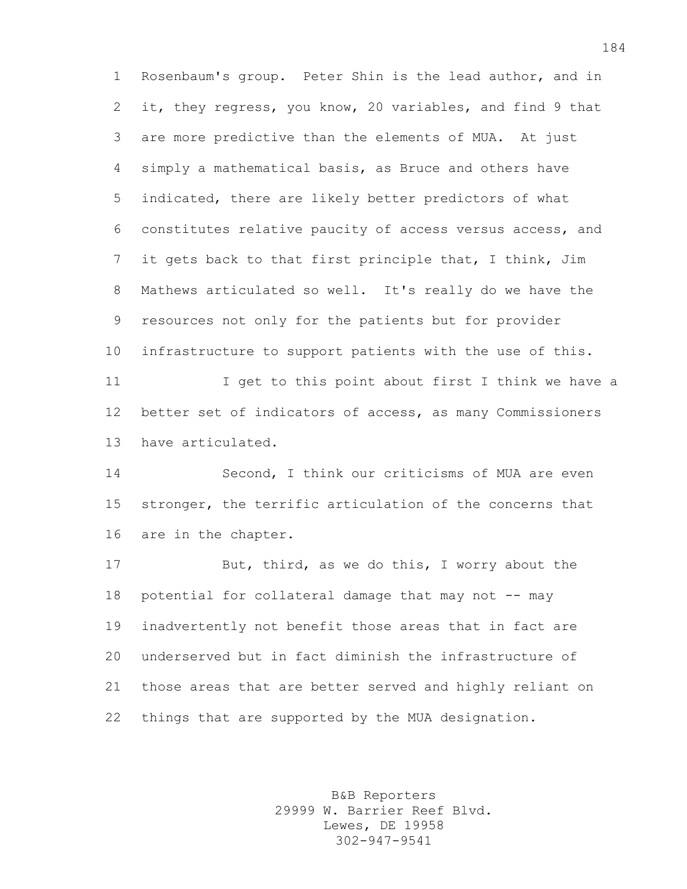Rosenbaum's group. Peter Shin is the lead author, and in it, they regress, you know, 20 variables, and find 9 that are more predictive than the elements of MUA. At just simply a mathematical basis, as Bruce and others have indicated, there are likely better predictors of what constitutes relative paucity of access versus access, and it gets back to that first principle that, I think, Jim Mathews articulated so well. It's really do we have the resources not only for the patients but for provider infrastructure to support patients with the use of this. I get to this point about first I think we have a better set of indicators of access, as many Commissioners have articulated. Second, I think our criticisms of MUA are even

 stronger, the terrific articulation of the concerns that are in the chapter.

 But, third, as we do this, I worry about the 18 potential for collateral damage that may not -- may inadvertently not benefit those areas that in fact are underserved but in fact diminish the infrastructure of those areas that are better served and highly reliant on things that are supported by the MUA designation.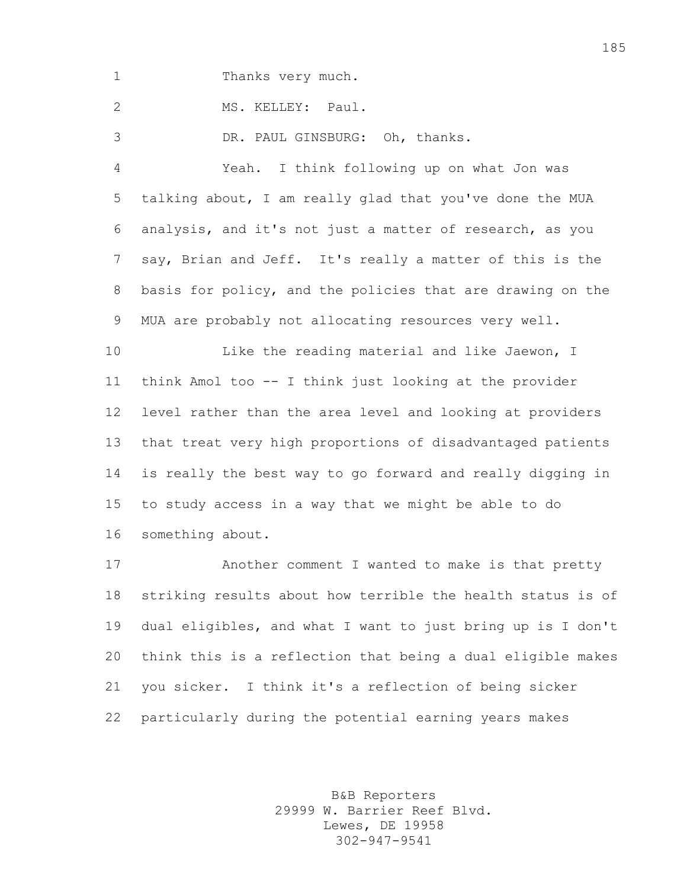1 Thanks very much.

2 MS. KELLEY: Paul.

DR. PAUL GINSBURG: Oh, thanks.

 Yeah. I think following up on what Jon was talking about, I am really glad that you've done the MUA analysis, and it's not just a matter of research, as you say, Brian and Jeff. It's really a matter of this is the basis for policy, and the policies that are drawing on the MUA are probably not allocating resources very well.

10 Like the reading material and like Jaewon, I think Amol too -- I think just looking at the provider level rather than the area level and looking at providers that treat very high proportions of disadvantaged patients is really the best way to go forward and really digging in to study access in a way that we might be able to do something about.

 Another comment I wanted to make is that pretty striking results about how terrible the health status is of dual eligibles, and what I want to just bring up is I don't think this is a reflection that being a dual eligible makes you sicker. I think it's a reflection of being sicker particularly during the potential earning years makes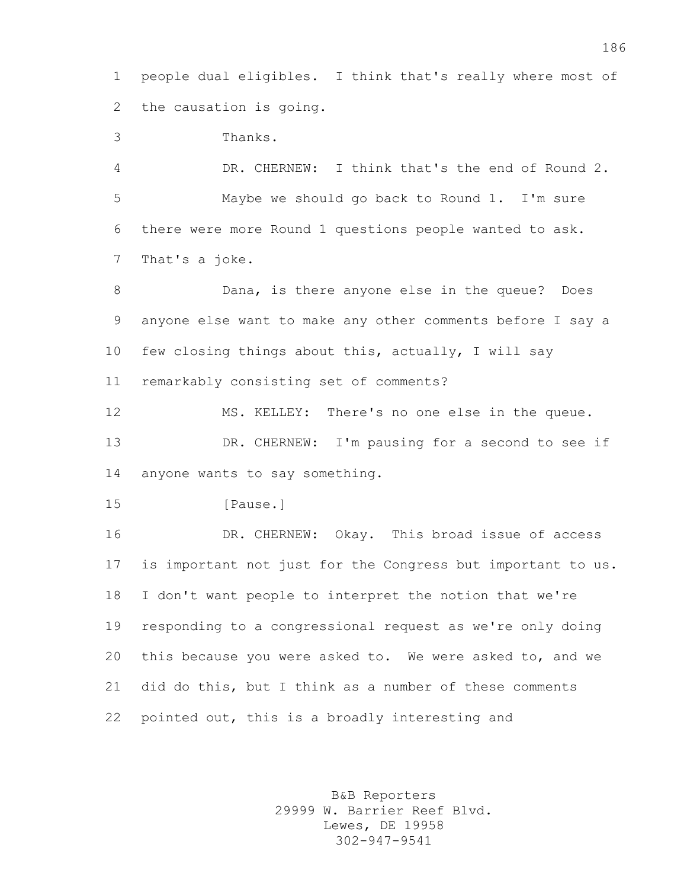people dual eligibles. I think that's really where most of the causation is going.

Thanks.

 DR. CHERNEW: I think that's the end of Round 2. Maybe we should go back to Round 1. I'm sure there were more Round 1 questions people wanted to ask. That's a joke.

 Dana, is there anyone else in the queue? Does anyone else want to make any other comments before I say a few closing things about this, actually, I will say remarkably consisting set of comments?

 MS. KELLEY: There's no one else in the queue. DR. CHERNEW: I'm pausing for a second to see if anyone wants to say something.

```
15 [Pause.]
```
 DR. CHERNEW: Okay. This broad issue of access is important not just for the Congress but important to us. I don't want people to interpret the notion that we're responding to a congressional request as we're only doing this because you were asked to. We were asked to, and we did do this, but I think as a number of these comments pointed out, this is a broadly interesting and

> B&B Reporters 29999 W. Barrier Reef Blvd. Lewes, DE 19958 302-947-9541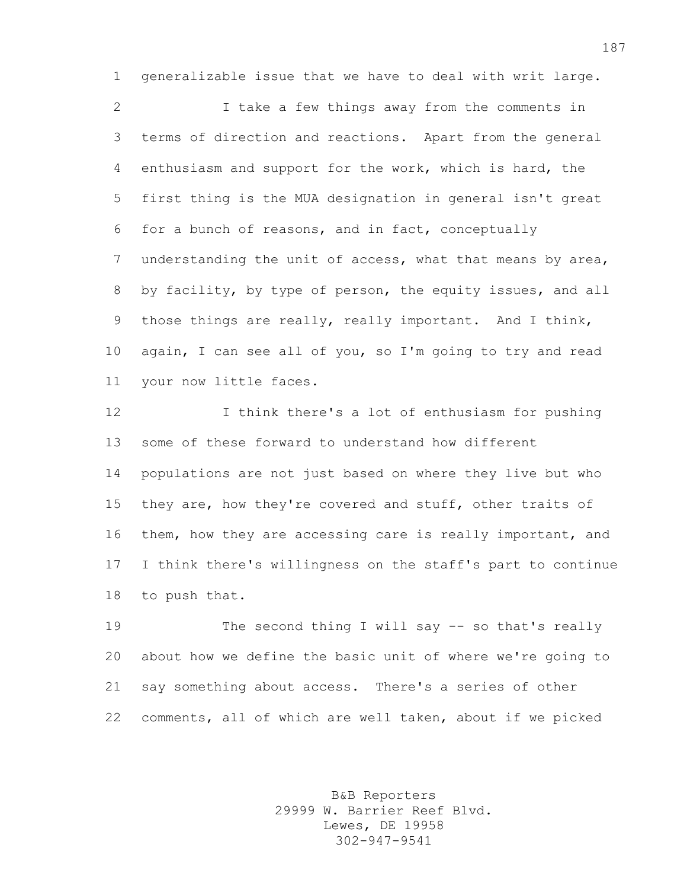generalizable issue that we have to deal with writ large.

 I take a few things away from the comments in terms of direction and reactions. Apart from the general enthusiasm and support for the work, which is hard, the first thing is the MUA designation in general isn't great for a bunch of reasons, and in fact, conceptually understanding the unit of access, what that means by area, by facility, by type of person, the equity issues, and all those things are really, really important. And I think, again, I can see all of you, so I'm going to try and read your now little faces.

 I think there's a lot of enthusiasm for pushing some of these forward to understand how different populations are not just based on where they live but who they are, how they're covered and stuff, other traits of them, how they are accessing care is really important, and I think there's willingness on the staff's part to continue to push that.

19 The second thing I will say -- so that's really about how we define the basic unit of where we're going to say something about access. There's a series of other comments, all of which are well taken, about if we picked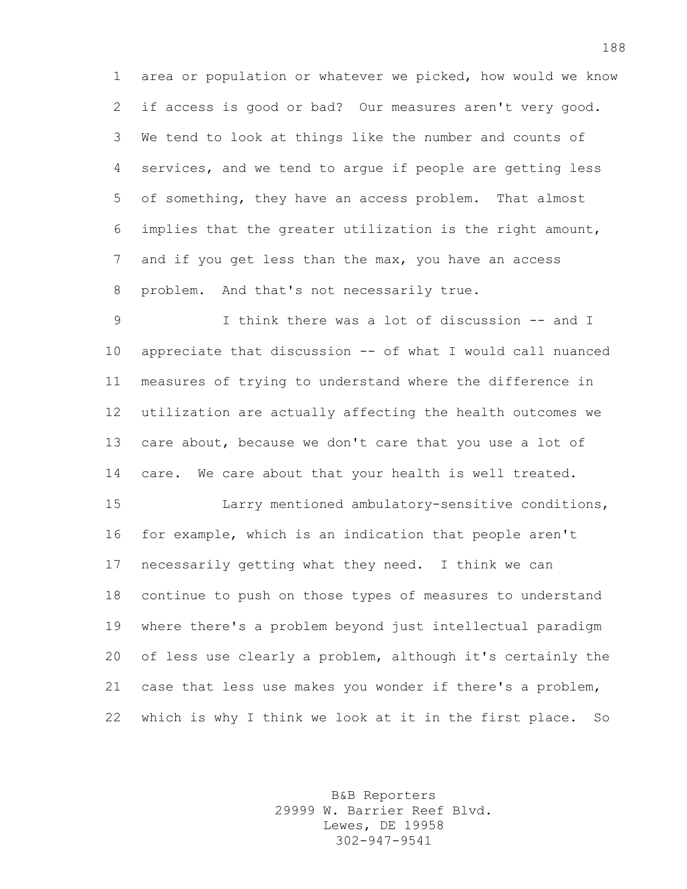area or population or whatever we picked, how would we know if access is good or bad? Our measures aren't very good. We tend to look at things like the number and counts of services, and we tend to argue if people are getting less of something, they have an access problem. That almost implies that the greater utilization is the right amount, 7 and if you get less than the max, you have an access problem. And that's not necessarily true.

 I think there was a lot of discussion -- and I appreciate that discussion -- of what I would call nuanced measures of trying to understand where the difference in utilization are actually affecting the health outcomes we care about, because we don't care that you use a lot of care. We care about that your health is well treated. Larry mentioned ambulatory-sensitive conditions, for example, which is an indication that people aren't necessarily getting what they need. I think we can continue to push on those types of measures to understand where there's a problem beyond just intellectual paradigm of less use clearly a problem, although it's certainly the case that less use makes you wonder if there's a problem,

which is why I think we look at it in the first place. So

B&B Reporters 29999 W. Barrier Reef Blvd. Lewes, DE 19958 302-947-9541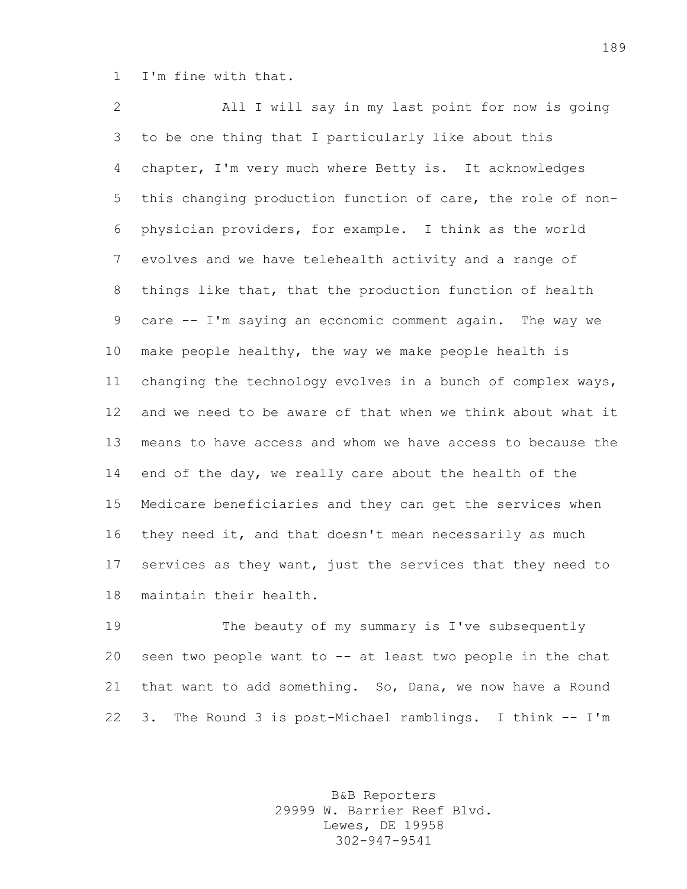I'm fine with that.

 All I will say in my last point for now is going to be one thing that I particularly like about this chapter, I'm very much where Betty is. It acknowledges this changing production function of care, the role of non- physician providers, for example. I think as the world evolves and we have telehealth activity and a range of things like that, that the production function of health care -- I'm saying an economic comment again. The way we make people healthy, the way we make people health is changing the technology evolves in a bunch of complex ways, and we need to be aware of that when we think about what it means to have access and whom we have access to because the end of the day, we really care about the health of the Medicare beneficiaries and they can get the services when they need it, and that doesn't mean necessarily as much services as they want, just the services that they need to maintain their health.

 The beauty of my summary is I've subsequently seen two people want to -- at least two people in the chat that want to add something. So, Dana, we now have a Round 22 3. The Round 3 is post-Michael ramblings. I think -- I'm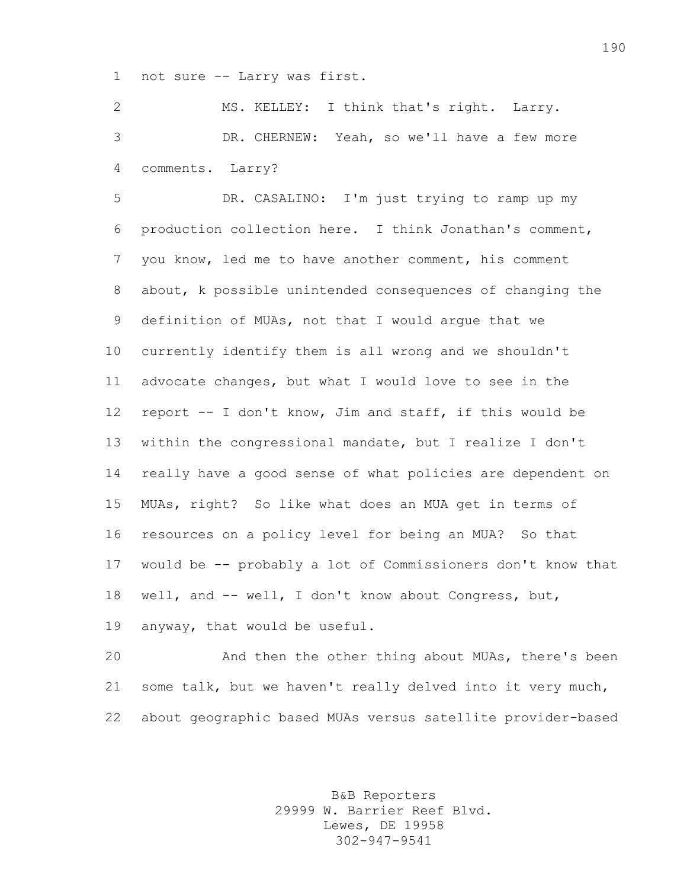not sure -- Larry was first.

 MS. KELLEY: I think that's right. Larry. DR. CHERNEW: Yeah, so we'll have a few more comments. Larry?

 DR. CASALINO: I'm just trying to ramp up my production collection here. I think Jonathan's comment, you know, led me to have another comment, his comment about, k possible unintended consequences of changing the definition of MUAs, not that I would argue that we currently identify them is all wrong and we shouldn't advocate changes, but what I would love to see in the report -- I don't know, Jim and staff, if this would be within the congressional mandate, but I realize I don't really have a good sense of what policies are dependent on MUAs, right? So like what does an MUA get in terms of resources on a policy level for being an MUA? So that would be -- probably a lot of Commissioners don't know that well, and -- well, I don't know about Congress, but, anyway, that would be useful.

 And then the other thing about MUAs, there's been some talk, but we haven't really delved into it very much, about geographic based MUAs versus satellite provider-based

> B&B Reporters 29999 W. Barrier Reef Blvd. Lewes, DE 19958 302-947-9541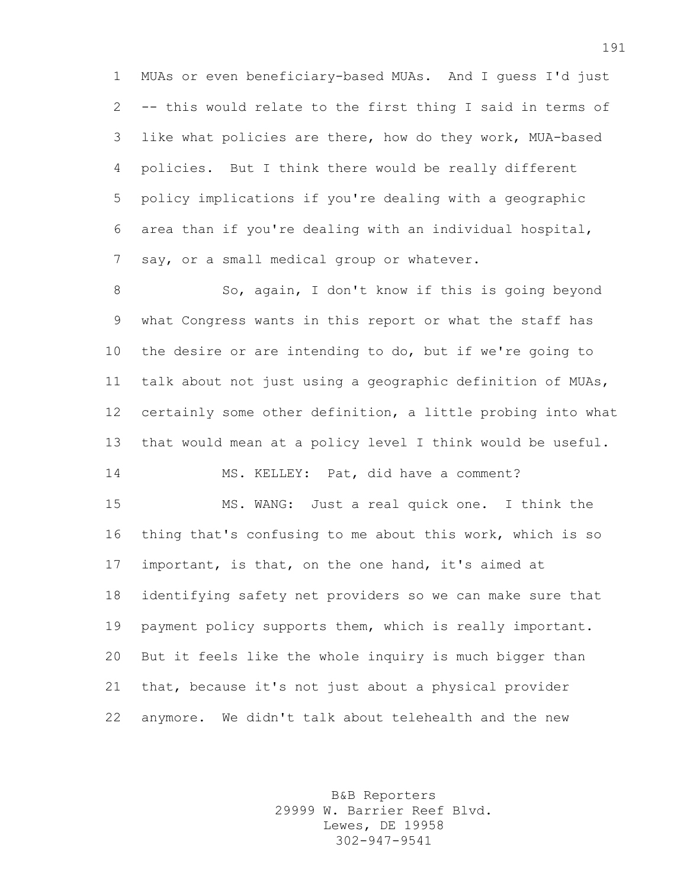MUAs or even beneficiary-based MUAs. And I guess I'd just -- this would relate to the first thing I said in terms of like what policies are there, how do they work, MUA-based policies. But I think there would be really different policy implications if you're dealing with a geographic area than if you're dealing with an individual hospital, say, or a small medical group or whatever.

 So, again, I don't know if this is going beyond what Congress wants in this report or what the staff has the desire or are intending to do, but if we're going to talk about not just using a geographic definition of MUAs, certainly some other definition, a little probing into what that would mean at a policy level I think would be useful. MS. KELLEY: Pat, did have a comment?

 MS. WANG: Just a real quick one. I think the thing that's confusing to me about this work, which is so important, is that, on the one hand, it's aimed at identifying safety net providers so we can make sure that payment policy supports them, which is really important. But it feels like the whole inquiry is much bigger than that, because it's not just about a physical provider anymore. We didn't talk about telehealth and the new

> B&B Reporters 29999 W. Barrier Reef Blvd. Lewes, DE 19958 302-947-9541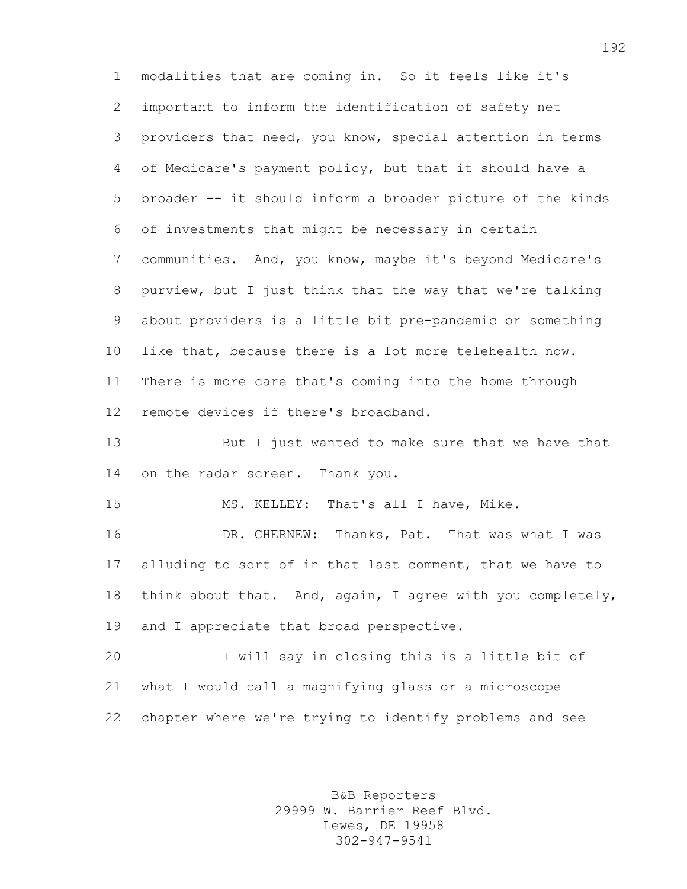modalities that are coming in. So it feels like it's important to inform the identification of safety net providers that need, you know, special attention in terms of Medicare's payment policy, but that it should have a broader -- it should inform a broader picture of the kinds of investments that might be necessary in certain communities. And, you know, maybe it's beyond Medicare's purview, but I just think that the way that we're talking about providers is a little bit pre-pandemic or something like that, because there is a lot more telehealth now. There is more care that's coming into the home through remote devices if there's broadband. But I just wanted to make sure that we have that on the radar screen. Thank you. MS. KELLEY: That's all I have, Mike. DR. CHERNEW: Thanks, Pat. That was what I was alluding to sort of in that last comment, that we have to think about that. And, again, I agree with you completely,

19 and I appreciate that broad perspective.

 I will say in closing this is a little bit of what I would call a magnifying glass or a microscope chapter where we're trying to identify problems and see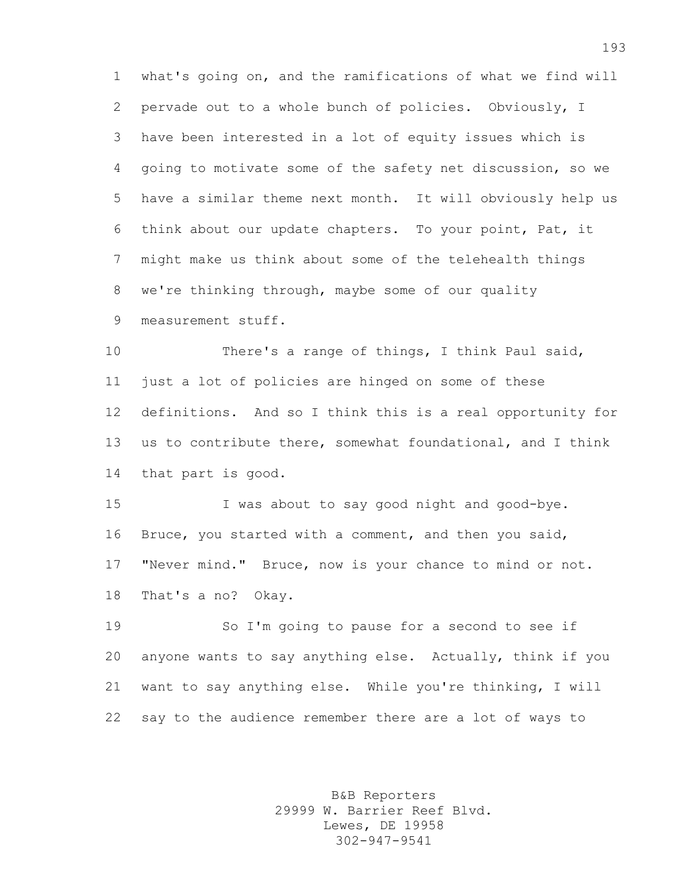what's going on, and the ramifications of what we find will pervade out to a whole bunch of policies. Obviously, I have been interested in a lot of equity issues which is going to motivate some of the safety net discussion, so we have a similar theme next month. It will obviously help us think about our update chapters. To your point, Pat, it might make us think about some of the telehealth things we're thinking through, maybe some of our quality measurement stuff.

 There's a range of things, I think Paul said, just a lot of policies are hinged on some of these definitions. And so I think this is a real opportunity for us to contribute there, somewhat foundational, and I think that part is good.

 I was about to say good night and good-bye. Bruce, you started with a comment, and then you said, "Never mind." Bruce, now is your chance to mind or not. That's a no? Okay.

 So I'm going to pause for a second to see if anyone wants to say anything else. Actually, think if you want to say anything else. While you're thinking, I will say to the audience remember there are a lot of ways to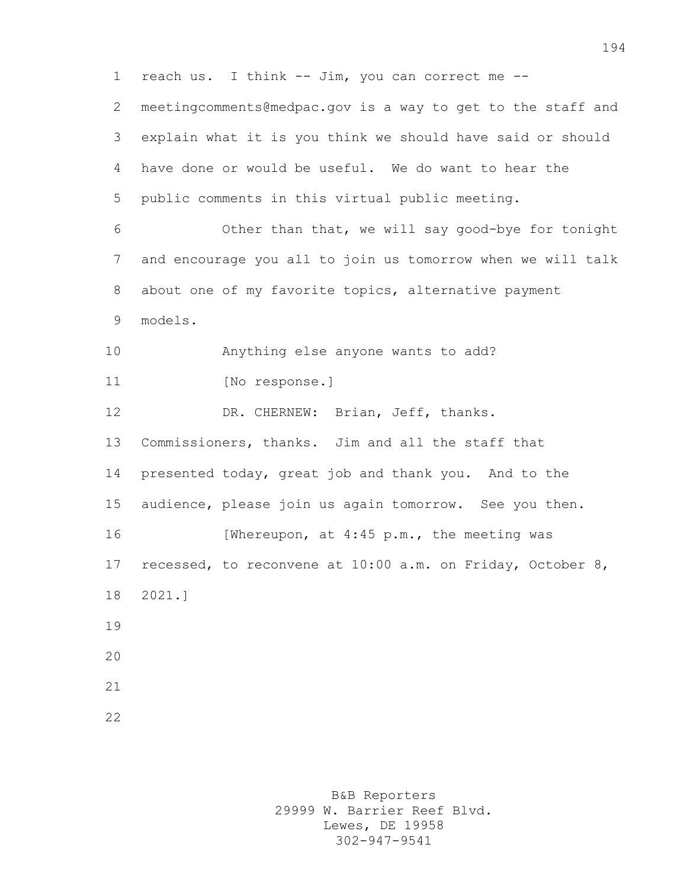reach us. I think -- Jim, you can correct me -- meetingcomments@medpac.gov is a way to get to the staff and explain what it is you think we should have said or should have done or would be useful. We do want to hear the public comments in this virtual public meeting. Other than that, we will say good-bye for tonight and encourage you all to join us tomorrow when we will talk about one of my favorite topics, alternative payment models. Anything else anyone wants to add? 11 [No response.] DR. CHERNEW: Brian, Jeff, thanks. Commissioners, thanks. Jim and all the staff that presented today, great job and thank you. And to the audience, please join us again tomorrow. See you then. 16 [Whereupon, at 4:45 p.m., the meeting was recessed, to reconvene at 10:00 a.m. on Friday, October 8, 2021.]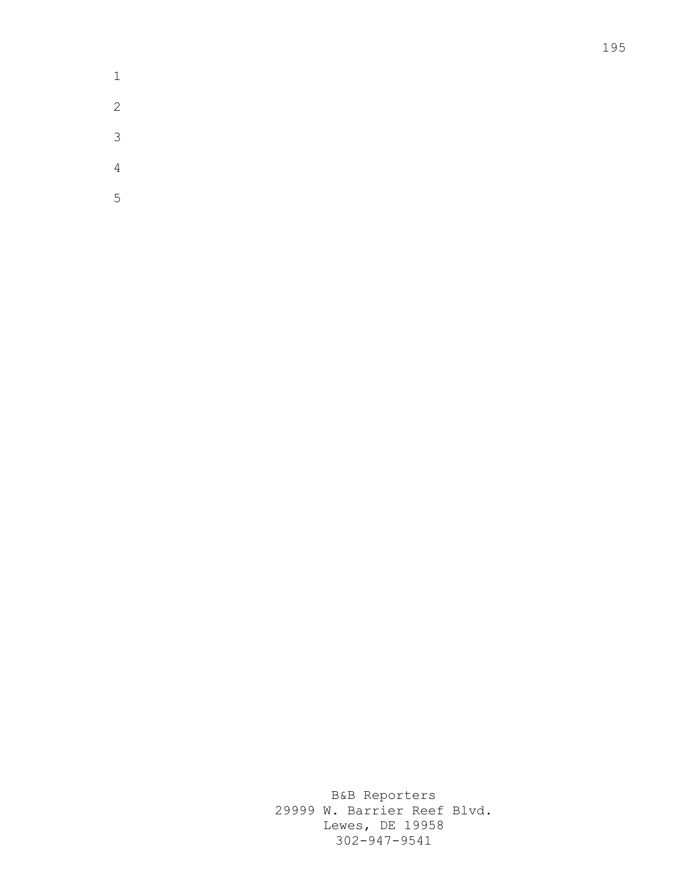- 1
- 2
- 3
- 
- 4
- 5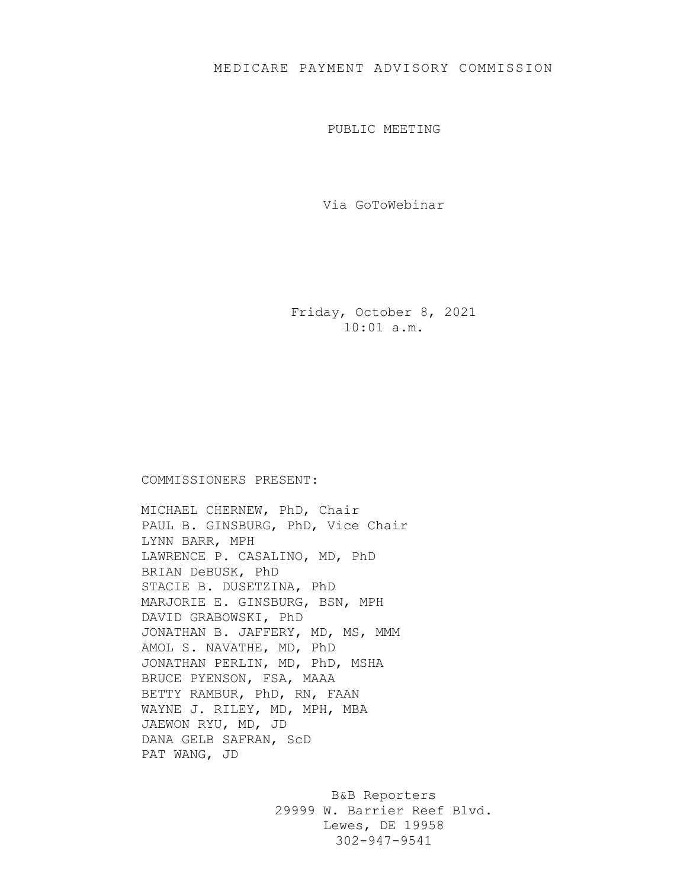PUBLIC MEETING

Via GoToWebinar

Friday, October 8, 2021 10:01 a.m.

## COMMISSIONERS PRESENT:

MICHAEL CHERNEW, PhD, Chair PAUL B. GINSBURG, PhD, Vice Chair LYNN BARR, MPH LAWRENCE P. CASALINO, MD, PhD BRIAN DeBUSK, PhD STACIE B. DUSETZINA, PhD MARJORIE E. GINSBURG, BSN, MPH DAVID GRABOWSKI, PhD JONATHAN B. JAFFERY, MD, MS, MMM AMOL S. NAVATHE, MD, PhD JONATHAN PERLIN, MD, PhD, MSHA BRUCE PYENSON, FSA, MAAA BETTY RAMBUR, PhD, RN, FAAN WAYNE J. RILEY, MD, MPH, MBA JAEWON RYU, MD, JD DANA GELB SAFRAN, ScD PAT WANG, JD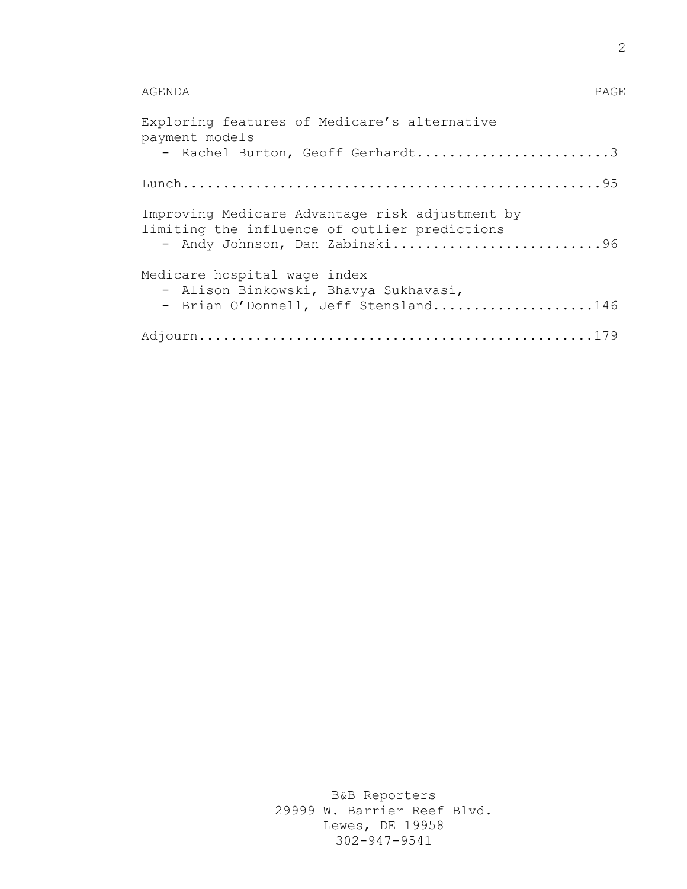## AGENDA PAGE

| Exploring features of Medicare's alternative<br>payment models                                                |  |
|---------------------------------------------------------------------------------------------------------------|--|
| - Rachel Burton, Geoff Gerhardt3                                                                              |  |
|                                                                                                               |  |
| Improving Medicare Advantage risk adjustment by<br>limiting the influence of outlier predictions              |  |
| Medicare hospital waqe index<br>- Alison Binkowski, Bhavya Sukhavasi,<br>- Brian O'Donnell, Jeff Stensland146 |  |
|                                                                                                               |  |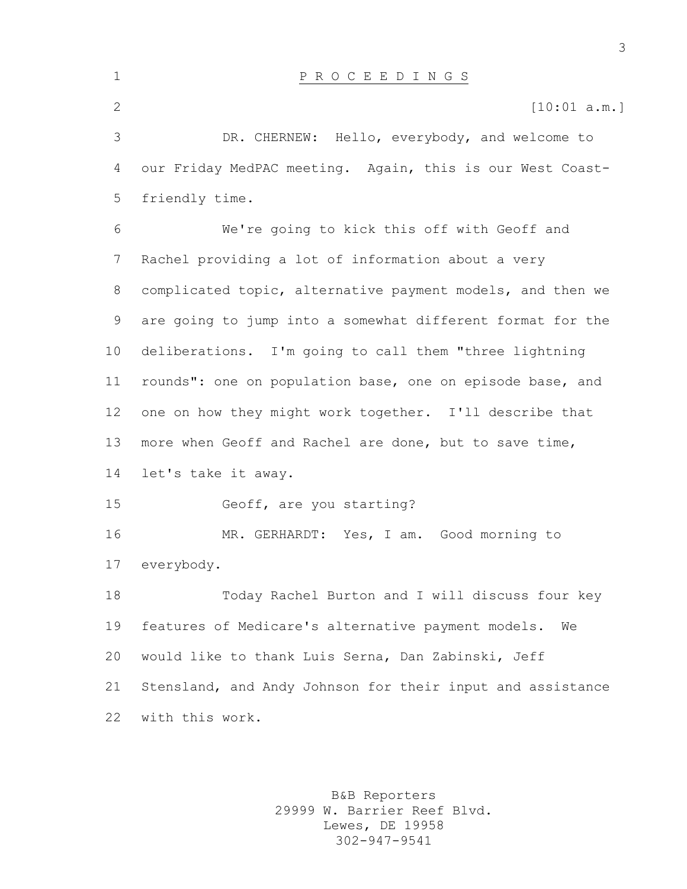P R O C E E D I N G S 2 [10:01 a.m.] DR. CHERNEW: Hello, everybody, and welcome to our Friday MedPAC meeting. Again, this is our West Coast- friendly time. We're going to kick this off with Geoff and Rachel providing a lot of information about a very complicated topic, alternative payment models, and then we are going to jump into a somewhat different format for the deliberations. I'm going to call them "three lightning rounds": one on population base, one on episode base, and one on how they might work together. I'll describe that more when Geoff and Rachel are done, but to save time, let's take it away. Geoff, are you starting? MR. GERHARDT: Yes, I am. Good morning to everybody. Today Rachel Burton and I will discuss four key features of Medicare's alternative payment models. We would like to thank Luis Serna, Dan Zabinski, Jeff Stensland, and Andy Johnson for their input and assistance with this work.

> B&B Reporters 29999 W. Barrier Reef Blvd. Lewes, DE 19958 302-947-9541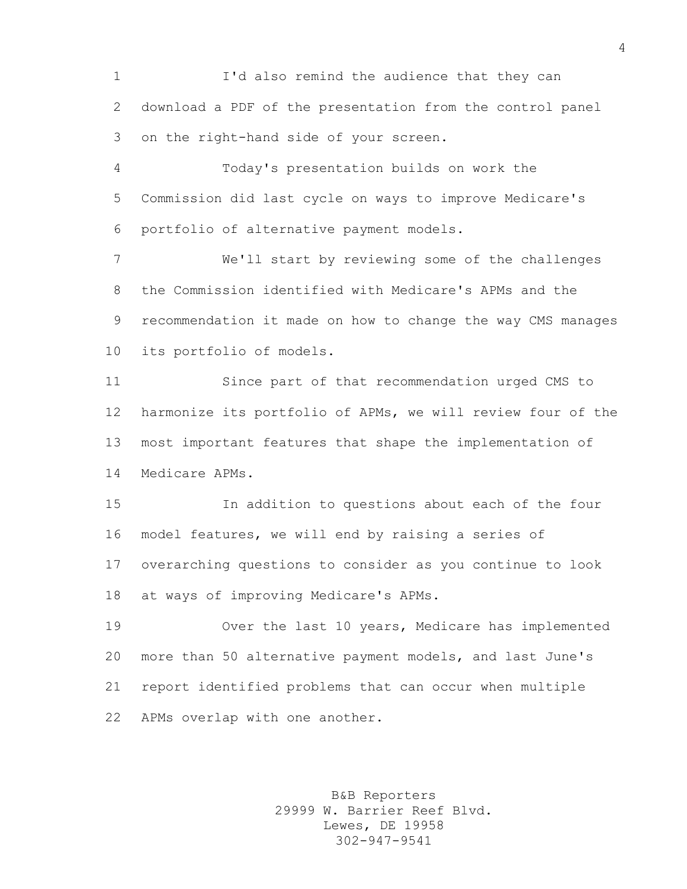I'd also remind the audience that they can download a PDF of the presentation from the control panel on the right-hand side of your screen.

 Today's presentation builds on work the Commission did last cycle on ways to improve Medicare's portfolio of alternative payment models.

 We'll start by reviewing some of the challenges the Commission identified with Medicare's APMs and the recommendation it made on how to change the way CMS manages its portfolio of models.

 Since part of that recommendation urged CMS to harmonize its portfolio of APMs, we will review four of the most important features that shape the implementation of Medicare APMs.

 In addition to questions about each of the four model features, we will end by raising a series of overarching questions to consider as you continue to look at ways of improving Medicare's APMs.

 Over the last 10 years, Medicare has implemented more than 50 alternative payment models, and last June's report identified problems that can occur when multiple APMs overlap with one another.

> B&B Reporters 29999 W. Barrier Reef Blvd. Lewes, DE 19958 302-947-9541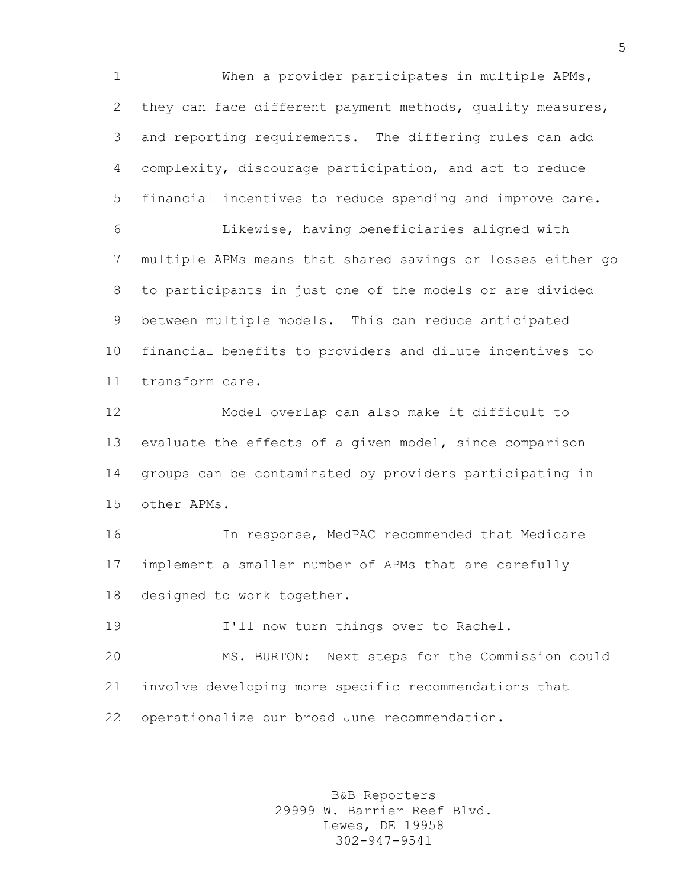When a provider participates in multiple APMs, 2 they can face different payment methods, quality measures, and reporting requirements. The differing rules can add complexity, discourage participation, and act to reduce financial incentives to reduce spending and improve care. Likewise, having beneficiaries aligned with multiple APMs means that shared savings or losses either go to participants in just one of the models or are divided between multiple models. This can reduce anticipated financial benefits to providers and dilute incentives to transform care. Model overlap can also make it difficult to evaluate the effects of a given model, since comparison

 groups can be contaminated by providers participating in other APMs.

 In response, MedPAC recommended that Medicare implement a smaller number of APMs that are carefully designed to work together.

I'll now turn things over to Rachel.

 MS. BURTON: Next steps for the Commission could involve developing more specific recommendations that operationalize our broad June recommendation.

> B&B Reporters 29999 W. Barrier Reef Blvd. Lewes, DE 19958 302-947-9541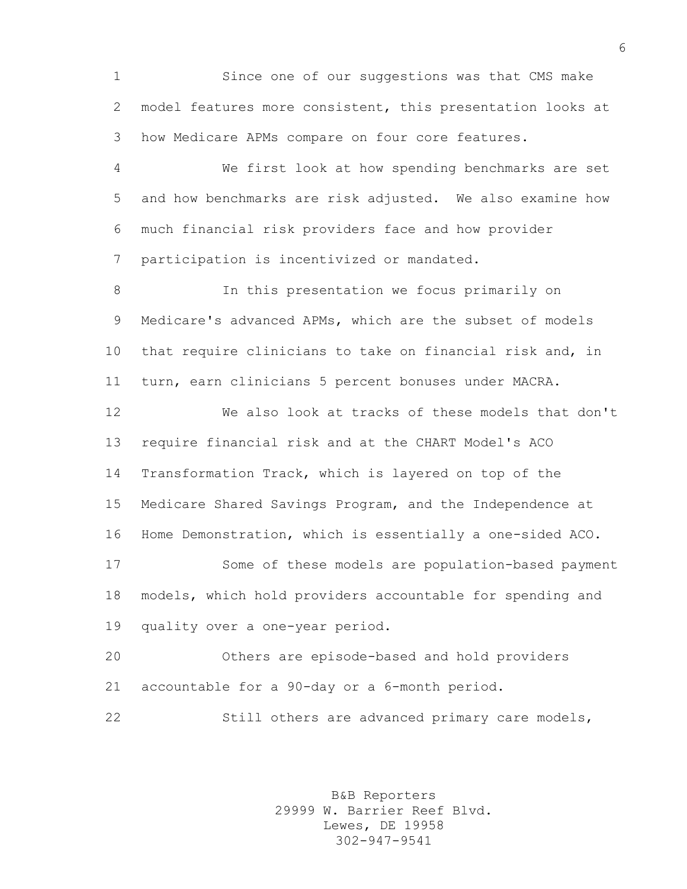Since one of our suggestions was that CMS make model features more consistent, this presentation looks at how Medicare APMs compare on four core features.

 We first look at how spending benchmarks are set and how benchmarks are risk adjusted. We also examine how much financial risk providers face and how provider participation is incentivized or mandated.

 In this presentation we focus primarily on Medicare's advanced APMs, which are the subset of models that require clinicians to take on financial risk and, in turn, earn clinicians 5 percent bonuses under MACRA.

 We also look at tracks of these models that don't require financial risk and at the CHART Model's ACO Transformation Track, which is layered on top of the Medicare Shared Savings Program, and the Independence at Home Demonstration, which is essentially a one-sided ACO. Some of these models are population-based payment models, which hold providers accountable for spending and quality over a one-year period.

 Others are episode-based and hold providers accountable for a 90-day or a 6-month period.

Still others are advanced primary care models,

B&B Reporters 29999 W. Barrier Reef Blvd. Lewes, DE 19958 302-947-9541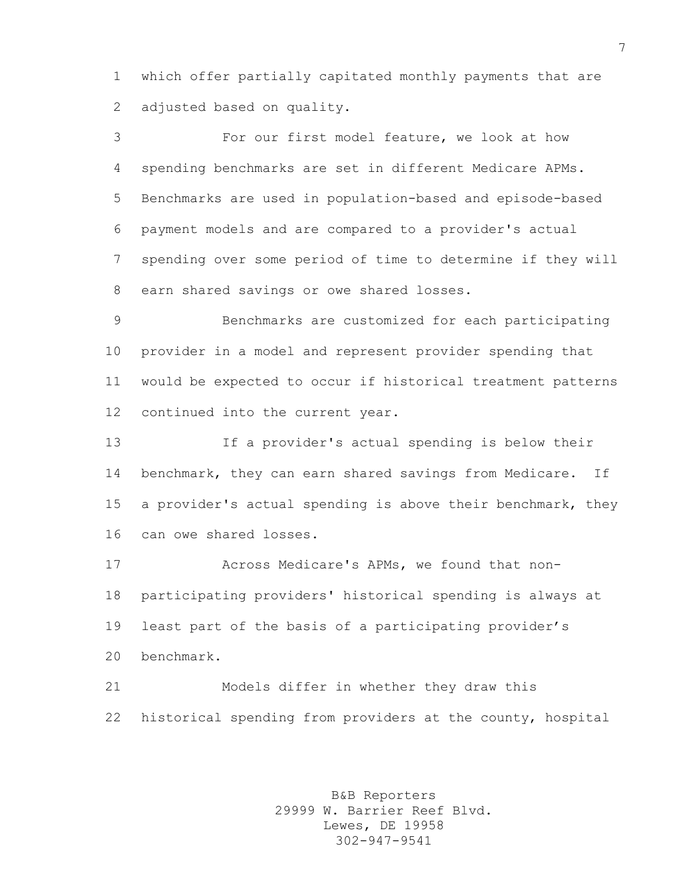which offer partially capitated monthly payments that are 2 adjusted based on quality.

 For our first model feature, we look at how spending benchmarks are set in different Medicare APMs. Benchmarks are used in population-based and episode-based payment models and are compared to a provider's actual spending over some period of time to determine if they will earn shared savings or owe shared losses.

 Benchmarks are customized for each participating provider in a model and represent provider spending that would be expected to occur if historical treatment patterns continued into the current year.

 If a provider's actual spending is below their benchmark, they can earn shared savings from Medicare. If a provider's actual spending is above their benchmark, they can owe shared losses.

 Across Medicare's APMs, we found that non- participating providers' historical spending is always at least part of the basis of a participating provider's benchmark.

 Models differ in whether they draw this historical spending from providers at the county, hospital

> B&B Reporters 29999 W. Barrier Reef Blvd. Lewes, DE 19958 302-947-9541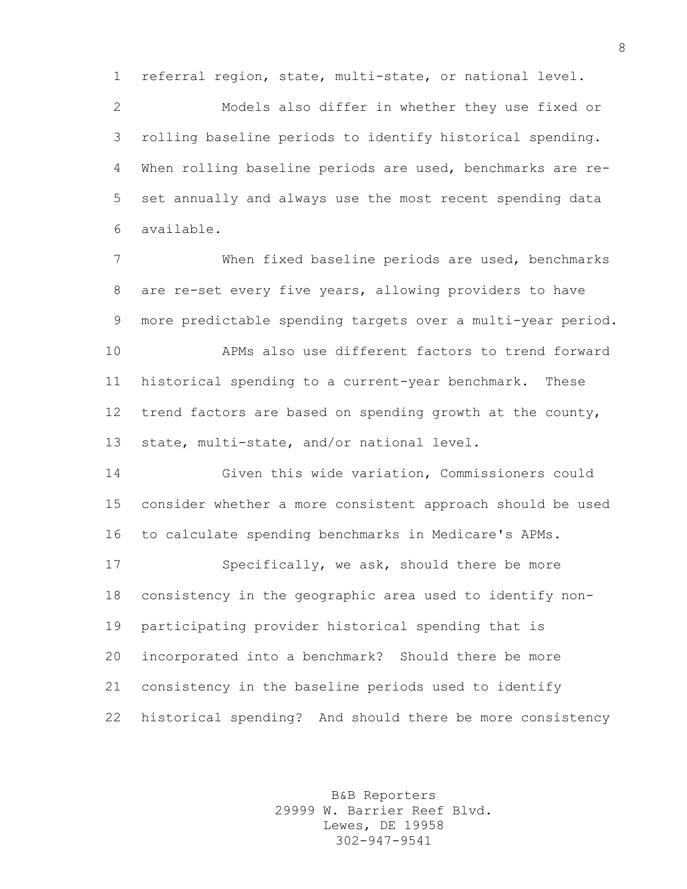referral region, state, multi-state, or national level.

 Models also differ in whether they use fixed or rolling baseline periods to identify historical spending. When rolling baseline periods are used, benchmarks are re- set annually and always use the most recent spending data available.

 When fixed baseline periods are used, benchmarks are re-set every five years, allowing providers to have more predictable spending targets over a multi-year period. APMs also use different factors to trend forward historical spending to a current-year benchmark. These trend factors are based on spending growth at the county, state, multi-state, and/or national level.

 Given this wide variation, Commissioners could consider whether a more consistent approach should be used to calculate spending benchmarks in Medicare's APMs.

 Specifically, we ask, should there be more consistency in the geographic area used to identify non- participating provider historical spending that is incorporated into a benchmark? Should there be more consistency in the baseline periods used to identify historical spending? And should there be more consistency

> B&B Reporters 29999 W. Barrier Reef Blvd. Lewes, DE 19958 302-947-9541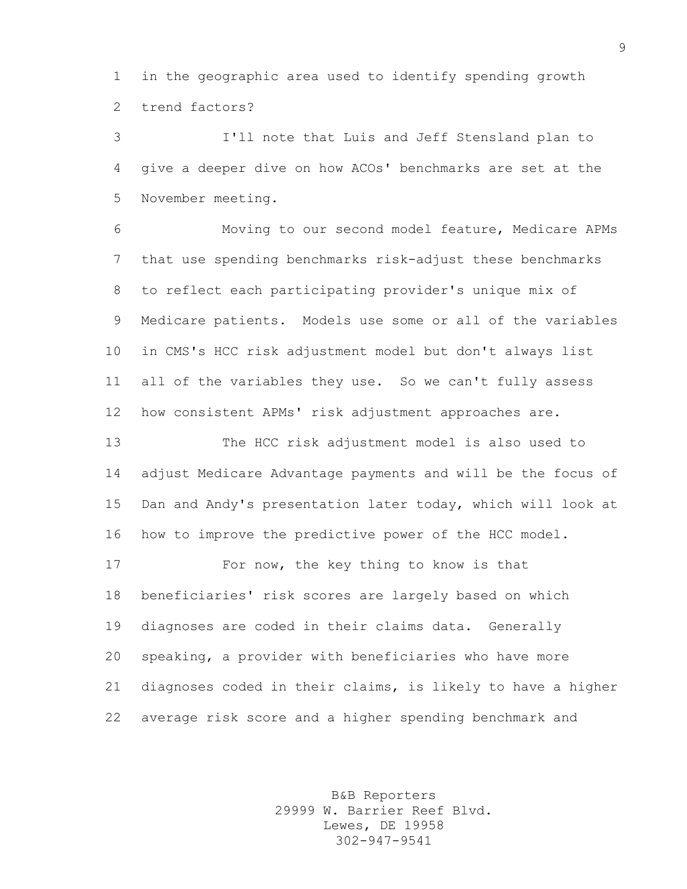in the geographic area used to identify spending growth trend factors?

 I'll note that Luis and Jeff Stensland plan to give a deeper dive on how ACOs' benchmarks are set at the November meeting.

 Moving to our second model feature, Medicare APMs that use spending benchmarks risk-adjust these benchmarks to reflect each participating provider's unique mix of Medicare patients. Models use some or all of the variables in CMS's HCC risk adjustment model but don't always list all of the variables they use. So we can't fully assess how consistent APMs' risk adjustment approaches are.

 The HCC risk adjustment model is also used to adjust Medicare Advantage payments and will be the focus of Dan and Andy's presentation later today, which will look at how to improve the predictive power of the HCC model.

17 For now, the key thing to know is that beneficiaries' risk scores are largely based on which diagnoses are coded in their claims data. Generally speaking, a provider with beneficiaries who have more diagnoses coded in their claims, is likely to have a higher average risk score and a higher spending benchmark and

> B&B Reporters 29999 W. Barrier Reef Blvd. Lewes, DE 19958 302-947-9541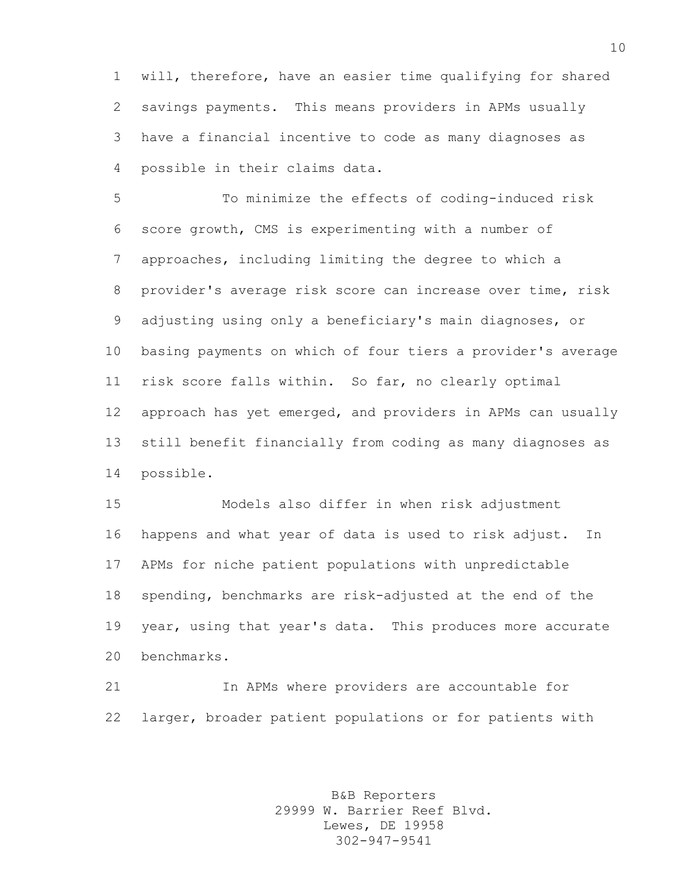will, therefore, have an easier time qualifying for shared savings payments. This means providers in APMs usually have a financial incentive to code as many diagnoses as possible in their claims data.

 To minimize the effects of coding-induced risk score growth, CMS is experimenting with a number of approaches, including limiting the degree to which a provider's average risk score can increase over time, risk adjusting using only a beneficiary's main diagnoses, or basing payments on which of four tiers a provider's average risk score falls within. So far, no clearly optimal approach has yet emerged, and providers in APMs can usually still benefit financially from coding as many diagnoses as possible.

 Models also differ in when risk adjustment happens and what year of data is used to risk adjust. In APMs for niche patient populations with unpredictable spending, benchmarks are risk-adjusted at the end of the year, using that year's data. This produces more accurate benchmarks.

 In APMs where providers are accountable for larger, broader patient populations or for patients with

> B&B Reporters 29999 W. Barrier Reef Blvd. Lewes, DE 19958 302-947-9541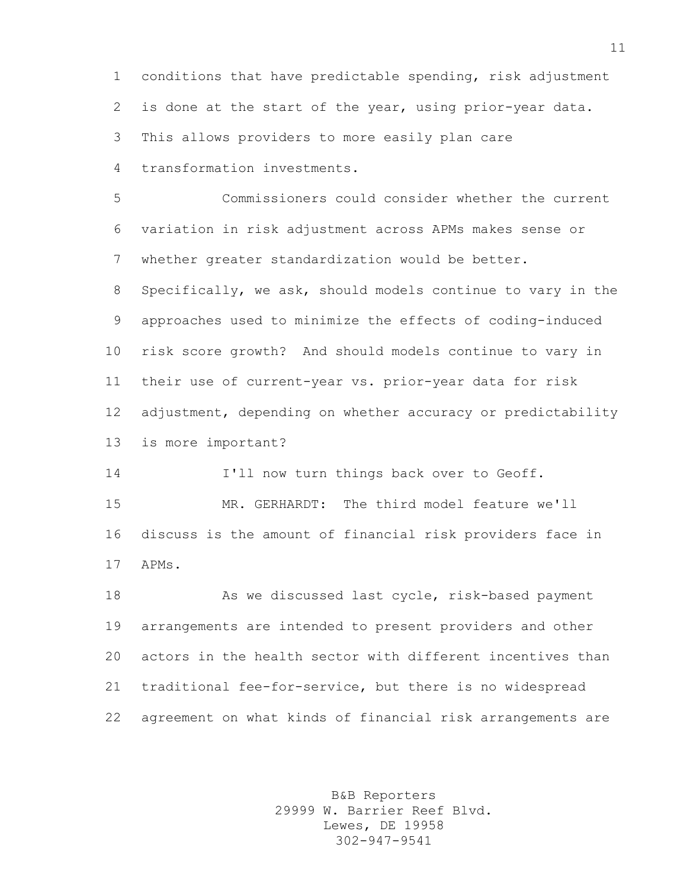conditions that have predictable spending, risk adjustment is done at the start of the year, using prior-year data. This allows providers to more easily plan care

transformation investments.

 Commissioners could consider whether the current variation in risk adjustment across APMs makes sense or whether greater standardization would be better.

 Specifically, we ask, should models continue to vary in the approaches used to minimize the effects of coding-induced risk score growth? And should models continue to vary in their use of current-year vs. prior-year data for risk adjustment, depending on whether accuracy or predictability is more important?

14 I'll now turn things back over to Geoff. MR. GERHARDT: The third model feature we'll discuss is the amount of financial risk providers face in APMs.

 As we discussed last cycle, risk-based payment arrangements are intended to present providers and other actors in the health sector with different incentives than traditional fee-for-service, but there is no widespread agreement on what kinds of financial risk arrangements are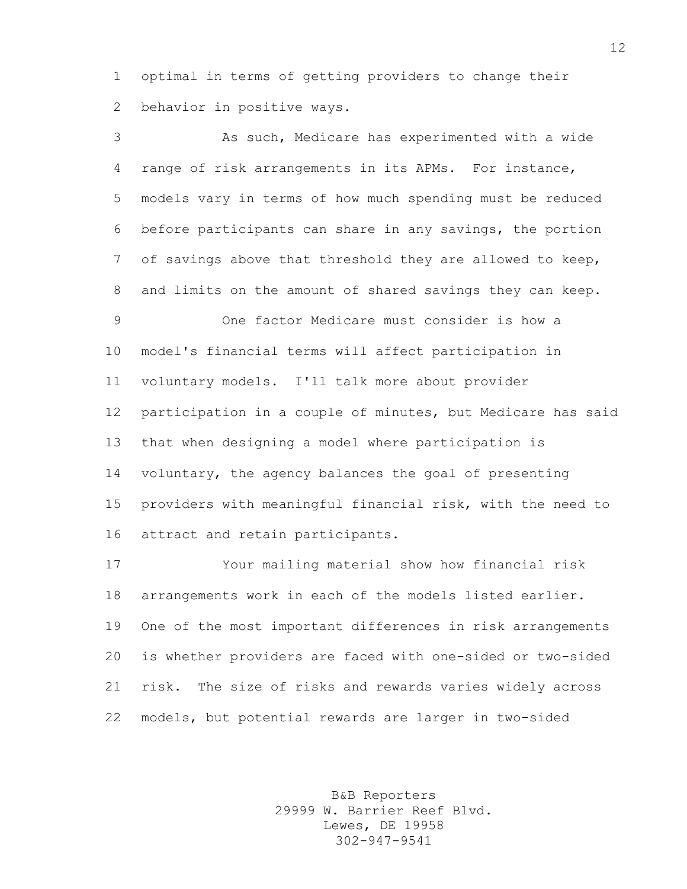optimal in terms of getting providers to change their behavior in positive ways.

 As such, Medicare has experimented with a wide range of risk arrangements in its APMs. For instance, models vary in terms of how much spending must be reduced before participants can share in any savings, the portion of savings above that threshold they are allowed to keep, and limits on the amount of shared savings they can keep. One factor Medicare must consider is how a model's financial terms will affect participation in voluntary models. I'll talk more about provider participation in a couple of minutes, but Medicare has said that when designing a model where participation is voluntary, the agency balances the goal of presenting providers with meaningful financial risk, with the need to attract and retain participants.

 Your mailing material show how financial risk arrangements work in each of the models listed earlier. One of the most important differences in risk arrangements is whether providers are faced with one-sided or two-sided risk. The size of risks and rewards varies widely across models, but potential rewards are larger in two-sided

> B&B Reporters 29999 W. Barrier Reef Blvd. Lewes, DE 19958 302-947-9541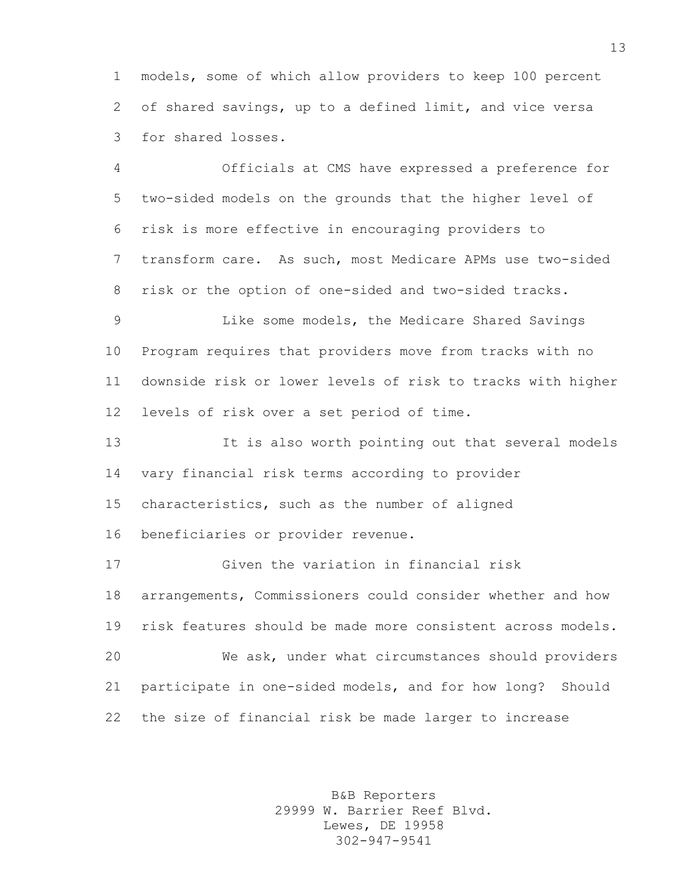models, some of which allow providers to keep 100 percent of shared savings, up to a defined limit, and vice versa for shared losses.

 Officials at CMS have expressed a preference for two-sided models on the grounds that the higher level of risk is more effective in encouraging providers to transform care. As such, most Medicare APMs use two-sided risk or the option of one-sided and two-sided tracks.

 Like some models, the Medicare Shared Savings Program requires that providers move from tracks with no downside risk or lower levels of risk to tracks with higher levels of risk over a set period of time.

 It is also worth pointing out that several models vary financial risk terms according to provider

characteristics, such as the number of aligned

beneficiaries or provider revenue.

 Given the variation in financial risk arrangements, Commissioners could consider whether and how risk features should be made more consistent across models. We ask, under what circumstances should providers participate in one-sided models, and for how long? Should the size of financial risk be made larger to increase

> B&B Reporters 29999 W. Barrier Reef Blvd. Lewes, DE 19958 302-947-9541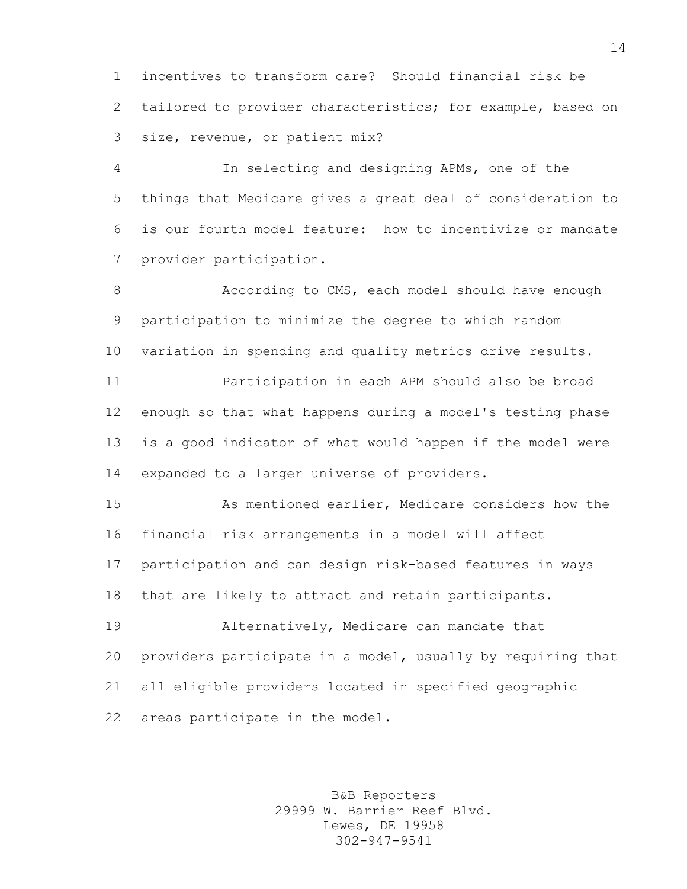incentives to transform care? Should financial risk be tailored to provider characteristics; for example, based on size, revenue, or patient mix?

 In selecting and designing APMs, one of the things that Medicare gives a great deal of consideration to is our fourth model feature: how to incentivize or mandate provider participation.

8 According to CMS, each model should have enough participation to minimize the degree to which random variation in spending and quality metrics drive results. Participation in each APM should also be broad enough so that what happens during a model's testing phase is a good indicator of what would happen if the model were

expanded to a larger universe of providers.

 As mentioned earlier, Medicare considers how the financial risk arrangements in a model will affect participation and can design risk-based features in ways

that are likely to attract and retain participants.

 Alternatively, Medicare can mandate that providers participate in a model, usually by requiring that all eligible providers located in specified geographic areas participate in the model.

> B&B Reporters 29999 W. Barrier Reef Blvd. Lewes, DE 19958 302-947-9541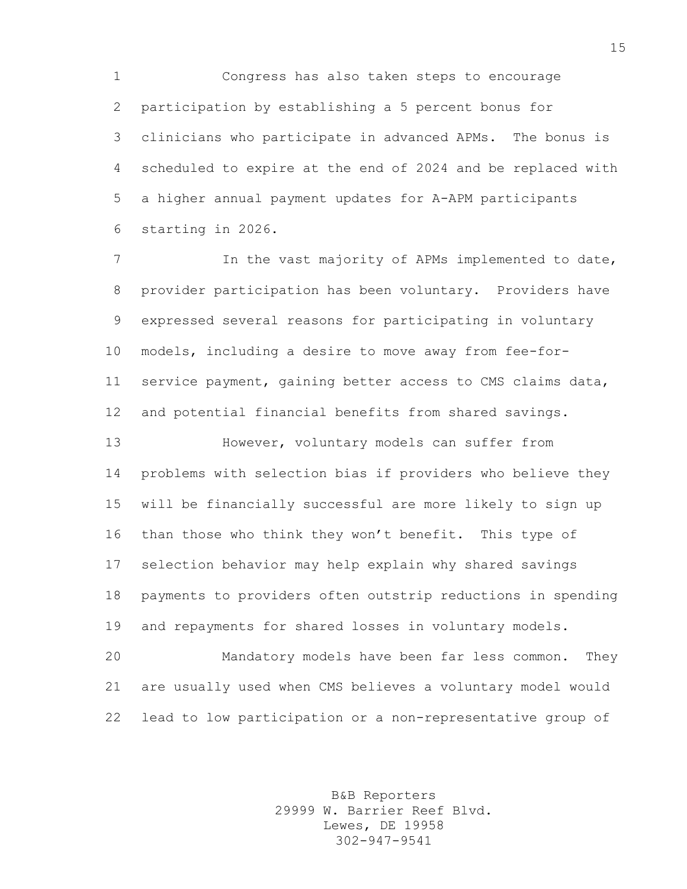Congress has also taken steps to encourage participation by establishing a 5 percent bonus for clinicians who participate in advanced APMs. The bonus is scheduled to expire at the end of 2024 and be replaced with a higher annual payment updates for A-APM participants starting in 2026.

 In the vast majority of APMs implemented to date, provider participation has been voluntary. Providers have expressed several reasons for participating in voluntary models, including a desire to move away from fee-for- service payment, gaining better access to CMS claims data, and potential financial benefits from shared savings.

 However, voluntary models can suffer from problems with selection bias if providers who believe they will be financially successful are more likely to sign up than those who think they won't benefit. This type of selection behavior may help explain why shared savings payments to providers often outstrip reductions in spending and repayments for shared losses in voluntary models.

 Mandatory models have been far less common. They are usually used when CMS believes a voluntary model would lead to low participation or a non-representative group of

> B&B Reporters 29999 W. Barrier Reef Blvd. Lewes, DE 19958 302-947-9541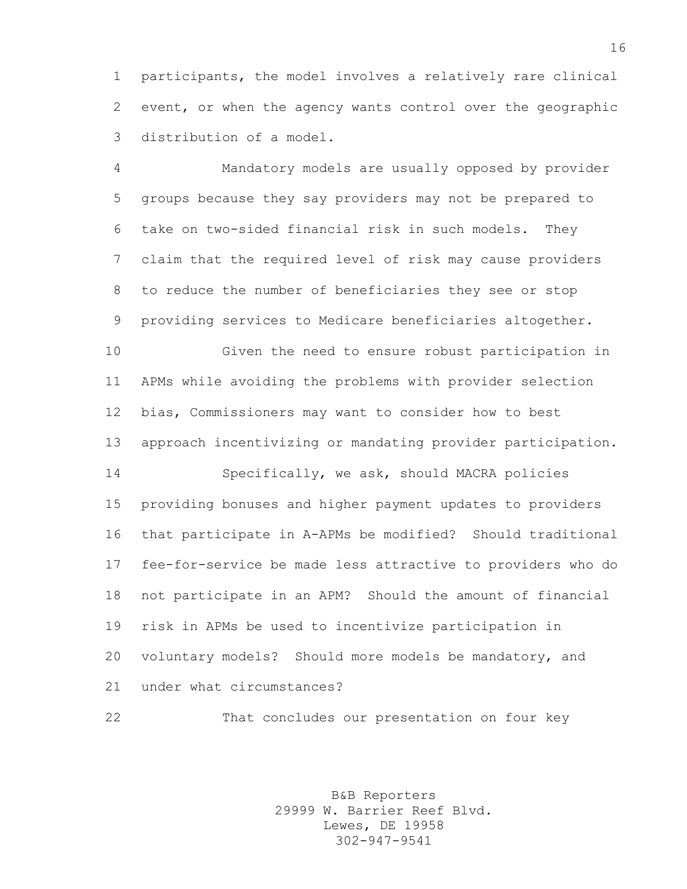participants, the model involves a relatively rare clinical event, or when the agency wants control over the geographic distribution of a model.

 Mandatory models are usually opposed by provider groups because they say providers may not be prepared to take on two-sided financial risk in such models. They claim that the required level of risk may cause providers to reduce the number of beneficiaries they see or stop providing services to Medicare beneficiaries altogether.

 Given the need to ensure robust participation in APMs while avoiding the problems with provider selection bias, Commissioners may want to consider how to best approach incentivizing or mandating provider participation.

 Specifically, we ask, should MACRA policies providing bonuses and higher payment updates to providers that participate in A-APMs be modified? Should traditional fee-for-service be made less attractive to providers who do not participate in an APM? Should the amount of financial risk in APMs be used to incentivize participation in voluntary models? Should more models be mandatory, and under what circumstances?

That concludes our presentation on four key

B&B Reporters 29999 W. Barrier Reef Blvd. Lewes, DE 19958 302-947-9541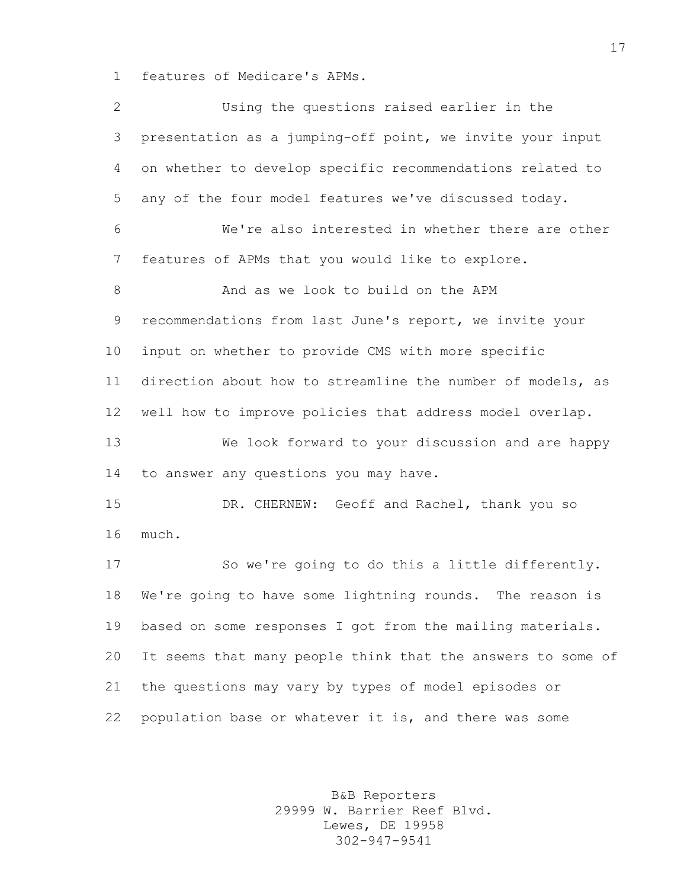features of Medicare's APMs.

 Using the questions raised earlier in the presentation as a jumping-off point, we invite your input on whether to develop specific recommendations related to any of the four model features we've discussed today. We're also interested in whether there are other features of APMs that you would like to explore. 8 And as we look to build on the APM recommendations from last June's report, we invite your input on whether to provide CMS with more specific direction about how to streamline the number of models, as well how to improve policies that address model overlap. We look forward to your discussion and are happy to answer any questions you may have. DR. CHERNEW: Geoff and Rachel, thank you so much. So we're going to do this a little differently. We're going to have some lightning rounds. The reason is based on some responses I got from the mailing materials. It seems that many people think that the answers to some of the questions may vary by types of model episodes or population base or whatever it is, and there was some

> B&B Reporters 29999 W. Barrier Reef Blvd. Lewes, DE 19958 302-947-9541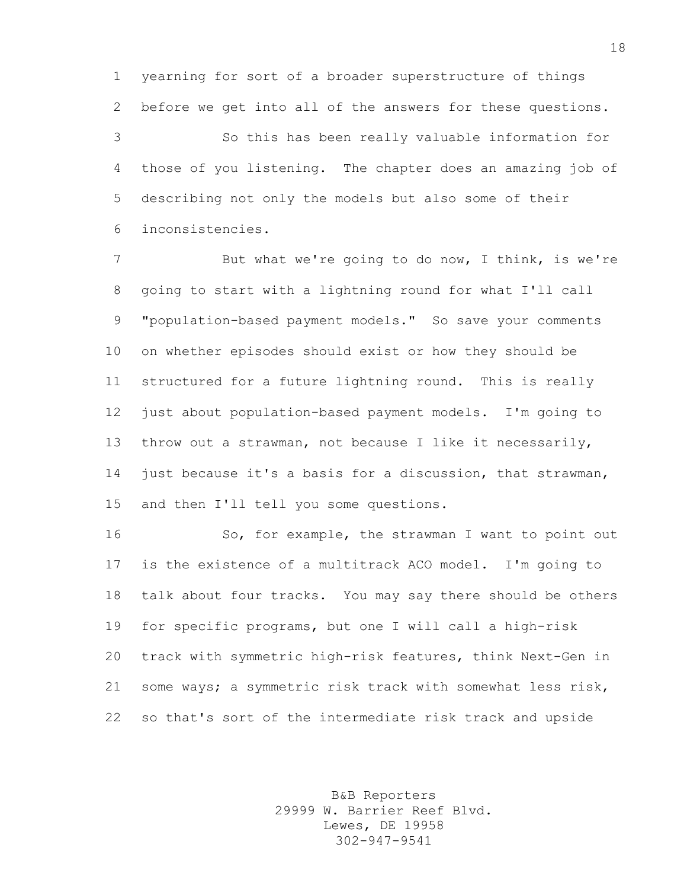yearning for sort of a broader superstructure of things before we get into all of the answers for these questions.

 So this has been really valuable information for those of you listening. The chapter does an amazing job of describing not only the models but also some of their inconsistencies.

7 But what we're going to do now, I think, is we're going to start with a lightning round for what I'll call "population-based payment models." So save your comments on whether episodes should exist or how they should be structured for a future lightning round. This is really just about population-based payment models. I'm going to throw out a strawman, not because I like it necessarily, just because it's a basis for a discussion, that strawman, and then I'll tell you some questions.

 So, for example, the strawman I want to point out is the existence of a multitrack ACO model. I'm going to talk about four tracks. You may say there should be others for specific programs, but one I will call a high-risk track with symmetric high-risk features, think Next-Gen in some ways; a symmetric risk track with somewhat less risk, so that's sort of the intermediate risk track and upside

> B&B Reporters 29999 W. Barrier Reef Blvd. Lewes, DE 19958 302-947-9541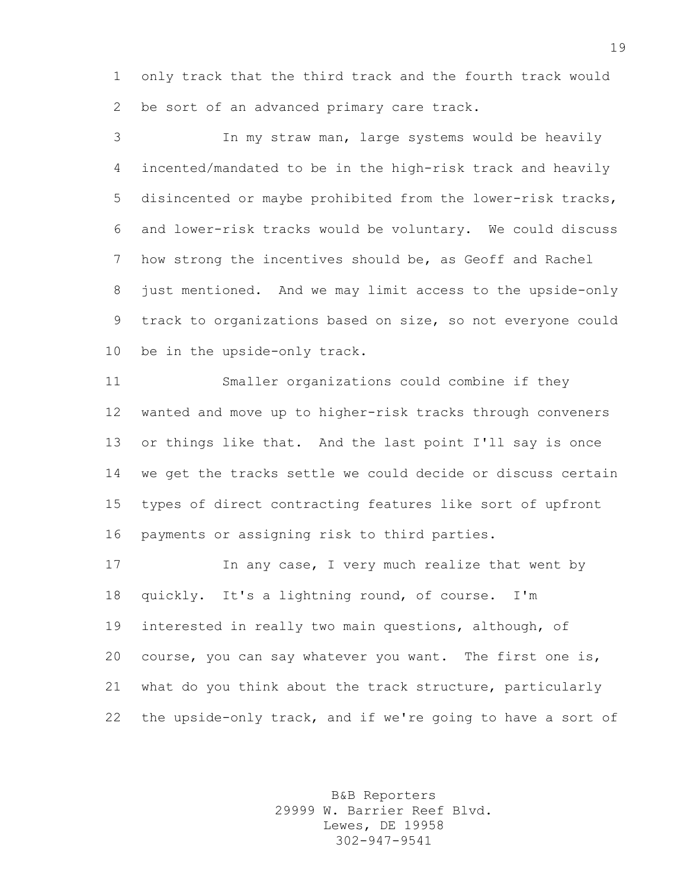only track that the third track and the fourth track would 2 be sort of an advanced primary care track.

 In my straw man, large systems would be heavily incented/mandated to be in the high-risk track and heavily disincented or maybe prohibited from the lower-risk tracks, and lower-risk tracks would be voluntary. We could discuss how strong the incentives should be, as Geoff and Rachel just mentioned. And we may limit access to the upside-only track to organizations based on size, so not everyone could be in the upside-only track.

 Smaller organizations could combine if they wanted and move up to higher-risk tracks through conveners or things like that. And the last point I'll say is once we get the tracks settle we could decide or discuss certain types of direct contracting features like sort of upfront payments or assigning risk to third parties.

 In any case, I very much realize that went by quickly. It's a lightning round, of course. I'm interested in really two main questions, although, of course, you can say whatever you want. The first one is, what do you think about the track structure, particularly the upside-only track, and if we're going to have a sort of

> B&B Reporters 29999 W. Barrier Reef Blvd. Lewes, DE 19958 302-947-9541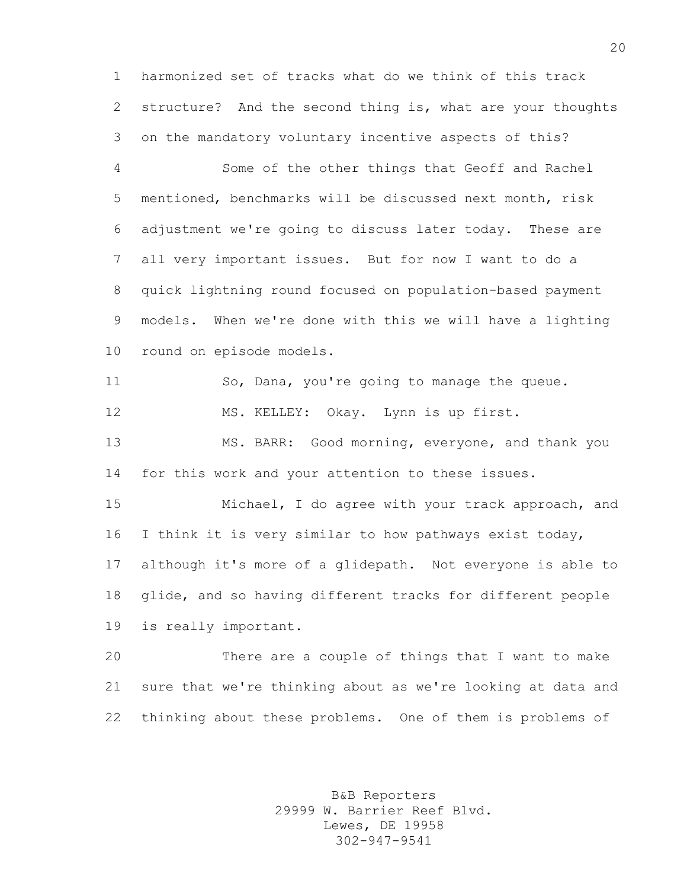harmonized set of tracks what do we think of this track structure? And the second thing is, what are your thoughts on the mandatory voluntary incentive aspects of this?

 Some of the other things that Geoff and Rachel mentioned, benchmarks will be discussed next month, risk adjustment we're going to discuss later today. These are all very important issues. But for now I want to do a quick lightning round focused on population-based payment models. When we're done with this we will have a lighting round on episode models.

So, Dana, you're going to manage the queue.

MS. KELLEY: Okay. Lynn is up first.

 MS. BARR: Good morning, everyone, and thank you for this work and your attention to these issues.

 Michael, I do agree with your track approach, and I think it is very similar to how pathways exist today, although it's more of a glidepath. Not everyone is able to glide, and so having different tracks for different people is really important.

 There are a couple of things that I want to make sure that we're thinking about as we're looking at data and thinking about these problems. One of them is problems of

> B&B Reporters 29999 W. Barrier Reef Blvd. Lewes, DE 19958 302-947-9541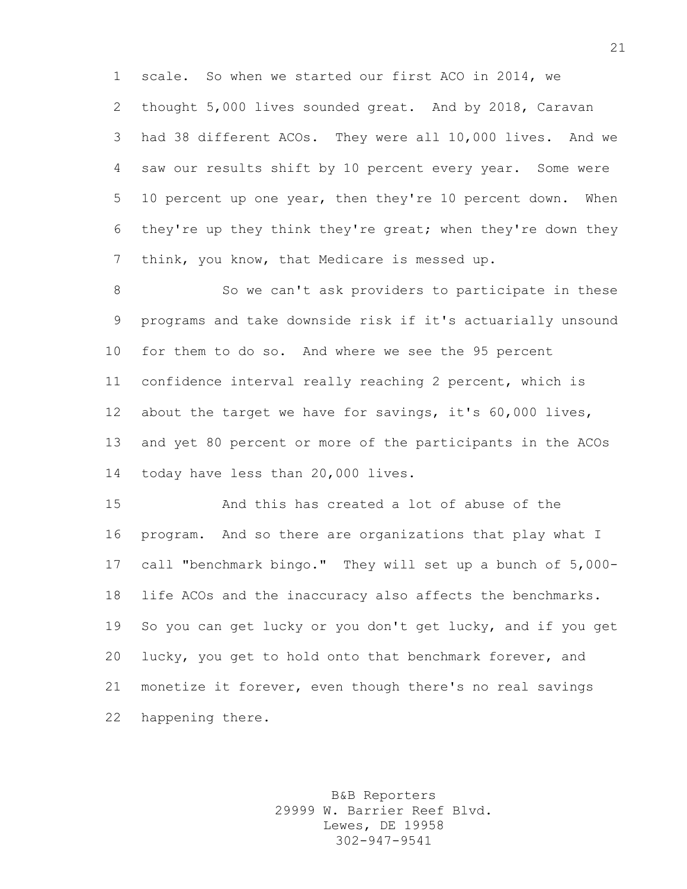scale. So when we started our first ACO in 2014, we thought 5,000 lives sounded great. And by 2018, Caravan had 38 different ACOs. They were all 10,000 lives. And we saw our results shift by 10 percent every year. Some were 10 percent up one year, then they're 10 percent down. When they're up they think they're great; when they're down they think, you know, that Medicare is messed up.

8 So we can't ask providers to participate in these programs and take downside risk if it's actuarially unsound for them to do so. And where we see the 95 percent confidence interval really reaching 2 percent, which is about the target we have for savings, it's 60,000 lives, and yet 80 percent or more of the participants in the ACOs today have less than 20,000 lives.

 And this has created a lot of abuse of the program. And so there are organizations that play what I call "benchmark bingo." They will set up a bunch of 5,000- life ACOs and the inaccuracy also affects the benchmarks. So you can get lucky or you don't get lucky, and if you get lucky, you get to hold onto that benchmark forever, and monetize it forever, even though there's no real savings happening there.

> B&B Reporters 29999 W. Barrier Reef Blvd. Lewes, DE 19958 302-947-9541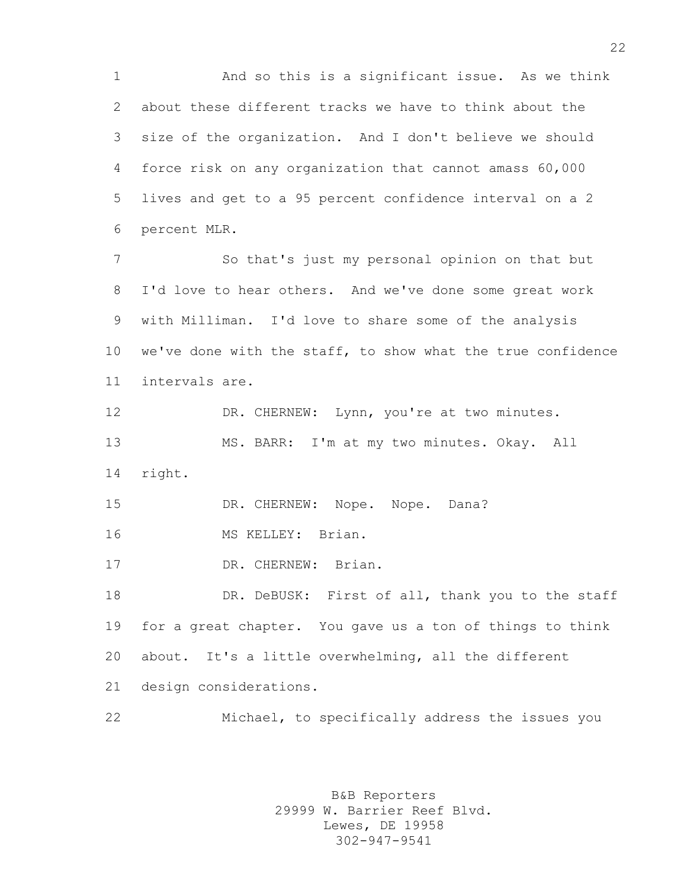And so this is a significant issue. As we think about these different tracks we have to think about the size of the organization. And I don't believe we should force risk on any organization that cannot amass 60,000 lives and get to a 95 percent confidence interval on a 2 percent MLR.

 So that's just my personal opinion on that but I'd love to hear others. And we've done some great work with Milliman. I'd love to share some of the analysis we've done with the staff, to show what the true confidence intervals are.

12 DR. CHERNEW: Lynn, you're at two minutes. MS. BARR: I'm at my two minutes. Okay. All right. 15 DR. CHERNEW: Nope. Nope. Dana? MS KELLEY: Brian. 17 DR. CHERNEW: Brian. 18 DR. DeBUSK: First of all, thank you to the staff for a great chapter. You gave us a ton of things to think about. It's a little overwhelming, all the different design considerations.

Michael, to specifically address the issues you

B&B Reporters 29999 W. Barrier Reef Blvd. Lewes, DE 19958 302-947-9541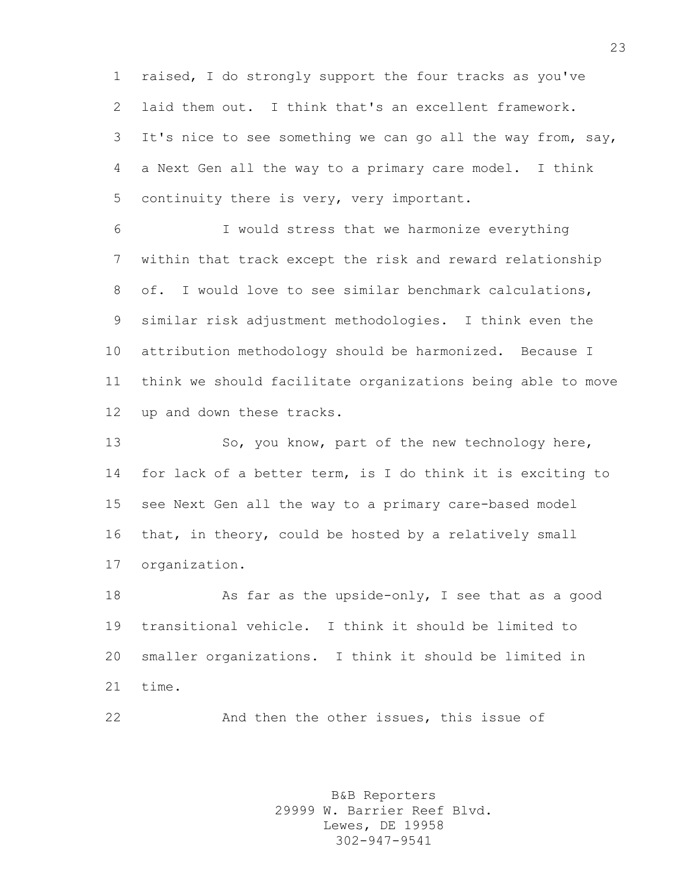raised, I do strongly support the four tracks as you've laid them out. I think that's an excellent framework. It's nice to see something we can go all the way from, say, a Next Gen all the way to a primary care model. I think continuity there is very, very important.

 I would stress that we harmonize everything within that track except the risk and reward relationship of. I would love to see similar benchmark calculations, similar risk adjustment methodologies. I think even the attribution methodology should be harmonized. Because I think we should facilitate organizations being able to move up and down these tracks.

13 So, you know, part of the new technology here, for lack of a better term, is I do think it is exciting to see Next Gen all the way to a primary care-based model that, in theory, could be hosted by a relatively small organization.

 As far as the upside-only, I see that as a good transitional vehicle. I think it should be limited to smaller organizations. I think it should be limited in time.

And then the other issues, this issue of

B&B Reporters 29999 W. Barrier Reef Blvd. Lewes, DE 19958 302-947-9541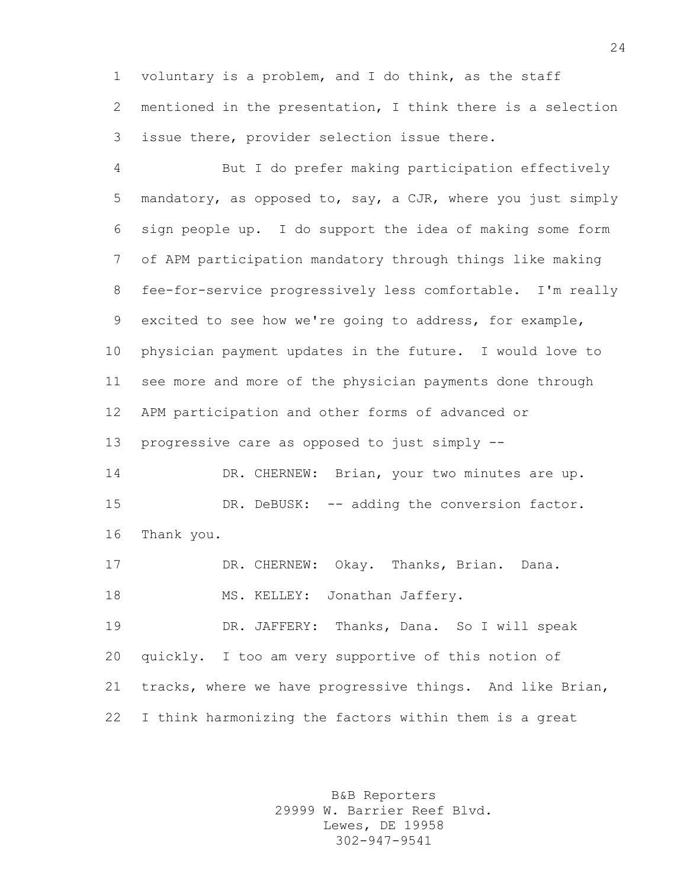voluntary is a problem, and I do think, as the staff mentioned in the presentation, I think there is a selection issue there, provider selection issue there.

 But I do prefer making participation effectively mandatory, as opposed to, say, a CJR, where you just simply sign people up. I do support the idea of making some form of APM participation mandatory through things like making fee-for-service progressively less comfortable. I'm really excited to see how we're going to address, for example, physician payment updates in the future. I would love to see more and more of the physician payments done through APM participation and other forms of advanced or progressive care as opposed to just simply -- 14 DR. CHERNEW: Brian, your two minutes are up. DR. DeBUSK: -- adding the conversion factor. Thank you. DR. CHERNEW: Okay. Thanks, Brian. Dana. 18 MS. KELLEY: Jonathan Jaffery.

 DR. JAFFERY: Thanks, Dana. So I will speak quickly. I too am very supportive of this notion of tracks, where we have progressive things. And like Brian, I think harmonizing the factors within them is a great

> B&B Reporters 29999 W. Barrier Reef Blvd. Lewes, DE 19958 302-947-9541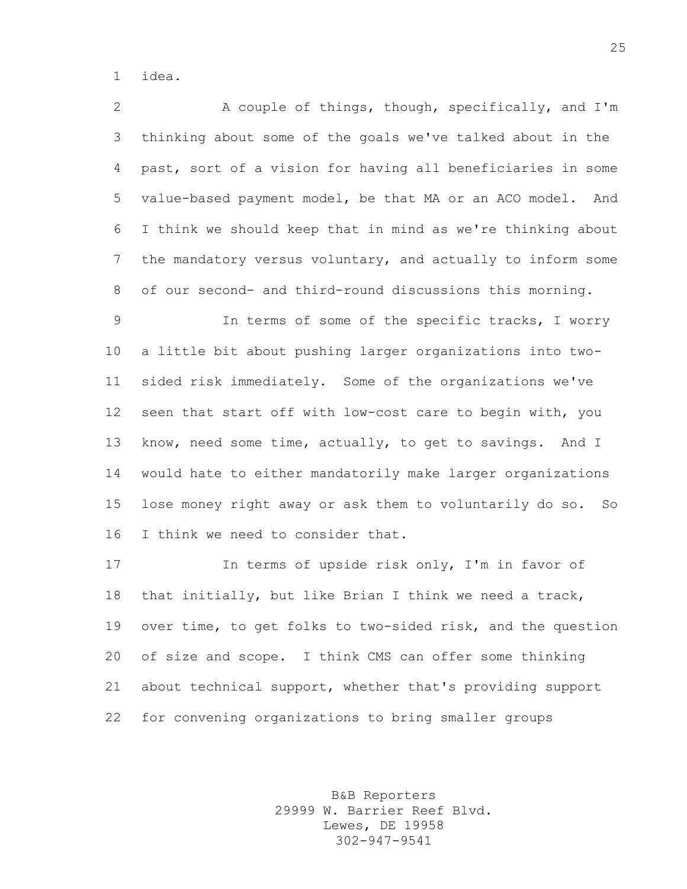idea.

2 A couple of things, though, specifically, and I'm thinking about some of the goals we've talked about in the past, sort of a vision for having all beneficiaries in some value-based payment model, be that MA or an ACO model. And I think we should keep that in mind as we're thinking about the mandatory versus voluntary, and actually to inform some of our second- and third-round discussions this morning.

 In terms of some of the specific tracks, I worry a little bit about pushing larger organizations into two- sided risk immediately. Some of the organizations we've seen that start off with low-cost care to begin with, you know, need some time, actually, to get to savings. And I would hate to either mandatorily make larger organizations lose money right away or ask them to voluntarily do so. So I think we need to consider that.

 In terms of upside risk only, I'm in favor of that initially, but like Brian I think we need a track, over time, to get folks to two-sided risk, and the question of size and scope. I think CMS can offer some thinking about technical support, whether that's providing support for convening organizations to bring smaller groups

> B&B Reporters 29999 W. Barrier Reef Blvd. Lewes, DE 19958 302-947-9541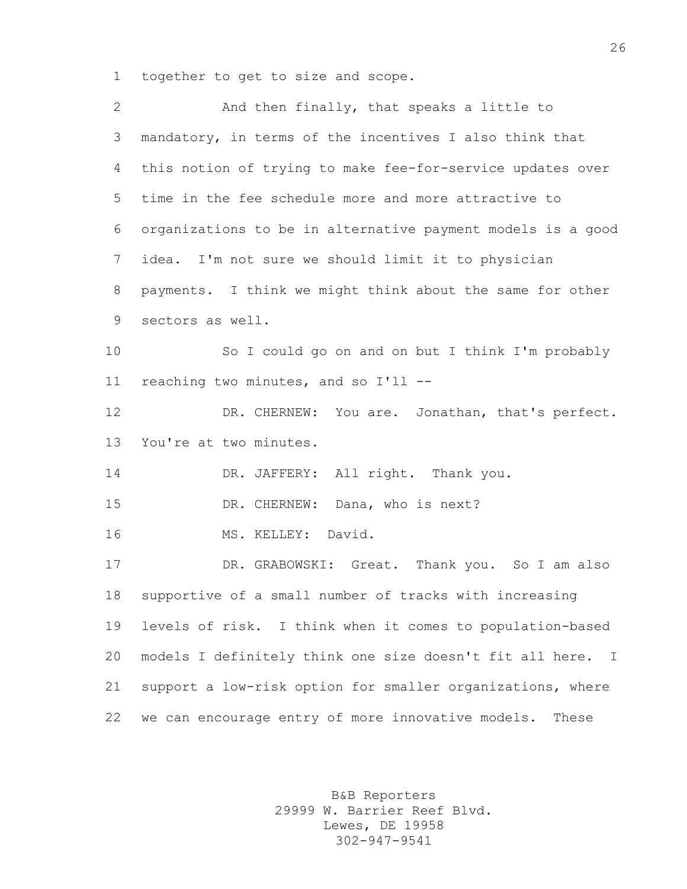together to get to size and scope.

| $\mathbf{2}$ | And then finally, that speaks a little to                   |
|--------------|-------------------------------------------------------------|
| 3            | mandatory, in terms of the incentives I also think that     |
| 4            | this notion of trying to make fee-for-service updates over  |
| 5            | time in the fee schedule more and more attractive to        |
| 6            | organizations to be in alternative payment models is a good |
| 7            | idea. I'm not sure we should limit it to physician          |
| 8            | payments. I think we might think about the same for other   |
| 9            | sectors as well.                                            |
| 10           | So I could go on and on but I think I'm probably            |
| 11           | reaching two minutes, and so I'll --                        |
| 12           | DR. CHERNEW: You are. Jonathan, that's perfect.             |
| 13           | You're at two minutes.                                      |
| 14           | DR. JAFFERY: All right. Thank you.                          |
| 15           | DR. CHERNEW: Dana, who is next?                             |
| 16           | MS. KELLEY: David.                                          |
| 17           | DR. GRABOWSKI: Great. Thank you. So I am also               |
| 18           | supportive of a small number of tracks with increasing      |
| 19           | levels of risk. I think when it comes to population-based   |
| 20           | models I definitely think one size doesn't fit all here. I  |
| 21           | support a low-risk option for smaller organizations, where  |
| 22           | we can encourage entry of more innovative models.<br>These  |
|              |                                                             |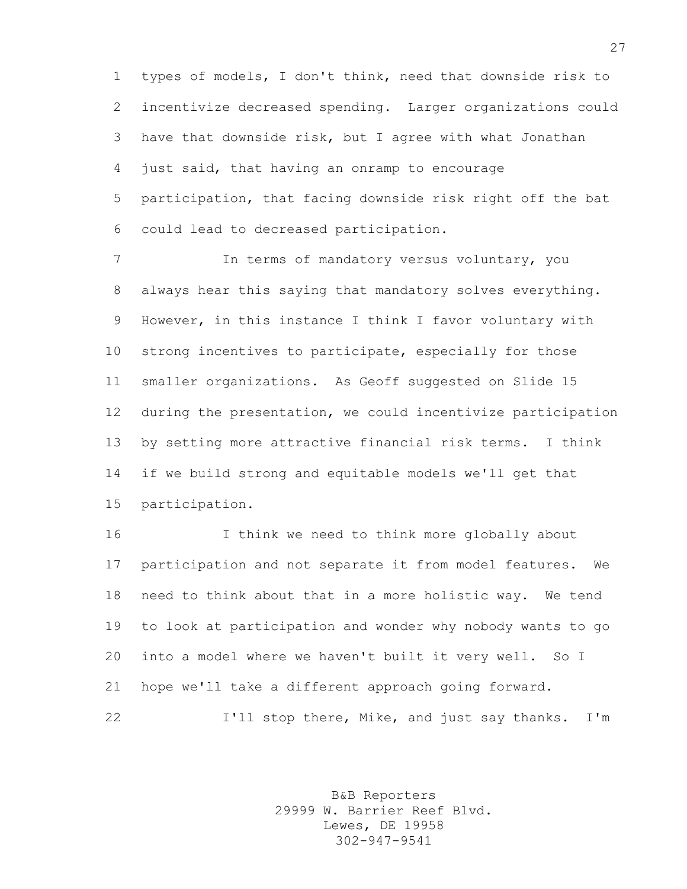types of models, I don't think, need that downside risk to incentivize decreased spending. Larger organizations could have that downside risk, but I agree with what Jonathan just said, that having an onramp to encourage participation, that facing downside risk right off the bat could lead to decreased participation.

 In terms of mandatory versus voluntary, you always hear this saying that mandatory solves everything. However, in this instance I think I favor voluntary with strong incentives to participate, especially for those smaller organizations. As Geoff suggested on Slide 15 during the presentation, we could incentivize participation by setting more attractive financial risk terms. I think if we build strong and equitable models we'll get that participation.

 I think we need to think more globally about participation and not separate it from model features. We need to think about that in a more holistic way. We tend to look at participation and wonder why nobody wants to go into a model where we haven't built it very well. So I hope we'll take a different approach going forward. I'll stop there, Mike, and just say thanks. I'm

> B&B Reporters 29999 W. Barrier Reef Blvd. Lewes, DE 19958 302-947-9541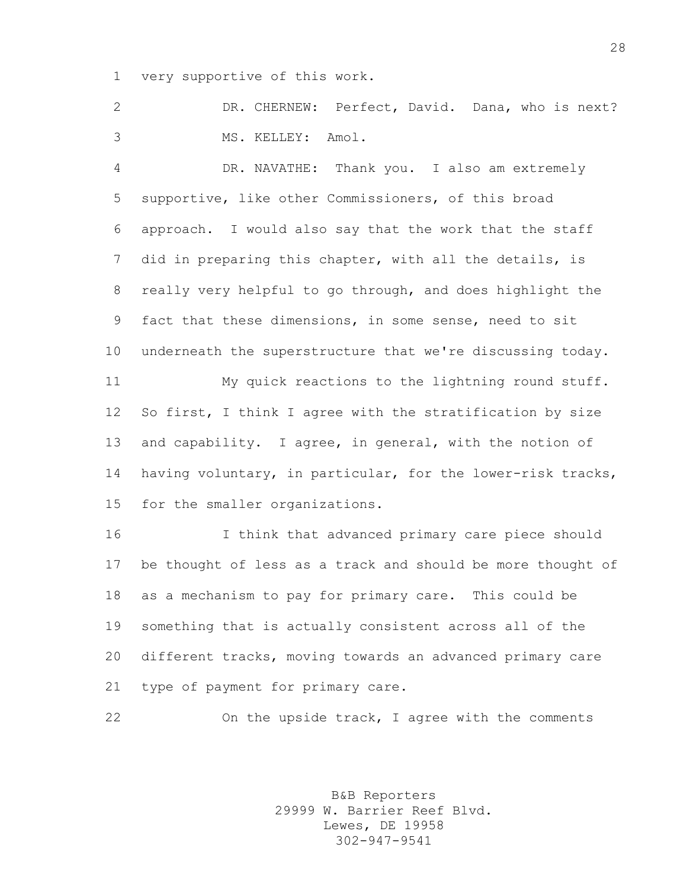very supportive of this work.

 DR. CHERNEW: Perfect, David. Dana, who is next? MS. KELLEY: Amol.

 DR. NAVATHE: Thank you. I also am extremely supportive, like other Commissioners, of this broad approach. I would also say that the work that the staff did in preparing this chapter, with all the details, is really very helpful to go through, and does highlight the fact that these dimensions, in some sense, need to sit underneath the superstructure that we're discussing today. My quick reactions to the lightning round stuff. So first, I think I agree with the stratification by size and capability. I agree, in general, with the notion of

 having voluntary, in particular, for the lower-risk tracks, for the smaller organizations.

 I think that advanced primary care piece should be thought of less as a track and should be more thought of as a mechanism to pay for primary care. This could be something that is actually consistent across all of the different tracks, moving towards an advanced primary care type of payment for primary care.

On the upside track, I agree with the comments

B&B Reporters 29999 W. Barrier Reef Blvd. Lewes, DE 19958 302-947-9541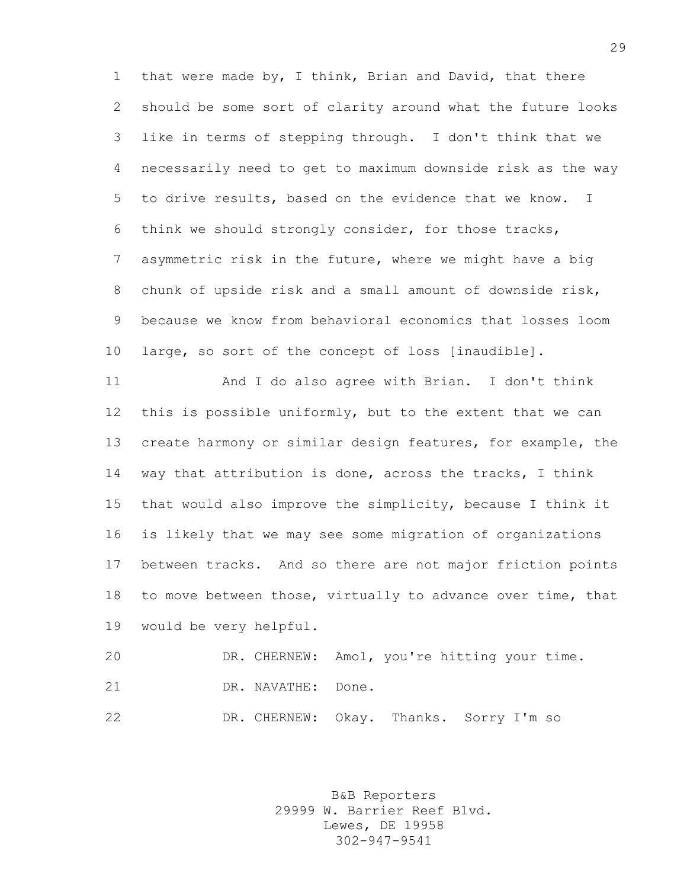that were made by, I think, Brian and David, that there should be some sort of clarity around what the future looks like in terms of stepping through. I don't think that we necessarily need to get to maximum downside risk as the way to drive results, based on the evidence that we know. I think we should strongly consider, for those tracks, asymmetric risk in the future, where we might have a big chunk of upside risk and a small amount of downside risk, because we know from behavioral economics that losses loom large, so sort of the concept of loss [inaudible].

 And I do also agree with Brian. I don't think this is possible uniformly, but to the extent that we can create harmony or similar design features, for example, the way that attribution is done, across the tracks, I think that would also improve the simplicity, because I think it is likely that we may see some migration of organizations between tracks. And so there are not major friction points to move between those, virtually to advance over time, that would be very helpful.

 DR. CHERNEW: Amol, you're hitting your time. 21 DR. NAVATHE: Done.

DR. CHERNEW: Okay. Thanks. Sorry I'm so

B&B Reporters 29999 W. Barrier Reef Blvd. Lewes, DE 19958 302-947-9541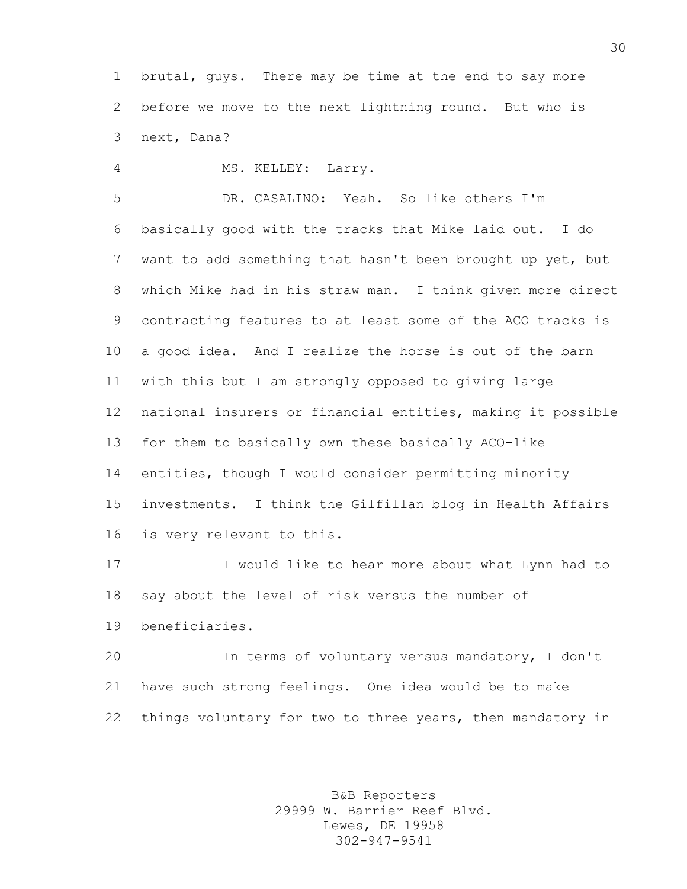brutal, guys. There may be time at the end to say more before we move to the next lightning round. But who is next, Dana?

MS. KELLEY: Larry.

 DR. CASALINO: Yeah. So like others I'm basically good with the tracks that Mike laid out. I do want to add something that hasn't been brought up yet, but which Mike had in his straw man. I think given more direct contracting features to at least some of the ACO tracks is a good idea. And I realize the horse is out of the barn with this but I am strongly opposed to giving large national insurers or financial entities, making it possible for them to basically own these basically ACO-like entities, though I would consider permitting minority investments. I think the Gilfillan blog in Health Affairs is very relevant to this.

 I would like to hear more about what Lynn had to say about the level of risk versus the number of beneficiaries.

 In terms of voluntary versus mandatory, I don't have such strong feelings. One idea would be to make things voluntary for two to three years, then mandatory in

> B&B Reporters 29999 W. Barrier Reef Blvd. Lewes, DE 19958 302-947-9541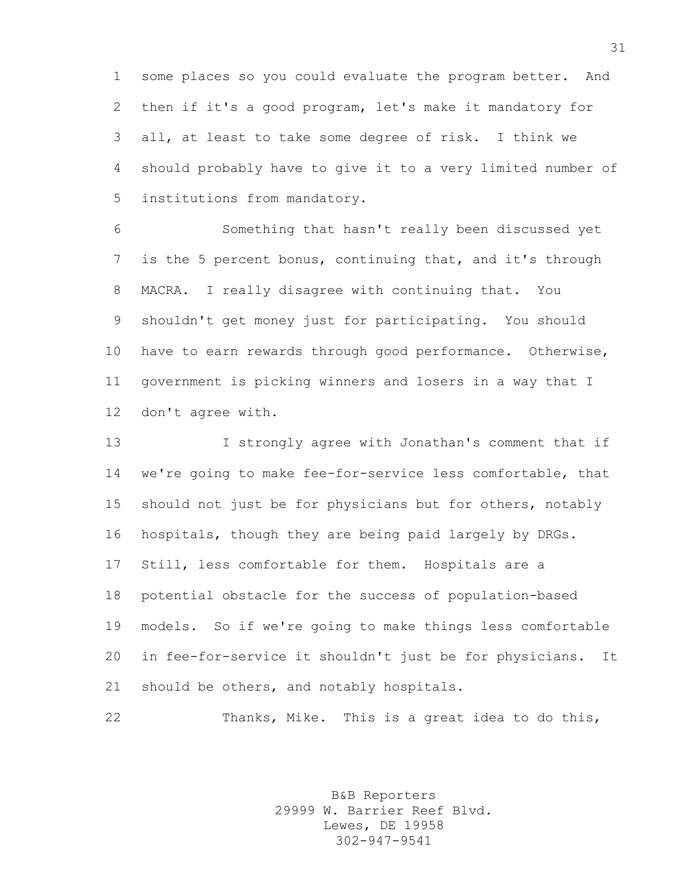some places so you could evaluate the program better. And then if it's a good program, let's make it mandatory for all, at least to take some degree of risk. I think we should probably have to give it to a very limited number of institutions from mandatory.

 Something that hasn't really been discussed yet is the 5 percent bonus, continuing that, and it's through MACRA. I really disagree with continuing that. You shouldn't get money just for participating. You should have to earn rewards through good performance. Otherwise, government is picking winners and losers in a way that I don't agree with.

 I strongly agree with Jonathan's comment that if we're going to make fee-for-service less comfortable, that should not just be for physicians but for others, notably hospitals, though they are being paid largely by DRGs. Still, less comfortable for them. Hospitals are a potential obstacle for the success of population-based models. So if we're going to make things less comfortable in fee-for-service it shouldn't just be for physicians. It should be others, and notably hospitals.

Thanks, Mike. This is a great idea to do this,

B&B Reporters 29999 W. Barrier Reef Blvd. Lewes, DE 19958 302-947-9541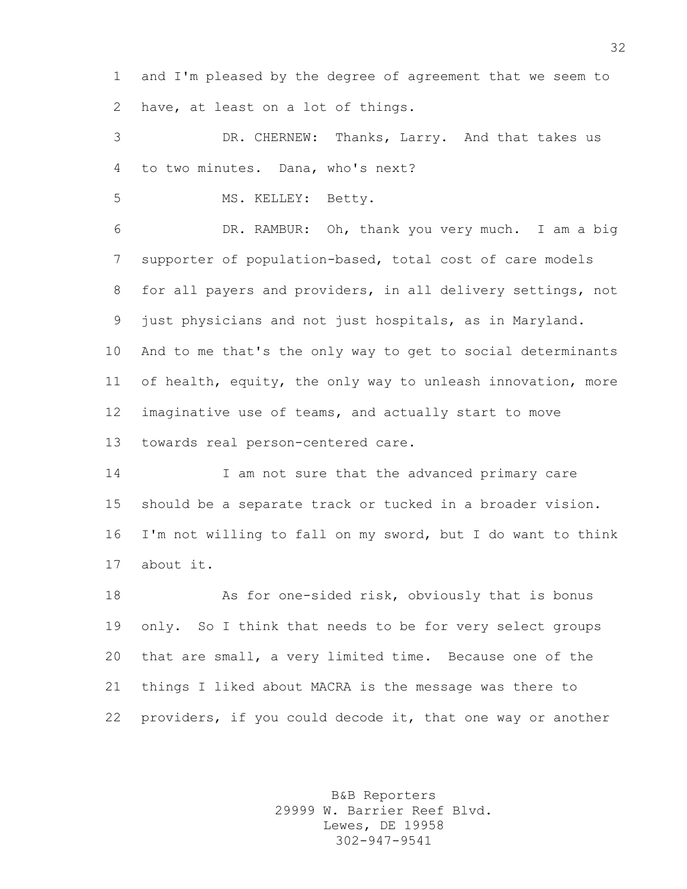and I'm pleased by the degree of agreement that we seem to have, at least on a lot of things.

 DR. CHERNEW: Thanks, Larry. And that takes us to two minutes. Dana, who's next?

MS. KELLEY: Betty.

 DR. RAMBUR: Oh, thank you very much. I am a big supporter of population-based, total cost of care models for all payers and providers, in all delivery settings, not just physicians and not just hospitals, as in Maryland. And to me that's the only way to get to social determinants of health, equity, the only way to unleash innovation, more imaginative use of teams, and actually start to move towards real person-centered care.

14 I am not sure that the advanced primary care should be a separate track or tucked in a broader vision. I'm not willing to fall on my sword, but I do want to think about it.

18 As for one-sided risk, obviously that is bonus only. So I think that needs to be for very select groups that are small, a very limited time. Because one of the things I liked about MACRA is the message was there to providers, if you could decode it, that one way or another

> B&B Reporters 29999 W. Barrier Reef Blvd. Lewes, DE 19958 302-947-9541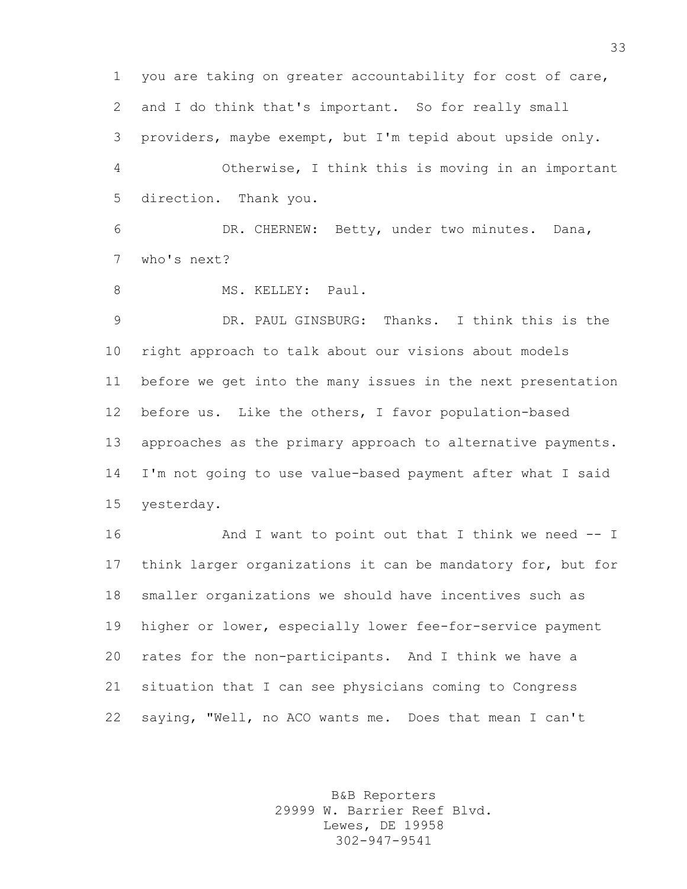you are taking on greater accountability for cost of care, and I do think that's important. So for really small providers, maybe exempt, but I'm tepid about upside only. Otherwise, I think this is moving in an important direction. Thank you.

 DR. CHERNEW: Betty, under two minutes. Dana, who's next?

8 MS. KELLEY: Paul.

 DR. PAUL GINSBURG: Thanks. I think this is the right approach to talk about our visions about models before we get into the many issues in the next presentation before us. Like the others, I favor population-based approaches as the primary approach to alternative payments. I'm not going to use value-based payment after what I said yesterday.

**And I want to point out that I think we need -- I**  think larger organizations it can be mandatory for, but for smaller organizations we should have incentives such as higher or lower, especially lower fee-for-service payment rates for the non-participants. And I think we have a situation that I can see physicians coming to Congress saying, "Well, no ACO wants me. Does that mean I can't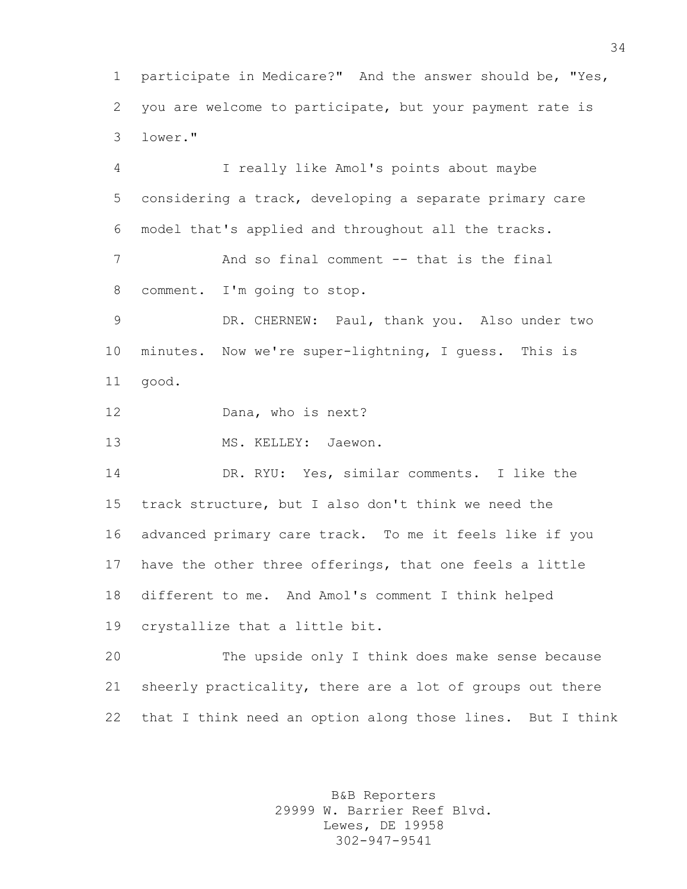participate in Medicare?" And the answer should be, "Yes, you are welcome to participate, but your payment rate is lower."

 I really like Amol's points about maybe considering a track, developing a separate primary care model that's applied and throughout all the tracks. 7 And so final comment -- that is the final comment. I'm going to stop. DR. CHERNEW: Paul, thank you. Also under two minutes. Now we're super-lightning, I guess. This is good. Dana, who is next? 13 MS. KELLEY: Jaewon. DR. RYU: Yes, similar comments. I like the track structure, but I also don't think we need the advanced primary care track. To me it feels like if you have the other three offerings, that one feels a little different to me. And Amol's comment I think helped crystallize that a little bit.

 The upside only I think does make sense because sheerly practicality, there are a lot of groups out there that I think need an option along those lines. But I think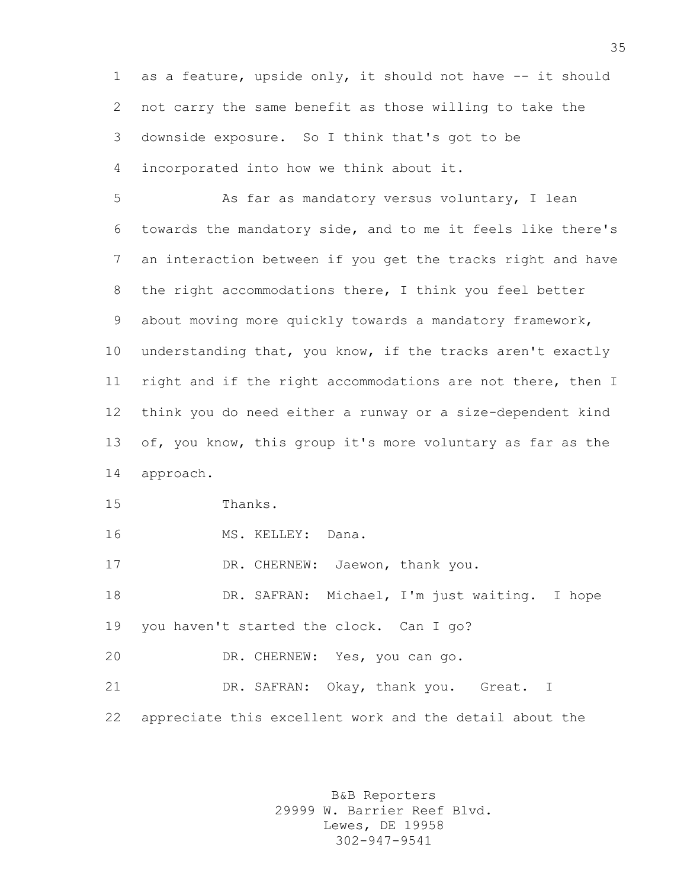as a feature, upside only, it should not have -- it should not carry the same benefit as those willing to take the downside exposure. So I think that's got to be incorporated into how we think about it.

 As far as mandatory versus voluntary, I lean towards the mandatory side, and to me it feels like there's an interaction between if you get the tracks right and have the right accommodations there, I think you feel better about moving more quickly towards a mandatory framework, understanding that, you know, if the tracks aren't exactly right and if the right accommodations are not there, then I think you do need either a runway or a size-dependent kind 13 of, you know, this group it's more voluntary as far as the approach.

Thanks.

16 MS. KELLEY: Dana.

17 DR. CHERNEW: Jaewon, thank you.

 DR. SAFRAN: Michael, I'm just waiting. I hope you haven't started the clock. Can I go?

DR. CHERNEW: Yes, you can go.

 DR. SAFRAN: Okay, thank you. Great. I appreciate this excellent work and the detail about the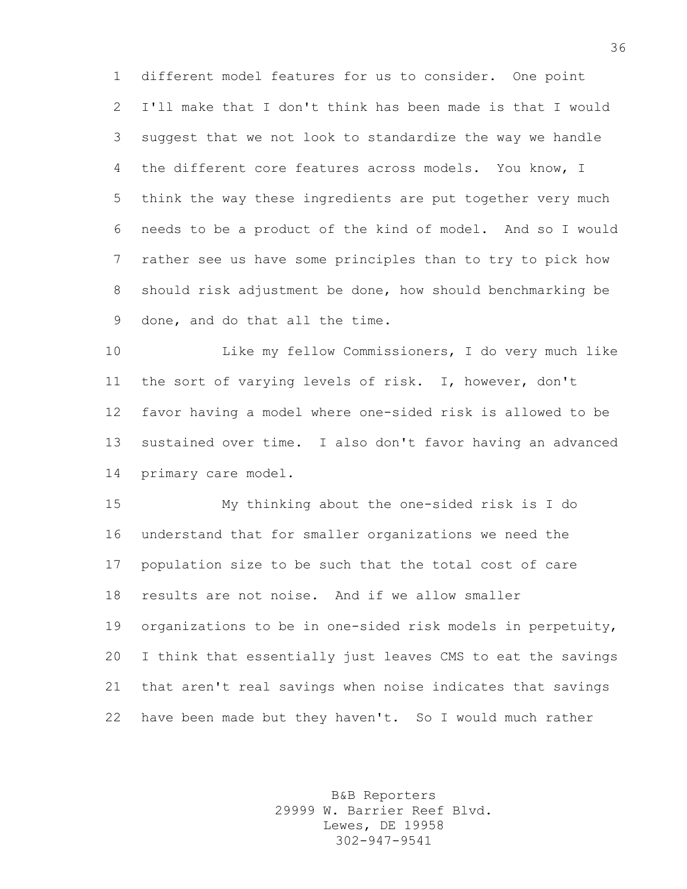different model features for us to consider. One point I'll make that I don't think has been made is that I would suggest that we not look to standardize the way we handle the different core features across models. You know, I think the way these ingredients are put together very much needs to be a product of the kind of model. And so I would rather see us have some principles than to try to pick how should risk adjustment be done, how should benchmarking be done, and do that all the time.

 Like my fellow Commissioners, I do very much like the sort of varying levels of risk. I, however, don't favor having a model where one-sided risk is allowed to be sustained over time. I also don't favor having an advanced primary care model.

 My thinking about the one-sided risk is I do understand that for smaller organizations we need the population size to be such that the total cost of care results are not noise. And if we allow smaller organizations to be in one-sided risk models in perpetuity, I think that essentially just leaves CMS to eat the savings that aren't real savings when noise indicates that savings have been made but they haven't. So I would much rather

> B&B Reporters 29999 W. Barrier Reef Blvd. Lewes, DE 19958 302-947-9541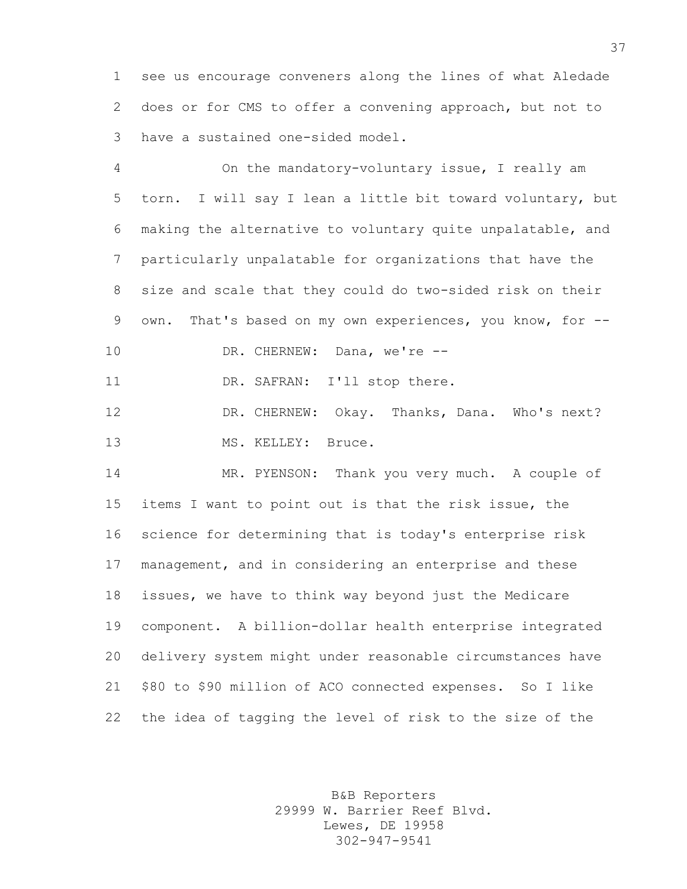see us encourage conveners along the lines of what Aledade does or for CMS to offer a convening approach, but not to have a sustained one-sided model.

 On the mandatory-voluntary issue, I really am torn. I will say I lean a little bit toward voluntary, but making the alternative to voluntary quite unpalatable, and particularly unpalatable for organizations that have the size and scale that they could do two-sided risk on their 9 own. That's based on my own experiences, you know, for --10 DR. CHERNEW: Dana, we're --11 DR. SAFRAN: I'll stop there. DR. CHERNEW: Okay. Thanks, Dana. Who's next? 13 MS. KELLEY: Bruce. MR. PYENSON: Thank you very much. A couple of items I want to point out is that the risk issue, the science for determining that is today's enterprise risk management, and in considering an enterprise and these issues, we have to think way beyond just the Medicare component. A billion-dollar health enterprise integrated delivery system might under reasonable circumstances have \$80 to \$90 million of ACO connected expenses. So I like

> B&B Reporters 29999 W. Barrier Reef Blvd. Lewes, DE 19958 302-947-9541

the idea of tagging the level of risk to the size of the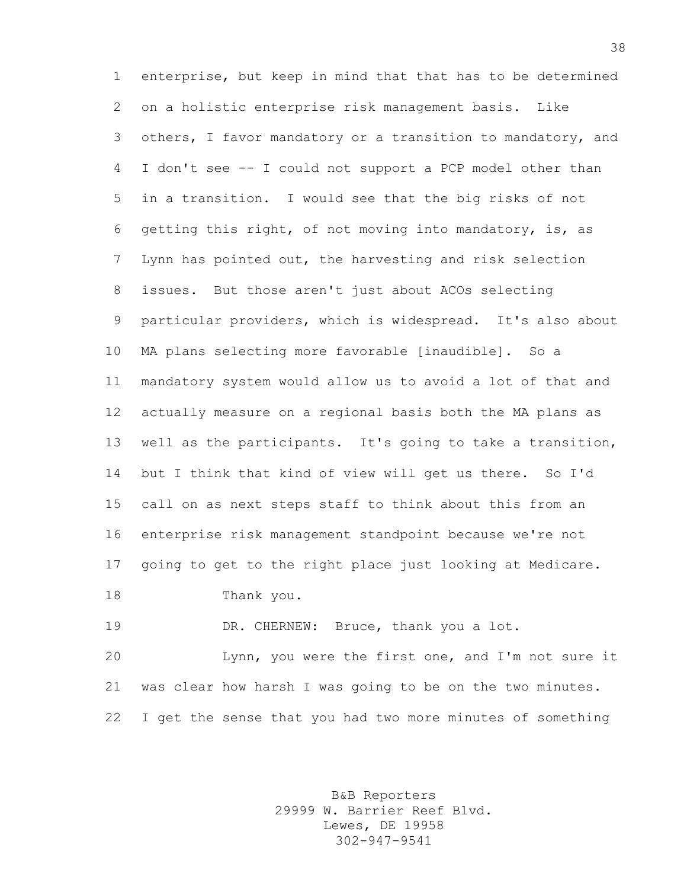enterprise, but keep in mind that that has to be determined on a holistic enterprise risk management basis. Like others, I favor mandatory or a transition to mandatory, and I don't see -- I could not support a PCP model other than in a transition. I would see that the big risks of not getting this right, of not moving into mandatory, is, as Lynn has pointed out, the harvesting and risk selection issues. But those aren't just about ACOs selecting particular providers, which is widespread. It's also about MA plans selecting more favorable [inaudible]. So a mandatory system would allow us to avoid a lot of that and actually measure on a regional basis both the MA plans as well as the participants. It's going to take a transition, but I think that kind of view will get us there. So I'd call on as next steps staff to think about this from an enterprise risk management standpoint because we're not going to get to the right place just looking at Medicare. Thank you. DR. CHERNEW: Bruce, thank you a lot.

 Lynn, you were the first one, and I'm not sure it was clear how harsh I was going to be on the two minutes. I get the sense that you had two more minutes of something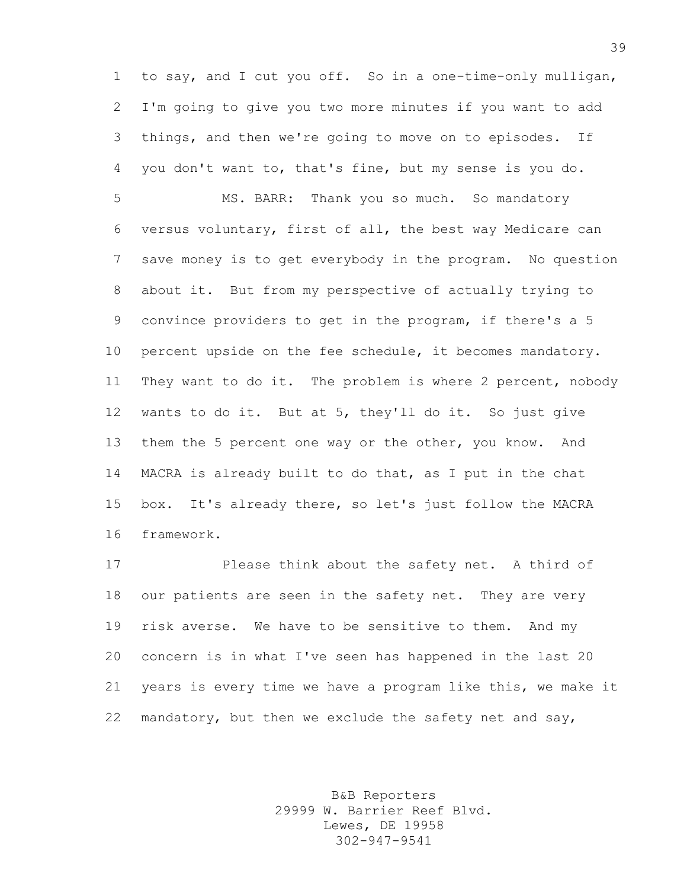to say, and I cut you off. So in a one-time-only mulligan, I'm going to give you two more minutes if you want to add things, and then we're going to move on to episodes. If you don't want to, that's fine, but my sense is you do.

 MS. BARR: Thank you so much. So mandatory versus voluntary, first of all, the best way Medicare can save money is to get everybody in the program. No question about it. But from my perspective of actually trying to convince providers to get in the program, if there's a 5 percent upside on the fee schedule, it becomes mandatory. They want to do it. The problem is where 2 percent, nobody wants to do it. But at 5, they'll do it. So just give them the 5 percent one way or the other, you know. And MACRA is already built to do that, as I put in the chat box. It's already there, so let's just follow the MACRA framework.

 Please think about the safety net. A third of our patients are seen in the safety net. They are very risk averse. We have to be sensitive to them. And my concern is in what I've seen has happened in the last 20 years is every time we have a program like this, we make it 22 mandatory, but then we exclude the safety net and say,

> B&B Reporters 29999 W. Barrier Reef Blvd. Lewes, DE 19958 302-947-9541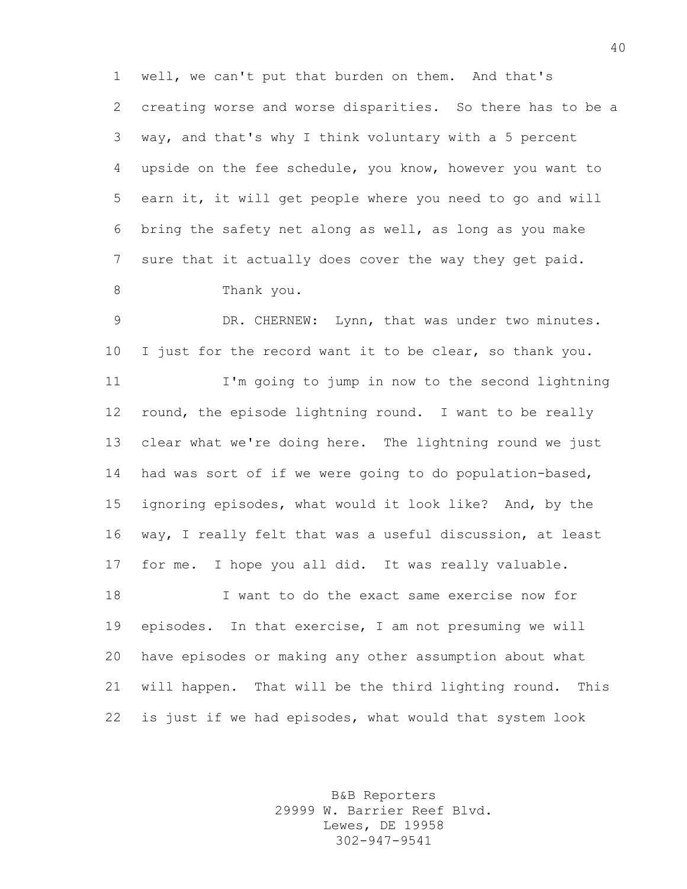well, we can't put that burden on them. And that's creating worse and worse disparities. So there has to be a way, and that's why I think voluntary with a 5 percent upside on the fee schedule, you know, however you want to earn it, it will get people where you need to go and will bring the safety net along as well, as long as you make sure that it actually does cover the way they get paid.

8 Thank you.

 DR. CHERNEW: Lynn, that was under two minutes. I just for the record want it to be clear, so thank you. I'm going to jump in now to the second lightning round, the episode lightning round. I want to be really clear what we're doing here. The lightning round we just had was sort of if we were going to do population-based, ignoring episodes, what would it look like? And, by the way, I really felt that was a useful discussion, at least for me. I hope you all did. It was really valuable. I want to do the exact same exercise now for episodes. In that exercise, I am not presuming we will have episodes or making any other assumption about what

 will happen. That will be the third lighting round. This is just if we had episodes, what would that system look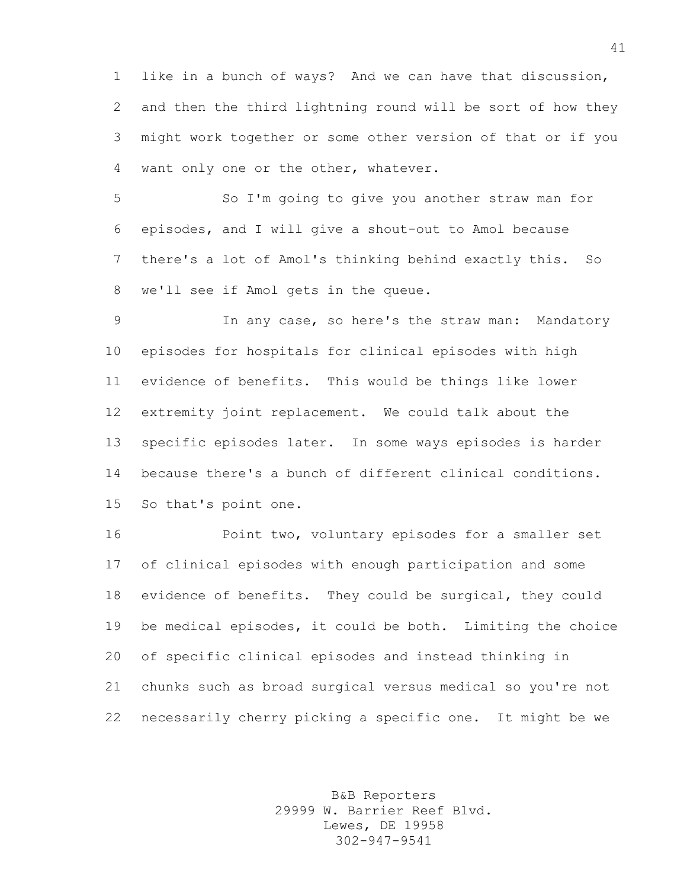like in a bunch of ways? And we can have that discussion, and then the third lightning round will be sort of how they might work together or some other version of that or if you want only one or the other, whatever.

 So I'm going to give you another straw man for episodes, and I will give a shout-out to Amol because there's a lot of Amol's thinking behind exactly this. So we'll see if Amol gets in the queue.

 In any case, so here's the straw man: Mandatory episodes for hospitals for clinical episodes with high evidence of benefits. This would be things like lower extremity joint replacement. We could talk about the specific episodes later. In some ways episodes is harder because there's a bunch of different clinical conditions. So that's point one.

 Point two, voluntary episodes for a smaller set of clinical episodes with enough participation and some evidence of benefits. They could be surgical, they could be medical episodes, it could be both. Limiting the choice of specific clinical episodes and instead thinking in chunks such as broad surgical versus medical so you're not necessarily cherry picking a specific one. It might be we

> B&B Reporters 29999 W. Barrier Reef Blvd. Lewes, DE 19958 302-947-9541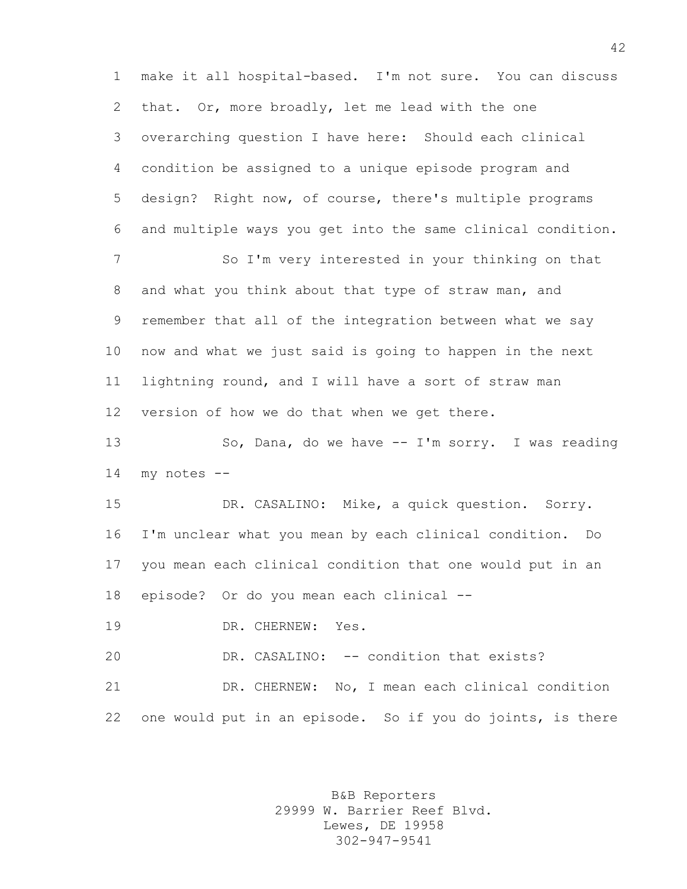make it all hospital-based. I'm not sure. You can discuss that. Or, more broadly, let me lead with the one overarching question I have here: Should each clinical condition be assigned to a unique episode program and design? Right now, of course, there's multiple programs and multiple ways you get into the same clinical condition.

 So I'm very interested in your thinking on that and what you think about that type of straw man, and remember that all of the integration between what we say now and what we just said is going to happen in the next lightning round, and I will have a sort of straw man version of how we do that when we get there.

13 So, Dana, do we have -- I'm sorry. I was reading my notes --

 DR. CASALINO: Mike, a quick question. Sorry. I'm unclear what you mean by each clinical condition. Do you mean each clinical condition that one would put in an episode? Or do you mean each clinical --

DR. CHERNEW: Yes.

20 DR. CASALINO: -- condition that exists? DR. CHERNEW: No, I mean each clinical condition

one would put in an episode. So if you do joints, is there

B&B Reporters 29999 W. Barrier Reef Blvd. Lewes, DE 19958 302-947-9541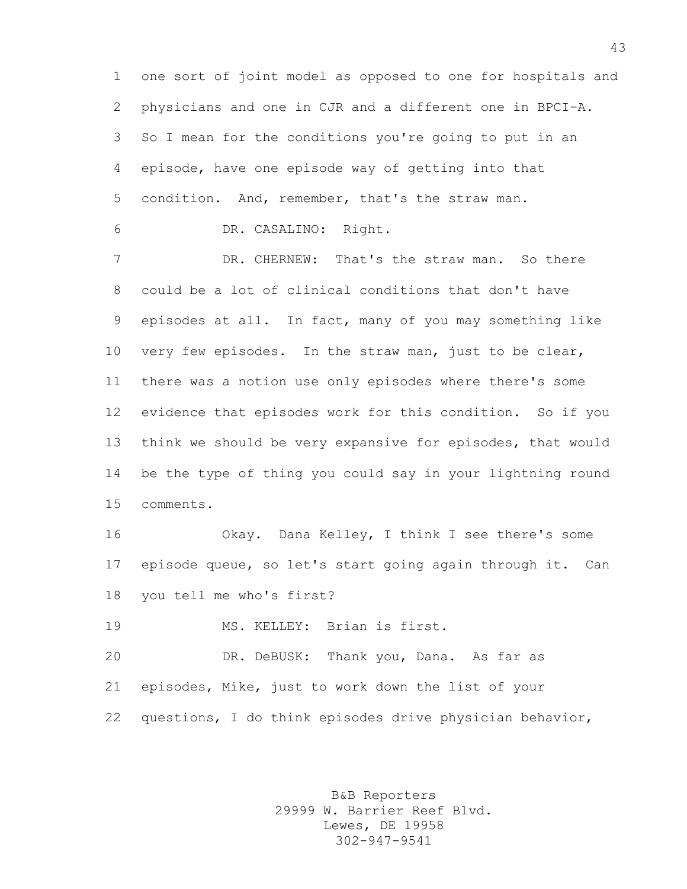one sort of joint model as opposed to one for hospitals and physicians and one in CJR and a different one in BPCI-A. So I mean for the conditions you're going to put in an episode, have one episode way of getting into that condition. And, remember, that's the straw man. DR. CASALINO: Right. DR. CHERNEW: That's the straw man. So there could be a lot of clinical conditions that don't have episodes at all. In fact, many of you may something like very few episodes. In the straw man, just to be clear, there was a notion use only episodes where there's some evidence that episodes work for this condition. So if you think we should be very expansive for episodes, that would

 be the type of thing you could say in your lightning round comments.

 Okay. Dana Kelley, I think I see there's some episode queue, so let's start going again through it. Can you tell me who's first?

MS. KELLEY: Brian is first.

 DR. DeBUSK: Thank you, Dana. As far as episodes, Mike, just to work down the list of your questions, I do think episodes drive physician behavior,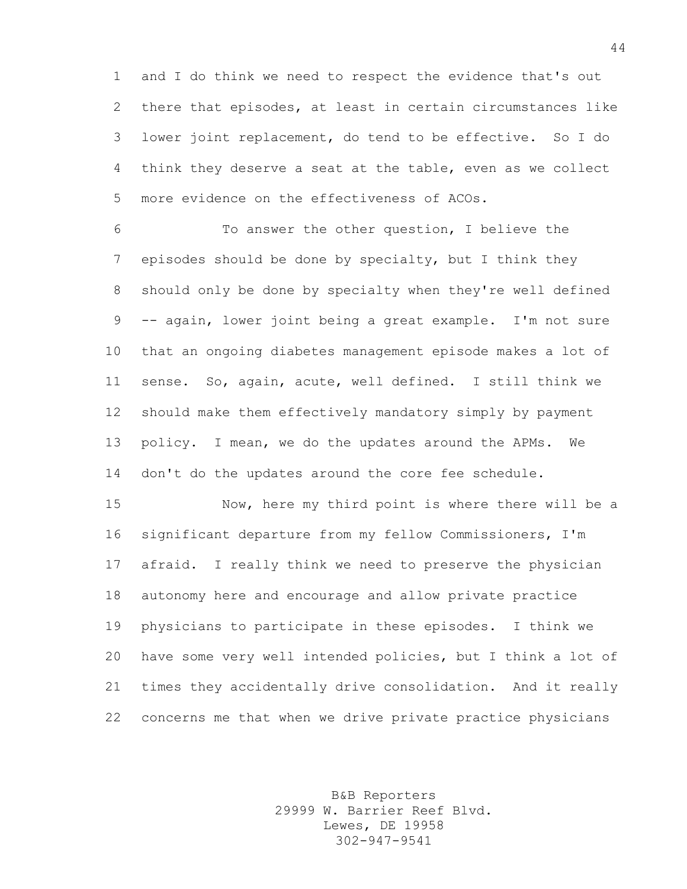and I do think we need to respect the evidence that's out there that episodes, at least in certain circumstances like lower joint replacement, do tend to be effective. So I do think they deserve a seat at the table, even as we collect more evidence on the effectiveness of ACOs.

 To answer the other question, I believe the episodes should be done by specialty, but I think they should only be done by specialty when they're well defined -- again, lower joint being a great example. I'm not sure that an ongoing diabetes management episode makes a lot of sense. So, again, acute, well defined. I still think we should make them effectively mandatory simply by payment policy. I mean, we do the updates around the APMs. We don't do the updates around the core fee schedule.

 Now, here my third point is where there will be a significant departure from my fellow Commissioners, I'm afraid. I really think we need to preserve the physician autonomy here and encourage and allow private practice physicians to participate in these episodes. I think we have some very well intended policies, but I think a lot of times they accidentally drive consolidation. And it really concerns me that when we drive private practice physicians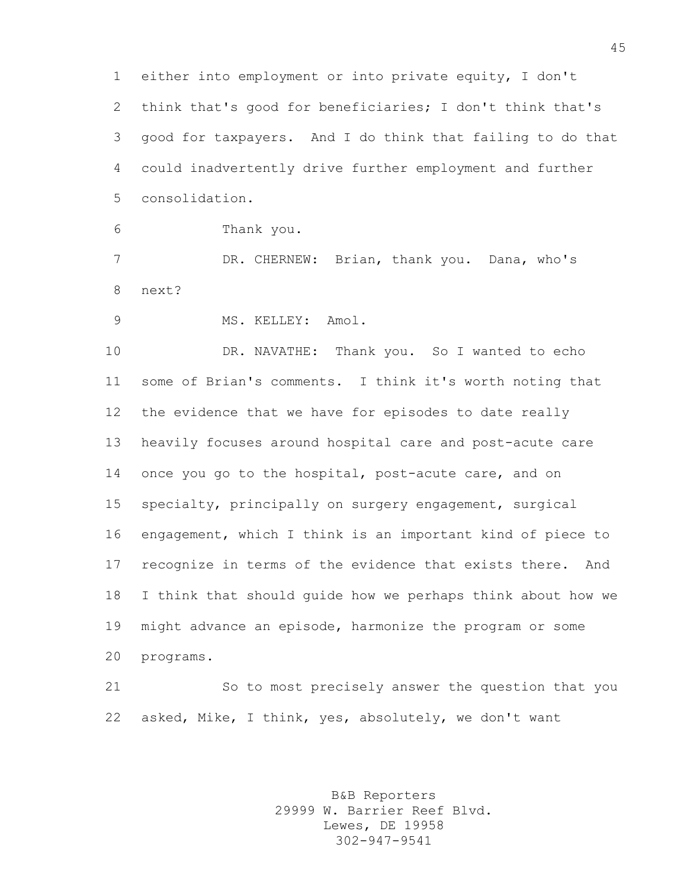either into employment or into private equity, I don't think that's good for beneficiaries; I don't think that's good for taxpayers. And I do think that failing to do that could inadvertently drive further employment and further consolidation.

```
6 Thank you.
```
 DR. CHERNEW: Brian, thank you. Dana, who's next?

9 MS. KELLEY: Amol.

 DR. NAVATHE: Thank you. So I wanted to echo some of Brian's comments. I think it's worth noting that the evidence that we have for episodes to date really heavily focuses around hospital care and post-acute care 14 once you go to the hospital, post-acute care, and on specialty, principally on surgery engagement, surgical engagement, which I think is an important kind of piece to recognize in terms of the evidence that exists there. And I think that should guide how we perhaps think about how we might advance an episode, harmonize the program or some programs.

 So to most precisely answer the question that you asked, Mike, I think, yes, absolutely, we don't want

> B&B Reporters 29999 W. Barrier Reef Blvd. Lewes, DE 19958 302-947-9541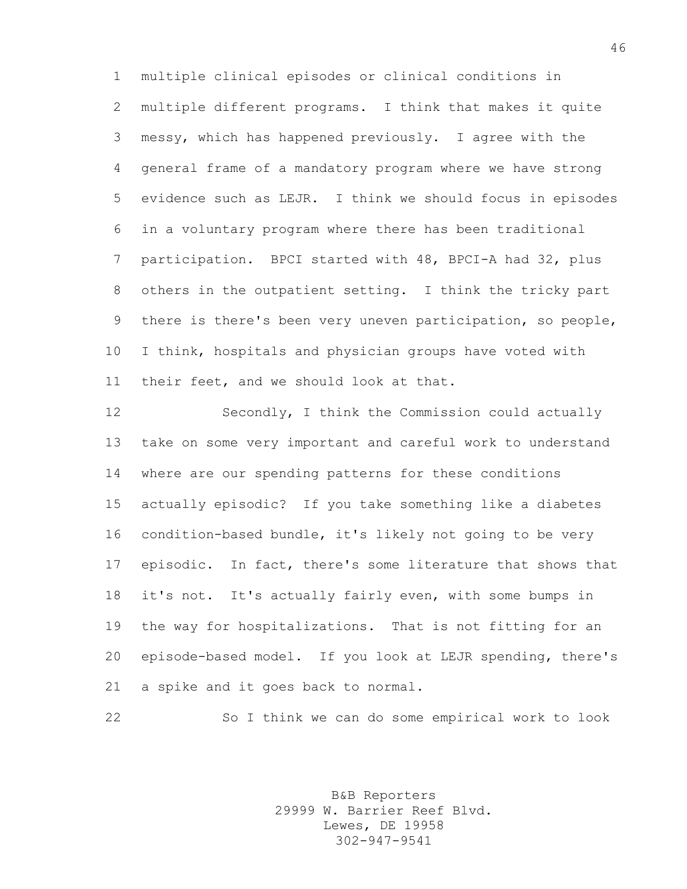multiple clinical episodes or clinical conditions in multiple different programs. I think that makes it quite messy, which has happened previously. I agree with the general frame of a mandatory program where we have strong evidence such as LEJR. I think we should focus in episodes in a voluntary program where there has been traditional participation. BPCI started with 48, BPCI-A had 32, plus others in the outpatient setting. I think the tricky part there is there's been very uneven participation, so people, I think, hospitals and physician groups have voted with their feet, and we should look at that.

 Secondly, I think the Commission could actually take on some very important and careful work to understand where are our spending patterns for these conditions actually episodic? If you take something like a diabetes condition-based bundle, it's likely not going to be very episodic. In fact, there's some literature that shows that it's not. It's actually fairly even, with some bumps in the way for hospitalizations. That is not fitting for an episode-based model. If you look at LEJR spending, there's a spike and it goes back to normal.

So I think we can do some empirical work to look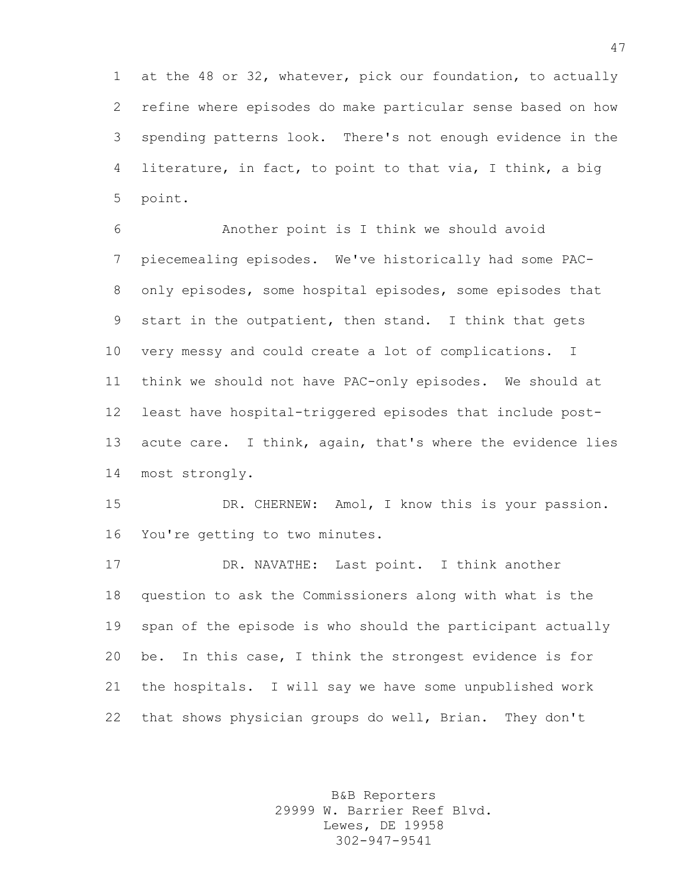at the 48 or 32, whatever, pick our foundation, to actually refine where episodes do make particular sense based on how spending patterns look. There's not enough evidence in the literature, in fact, to point to that via, I think, a big point.

 Another point is I think we should avoid piecemealing episodes. We've historically had some PAC- only episodes, some hospital episodes, some episodes that start in the outpatient, then stand. I think that gets very messy and could create a lot of complications. I think we should not have PAC-only episodes. We should at least have hospital-triggered episodes that include post- acute care. I think, again, that's where the evidence lies most strongly.

 DR. CHERNEW: Amol, I know this is your passion. You're getting to two minutes.

 DR. NAVATHE: Last point. I think another question to ask the Commissioners along with what is the span of the episode is who should the participant actually be. In this case, I think the strongest evidence is for the hospitals. I will say we have some unpublished work that shows physician groups do well, Brian. They don't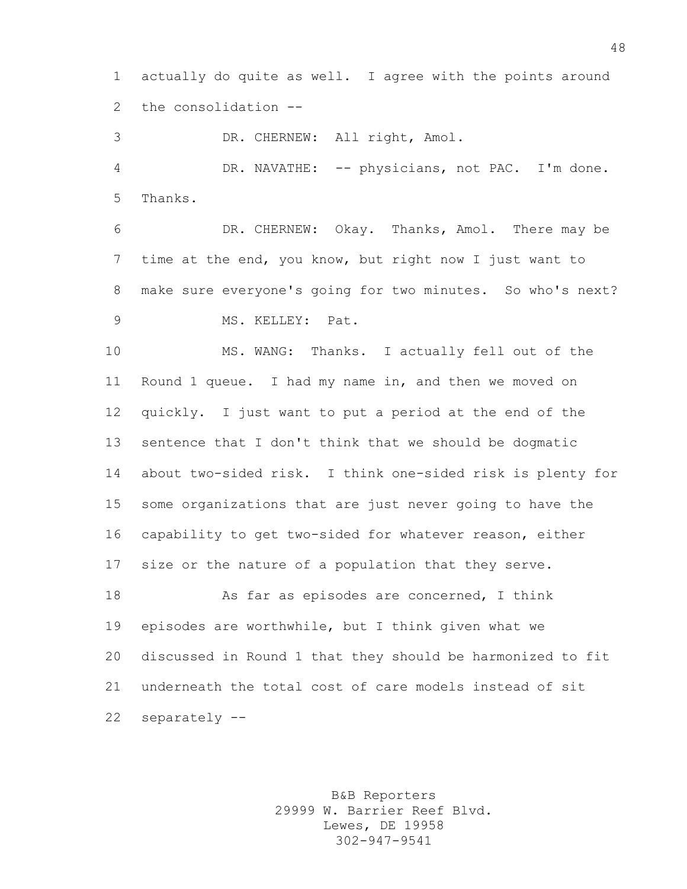actually do quite as well. I agree with the points around the consolidation --

DR. CHERNEW: All right, Amol.

 DR. NAVATHE: -- physicians, not PAC. I'm done. Thanks.

 DR. CHERNEW: Okay. Thanks, Amol. There may be time at the end, you know, but right now I just want to make sure everyone's going for two minutes. So who's next? MS. KELLEY: Pat.

 MS. WANG: Thanks. I actually fell out of the Round 1 queue. I had my name in, and then we moved on quickly. I just want to put a period at the end of the sentence that I don't think that we should be dogmatic about two-sided risk. I think one-sided risk is plenty for some organizations that are just never going to have the capability to get two-sided for whatever reason, either size or the nature of a population that they serve. As far as episodes are concerned, I think episodes are worthwhile, but I think given what we

 discussed in Round 1 that they should be harmonized to fit underneath the total cost of care models instead of sit separately --

> B&B Reporters 29999 W. Barrier Reef Blvd. Lewes, DE 19958 302-947-9541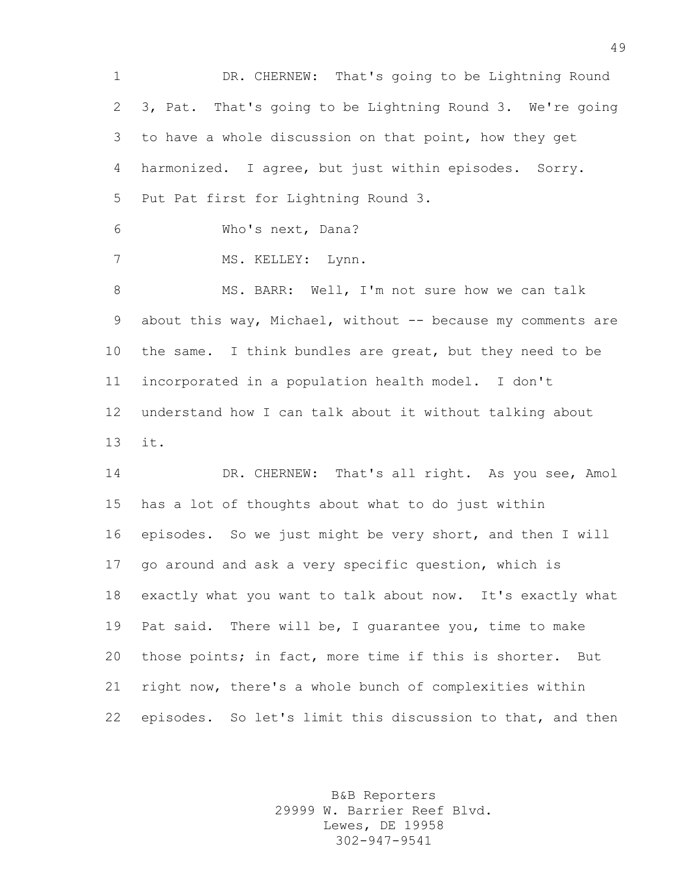1 DR. CHERNEW: That's going to be Lightning Round 3, Pat. That's going to be Lightning Round 3. We're going to have a whole discussion on that point, how they get harmonized. I agree, but just within episodes. Sorry. Put Pat first for Lightning Round 3. Who's next, Dana? 7 MS. KELLEY: Lynn. 8 MS. BARR: Well, I'm not sure how we can talk 9 about this way, Michael, without -- because my comments are the same. I think bundles are great, but they need to be incorporated in a population health model. I don't understand how I can talk about it without talking about it. DR. CHERNEW: That's all right. As you see, Amol has a lot of thoughts about what to do just within episodes. So we just might be very short, and then I will go around and ask a very specific question, which is exactly what you want to talk about now. It's exactly what Pat said. There will be, I guarantee you, time to make those points; in fact, more time if this is shorter. But right now, there's a whole bunch of complexities within episodes. So let's limit this discussion to that, and then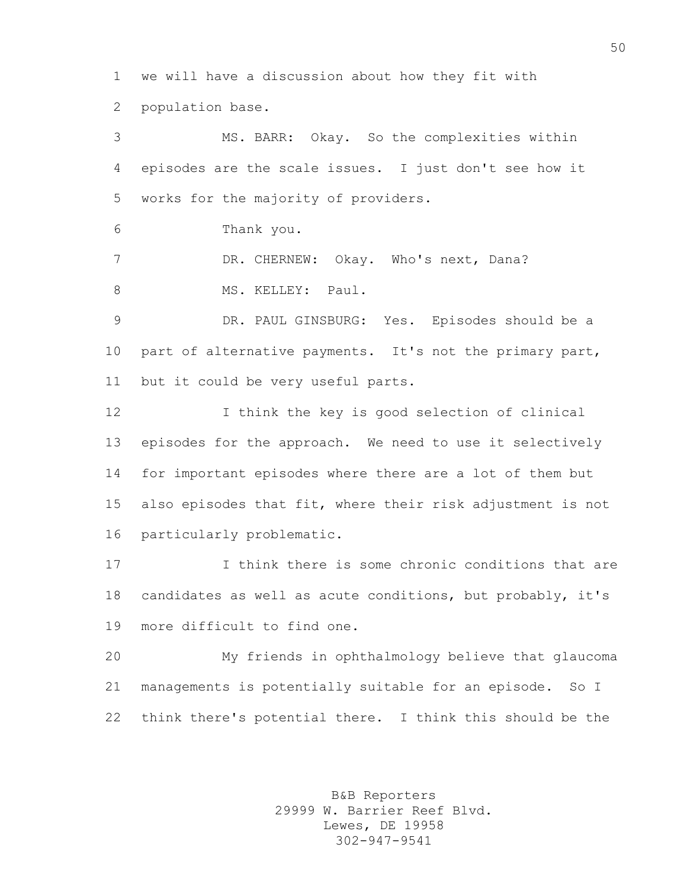we will have a discussion about how they fit with population base.

 MS. BARR: Okay. So the complexities within episodes are the scale issues. I just don't see how it works for the majority of providers. Thank you. 7 DR. CHERNEW: Okay. Who's next, Dana? 8 MS. KELLEY: Paul. DR. PAUL GINSBURG: Yes. Episodes should be a part of alternative payments. It's not the primary part, but it could be very useful parts. I think the key is good selection of clinical episodes for the approach. We need to use it selectively for important episodes where there are a lot of them but also episodes that fit, where their risk adjustment is not particularly problematic. I think there is some chronic conditions that are candidates as well as acute conditions, but probably, it's more difficult to find one.

 My friends in ophthalmology believe that glaucoma managements is potentially suitable for an episode. So I think there's potential there. I think this should be the

> B&B Reporters 29999 W. Barrier Reef Blvd. Lewes, DE 19958 302-947-9541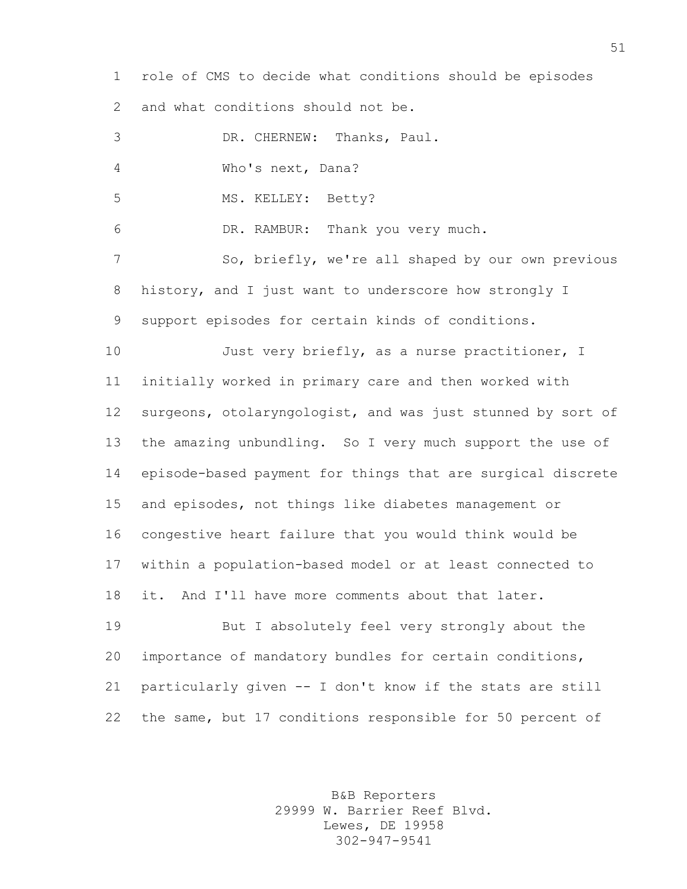role of CMS to decide what conditions should be episodes and what conditions should not be.

 DR. CHERNEW: Thanks, Paul. Who's next, Dana? MS. KELLEY: Betty? DR. RAMBUR: Thank you very much. 7 So, briefly, we're all shaped by our own previous history, and I just want to underscore how strongly I support episodes for certain kinds of conditions. Just very briefly, as a nurse practitioner, I initially worked in primary care and then worked with surgeons, otolaryngologist, and was just stunned by sort of the amazing unbundling. So I very much support the use of episode-based payment for things that are surgical discrete and episodes, not things like diabetes management or congestive heart failure that you would think would be within a population-based model or at least connected to it. And I'll have more comments about that later. But I absolutely feel very strongly about the importance of mandatory bundles for certain conditions, particularly given -- I don't know if the stats are still

> B&B Reporters 29999 W. Barrier Reef Blvd. Lewes, DE 19958 302-947-9541

the same, but 17 conditions responsible for 50 percent of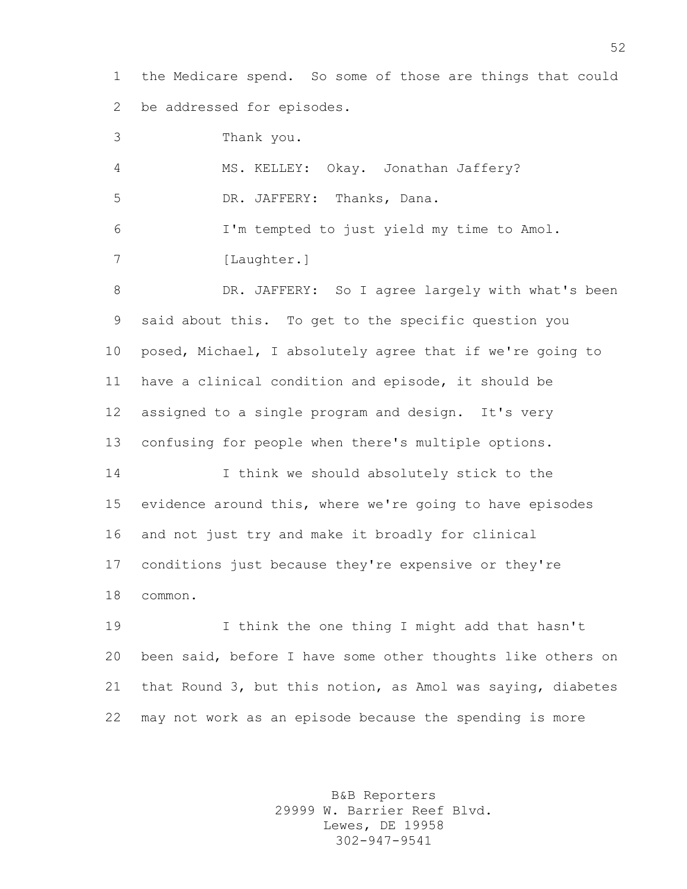the Medicare spend. So some of those are things that could be addressed for episodes.

 Thank you. MS. KELLEY: Okay. Jonathan Jaffery? DR. JAFFERY: Thanks, Dana. I'm tempted to just yield my time to Amol. 7 [Laughter.] DR. JAFFERY: So I agree largely with what's been said about this. To get to the specific question you posed, Michael, I absolutely agree that if we're going to have a clinical condition and episode, it should be assigned to a single program and design. It's very confusing for people when there's multiple options. I think we should absolutely stick to the evidence around this, where we're going to have episodes and not just try and make it broadly for clinical conditions just because they're expensive or they're common.

 I think the one thing I might add that hasn't been said, before I have some other thoughts like others on that Round 3, but this notion, as Amol was saying, diabetes may not work as an episode because the spending is more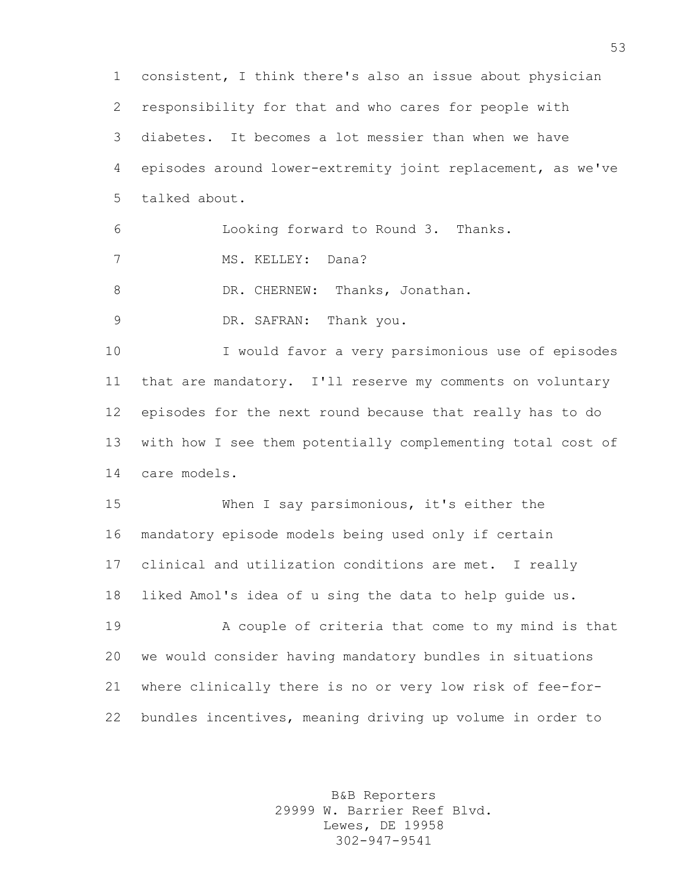consistent, I think there's also an issue about physician responsibility for that and who cares for people with diabetes. It becomes a lot messier than when we have episodes around lower-extremity joint replacement, as we've talked about. Looking forward to Round 3. Thanks. 7 MS. KELLEY: Dana? 8 DR. CHERNEW: Thanks, Jonathan. DR. SAFRAN: Thank you. I would favor a very parsimonious use of episodes that are mandatory. I'll reserve my comments on voluntary episodes for the next round because that really has to do with how I see them potentially complementing total cost of care models. When I say parsimonious, it's either the mandatory episode models being used only if certain clinical and utilization conditions are met. I really liked Amol's idea of u sing the data to help guide us. A couple of criteria that come to my mind is that we would consider having mandatory bundles in situations where clinically there is no or very low risk of fee-for-bundles incentives, meaning driving up volume in order to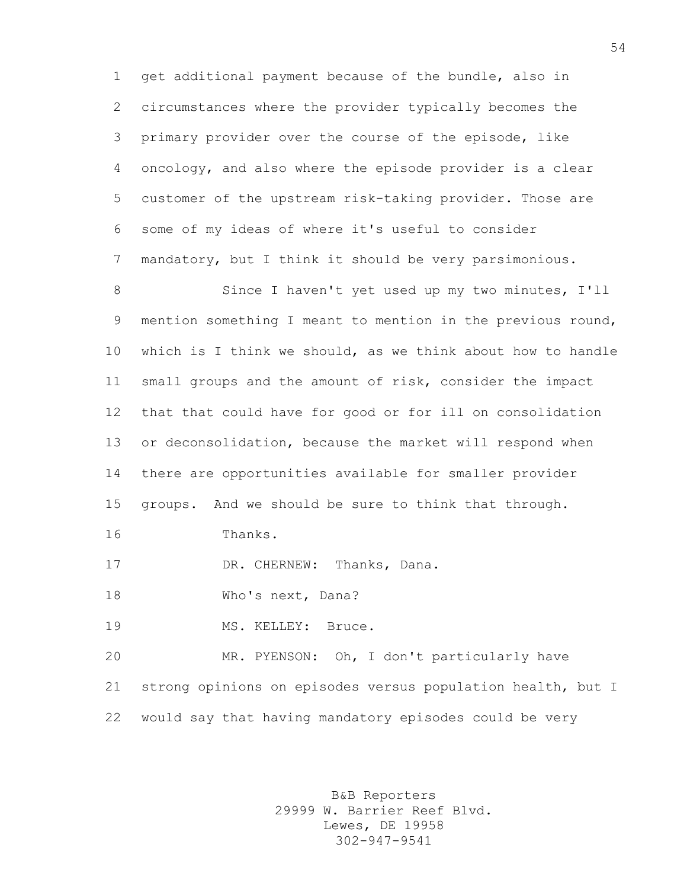get additional payment because of the bundle, also in circumstances where the provider typically becomes the primary provider over the course of the episode, like oncology, and also where the episode provider is a clear customer of the upstream risk-taking provider. Those are some of my ideas of where it's useful to consider mandatory, but I think it should be very parsimonious.

 Since I haven't yet used up my two minutes, I'll mention something I meant to mention in the previous round, which is I think we should, as we think about how to handle small groups and the amount of risk, consider the impact that that could have for good or for ill on consolidation or deconsolidation, because the market will respond when there are opportunities available for smaller provider groups. And we should be sure to think that through. Thanks. DR. CHERNEW: Thanks, Dana. Who's next, Dana? 19 MS. KELLEY: Bruce.

 MR. PYENSON: Oh, I don't particularly have strong opinions on episodes versus population health, but I would say that having mandatory episodes could be very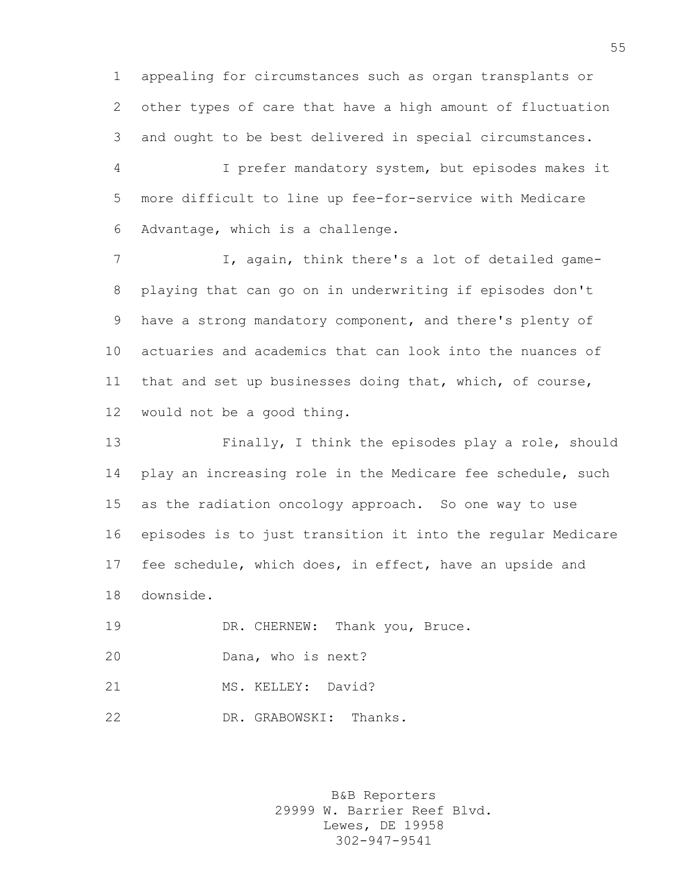appealing for circumstances such as organ transplants or other types of care that have a high amount of fluctuation and ought to be best delivered in special circumstances.

 I prefer mandatory system, but episodes makes it more difficult to line up fee-for-service with Medicare Advantage, which is a challenge.

7 I, again, think there's a lot of detailed game- playing that can go on in underwriting if episodes don't have a strong mandatory component, and there's plenty of actuaries and academics that can look into the nuances of that and set up businesses doing that, which, of course, would not be a good thing.

 Finally, I think the episodes play a role, should play an increasing role in the Medicare fee schedule, such as the radiation oncology approach. So one way to use episodes is to just transition it into the regular Medicare fee schedule, which does, in effect, have an upside and downside.

19 DR. CHERNEW: Thank you, Bruce.

Dana, who is next?

21 MS. KELLEY: David?

DR. GRABOWSKI: Thanks.

B&B Reporters 29999 W. Barrier Reef Blvd. Lewes, DE 19958 302-947-9541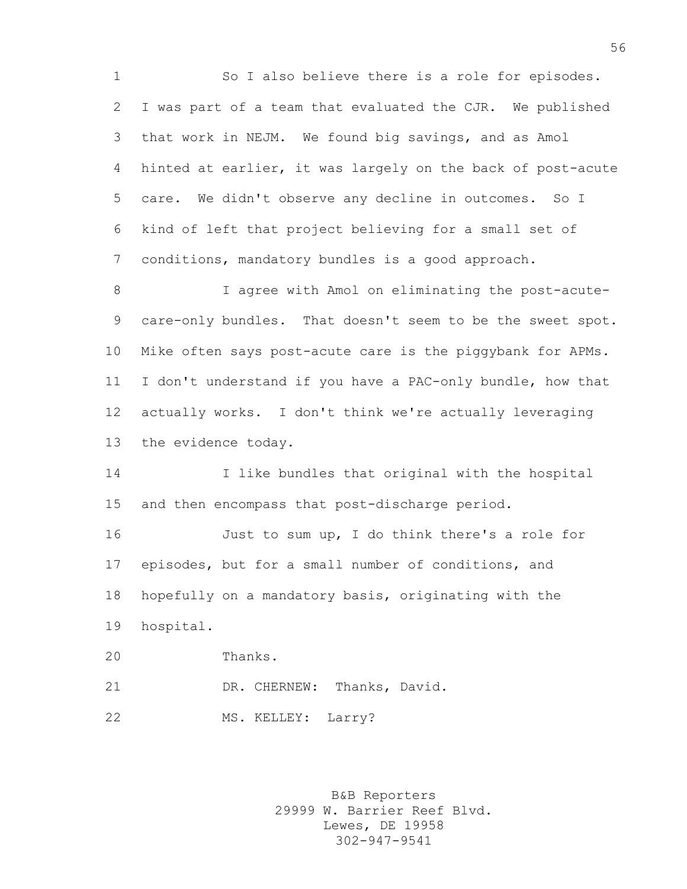So I also believe there is a role for episodes. I was part of a team that evaluated the CJR. We published that work in NEJM. We found big savings, and as Amol hinted at earlier, it was largely on the back of post-acute care. We didn't observe any decline in outcomes. So I kind of left that project believing for a small set of conditions, mandatory bundles is a good approach.

 I agree with Amol on eliminating the post-acute- care-only bundles. That doesn't seem to be the sweet spot. Mike often says post-acute care is the piggybank for APMs. I don't understand if you have a PAC-only bundle, how that actually works. I don't think we're actually leveraging the evidence today.

 I like bundles that original with the hospital and then encompass that post-discharge period.

 Just to sum up, I do think there's a role for episodes, but for a small number of conditions, and hopefully on a mandatory basis, originating with the hospital.

Thanks.

21 DR. CHERNEW: Thanks, David.

22 MS. KELLEY: Larry?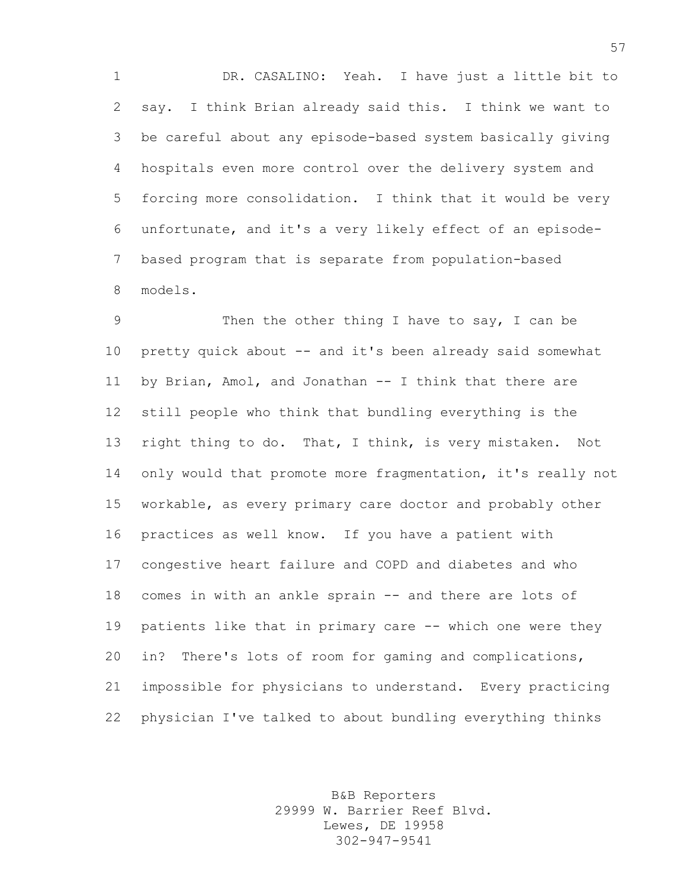DR. CASALINO: Yeah. I have just a little bit to say. I think Brian already said this. I think we want to be careful about any episode-based system basically giving hospitals even more control over the delivery system and forcing more consolidation. I think that it would be very unfortunate, and it's a very likely effect of an episode- based program that is separate from population-based models.

 Then the other thing I have to say, I can be pretty quick about -- and it's been already said somewhat by Brian, Amol, and Jonathan -- I think that there are still people who think that bundling everything is the right thing to do. That, I think, is very mistaken. Not 14 only would that promote more fragmentation, it's really not workable, as every primary care doctor and probably other practices as well know. If you have a patient with congestive heart failure and COPD and diabetes and who comes in with an ankle sprain -- and there are lots of patients like that in primary care -- which one were they in? There's lots of room for gaming and complications, impossible for physicians to understand. Every practicing physician I've talked to about bundling everything thinks

> B&B Reporters 29999 W. Barrier Reef Blvd. Lewes, DE 19958 302-947-9541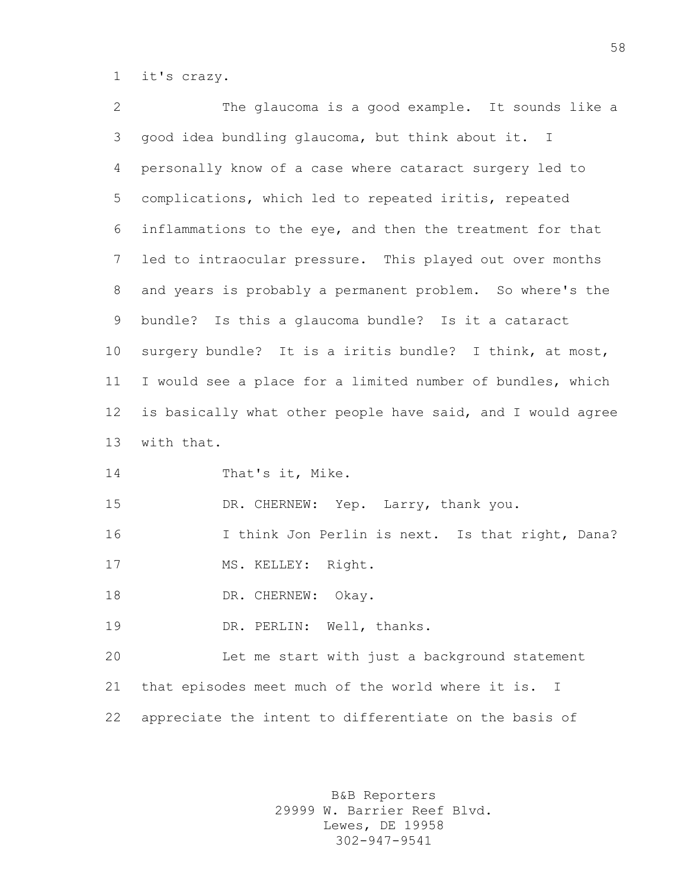it's crazy.

 The glaucoma is a good example. It sounds like a good idea bundling glaucoma, but think about it. I personally know of a case where cataract surgery led to complications, which led to repeated iritis, repeated inflammations to the eye, and then the treatment for that led to intraocular pressure. This played out over months and years is probably a permanent problem. So where's the bundle? Is this a glaucoma bundle? Is it a cataract surgery bundle? It is a iritis bundle? I think, at most, I would see a place for a limited number of bundles, which is basically what other people have said, and I would agree with that. 14 That's it, Mike. 15 DR. CHERNEW: Yep. Larry, thank you. I think Jon Perlin is next. Is that right, Dana? 17 MS. KELLEY: Right. 18 DR. CHERNEW: Okay. DR. PERLIN: Well, thanks. Let me start with just a background statement that episodes meet much of the world where it is. I appreciate the intent to differentiate on the basis of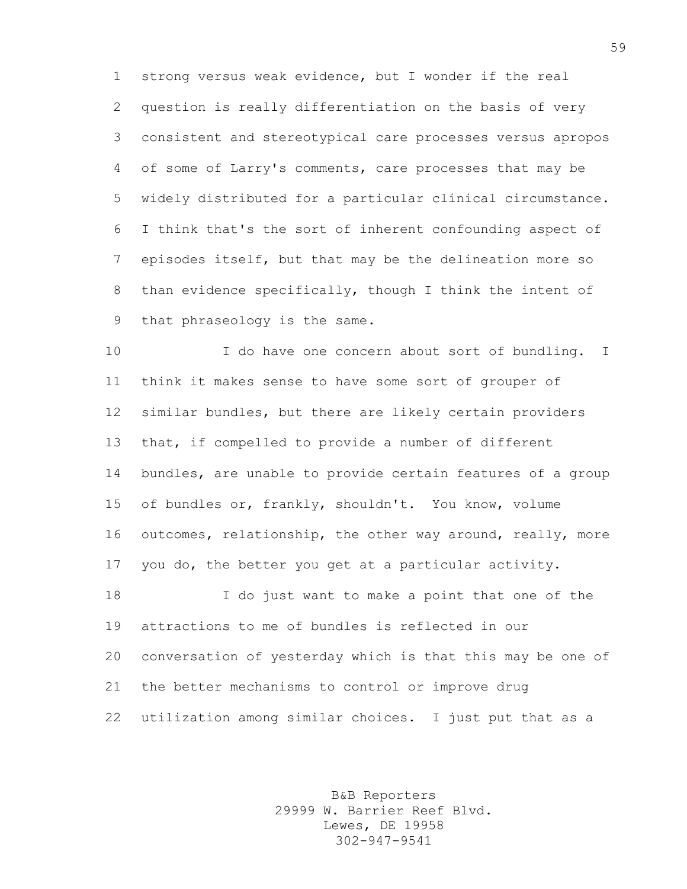strong versus weak evidence, but I wonder if the real question is really differentiation on the basis of very consistent and stereotypical care processes versus apropos of some of Larry's comments, care processes that may be widely distributed for a particular clinical circumstance. I think that's the sort of inherent confounding aspect of episodes itself, but that may be the delineation more so than evidence specifically, though I think the intent of that phraseology is the same.

 I do have one concern about sort of bundling. I think it makes sense to have some sort of grouper of similar bundles, but there are likely certain providers that, if compelled to provide a number of different bundles, are unable to provide certain features of a group of bundles or, frankly, shouldn't. You know, volume outcomes, relationship, the other way around, really, more you do, the better you get at a particular activity. I do just want to make a point that one of the attractions to me of bundles is reflected in our conversation of yesterday which is that this may be one of the better mechanisms to control or improve drug utilization among similar choices. I just put that as a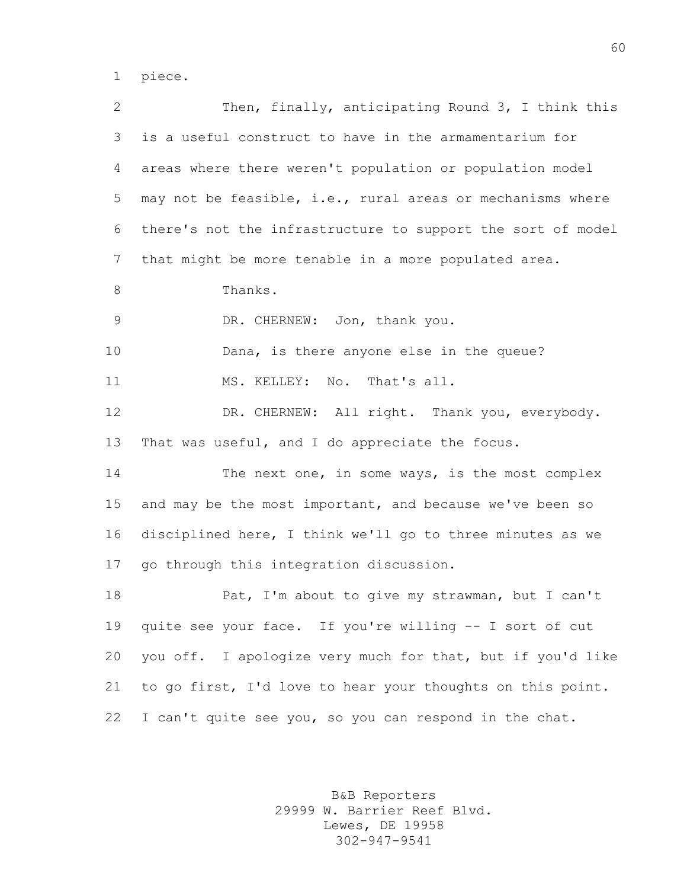piece.

| $\mathbf{2}$ | Then, finally, anticipating Round 3, I think this           |
|--------------|-------------------------------------------------------------|
| 3            | is a useful construct to have in the armamentarium for      |
| 4            | areas where there weren't population or population model    |
| 5            | may not be feasible, i.e., rural areas or mechanisms where  |
| 6            | there's not the infrastructure to support the sort of model |
| 7            | that might be more tenable in a more populated area.        |
| $8\,$        | Thanks.                                                     |
| $\mathsf 9$  | DR. CHERNEW: Jon, thank you.                                |
| 10           | Dana, is there anyone else in the queue?                    |
| 11           | MS. KELLEY: No. That's all.                                 |
| 12           | DR. CHERNEW: All right. Thank you, everybody.               |
| 13           | That was useful, and I do appreciate the focus.             |
| 14           | The next one, in some ways, is the most complex             |
| 15           | and may be the most important, and because we've been so    |
| 16           | disciplined here, I think we'll go to three minutes as we   |
| 17           | go through this integration discussion.                     |
| 18           | Pat, I'm about to give my strawman, but I can't             |
| 19           | quite see your face. If you're willing -- I sort of cut     |
| 20           | you off. I apologize very much for that, but if you'd like  |
| 21           | to go first, I'd love to hear your thoughts on this point.  |
| 22           | I can't quite see you, so you can respond in the chat.      |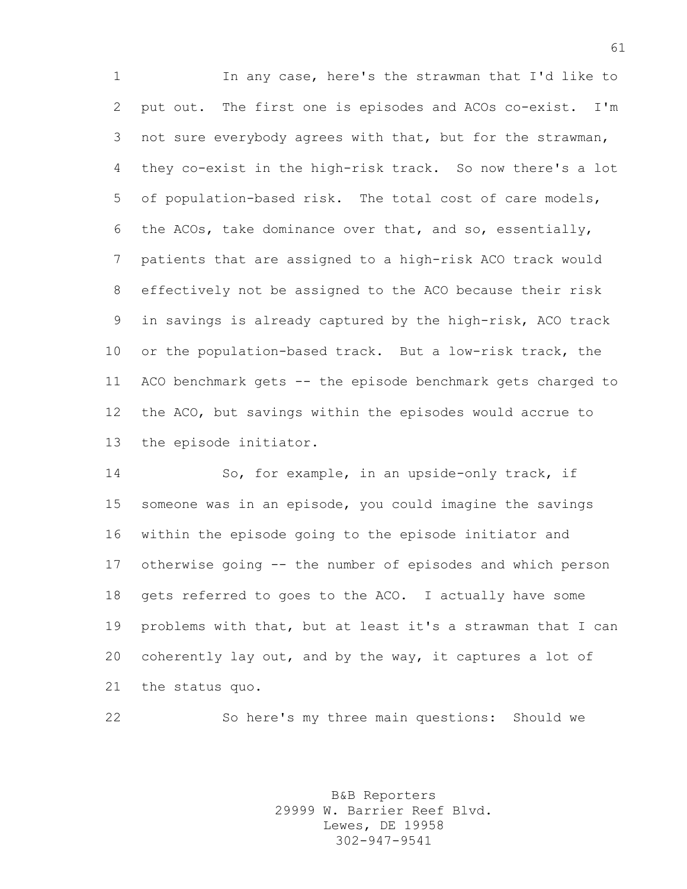In any case, here's the strawman that I'd like to put out. The first one is episodes and ACOs co-exist. I'm not sure everybody agrees with that, but for the strawman, they co-exist in the high-risk track. So now there's a lot of population-based risk. The total cost of care models, the ACOs, take dominance over that, and so, essentially, patients that are assigned to a high-risk ACO track would effectively not be assigned to the ACO because their risk in savings is already captured by the high-risk, ACO track or the population-based track. But a low-risk track, the ACO benchmark gets -- the episode benchmark gets charged to the ACO, but savings within the episodes would accrue to the episode initiator.

 So, for example, in an upside-only track, if someone was in an episode, you could imagine the savings within the episode going to the episode initiator and otherwise going -- the number of episodes and which person gets referred to goes to the ACO. I actually have some problems with that, but at least it's a strawman that I can coherently lay out, and by the way, it captures a lot of the status quo.

So here's my three main questions: Should we

B&B Reporters 29999 W. Barrier Reef Blvd. Lewes, DE 19958 302-947-9541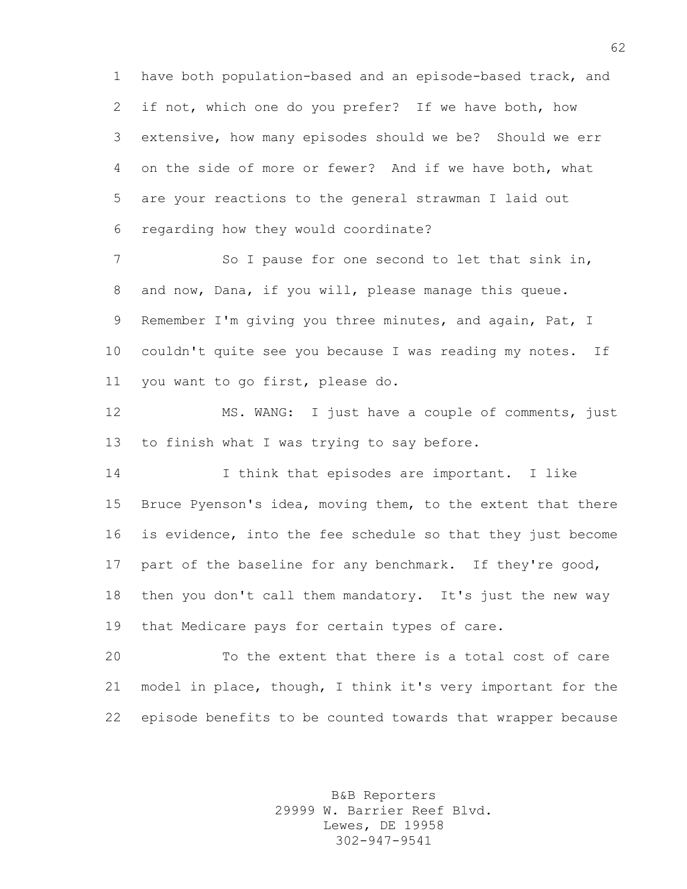have both population-based and an episode-based track, and if not, which one do you prefer? If we have both, how extensive, how many episodes should we be? Should we err on the side of more or fewer? And if we have both, what are your reactions to the general strawman I laid out regarding how they would coordinate?

7 So I pause for one second to let that sink in, and now, Dana, if you will, please manage this queue. Remember I'm giving you three minutes, and again, Pat, I couldn't quite see you because I was reading my notes. If you want to go first, please do.

 MS. WANG: I just have a couple of comments, just to finish what I was trying to say before.

 I think that episodes are important. I like Bruce Pyenson's idea, moving them, to the extent that there is evidence, into the fee schedule so that they just become part of the baseline for any benchmark. If they're good, then you don't call them mandatory. It's just the new way that Medicare pays for certain types of care.

 To the extent that there is a total cost of care model in place, though, I think it's very important for the episode benefits to be counted towards that wrapper because

> B&B Reporters 29999 W. Barrier Reef Blvd. Lewes, DE 19958 302-947-9541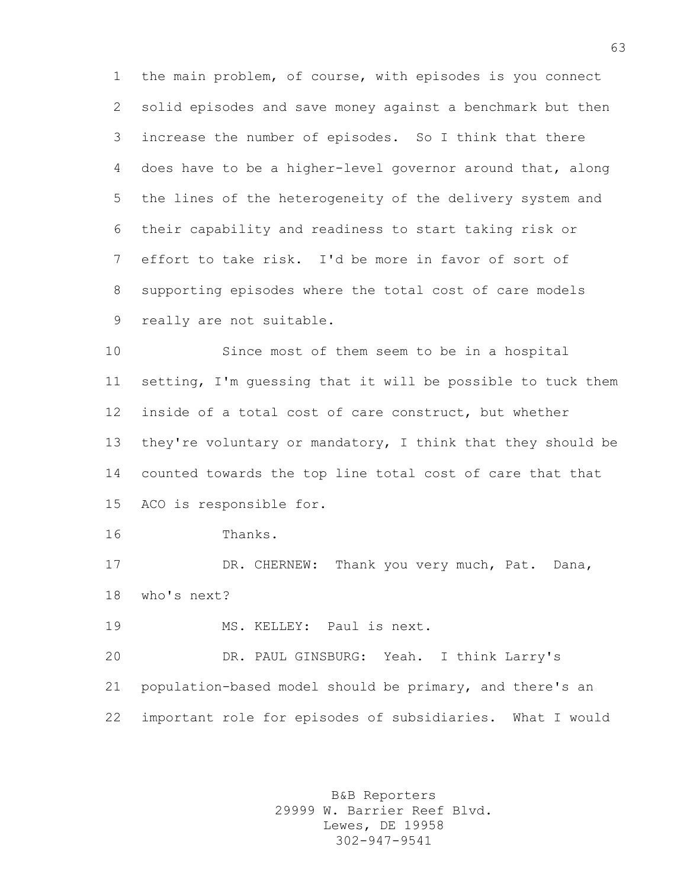the main problem, of course, with episodes is you connect solid episodes and save money against a benchmark but then increase the number of episodes. So I think that there does have to be a higher-level governor around that, along the lines of the heterogeneity of the delivery system and their capability and readiness to start taking risk or effort to take risk. I'd be more in favor of sort of supporting episodes where the total cost of care models really are not suitable.

 Since most of them seem to be in a hospital setting, I'm guessing that it will be possible to tuck them inside of a total cost of care construct, but whether they're voluntary or mandatory, I think that they should be counted towards the top line total cost of care that that ACO is responsible for.

Thanks.

 DR. CHERNEW: Thank you very much, Pat. Dana, who's next?

MS. KELLEY: Paul is next.

 DR. PAUL GINSBURG: Yeah. I think Larry's population-based model should be primary, and there's an important role for episodes of subsidiaries. What I would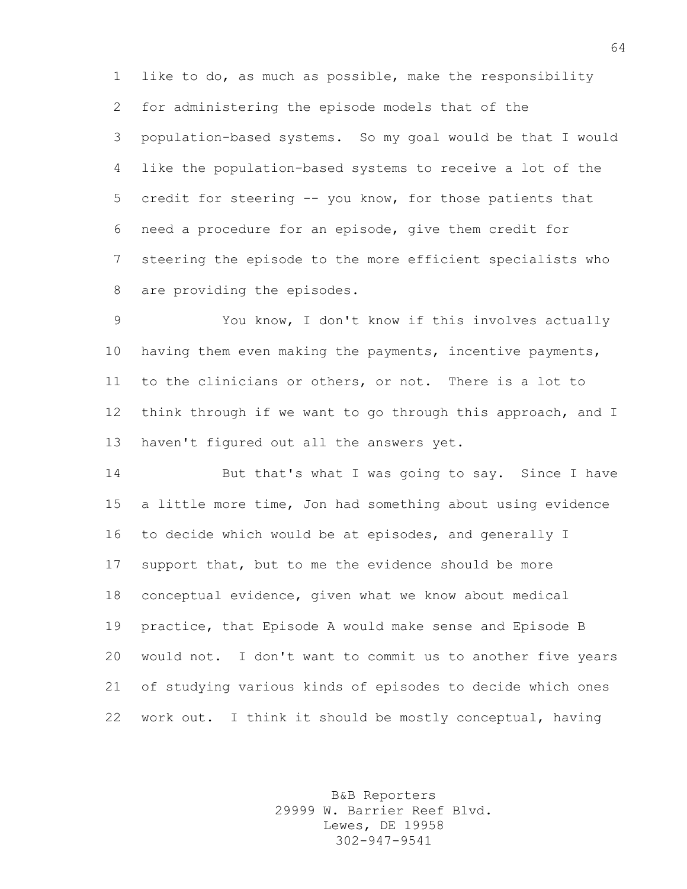like to do, as much as possible, make the responsibility for administering the episode models that of the population-based systems. So my goal would be that I would like the population-based systems to receive a lot of the credit for steering -- you know, for those patients that need a procedure for an episode, give them credit for steering the episode to the more efficient specialists who are providing the episodes.

 You know, I don't know if this involves actually having them even making the payments, incentive payments, to the clinicians or others, or not. There is a lot to think through if we want to go through this approach, and I haven't figured out all the answers yet.

 But that's what I was going to say. Since I have a little more time, Jon had something about using evidence to decide which would be at episodes, and generally I support that, but to me the evidence should be more conceptual evidence, given what we know about medical practice, that Episode A would make sense and Episode B would not. I don't want to commit us to another five years of studying various kinds of episodes to decide which ones work out. I think it should be mostly conceptual, having

> B&B Reporters 29999 W. Barrier Reef Blvd. Lewes, DE 19958 302-947-9541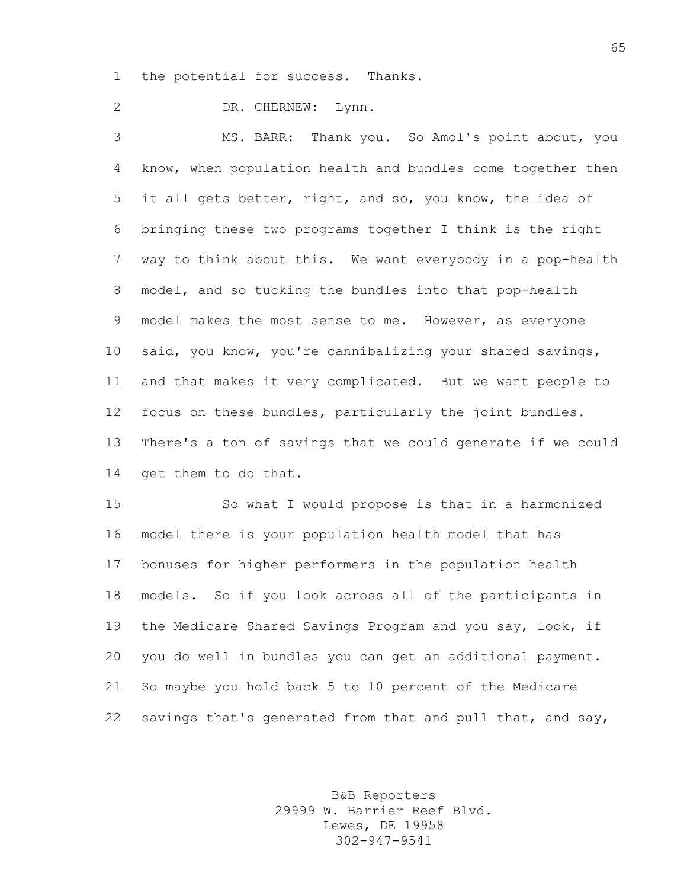the potential for success. Thanks.

DR. CHERNEW: Lynn.

 MS. BARR: Thank you. So Amol's point about, you know, when population health and bundles come together then it all gets better, right, and so, you know, the idea of bringing these two programs together I think is the right way to think about this. We want everybody in a pop-health model, and so tucking the bundles into that pop-health model makes the most sense to me. However, as everyone said, you know, you're cannibalizing your shared savings, and that makes it very complicated. But we want people to focus on these bundles, particularly the joint bundles. There's a ton of savings that we could generate if we could get them to do that.

 So what I would propose is that in a harmonized model there is your population health model that has bonuses for higher performers in the population health models. So if you look across all of the participants in the Medicare Shared Savings Program and you say, look, if you do well in bundles you can get an additional payment. So maybe you hold back 5 to 10 percent of the Medicare savings that's generated from that and pull that, and say,

> B&B Reporters 29999 W. Barrier Reef Blvd. Lewes, DE 19958 302-947-9541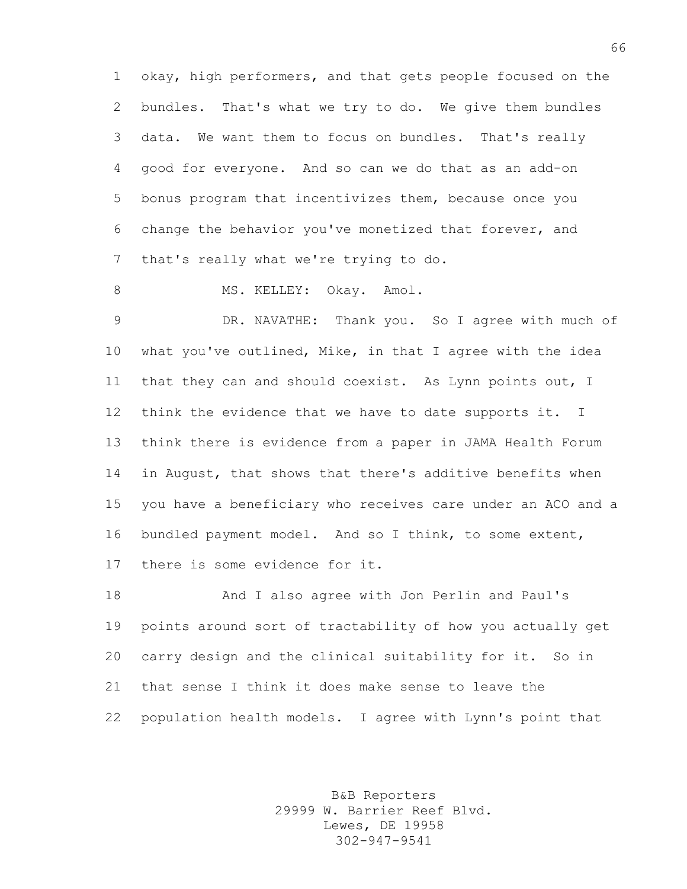okay, high performers, and that gets people focused on the bundles. That's what we try to do. We give them bundles data. We want them to focus on bundles. That's really good for everyone. And so can we do that as an add-on bonus program that incentivizes them, because once you change the behavior you've monetized that forever, and that's really what we're trying to do.

8 MS. KELLEY: Okay. Amol.

 DR. NAVATHE: Thank you. So I agree with much of what you've outlined, Mike, in that I agree with the idea that they can and should coexist. As Lynn points out, I think the evidence that we have to date supports it. I think there is evidence from a paper in JAMA Health Forum in August, that shows that there's additive benefits when you have a beneficiary who receives care under an ACO and a bundled payment model. And so I think, to some extent, there is some evidence for it.

 And I also agree with Jon Perlin and Paul's points around sort of tractability of how you actually get carry design and the clinical suitability for it. So in that sense I think it does make sense to leave the population health models. I agree with Lynn's point that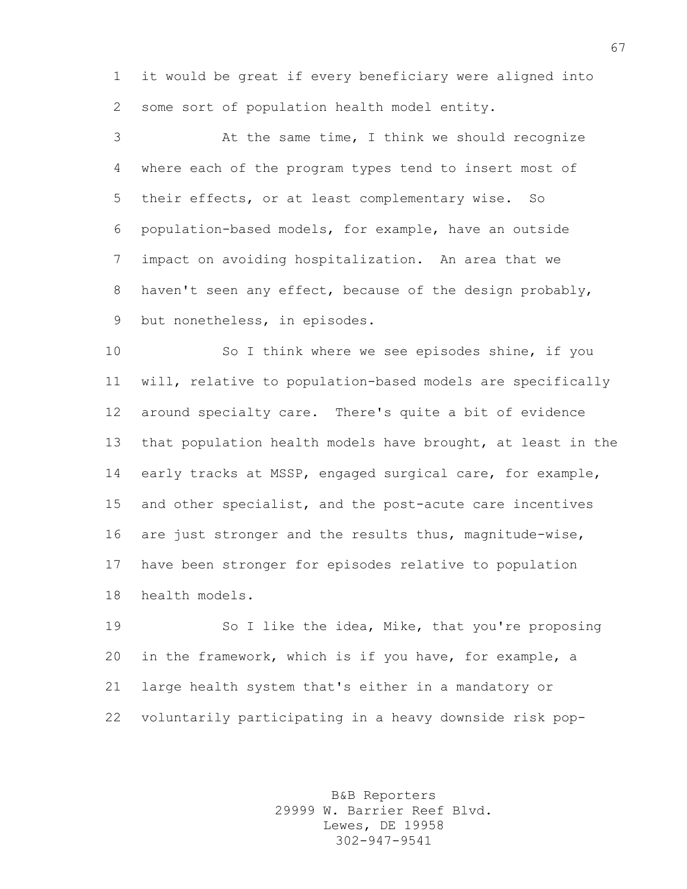it would be great if every beneficiary were aligned into some sort of population health model entity.

 At the same time, I think we should recognize where each of the program types tend to insert most of their effects, or at least complementary wise. So population-based models, for example, have an outside impact on avoiding hospitalization. An area that we haven't seen any effect, because of the design probably, but nonetheless, in episodes.

 So I think where we see episodes shine, if you will, relative to population-based models are specifically around specialty care. There's quite a bit of evidence that population health models have brought, at least in the early tracks at MSSP, engaged surgical care, for example, and other specialist, and the post-acute care incentives are just stronger and the results thus, magnitude-wise, have been stronger for episodes relative to population health models.

 So I like the idea, Mike, that you're proposing in the framework, which is if you have, for example, a large health system that's either in a mandatory or voluntarily participating in a heavy downside risk pop-

> B&B Reporters 29999 W. Barrier Reef Blvd. Lewes, DE 19958 302-947-9541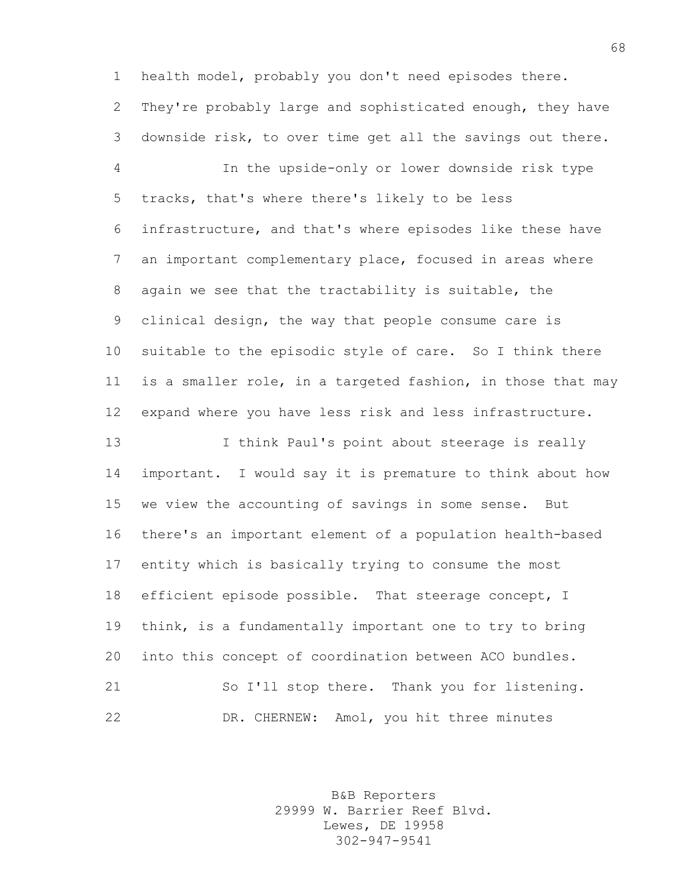health model, probably you don't need episodes there. They're probably large and sophisticated enough, they have downside risk, to over time get all the savings out there. In the upside-only or lower downside risk type tracks, that's where there's likely to be less infrastructure, and that's where episodes like these have an important complementary place, focused in areas where again we see that the tractability is suitable, the clinical design, the way that people consume care is suitable to the episodic style of care. So I think there is a smaller role, in a targeted fashion, in those that may expand where you have less risk and less infrastructure. I think Paul's point about steerage is really important. I would say it is premature to think about how we view the accounting of savings in some sense. But there's an important element of a population health-based entity which is basically trying to consume the most efficient episode possible. That steerage concept, I think, is a fundamentally important one to try to bring into this concept of coordination between ACO bundles. So I'll stop there. Thank you for listening. DR. CHERNEW: Amol, you hit three minutes

> B&B Reporters 29999 W. Barrier Reef Blvd. Lewes, DE 19958 302-947-9541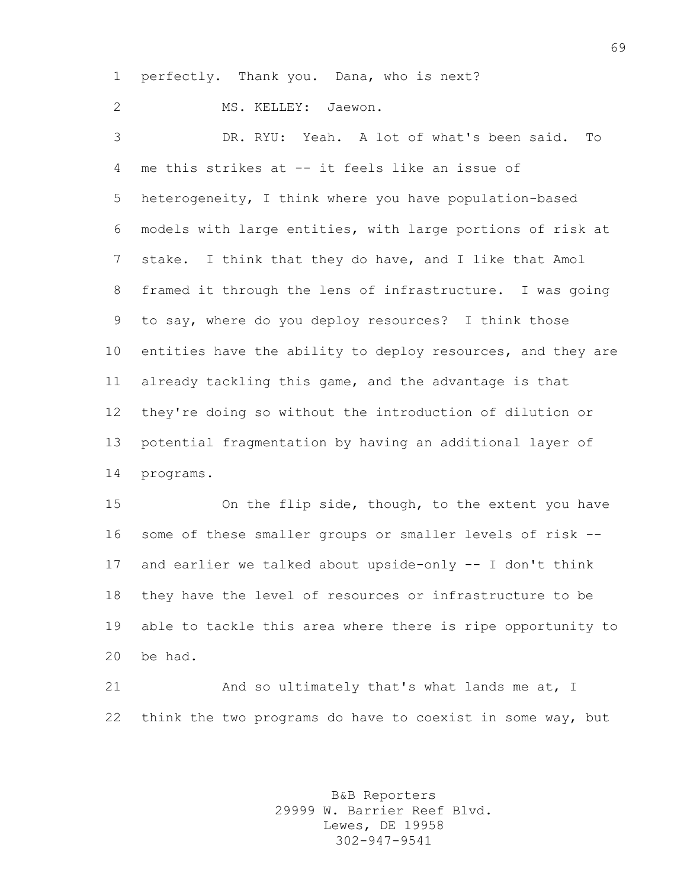perfectly. Thank you. Dana, who is next?

MS. KELLEY: Jaewon.

 DR. RYU: Yeah. A lot of what's been said. To me this strikes at -- it feels like an issue of heterogeneity, I think where you have population-based models with large entities, with large portions of risk at stake. I think that they do have, and I like that Amol framed it through the lens of infrastructure. I was going to say, where do you deploy resources? I think those entities have the ability to deploy resources, and they are already tackling this game, and the advantage is that they're doing so without the introduction of dilution or potential fragmentation by having an additional layer of programs.

 On the flip side, though, to the extent you have some of these smaller groups or smaller levels of risk -- and earlier we talked about upside-only -- I don't think they have the level of resources or infrastructure to be able to tackle this area where there is ripe opportunity to be had.

 And so ultimately that's what lands me at, I think the two programs do have to coexist in some way, but

> B&B Reporters 29999 W. Barrier Reef Blvd. Lewes, DE 19958 302-947-9541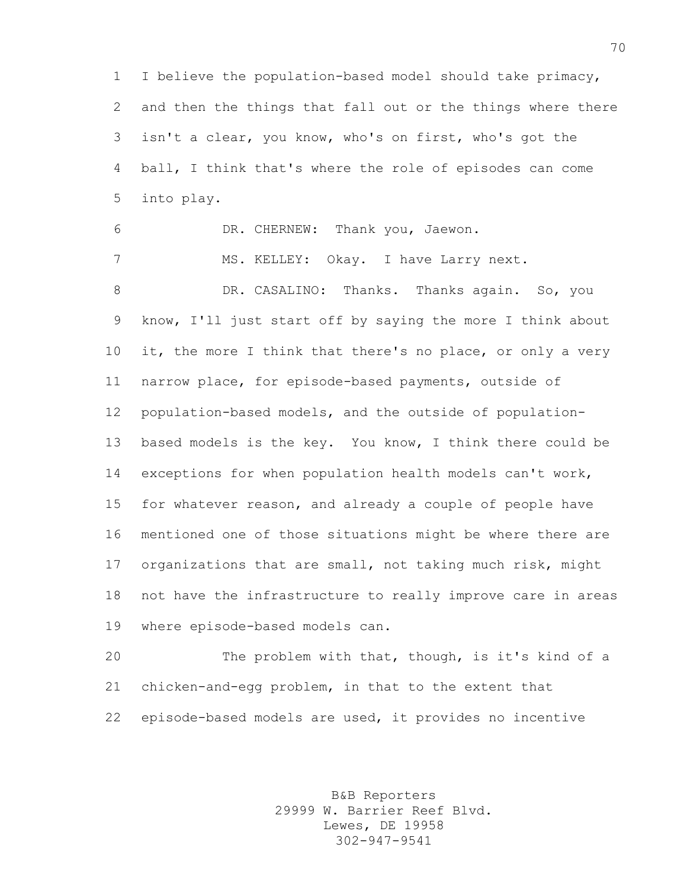I believe the population-based model should take primacy, and then the things that fall out or the things where there isn't a clear, you know, who's on first, who's got the ball, I think that's where the role of episodes can come into play.

DR. CHERNEW: Thank you, Jaewon.

7 MS. KELLEY: Okay. I have Larry next.

 DR. CASALINO: Thanks. Thanks again. So, you know, I'll just start off by saying the more I think about 10 it, the more I think that there's no place, or only a very narrow place, for episode-based payments, outside of population-based models, and the outside of population- based models is the key. You know, I think there could be exceptions for when population health models can't work, for whatever reason, and already a couple of people have mentioned one of those situations might be where there are organizations that are small, not taking much risk, might not have the infrastructure to really improve care in areas where episode-based models can.

 The problem with that, though, is it's kind of a chicken-and-egg problem, in that to the extent that episode-based models are used, it provides no incentive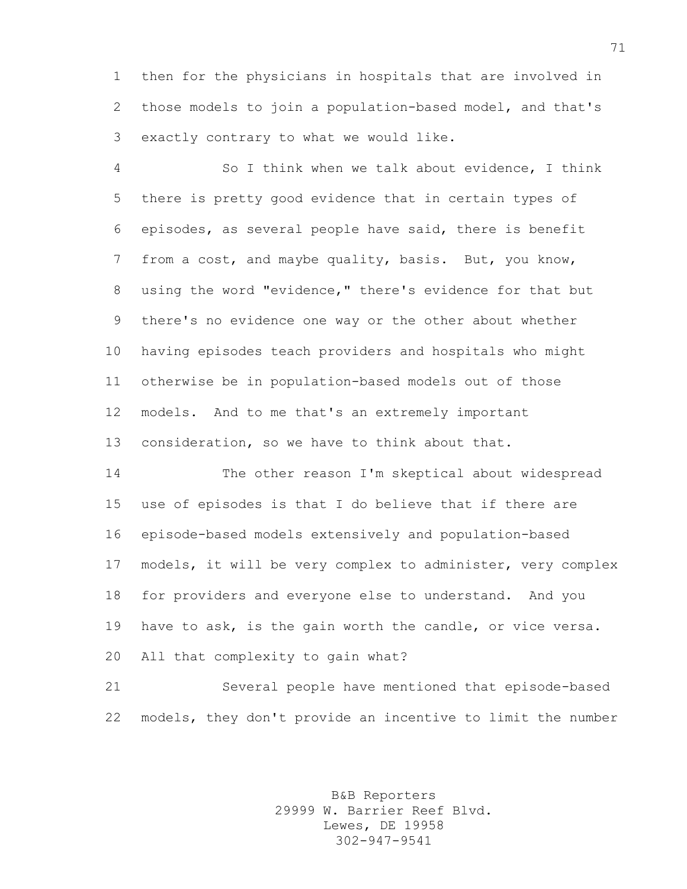then for the physicians in hospitals that are involved in those models to join a population-based model, and that's exactly contrary to what we would like.

 So I think when we talk about evidence, I think there is pretty good evidence that in certain types of episodes, as several people have said, there is benefit from a cost, and maybe quality, basis. But, you know, using the word "evidence," there's evidence for that but there's no evidence one way or the other about whether having episodes teach providers and hospitals who might otherwise be in population-based models out of those models. And to me that's an extremely important consideration, so we have to think about that.

 The other reason I'm skeptical about widespread use of episodes is that I do believe that if there are episode-based models extensively and population-based models, it will be very complex to administer, very complex for providers and everyone else to understand. And you have to ask, is the gain worth the candle, or vice versa. All that complexity to gain what?

 Several people have mentioned that episode-based models, they don't provide an incentive to limit the number

> B&B Reporters 29999 W. Barrier Reef Blvd. Lewes, DE 19958 302-947-9541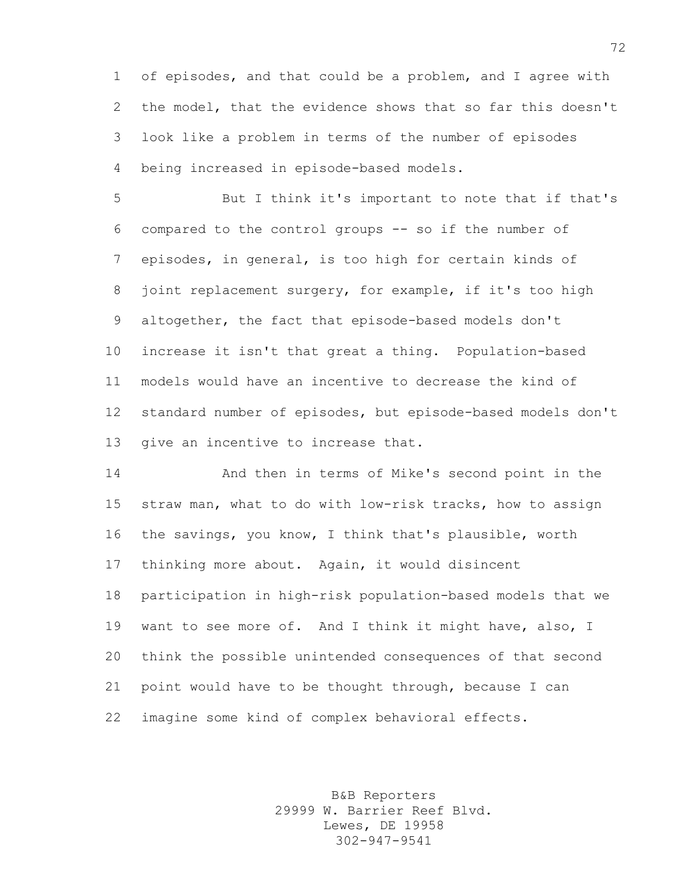of episodes, and that could be a problem, and I agree with the model, that the evidence shows that so far this doesn't look like a problem in terms of the number of episodes being increased in episode-based models.

 But I think it's important to note that if that's compared to the control groups -- so if the number of episodes, in general, is too high for certain kinds of joint replacement surgery, for example, if it's too high altogether, the fact that episode-based models don't increase it isn't that great a thing. Population-based models would have an incentive to decrease the kind of standard number of episodes, but episode-based models don't give an incentive to increase that.

 And then in terms of Mike's second point in the straw man, what to do with low-risk tracks, how to assign the savings, you know, I think that's plausible, worth thinking more about. Again, it would disincent participation in high-risk population-based models that we want to see more of. And I think it might have, also, I think the possible unintended consequences of that second point would have to be thought through, because I can imagine some kind of complex behavioral effects.

> B&B Reporters 29999 W. Barrier Reef Blvd. Lewes, DE 19958 302-947-9541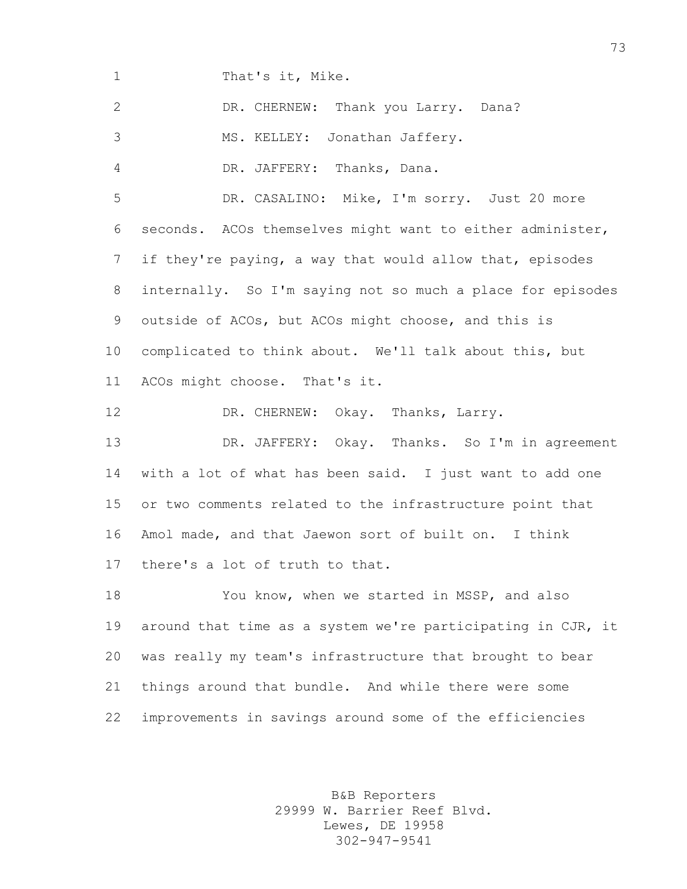1 That's it, Mike.

| $\mathbf{2}$ | DR. CHERNEW: Thank you Larry. Dana?                         |
|--------------|-------------------------------------------------------------|
| 3            | MS. KELLEY: Jonathan Jaffery.                               |
| 4            | DR. JAFFERY: Thanks, Dana.                                  |
| 5            | DR. CASALINO: Mike, I'm sorry. Just 20 more                 |
| 6            | seconds. ACOs themselves might want to either administer,   |
| 7            | if they're paying, a way that would allow that, episodes    |
| 8            | internally. So I'm saying not so much a place for episodes  |
| 9            | outside of ACOs, but ACOs might choose, and this is         |
| 10           | complicated to think about. We'll talk about this, but      |
| 11           | ACOs might choose. That's it.                               |
| 12           | DR. CHERNEW: Okay. Thanks, Larry.                           |
| 13           | DR. JAFFERY: Okay. Thanks. So I'm in agreement              |
| 14           | with a lot of what has been said. I just want to add one    |
| 15           | or two comments related to the infrastructure point that    |
| 16           | Amol made, and that Jaewon sort of built on. I think        |
| 17           | there's a lot of truth to that.                             |
| 18           | You know, when we started in MSSP, and also                 |
| 19           | around that time as a system we're participating in CJR, it |
| 20           | was really my team's infrastructure that brought to bear    |
| 21           | things around that bundle. And while there were some        |
| 22           | improvements in savings around some of the efficiencies     |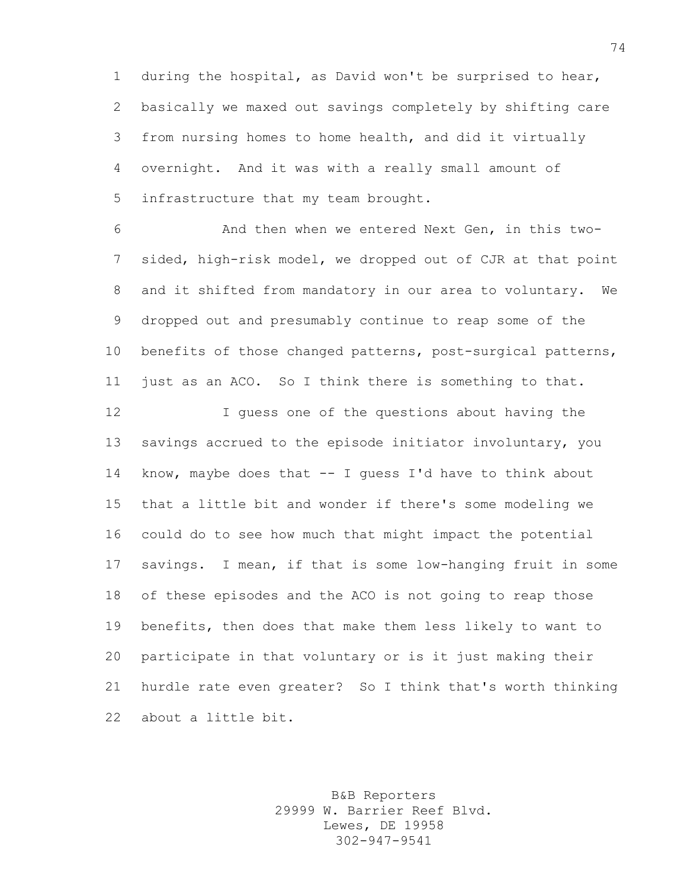during the hospital, as David won't be surprised to hear, basically we maxed out savings completely by shifting care from nursing homes to home health, and did it virtually overnight. And it was with a really small amount of infrastructure that my team brought.

 And then when we entered Next Gen, in this two- sided, high-risk model, we dropped out of CJR at that point and it shifted from mandatory in our area to voluntary. We dropped out and presumably continue to reap some of the benefits of those changed patterns, post-surgical patterns, just as an ACO. So I think there is something to that.

 I guess one of the questions about having the savings accrued to the episode initiator involuntary, you know, maybe does that -- I guess I'd have to think about that a little bit and wonder if there's some modeling we could do to see how much that might impact the potential savings. I mean, if that is some low-hanging fruit in some of these episodes and the ACO is not going to reap those benefits, then does that make them less likely to want to participate in that voluntary or is it just making their hurdle rate even greater? So I think that's worth thinking about a little bit.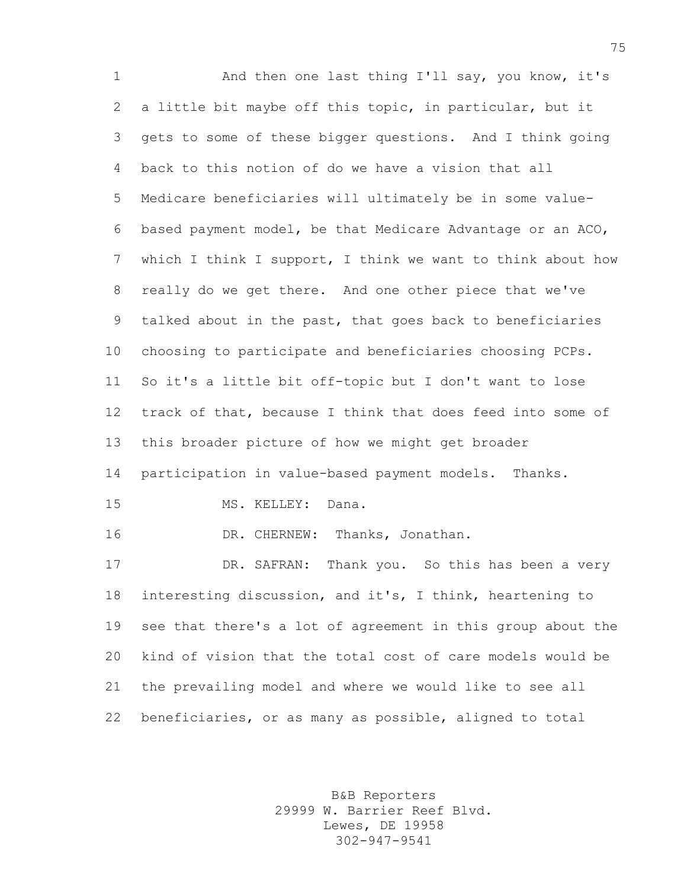1 And then one last thing I'll say, you know, it's a little bit maybe off this topic, in particular, but it gets to some of these bigger questions. And I think going back to this notion of do we have a vision that all Medicare beneficiaries will ultimately be in some value- based payment model, be that Medicare Advantage or an ACO, which I think I support, I think we want to think about how really do we get there. And one other piece that we've talked about in the past, that goes back to beneficiaries choosing to participate and beneficiaries choosing PCPs. So it's a little bit off-topic but I don't want to lose track of that, because I think that does feed into some of this broader picture of how we might get broader participation in value-based payment models. Thanks. MS. KELLEY: Dana. DR. CHERNEW: Thanks, Jonathan. DR. SAFRAN: Thank you. So this has been a very interesting discussion, and it's, I think, heartening to see that there's a lot of agreement in this group about the kind of vision that the total cost of care models would be the prevailing model and where we would like to see all beneficiaries, or as many as possible, aligned to total

> B&B Reporters 29999 W. Barrier Reef Blvd. Lewes, DE 19958 302-947-9541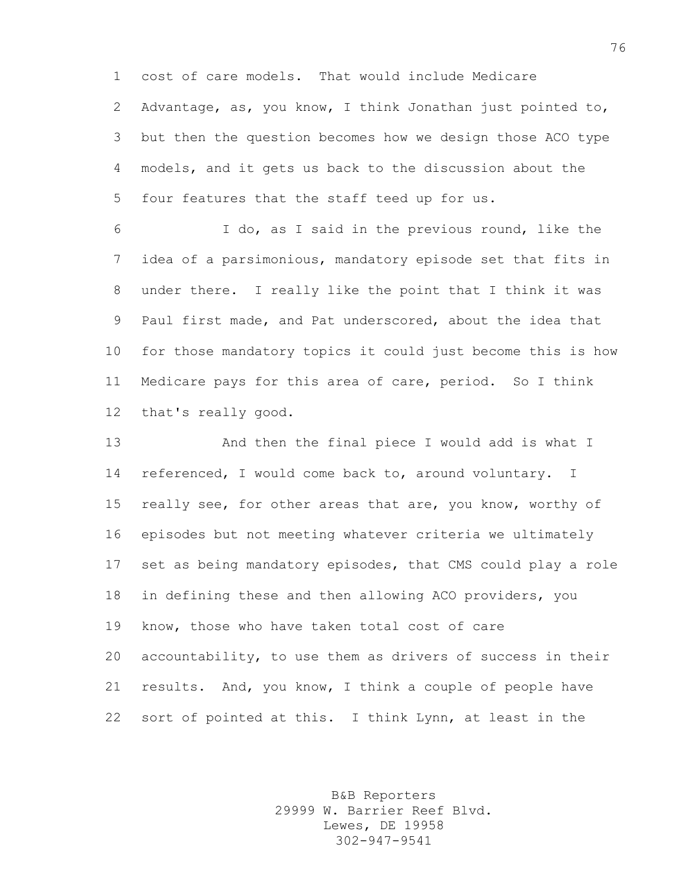cost of care models. That would include Medicare Advantage, as, you know, I think Jonathan just pointed to, but then the question becomes how we design those ACO type models, and it gets us back to the discussion about the four features that the staff teed up for us.

 I do, as I said in the previous round, like the idea of a parsimonious, mandatory episode set that fits in under there. I really like the point that I think it was Paul first made, and Pat underscored, about the idea that for those mandatory topics it could just become this is how Medicare pays for this area of care, period. So I think that's really good.

 And then the final piece I would add is what I referenced, I would come back to, around voluntary. I really see, for other areas that are, you know, worthy of episodes but not meeting whatever criteria we ultimately set as being mandatory episodes, that CMS could play a role in defining these and then allowing ACO providers, you know, those who have taken total cost of care accountability, to use them as drivers of success in their results. And, you know, I think a couple of people have sort of pointed at this. I think Lynn, at least in the

> B&B Reporters 29999 W. Barrier Reef Blvd. Lewes, DE 19958 302-947-9541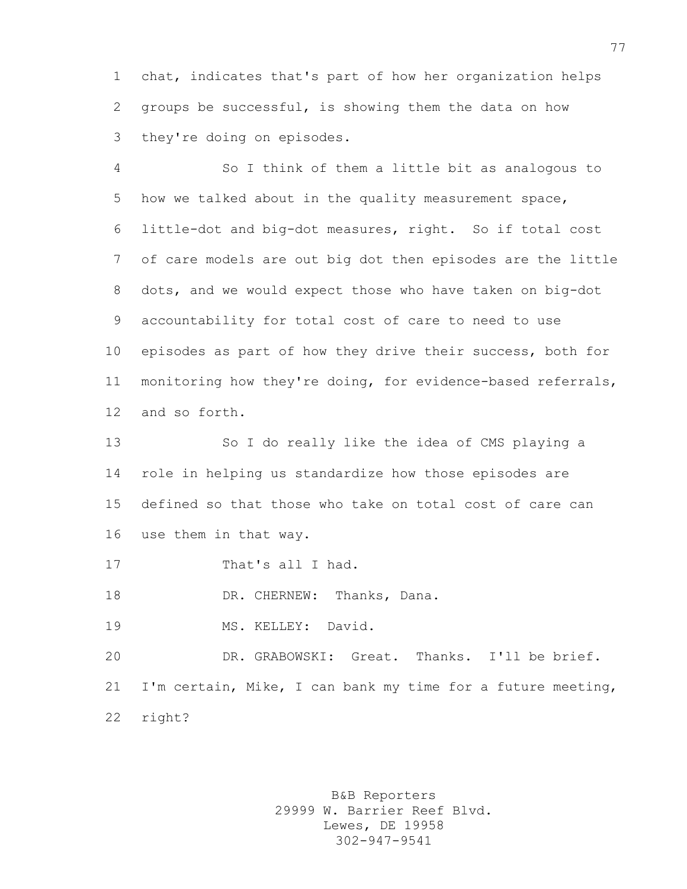chat, indicates that's part of how her organization helps groups be successful, is showing them the data on how they're doing on episodes.

 So I think of them a little bit as analogous to how we talked about in the quality measurement space, little-dot and big-dot measures, right. So if total cost of care models are out big dot then episodes are the little dots, and we would expect those who have taken on big-dot accountability for total cost of care to need to use episodes as part of how they drive their success, both for monitoring how they're doing, for evidence-based referrals, and so forth.

 So I do really like the idea of CMS playing a role in helping us standardize how those episodes are defined so that those who take on total cost of care can use them in that way.

17 That's all I had.

18 DR. CHERNEW: Thanks, Dana.

MS. KELLEY: David.

 DR. GRABOWSKI: Great. Thanks. I'll be brief. I'm certain, Mike, I can bank my time for a future meeting, right?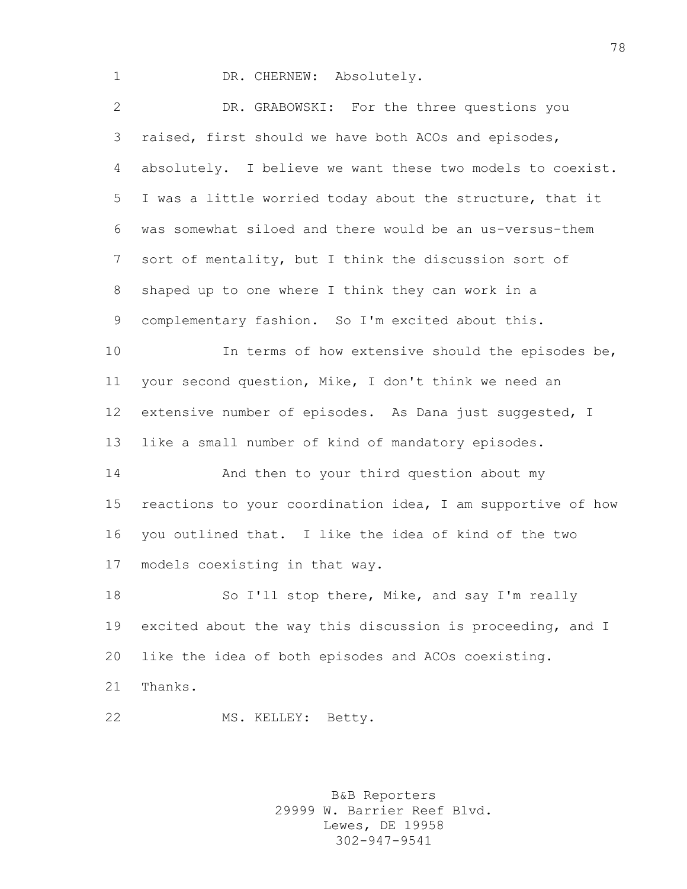## 1 DR. CHERNEW: Absolutely.

 DR. GRABOWSKI: For the three questions you raised, first should we have both ACOs and episodes, absolutely. I believe we want these two models to coexist. I was a little worried today about the structure, that it was somewhat siloed and there would be an us-versus-them sort of mentality, but I think the discussion sort of shaped up to one where I think they can work in a complementary fashion. So I'm excited about this. In terms of how extensive should the episodes be, your second question, Mike, I don't think we need an extensive number of episodes. As Dana just suggested, I like a small number of kind of mandatory episodes. And then to your third question about my reactions to your coordination idea, I am supportive of how you outlined that. I like the idea of kind of the two models coexisting in that way. 18 So I'll stop there, Mike, and say I'm really excited about the way this discussion is proceeding, and I like the idea of both episodes and ACOs coexisting. Thanks. MS. KELLEY: Betty.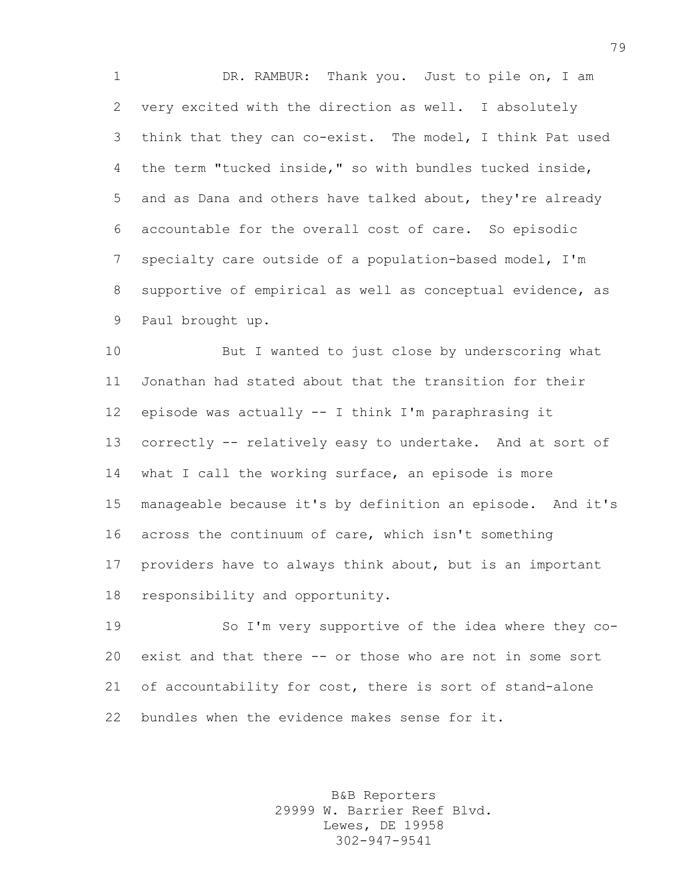DR. RAMBUR: Thank you. Just to pile on, I am very excited with the direction as well. I absolutely think that they can co-exist. The model, I think Pat used the term "tucked inside," so with bundles tucked inside, and as Dana and others have talked about, they're already accountable for the overall cost of care. So episodic specialty care outside of a population-based model, I'm supportive of empirical as well as conceptual evidence, as Paul brought up.

 But I wanted to just close by underscoring what Jonathan had stated about that the transition for their episode was actually -- I think I'm paraphrasing it correctly -- relatively easy to undertake. And at sort of what I call the working surface, an episode is more manageable because it's by definition an episode. And it's across the continuum of care, which isn't something providers have to always think about, but is an important responsibility and opportunity.

 So I'm very supportive of the idea where they co- exist and that there -- or those who are not in some sort of accountability for cost, there is sort of stand-alone bundles when the evidence makes sense for it.

> B&B Reporters 29999 W. Barrier Reef Blvd. Lewes, DE 19958 302-947-9541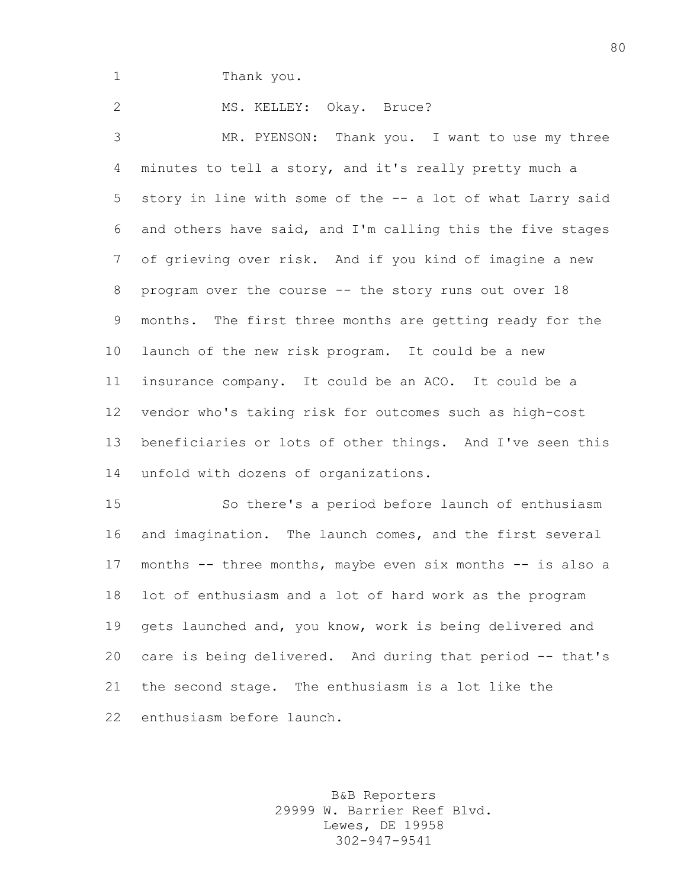Thank you.

2 MS. KELLEY: Okay. Bruce?

 MR. PYENSON: Thank you. I want to use my three minutes to tell a story, and it's really pretty much a story in line with some of the -- a lot of what Larry said and others have said, and I'm calling this the five stages of grieving over risk. And if you kind of imagine a new program over the course -- the story runs out over 18 months. The first three months are getting ready for the launch of the new risk program. It could be a new insurance company. It could be an ACO. It could be a vendor who's taking risk for outcomes such as high-cost beneficiaries or lots of other things. And I've seen this unfold with dozens of organizations.

 So there's a period before launch of enthusiasm and imagination. The launch comes, and the first several months -- three months, maybe even six months -- is also a lot of enthusiasm and a lot of hard work as the program gets launched and, you know, work is being delivered and care is being delivered. And during that period -- that's the second stage. The enthusiasm is a lot like the enthusiasm before launch.

> B&B Reporters 29999 W. Barrier Reef Blvd. Lewes, DE 19958 302-947-9541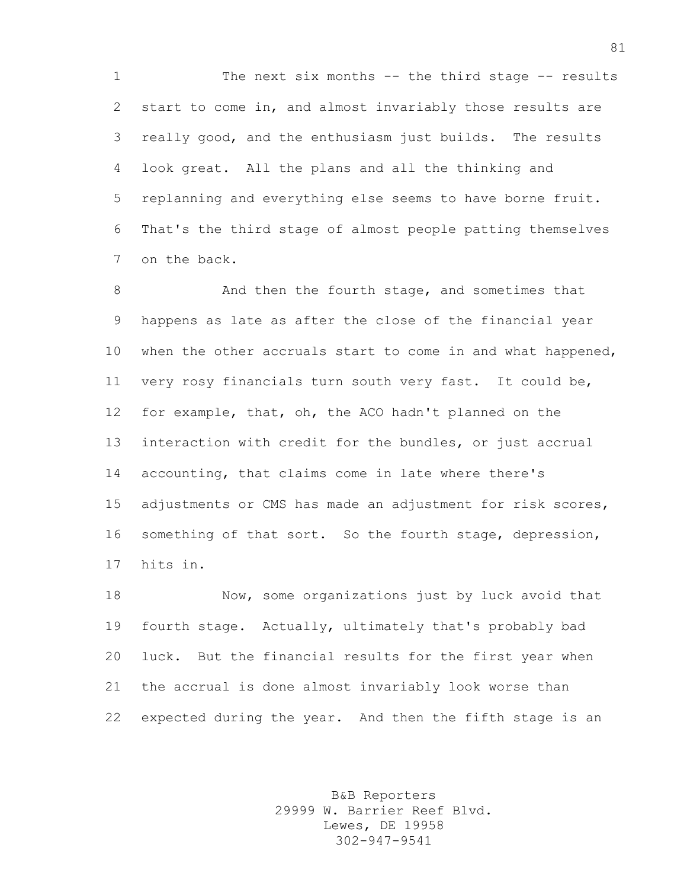1 The next six months -- the third stage -- results start to come in, and almost invariably those results are really good, and the enthusiasm just builds. The results look great. All the plans and all the thinking and replanning and everything else seems to have borne fruit. That's the third stage of almost people patting themselves on the back.

8 And then the fourth stage, and sometimes that happens as late as after the close of the financial year when the other accruals start to come in and what happened, very rosy financials turn south very fast. It could be, for example, that, oh, the ACO hadn't planned on the interaction with credit for the bundles, or just accrual accounting, that claims come in late where there's adjustments or CMS has made an adjustment for risk scores, something of that sort. So the fourth stage, depression, hits in.

 Now, some organizations just by luck avoid that fourth stage. Actually, ultimately that's probably bad luck. But the financial results for the first year when the accrual is done almost invariably look worse than expected during the year. And then the fifth stage is an

> B&B Reporters 29999 W. Barrier Reef Blvd. Lewes, DE 19958 302-947-9541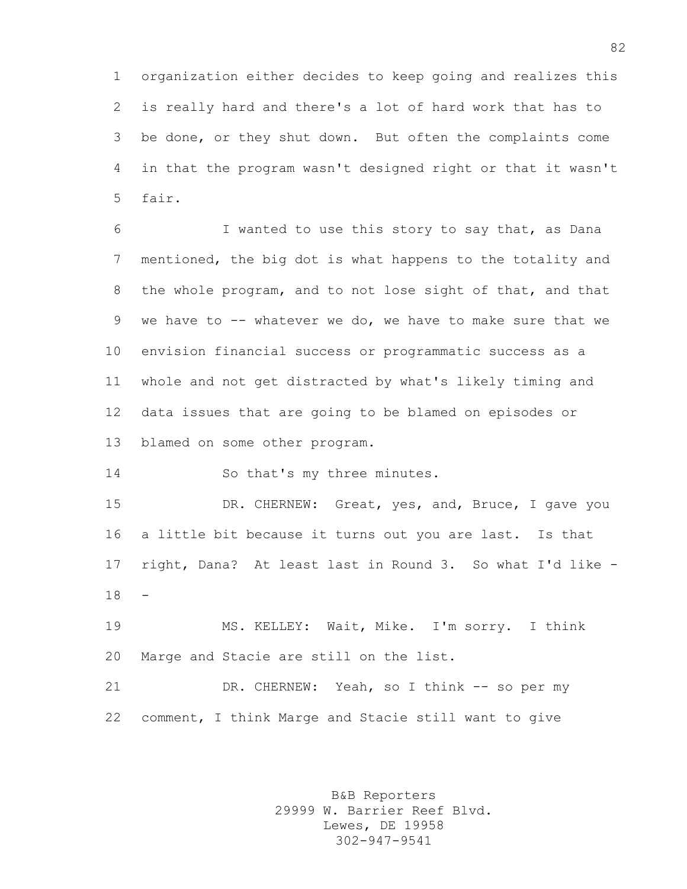organization either decides to keep going and realizes this is really hard and there's a lot of hard work that has to be done, or they shut down. But often the complaints come in that the program wasn't designed right or that it wasn't fair.

 I wanted to use this story to say that, as Dana mentioned, the big dot is what happens to the totality and the whole program, and to not lose sight of that, and that we have to -- whatever we do, we have to make sure that we envision financial success or programmatic success as a whole and not get distracted by what's likely timing and data issues that are going to be blamed on episodes or blamed on some other program.

14 So that's my three minutes.

 DR. CHERNEW: Great, yes, and, Bruce, I gave you a little bit because it turns out you are last. Is that right, Dana? At least last in Round 3. So what I'd like - -

 MS. KELLEY: Wait, Mike. I'm sorry. I think Marge and Stacie are still on the list.

21 DR. CHERNEW: Yeah, so I think -- so per my comment, I think Marge and Stacie still want to give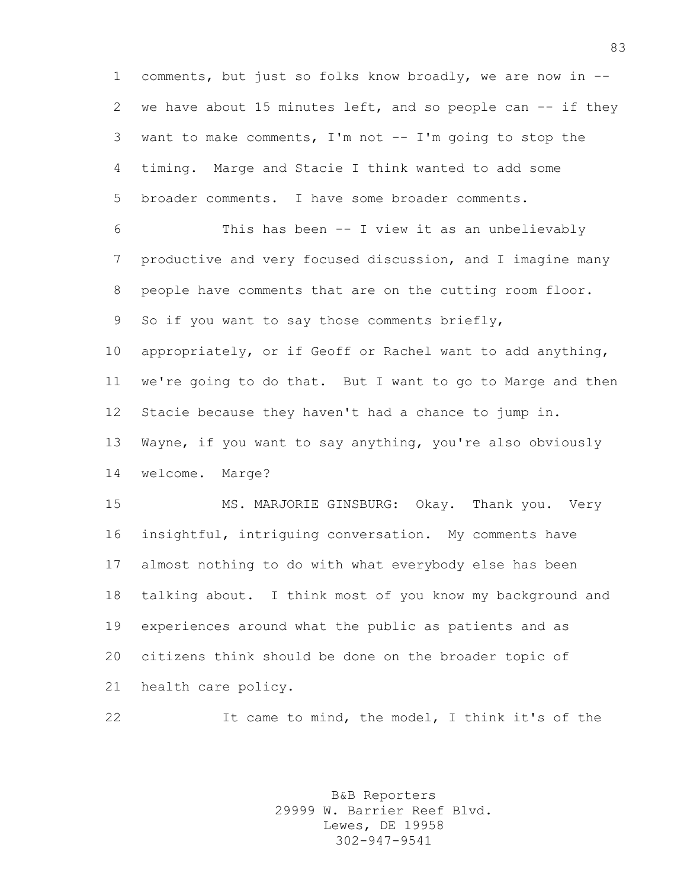comments, but just so folks know broadly, we are now in -- 2 we have about 15 minutes left, and so people can -- if they want to make comments, I'm not -- I'm going to stop the timing. Marge and Stacie I think wanted to add some broader comments. I have some broader comments.

 This has been -- I view it as an unbelievably productive and very focused discussion, and I imagine many people have comments that are on the cutting room floor. So if you want to say those comments briefly,

 appropriately, or if Geoff or Rachel want to add anything, we're going to do that. But I want to go to Marge and then Stacie because they haven't had a chance to jump in. Wayne, if you want to say anything, you're also obviously

welcome. Marge?

 MS. MARJORIE GINSBURG: Okay. Thank you. Very insightful, intriguing conversation. My comments have almost nothing to do with what everybody else has been talking about. I think most of you know my background and experiences around what the public as patients and as citizens think should be done on the broader topic of health care policy.

It came to mind, the model, I think it's of the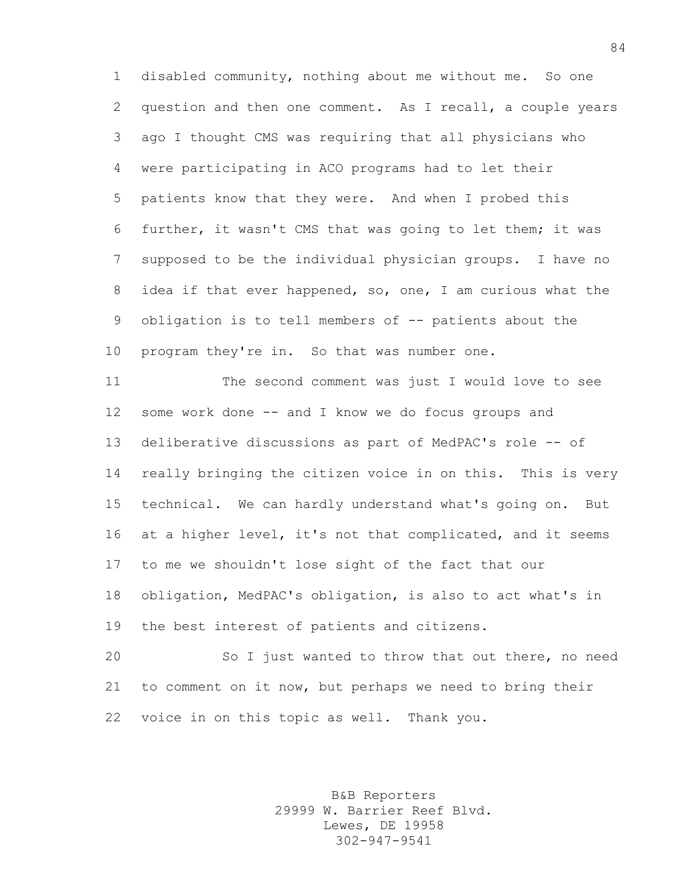disabled community, nothing about me without me. So one question and then one comment. As I recall, a couple years ago I thought CMS was requiring that all physicians who were participating in ACO programs had to let their patients know that they were. And when I probed this further, it wasn't CMS that was going to let them; it was supposed to be the individual physician groups. I have no idea if that ever happened, so, one, I am curious what the obligation is to tell members of -- patients about the program they're in. So that was number one.

 The second comment was just I would love to see some work done -- and I know we do focus groups and deliberative discussions as part of MedPAC's role -- of really bringing the citizen voice in on this. This is very technical. We can hardly understand what's going on. But at a higher level, it's not that complicated, and it seems to me we shouldn't lose sight of the fact that our obligation, MedPAC's obligation, is also to act what's in the best interest of patients and citizens.

 So I just wanted to throw that out there, no need to comment on it now, but perhaps we need to bring their voice in on this topic as well. Thank you.

> B&B Reporters 29999 W. Barrier Reef Blvd. Lewes, DE 19958 302-947-9541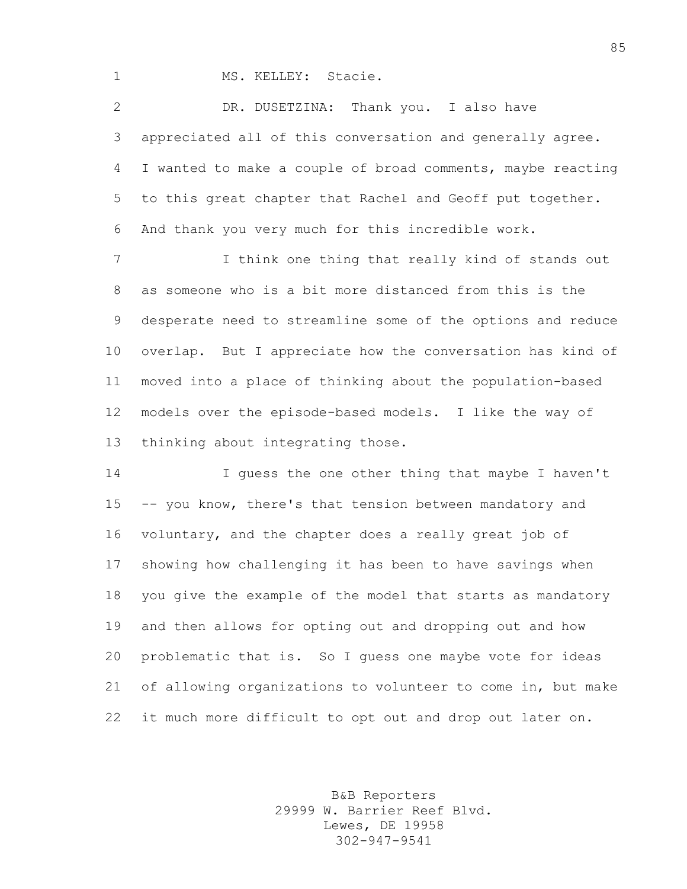1 MS. KELLEY: Stacie.

 DR. DUSETZINA: Thank you. I also have appreciated all of this conversation and generally agree. I wanted to make a couple of broad comments, maybe reacting to this great chapter that Rachel and Geoff put together. And thank you very much for this incredible work.

 I think one thing that really kind of stands out as someone who is a bit more distanced from this is the desperate need to streamline some of the options and reduce overlap. But I appreciate how the conversation has kind of moved into a place of thinking about the population-based models over the episode-based models. I like the way of thinking about integrating those.

 I guess the one other thing that maybe I haven't -- you know, there's that tension between mandatory and voluntary, and the chapter does a really great job of showing how challenging it has been to have savings when you give the example of the model that starts as mandatory and then allows for opting out and dropping out and how problematic that is. So I guess one maybe vote for ideas of allowing organizations to volunteer to come in, but make it much more difficult to opt out and drop out later on.

> B&B Reporters 29999 W. Barrier Reef Blvd. Lewes, DE 19958 302-947-9541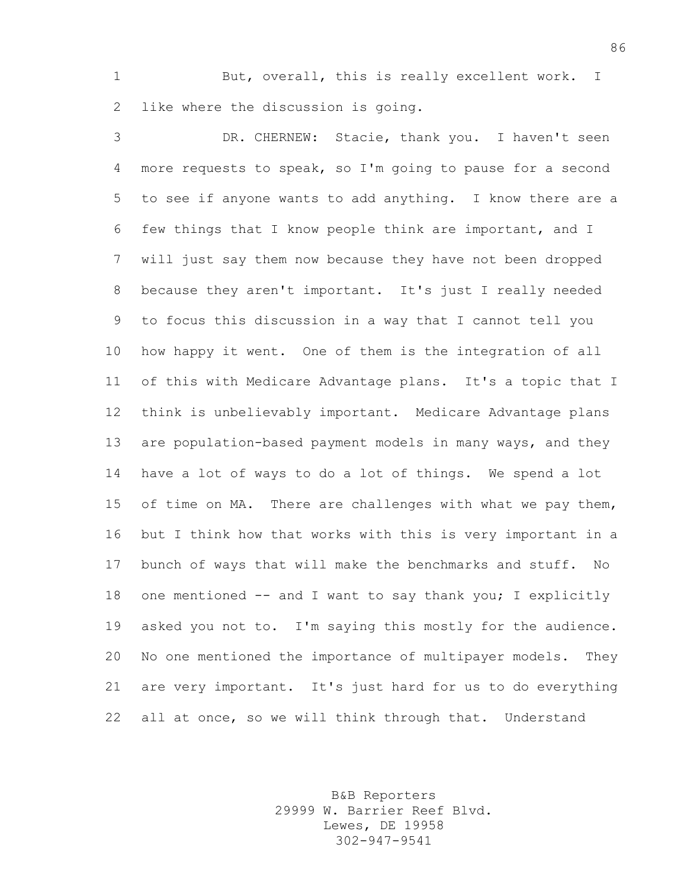But, overall, this is really excellent work. I like where the discussion is going.

 DR. CHERNEW: Stacie, thank you. I haven't seen more requests to speak, so I'm going to pause for a second to see if anyone wants to add anything. I know there are a few things that I know people think are important, and I will just say them now because they have not been dropped because they aren't important. It's just I really needed to focus this discussion in a way that I cannot tell you how happy it went. One of them is the integration of all of this with Medicare Advantage plans. It's a topic that I think is unbelievably important. Medicare Advantage plans are population-based payment models in many ways, and they have a lot of ways to do a lot of things. We spend a lot 15 of time on MA. There are challenges with what we pay them, but I think how that works with this is very important in a bunch of ways that will make the benchmarks and stuff. No 18 one mentioned -- and I want to say thank you; I explicitly asked you not to. I'm saying this mostly for the audience. No one mentioned the importance of multipayer models. They are very important. It's just hard for us to do everything all at once, so we will think through that. Understand

> B&B Reporters 29999 W. Barrier Reef Blvd. Lewes, DE 19958 302-947-9541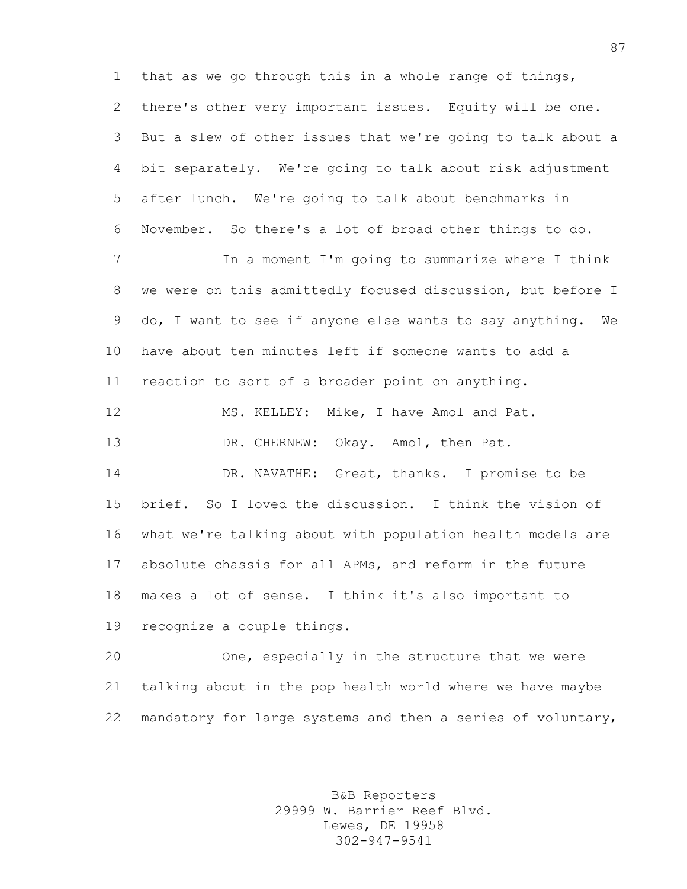that as we go through this in a whole range of things, there's other very important issues. Equity will be one. But a slew of other issues that we're going to talk about a bit separately. We're going to talk about risk adjustment after lunch. We're going to talk about benchmarks in November. So there's a lot of broad other things to do. In a moment I'm going to summarize where I think

 we were on this admittedly focused discussion, but before I do, I want to see if anyone else wants to say anything. We have about ten minutes left if someone wants to add a reaction to sort of a broader point on anything.

 MS. KELLEY: Mike, I have Amol and Pat. 13 DR. CHERNEW: Okay. Amol, then Pat.

 DR. NAVATHE: Great, thanks. I promise to be brief. So I loved the discussion. I think the vision of what we're talking about with population health models are absolute chassis for all APMs, and reform in the future makes a lot of sense. I think it's also important to recognize a couple things.

 One, especially in the structure that we were talking about in the pop health world where we have maybe mandatory for large systems and then a series of voluntary,

> B&B Reporters 29999 W. Barrier Reef Blvd. Lewes, DE 19958 302-947-9541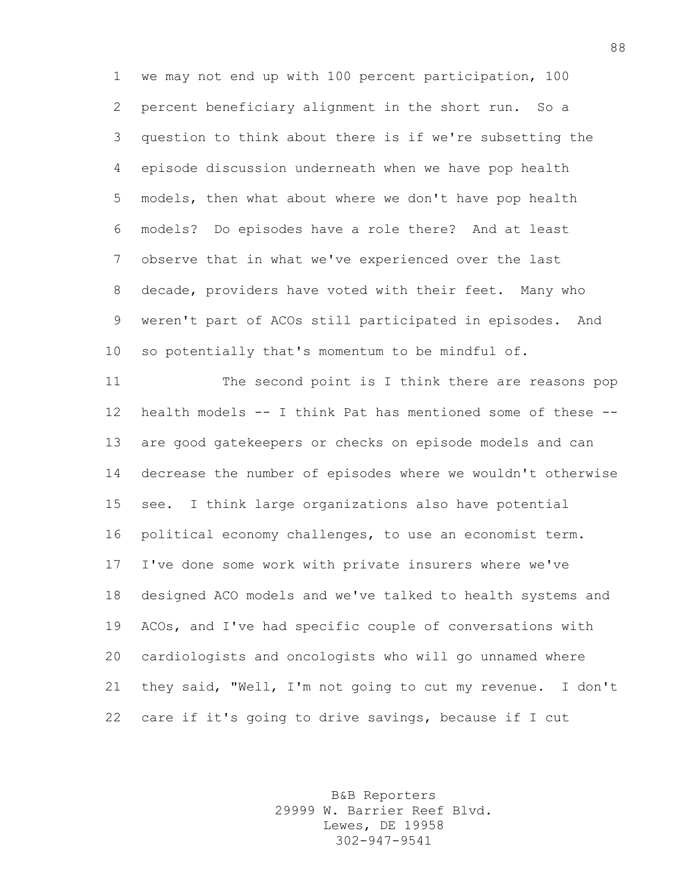we may not end up with 100 percent participation, 100 percent beneficiary alignment in the short run. So a question to think about there is if we're subsetting the episode discussion underneath when we have pop health models, then what about where we don't have pop health models? Do episodes have a role there? And at least observe that in what we've experienced over the last decade, providers have voted with their feet. Many who weren't part of ACOs still participated in episodes. And so potentially that's momentum to be mindful of.

 The second point is I think there are reasons pop health models -- I think Pat has mentioned some of these -- are good gatekeepers or checks on episode models and can decrease the number of episodes where we wouldn't otherwise see. I think large organizations also have potential political economy challenges, to use an economist term. I've done some work with private insurers where we've designed ACO models and we've talked to health systems and ACOs, and I've had specific couple of conversations with cardiologists and oncologists who will go unnamed where they said, "Well, I'm not going to cut my revenue. I don't care if it's going to drive savings, because if I cut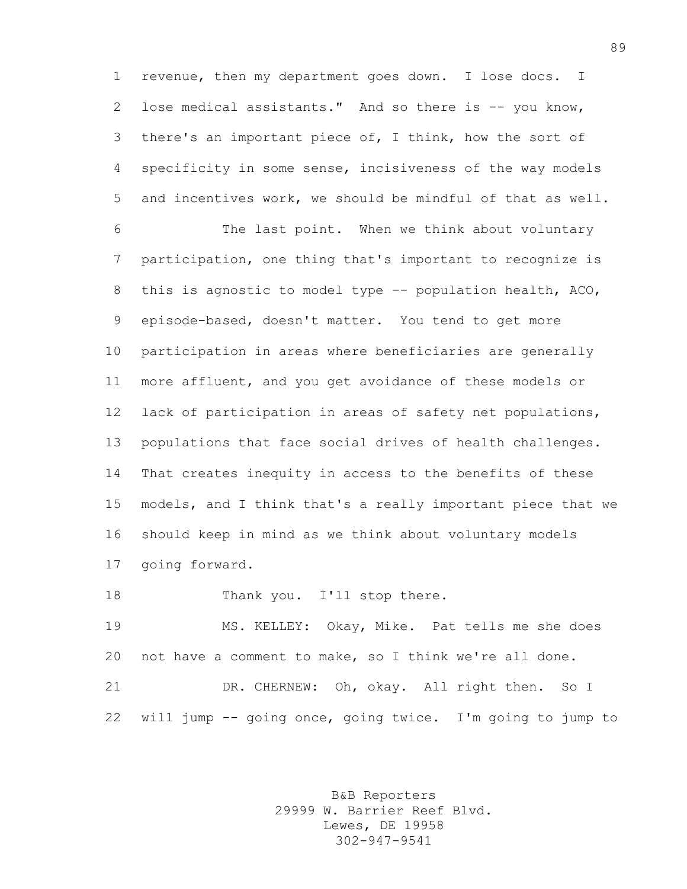revenue, then my department goes down. I lose docs. I lose medical assistants." And so there is -- you know, there's an important piece of, I think, how the sort of specificity in some sense, incisiveness of the way models and incentives work, we should be mindful of that as well.

 The last point. When we think about voluntary participation, one thing that's important to recognize is 8 this is agnostic to model type -- population health, ACO, episode-based, doesn't matter. You tend to get more participation in areas where beneficiaries are generally more affluent, and you get avoidance of these models or lack of participation in areas of safety net populations, populations that face social drives of health challenges. That creates inequity in access to the benefits of these models, and I think that's a really important piece that we should keep in mind as we think about voluntary models going forward.

18 Thank you. I'll stop there.

 MS. KELLEY: Okay, Mike. Pat tells me she does not have a comment to make, so I think we're all done. DR. CHERNEW: Oh, okay. All right then. So I will jump -- going once, going twice. I'm going to jump to

> B&B Reporters 29999 W. Barrier Reef Blvd. Lewes, DE 19958 302-947-9541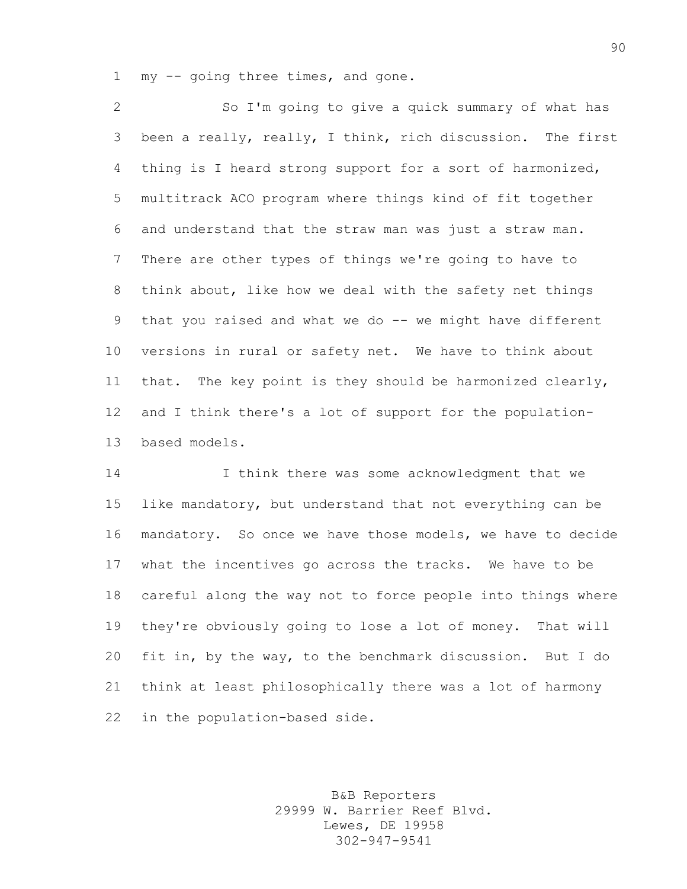my -- going three times, and gone.

 So I'm going to give a quick summary of what has been a really, really, I think, rich discussion. The first thing is I heard strong support for a sort of harmonized, multitrack ACO program where things kind of fit together and understand that the straw man was just a straw man. There are other types of things we're going to have to think about, like how we deal with the safety net things 9 that you raised and what we do -- we might have different versions in rural or safety net. We have to think about that. The key point is they should be harmonized clearly, and I think there's a lot of support for the population-based models.

 I think there was some acknowledgment that we like mandatory, but understand that not everything can be mandatory. So once we have those models, we have to decide what the incentives go across the tracks. We have to be careful along the way not to force people into things where they're obviously going to lose a lot of money. That will fit in, by the way, to the benchmark discussion. But I do think at least philosophically there was a lot of harmony in the population-based side.

> B&B Reporters 29999 W. Barrier Reef Blvd. Lewes, DE 19958 302-947-9541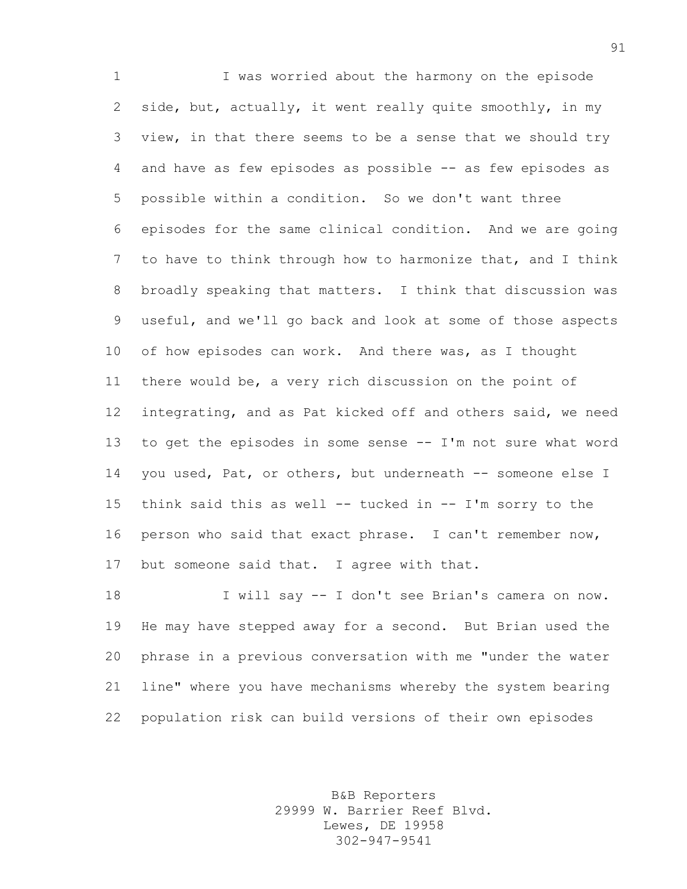I was worried about the harmony on the episode side, but, actually, it went really quite smoothly, in my view, in that there seems to be a sense that we should try and have as few episodes as possible -- as few episodes as possible within a condition. So we don't want three episodes for the same clinical condition. And we are going to have to think through how to harmonize that, and I think broadly speaking that matters. I think that discussion was useful, and we'll go back and look at some of those aspects of how episodes can work. And there was, as I thought there would be, a very rich discussion on the point of integrating, and as Pat kicked off and others said, we need to get the episodes in some sense -- I'm not sure what word you used, Pat, or others, but underneath -- someone else I 15 think said this as well  $--$  tucked in  $--$  I'm sorry to the person who said that exact phrase. I can't remember now, but someone said that. I agree with that.

 I will say -- I don't see Brian's camera on now. He may have stepped away for a second. But Brian used the phrase in a previous conversation with me "under the water line" where you have mechanisms whereby the system bearing population risk can build versions of their own episodes

> B&B Reporters 29999 W. Barrier Reef Blvd. Lewes, DE 19958 302-947-9541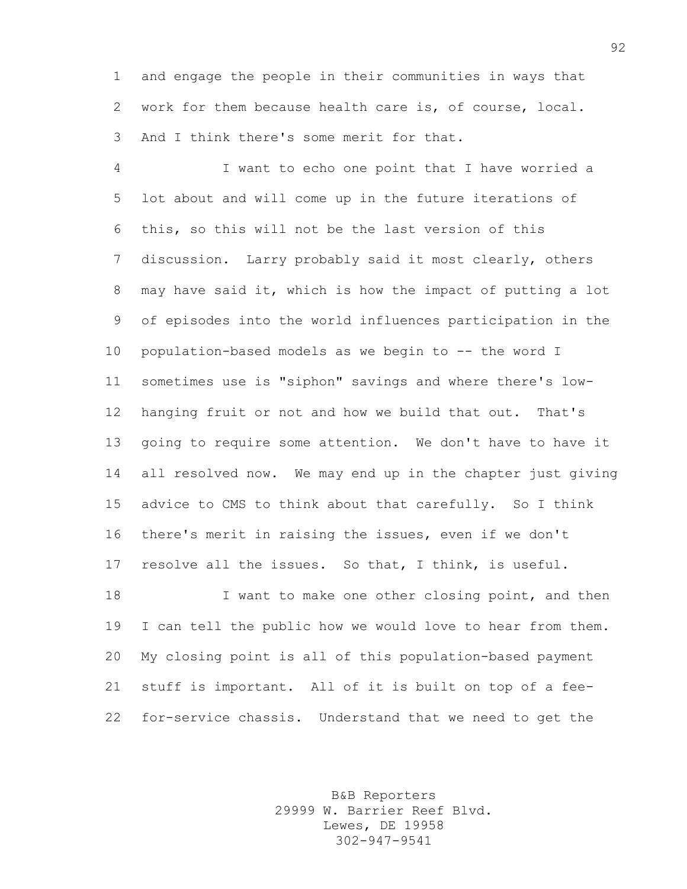and engage the people in their communities in ways that work for them because health care is, of course, local. And I think there's some merit for that.

 I want to echo one point that I have worried a lot about and will come up in the future iterations of this, so this will not be the last version of this discussion. Larry probably said it most clearly, others may have said it, which is how the impact of putting a lot of episodes into the world influences participation in the population-based models as we begin to -- the word I sometimes use is "siphon" savings and where there's low- hanging fruit or not and how we build that out. That's going to require some attention. We don't have to have it all resolved now. We may end up in the chapter just giving advice to CMS to think about that carefully. So I think there's merit in raising the issues, even if we don't resolve all the issues. So that, I think, is useful. 18 I want to make one other closing point, and then

 I can tell the public how we would love to hear from them. My closing point is all of this population-based payment stuff is important. All of it is built on top of a fee-for-service chassis. Understand that we need to get the

> B&B Reporters 29999 W. Barrier Reef Blvd. Lewes, DE 19958 302-947-9541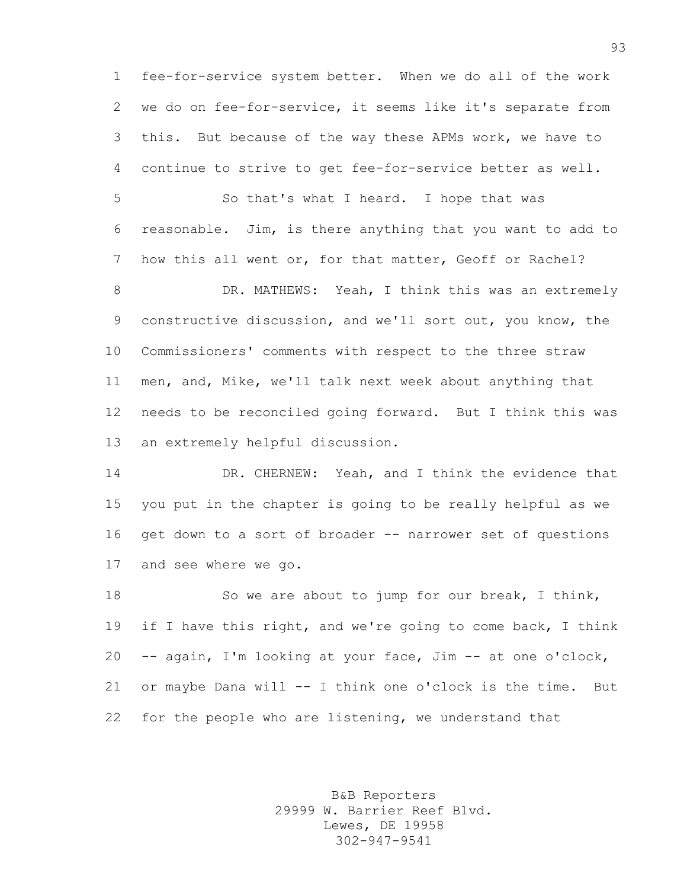fee-for-service system better. When we do all of the work we do on fee-for-service, it seems like it's separate from this. But because of the way these APMs work, we have to continue to strive to get fee-for-service better as well.

5 So that's what I heard. I hope that was reasonable. Jim, is there anything that you want to add to how this all went or, for that matter, Geoff or Rachel?

8 DR. MATHEWS: Yeah, I think this was an extremely constructive discussion, and we'll sort out, you know, the Commissioners' comments with respect to the three straw men, and, Mike, we'll talk next week about anything that needs to be reconciled going forward. But I think this was an extremely helpful discussion.

 DR. CHERNEW: Yeah, and I think the evidence that you put in the chapter is going to be really helpful as we get down to a sort of broader -- narrower set of questions and see where we go.

 So we are about to jump for our break, I think, 19 if I have this right, and we're going to come back, I think -- again, I'm looking at your face, Jim -- at one o'clock, or maybe Dana will -- I think one o'clock is the time. But for the people who are listening, we understand that

> B&B Reporters 29999 W. Barrier Reef Blvd. Lewes, DE 19958 302-947-9541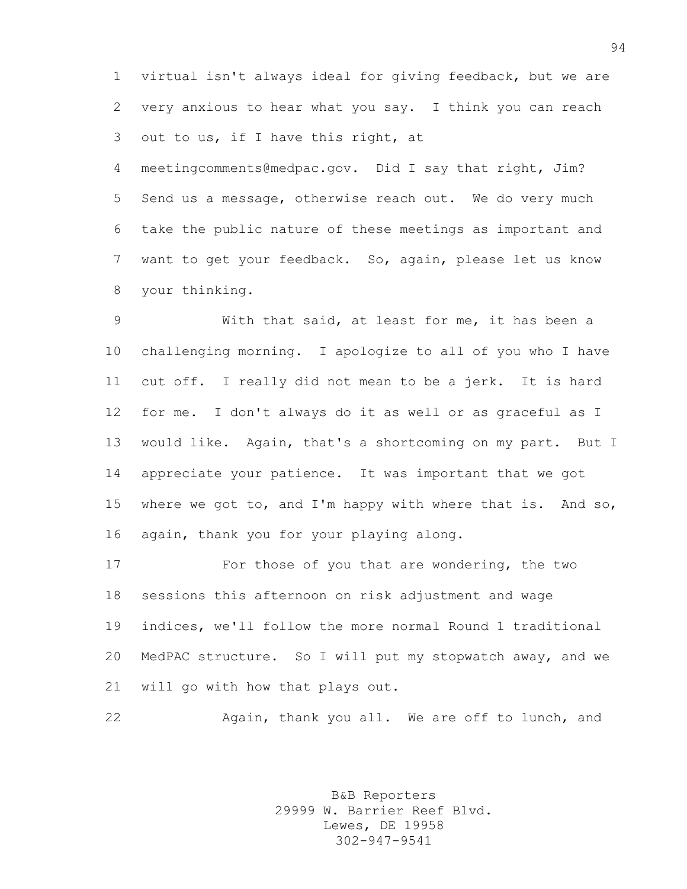virtual isn't always ideal for giving feedback, but we are very anxious to hear what you say. I think you can reach out to us, if I have this right, at

 meetingcomments@medpac.gov. Did I say that right, Jim? Send us a message, otherwise reach out. We do very much take the public nature of these meetings as important and want to get your feedback. So, again, please let us know your thinking.

 With that said, at least for me, it has been a challenging morning. I apologize to all of you who I have cut off. I really did not mean to be a jerk. It is hard for me. I don't always do it as well or as graceful as I would like. Again, that's a shortcoming on my part. But I appreciate your patience. It was important that we got where we got to, and I'm happy with where that is. And so, again, thank you for your playing along.

 For those of you that are wondering, the two sessions this afternoon on risk adjustment and wage indices, we'll follow the more normal Round 1 traditional MedPAC structure. So I will put my stopwatch away, and we will go with how that plays out.

22 Again, thank you all. We are off to lunch, and

B&B Reporters 29999 W. Barrier Reef Blvd. Lewes, DE 19958 302-947-9541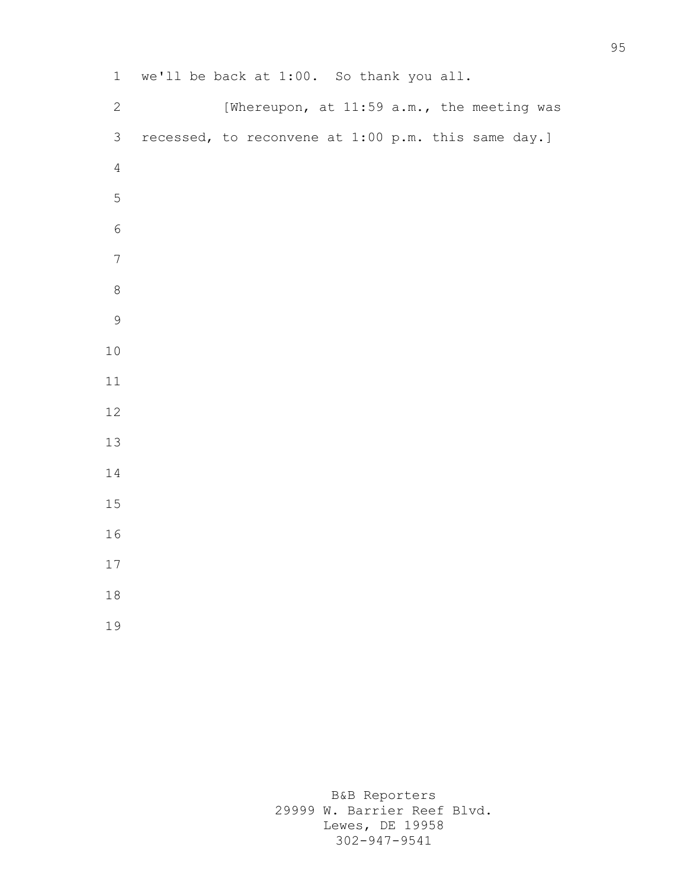| $\mathbf 1$    | we'll be back at 1:00. So thank you all.            |
|----------------|-----------------------------------------------------|
| $\sqrt{2}$     | [Whereupon, at 11:59 a.m., the meeting was          |
| $\mathsf 3$    | recessed, to reconvene at 1:00 p.m. this same day.] |
| $\overline{4}$ |                                                     |
| 5              |                                                     |
| $\epsilon$     |                                                     |
| $\overline{7}$ |                                                     |
| $\,8\,$        |                                                     |
| 9              |                                                     |
| $10$           |                                                     |
| $11\,$         |                                                     |
| $12$           |                                                     |
| 13             |                                                     |
| $14\,$         |                                                     |
| $15\,$         |                                                     |
| 16             |                                                     |
| $17\,$         |                                                     |
| $1\,8$         |                                                     |
| 19             |                                                     |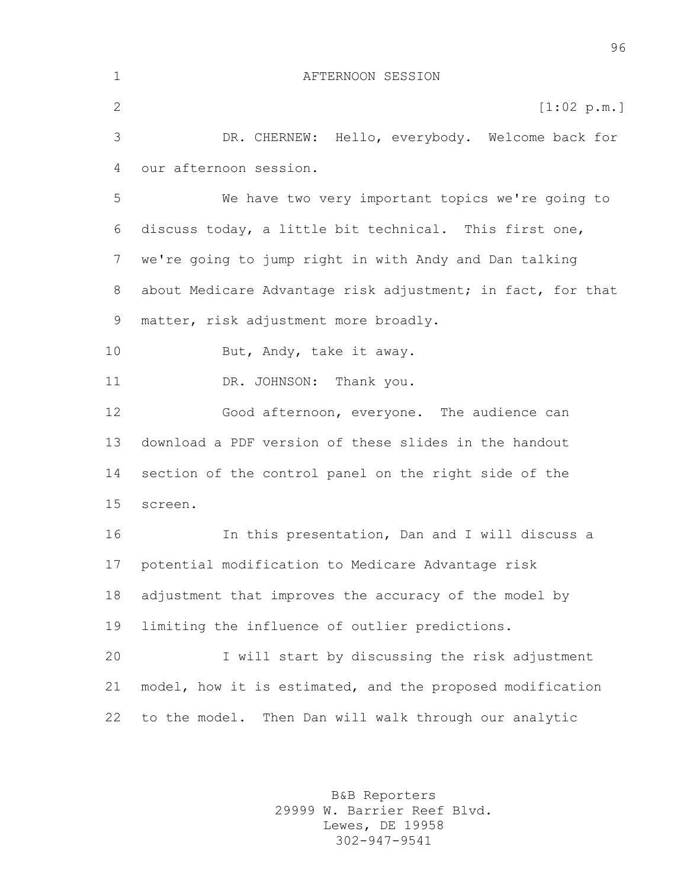1 AFTERNOON SESSION 2 [1:02 p.m.] DR. CHERNEW: Hello, everybody. Welcome back for our afternoon session. We have two very important topics we're going to discuss today, a little bit technical. This first one, we're going to jump right in with Andy and Dan talking about Medicare Advantage risk adjustment; in fact, for that matter, risk adjustment more broadly. 10 But, Andy, take it away. 11 DR. JOHNSON: Thank you. Good afternoon, everyone. The audience can download a PDF version of these slides in the handout section of the control panel on the right side of the screen. In this presentation, Dan and I will discuss a potential modification to Medicare Advantage risk adjustment that improves the accuracy of the model by limiting the influence of outlier predictions. I will start by discussing the risk adjustment model, how it is estimated, and the proposed modification to the model. Then Dan will walk through our analytic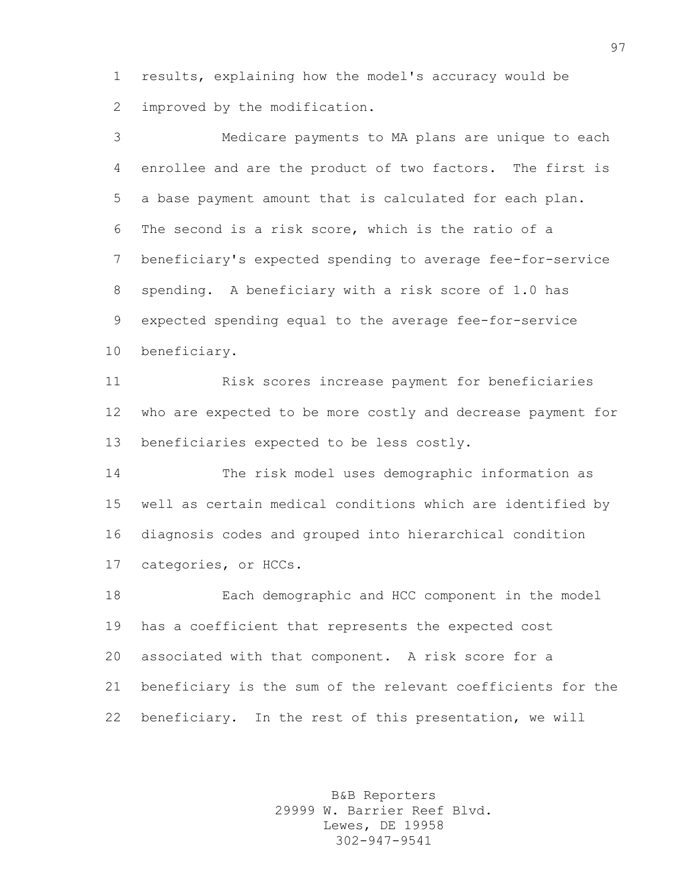results, explaining how the model's accuracy would be improved by the modification.

 Medicare payments to MA plans are unique to each enrollee and are the product of two factors. The first is a base payment amount that is calculated for each plan. The second is a risk score, which is the ratio of a beneficiary's expected spending to average fee-for-service spending. A beneficiary with a risk score of 1.0 has expected spending equal to the average fee-for-service beneficiary.

 Risk scores increase payment for beneficiaries who are expected to be more costly and decrease payment for beneficiaries expected to be less costly.

 The risk model uses demographic information as well as certain medical conditions which are identified by diagnosis codes and grouped into hierarchical condition categories, or HCCs.

 Each demographic and HCC component in the model has a coefficient that represents the expected cost associated with that component. A risk score for a beneficiary is the sum of the relevant coefficients for the beneficiary. In the rest of this presentation, we will

> B&B Reporters 29999 W. Barrier Reef Blvd. Lewes, DE 19958 302-947-9541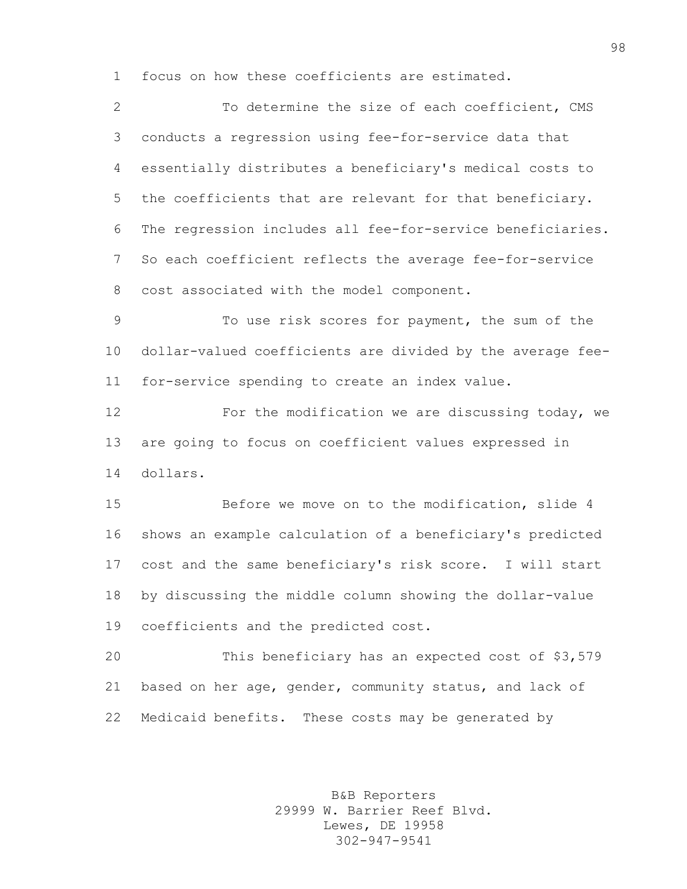focus on how these coefficients are estimated.

| $\mathcal{L}$ | To determine the size of each coefficient, CMS             |
|---------------|------------------------------------------------------------|
| $\mathcal{S}$ | conducts a regression using fee-for-service data that      |
| 4             | essentially distributes a beneficiary's medical costs to   |
| .5            | the coefficients that are relevant for that beneficiary.   |
| 6             | The regression includes all fee-for-service beneficiaries. |
| 7             | So each coefficient reflects the average fee-for-service   |
| 8             | cost associated with the model component.                  |

 To use risk scores for payment, the sum of the dollar-valued coefficients are divided by the average fee-for-service spending to create an index value.

 For the modification we are discussing today, we are going to focus on coefficient values expressed in dollars.

 Before we move on to the modification, slide 4 shows an example calculation of a beneficiary's predicted cost and the same beneficiary's risk score. I will start by discussing the middle column showing the dollar-value coefficients and the predicted cost.

 This beneficiary has an expected cost of \$3,579 based on her age, gender, community status, and lack of Medicaid benefits. These costs may be generated by

> B&B Reporters 29999 W. Barrier Reef Blvd. Lewes, DE 19958 302-947-9541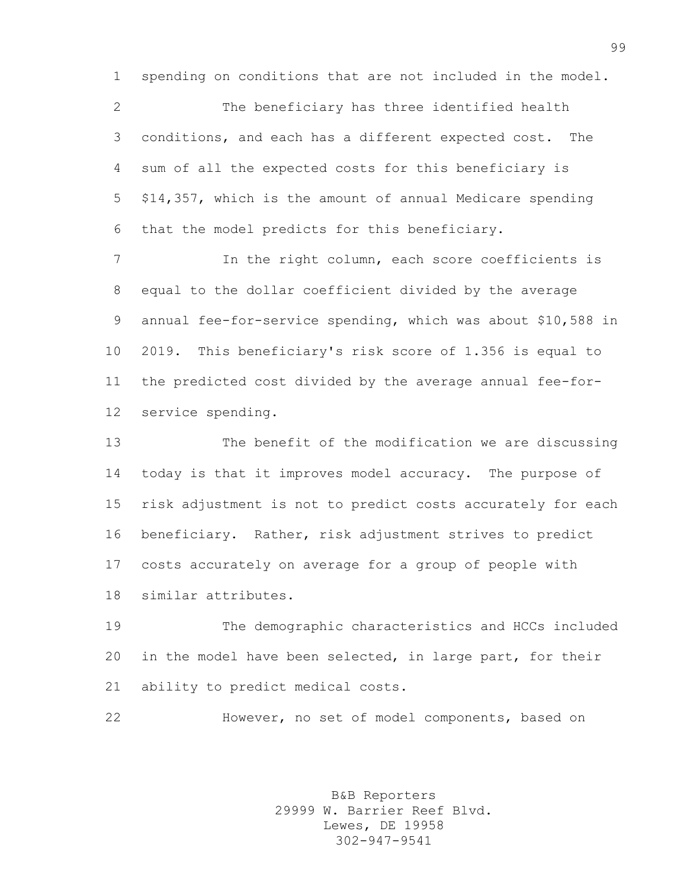spending on conditions that are not included in the model.

 The beneficiary has three identified health conditions, and each has a different expected cost. The sum of all the expected costs for this beneficiary is \$14,357, which is the amount of annual Medicare spending that the model predicts for this beneficiary.

 In the right column, each score coefficients is equal to the dollar coefficient divided by the average annual fee-for-service spending, which was about \$10,588 in 2019. This beneficiary's risk score of 1.356 is equal to the predicted cost divided by the average annual fee-for-service spending.

 The benefit of the modification we are discussing today is that it improves model accuracy. The purpose of risk adjustment is not to predict costs accurately for each beneficiary. Rather, risk adjustment strives to predict costs accurately on average for a group of people with similar attributes.

 The demographic characteristics and HCCs included in the model have been selected, in large part, for their ability to predict medical costs.

However, no set of model components, based on

B&B Reporters 29999 W. Barrier Reef Blvd. Lewes, DE 19958 302-947-9541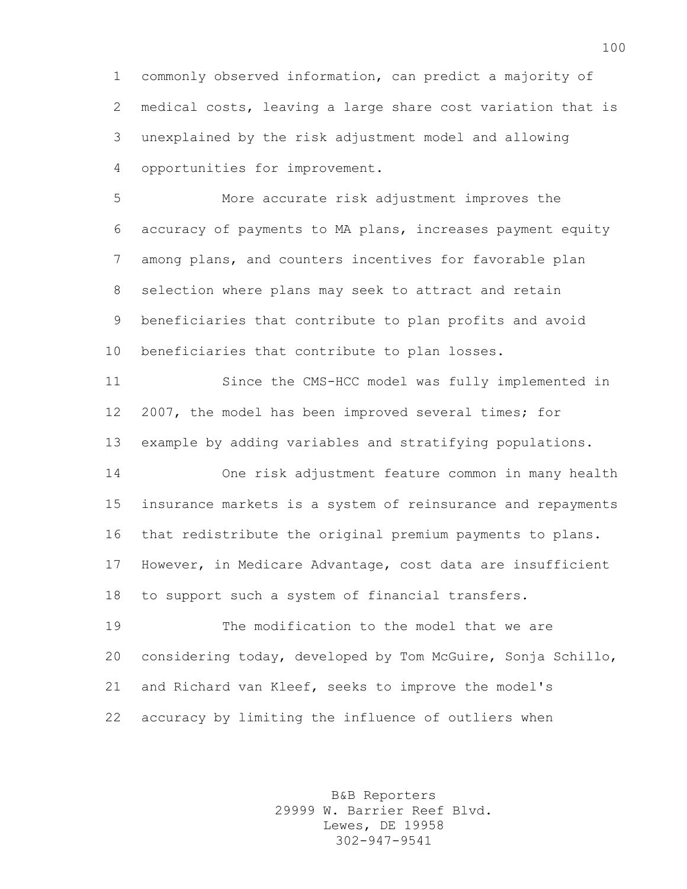commonly observed information, can predict a majority of medical costs, leaving a large share cost variation that is unexplained by the risk adjustment model and allowing opportunities for improvement.

 More accurate risk adjustment improves the accuracy of payments to MA plans, increases payment equity among plans, and counters incentives for favorable plan selection where plans may seek to attract and retain beneficiaries that contribute to plan profits and avoid beneficiaries that contribute to plan losses.

 Since the CMS-HCC model was fully implemented in 2007, the model has been improved several times; for example by adding variables and stratifying populations.

 One risk adjustment feature common in many health insurance markets is a system of reinsurance and repayments that redistribute the original premium payments to plans. However, in Medicare Advantage, cost data are insufficient to support such a system of financial transfers.

 The modification to the model that we are considering today, developed by Tom McGuire, Sonja Schillo, and Richard van Kleef, seeks to improve the model's accuracy by limiting the influence of outliers when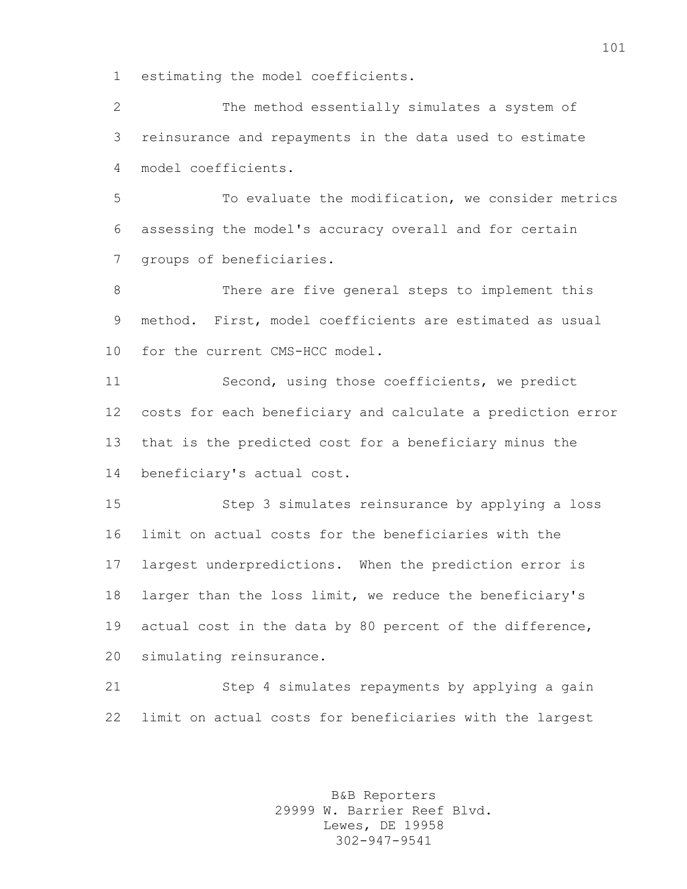estimating the model coefficients.

 The method essentially simulates a system of reinsurance and repayments in the data used to estimate model coefficients.

 To evaluate the modification, we consider metrics assessing the model's accuracy overall and for certain groups of beneficiaries.

 There are five general steps to implement this method. First, model coefficients are estimated as usual for the current CMS-HCC model.

 Second, using those coefficients, we predict costs for each beneficiary and calculate a prediction error that is the predicted cost for a beneficiary minus the beneficiary's actual cost.

 Step 3 simulates reinsurance by applying a loss limit on actual costs for the beneficiaries with the largest underpredictions. When the prediction error is larger than the loss limit, we reduce the beneficiary's actual cost in the data by 80 percent of the difference, simulating reinsurance.

 Step 4 simulates repayments by applying a gain limit on actual costs for beneficiaries with the largest

> B&B Reporters 29999 W. Barrier Reef Blvd. Lewes, DE 19958 302-947-9541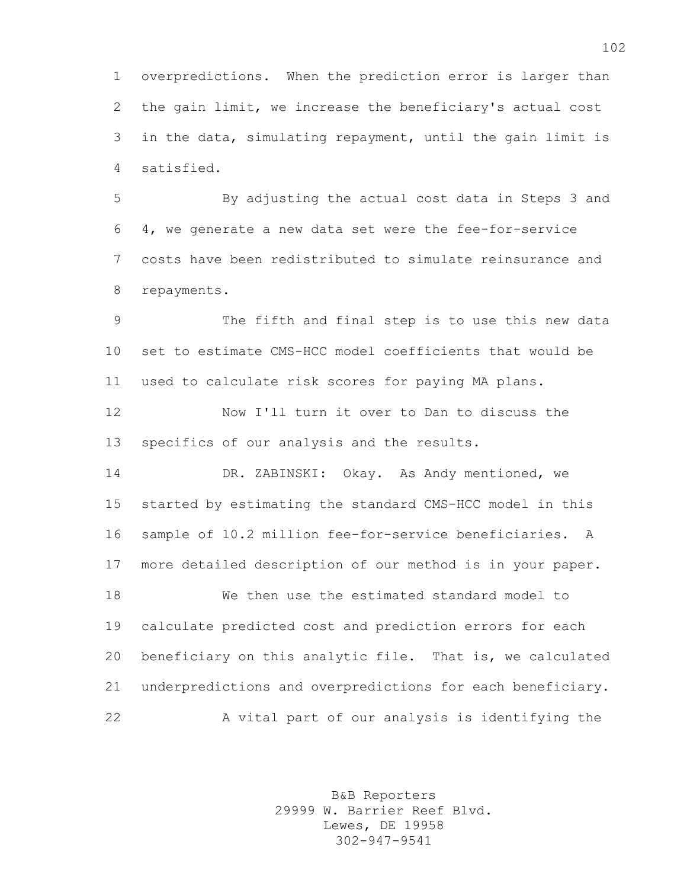overpredictions. When the prediction error is larger than the gain limit, we increase the beneficiary's actual cost in the data, simulating repayment, until the gain limit is satisfied.

 By adjusting the actual cost data in Steps 3 and 4, we generate a new data set were the fee-for-service costs have been redistributed to simulate reinsurance and repayments.

 The fifth and final step is to use this new data set to estimate CMS-HCC model coefficients that would be used to calculate risk scores for paying MA plans.

 Now I'll turn it over to Dan to discuss the specifics of our analysis and the results.

14 DR. ZABINSKI: Okay. As Andy mentioned, we started by estimating the standard CMS-HCC model in this sample of 10.2 million fee-for-service beneficiaries. A more detailed description of our method is in your paper. We then use the estimated standard model to calculate predicted cost and prediction errors for each beneficiary on this analytic file. That is, we calculated

A vital part of our analysis is identifying the

underpredictions and overpredictions for each beneficiary.

B&B Reporters 29999 W. Barrier Reef Blvd. Lewes, DE 19958 302-947-9541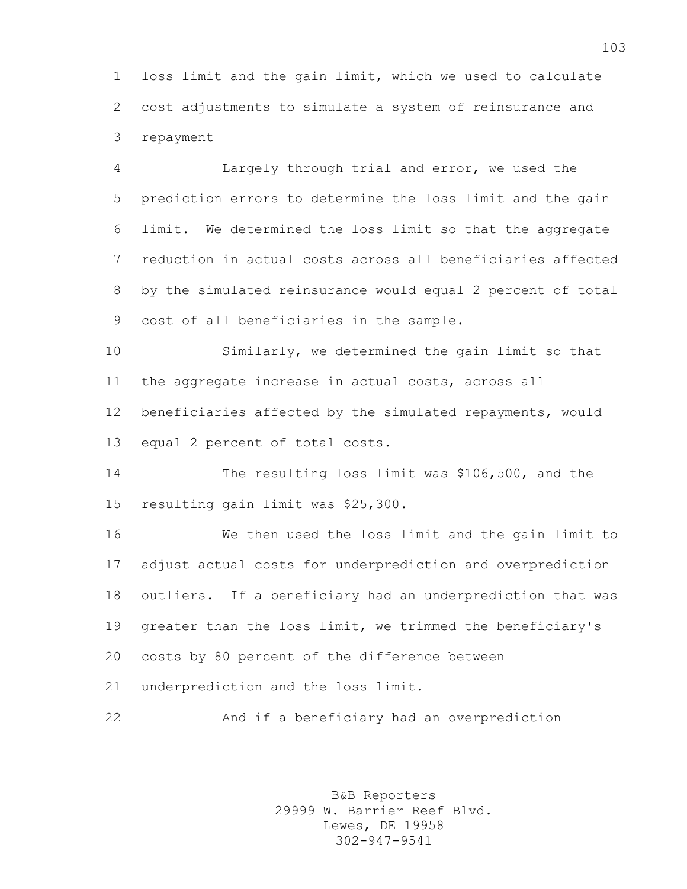loss limit and the gain limit, which we used to calculate cost adjustments to simulate a system of reinsurance and repayment

 Largely through trial and error, we used the prediction errors to determine the loss limit and the gain limit. We determined the loss limit so that the aggregate reduction in actual costs across all beneficiaries affected by the simulated reinsurance would equal 2 percent of total cost of all beneficiaries in the sample.

 Similarly, we determined the gain limit so that the aggregate increase in actual costs, across all

beneficiaries affected by the simulated repayments, would

equal 2 percent of total costs.

 The resulting loss limit was \$106,500, and the resulting gain limit was \$25,300.

 We then used the loss limit and the gain limit to adjust actual costs for underprediction and overprediction outliers. If a beneficiary had an underprediction that was greater than the loss limit, we trimmed the beneficiary's costs by 80 percent of the difference between underprediction and the loss limit.

And if a beneficiary had an overprediction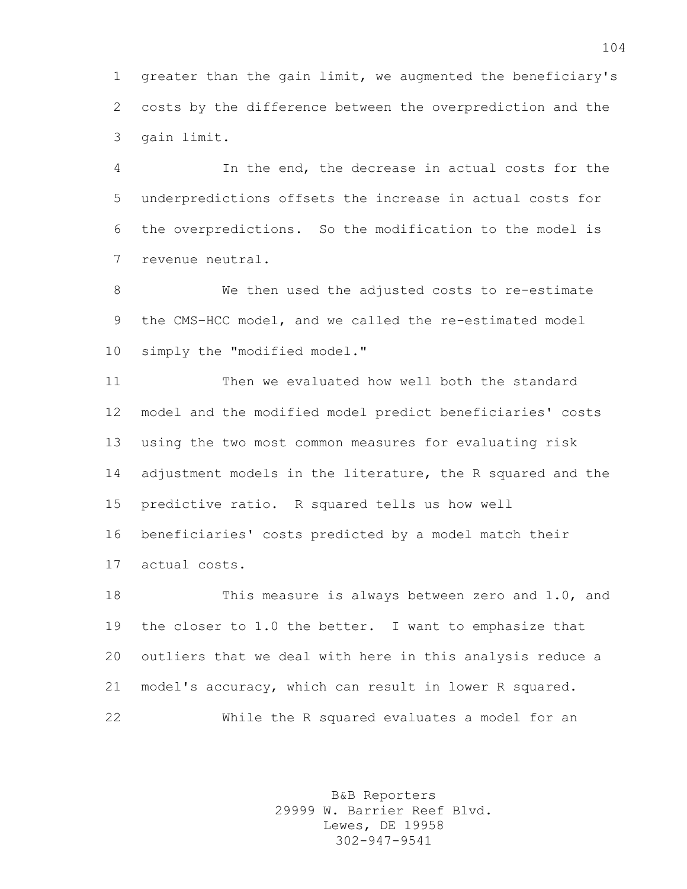greater than the gain limit, we augmented the beneficiary's costs by the difference between the overprediction and the gain limit.

 In the end, the decrease in actual costs for the underpredictions offsets the increase in actual costs for the overpredictions. So the modification to the model is revenue neutral.

 We then used the adjusted costs to re-estimate the CMS–HCC model, and we called the re-estimated model simply the "modified model."

 Then we evaluated how well both the standard model and the modified model predict beneficiaries' costs using the two most common measures for evaluating risk 14 adjustment models in the literature, the R squared and the predictive ratio. R squared tells us how well beneficiaries' costs predicted by a model match their actual costs.

 This measure is always between zero and 1.0, and the closer to 1.0 the better. I want to emphasize that outliers that we deal with here in this analysis reduce a model's accuracy, which can result in lower R squared. While the R squared evaluates a model for an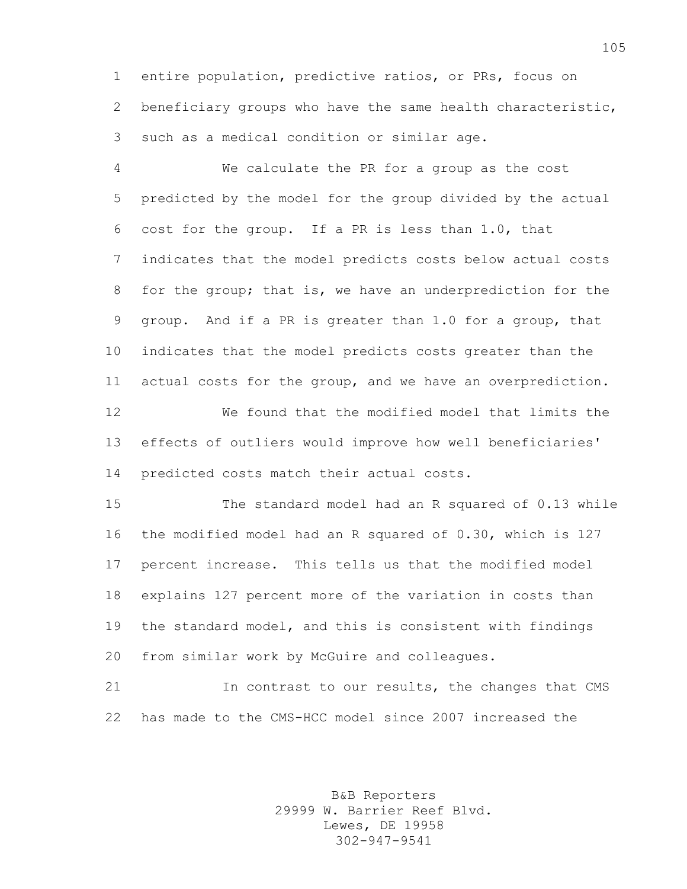entire population, predictive ratios, or PRs, focus on beneficiary groups who have the same health characteristic, such as a medical condition or similar age.

 We calculate the PR for a group as the cost predicted by the model for the group divided by the actual cost for the group. If a PR is less than 1.0, that indicates that the model predicts costs below actual costs for the group; that is, we have an underprediction for the group. And if a PR is greater than 1.0 for a group, that indicates that the model predicts costs greater than the actual costs for the group, and we have an overprediction. We found that the modified model that limits the

 effects of outliers would improve how well beneficiaries' predicted costs match their actual costs.

 The standard model had an R squared of 0.13 while the modified model had an R squared of 0.30, which is 127 percent increase. This tells us that the modified model explains 127 percent more of the variation in costs than the standard model, and this is consistent with findings from similar work by McGuire and colleagues.

 In contrast to our results, the changes that CMS has made to the CMS-HCC model since 2007 increased the

> B&B Reporters 29999 W. Barrier Reef Blvd. Lewes, DE 19958 302-947-9541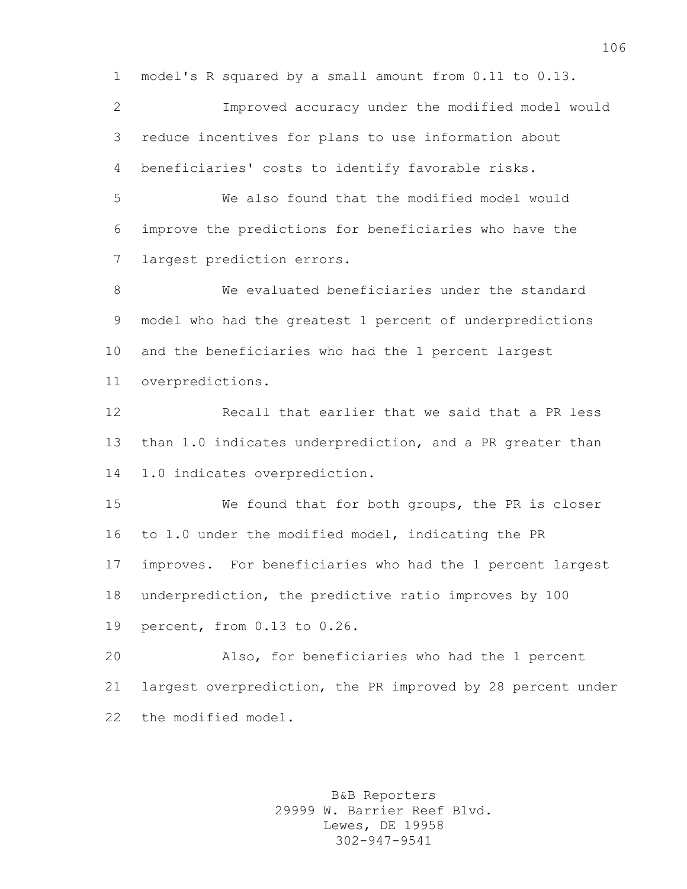model's R squared by a small amount from 0.11 to 0.13.

 Improved accuracy under the modified model would reduce incentives for plans to use information about beneficiaries' costs to identify favorable risks.

 We also found that the modified model would improve the predictions for beneficiaries who have the largest prediction errors.

 We evaluated beneficiaries under the standard model who had the greatest 1 percent of underpredictions and the beneficiaries who had the 1 percent largest overpredictions.

 Recall that earlier that we said that a PR less than 1.0 indicates underprediction, and a PR greater than 1.0 indicates overprediction.

 We found that for both groups, the PR is closer to 1.0 under the modified model, indicating the PR improves. For beneficiaries who had the 1 percent largest underprediction, the predictive ratio improves by 100 percent, from 0.13 to 0.26.

 Also, for beneficiaries who had the 1 percent largest overprediction, the PR improved by 28 percent under the modified model.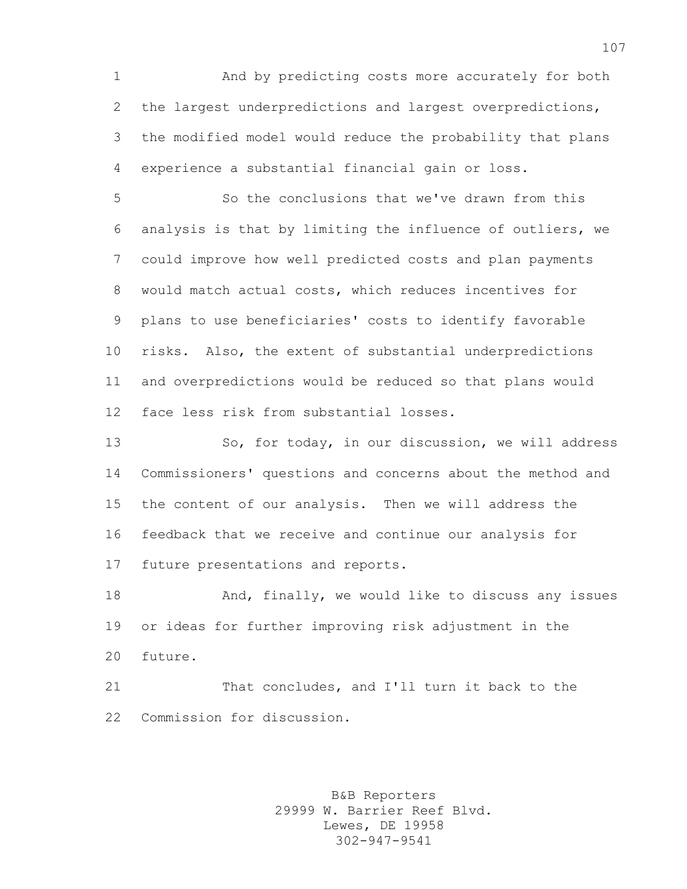And by predicting costs more accurately for both the largest underpredictions and largest overpredictions, the modified model would reduce the probability that plans experience a substantial financial gain or loss.

 So the conclusions that we've drawn from this analysis is that by limiting the influence of outliers, we could improve how well predicted costs and plan payments would match actual costs, which reduces incentives for plans to use beneficiaries' costs to identify favorable risks. Also, the extent of substantial underpredictions and overpredictions would be reduced so that plans would face less risk from substantial losses.

13 So, for today, in our discussion, we will address Commissioners' questions and concerns about the method and the content of our analysis. Then we will address the feedback that we receive and continue our analysis for future presentations and reports.

 And, finally, we would like to discuss any issues or ideas for further improving risk adjustment in the future.

21 That concludes, and I'll turn it back to the Commission for discussion.

> B&B Reporters 29999 W. Barrier Reef Blvd. Lewes, DE 19958 302-947-9541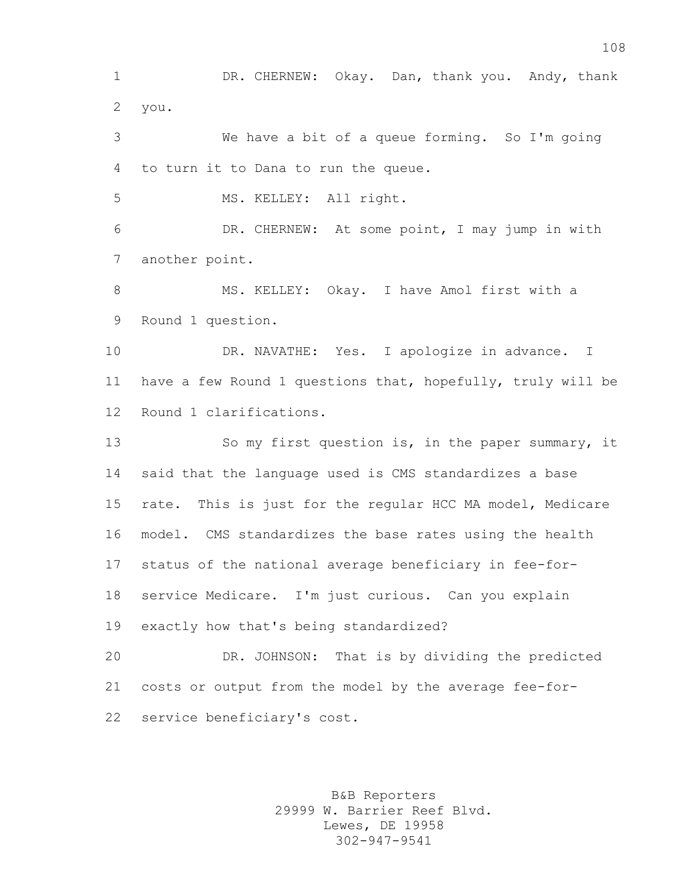1 DR. CHERNEW: Okay. Dan, thank you. Andy, thank you.

 We have a bit of a queue forming. So I'm going to turn it to Dana to run the queue.

MS. KELLEY: All right.

 DR. CHERNEW: At some point, I may jump in with another point.

8 MS. KELLEY: Okay. I have Amol first with a Round 1 question.

 DR. NAVATHE: Yes. I apologize in advance. I have a few Round 1 questions that, hopefully, truly will be Round 1 clarifications.

13 So my first question is, in the paper summary, it said that the language used is CMS standardizes a base rate. This is just for the regular HCC MA model, Medicare model. CMS standardizes the base rates using the health status of the national average beneficiary in fee-for- service Medicare. I'm just curious. Can you explain exactly how that's being standardized?

 DR. JOHNSON: That is by dividing the predicted costs or output from the model by the average fee-for-service beneficiary's cost.

> B&B Reporters 29999 W. Barrier Reef Blvd. Lewes, DE 19958 302-947-9541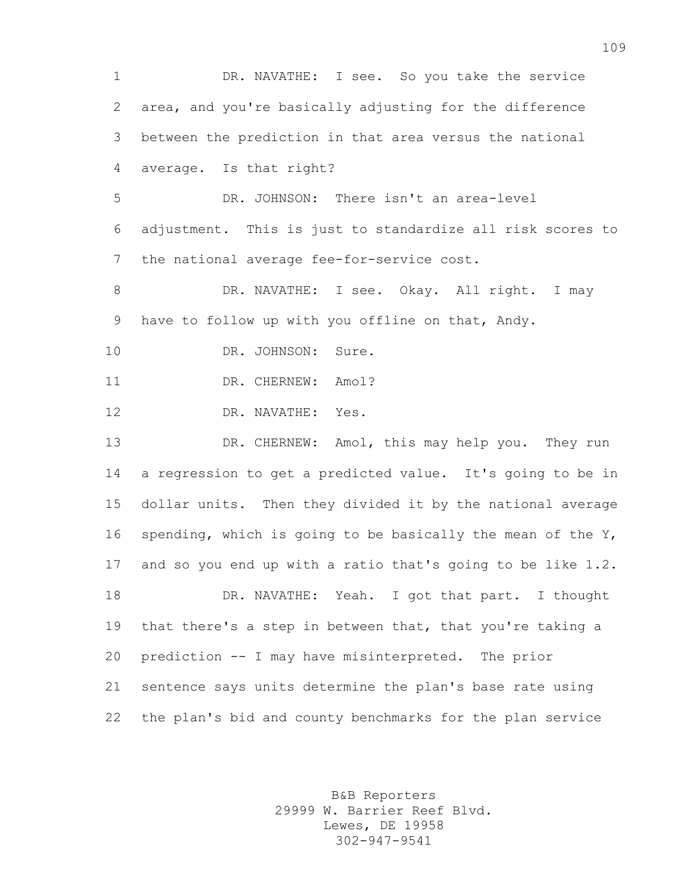DR. NAVATHE: I see. So you take the service area, and you're basically adjusting for the difference between the prediction in that area versus the national average. Is that right?

 DR. JOHNSON: There isn't an area-level adjustment. This is just to standardize all risk scores to the national average fee-for-service cost.

8 DR. NAVATHE: I see. Okay. All right. I may have to follow up with you offline on that, Andy.

10 DR. JOHNSON: Sure.

11 DR. CHERNEW: Amol?

12 DR. NAVATHE: Yes.

 DR. CHERNEW: Amol, this may help you. They run a regression to get a predicted value. It's going to be in dollar units. Then they divided it by the national average 16 spending, which is going to be basically the mean of the  $Y$ , and so you end up with a ratio that's going to be like 1.2. DR. NAVATHE: Yeah. I got that part. I thought that there's a step in between that, that you're taking a prediction -- I may have misinterpreted. The prior sentence says units determine the plan's base rate using the plan's bid and county benchmarks for the plan service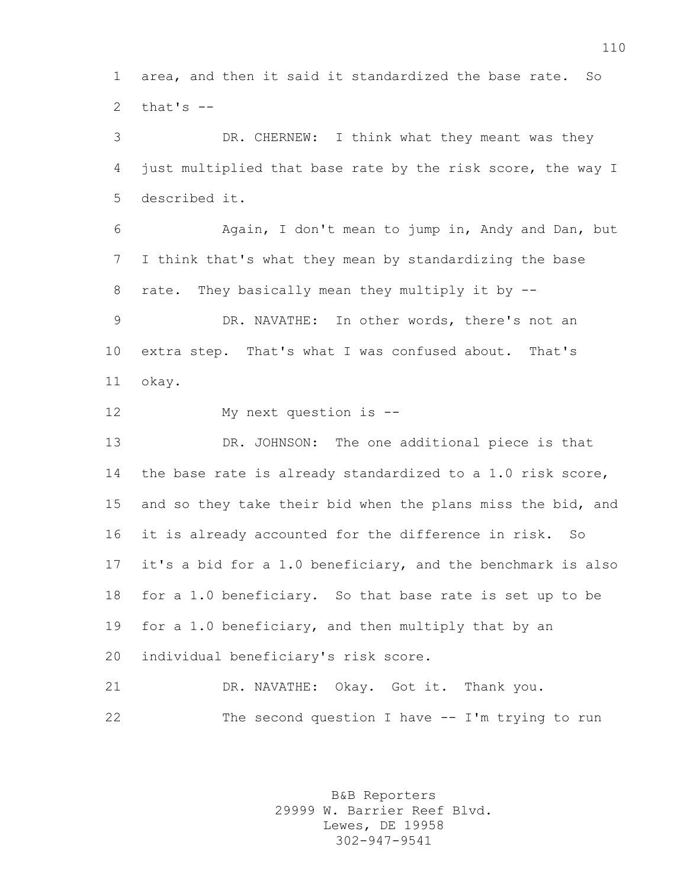area, and then it said it standardized the base rate. So 2 that's  $-$ 

 DR. CHERNEW: I think what they meant was they just multiplied that base rate by the risk score, the way I described it.

 Again, I don't mean to jump in, Andy and Dan, but I think that's what they mean by standardizing the base rate. They basically mean they multiply it by --

 DR. NAVATHE: In other words, there's not an extra step. That's what I was confused about. That's okay.

My next question is --

 DR. JOHNSON: The one additional piece is that the base rate is already standardized to a 1.0 risk score, and so they take their bid when the plans miss the bid, and it is already accounted for the difference in risk. So it's a bid for a 1.0 beneficiary, and the benchmark is also for a 1.0 beneficiary. So that base rate is set up to be for a 1.0 beneficiary, and then multiply that by an individual beneficiary's risk score.

```
21 DR. NAVATHE: Okay. Got it. Thank you.
22 The second question I have -- I'm trying to run
```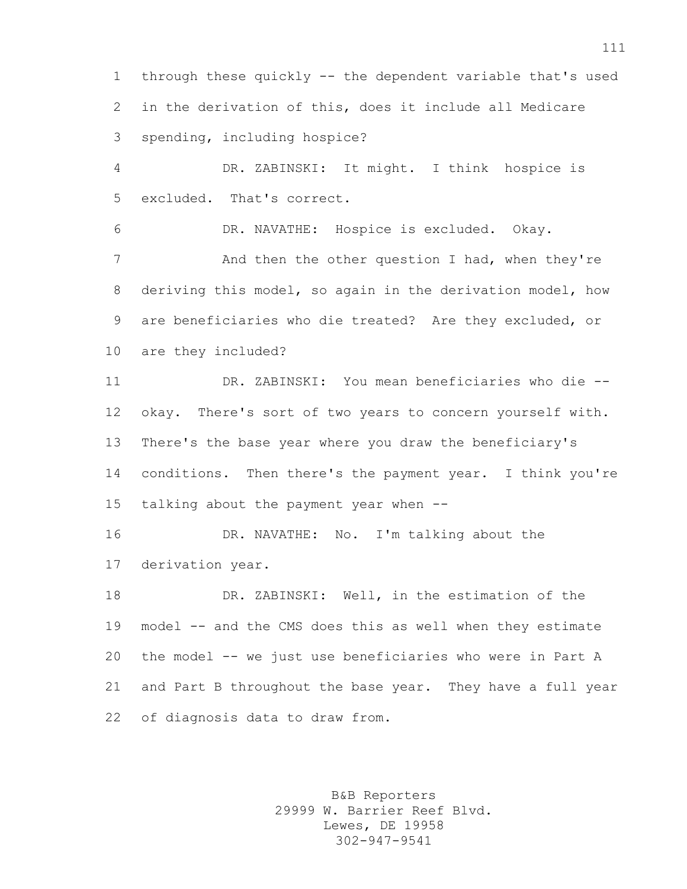through these quickly -- the dependent variable that's used in the derivation of this, does it include all Medicare spending, including hospice?

 DR. ZABINSKI: It might. I think hospice is excluded. That's correct.

 DR. NAVATHE: Hospice is excluded. Okay. 7 And then the other question I had, when they're deriving this model, so again in the derivation model, how are beneficiaries who die treated? Are they excluded, or are they included?

 DR. ZABINSKI: You mean beneficiaries who die -- okay. There's sort of two years to concern yourself with. There's the base year where you draw the beneficiary's conditions. Then there's the payment year. I think you're talking about the payment year when --

 DR. NAVATHE: No. I'm talking about the derivation year.

 DR. ZABINSKI: Well, in the estimation of the model -- and the CMS does this as well when they estimate the model -- we just use beneficiaries who were in Part A and Part B throughout the base year. They have a full year of diagnosis data to draw from.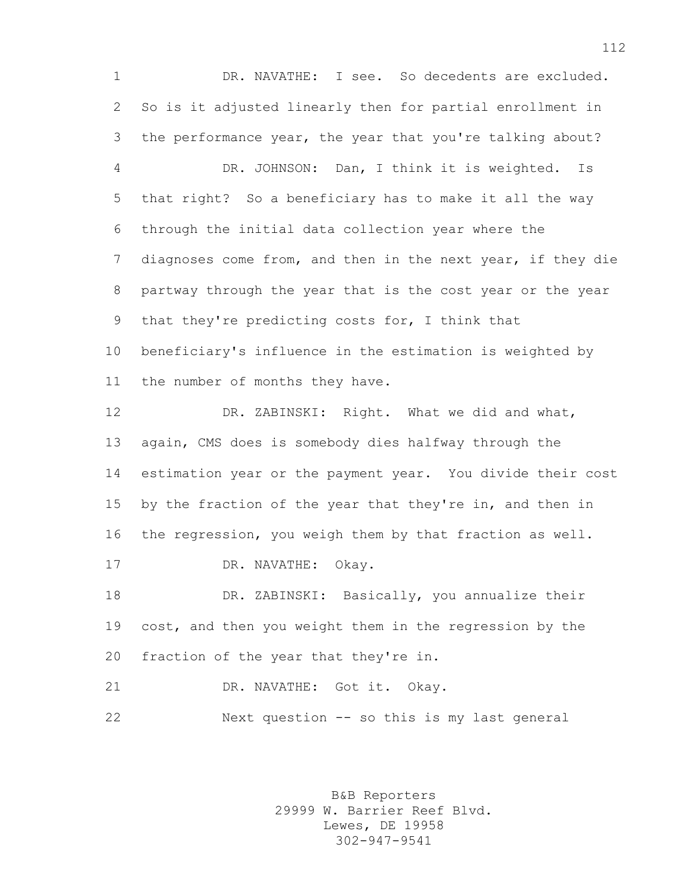DR. NAVATHE: I see. So decedents are excluded. So is it adjusted linearly then for partial enrollment in the performance year, the year that you're talking about? DR. JOHNSON: Dan, I think it is weighted. Is that right? So a beneficiary has to make it all the way through the initial data collection year where the diagnoses come from, and then in the next year, if they die partway through the year that is the cost year or the year that they're predicting costs for, I think that beneficiary's influence in the estimation is weighted by the number of months they have. DR. ZABINSKI: Right. What we did and what, again, CMS does is somebody dies halfway through the estimation year or the payment year. You divide their cost 15 by the fraction of the year that they're in, and then in the regression, you weigh them by that fraction as well. DR. NAVATHE: Okay. DR. ZABINSKI: Basically, you annualize their cost, and then you weight them in the regression by the fraction of the year that they're in. DR. NAVATHE: Got it. Okay. Next question -- so this is my last general

> B&B Reporters 29999 W. Barrier Reef Blvd. Lewes, DE 19958 302-947-9541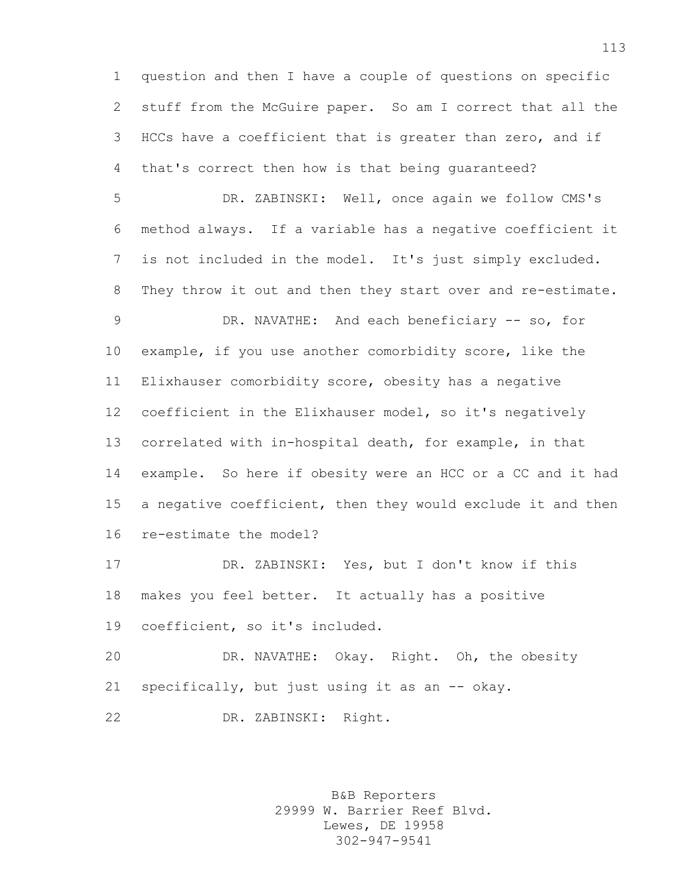question and then I have a couple of questions on specific stuff from the McGuire paper. So am I correct that all the HCCs have a coefficient that is greater than zero, and if that's correct then how is that being guaranteed?

 DR. ZABINSKI: Well, once again we follow CMS's method always. If a variable has a negative coefficient it is not included in the model. It's just simply excluded. They throw it out and then they start over and re-estimate. 9 DR. NAVATHE: And each beneficiary -- so, for example, if you use another comorbidity score, like the Elixhauser comorbidity score, obesity has a negative coefficient in the Elixhauser model, so it's negatively correlated with in-hospital death, for example, in that example. So here if obesity were an HCC or a CC and it had a negative coefficient, then they would exclude it and then re-estimate the model?

 DR. ZABINSKI: Yes, but I don't know if this makes you feel better. It actually has a positive coefficient, so it's included.

 DR. NAVATHE: Okay. Right. Oh, the obesity specifically, but just using it as an -- okay.

DR. ZABINSKI: Right.

B&B Reporters 29999 W. Barrier Reef Blvd. Lewes, DE 19958 302-947-9541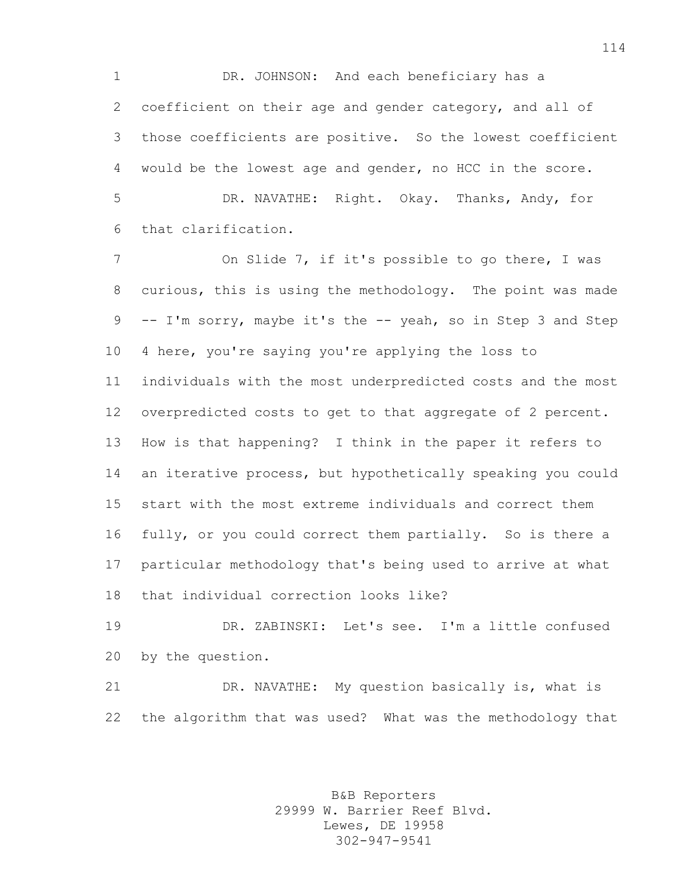DR. JOHNSON: And each beneficiary has a coefficient on their age and gender category, and all of those coefficients are positive. So the lowest coefficient would be the lowest age and gender, no HCC in the score. DR. NAVATHE: Right. Okay. Thanks, Andy, for

that clarification.

7 On Slide 7, if it's possible to go there, I was curious, this is using the methodology. The point was made -- I'm sorry, maybe it's the -- yeah, so in Step 3 and Step 4 here, you're saying you're applying the loss to individuals with the most underpredicted costs and the most overpredicted costs to get to that aggregate of 2 percent. How is that happening? I think in the paper it refers to an iterative process, but hypothetically speaking you could start with the most extreme individuals and correct them fully, or you could correct them partially. So is there a particular methodology that's being used to arrive at what that individual correction looks like?

 DR. ZABINSKI: Let's see. I'm a little confused by the question.

 DR. NAVATHE: My question basically is, what is the algorithm that was used? What was the methodology that

> B&B Reporters 29999 W. Barrier Reef Blvd. Lewes, DE 19958 302-947-9541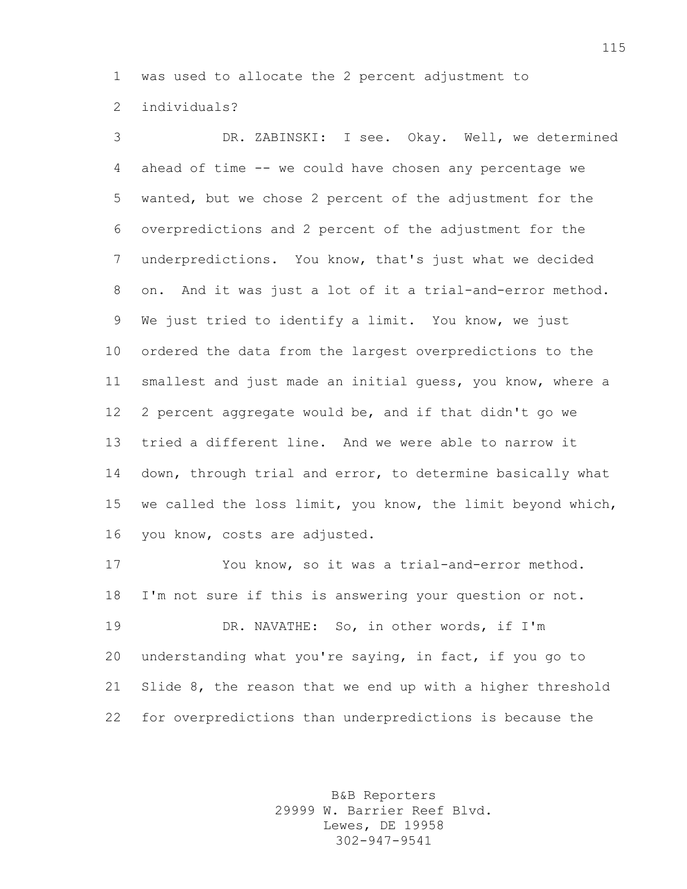was used to allocate the 2 percent adjustment to

individuals?

 DR. ZABINSKI: I see. Okay. Well, we determined ahead of time -- we could have chosen any percentage we wanted, but we chose 2 percent of the adjustment for the overpredictions and 2 percent of the adjustment for the underpredictions. You know, that's just what we decided on. And it was just a lot of it a trial-and-error method. We just tried to identify a limit. You know, we just ordered the data from the largest overpredictions to the smallest and just made an initial guess, you know, where a 2 percent aggregate would be, and if that didn't go we tried a different line. And we were able to narrow it down, through trial and error, to determine basically what we called the loss limit, you know, the limit beyond which, you know, costs are adjusted.

 You know, so it was a trial-and-error method. I'm not sure if this is answering your question or not. DR. NAVATHE: So, in other words, if I'm understanding what you're saying, in fact, if you go to Slide 8, the reason that we end up with a higher threshold for overpredictions than underpredictions is because the

> B&B Reporters 29999 W. Barrier Reef Blvd. Lewes, DE 19958 302-947-9541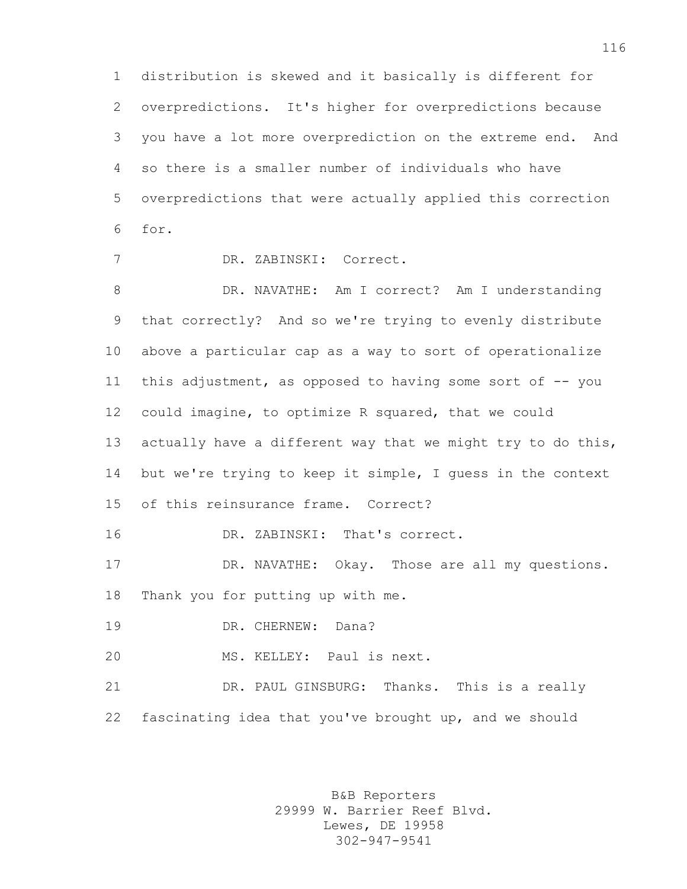distribution is skewed and it basically is different for overpredictions. It's higher for overpredictions because you have a lot more overprediction on the extreme end. And so there is a smaller number of individuals who have overpredictions that were actually applied this correction for.

DR. ZABINSKI: Correct.

 DR. NAVATHE: Am I correct? Am I understanding that correctly? And so we're trying to evenly distribute above a particular cap as a way to sort of operationalize this adjustment, as opposed to having some sort of -- you could imagine, to optimize R squared, that we could actually have a different way that we might try to do this, but we're trying to keep it simple, I guess in the context of this reinsurance frame. Correct?

DR. ZABINSKI: That's correct.

 DR. NAVATHE: Okay. Those are all my questions. Thank you for putting up with me.

DR. CHERNEW: Dana?

MS. KELLEY: Paul is next.

 DR. PAUL GINSBURG: Thanks. This is a really fascinating idea that you've brought up, and we should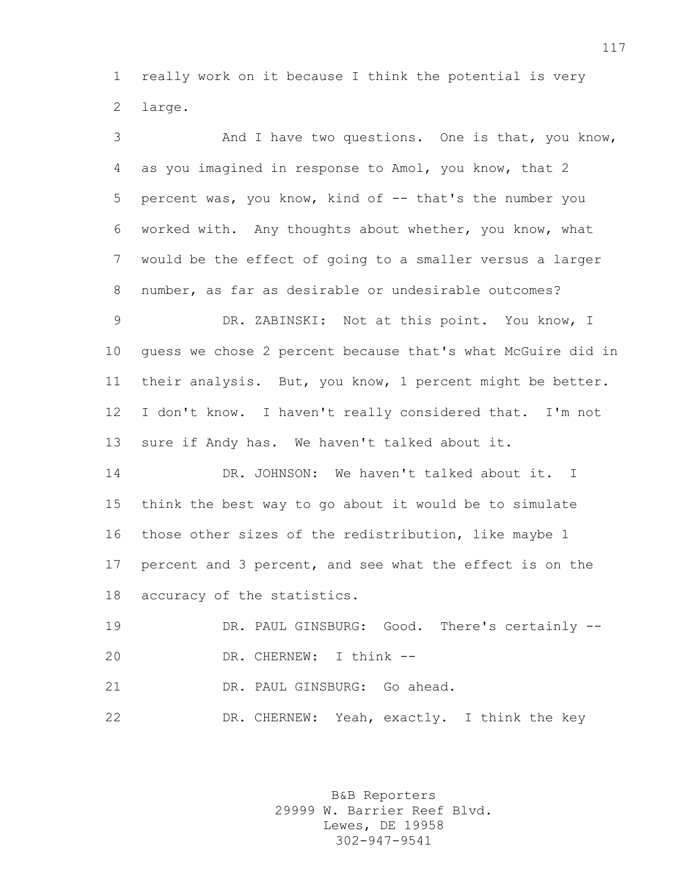really work on it because I think the potential is very large.

 And I have two questions. One is that, you know, as you imagined in response to Amol, you know, that 2 percent was, you know, kind of -- that's the number you worked with. Any thoughts about whether, you know, what would be the effect of going to a smaller versus a larger number, as far as desirable or undesirable outcomes? DR. ZABINSKI: Not at this point. You know, I guess we chose 2 percent because that's what McGuire did in their analysis. But, you know, 1 percent might be better. I don't know. I haven't really considered that. I'm not sure if Andy has. We haven't talked about it. DR. JOHNSON: We haven't talked about it. I think the best way to go about it would be to simulate those other sizes of the redistribution, like maybe 1 percent and 3 percent, and see what the effect is on the accuracy of the statistics. DR. PAUL GINSBURG: Good. There's certainly -- DR. CHERNEW: I think -- DR. PAUL GINSBURG: Go ahead.

DR. CHERNEW: Yeah, exactly. I think the key

B&B Reporters 29999 W. Barrier Reef Blvd. Lewes, DE 19958 302-947-9541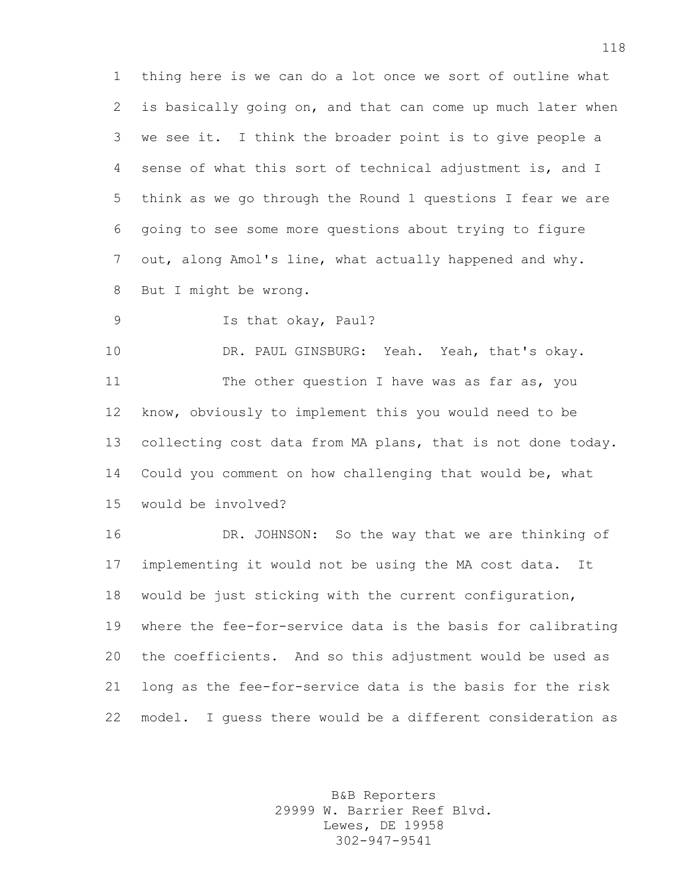thing here is we can do a lot once we sort of outline what is basically going on, and that can come up much later when we see it. I think the broader point is to give people a sense of what this sort of technical adjustment is, and I think as we go through the Round 1 questions I fear we are going to see some more questions about trying to figure out, along Amol's line, what actually happened and why. But I might be wrong.

Is that okay, Paul?

 DR. PAUL GINSBURG: Yeah. Yeah, that's okay. 11 The other question I have was as far as, you know, obviously to implement this you would need to be collecting cost data from MA plans, that is not done today. Could you comment on how challenging that would be, what would be involved?

 DR. JOHNSON: So the way that we are thinking of implementing it would not be using the MA cost data. It would be just sticking with the current configuration, where the fee-for-service data is the basis for calibrating the coefficients. And so this adjustment would be used as long as the fee-for-service data is the basis for the risk model. I guess there would be a different consideration as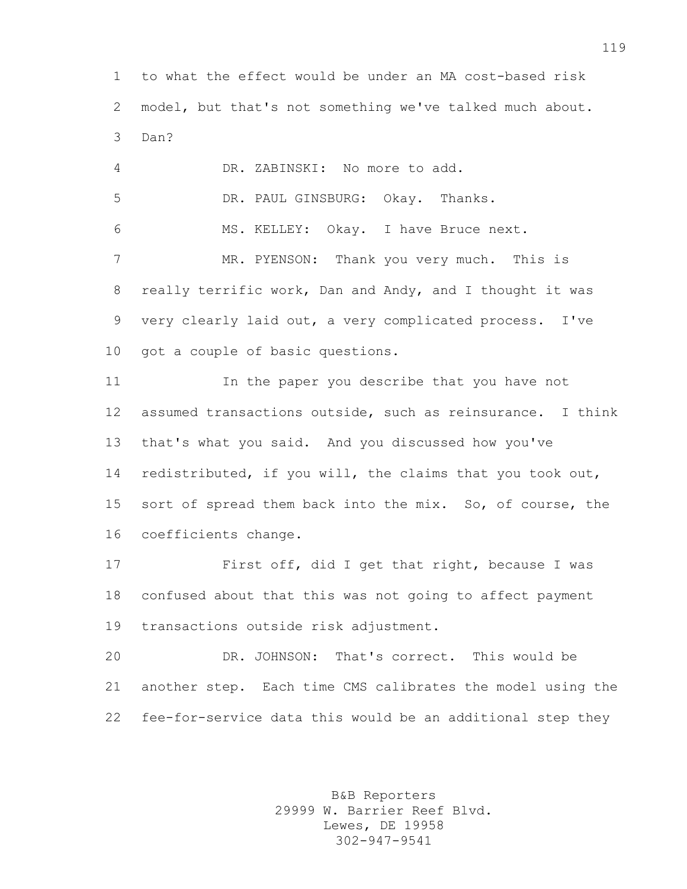to what the effect would be under an MA cost-based risk model, but that's not something we've talked much about. Dan? DR. ZABINSKI: No more to add. DR. PAUL GINSBURG: Okay. Thanks. MS. KELLEY: Okay. I have Bruce next. 7 MR. PYENSON: Thank you very much. This is really terrific work, Dan and Andy, and I thought it was very clearly laid out, a very complicated process. I've got a couple of basic questions. In the paper you describe that you have not assumed transactions outside, such as reinsurance. I think that's what you said. And you discussed how you've redistributed, if you will, the claims that you took out, sort of spread them back into the mix. So, of course, the coefficients change.

 First off, did I get that right, because I was confused about that this was not going to affect payment transactions outside risk adjustment.

 DR. JOHNSON: That's correct. This would be another step. Each time CMS calibrates the model using the fee-for-service data this would be an additional step they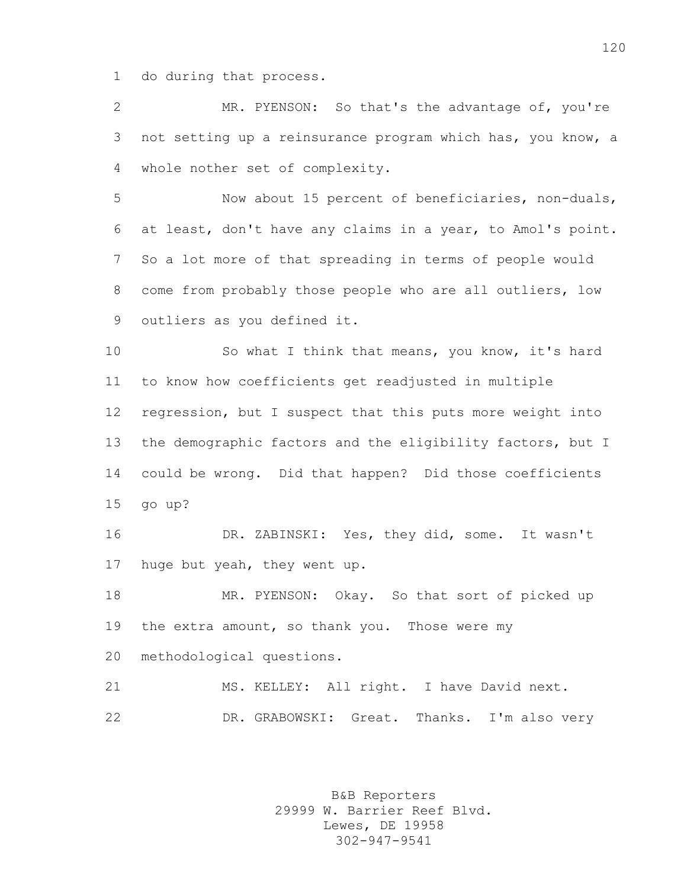do during that process.

 MR. PYENSON: So that's the advantage of, you're not setting up a reinsurance program which has, you know, a whole nother set of complexity.

 Now about 15 percent of beneficiaries, non-duals, at least, don't have any claims in a year, to Amol's point. So a lot more of that spreading in terms of people would come from probably those people who are all outliers, low outliers as you defined it.

 So what I think that means, you know, it's hard to know how coefficients get readjusted in multiple regression, but I suspect that this puts more weight into the demographic factors and the eligibility factors, but I could be wrong. Did that happen? Did those coefficients go up?

 DR. ZABINSKI: Yes, they did, some. It wasn't huge but yeah, they went up.

 MR. PYENSON: Okay. So that sort of picked up the extra amount, so thank you. Those were my

methodological questions.

 MS. KELLEY: All right. I have David next. DR. GRABOWSKI: Great. Thanks. I'm also very

> B&B Reporters 29999 W. Barrier Reef Blvd. Lewes, DE 19958 302-947-9541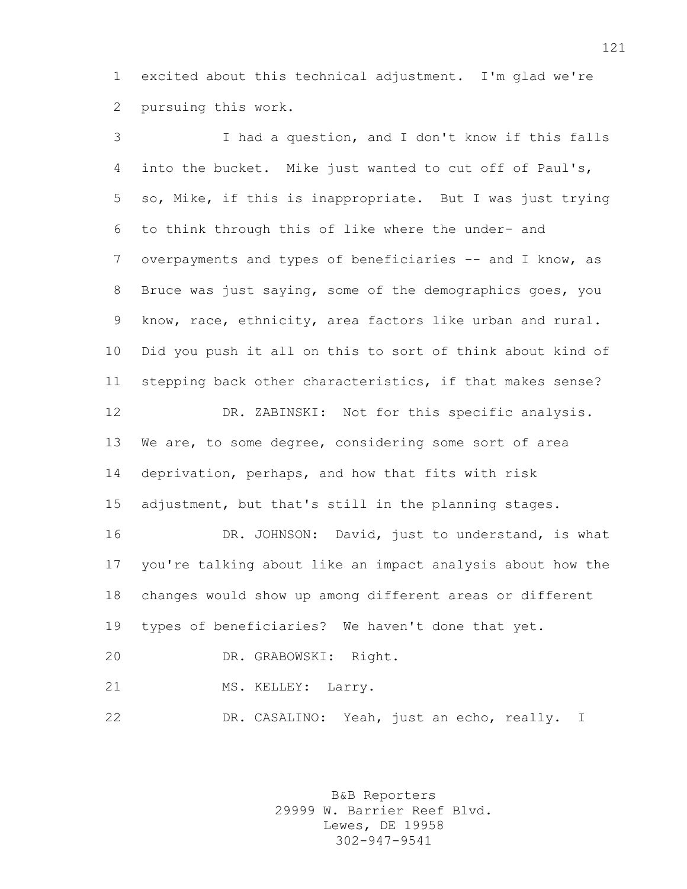excited about this technical adjustment. I'm glad we're pursuing this work.

 I had a question, and I don't know if this falls into the bucket. Mike just wanted to cut off of Paul's, so, Mike, if this is inappropriate. But I was just trying to think through this of like where the under- and 7 overpayments and types of beneficiaries -- and I know, as Bruce was just saying, some of the demographics goes, you know, race, ethnicity, area factors like urban and rural. Did you push it all on this to sort of think about kind of stepping back other characteristics, if that makes sense? DR. ZABINSKI: Not for this specific analysis. We are, to some degree, considering some sort of area deprivation, perhaps, and how that fits with risk adjustment, but that's still in the planning stages. **DR. JOHNSON:** David, just to understand, is what you're talking about like an impact analysis about how the changes would show up among different areas or different types of beneficiaries? We haven't done that yet. DR. GRABOWSKI: Right. 21 MS. KELLEY: Larry. DR. CASALINO: Yeah, just an echo, really. I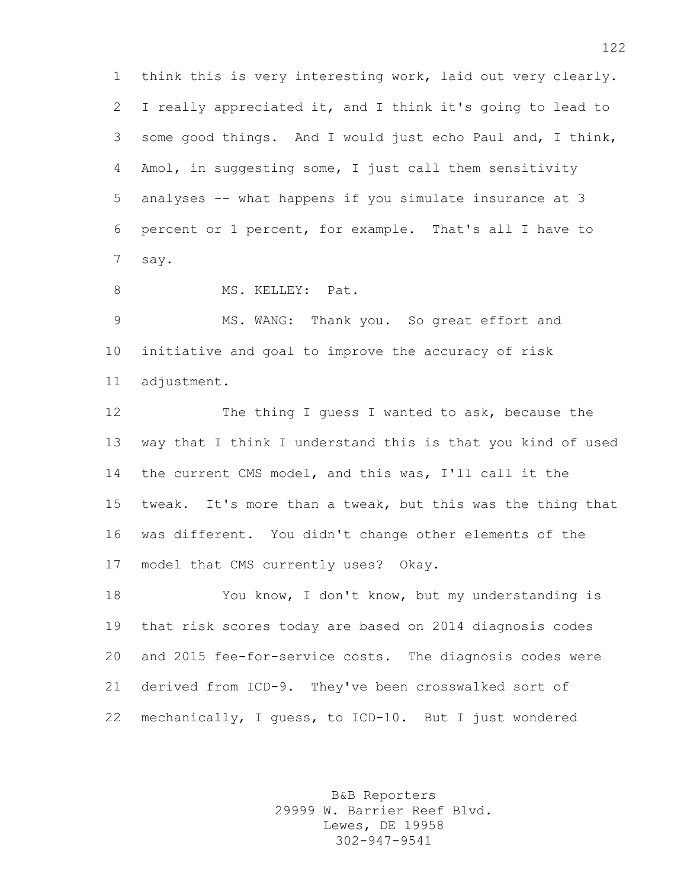think this is very interesting work, laid out very clearly. I really appreciated it, and I think it's going to lead to some good things. And I would just echo Paul and, I think, Amol, in suggesting some, I just call them sensitivity analyses -- what happens if you simulate insurance at 3 percent or 1 percent, for example. That's all I have to say.

8 MS. KELLEY: Pat.

9 MS. WANG: Thank you. So great effort and initiative and goal to improve the accuracy of risk adjustment.

 The thing I guess I wanted to ask, because the way that I think I understand this is that you kind of used the current CMS model, and this was, I'll call it the tweak. It's more than a tweak, but this was the thing that was different. You didn't change other elements of the model that CMS currently uses? Okay.

 You know, I don't know, but my understanding is that risk scores today are based on 2014 diagnosis codes and 2015 fee-for-service costs. The diagnosis codes were derived from ICD-9. They've been crosswalked sort of mechanically, I guess, to ICD-10. But I just wondered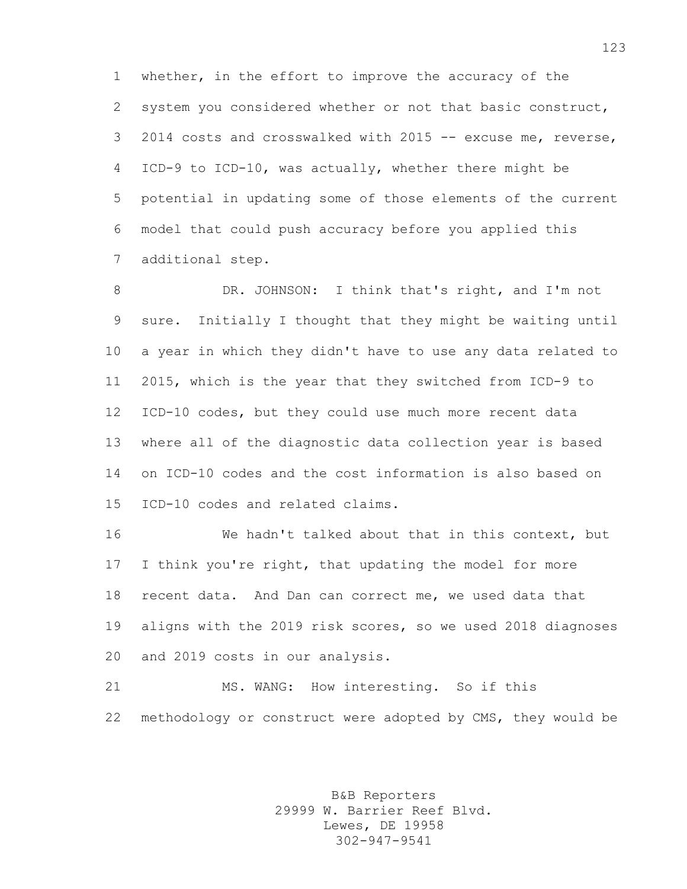whether, in the effort to improve the accuracy of the system you considered whether or not that basic construct, 2014 costs and crosswalked with 2015 -- excuse me, reverse, ICD-9 to ICD-10, was actually, whether there might be potential in updating some of those elements of the current model that could push accuracy before you applied this additional step.

8 DR. JOHNSON: I think that's right, and I'm not sure. Initially I thought that they might be waiting until a year in which they didn't have to use any data related to 2015, which is the year that they switched from ICD-9 to ICD-10 codes, but they could use much more recent data where all of the diagnostic data collection year is based on ICD-10 codes and the cost information is also based on ICD-10 codes and related claims.

 We hadn't talked about that in this context, but I think you're right, that updating the model for more recent data. And Dan can correct me, we used data that aligns with the 2019 risk scores, so we used 2018 diagnoses and 2019 costs in our analysis.

 MS. WANG: How interesting. So if this methodology or construct were adopted by CMS, they would be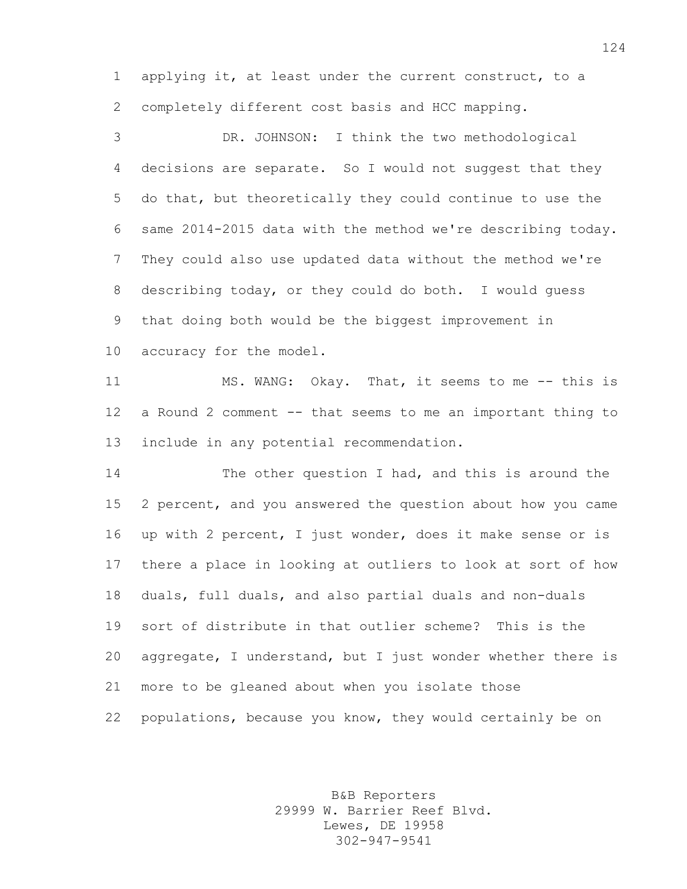applying it, at least under the current construct, to a completely different cost basis and HCC mapping.

 DR. JOHNSON: I think the two methodological decisions are separate. So I would not suggest that they do that, but theoretically they could continue to use the same 2014-2015 data with the method we're describing today. They could also use updated data without the method we're describing today, or they could do both. I would guess that doing both would be the biggest improvement in accuracy for the model.

 MS. WANG: Okay. That, it seems to me -- this is a Round 2 comment -- that seems to me an important thing to include in any potential recommendation.

 The other question I had, and this is around the 2 percent, and you answered the question about how you came up with 2 percent, I just wonder, does it make sense or is there a place in looking at outliers to look at sort of how duals, full duals, and also partial duals and non-duals sort of distribute in that outlier scheme? This is the aggregate, I understand, but I just wonder whether there is more to be gleaned about when you isolate those populations, because you know, they would certainly be on

> B&B Reporters 29999 W. Barrier Reef Blvd. Lewes, DE 19958 302-947-9541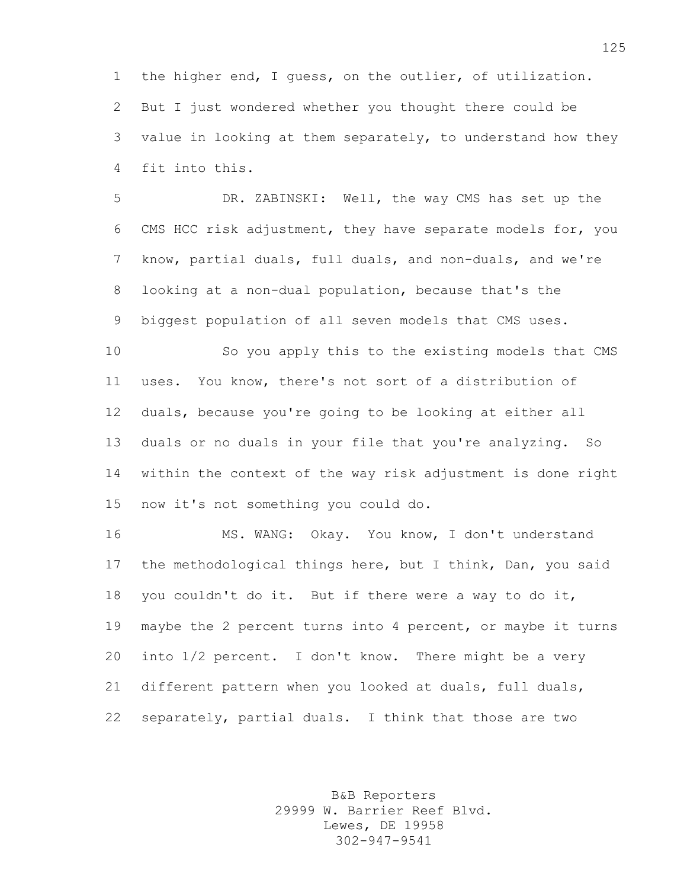the higher end, I guess, on the outlier, of utilization. But I just wondered whether you thought there could be value in looking at them separately, to understand how they fit into this.

 DR. ZABINSKI: Well, the way CMS has set up the CMS HCC risk adjustment, they have separate models for, you know, partial duals, full duals, and non-duals, and we're looking at a non-dual population, because that's the biggest population of all seven models that CMS uses.

 So you apply this to the existing models that CMS uses. You know, there's not sort of a distribution of duals, because you're going to be looking at either all duals or no duals in your file that you're analyzing. So within the context of the way risk adjustment is done right now it's not something you could do.

 MS. WANG: Okay. You know, I don't understand the methodological things here, but I think, Dan, you said you couldn't do it. But if there were a way to do it, maybe the 2 percent turns into 4 percent, or maybe it turns into 1/2 percent. I don't know. There might be a very different pattern when you looked at duals, full duals, separately, partial duals. I think that those are two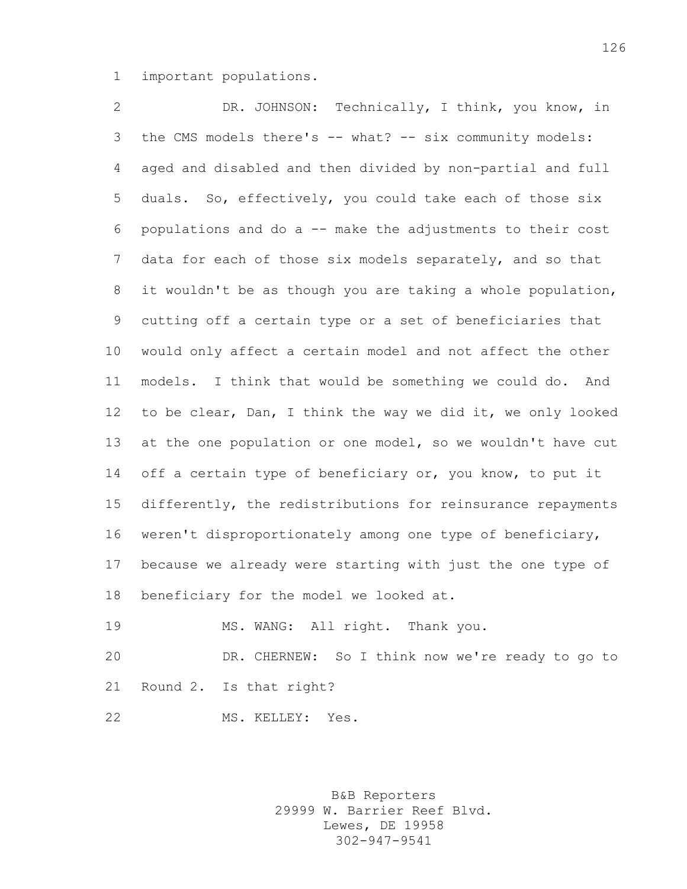important populations.

 DR. JOHNSON: Technically, I think, you know, in the CMS models there's -- what? -- six community models: aged and disabled and then divided by non-partial and full duals. So, effectively, you could take each of those six populations and do a -- make the adjustments to their cost data for each of those six models separately, and so that it wouldn't be as though you are taking a whole population, cutting off a certain type or a set of beneficiaries that would only affect a certain model and not affect the other models. I think that would be something we could do. And to be clear, Dan, I think the way we did it, we only looked at the one population or one model, so we wouldn't have cut 14 off a certain type of beneficiary or, you know, to put it differently, the redistributions for reinsurance repayments weren't disproportionately among one type of beneficiary, because we already were starting with just the one type of beneficiary for the model we looked at. MS. WANG: All right. Thank you.

DR. CHERNEW: So I think now we're ready to go to

Round 2. Is that right?

MS. KELLEY: Yes.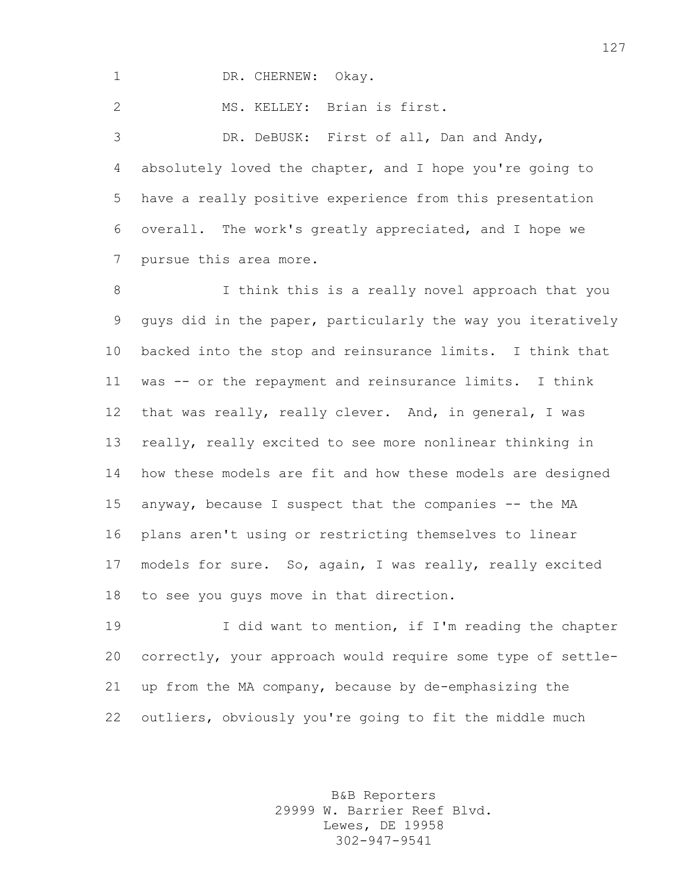1 DR. CHERNEW: Okay.

MS. KELLEY: Brian is first.

 DR. DeBUSK: First of all, Dan and Andy, absolutely loved the chapter, and I hope you're going to have a really positive experience from this presentation overall. The work's greatly appreciated, and I hope we pursue this area more.

8 I think this is a really novel approach that you guys did in the paper, particularly the way you iteratively backed into the stop and reinsurance limits. I think that was -- or the repayment and reinsurance limits. I think that was really, really clever. And, in general, I was really, really excited to see more nonlinear thinking in how these models are fit and how these models are designed anyway, because I suspect that the companies -- the MA plans aren't using or restricting themselves to linear models for sure. So, again, I was really, really excited to see you guys move in that direction.

19 I did want to mention, if I'm reading the chapter correctly, your approach would require some type of settle- up from the MA company, because by de-emphasizing the outliers, obviously you're going to fit the middle much

> B&B Reporters 29999 W. Barrier Reef Blvd. Lewes, DE 19958 302-947-9541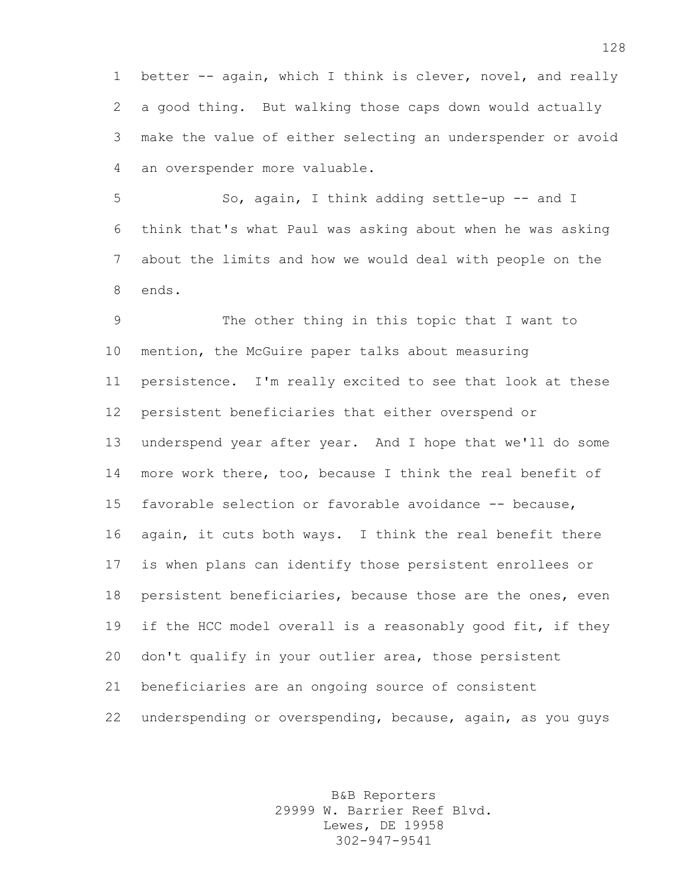better -- again, which I think is clever, novel, and really a good thing. But walking those caps down would actually make the value of either selecting an underspender or avoid an overspender more valuable.

 So, again, I think adding settle-up -- and I think that's what Paul was asking about when he was asking about the limits and how we would deal with people on the ends.

 The other thing in this topic that I want to mention, the McGuire paper talks about measuring persistence. I'm really excited to see that look at these persistent beneficiaries that either overspend or underspend year after year. And I hope that we'll do some more work there, too, because I think the real benefit of favorable selection or favorable avoidance -- because, again, it cuts both ways. I think the real benefit there is when plans can identify those persistent enrollees or persistent beneficiaries, because those are the ones, even if the HCC model overall is a reasonably good fit, if they don't qualify in your outlier area, those persistent beneficiaries are an ongoing source of consistent underspending or overspending, because, again, as you guys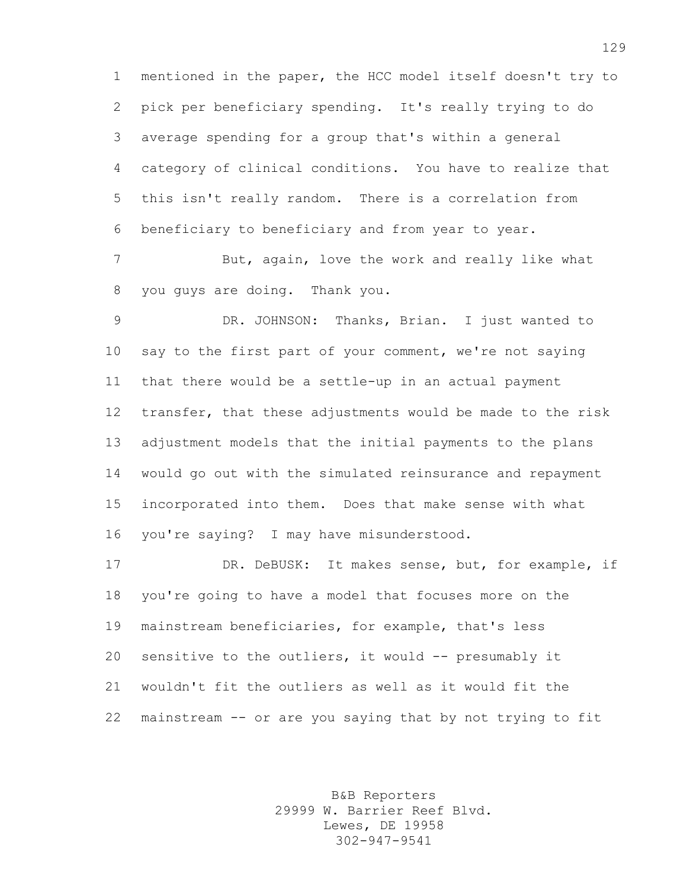mentioned in the paper, the HCC model itself doesn't try to pick per beneficiary spending. It's really trying to do average spending for a group that's within a general category of clinical conditions. You have to realize that this isn't really random. There is a correlation from beneficiary to beneficiary and from year to year.

7 But, again, love the work and really like what you guys are doing. Thank you.

 DR. JOHNSON: Thanks, Brian. I just wanted to say to the first part of your comment, we're not saying that there would be a settle-up in an actual payment transfer, that these adjustments would be made to the risk adjustment models that the initial payments to the plans would go out with the simulated reinsurance and repayment incorporated into them. Does that make sense with what you're saying? I may have misunderstood.

 DR. DeBUSK: It makes sense, but, for example, if you're going to have a model that focuses more on the mainstream beneficiaries, for example, that's less sensitive to the outliers, it would -- presumably it wouldn't fit the outliers as well as it would fit the mainstream -- or are you saying that by not trying to fit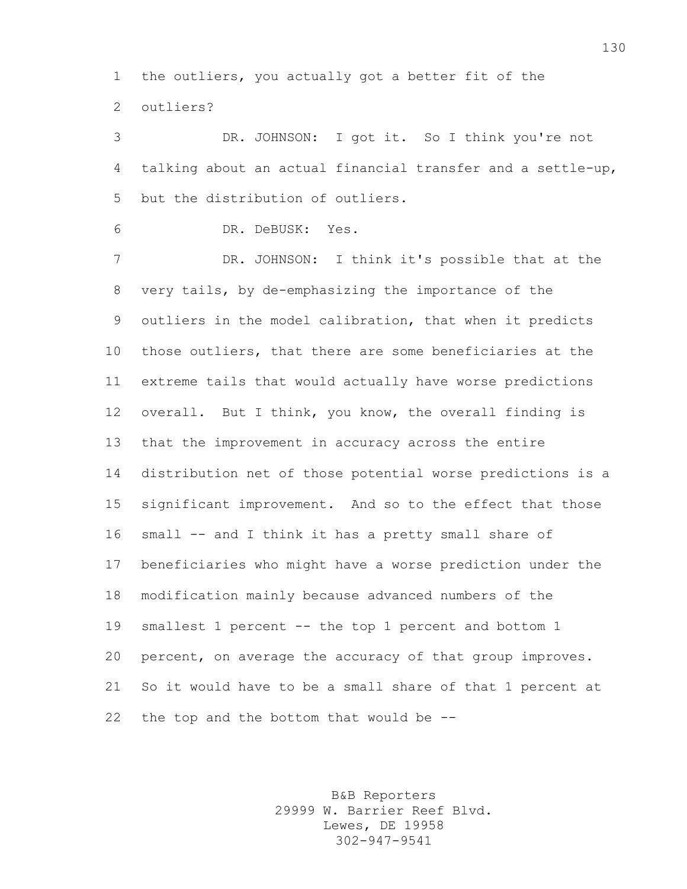the outliers, you actually got a better fit of the outliers?

 DR. JOHNSON: I got it. So I think you're not talking about an actual financial transfer and a settle-up, but the distribution of outliers.

DR. DeBUSK: Yes.

 DR. JOHNSON: I think it's possible that at the very tails, by de-emphasizing the importance of the outliers in the model calibration, that when it predicts those outliers, that there are some beneficiaries at the extreme tails that would actually have worse predictions overall. But I think, you know, the overall finding is that the improvement in accuracy across the entire distribution net of those potential worse predictions is a significant improvement. And so to the effect that those small -- and I think it has a pretty small share of beneficiaries who might have a worse prediction under the modification mainly because advanced numbers of the smallest 1 percent -- the top 1 percent and bottom 1 percent, on average the accuracy of that group improves. So it would have to be a small share of that 1 percent at the top and the bottom that would be --

> B&B Reporters 29999 W. Barrier Reef Blvd. Lewes, DE 19958 302-947-9541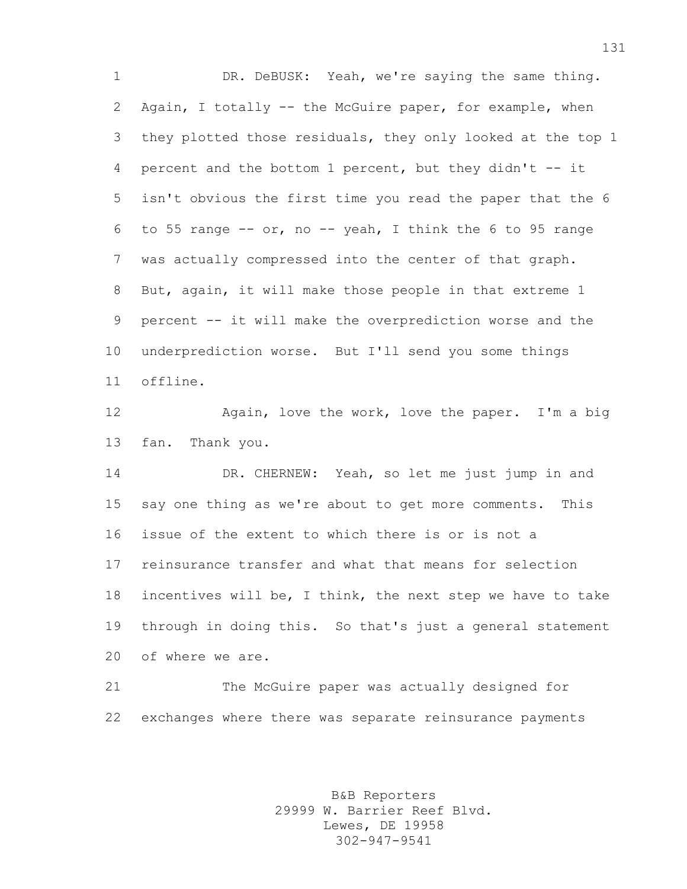DR. DeBUSK: Yeah, we're saying the same thing. Again, I totally -- the McGuire paper, for example, when they plotted those residuals, they only looked at the top 1 percent and the bottom 1 percent, but they didn't -- it isn't obvious the first time you read the paper that the 6 to 55 range -- or, no -- yeah, I think the 6 to 95 range was actually compressed into the center of that graph. But, again, it will make those people in that extreme 1 percent -- it will make the overprediction worse and the underprediction worse. But I'll send you some things offline.

 Again, love the work, love the paper. I'm a big fan. Thank you.

 DR. CHERNEW: Yeah, so let me just jump in and say one thing as we're about to get more comments. This issue of the extent to which there is or is not a reinsurance transfer and what that means for selection incentives will be, I think, the next step we have to take through in doing this. So that's just a general statement of where we are.

 The McGuire paper was actually designed for exchanges where there was separate reinsurance payments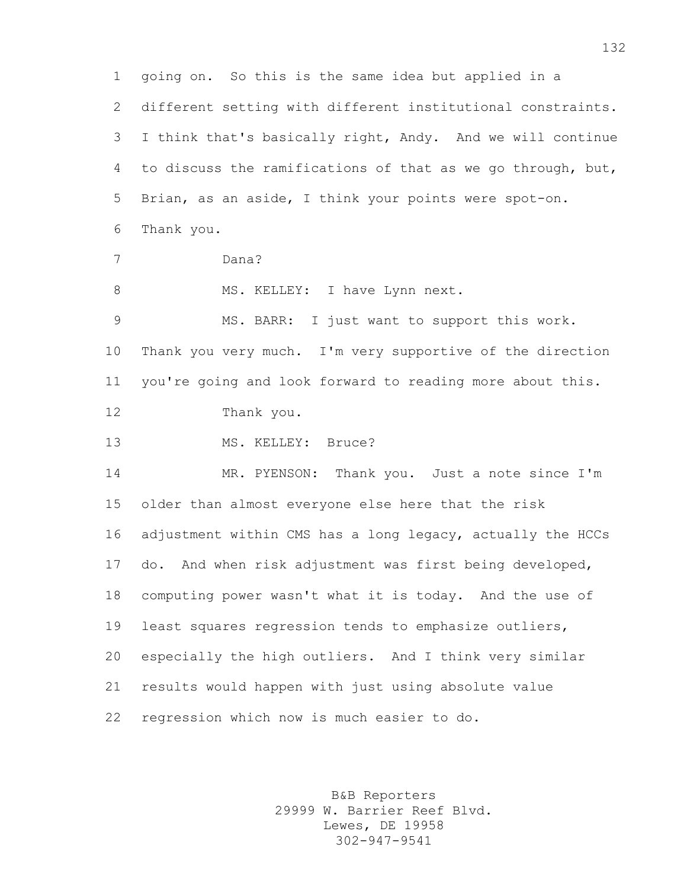going on. So this is the same idea but applied in a different setting with different institutional constraints. I think that's basically right, Andy. And we will continue to discuss the ramifications of that as we go through, but, Brian, as an aside, I think your points were spot-on. Thank you. Dana? 8 MS. KELLEY: I have Lynn next. MS. BARR: I just want to support this work. Thank you very much. I'm very supportive of the direction you're going and look forward to reading more about this. Thank you. 13 MS. KELLEY: Bruce? MR. PYENSON: Thank you. Just a note since I'm older than almost everyone else here that the risk adjustment within CMS has a long legacy, actually the HCCs do. And when risk adjustment was first being developed, computing power wasn't what it is today. And the use of least squares regression tends to emphasize outliers, especially the high outliers. And I think very similar results would happen with just using absolute value regression which now is much easier to do.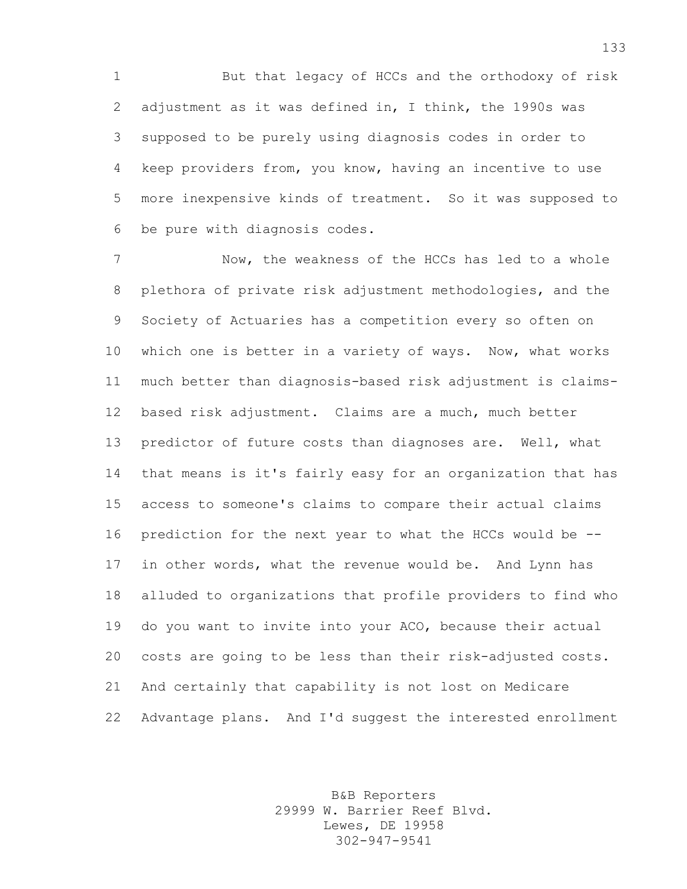But that legacy of HCCs and the orthodoxy of risk adjustment as it was defined in, I think, the 1990s was supposed to be purely using diagnosis codes in order to keep providers from, you know, having an incentive to use more inexpensive kinds of treatment. So it was supposed to be pure with diagnosis codes.

 Now, the weakness of the HCCs has led to a whole plethora of private risk adjustment methodologies, and the Society of Actuaries has a competition every so often on which one is better in a variety of ways. Now, what works much better than diagnosis-based risk adjustment is claims- based risk adjustment. Claims are a much, much better predictor of future costs than diagnoses are. Well, what that means is it's fairly easy for an organization that has access to someone's claims to compare their actual claims prediction for the next year to what the HCCs would be -- in other words, what the revenue would be. And Lynn has alluded to organizations that profile providers to find who do you want to invite into your ACO, because their actual costs are going to be less than their risk-adjusted costs. And certainly that capability is not lost on Medicare Advantage plans. And I'd suggest the interested enrollment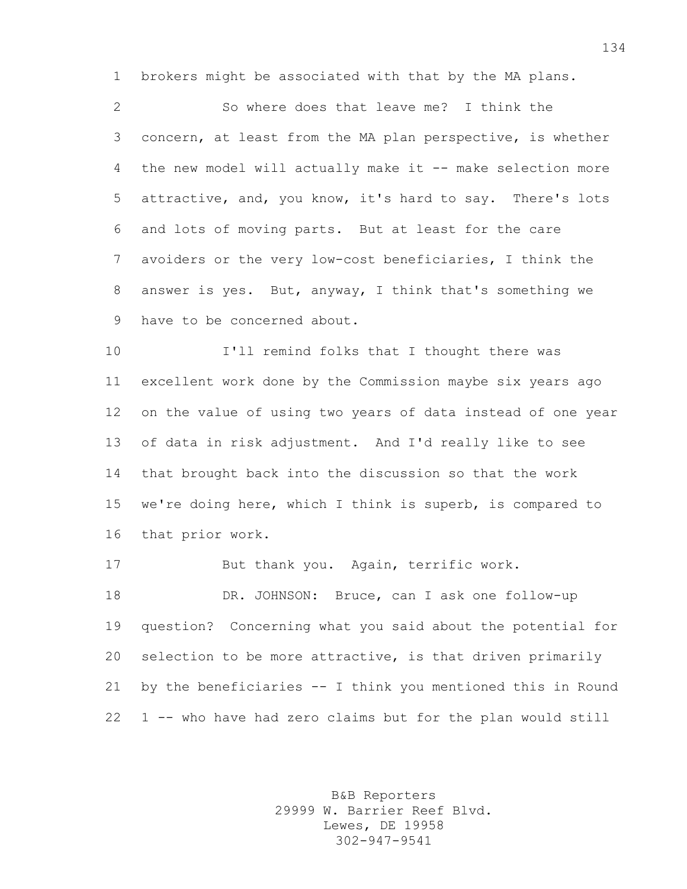brokers might be associated with that by the MA plans.

 So where does that leave me? I think the concern, at least from the MA plan perspective, is whether the new model will actually make it -- make selection more attractive, and, you know, it's hard to say. There's lots and lots of moving parts. But at least for the care avoiders or the very low-cost beneficiaries, I think the answer is yes. But, anyway, I think that's something we have to be concerned about.

10 I'll remind folks that I thought there was excellent work done by the Commission maybe six years ago on the value of using two years of data instead of one year of data in risk adjustment. And I'd really like to see that brought back into the discussion so that the work we're doing here, which I think is superb, is compared to that prior work.

17 But thank you. Again, terrific work. DR. JOHNSON: Bruce, can I ask one follow-up question? Concerning what you said about the potential for selection to be more attractive, is that driven primarily by the beneficiaries -- I think you mentioned this in Round 1 -- who have had zero claims but for the plan would still

> B&B Reporters 29999 W. Barrier Reef Blvd. Lewes, DE 19958 302-947-9541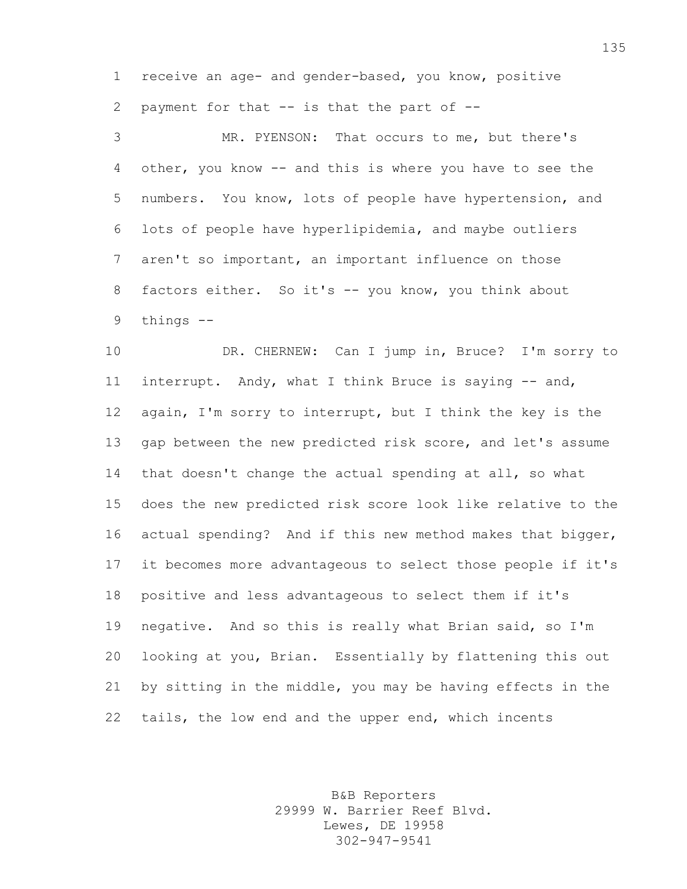receive an age- and gender-based, you know, positive payment for that -- is that the part of --

 MR. PYENSON: That occurs to me, but there's other, you know -- and this is where you have to see the numbers. You know, lots of people have hypertension, and lots of people have hyperlipidemia, and maybe outliers aren't so important, an important influence on those factors either. So it's -- you know, you think about things --

 DR. CHERNEW: Can I jump in, Bruce? I'm sorry to interrupt. Andy, what I think Bruce is saying -- and, again, I'm sorry to interrupt, but I think the key is the gap between the new predicted risk score, and let's assume that doesn't change the actual spending at all, so what does the new predicted risk score look like relative to the actual spending? And if this new method makes that bigger, it becomes more advantageous to select those people if it's positive and less advantageous to select them if it's negative. And so this is really what Brian said, so I'm looking at you, Brian. Essentially by flattening this out by sitting in the middle, you may be having effects in the tails, the low end and the upper end, which incents

> B&B Reporters 29999 W. Barrier Reef Blvd. Lewes, DE 19958 302-947-9541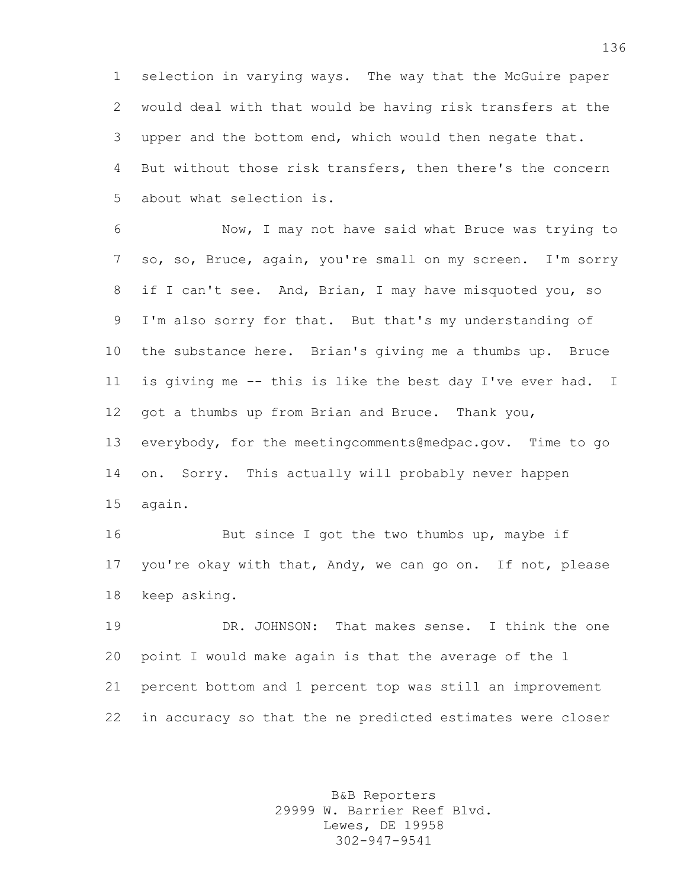selection in varying ways. The way that the McGuire paper would deal with that would be having risk transfers at the upper and the bottom end, which would then negate that. But without those risk transfers, then there's the concern about what selection is.

 Now, I may not have said what Bruce was trying to so, so, Bruce, again, you're small on my screen. I'm sorry if I can't see. And, Brian, I may have misquoted you, so I'm also sorry for that. But that's my understanding of the substance here. Brian's giving me a thumbs up. Bruce is giving me -- this is like the best day I've ever had. I got a thumbs up from Brian and Bruce. Thank you, everybody, for the meetingcomments@medpac.gov. Time to go on. Sorry. This actually will probably never happen again.

16 But since I got the two thumbs up, maybe if you're okay with that, Andy, we can go on. If not, please keep asking.

 DR. JOHNSON: That makes sense. I think the one point I would make again is that the average of the 1 percent bottom and 1 percent top was still an improvement in accuracy so that the ne predicted estimates were closer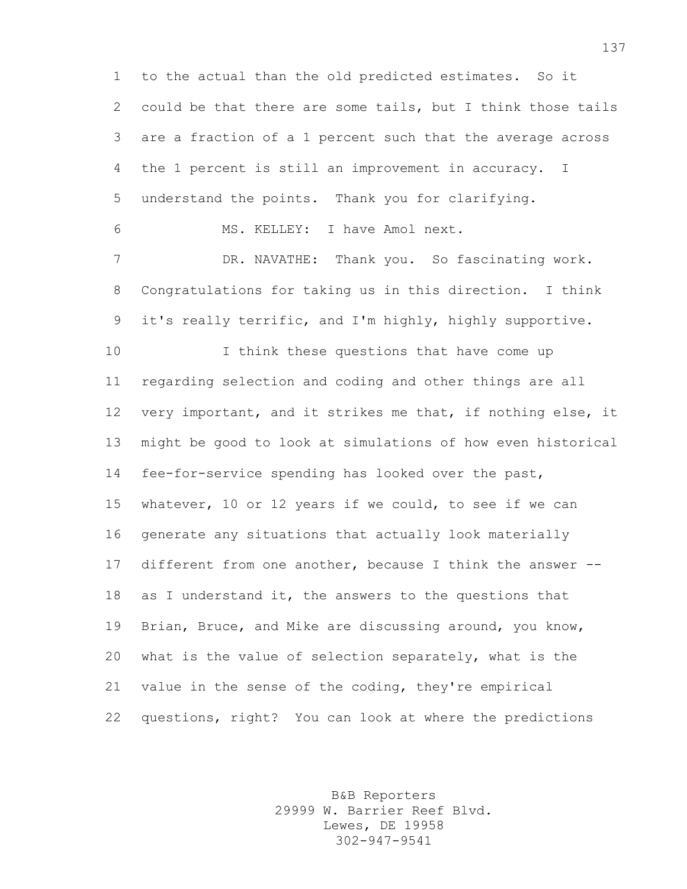to the actual than the old predicted estimates. So it could be that there are some tails, but I think those tails are a fraction of a 1 percent such that the average across the 1 percent is still an improvement in accuracy. I understand the points. Thank you for clarifying.

MS. KELLEY: I have Amol next.

 DR. NAVATHE: Thank you. So fascinating work. Congratulations for taking us in this direction. I think it's really terrific, and I'm highly, highly supportive.

10 I think these questions that have come up regarding selection and coding and other things are all very important, and it strikes me that, if nothing else, it might be good to look at simulations of how even historical fee-for-service spending has looked over the past, whatever, 10 or 12 years if we could, to see if we can generate any situations that actually look materially different from one another, because I think the answer -- as I understand it, the answers to the questions that Brian, Bruce, and Mike are discussing around, you know, what is the value of selection separately, what is the value in the sense of the coding, they're empirical questions, right? You can look at where the predictions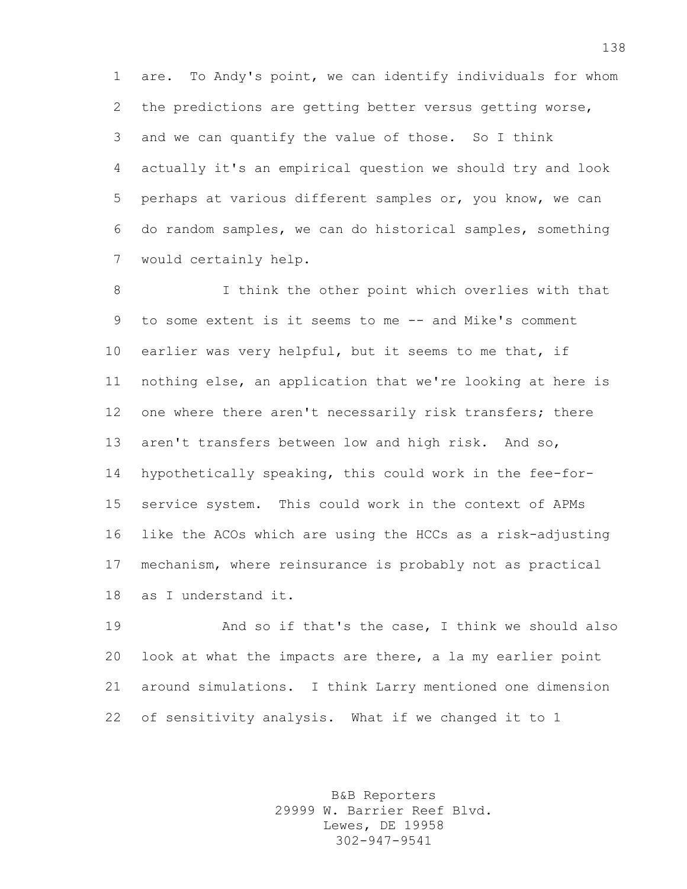are. To Andy's point, we can identify individuals for whom the predictions are getting better versus getting worse, and we can quantify the value of those. So I think actually it's an empirical question we should try and look perhaps at various different samples or, you know, we can do random samples, we can do historical samples, something would certainly help.

 I think the other point which overlies with that to some extent is it seems to me -- and Mike's comment earlier was very helpful, but it seems to me that, if nothing else, an application that we're looking at here is 12 one where there aren't necessarily risk transfers; there aren't transfers between low and high risk. And so, hypothetically speaking, this could work in the fee-for- service system. This could work in the context of APMs like the ACOs which are using the HCCs as a risk-adjusting mechanism, where reinsurance is probably not as practical as I understand it.

 And so if that's the case, I think we should also look at what the impacts are there, a la my earlier point around simulations. I think Larry mentioned one dimension of sensitivity analysis. What if we changed it to 1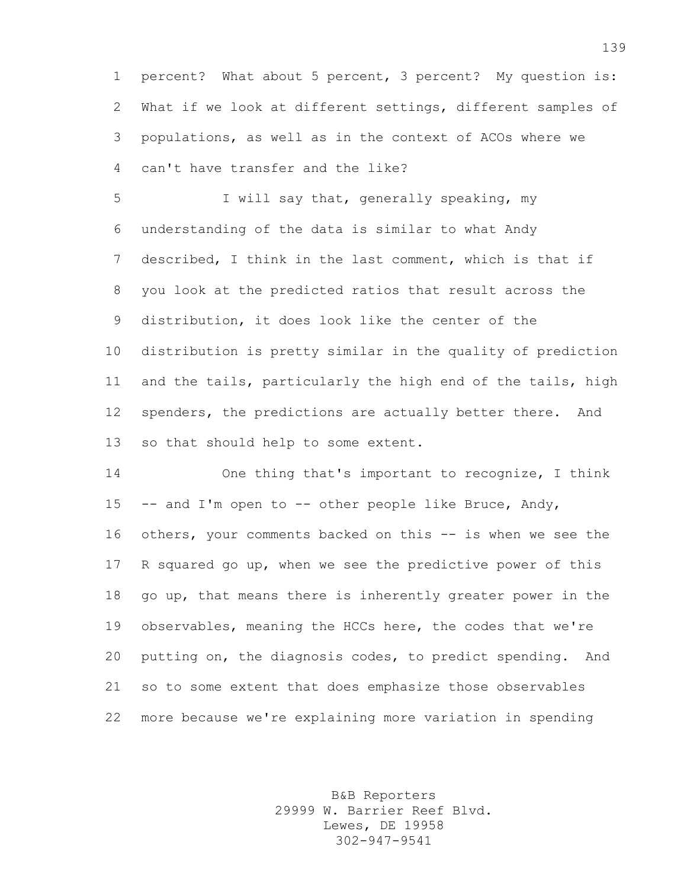percent? What about 5 percent, 3 percent? My question is: What if we look at different settings, different samples of populations, as well as in the context of ACOs where we can't have transfer and the like?

 I will say that, generally speaking, my understanding of the data is similar to what Andy described, I think in the last comment, which is that if you look at the predicted ratios that result across the distribution, it does look like the center of the distribution is pretty similar in the quality of prediction and the tails, particularly the high end of the tails, high spenders, the predictions are actually better there. And so that should help to some extent.

 One thing that's important to recognize, I think -- and I'm open to -- other people like Bruce, Andy, others, your comments backed on this -- is when we see the R squared go up, when we see the predictive power of this 18 go up, that means there is inherently greater power in the observables, meaning the HCCs here, the codes that we're putting on, the diagnosis codes, to predict spending. And so to some extent that does emphasize those observables more because we're explaining more variation in spending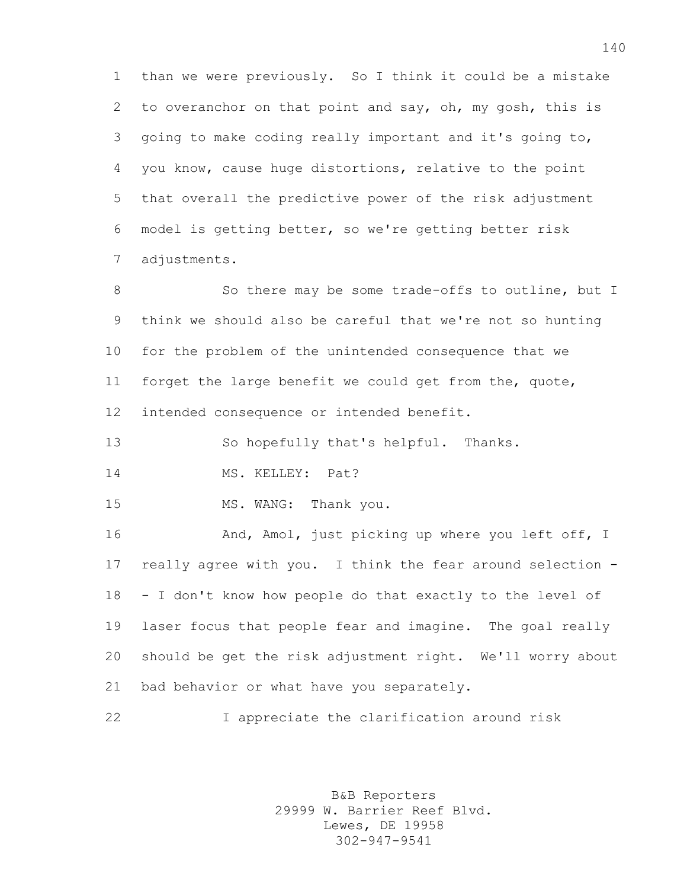than we were previously. So I think it could be a mistake to overanchor on that point and say, oh, my gosh, this is going to make coding really important and it's going to, you know, cause huge distortions, relative to the point that overall the predictive power of the risk adjustment model is getting better, so we're getting better risk adjustments.

8 So there may be some trade-offs to outline, but I think we should also be careful that we're not so hunting for the problem of the unintended consequence that we forget the large benefit we could get from the, quote, intended consequence or intended benefit.

So hopefully that's helpful. Thanks.

14 MS. KELLEY: Pat?

15 MS. WANG: Thank you.

16 And, Amol, just picking up where you left off, I really agree with you. I think the fear around selection - - I don't know how people do that exactly to the level of laser focus that people fear and imagine. The goal really should be get the risk adjustment right. We'll worry about bad behavior or what have you separately.

I appreciate the clarification around risk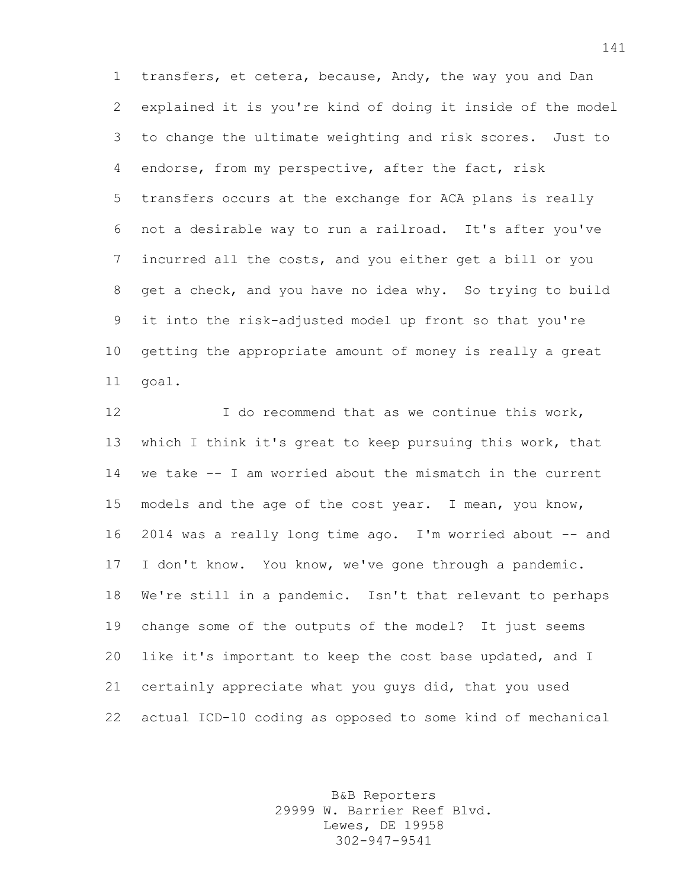transfers, et cetera, because, Andy, the way you and Dan explained it is you're kind of doing it inside of the model to change the ultimate weighting and risk scores. Just to endorse, from my perspective, after the fact, risk transfers occurs at the exchange for ACA plans is really not a desirable way to run a railroad. It's after you've incurred all the costs, and you either get a bill or you get a check, and you have no idea why. So trying to build it into the risk-adjusted model up front so that you're getting the appropriate amount of money is really a great goal.

 I do recommend that as we continue this work, which I think it's great to keep pursuing this work, that we take -- I am worried about the mismatch in the current models and the age of the cost year. I mean, you know, 2014 was a really long time ago. I'm worried about -- and I don't know. You know, we've gone through a pandemic. We're still in a pandemic. Isn't that relevant to perhaps change some of the outputs of the model? It just seems like it's important to keep the cost base updated, and I certainly appreciate what you guys did, that you used actual ICD-10 coding as opposed to some kind of mechanical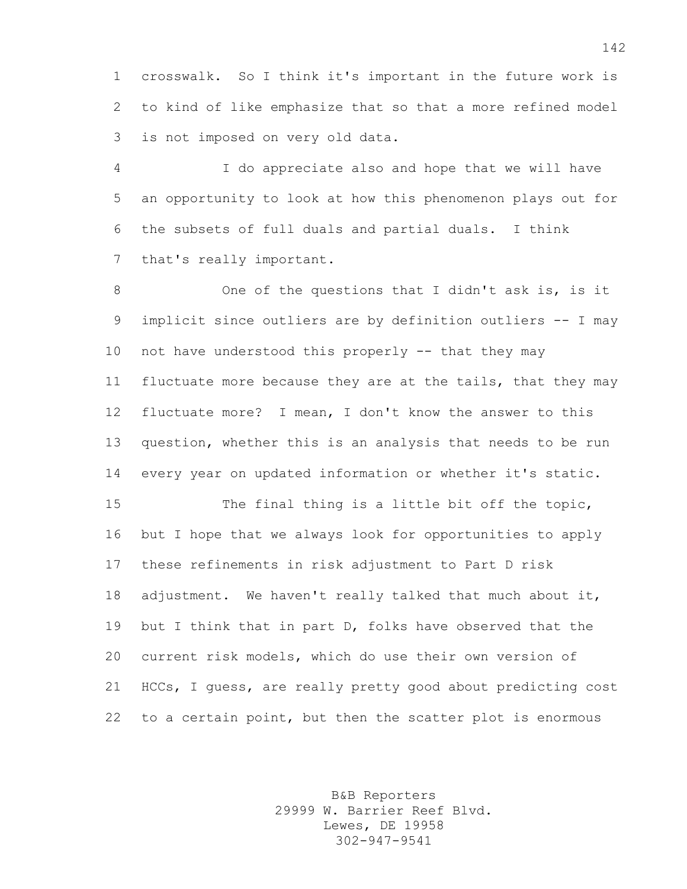crosswalk. So I think it's important in the future work is to kind of like emphasize that so that a more refined model is not imposed on very old data.

 I do appreciate also and hope that we will have an opportunity to look at how this phenomenon plays out for the subsets of full duals and partial duals. I think that's really important.

 One of the questions that I didn't ask is, is it implicit since outliers are by definition outliers -- I may not have understood this properly -- that they may fluctuate more because they are at the tails, that they may fluctuate more? I mean, I don't know the answer to this question, whether this is an analysis that needs to be run every year on updated information or whether it's static.

 The final thing is a little bit off the topic, but I hope that we always look for opportunities to apply these refinements in risk adjustment to Part D risk adjustment. We haven't really talked that much about it, but I think that in part D, folks have observed that the current risk models, which do use their own version of HCCs, I guess, are really pretty good about predicting cost to a certain point, but then the scatter plot is enormous

> B&B Reporters 29999 W. Barrier Reef Blvd. Lewes, DE 19958 302-947-9541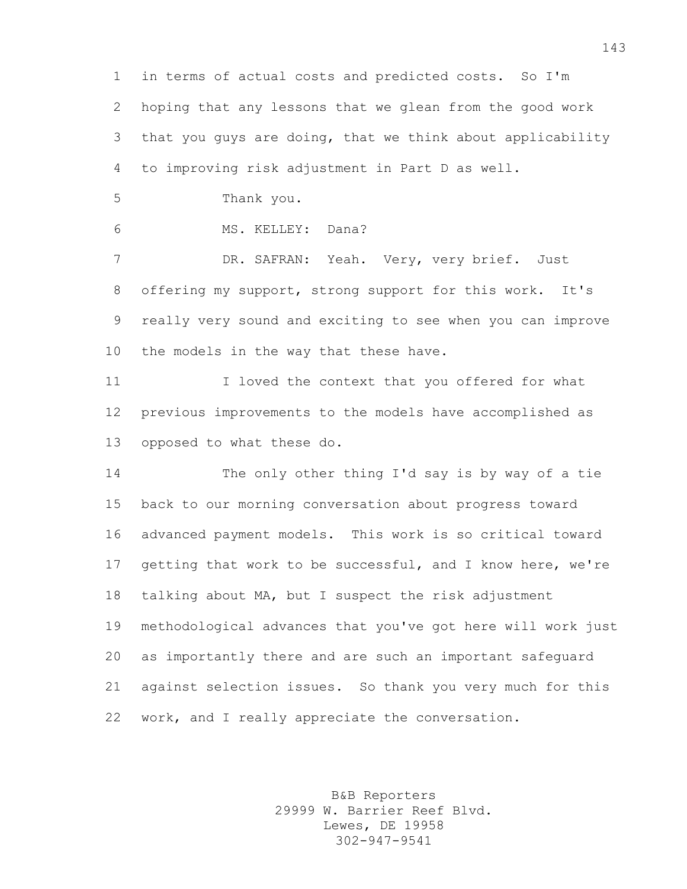in terms of actual costs and predicted costs. So I'm hoping that any lessons that we glean from the good work that you guys are doing, that we think about applicability to improving risk adjustment in Part D as well. Thank you. MS. KELLEY: Dana? DR. SAFRAN: Yeah. Very, very brief. Just offering my support, strong support for this work. It's really very sound and exciting to see when you can improve the models in the way that these have. 11 I loved the context that you offered for what previous improvements to the models have accomplished as opposed to what these do. The only other thing I'd say is by way of a tie back to our morning conversation about progress toward advanced payment models. This work is so critical toward getting that work to be successful, and I know here, we're talking about MA, but I suspect the risk adjustment methodological advances that you've got here will work just as importantly there and are such an important safeguard against selection issues. So thank you very much for this work, and I really appreciate the conversation.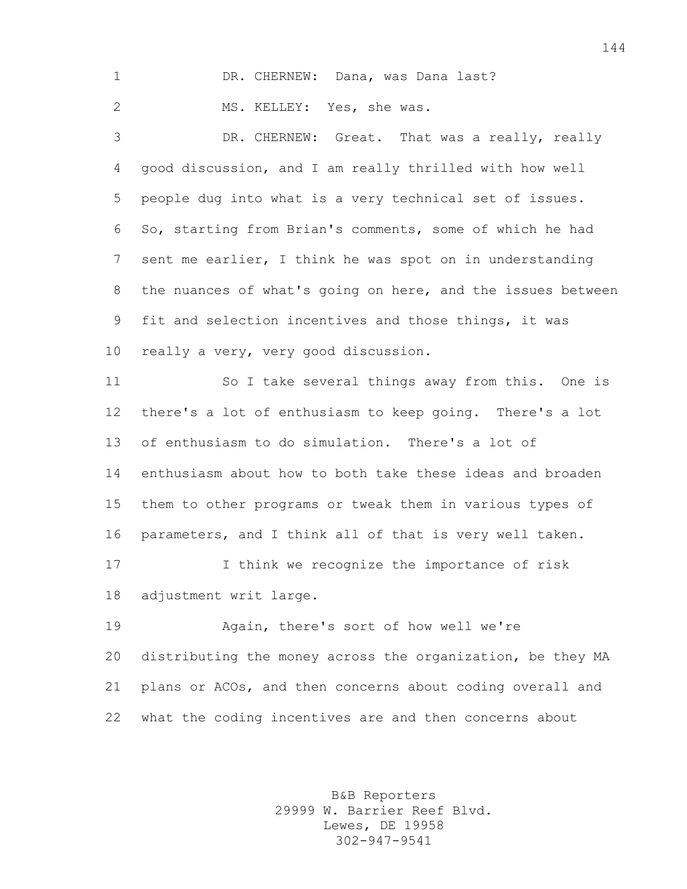| $\mathbf{1}$ | DR. CHERNEW: Dana, was Dana last?                           |
|--------------|-------------------------------------------------------------|
| $\mathbf{2}$ | MS. KELLEY: Yes, she was.                                   |
| 3            | DR. CHERNEW: Great. That was a really, really               |
| 4            | good discussion, and I am really thrilled with how well     |
| 5            | people dug into what is a very technical set of issues.     |
| 6            | So, starting from Brian's comments, some of which he had    |
| 7            | sent me earlier, I think he was spot on in understanding    |
| 8            | the nuances of what's going on here, and the issues between |
| 9            | fit and selection incentives and those things, it was       |
| 10           | really a very, very good discussion.                        |
| 11           | So I take several things away from this. One is             |
| 12           | there's a lot of enthusiasm to keep going. There's a lot    |
| 13           | of enthusiasm to do simulation. There's a lot of            |
| 14           | enthusiasm about how to both take these ideas and broaden   |
| 15           | them to other programs or tweak them in various types of    |
| 16           | parameters, and I think all of that is very well taken.     |
| 17           | I think we recognize the importance of risk                 |
| 18           | adjustment writ large.                                      |
| 19           | Again, there's sort of how well we're                       |
| 20           | distributing the money across the organization, be they MA  |
| 21           | plans or ACOs, and then concerns about coding overall and   |
| 22           | what the coding incentives are and then concerns about      |
|              |                                                             |

B&B Reporters 29999 W. Barrier Reef Blvd. Lewes, DE 19958 302-947-9541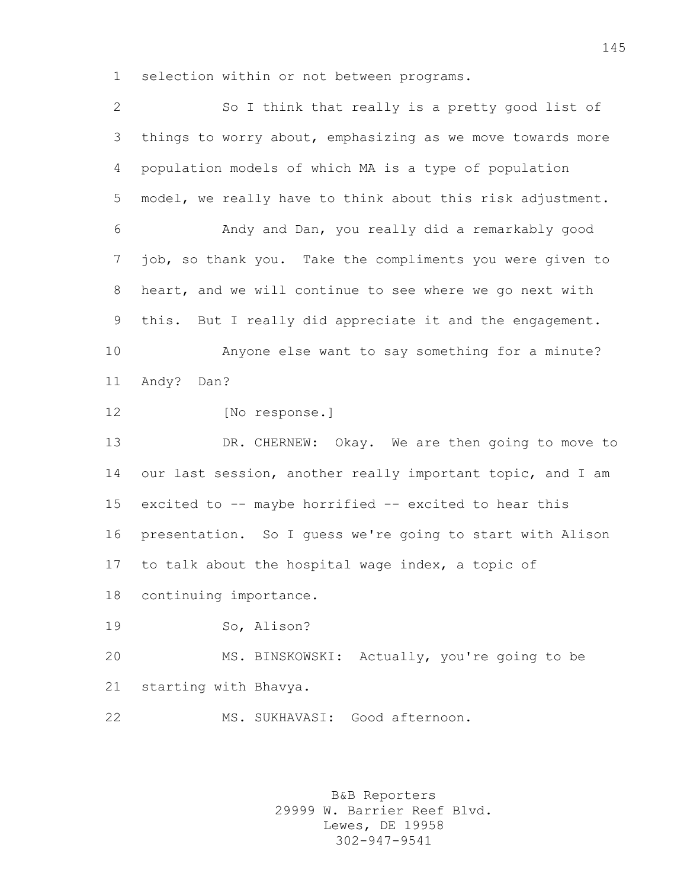selection within or not between programs.

| $\mathbf{2}$ | So I think that really is a pretty good list of            |
|--------------|------------------------------------------------------------|
| 3            | things to worry about, emphasizing as we move towards more |
| 4            | population models of which MA is a type of population      |
| 5            | model, we really have to think about this risk adjustment. |
| 6            | Andy and Dan, you really did a remarkably good             |
| 7            | job, so thank you. Take the compliments you were given to  |
| 8            | heart, and we will continue to see where we go next with   |
| 9            | this. But I really did appreciate it and the engagement.   |
| 10           | Anyone else want to say something for a minute?            |
| 11           | Andy?<br>Dan?                                              |
| 12           | [No response.]                                             |
| 13           | DR. CHERNEW: Okay. We are then going to move to            |
| 14           | our last session, another really important topic, and I am |
| 15           | excited to -- maybe horrified -- excited to hear this      |
| 16           | presentation. So I quess we're going to start with Alison  |
| 17           | to talk about the hospital wage index, a topic of          |
| 18           | continuing importance.                                     |
| 19           | So, Alison?                                                |
| 20           | MS. BINSKOWSKI: Actually, you're going to be               |
| 21           | starting with Bhavya.                                      |
| 22           | MS. SUKHAVASI: Good afternoon.                             |
|              |                                                            |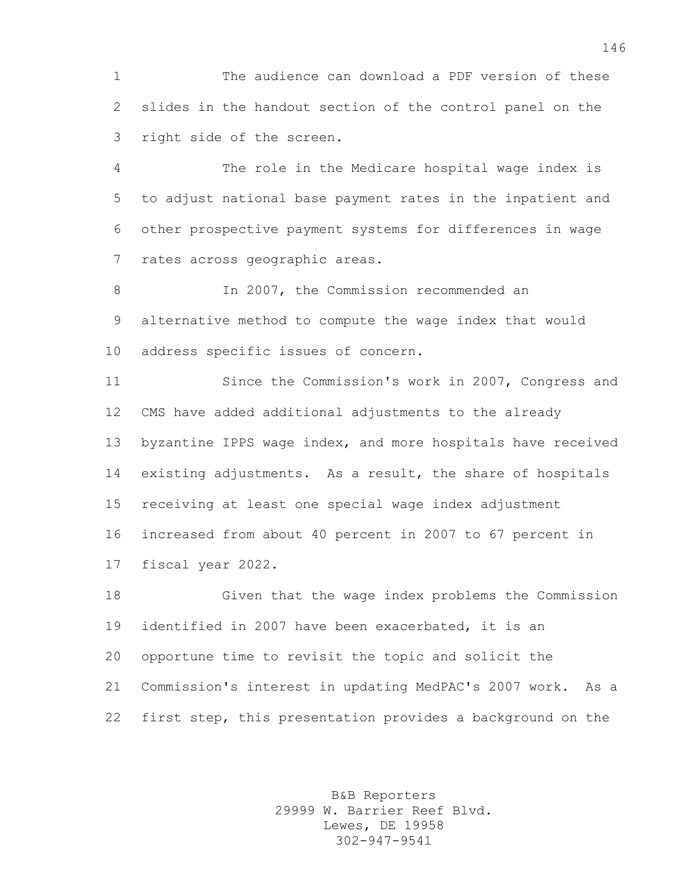The audience can download a PDF version of these slides in the handout section of the control panel on the right side of the screen.

 The role in the Medicare hospital wage index is to adjust national base payment rates in the inpatient and other prospective payment systems for differences in wage rates across geographic areas.

 In 2007, the Commission recommended an alternative method to compute the wage index that would address specific issues of concern.

 Since the Commission's work in 2007, Congress and CMS have added additional adjustments to the already byzantine IPPS wage index, and more hospitals have received existing adjustments. As a result, the share of hospitals receiving at least one special wage index adjustment increased from about 40 percent in 2007 to 67 percent in fiscal year 2022.

 Given that the wage index problems the Commission identified in 2007 have been exacerbated, it is an opportune time to revisit the topic and solicit the Commission's interest in updating MedPAC's 2007 work. As a first step, this presentation provides a background on the

> B&B Reporters 29999 W. Barrier Reef Blvd. Lewes, DE 19958 302-947-9541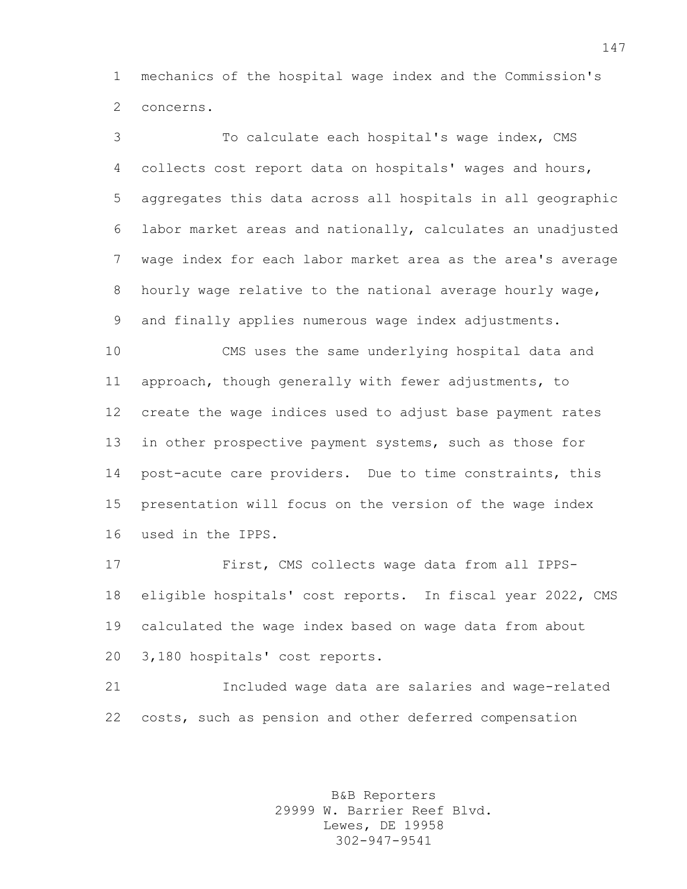mechanics of the hospital wage index and the Commission's concerns.

 To calculate each hospital's wage index, CMS collects cost report data on hospitals' wages and hours, aggregates this data across all hospitals in all geographic labor market areas and nationally, calculates an unadjusted wage index for each labor market area as the area's average hourly wage relative to the national average hourly wage, and finally applies numerous wage index adjustments.

 CMS uses the same underlying hospital data and approach, though generally with fewer adjustments, to create the wage indices used to adjust base payment rates in other prospective payment systems, such as those for post-acute care providers. Due to time constraints, this presentation will focus on the version of the wage index used in the IPPS.

 First, CMS collects wage data from all IPPS- eligible hospitals' cost reports. In fiscal year 2022, CMS calculated the wage index based on wage data from about 3,180 hospitals' cost reports.

 Included wage data are salaries and wage-related costs, such as pension and other deferred compensation

> B&B Reporters 29999 W. Barrier Reef Blvd. Lewes, DE 19958 302-947-9541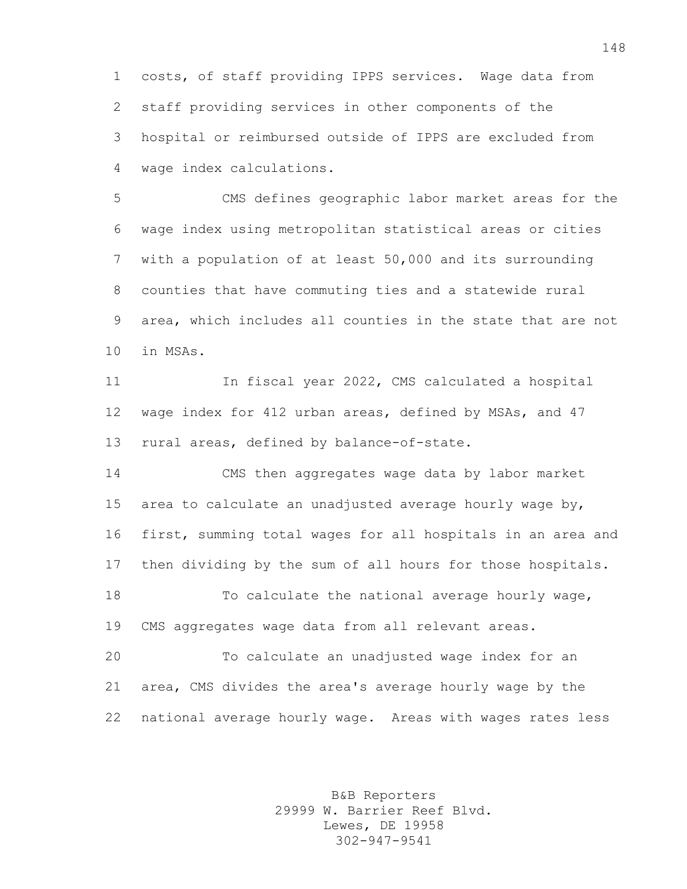costs, of staff providing IPPS services. Wage data from staff providing services in other components of the hospital or reimbursed outside of IPPS are excluded from wage index calculations.

 CMS defines geographic labor market areas for the wage index using metropolitan statistical areas or cities with a population of at least 50,000 and its surrounding counties that have commuting ties and a statewide rural area, which includes all counties in the state that are not in MSAs.

 In fiscal year 2022, CMS calculated a hospital wage index for 412 urban areas, defined by MSAs, and 47 rural areas, defined by balance-of-state.

 CMS then aggregates wage data by labor market area to calculate an unadjusted average hourly wage by, first, summing total wages for all hospitals in an area and then dividing by the sum of all hours for those hospitals. To calculate the national average hourly wage, CMS aggregates wage data from all relevant areas. To calculate an unadjusted wage index for an

 area, CMS divides the area's average hourly wage by the national average hourly wage. Areas with wages rates less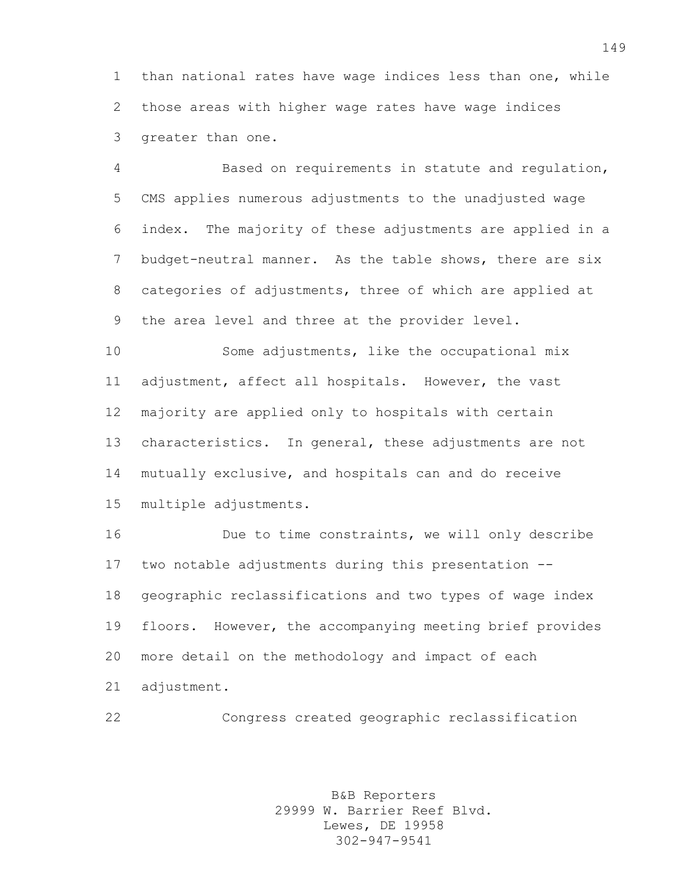than national rates have wage indices less than one, while those areas with higher wage rates have wage indices greater than one.

 Based on requirements in statute and regulation, CMS applies numerous adjustments to the unadjusted wage index. The majority of these adjustments are applied in a budget-neutral manner. As the table shows, there are six categories of adjustments, three of which are applied at the area level and three at the provider level.

 Some adjustments, like the occupational mix adjustment, affect all hospitals. However, the vast majority are applied only to hospitals with certain characteristics. In general, these adjustments are not mutually exclusive, and hospitals can and do receive multiple adjustments.

 Due to time constraints, we will only describe two notable adjustments during this presentation -- geographic reclassifications and two types of wage index floors. However, the accompanying meeting brief provides more detail on the methodology and impact of each adjustment.

Congress created geographic reclassification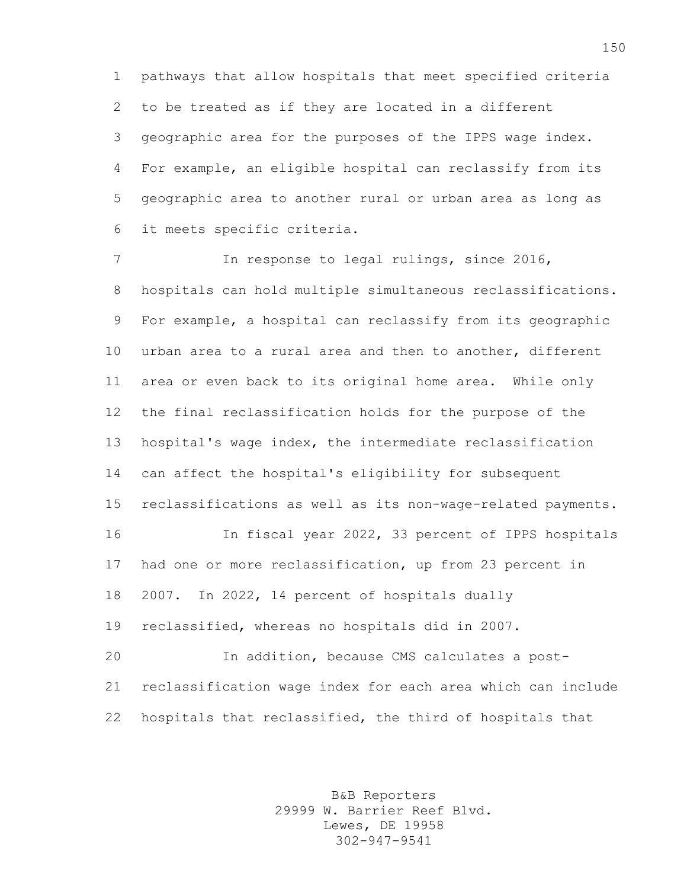pathways that allow hospitals that meet specified criteria to be treated as if they are located in a different geographic area for the purposes of the IPPS wage index. For example, an eligible hospital can reclassify from its geographic area to another rural or urban area as long as it meets specific criteria.

7 1 In response to legal rulings, since 2016, hospitals can hold multiple simultaneous reclassifications. For example, a hospital can reclassify from its geographic urban area to a rural area and then to another, different area or even back to its original home area. While only the final reclassification holds for the purpose of the hospital's wage index, the intermediate reclassification can affect the hospital's eligibility for subsequent reclassifications as well as its non-wage-related payments. In fiscal year 2022, 33 percent of IPPS hospitals had one or more reclassification, up from 23 percent in 2007. In 2022, 14 percent of hospitals dually reclassified, whereas no hospitals did in 2007. In addition, because CMS calculates a post-reclassification wage index for each area which can include

hospitals that reclassified, the third of hospitals that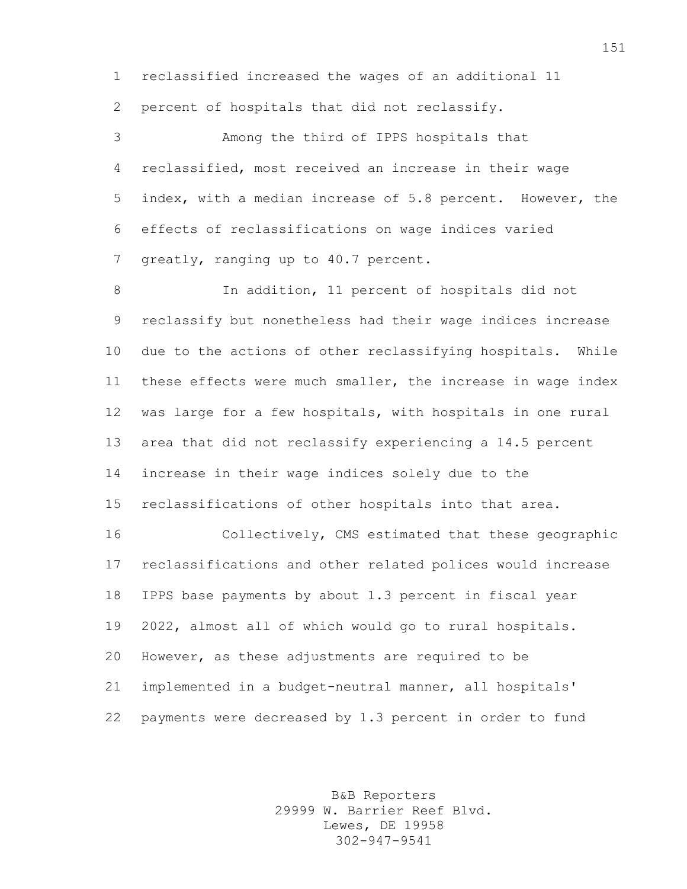reclassified increased the wages of an additional 11 percent of hospitals that did not reclassify.

 Among the third of IPPS hospitals that reclassified, most received an increase in their wage index, with a median increase of 5.8 percent. However, the effects of reclassifications on wage indices varied greatly, ranging up to 40.7 percent.

 In addition, 11 percent of hospitals did not reclassify but nonetheless had their wage indices increase due to the actions of other reclassifying hospitals. While these effects were much smaller, the increase in wage index was large for a few hospitals, with hospitals in one rural area that did not reclassify experiencing a 14.5 percent increase in their wage indices solely due to the reclassifications of other hospitals into that area.

 Collectively, CMS estimated that these geographic reclassifications and other related polices would increase IPPS base payments by about 1.3 percent in fiscal year 2022, almost all of which would go to rural hospitals. However, as these adjustments are required to be implemented in a budget-neutral manner, all hospitals' payments were decreased by 1.3 percent in order to fund

> B&B Reporters 29999 W. Barrier Reef Blvd. Lewes, DE 19958 302-947-9541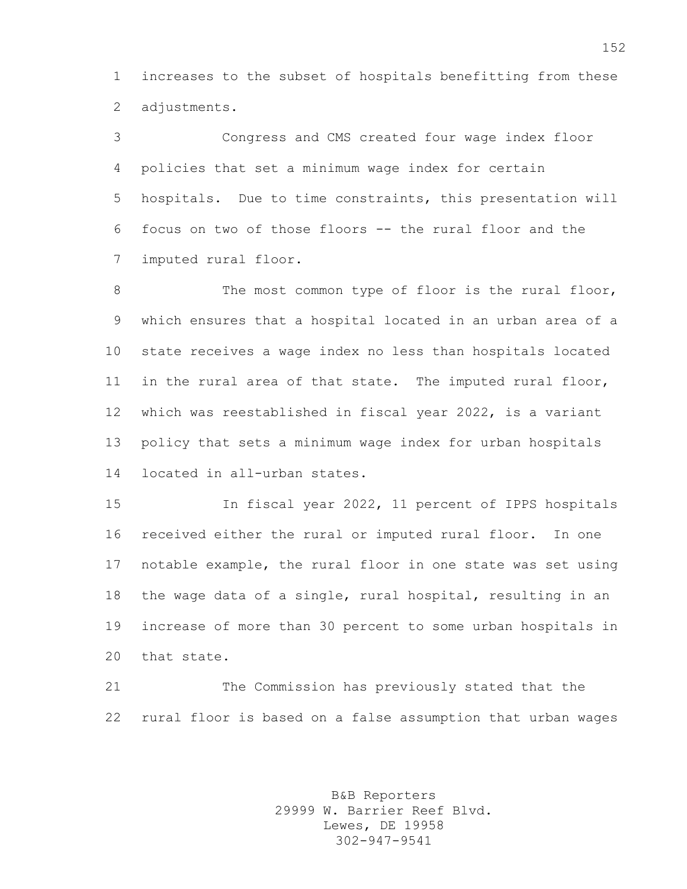increases to the subset of hospitals benefitting from these adjustments.

 Congress and CMS created four wage index floor policies that set a minimum wage index for certain hospitals. Due to time constraints, this presentation will focus on two of those floors -- the rural floor and the imputed rural floor.

8 The most common type of floor is the rural floor, which ensures that a hospital located in an urban area of a state receives a wage index no less than hospitals located in the rural area of that state. The imputed rural floor, which was reestablished in fiscal year 2022, is a variant policy that sets a minimum wage index for urban hospitals located in all-urban states.

 In fiscal year 2022, 11 percent of IPPS hospitals received either the rural or imputed rural floor. In one notable example, the rural floor in one state was set using the wage data of a single, rural hospital, resulting in an increase of more than 30 percent to some urban hospitals in that state.

 The Commission has previously stated that the rural floor is based on a false assumption that urban wages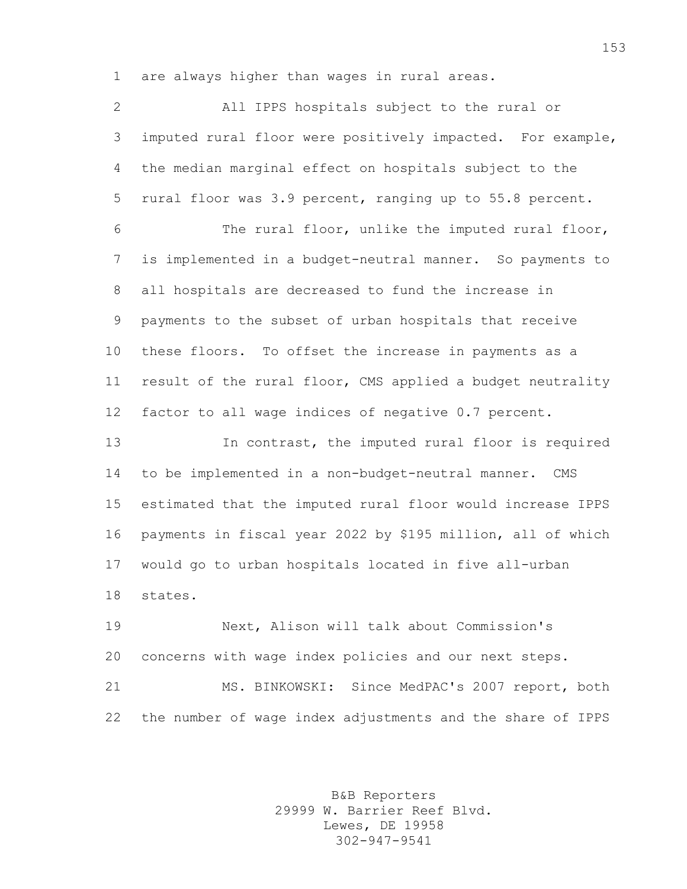are always higher than wages in rural areas.

 All IPPS hospitals subject to the rural or imputed rural floor were positively impacted. For example, the median marginal effect on hospitals subject to the rural floor was 3.9 percent, ranging up to 55.8 percent. The rural floor, unlike the imputed rural floor, is implemented in a budget-neutral manner. So payments to all hospitals are decreased to fund the increase in payments to the subset of urban hospitals that receive these floors. To offset the increase in payments as a result of the rural floor, CMS applied a budget neutrality factor to all wage indices of negative 0.7 percent. In contrast, the imputed rural floor is required to be implemented in a non-budget-neutral manner. CMS estimated that the imputed rural floor would increase IPPS payments in fiscal year 2022 by \$195 million, all of which would go to urban hospitals located in five all-urban states.

 Next, Alison will talk about Commission's concerns with wage index policies and our next steps.

 MS. BINKOWSKI: Since MedPAC's 2007 report, both the number of wage index adjustments and the share of IPPS

> B&B Reporters 29999 W. Barrier Reef Blvd. Lewes, DE 19958 302-947-9541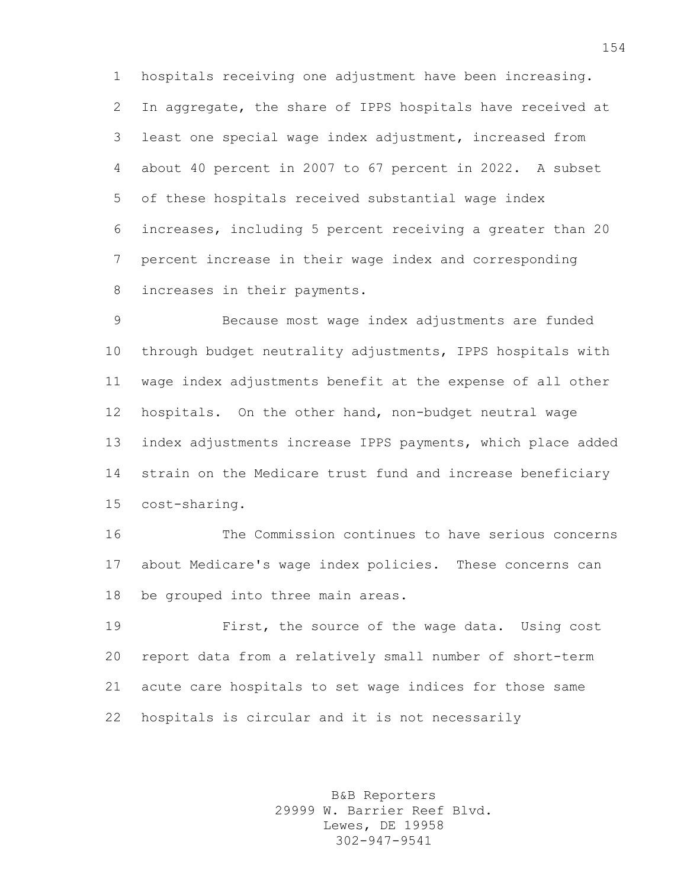hospitals receiving one adjustment have been increasing. In aggregate, the share of IPPS hospitals have received at least one special wage index adjustment, increased from about 40 percent in 2007 to 67 percent in 2022. A subset of these hospitals received substantial wage index increases, including 5 percent receiving a greater than 20 percent increase in their wage index and corresponding increases in their payments.

 Because most wage index adjustments are funded through budget neutrality adjustments, IPPS hospitals with wage index adjustments benefit at the expense of all other hospitals. On the other hand, non-budget neutral wage index adjustments increase IPPS payments, which place added strain on the Medicare trust fund and increase beneficiary cost-sharing.

 The Commission continues to have serious concerns about Medicare's wage index policies. These concerns can be grouped into three main areas.

 First, the source of the wage data. Using cost report data from a relatively small number of short-term acute care hospitals to set wage indices for those same hospitals is circular and it is not necessarily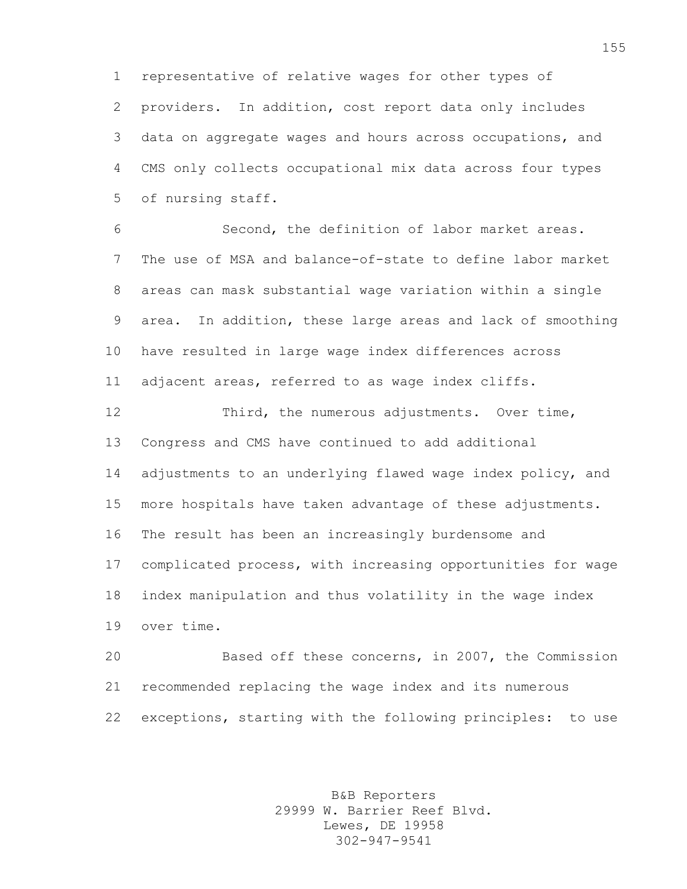representative of relative wages for other types of providers. In addition, cost report data only includes data on aggregate wages and hours across occupations, and CMS only collects occupational mix data across four types of nursing staff.

 Second, the definition of labor market areas. The use of MSA and balance-of-state to define labor market areas can mask substantial wage variation within a single area. In addition, these large areas and lack of smoothing have resulted in large wage index differences across adjacent areas, referred to as wage index cliffs.

 Third, the numerous adjustments. Over time, Congress and CMS have continued to add additional adjustments to an underlying flawed wage index policy, and more hospitals have taken advantage of these adjustments. The result has been an increasingly burdensome and complicated process, with increasing opportunities for wage index manipulation and thus volatility in the wage index over time.

 Based off these concerns, in 2007, the Commission recommended replacing the wage index and its numerous exceptions, starting with the following principles: to use

> B&B Reporters 29999 W. Barrier Reef Blvd. Lewes, DE 19958 302-947-9541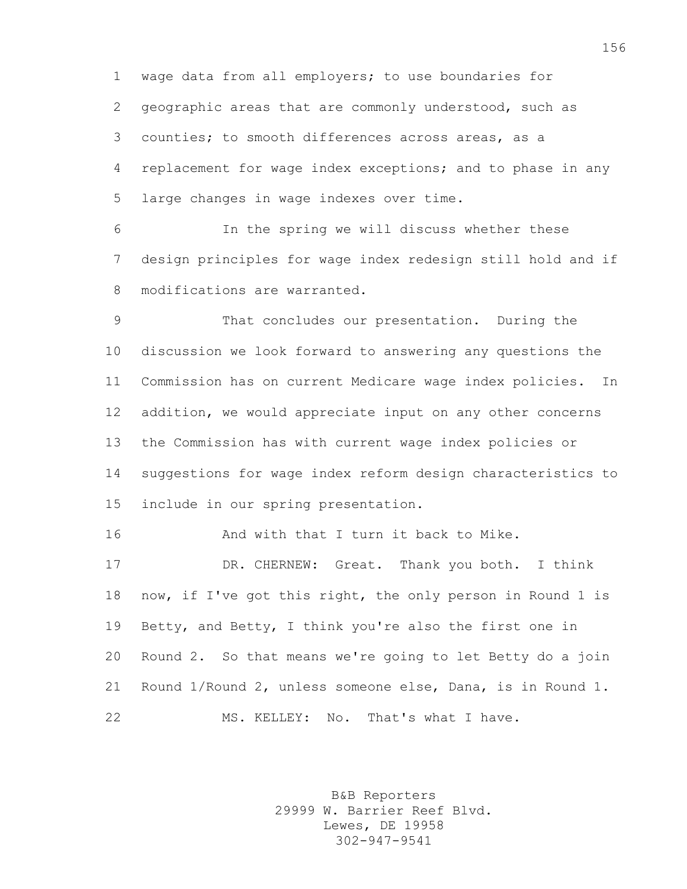wage data from all employers; to use boundaries for geographic areas that are commonly understood, such as counties; to smooth differences across areas, as a replacement for wage index exceptions; and to phase in any large changes in wage indexes over time.

 In the spring we will discuss whether these design principles for wage index redesign still hold and if modifications are warranted.

 That concludes our presentation. During the discussion we look forward to answering any questions the Commission has on current Medicare wage index policies. In addition, we would appreciate input on any other concerns the Commission has with current wage index policies or suggestions for wage index reform design characteristics to include in our spring presentation.

16 And with that I turn it back to Mike. DR. CHERNEW: Great. Thank you both. I think now, if I've got this right, the only person in Round 1 is Betty, and Betty, I think you're also the first one in Round 2. So that means we're going to let Betty do a join Round 1/Round 2, unless someone else, Dana, is in Round 1. MS. KELLEY: No. That's what I have.

> B&B Reporters 29999 W. Barrier Reef Blvd. Lewes, DE 19958 302-947-9541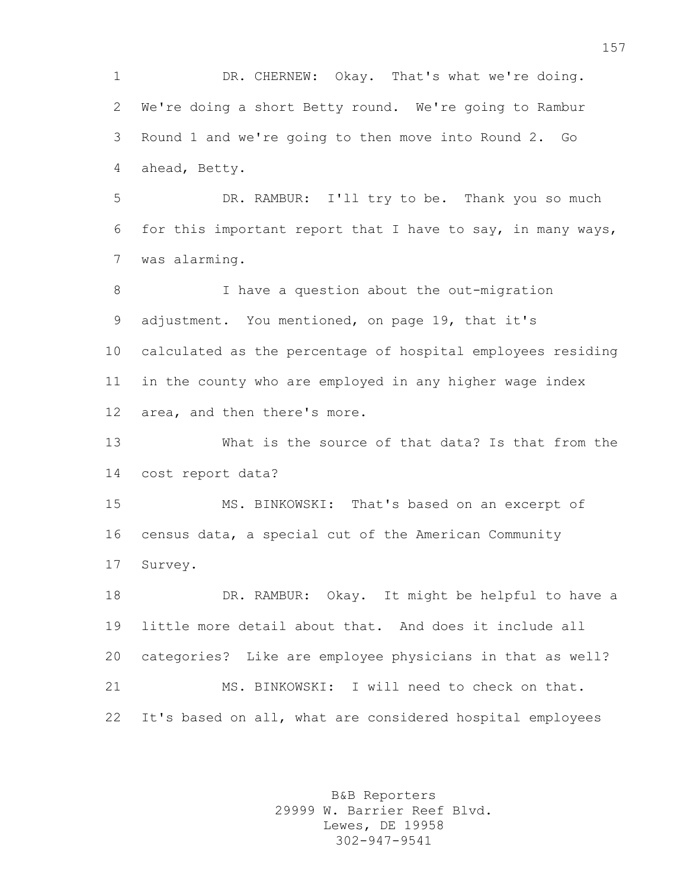1 DR. CHERNEW: Okay. That's what we're doing. We're doing a short Betty round. We're going to Rambur Round 1 and we're going to then move into Round 2. Go ahead, Betty.

 DR. RAMBUR: I'll try to be. Thank you so much 6 for this important report that I have to say, in many ways, was alarming.

8 I have a question about the out-migration adjustment. You mentioned, on page 19, that it's calculated as the percentage of hospital employees residing in the county who are employed in any higher wage index area, and then there's more.

 What is the source of that data? Is that from the cost report data?

 MS. BINKOWSKI: That's based on an excerpt of census data, a special cut of the American Community Survey.

 DR. RAMBUR: Okay. It might be helpful to have a little more detail about that. And does it include all categories? Like are employee physicians in that as well? MS. BINKOWSKI: I will need to check on that. It's based on all, what are considered hospital employees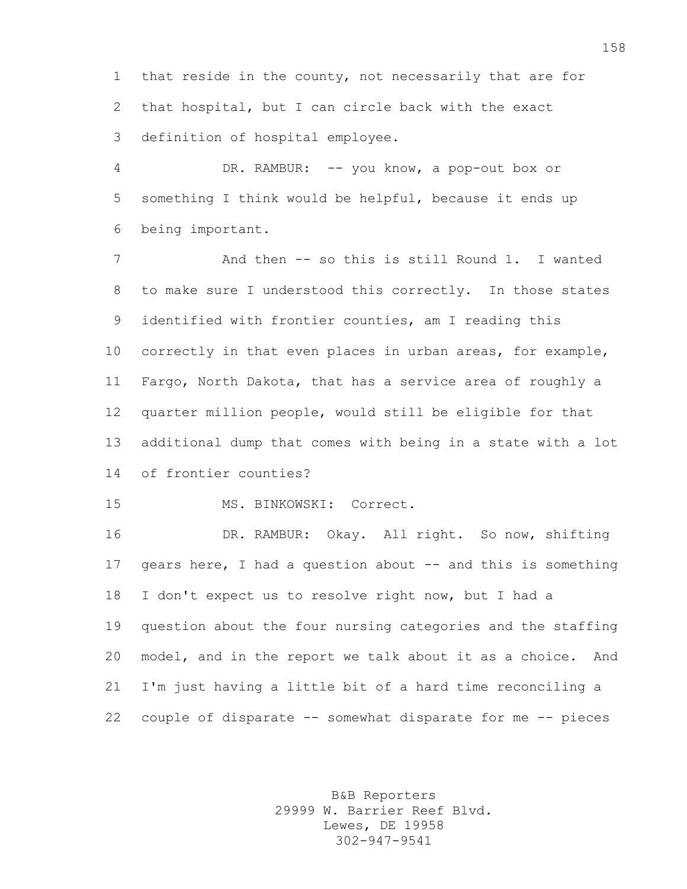that reside in the county, not necessarily that are for that hospital, but I can circle back with the exact definition of hospital employee.

 DR. RAMBUR: -- you know, a pop-out box or something I think would be helpful, because it ends up being important.

 And then -- so this is still Round 1. I wanted to make sure I understood this correctly. In those states identified with frontier counties, am I reading this correctly in that even places in urban areas, for example, Fargo, North Dakota, that has a service area of roughly a quarter million people, would still be eligible for that additional dump that comes with being in a state with a lot of frontier counties?

MS. BINKOWSKI: Correct.

 DR. RAMBUR: Okay. All right. So now, shifting gears here, I had a question about -- and this is something I don't expect us to resolve right now, but I had a question about the four nursing categories and the staffing model, and in the report we talk about it as a choice. And I'm just having a little bit of a hard time reconciling a couple of disparate -- somewhat disparate for me -- pieces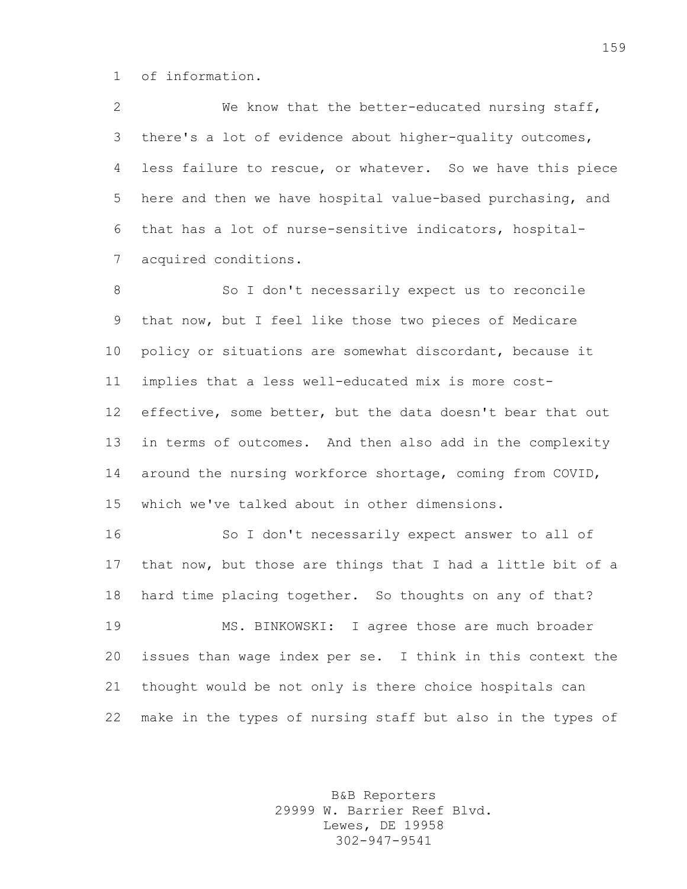of information.

 We know that the better-educated nursing staff, there's a lot of evidence about higher-quality outcomes, less failure to rescue, or whatever. So we have this piece here and then we have hospital value-based purchasing, and that has a lot of nurse-sensitive indicators, hospital-acquired conditions.

8 So I don't necessarily expect us to reconcile that now, but I feel like those two pieces of Medicare policy or situations are somewhat discordant, because it implies that a less well-educated mix is more cost- effective, some better, but the data doesn't bear that out in terms of outcomes. And then also add in the complexity around the nursing workforce shortage, coming from COVID, which we've talked about in other dimensions.

 So I don't necessarily expect answer to all of that now, but those are things that I had a little bit of a hard time placing together. So thoughts on any of that? MS. BINKOWSKI: I agree those are much broader issues than wage index per se. I think in this context the

make in the types of nursing staff but also in the types of

thought would be not only is there choice hospitals can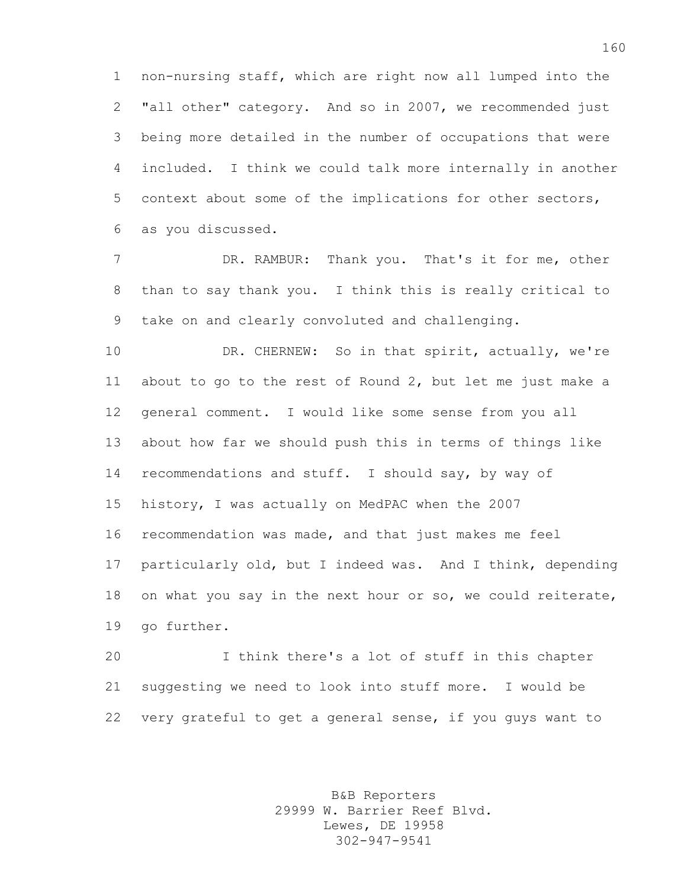non-nursing staff, which are right now all lumped into the "all other" category. And so in 2007, we recommended just being more detailed in the number of occupations that were included. I think we could talk more internally in another context about some of the implications for other sectors, as you discussed.

 DR. RAMBUR: Thank you. That's it for me, other than to say thank you. I think this is really critical to take on and clearly convoluted and challenging.

10 DR. CHERNEW: So in that spirit, actually, we're about to go to the rest of Round 2, but let me just make a general comment. I would like some sense from you all about how far we should push this in terms of things like recommendations and stuff. I should say, by way of history, I was actually on MedPAC when the 2007 recommendation was made, and that just makes me feel particularly old, but I indeed was. And I think, depending on what you say in the next hour or so, we could reiterate, go further.

 I think there's a lot of stuff in this chapter suggesting we need to look into stuff more. I would be very grateful to get a general sense, if you guys want to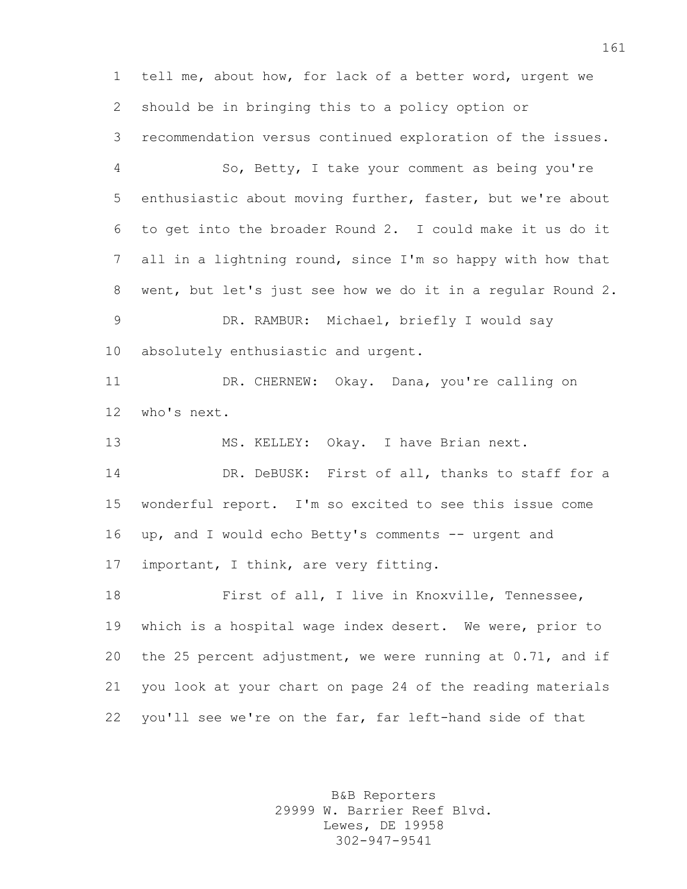tell me, about how, for lack of a better word, urgent we should be in bringing this to a policy option or recommendation versus continued exploration of the issues. So, Betty, I take your comment as being you're enthusiastic about moving further, faster, but we're about to get into the broader Round 2. I could make it us do it all in a lightning round, since I'm so happy with how that went, but let's just see how we do it in a regular Round 2. DR. RAMBUR: Michael, briefly I would say absolutely enthusiastic and urgent. DR. CHERNEW: Okay. Dana, you're calling on who's next. 13 MS. KELLEY: Okay. I have Brian next. DR. DeBUSK: First of all, thanks to staff for a wonderful report. I'm so excited to see this issue come up, and I would echo Betty's comments -- urgent and important, I think, are very fitting. First of all, I live in Knoxville, Tennessee, which is a hospital wage index desert. We were, prior to the 25 percent adjustment, we were running at 0.71, and if you look at your chart on page 24 of the reading materials you'll see we're on the far, far left-hand side of that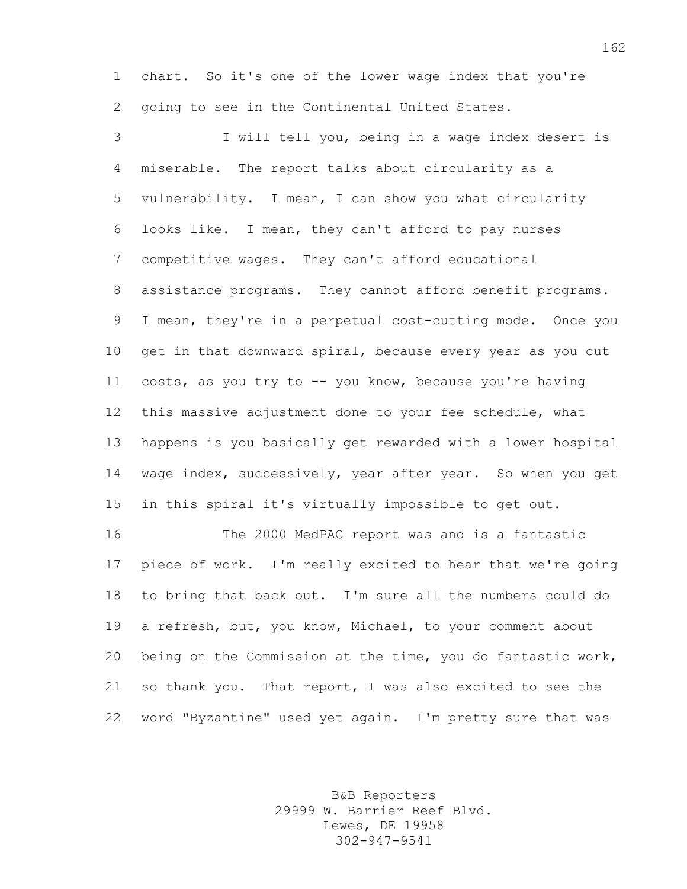chart. So it's one of the lower wage index that you're going to see in the Continental United States.

 I will tell you, being in a wage index desert is miserable. The report talks about circularity as a vulnerability. I mean, I can show you what circularity looks like. I mean, they can't afford to pay nurses competitive wages. They can't afford educational assistance programs. They cannot afford benefit programs. I mean, they're in a perpetual cost-cutting mode. Once you get in that downward spiral, because every year as you cut costs, as you try to -- you know, because you're having this massive adjustment done to your fee schedule, what happens is you basically get rewarded with a lower hospital wage index, successively, year after year. So when you get in this spiral it's virtually impossible to get out.

 The 2000 MedPAC report was and is a fantastic piece of work. I'm really excited to hear that we're going to bring that back out. I'm sure all the numbers could do a refresh, but, you know, Michael, to your comment about being on the Commission at the time, you do fantastic work, so thank you. That report, I was also excited to see the word "Byzantine" used yet again. I'm pretty sure that was

> B&B Reporters 29999 W. Barrier Reef Blvd. Lewes, DE 19958 302-947-9541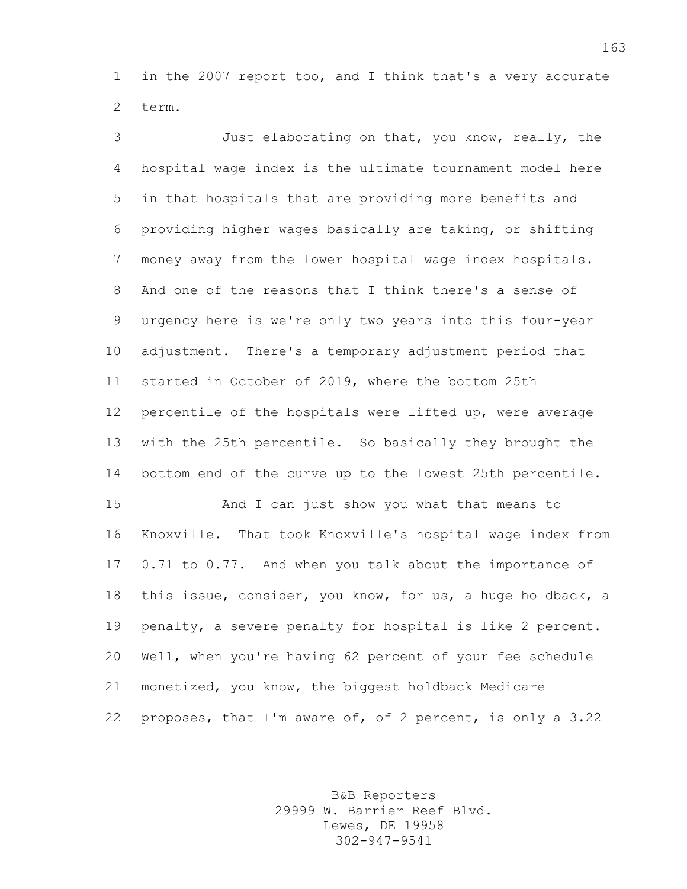in the 2007 report too, and I think that's a very accurate term.

 Just elaborating on that, you know, really, the hospital wage index is the ultimate tournament model here in that hospitals that are providing more benefits and providing higher wages basically are taking, or shifting money away from the lower hospital wage index hospitals. And one of the reasons that I think there's a sense of urgency here is we're only two years into this four-year adjustment. There's a temporary adjustment period that started in October of 2019, where the bottom 25th percentile of the hospitals were lifted up, were average with the 25th percentile. So basically they brought the bottom end of the curve up to the lowest 25th percentile. And I can just show you what that means to Knoxville. That took Knoxville's hospital wage index from 0.71 to 0.77. And when you talk about the importance of this issue, consider, you know, for us, a huge holdback, a

 penalty, a severe penalty for hospital is like 2 percent. Well, when you're having 62 percent of your fee schedule monetized, you know, the biggest holdback Medicare proposes, that I'm aware of, of 2 percent, is only a 3.22

> B&B Reporters 29999 W. Barrier Reef Blvd. Lewes, DE 19958 302-947-9541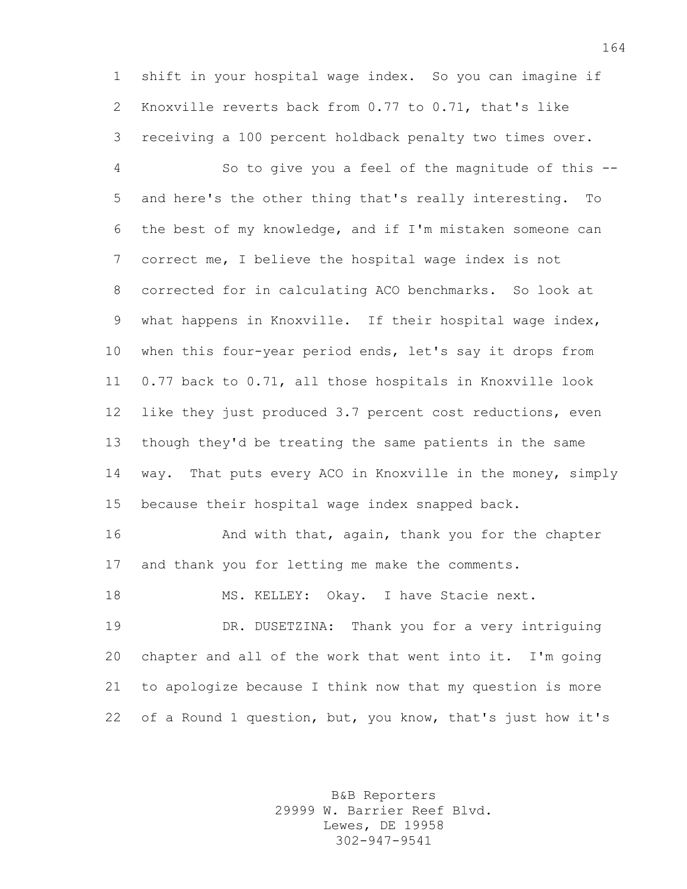shift in your hospital wage index. So you can imagine if Knoxville reverts back from 0.77 to 0.71, that's like receiving a 100 percent holdback penalty two times over.

 So to give you a feel of the magnitude of this -- and here's the other thing that's really interesting. To the best of my knowledge, and if I'm mistaken someone can correct me, I believe the hospital wage index is not corrected for in calculating ACO benchmarks. So look at what happens in Knoxville. If their hospital wage index, when this four-year period ends, let's say it drops from 0.77 back to 0.71, all those hospitals in Knoxville look like they just produced 3.7 percent cost reductions, even though they'd be treating the same patients in the same way. That puts every ACO in Knoxville in the money, simply because their hospital wage index snapped back.

16 And with that, again, thank you for the chapter and thank you for letting me make the comments.

MS. KELLEY: Okay. I have Stacie next.

 DR. DUSETZINA: Thank you for a very intriguing chapter and all of the work that went into it. I'm going to apologize because I think now that my question is more 22 of a Round 1 question, but, you know, that's just how it's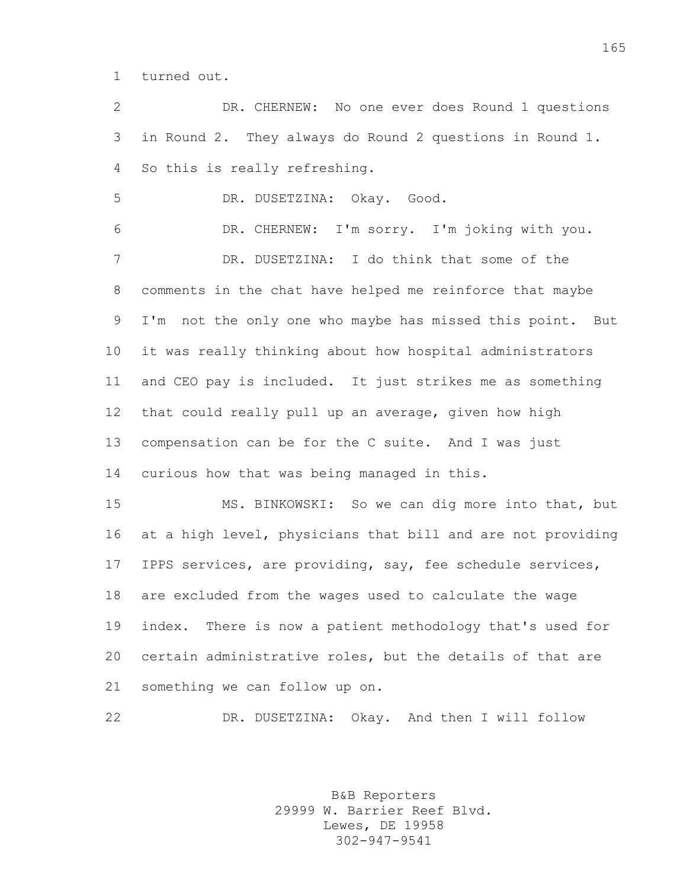turned out.

 DR. CHERNEW: No one ever does Round 1 questions in Round 2. They always do Round 2 questions in Round 1. So this is really refreshing.

DR. DUSETZINA: Okay. Good.

 DR. CHERNEW: I'm sorry. I'm joking with you. DR. DUSETZINA: I do think that some of the comments in the chat have helped me reinforce that maybe I'm not the only one who maybe has missed this point. But it was really thinking about how hospital administrators and CEO pay is included. It just strikes me as something that could really pull up an average, given how high compensation can be for the C suite. And I was just curious how that was being managed in this.

 MS. BINKOWSKI: So we can dig more into that, but at a high level, physicians that bill and are not providing IPPS services, are providing, say, fee schedule services, are excluded from the wages used to calculate the wage index. There is now a patient methodology that's used for certain administrative roles, but the details of that are something we can follow up on.

DR. DUSETZINA: Okay. And then I will follow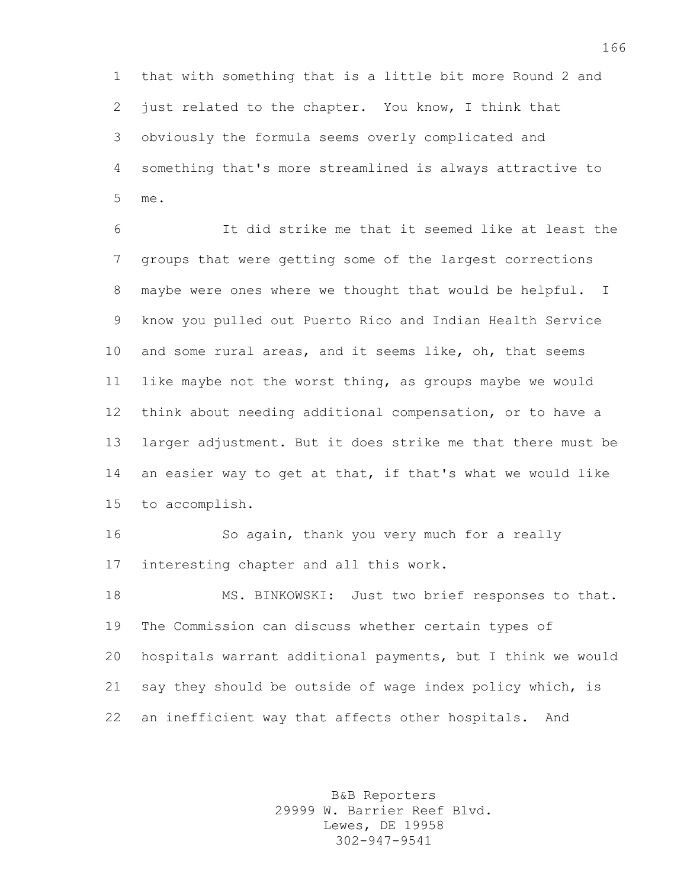that with something that is a little bit more Round 2 and just related to the chapter. You know, I think that obviously the formula seems overly complicated and something that's more streamlined is always attractive to me.

 It did strike me that it seemed like at least the groups that were getting some of the largest corrections maybe were ones where we thought that would be helpful. I know you pulled out Puerto Rico and Indian Health Service and some rural areas, and it seems like, oh, that seems like maybe not the worst thing, as groups maybe we would think about needing additional compensation, or to have a larger adjustment. But it does strike me that there must be 14 an easier way to get at that, if that's what we would like to accomplish.

 So again, thank you very much for a really interesting chapter and all this work.

 MS. BINKOWSKI: Just two brief responses to that. The Commission can discuss whether certain types of hospitals warrant additional payments, but I think we would say they should be outside of wage index policy which, is an inefficient way that affects other hospitals. And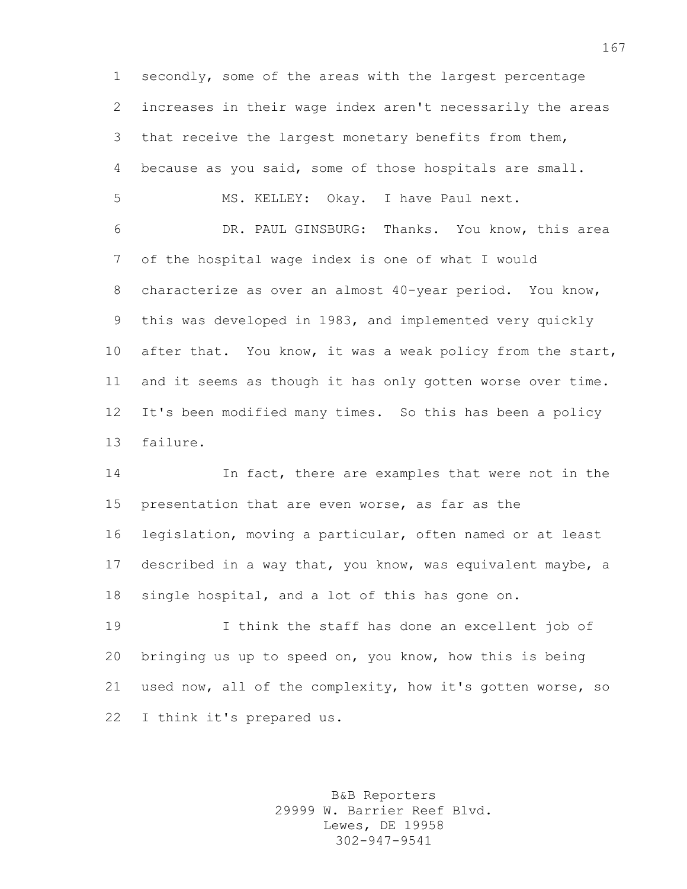secondly, some of the areas with the largest percentage increases in their wage index aren't necessarily the areas that receive the largest monetary benefits from them, because as you said, some of those hospitals are small. MS. KELLEY: Okay. I have Paul next. DR. PAUL GINSBURG: Thanks. You know, this area of the hospital wage index is one of what I would 8 characterize as over an almost 40-year period. You know, this was developed in 1983, and implemented very quickly 10 after that. You know, it was a weak policy from the start, and it seems as though it has only gotten worse over time.

 It's been modified many times. So this has been a policy failure.

 In fact, there are examples that were not in the presentation that are even worse, as far as the legislation, moving a particular, often named or at least described in a way that, you know, was equivalent maybe, a single hospital, and a lot of this has gone on.

 I think the staff has done an excellent job of bringing us up to speed on, you know, how this is being used now, all of the complexity, how it's gotten worse, so I think it's prepared us.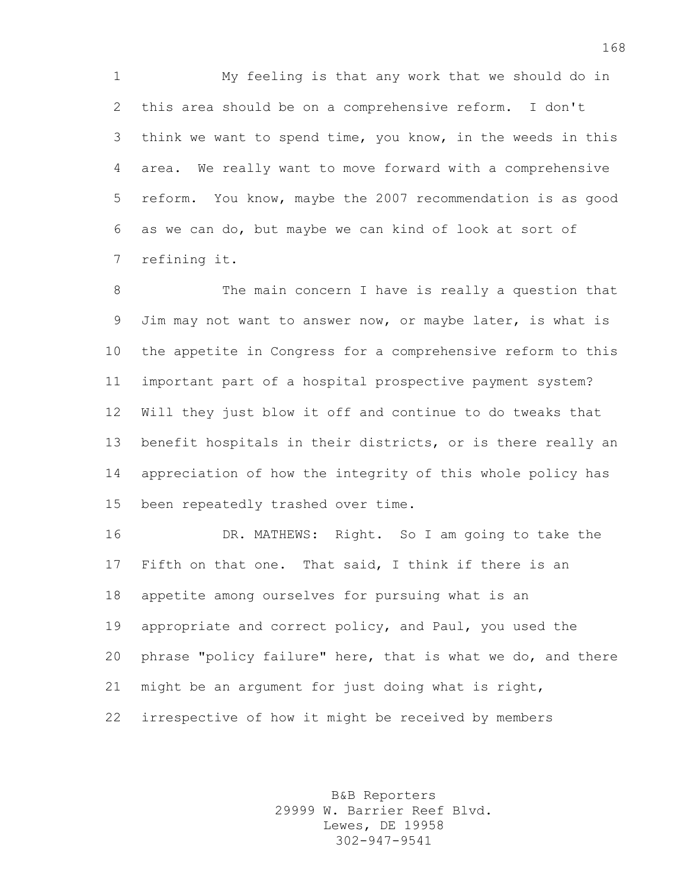My feeling is that any work that we should do in this area should be on a comprehensive reform. I don't think we want to spend time, you know, in the weeds in this area. We really want to move forward with a comprehensive reform. You know, maybe the 2007 recommendation is as good as we can do, but maybe we can kind of look at sort of refining it.

8 The main concern I have is really a question that Jim may not want to answer now, or maybe later, is what is the appetite in Congress for a comprehensive reform to this important part of a hospital prospective payment system? Will they just blow it off and continue to do tweaks that benefit hospitals in their districts, or is there really an appreciation of how the integrity of this whole policy has been repeatedly trashed over time.

 DR. MATHEWS: Right. So I am going to take the Fifth on that one. That said, I think if there is an appetite among ourselves for pursuing what is an appropriate and correct policy, and Paul, you used the phrase "policy failure" here, that is what we do, and there might be an argument for just doing what is right, irrespective of how it might be received by members

> B&B Reporters 29999 W. Barrier Reef Blvd. Lewes, DE 19958 302-947-9541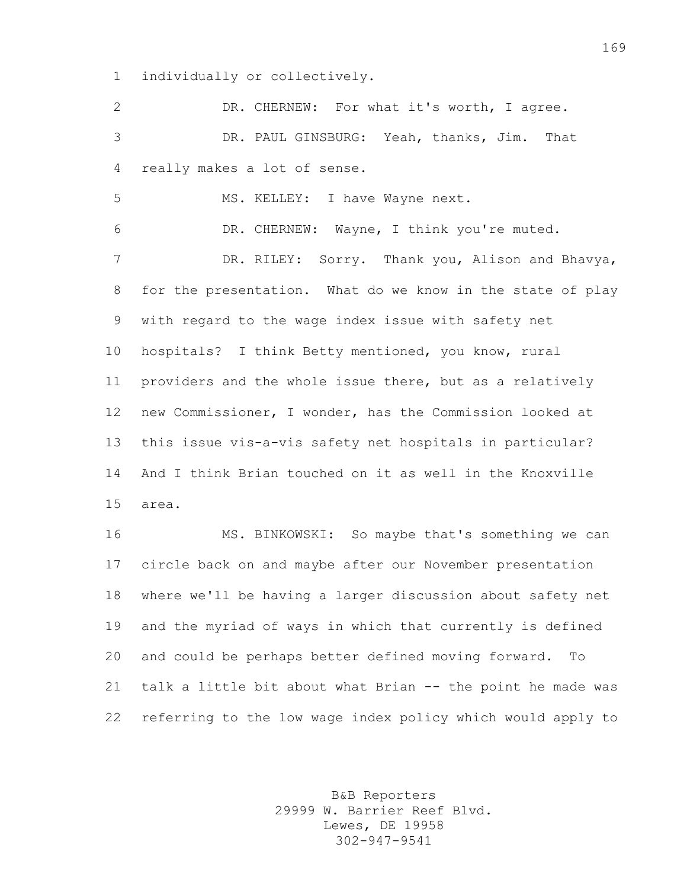individually or collectively.

 DR. CHERNEW: For what it's worth, I agree. DR. PAUL GINSBURG: Yeah, thanks, Jim. That really makes a lot of sense. MS. KELLEY: I have Wayne next. DR. CHERNEW: Wayne, I think you're muted. 7 DR. RILEY: Sorry. Thank you, Alison and Bhavya, for the presentation. What do we know in the state of play with regard to the wage index issue with safety net hospitals? I think Betty mentioned, you know, rural providers and the whole issue there, but as a relatively new Commissioner, I wonder, has the Commission looked at this issue vis-a-vis safety net hospitals in particular? And I think Brian touched on it as well in the Knoxville area. MS. BINKOWSKI: So maybe that's something we can circle back on and maybe after our November presentation where we'll be having a larger discussion about safety net and the myriad of ways in which that currently is defined

 and could be perhaps better defined moving forward. To talk a little bit about what Brian -- the point he made was referring to the low wage index policy which would apply to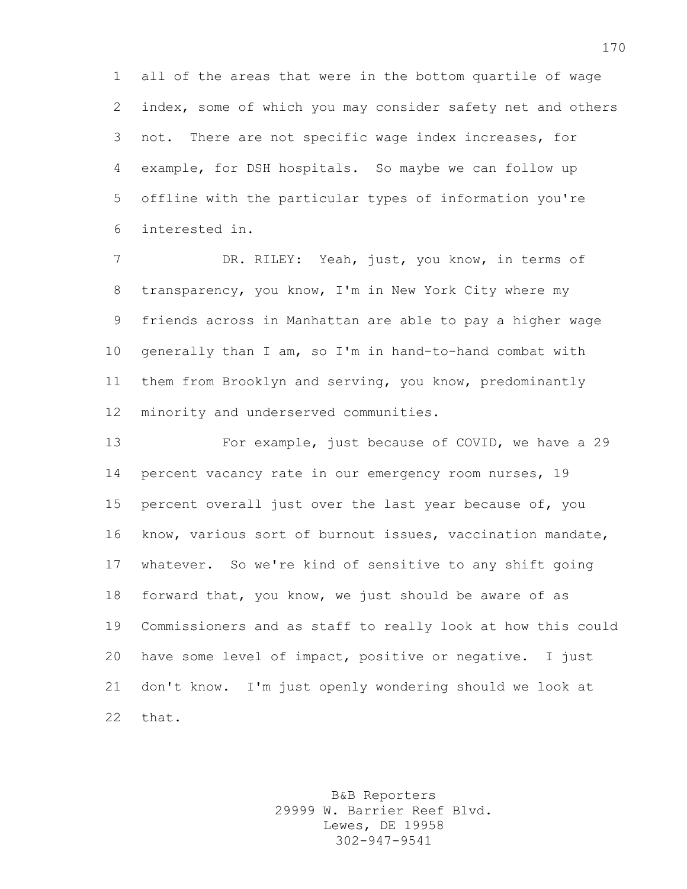all of the areas that were in the bottom quartile of wage index, some of which you may consider safety net and others not. There are not specific wage index increases, for example, for DSH hospitals. So maybe we can follow up offline with the particular types of information you're interested in.

7 DR. RILEY: Yeah, just, you know, in terms of transparency, you know, I'm in New York City where my friends across in Manhattan are able to pay a higher wage generally than I am, so I'm in hand-to-hand combat with them from Brooklyn and serving, you know, predominantly minority and underserved communities.

 For example, just because of COVID, we have a 29 percent vacancy rate in our emergency room nurses, 19 percent overall just over the last year because of, you know, various sort of burnout issues, vaccination mandate, whatever. So we're kind of sensitive to any shift going forward that, you know, we just should be aware of as Commissioners and as staff to really look at how this could have some level of impact, positive or negative. I just don't know. I'm just openly wondering should we look at that.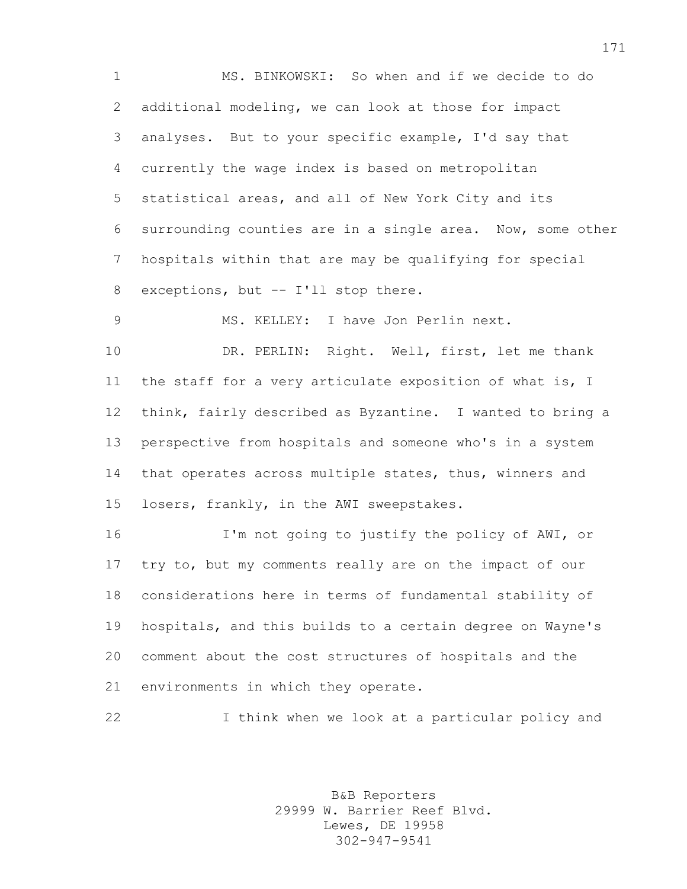MS. BINKOWSKI: So when and if we decide to do additional modeling, we can look at those for impact analyses. But to your specific example, I'd say that currently the wage index is based on metropolitan statistical areas, and all of New York City and its surrounding counties are in a single area. Now, some other hospitals within that are may be qualifying for special exceptions, but -- I'll stop there.

MS. KELLEY: I have Jon Perlin next.

 DR. PERLIN: Right. Well, first, let me thank the staff for a very articulate exposition of what is, I think, fairly described as Byzantine. I wanted to bring a perspective from hospitals and someone who's in a system that operates across multiple states, thus, winners and losers, frankly, in the AWI sweepstakes.

 I'm not going to justify the policy of AWI, or try to, but my comments really are on the impact of our considerations here in terms of fundamental stability of hospitals, and this builds to a certain degree on Wayne's comment about the cost structures of hospitals and the environments in which they operate.

I think when we look at a particular policy and

B&B Reporters 29999 W. Barrier Reef Blvd. Lewes, DE 19958 302-947-9541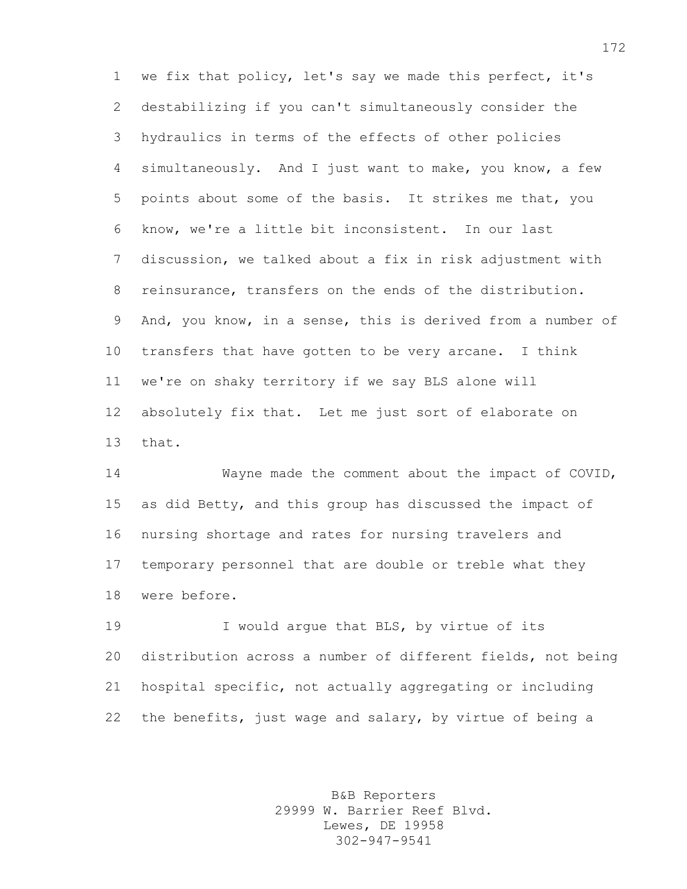we fix that policy, let's say we made this perfect, it's destabilizing if you can't simultaneously consider the hydraulics in terms of the effects of other policies simultaneously. And I just want to make, you know, a few points about some of the basis. It strikes me that, you know, we're a little bit inconsistent. In our last discussion, we talked about a fix in risk adjustment with reinsurance, transfers on the ends of the distribution. And, you know, in a sense, this is derived from a number of transfers that have gotten to be very arcane. I think we're on shaky territory if we say BLS alone will absolutely fix that. Let me just sort of elaborate on that.

 Wayne made the comment about the impact of COVID, as did Betty, and this group has discussed the impact of nursing shortage and rates for nursing travelers and temporary personnel that are double or treble what they were before.

19 19 I would argue that BLS, by virtue of its distribution across a number of different fields, not being hospital specific, not actually aggregating or including the benefits, just wage and salary, by virtue of being a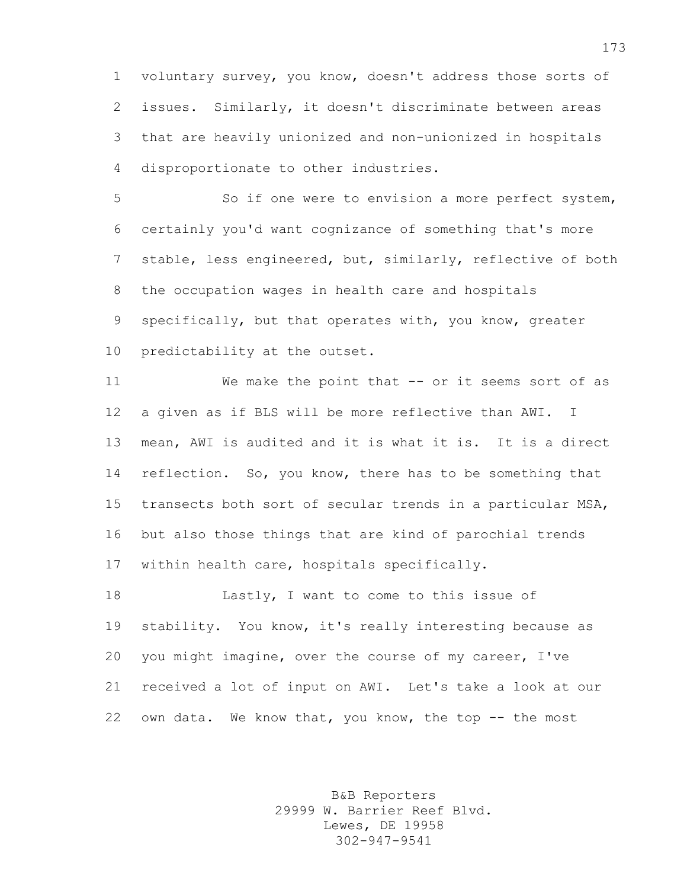voluntary survey, you know, doesn't address those sorts of issues. Similarly, it doesn't discriminate between areas that are heavily unionized and non-unionized in hospitals disproportionate to other industries.

 So if one were to envision a more perfect system, certainly you'd want cognizance of something that's more stable, less engineered, but, similarly, reflective of both the occupation wages in health care and hospitals specifically, but that operates with, you know, greater predictability at the outset.

 We make the point that -- or it seems sort of as a given as if BLS will be more reflective than AWI. I mean, AWI is audited and it is what it is. It is a direct 14 reflection. So, you know, there has to be something that transects both sort of secular trends in a particular MSA, but also those things that are kind of parochial trends within health care, hospitals specifically.

 Lastly, I want to come to this issue of stability. You know, it's really interesting because as you might imagine, over the course of my career, I've received a lot of input on AWI. Let's take a look at our own data. We know that, you know, the top -- the most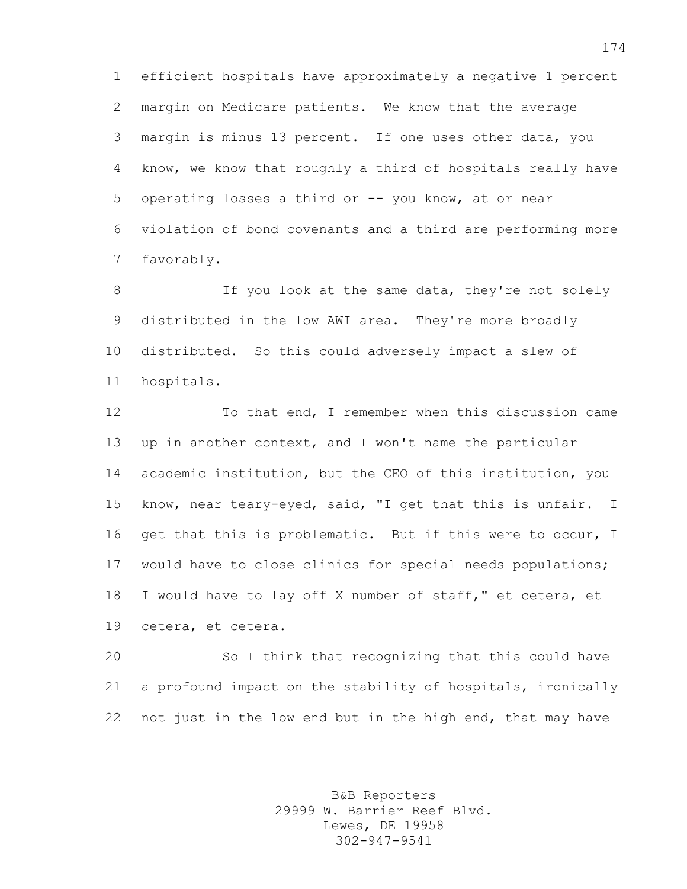efficient hospitals have approximately a negative 1 percent margin on Medicare patients. We know that the average margin is minus 13 percent. If one uses other data, you know, we know that roughly a third of hospitals really have operating losses a third or -- you know, at or near violation of bond covenants and a third are performing more favorably.

8 If you look at the same data, they're not solely distributed in the low AWI area. They're more broadly distributed. So this could adversely impact a slew of hospitals.

 To that end, I remember when this discussion came up in another context, and I won't name the particular academic institution, but the CEO of this institution, you know, near teary-eyed, said, "I get that this is unfair. I get that this is problematic. But if this were to occur, I would have to close clinics for special needs populations; I would have to lay off X number of staff," et cetera, et cetera, et cetera.

 So I think that recognizing that this could have a profound impact on the stability of hospitals, ironically not just in the low end but in the high end, that may have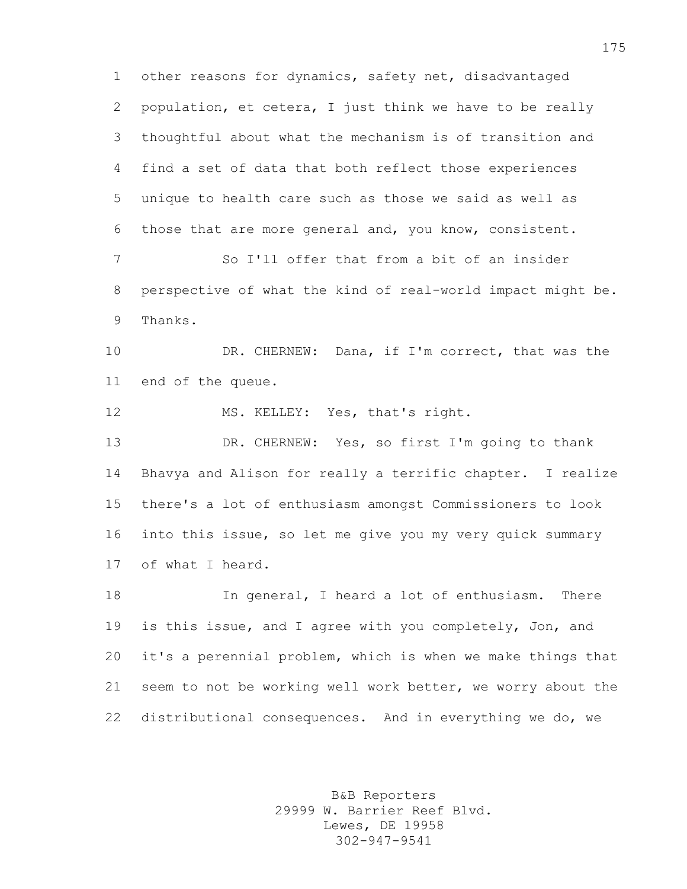other reasons for dynamics, safety net, disadvantaged population, et cetera, I just think we have to be really thoughtful about what the mechanism is of transition and find a set of data that both reflect those experiences unique to health care such as those we said as well as those that are more general and, you know, consistent. So I'll offer that from a bit of an insider perspective of what the kind of real-world impact might be. Thanks. 10 DR. CHERNEW: Dana, if I'm correct, that was the end of the queue. 12 MS. KELLEY: Yes, that's right. DR. CHERNEW: Yes, so first I'm going to thank Bhavya and Alison for really a terrific chapter. I realize there's a lot of enthusiasm amongst Commissioners to look into this issue, so let me give you my very quick summary of what I heard. In general, I heard a lot of enthusiasm. There is this issue, and I agree with you completely, Jon, and it's a perennial problem, which is when we make things that seem to not be working well work better, we worry about the distributional consequences. And in everything we do, we

> B&B Reporters 29999 W. Barrier Reef Blvd. Lewes, DE 19958 302-947-9541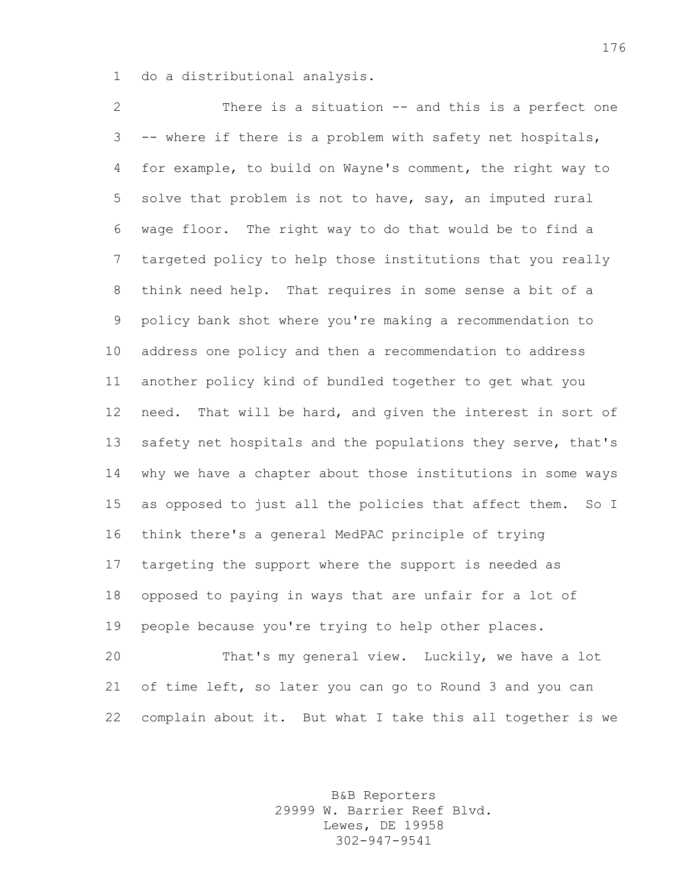do a distributional analysis.

 There is a situation -- and this is a perfect one -- where if there is a problem with safety net hospitals, for example, to build on Wayne's comment, the right way to solve that problem is not to have, say, an imputed rural wage floor. The right way to do that would be to find a targeted policy to help those institutions that you really think need help. That requires in some sense a bit of a policy bank shot where you're making a recommendation to address one policy and then a recommendation to address another policy kind of bundled together to get what you need. That will be hard, and given the interest in sort of safety net hospitals and the populations they serve, that's why we have a chapter about those institutions in some ways as opposed to just all the policies that affect them. So I think there's a general MedPAC principle of trying targeting the support where the support is needed as opposed to paying in ways that are unfair for a lot of people because you're trying to help other places. That's my general view. Luckily, we have a lot

 of time left, so later you can go to Round 3 and you can complain about it. But what I take this all together is we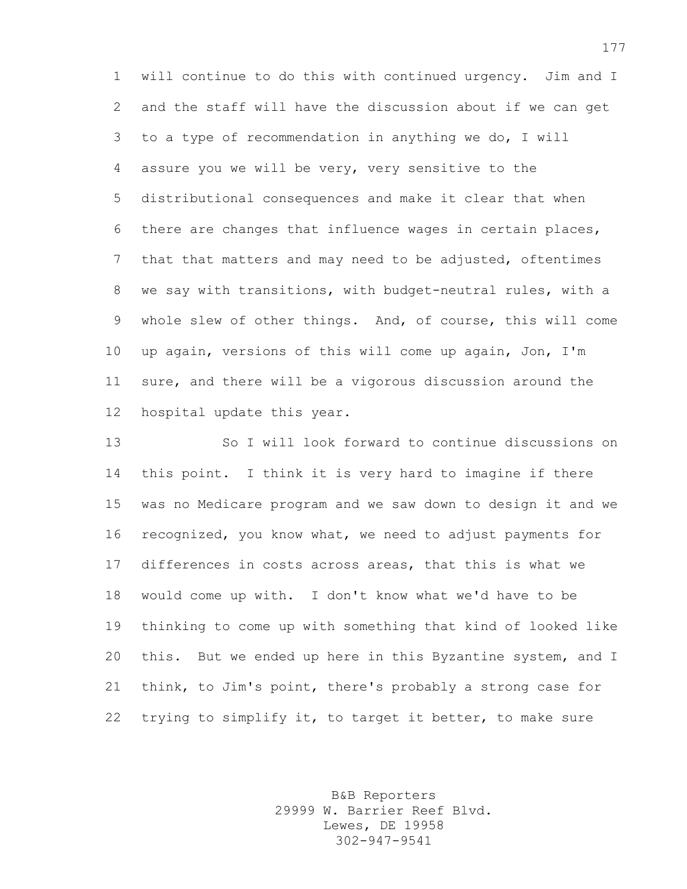will continue to do this with continued urgency. Jim and I and the staff will have the discussion about if we can get to a type of recommendation in anything we do, I will assure you we will be very, very sensitive to the distributional consequences and make it clear that when there are changes that influence wages in certain places, that that matters and may need to be adjusted, oftentimes we say with transitions, with budget-neutral rules, with a whole slew of other things. And, of course, this will come up again, versions of this will come up again, Jon, I'm sure, and there will be a vigorous discussion around the hospital update this year.

 So I will look forward to continue discussions on this point. I think it is very hard to imagine if there was no Medicare program and we saw down to design it and we recognized, you know what, we need to adjust payments for differences in costs across areas, that this is what we would come up with. I don't know what we'd have to be thinking to come up with something that kind of looked like this. But we ended up here in this Byzantine system, and I think, to Jim's point, there's probably a strong case for trying to simplify it, to target it better, to make sure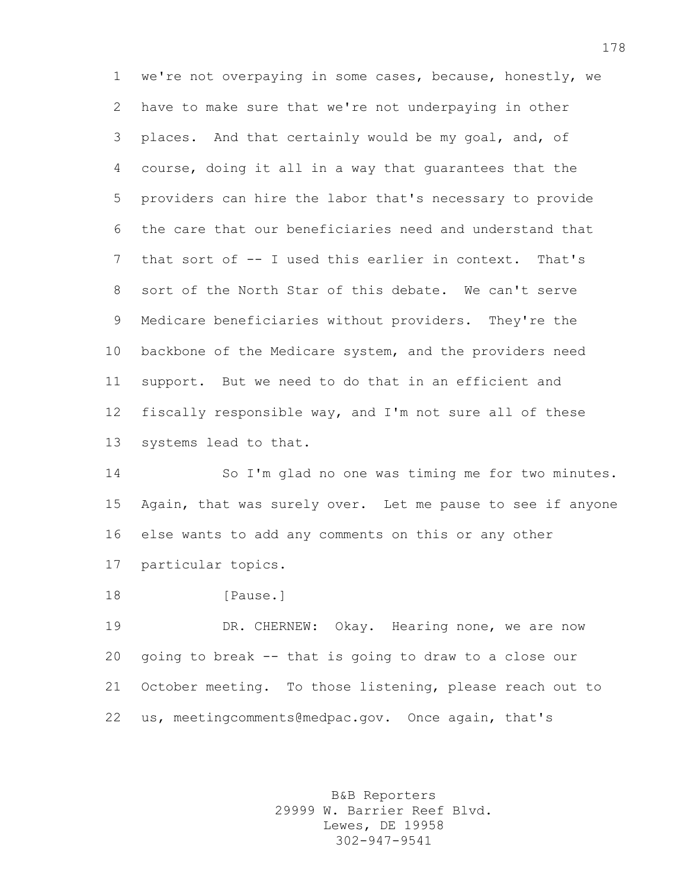we're not overpaying in some cases, because, honestly, we have to make sure that we're not underpaying in other places. And that certainly would be my goal, and, of course, doing it all in a way that guarantees that the providers can hire the labor that's necessary to provide the care that our beneficiaries need and understand that that sort of -- I used this earlier in context. That's sort of the North Star of this debate. We can't serve Medicare beneficiaries without providers. They're the backbone of the Medicare system, and the providers need support. But we need to do that in an efficient and fiscally responsible way, and I'm not sure all of these systems lead to that.

 So I'm glad no one was timing me for two minutes. Again, that was surely over. Let me pause to see if anyone else wants to add any comments on this or any other particular topics.

**I**Pause.

 DR. CHERNEW: Okay. Hearing none, we are now going to break -- that is going to draw to a close our October meeting. To those listening, please reach out to us, meetingcomments@medpac.gov. Once again, that's